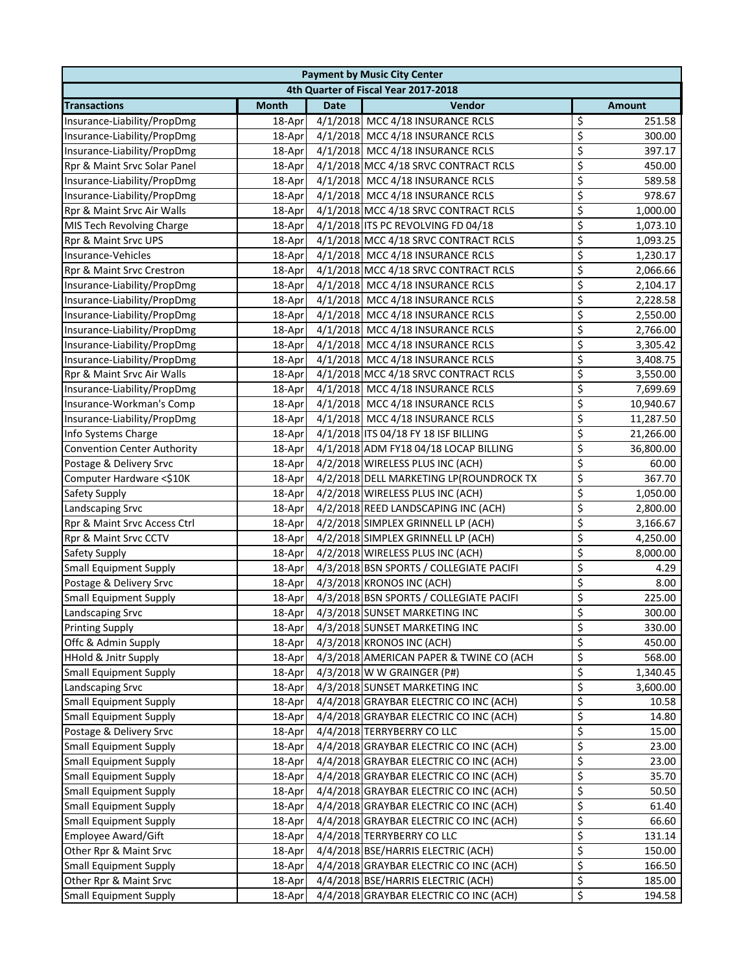|                                    |              |             | <b>Payment by Music City Center</b>     |                 |
|------------------------------------|--------------|-------------|-----------------------------------------|-----------------|
|                                    |              |             | 4th Quarter of Fiscal Year 2017-2018    |                 |
| <b>Transactions</b>                | <b>Month</b> | <b>Date</b> | Vendor                                  | <b>Amount</b>   |
| Insurance-Liability/PropDmg        | 18-Apr       |             | 4/1/2018 MCC 4/18 INSURANCE RCLS        | \$<br>251.58    |
| Insurance-Liability/PropDmg        | 18-Apr       |             | 4/1/2018 MCC 4/18 INSURANCE RCLS        | \$<br>300.00    |
| Insurance-Liability/PropDmg        | 18-Apr       |             | 4/1/2018 MCC 4/18 INSURANCE RCLS        | \$<br>397.17    |
| Rpr & Maint Srvc Solar Panel       | 18-Apr       |             | 4/1/2018 MCC 4/18 SRVC CONTRACT RCLS    | \$<br>450.00    |
| Insurance-Liability/PropDmg        | 18-Apr       |             | 4/1/2018 MCC 4/18 INSURANCE RCLS        | \$<br>589.58    |
| Insurance-Liability/PropDmg        | 18-Apr       |             | 4/1/2018 MCC 4/18 INSURANCE RCLS        | \$<br>978.67    |
| Rpr & Maint Srvc Air Walls         | 18-Apr       |             | 4/1/2018 MCC 4/18 SRVC CONTRACT RCLS    | \$<br>1,000.00  |
| MIS Tech Revolving Charge          | 18-Apr       |             | 4/1/2018 ITS PC REVOLVING FD 04/18      | \$<br>1,073.10  |
| Rpr & Maint Srvc UPS               | 18-Apr       |             | 4/1/2018 MCC 4/18 SRVC CONTRACT RCLS    | \$<br>1,093.25  |
| Insurance-Vehicles                 | 18-Apr       |             | 4/1/2018 MCC 4/18 INSURANCE RCLS        | \$<br>1,230.17  |
| Rpr & Maint Srvc Crestron          | 18-Apr       |             | 4/1/2018 MCC 4/18 SRVC CONTRACT RCLS    | \$<br>2,066.66  |
| Insurance-Liability/PropDmg        | 18-Apr       |             | 4/1/2018 MCC 4/18 INSURANCE RCLS        | \$<br>2,104.17  |
| Insurance-Liability/PropDmg        | 18-Apr       |             | 4/1/2018 MCC 4/18 INSURANCE RCLS        | \$<br>2,228.58  |
| Insurance-Liability/PropDmg        | 18-Apr       |             | 4/1/2018 MCC 4/18 INSURANCE RCLS        | \$<br>2,550.00  |
| Insurance-Liability/PropDmg        | 18-Apr       |             | 4/1/2018 MCC 4/18 INSURANCE RCLS        | \$<br>2,766.00  |
| Insurance-Liability/PropDmg        | 18-Apr       |             | 4/1/2018 MCC 4/18 INSURANCE RCLS        | \$<br>3,305.42  |
| Insurance-Liability/PropDmg        | 18-Apr       |             | 4/1/2018 MCC 4/18 INSURANCE RCLS        | \$<br>3,408.75  |
| Rpr & Maint Srvc Air Walls         | 18-Apr       |             | 4/1/2018 MCC 4/18 SRVC CONTRACT RCLS    | \$<br>3,550.00  |
| Insurance-Liability/PropDmg        | 18-Apr       |             | 4/1/2018 MCC 4/18 INSURANCE RCLS        | \$<br>7,699.69  |
| Insurance-Workman's Comp           | 18-Apr       |             | 4/1/2018 MCC 4/18 INSURANCE RCLS        | \$<br>10,940.67 |
| Insurance-Liability/PropDmg        | 18-Apr       |             | 4/1/2018 MCC 4/18 INSURANCE RCLS        | \$<br>11,287.50 |
| Info Systems Charge                | 18-Apr       |             | 4/1/2018 ITS 04/18 FY 18 ISF BILLING    | \$<br>21,266.00 |
| <b>Convention Center Authority</b> | 18-Apr       |             | 4/1/2018 ADM FY18 04/18 LOCAP BILLING   | \$<br>36,800.00 |
| Postage & Delivery Srvc            | 18-Apr       |             | 4/2/2018 WIRELESS PLUS INC (ACH)        | \$<br>60.00     |
| Computer Hardware <\$10K           | 18-Apr       |             | 4/2/2018 DELL MARKETING LP(ROUNDROCK TX | \$<br>367.70    |
| Safety Supply                      | 18-Apr       |             | 4/2/2018 WIRELESS PLUS INC (ACH)        | \$<br>1,050.00  |
| Landscaping Srvc                   | 18-Apr       |             | 4/2/2018 REED LANDSCAPING INC (ACH)     | \$<br>2,800.00  |
| Rpr & Maint Srvc Access Ctrl       | 18-Apr       |             | 4/2/2018 SIMPLEX GRINNELL LP (ACH)      | \$<br>3,166.67  |
| Rpr & Maint Srvc CCTV              | 18-Apr       |             | 4/2/2018 SIMPLEX GRINNELL LP (ACH)      | \$<br>4,250.00  |
| Safety Supply                      | 18-Apr       |             | 4/2/2018 WIRELESS PLUS INC (ACH)        | \$<br>8,000.00  |
| Small Equipment Supply             | 18-Apr       |             | 4/3/2018 BSN SPORTS / COLLEGIATE PACIFI | \$<br>4.29      |
| Postage & Delivery Srvc            | 18-Apr       |             | 4/3/2018 KRONOS INC (ACH)               | \$<br>8.00      |
| <b>Small Equipment Supply</b>      | 18-Apr       |             | 4/3/2018 BSN SPORTS / COLLEGIATE PACIFI | \$<br>225.00    |
| Landscaping Srvc                   | 18-Apr       |             | 4/3/2018 SUNSET MARKETING INC           | \$<br>300.00    |
| <b>Printing Supply</b>             | 18-Apr       |             | 4/3/2018 SUNSET MARKETING INC           | \$<br>330.00    |
| Offc & Admin Supply                | 18-Apr       |             | 4/3/2018 KRONOS INC (ACH)               | \$<br>450.00    |
| <b>HHold &amp; Jnitr Supply</b>    | 18-Apr       |             | 4/3/2018 AMERICAN PAPER & TWINE CO (ACH | \$<br>568.00    |
| <b>Small Equipment Supply</b>      | 18-Apr       |             | 4/3/2018 W W GRAINGER (P#)              | \$<br>1,340.45  |
| Landscaping Srvc                   | 18-Apr       |             | 4/3/2018 SUNSET MARKETING INC           | \$<br>3,600.00  |
| <b>Small Equipment Supply</b>      | 18-Apr       |             | 4/4/2018 GRAYBAR ELECTRIC CO INC (ACH)  | \$<br>10.58     |
| <b>Small Equipment Supply</b>      | 18-Apr       |             | 4/4/2018 GRAYBAR ELECTRIC CO INC (ACH)  | \$<br>14.80     |
| Postage & Delivery Srvc            | 18-Apr       |             | 4/4/2018 TERRYBERRY CO LLC              | \$<br>15.00     |
| <b>Small Equipment Supply</b>      | 18-Apr       |             | 4/4/2018 GRAYBAR ELECTRIC CO INC (ACH)  | \$<br>23.00     |
| <b>Small Equipment Supply</b>      | 18-Apr       |             | 4/4/2018 GRAYBAR ELECTRIC CO INC (ACH)  | \$<br>23.00     |
| <b>Small Equipment Supply</b>      | 18-Apr       |             | 4/4/2018 GRAYBAR ELECTRIC CO INC (ACH)  | \$<br>35.70     |
| <b>Small Equipment Supply</b>      | 18-Apr       |             | 4/4/2018 GRAYBAR ELECTRIC CO INC (ACH)  | \$<br>50.50     |
| <b>Small Equipment Supply</b>      | 18-Apr       |             | 4/4/2018 GRAYBAR ELECTRIC CO INC (ACH)  | \$<br>61.40     |
| <b>Small Equipment Supply</b>      | 18-Apr       |             | 4/4/2018 GRAYBAR ELECTRIC CO INC (ACH)  | \$<br>66.60     |
| Employee Award/Gift                | 18-Apr       |             | 4/4/2018 TERRYBERRY CO LLC              | \$<br>131.14    |
| Other Rpr & Maint Srvc             | 18-Apr       |             | 4/4/2018 BSE/HARRIS ELECTRIC (ACH)      | \$<br>150.00    |
| <b>Small Equipment Supply</b>      | 18-Apr       |             | 4/4/2018 GRAYBAR ELECTRIC CO INC (ACH)  | \$<br>166.50    |
| Other Rpr & Maint Srvc             | 18-Apr       |             | 4/4/2018 BSE/HARRIS ELECTRIC (ACH)      | \$<br>185.00    |
| <b>Small Equipment Supply</b>      | 18-Apr       |             | 4/4/2018 GRAYBAR ELECTRIC CO INC (ACH)  | \$<br>194.58    |
|                                    |              |             |                                         |                 |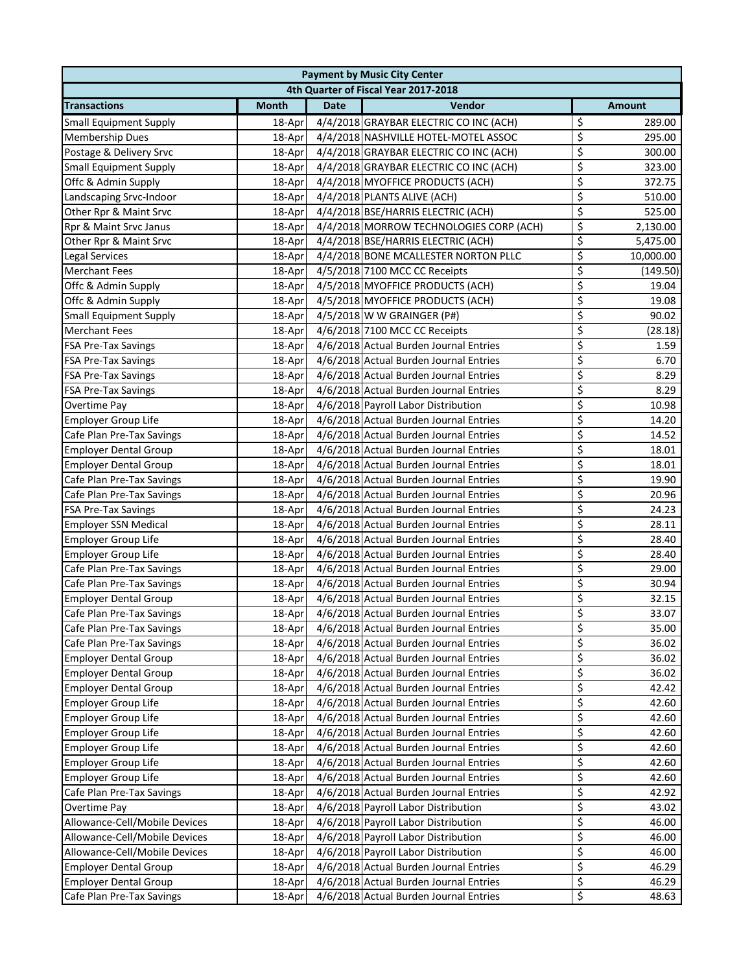| <b>Payment by Music City Center</b>  |              |             |                                         |                         |               |  |
|--------------------------------------|--------------|-------------|-----------------------------------------|-------------------------|---------------|--|
| 4th Quarter of Fiscal Year 2017-2018 |              |             |                                         |                         |               |  |
| <b>Transactions</b>                  | <b>Month</b> | <b>Date</b> | Vendor                                  |                         | <b>Amount</b> |  |
| <b>Small Equipment Supply</b>        | 18-Apr       |             | 4/4/2018 GRAYBAR ELECTRIC CO INC (ACH)  | \$                      | 289.00        |  |
| <b>Membership Dues</b>               | 18-Apr       |             | 4/4/2018 NASHVILLE HOTEL-MOTEL ASSOC    | \$                      | 295.00        |  |
| Postage & Delivery Srvc              | 18-Apr       |             | 4/4/2018 GRAYBAR ELECTRIC CO INC (ACH)  | \$                      | 300.00        |  |
| <b>Small Equipment Supply</b>        | 18-Apr       |             | 4/4/2018 GRAYBAR ELECTRIC CO INC (ACH)  | \$                      | 323.00        |  |
| Offc & Admin Supply                  | 18-Apr       |             | 4/4/2018 MYOFFICE PRODUCTS (ACH)        | \$                      | 372.75        |  |
| Landscaping Srvc-Indoor              | 18-Apr       |             | 4/4/2018 PLANTS ALIVE (ACH)             | \$                      | 510.00        |  |
| Other Rpr & Maint Srvc               | 18-Apr       |             | 4/4/2018 BSE/HARRIS ELECTRIC (ACH)      | \$                      | 525.00        |  |
| Rpr & Maint Srvc Janus               | 18-Apr       |             | 4/4/2018 MORROW TECHNOLOGIES CORP (ACH) | \$                      | 2,130.00      |  |
| Other Rpr & Maint Srvc               | 18-Apr       |             | 4/4/2018 BSE/HARRIS ELECTRIC (ACH)      | \$                      | 5,475.00      |  |
| Legal Services                       | 18-Apr       |             | 4/4/2018 BONE MCALLESTER NORTON PLLC    | \$                      | 10,000.00     |  |
| <b>Merchant Fees</b>                 | 18-Apr       |             | 4/5/2018 7100 MCC CC Receipts           | \$                      | (149.50)      |  |
| Offc & Admin Supply                  | 18-Apr       |             | 4/5/2018 MYOFFICE PRODUCTS (ACH)        | \$                      | 19.04         |  |
| Offc & Admin Supply                  | 18-Apr       |             | 4/5/2018 MYOFFICE PRODUCTS (ACH)        | \$                      | 19.08         |  |
| <b>Small Equipment Supply</b>        | 18-Apr       |             | 4/5/2018 W W GRAINGER (P#)              | \$                      | 90.02         |  |
| <b>Merchant Fees</b>                 | 18-Apr       |             | 4/6/2018 7100 MCC CC Receipts           | \$                      | (28.18)       |  |
| FSA Pre-Tax Savings                  | 18-Apr       |             | 4/6/2018 Actual Burden Journal Entries  | \$                      | 1.59          |  |
| <b>FSA Pre-Tax Savings</b>           | 18-Apr       |             | 4/6/2018 Actual Burden Journal Entries  | \$                      | 6.70          |  |
| FSA Pre-Tax Savings                  | 18-Apr       |             | 4/6/2018 Actual Burden Journal Entries  | \$                      | 8.29          |  |
| FSA Pre-Tax Savings                  | 18-Apr       |             | 4/6/2018 Actual Burden Journal Entries  | \$                      | 8.29          |  |
| Overtime Pay                         | 18-Apr       |             | 4/6/2018 Payroll Labor Distribution     | \$                      | 10.98         |  |
| <b>Employer Group Life</b>           | 18-Apr       |             | 4/6/2018 Actual Burden Journal Entries  | \$                      | 14.20         |  |
| Cafe Plan Pre-Tax Savings            | 18-Apr       |             | 4/6/2018 Actual Burden Journal Entries  | \$                      | 14.52         |  |
| <b>Employer Dental Group</b>         | 18-Apr       |             | 4/6/2018 Actual Burden Journal Entries  | \$                      | 18.01         |  |
| <b>Employer Dental Group</b>         | 18-Apr       |             | 4/6/2018 Actual Burden Journal Entries  | \$                      | 18.01         |  |
| Cafe Plan Pre-Tax Savings            | 18-Apr       |             | 4/6/2018 Actual Burden Journal Entries  | \$                      | 19.90         |  |
| Cafe Plan Pre-Tax Savings            | 18-Apr       |             | 4/6/2018 Actual Burden Journal Entries  | \$                      | 20.96         |  |
| <b>FSA Pre-Tax Savings</b>           | 18-Apr       |             | 4/6/2018 Actual Burden Journal Entries  | \$                      | 24.23         |  |
| <b>Employer SSN Medical</b>          | 18-Apr       |             | 4/6/2018 Actual Burden Journal Entries  | \$                      | 28.11         |  |
| <b>Employer Group Life</b>           | 18-Apr       |             | 4/6/2018 Actual Burden Journal Entries  | \$                      | 28.40         |  |
| <b>Employer Group Life</b>           | 18-Apr       |             | 4/6/2018 Actual Burden Journal Entries  | \$                      | 28.40         |  |
| Cafe Plan Pre-Tax Savings            | 18-Apr       |             | 4/6/2018 Actual Burden Journal Entries  | \$                      | 29.00         |  |
| Cafe Plan Pre-Tax Savings            | 18-Apr       |             | 4/6/2018 Actual Burden Journal Entries  | \$                      | 30.94         |  |
| <b>Employer Dental Group</b>         | 18-Apr       |             | 4/6/2018 Actual Burden Journal Entries  | \$                      | 32.15         |  |
| Cafe Plan Pre-Tax Savings            | 18-Apr       |             | 4/6/2018 Actual Burden Journal Entries  | $\overline{\mathsf{S}}$ | 33.07         |  |
| Cafe Plan Pre-Tax Savings            | 18-Apr       |             | 4/6/2018 Actual Burden Journal Entries  | \$                      | 35.00         |  |
| Cafe Plan Pre-Tax Savings            | 18-Apr       |             | 4/6/2018 Actual Burden Journal Entries  | \$                      | 36.02         |  |
| <b>Employer Dental Group</b>         | 18-Apr       |             | 4/6/2018 Actual Burden Journal Entries  | \$                      | 36.02         |  |
| <b>Employer Dental Group</b>         | 18-Apr       |             | 4/6/2018 Actual Burden Journal Entries  | \$                      | 36.02         |  |
| <b>Employer Dental Group</b>         | 18-Apr       |             | 4/6/2018 Actual Burden Journal Entries  | \$                      | 42.42         |  |
| <b>Employer Group Life</b>           | 18-Apr       |             | 4/6/2018 Actual Burden Journal Entries  | \$                      | 42.60         |  |
| <b>Employer Group Life</b>           | 18-Apr       |             | 4/6/2018 Actual Burden Journal Entries  | \$                      | 42.60         |  |
| <b>Employer Group Life</b>           | 18-Apr       |             | 4/6/2018 Actual Burden Journal Entries  | \$                      | 42.60         |  |
| <b>Employer Group Life</b>           | 18-Apr       |             | 4/6/2018 Actual Burden Journal Entries  | \$                      | 42.60         |  |
| Employer Group Life                  | 18-Apr       |             | 4/6/2018 Actual Burden Journal Entries  | \$                      | 42.60         |  |
| <b>Employer Group Life</b>           | 18-Apr       |             | 4/6/2018 Actual Burden Journal Entries  | \$                      | 42.60         |  |
| Cafe Plan Pre-Tax Savings            | 18-Apr       |             | 4/6/2018 Actual Burden Journal Entries  | \$                      | 42.92         |  |
| Overtime Pay                         | 18-Apr       |             | 4/6/2018 Payroll Labor Distribution     | \$                      | 43.02         |  |
| Allowance-Cell/Mobile Devices        | 18-Apr       |             | 4/6/2018 Payroll Labor Distribution     | \$                      | 46.00         |  |
| Allowance-Cell/Mobile Devices        | 18-Apr       |             | 4/6/2018 Payroll Labor Distribution     | \$                      | 46.00         |  |
| Allowance-Cell/Mobile Devices        | 18-Apr       |             | 4/6/2018 Payroll Labor Distribution     | \$                      | 46.00         |  |
| <b>Employer Dental Group</b>         | 18-Apr       |             | 4/6/2018 Actual Burden Journal Entries  | \$                      | 46.29         |  |
| <b>Employer Dental Group</b>         | 18-Apr       |             | 4/6/2018 Actual Burden Journal Entries  | \$                      | 46.29         |  |
| Cafe Plan Pre-Tax Savings            | 18-Apr       |             | 4/6/2018 Actual Burden Journal Entries  | \$                      | 48.63         |  |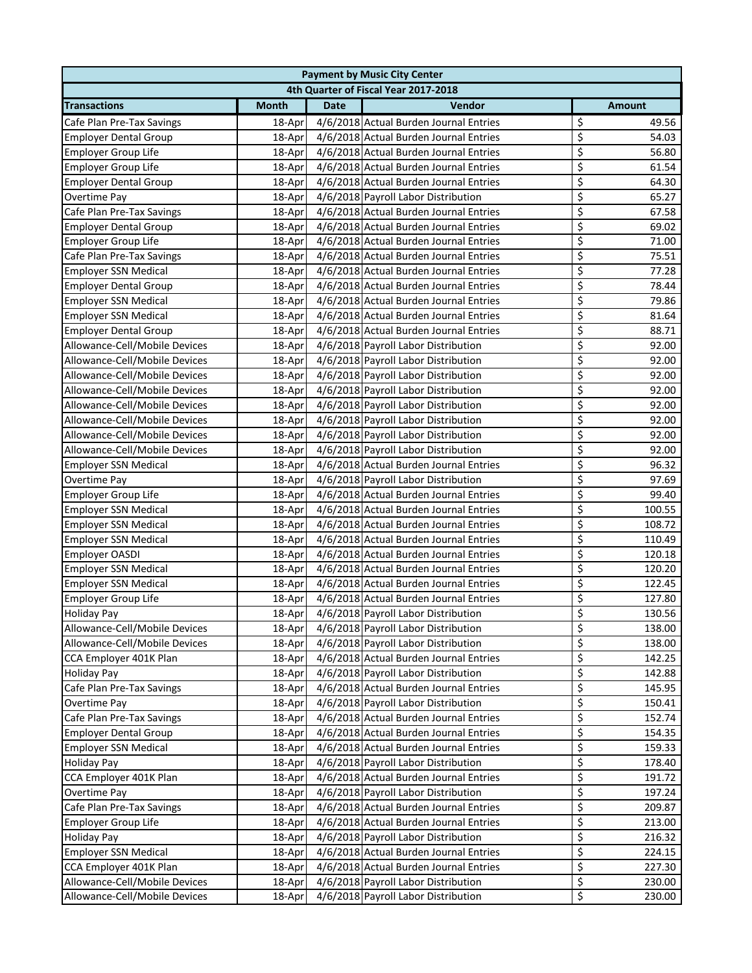|                               | <b>Payment by Music City Center</b> |             |                                        |                  |               |  |  |
|-------------------------------|-------------------------------------|-------------|----------------------------------------|------------------|---------------|--|--|
|                               |                                     |             | 4th Quarter of Fiscal Year 2017-2018   |                  |               |  |  |
| <b>Transactions</b>           | <b>Month</b>                        | <b>Date</b> | Vendor                                 |                  | <b>Amount</b> |  |  |
| Cafe Plan Pre-Tax Savings     | 18-Apr                              |             | 4/6/2018 Actual Burden Journal Entries | \$               | 49.56         |  |  |
| <b>Employer Dental Group</b>  | 18-Apr                              |             | 4/6/2018 Actual Burden Journal Entries | \$               | 54.03         |  |  |
| <b>Employer Group Life</b>    | 18-Apr                              |             | 4/6/2018 Actual Burden Journal Entries | \$               | 56.80         |  |  |
| <b>Employer Group Life</b>    | 18-Apr                              |             | 4/6/2018 Actual Burden Journal Entries | \$               | 61.54         |  |  |
| <b>Employer Dental Group</b>  | 18-Apr                              |             | 4/6/2018 Actual Burden Journal Entries | \$               | 64.30         |  |  |
| Overtime Pay                  | 18-Apr                              |             | 4/6/2018 Payroll Labor Distribution    | \$               | 65.27         |  |  |
| Cafe Plan Pre-Tax Savings     | 18-Apr                              |             | 4/6/2018 Actual Burden Journal Entries | \$               | 67.58         |  |  |
| <b>Employer Dental Group</b>  | 18-Apr                              |             | 4/6/2018 Actual Burden Journal Entries | \$               | 69.02         |  |  |
| <b>Employer Group Life</b>    | 18-Apr                              |             | 4/6/2018 Actual Burden Journal Entries | \$               | 71.00         |  |  |
| Cafe Plan Pre-Tax Savings     | 18-Apr                              |             | 4/6/2018 Actual Burden Journal Entries | \$               | 75.51         |  |  |
| <b>Employer SSN Medical</b>   | 18-Apr                              |             | 4/6/2018 Actual Burden Journal Entries | \$               | 77.28         |  |  |
| <b>Employer Dental Group</b>  | 18-Apr                              |             | 4/6/2018 Actual Burden Journal Entries | \$               | 78.44         |  |  |
| <b>Employer SSN Medical</b>   | 18-Apr                              |             | 4/6/2018 Actual Burden Journal Entries | \$               | 79.86         |  |  |
| <b>Employer SSN Medical</b>   | 18-Apr                              |             | 4/6/2018 Actual Burden Journal Entries | \$               | 81.64         |  |  |
| <b>Employer Dental Group</b>  | 18-Apr                              |             | 4/6/2018 Actual Burden Journal Entries | \$               | 88.71         |  |  |
| Allowance-Cell/Mobile Devices | 18-Apr                              |             | 4/6/2018 Payroll Labor Distribution    | \$               | 92.00         |  |  |
| Allowance-Cell/Mobile Devices | 18-Apr                              |             | 4/6/2018 Payroll Labor Distribution    | \$               | 92.00         |  |  |
| Allowance-Cell/Mobile Devices | 18-Apr                              |             | 4/6/2018 Payroll Labor Distribution    | \$               | 92.00         |  |  |
| Allowance-Cell/Mobile Devices | 18-Apr                              |             | 4/6/2018 Payroll Labor Distribution    | \$               | 92.00         |  |  |
| Allowance-Cell/Mobile Devices | 18-Apr                              |             | 4/6/2018 Payroll Labor Distribution    | \$               | 92.00         |  |  |
| Allowance-Cell/Mobile Devices | 18-Apr                              |             | 4/6/2018 Payroll Labor Distribution    | $\overline{\xi}$ | 92.00         |  |  |
| Allowance-Cell/Mobile Devices | 18-Apr                              |             | 4/6/2018 Payroll Labor Distribution    | \$               | 92.00         |  |  |
| Allowance-Cell/Mobile Devices | 18-Apr                              |             | 4/6/2018 Payroll Labor Distribution    | \$               | 92.00         |  |  |
| <b>Employer SSN Medical</b>   | 18-Apr                              |             | 4/6/2018 Actual Burden Journal Entries | \$               | 96.32         |  |  |
| Overtime Pay                  | 18-Apr                              |             | 4/6/2018 Payroll Labor Distribution    | \$               | 97.69         |  |  |
| <b>Employer Group Life</b>    | 18-Apr                              |             | 4/6/2018 Actual Burden Journal Entries | \$               | 99.40         |  |  |
| <b>Employer SSN Medical</b>   | 18-Apr                              |             | 4/6/2018 Actual Burden Journal Entries | \$               | 100.55        |  |  |
| <b>Employer SSN Medical</b>   | 18-Apr                              |             | 4/6/2018 Actual Burden Journal Entries | \$               | 108.72        |  |  |
| <b>Employer SSN Medical</b>   | 18-Apr                              |             | 4/6/2018 Actual Burden Journal Entries | \$               | 110.49        |  |  |
| <b>Employer OASDI</b>         | 18-Apr                              |             | 4/6/2018 Actual Burden Journal Entries | \$               | 120.18        |  |  |
| <b>Employer SSN Medical</b>   | 18-Apr                              |             | 4/6/2018 Actual Burden Journal Entries | \$               | 120.20        |  |  |
| <b>Employer SSN Medical</b>   | 18-Apr                              |             | 4/6/2018 Actual Burden Journal Entries | \$               | 122.45        |  |  |
| <b>Employer Group Life</b>    | 18-Apr                              |             | 4/6/2018 Actual Burden Journal Entries | \$               | 127.80        |  |  |
| <b>Holiday Pay</b>            | 18-Apr                              |             | 4/6/2018 Payroll Labor Distribution    | \$               | 130.56        |  |  |
| Allowance-Cell/Mobile Devices | 18-Apr                              |             | 4/6/2018 Payroll Labor Distribution    | \$               | 138.00        |  |  |
| Allowance-Cell/Mobile Devices | 18-Apr                              |             | 4/6/2018 Payroll Labor Distribution    | \$               | 138.00        |  |  |
| CCA Employer 401K Plan        | 18-Apr                              |             | 4/6/2018 Actual Burden Journal Entries | \$               | 142.25        |  |  |
| <b>Holiday Pay</b>            | 18-Apr                              |             | 4/6/2018 Payroll Labor Distribution    | \$               | 142.88        |  |  |
| Cafe Plan Pre-Tax Savings     | 18-Apr                              |             | 4/6/2018 Actual Burden Journal Entries | \$               | 145.95        |  |  |
| Overtime Pay                  | 18-Apr                              |             | 4/6/2018 Payroll Labor Distribution    | \$               | 150.41        |  |  |
| Cafe Plan Pre-Tax Savings     | 18-Apr                              |             | 4/6/2018 Actual Burden Journal Entries | \$               | 152.74        |  |  |
| <b>Employer Dental Group</b>  | 18-Apr                              |             | 4/6/2018 Actual Burden Journal Entries | \$               | 154.35        |  |  |
| <b>Employer SSN Medical</b>   | 18-Apr                              |             | 4/6/2018 Actual Burden Journal Entries | \$               | 159.33        |  |  |
| <b>Holiday Pay</b>            | 18-Apr                              |             | 4/6/2018 Payroll Labor Distribution    | \$               | 178.40        |  |  |
| CCA Employer 401K Plan        | 18-Apr                              |             | 4/6/2018 Actual Burden Journal Entries | \$               | 191.72        |  |  |
| Overtime Pay                  | 18-Apr                              |             | 4/6/2018 Payroll Labor Distribution    | \$               | 197.24        |  |  |
| Cafe Plan Pre-Tax Savings     | 18-Apr                              |             | 4/6/2018 Actual Burden Journal Entries | \$               | 209.87        |  |  |
| <b>Employer Group Life</b>    | 18-Apr                              |             | 4/6/2018 Actual Burden Journal Entries | \$               | 213.00        |  |  |
| <b>Holiday Pay</b>            | 18-Apr                              |             | 4/6/2018 Payroll Labor Distribution    | \$               | 216.32        |  |  |
| <b>Employer SSN Medical</b>   | 18-Apr                              |             | 4/6/2018 Actual Burden Journal Entries | \$               | 224.15        |  |  |
| CCA Employer 401K Plan        | 18-Apr                              |             | 4/6/2018 Actual Burden Journal Entries | \$               | 227.30        |  |  |
| Allowance-Cell/Mobile Devices | 18-Apr                              |             | 4/6/2018 Payroll Labor Distribution    | \$               | 230.00        |  |  |
| Allowance-Cell/Mobile Devices | 18-Apr                              |             | 4/6/2018 Payroll Labor Distribution    | \$               | 230.00        |  |  |
|                               |                                     |             |                                        |                  |               |  |  |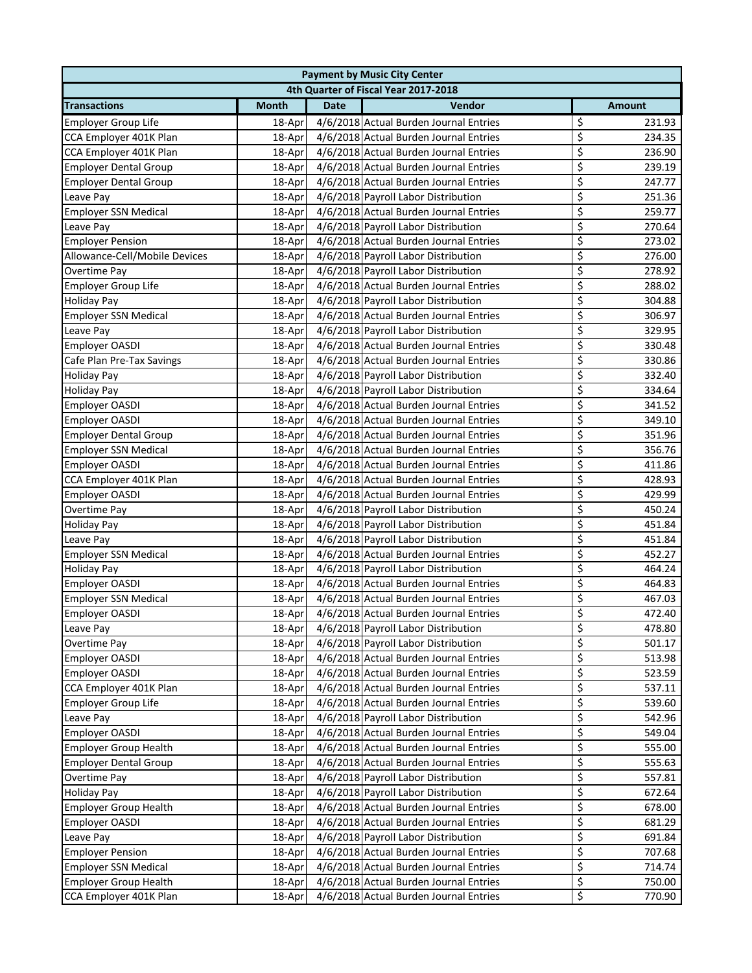|                               |              |             | <b>Payment by Music City Center</b>    |                                   |
|-------------------------------|--------------|-------------|----------------------------------------|-----------------------------------|
|                               |              |             | 4th Quarter of Fiscal Year 2017-2018   |                                   |
| <b>Transactions</b>           | <b>Month</b> | <b>Date</b> | Vendor                                 | Amount                            |
| Employer Group Life           | 18-Apr       |             | 4/6/2018 Actual Burden Journal Entries | \$<br>231.93                      |
| CCA Employer 401K Plan        | 18-Apr       |             | 4/6/2018 Actual Burden Journal Entries | \$<br>234.35                      |
| CCA Employer 401K Plan        | 18-Apr       |             | 4/6/2018 Actual Burden Journal Entries | \$<br>236.90                      |
| <b>Employer Dental Group</b>  | 18-Apr       |             | 4/6/2018 Actual Burden Journal Entries | \$<br>239.19                      |
| <b>Employer Dental Group</b>  | 18-Apr       |             | 4/6/2018 Actual Burden Journal Entries | \$<br>247.77                      |
| Leave Pay                     | 18-Apr       |             | 4/6/2018 Payroll Labor Distribution    | \$<br>251.36                      |
| <b>Employer SSN Medical</b>   | 18-Apr       |             | 4/6/2018 Actual Burden Journal Entries | \$<br>259.77                      |
| Leave Pay                     | 18-Apr       |             | 4/6/2018 Payroll Labor Distribution    | \$<br>270.64                      |
| <b>Employer Pension</b>       | 18-Apr       |             | 4/6/2018 Actual Burden Journal Entries | \$<br>273.02                      |
| Allowance-Cell/Mobile Devices | 18-Apr       |             | 4/6/2018 Payroll Labor Distribution    | \$<br>276.00                      |
| Overtime Pay                  | 18-Apr       |             | 4/6/2018 Payroll Labor Distribution    | \$<br>278.92                      |
| <b>Employer Group Life</b>    | 18-Apr       |             | 4/6/2018 Actual Burden Journal Entries | \$<br>288.02                      |
| <b>Holiday Pay</b>            | 18-Apr       |             | 4/6/2018 Payroll Labor Distribution    | \$<br>304.88                      |
| <b>Employer SSN Medical</b>   | 18-Apr       |             | 4/6/2018 Actual Burden Journal Entries | \$<br>306.97                      |
| Leave Pay                     | 18-Apr       |             | 4/6/2018 Payroll Labor Distribution    | \$<br>329.95                      |
| Employer OASDI                | 18-Apr       |             | 4/6/2018 Actual Burden Journal Entries | \$<br>330.48                      |
| Cafe Plan Pre-Tax Savings     | 18-Apr       |             | 4/6/2018 Actual Burden Journal Entries | \$<br>330.86                      |
| <b>Holiday Pay</b>            | 18-Apr       |             | 4/6/2018 Payroll Labor Distribution    | \$<br>332.40                      |
| <b>Holiday Pay</b>            | 18-Apr       |             | 4/6/2018 Payroll Labor Distribution    | \$<br>334.64                      |
| Employer OASDI                | 18-Apr       |             | 4/6/2018 Actual Burden Journal Entries | \$<br>341.52                      |
| Employer OASDI                | 18-Apr       |             | 4/6/2018 Actual Burden Journal Entries | \$<br>349.10                      |
| <b>Employer Dental Group</b>  | 18-Apr       |             | 4/6/2018 Actual Burden Journal Entries | \$<br>351.96                      |
| <b>Employer SSN Medical</b>   | 18-Apr       |             | 4/6/2018 Actual Burden Journal Entries | \$<br>356.76                      |
| <b>Employer OASDI</b>         | 18-Apr       |             | 4/6/2018 Actual Burden Journal Entries | \$<br>411.86                      |
| CCA Employer 401K Plan        | 18-Apr       |             | 4/6/2018 Actual Burden Journal Entries | \$<br>428.93                      |
| Employer OASDI                | 18-Apr       |             | 4/6/2018 Actual Burden Journal Entries | \$<br>429.99                      |
| Overtime Pay                  | 18-Apr       |             | 4/6/2018 Payroll Labor Distribution    | \$<br>450.24                      |
| <b>Holiday Pay</b>            | 18-Apr       |             | 4/6/2018 Payroll Labor Distribution    | \$<br>451.84                      |
| Leave Pay                     | 18-Apr       |             | 4/6/2018 Payroll Labor Distribution    | \$<br>451.84                      |
| <b>Employer SSN Medical</b>   | 18-Apr       |             | 4/6/2018 Actual Burden Journal Entries | \$<br>452.27                      |
| <b>Holiday Pay</b>            | 18-Apr       |             | 4/6/2018 Payroll Labor Distribution    | \$<br>464.24                      |
| Employer OASDI                | 18-Apr       |             | 4/6/2018 Actual Burden Journal Entries | \$<br>464.83                      |
| <b>Employer SSN Medical</b>   | 18-Apr       |             | 4/6/2018 Actual Burden Journal Entries | \$<br>467.03                      |
| <b>Employer OASDI</b>         | $18 - Apr$   |             | 4/6/2018 Actual Burden Journal Entries | $\overline{\mathsf{S}}$<br>472.40 |
| Leave Pay                     | 18-Apr       |             | 4/6/2018 Payroll Labor Distribution    | \$<br>478.80                      |
| Overtime Pay                  | 18-Apr       |             | 4/6/2018 Payroll Labor Distribution    | \$<br>501.17                      |
| <b>Employer OASDI</b>         | 18-Apr       |             | 4/6/2018 Actual Burden Journal Entries | \$<br>513.98                      |
| <b>Employer OASDI</b>         | 18-Apr       |             | 4/6/2018 Actual Burden Journal Entries | \$<br>523.59                      |
| CCA Employer 401K Plan        | 18-Apr       |             | 4/6/2018 Actual Burden Journal Entries | \$<br>537.11                      |
| <b>Employer Group Life</b>    | 18-Apr       |             | 4/6/2018 Actual Burden Journal Entries | \$<br>539.60                      |
| Leave Pay                     | 18-Apr       |             | 4/6/2018 Payroll Labor Distribution    | \$<br>542.96                      |
| Employer OASDI                | 18-Apr       |             | 4/6/2018 Actual Burden Journal Entries | \$<br>549.04                      |
| <b>Employer Group Health</b>  | 18-Apr       |             | 4/6/2018 Actual Burden Journal Entries | \$<br>555.00                      |
| <b>Employer Dental Group</b>  | 18-Apr       |             | 4/6/2018 Actual Burden Journal Entries | \$<br>555.63                      |
| Overtime Pay                  | 18-Apr       |             | 4/6/2018 Payroll Labor Distribution    | \$<br>557.81                      |
| <b>Holiday Pay</b>            | 18-Apr       |             | 4/6/2018 Payroll Labor Distribution    | \$<br>672.64                      |
| <b>Employer Group Health</b>  | 18-Apr       |             | 4/6/2018 Actual Burden Journal Entries | \$<br>678.00                      |
| <b>Employer OASDI</b>         | 18-Apr       |             | 4/6/2018 Actual Burden Journal Entries | \$<br>681.29                      |
| Leave Pay                     | 18-Apr       |             | 4/6/2018 Payroll Labor Distribution    | \$<br>691.84                      |
| <b>Employer Pension</b>       | 18-Apr       |             | 4/6/2018 Actual Burden Journal Entries | \$<br>707.68                      |
| <b>Employer SSN Medical</b>   | 18-Apr       |             | 4/6/2018 Actual Burden Journal Entries | \$<br>714.74                      |
| <b>Employer Group Health</b>  | 18-Apr       |             | 4/6/2018 Actual Burden Journal Entries | \$<br>750.00                      |
| CCA Employer 401K Plan        | 18-Apr       |             | 4/6/2018 Actual Burden Journal Entries | \$<br>770.90                      |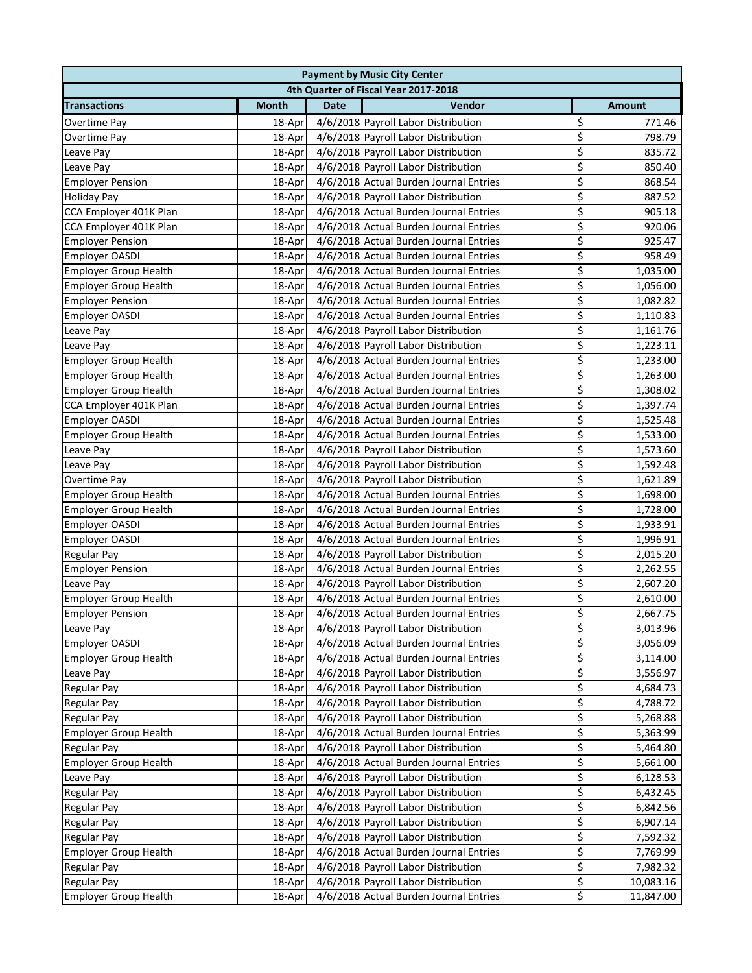| 4th Quarter of Fiscal Year 2017-2018<br><b>Date</b><br>Vendor<br><b>Transactions</b><br><b>Month</b><br><b>Amount</b><br>\$<br>4/6/2018 Payroll Labor Distribution<br>771.46<br>Overtime Pay<br>18-Apr<br>\$<br>4/6/2018 Payroll Labor Distribution<br>798.79<br>Overtime Pay<br>18-Apr<br>\$<br>4/6/2018 Payroll Labor Distribution<br>835.72<br>18-Apr<br>Leave Pay<br>\$<br>4/6/2018 Payroll Labor Distribution<br>850.40<br>Leave Pay<br>18-Apr<br>\$<br>4/6/2018 Actual Burden Journal Entries<br>868.54<br><b>Employer Pension</b><br>18-Apr<br>\$<br>4/6/2018 Payroll Labor Distribution<br>887.52<br><b>Holiday Pay</b><br>18-Apr<br>\$<br>4/6/2018 Actual Burden Journal Entries<br>905.18<br>CCA Employer 401K Plan<br>18-Apr<br>\$<br>4/6/2018 Actual Burden Journal Entries<br>920.06<br>CCA Employer 401K Plan<br>18-Apr<br>\$<br>4/6/2018 Actual Burden Journal Entries<br>925.47<br><b>Employer Pension</b><br>18-Apr<br>\$<br>4/6/2018 Actual Burden Journal Entries<br>Employer OASDI<br>958.49<br>18-Apr<br>\$<br>4/6/2018 Actual Burden Journal Entries<br><b>Employer Group Health</b><br>1,035.00<br>18-Apr<br>\$<br>4/6/2018 Actual Burden Journal Entries<br><b>Employer Group Health</b><br>1,056.00<br>18-Apr<br>\$<br>4/6/2018 Actual Burden Journal Entries<br><b>Employer Pension</b><br>1,082.82<br>18-Apr<br>\$<br>4/6/2018 Actual Burden Journal Entries<br>Employer OASDI<br>18-Apr<br>1,110.83<br>\$<br>4/6/2018 Payroll Labor Distribution<br>1,161.76<br>Leave Pay<br>18-Apr<br>\$<br>4/6/2018 Payroll Labor Distribution<br>Leave Pay<br>1,223.11<br>18-Apr<br>\$<br>4/6/2018 Actual Burden Journal Entries<br><b>Employer Group Health</b><br>1,233.00<br>18-Apr<br>\$<br>4/6/2018 Actual Burden Journal Entries<br><b>Employer Group Health</b><br>1,263.00<br>18-Apr<br>\$<br><b>Employer Group Health</b><br>4/6/2018 Actual Burden Journal Entries<br>18-Apr<br>1,308.02<br>\$<br>CCA Employer 401K Plan<br>4/6/2018 Actual Burden Journal Entries<br>1,397.74<br>18-Apr<br>\$<br>Employer OASDI<br>4/6/2018 Actual Burden Journal Entries<br>18-Apr<br>1,525.48<br>\$<br>4/6/2018 Actual Burden Journal Entries<br><b>Employer Group Health</b><br>1,533.00<br>18-Apr<br>\$<br>4/6/2018 Payroll Labor Distribution<br>Leave Pay<br>1,573.60<br>18-Apr<br>\$<br>4/6/2018 Payroll Labor Distribution<br>1,592.48<br>Leave Pay<br>18-Apr<br>\$<br>4/6/2018 Payroll Labor Distribution<br>Overtime Pay<br>1,621.89<br>18-Apr<br>\$<br>4/6/2018 Actual Burden Journal Entries<br><b>Employer Group Health</b><br>18-Apr<br>1,698.00<br>\$<br>4/6/2018 Actual Burden Journal Entries<br><b>Employer Group Health</b><br>1,728.00<br>18-Apr<br>\$<br>Employer OASDI<br>4/6/2018 Actual Burden Journal Entries<br>1,933.91<br>18-Apr<br>\$<br>4/6/2018 Actual Burden Journal Entries<br>Employer OASDI<br>18-Apr<br>1,996.91<br>\$<br>Regular Pay<br>4/6/2018 Payroll Labor Distribution<br>18-Apr<br>2,015.20<br>\$<br>4/6/2018 Actual Burden Journal Entries<br><b>Employer Pension</b><br>18-Apr<br>2,262.55<br>\$<br>4/6/2018 Payroll Labor Distribution<br>Leave Pay<br>18-Apr<br>2,607.20<br>\$<br><b>Employer Group Health</b><br>4/6/2018 Actual Burden Journal Entries<br>2,610.00<br>18-Apr<br>$\overline{\mathsf{S}}$<br>4/6/2018 Actual Burden Journal Entries<br>2,667.75<br><b>Employer Pension</b><br>$18$ -Apr<br>\$<br>4/6/2018 Payroll Labor Distribution<br>18-Apr<br>3,013.96<br>Leave Pay<br>\$<br>4/6/2018 Actual Burden Journal Entries<br><b>Employer OASDI</b><br>18-Apr<br>3,056.09<br>\$<br>4/6/2018 Actual Burden Journal Entries<br><b>Employer Group Health</b><br>18-Apr<br>3,114.00<br>\$<br>4/6/2018 Payroll Labor Distribution<br>Leave Pay<br>18-Apr<br>3,556.97<br>\$<br>4/6/2018 Payroll Labor Distribution<br>Regular Pay<br>4,684.73<br>18-Apr<br>\$<br>4/6/2018 Payroll Labor Distribution<br>Regular Pay<br>4,788.72<br>18-Apr<br>\$<br>4/6/2018 Payroll Labor Distribution<br>Regular Pay<br>5,268.88<br>18-Apr<br>\$<br><b>Employer Group Health</b><br>4/6/2018 Actual Burden Journal Entries<br>18-Apr<br>5,363.99<br>\$<br>4/6/2018 Payroll Labor Distribution<br><b>Regular Pay</b><br>18-Apr<br>5,464.80<br>\$<br><b>Employer Group Health</b><br>4/6/2018 Actual Burden Journal Entries<br>5,661.00<br>18-Apr<br>\$<br>4/6/2018 Payroll Labor Distribution<br>6,128.53<br>Leave Pay<br>18-Apr<br>\$<br>4/6/2018 Payroll Labor Distribution<br>Regular Pay<br>6,432.45<br>18-Apr<br>\$<br>4/6/2018 Payroll Labor Distribution<br><b>Regular Pay</b><br>18-Apr<br>6,842.56<br>\$<br>4/6/2018 Payroll Labor Distribution<br>6,907.14<br><b>Regular Pay</b><br>18-Apr<br>\$<br>4/6/2018 Payroll Labor Distribution<br>Regular Pay<br>7,592.32<br>18-Apr<br>\$<br>4/6/2018 Actual Burden Journal Entries<br><b>Employer Group Health</b><br>7,769.99<br>18-Apr<br>\$<br>4/6/2018 Payroll Labor Distribution<br>7,982.32<br><b>Regular Pay</b><br>18-Apr<br>4/6/2018 Payroll Labor Distribution<br>\$<br>Regular Pay<br>10,083.16<br>18-Apr<br>\$<br>4/6/2018 Actual Burden Journal Entries<br><b>Employer Group Health</b><br>11,847.00<br>18-Apr |  | <b>Payment by Music City Center</b> |  |
|---------------------------------------------------------------------------------------------------------------------------------------------------------------------------------------------------------------------------------------------------------------------------------------------------------------------------------------------------------------------------------------------------------------------------------------------------------------------------------------------------------------------------------------------------------------------------------------------------------------------------------------------------------------------------------------------------------------------------------------------------------------------------------------------------------------------------------------------------------------------------------------------------------------------------------------------------------------------------------------------------------------------------------------------------------------------------------------------------------------------------------------------------------------------------------------------------------------------------------------------------------------------------------------------------------------------------------------------------------------------------------------------------------------------------------------------------------------------------------------------------------------------------------------------------------------------------------------------------------------------------------------------------------------------------------------------------------------------------------------------------------------------------------------------------------------------------------------------------------------------------------------------------------------------------------------------------------------------------------------------------------------------------------------------------------------------------------------------------------------------------------------------------------------------------------------------------------------------------------------------------------------------------------------------------------------------------------------------------------------------------------------------------------------------------------------------------------------------------------------------------------------------------------------------------------------------------------------------------------------------------------------------------------------------------------------------------------------------------------------------------------------------------------------------------------------------------------------------------------------------------------------------------------------------------------------------------------------------------------------------------------------------------------------------------------------------------------------------------------------------------------------------------------------------------------------------------------------------------------------------------------------------------------------------------------------------------------------------------------------------------------------------------------------------------------------------------------------------------------------------------------------------------------------------------------------------------------------------------------------------------------------------------------------------------------------------------------------------------------------------------------------------------------------------------------------------------------------------------------------------------------------------------------------------------------------------------------------------------------------------------------------------------------------------------------------------------------------------------------------------------------------------------------------------------------------------------------------------------------------------------------------------------------------------------------------------------------------------------------------------------------------------------------------------------------------------------------------------------------------------------------------------------------------------------------------------------------------------------------------------------------------------------------------------------------------------------------------------------------------------------------------------------------------------------------------------------------------------------------------------------------------------------------------------------------------------------------------------------------------------------------------------------------------------------------------------------------------------------------------------------------|--|-------------------------------------|--|
|                                                                                                                                                                                                                                                                                                                                                                                                                                                                                                                                                                                                                                                                                                                                                                                                                                                                                                                                                                                                                                                                                                                                                                                                                                                                                                                                                                                                                                                                                                                                                                                                                                                                                                                                                                                                                                                                                                                                                                                                                                                                                                                                                                                                                                                                                                                                                                                                                                                                                                                                                                                                                                                                                                                                                                                                                                                                                                                                                                                                                                                                                                                                                                                                                                                                                                                                                                                                                                                                                                                                                                                                                                                                                                                                                                                                                                                                                                                                                                                                                                                                                                                                                                                                                                                                                                                                                                                                                                                                                                                                                                                                                                                                                                                                                                                                                                                                                                                                                                                                                                                                                                                                 |  |                                     |  |
|                                                                                                                                                                                                                                                                                                                                                                                                                                                                                                                                                                                                                                                                                                                                                                                                                                                                                                                                                                                                                                                                                                                                                                                                                                                                                                                                                                                                                                                                                                                                                                                                                                                                                                                                                                                                                                                                                                                                                                                                                                                                                                                                                                                                                                                                                                                                                                                                                                                                                                                                                                                                                                                                                                                                                                                                                                                                                                                                                                                                                                                                                                                                                                                                                                                                                                                                                                                                                                                                                                                                                                                                                                                                                                                                                                                                                                                                                                                                                                                                                                                                                                                                                                                                                                                                                                                                                                                                                                                                                                                                                                                                                                                                                                                                                                                                                                                                                                                                                                                                                                                                                                                                 |  |                                     |  |
|                                                                                                                                                                                                                                                                                                                                                                                                                                                                                                                                                                                                                                                                                                                                                                                                                                                                                                                                                                                                                                                                                                                                                                                                                                                                                                                                                                                                                                                                                                                                                                                                                                                                                                                                                                                                                                                                                                                                                                                                                                                                                                                                                                                                                                                                                                                                                                                                                                                                                                                                                                                                                                                                                                                                                                                                                                                                                                                                                                                                                                                                                                                                                                                                                                                                                                                                                                                                                                                                                                                                                                                                                                                                                                                                                                                                                                                                                                                                                                                                                                                                                                                                                                                                                                                                                                                                                                                                                                                                                                                                                                                                                                                                                                                                                                                                                                                                                                                                                                                                                                                                                                                                 |  |                                     |  |
|                                                                                                                                                                                                                                                                                                                                                                                                                                                                                                                                                                                                                                                                                                                                                                                                                                                                                                                                                                                                                                                                                                                                                                                                                                                                                                                                                                                                                                                                                                                                                                                                                                                                                                                                                                                                                                                                                                                                                                                                                                                                                                                                                                                                                                                                                                                                                                                                                                                                                                                                                                                                                                                                                                                                                                                                                                                                                                                                                                                                                                                                                                                                                                                                                                                                                                                                                                                                                                                                                                                                                                                                                                                                                                                                                                                                                                                                                                                                                                                                                                                                                                                                                                                                                                                                                                                                                                                                                                                                                                                                                                                                                                                                                                                                                                                                                                                                                                                                                                                                                                                                                                                                 |  |                                     |  |
|                                                                                                                                                                                                                                                                                                                                                                                                                                                                                                                                                                                                                                                                                                                                                                                                                                                                                                                                                                                                                                                                                                                                                                                                                                                                                                                                                                                                                                                                                                                                                                                                                                                                                                                                                                                                                                                                                                                                                                                                                                                                                                                                                                                                                                                                                                                                                                                                                                                                                                                                                                                                                                                                                                                                                                                                                                                                                                                                                                                                                                                                                                                                                                                                                                                                                                                                                                                                                                                                                                                                                                                                                                                                                                                                                                                                                                                                                                                                                                                                                                                                                                                                                                                                                                                                                                                                                                                                                                                                                                                                                                                                                                                                                                                                                                                                                                                                                                                                                                                                                                                                                                                                 |  |                                     |  |
|                                                                                                                                                                                                                                                                                                                                                                                                                                                                                                                                                                                                                                                                                                                                                                                                                                                                                                                                                                                                                                                                                                                                                                                                                                                                                                                                                                                                                                                                                                                                                                                                                                                                                                                                                                                                                                                                                                                                                                                                                                                                                                                                                                                                                                                                                                                                                                                                                                                                                                                                                                                                                                                                                                                                                                                                                                                                                                                                                                                                                                                                                                                                                                                                                                                                                                                                                                                                                                                                                                                                                                                                                                                                                                                                                                                                                                                                                                                                                                                                                                                                                                                                                                                                                                                                                                                                                                                                                                                                                                                                                                                                                                                                                                                                                                                                                                                                                                                                                                                                                                                                                                                                 |  |                                     |  |
|                                                                                                                                                                                                                                                                                                                                                                                                                                                                                                                                                                                                                                                                                                                                                                                                                                                                                                                                                                                                                                                                                                                                                                                                                                                                                                                                                                                                                                                                                                                                                                                                                                                                                                                                                                                                                                                                                                                                                                                                                                                                                                                                                                                                                                                                                                                                                                                                                                                                                                                                                                                                                                                                                                                                                                                                                                                                                                                                                                                                                                                                                                                                                                                                                                                                                                                                                                                                                                                                                                                                                                                                                                                                                                                                                                                                                                                                                                                                                                                                                                                                                                                                                                                                                                                                                                                                                                                                                                                                                                                                                                                                                                                                                                                                                                                                                                                                                                                                                                                                                                                                                                                                 |  |                                     |  |
|                                                                                                                                                                                                                                                                                                                                                                                                                                                                                                                                                                                                                                                                                                                                                                                                                                                                                                                                                                                                                                                                                                                                                                                                                                                                                                                                                                                                                                                                                                                                                                                                                                                                                                                                                                                                                                                                                                                                                                                                                                                                                                                                                                                                                                                                                                                                                                                                                                                                                                                                                                                                                                                                                                                                                                                                                                                                                                                                                                                                                                                                                                                                                                                                                                                                                                                                                                                                                                                                                                                                                                                                                                                                                                                                                                                                                                                                                                                                                                                                                                                                                                                                                                                                                                                                                                                                                                                                                                                                                                                                                                                                                                                                                                                                                                                                                                                                                                                                                                                                                                                                                                                                 |  |                                     |  |
|                                                                                                                                                                                                                                                                                                                                                                                                                                                                                                                                                                                                                                                                                                                                                                                                                                                                                                                                                                                                                                                                                                                                                                                                                                                                                                                                                                                                                                                                                                                                                                                                                                                                                                                                                                                                                                                                                                                                                                                                                                                                                                                                                                                                                                                                                                                                                                                                                                                                                                                                                                                                                                                                                                                                                                                                                                                                                                                                                                                                                                                                                                                                                                                                                                                                                                                                                                                                                                                                                                                                                                                                                                                                                                                                                                                                                                                                                                                                                                                                                                                                                                                                                                                                                                                                                                                                                                                                                                                                                                                                                                                                                                                                                                                                                                                                                                                                                                                                                                                                                                                                                                                                 |  |                                     |  |
|                                                                                                                                                                                                                                                                                                                                                                                                                                                                                                                                                                                                                                                                                                                                                                                                                                                                                                                                                                                                                                                                                                                                                                                                                                                                                                                                                                                                                                                                                                                                                                                                                                                                                                                                                                                                                                                                                                                                                                                                                                                                                                                                                                                                                                                                                                                                                                                                                                                                                                                                                                                                                                                                                                                                                                                                                                                                                                                                                                                                                                                                                                                                                                                                                                                                                                                                                                                                                                                                                                                                                                                                                                                                                                                                                                                                                                                                                                                                                                                                                                                                                                                                                                                                                                                                                                                                                                                                                                                                                                                                                                                                                                                                                                                                                                                                                                                                                                                                                                                                                                                                                                                                 |  |                                     |  |
|                                                                                                                                                                                                                                                                                                                                                                                                                                                                                                                                                                                                                                                                                                                                                                                                                                                                                                                                                                                                                                                                                                                                                                                                                                                                                                                                                                                                                                                                                                                                                                                                                                                                                                                                                                                                                                                                                                                                                                                                                                                                                                                                                                                                                                                                                                                                                                                                                                                                                                                                                                                                                                                                                                                                                                                                                                                                                                                                                                                                                                                                                                                                                                                                                                                                                                                                                                                                                                                                                                                                                                                                                                                                                                                                                                                                                                                                                                                                                                                                                                                                                                                                                                                                                                                                                                                                                                                                                                                                                                                                                                                                                                                                                                                                                                                                                                                                                                                                                                                                                                                                                                                                 |  |                                     |  |
|                                                                                                                                                                                                                                                                                                                                                                                                                                                                                                                                                                                                                                                                                                                                                                                                                                                                                                                                                                                                                                                                                                                                                                                                                                                                                                                                                                                                                                                                                                                                                                                                                                                                                                                                                                                                                                                                                                                                                                                                                                                                                                                                                                                                                                                                                                                                                                                                                                                                                                                                                                                                                                                                                                                                                                                                                                                                                                                                                                                                                                                                                                                                                                                                                                                                                                                                                                                                                                                                                                                                                                                                                                                                                                                                                                                                                                                                                                                                                                                                                                                                                                                                                                                                                                                                                                                                                                                                                                                                                                                                                                                                                                                                                                                                                                                                                                                                                                                                                                                                                                                                                                                                 |  |                                     |  |
|                                                                                                                                                                                                                                                                                                                                                                                                                                                                                                                                                                                                                                                                                                                                                                                                                                                                                                                                                                                                                                                                                                                                                                                                                                                                                                                                                                                                                                                                                                                                                                                                                                                                                                                                                                                                                                                                                                                                                                                                                                                                                                                                                                                                                                                                                                                                                                                                                                                                                                                                                                                                                                                                                                                                                                                                                                                                                                                                                                                                                                                                                                                                                                                                                                                                                                                                                                                                                                                                                                                                                                                                                                                                                                                                                                                                                                                                                                                                                                                                                                                                                                                                                                                                                                                                                                                                                                                                                                                                                                                                                                                                                                                                                                                                                                                                                                                                                                                                                                                                                                                                                                                                 |  |                                     |  |
|                                                                                                                                                                                                                                                                                                                                                                                                                                                                                                                                                                                                                                                                                                                                                                                                                                                                                                                                                                                                                                                                                                                                                                                                                                                                                                                                                                                                                                                                                                                                                                                                                                                                                                                                                                                                                                                                                                                                                                                                                                                                                                                                                                                                                                                                                                                                                                                                                                                                                                                                                                                                                                                                                                                                                                                                                                                                                                                                                                                                                                                                                                                                                                                                                                                                                                                                                                                                                                                                                                                                                                                                                                                                                                                                                                                                                                                                                                                                                                                                                                                                                                                                                                                                                                                                                                                                                                                                                                                                                                                                                                                                                                                                                                                                                                                                                                                                                                                                                                                                                                                                                                                                 |  |                                     |  |
|                                                                                                                                                                                                                                                                                                                                                                                                                                                                                                                                                                                                                                                                                                                                                                                                                                                                                                                                                                                                                                                                                                                                                                                                                                                                                                                                                                                                                                                                                                                                                                                                                                                                                                                                                                                                                                                                                                                                                                                                                                                                                                                                                                                                                                                                                                                                                                                                                                                                                                                                                                                                                                                                                                                                                                                                                                                                                                                                                                                                                                                                                                                                                                                                                                                                                                                                                                                                                                                                                                                                                                                                                                                                                                                                                                                                                                                                                                                                                                                                                                                                                                                                                                                                                                                                                                                                                                                                                                                                                                                                                                                                                                                                                                                                                                                                                                                                                                                                                                                                                                                                                                                                 |  |                                     |  |
|                                                                                                                                                                                                                                                                                                                                                                                                                                                                                                                                                                                                                                                                                                                                                                                                                                                                                                                                                                                                                                                                                                                                                                                                                                                                                                                                                                                                                                                                                                                                                                                                                                                                                                                                                                                                                                                                                                                                                                                                                                                                                                                                                                                                                                                                                                                                                                                                                                                                                                                                                                                                                                                                                                                                                                                                                                                                                                                                                                                                                                                                                                                                                                                                                                                                                                                                                                                                                                                                                                                                                                                                                                                                                                                                                                                                                                                                                                                                                                                                                                                                                                                                                                                                                                                                                                                                                                                                                                                                                                                                                                                                                                                                                                                                                                                                                                                                                                                                                                                                                                                                                                                                 |  |                                     |  |
|                                                                                                                                                                                                                                                                                                                                                                                                                                                                                                                                                                                                                                                                                                                                                                                                                                                                                                                                                                                                                                                                                                                                                                                                                                                                                                                                                                                                                                                                                                                                                                                                                                                                                                                                                                                                                                                                                                                                                                                                                                                                                                                                                                                                                                                                                                                                                                                                                                                                                                                                                                                                                                                                                                                                                                                                                                                                                                                                                                                                                                                                                                                                                                                                                                                                                                                                                                                                                                                                                                                                                                                                                                                                                                                                                                                                                                                                                                                                                                                                                                                                                                                                                                                                                                                                                                                                                                                                                                                                                                                                                                                                                                                                                                                                                                                                                                                                                                                                                                                                                                                                                                                                 |  |                                     |  |
|                                                                                                                                                                                                                                                                                                                                                                                                                                                                                                                                                                                                                                                                                                                                                                                                                                                                                                                                                                                                                                                                                                                                                                                                                                                                                                                                                                                                                                                                                                                                                                                                                                                                                                                                                                                                                                                                                                                                                                                                                                                                                                                                                                                                                                                                                                                                                                                                                                                                                                                                                                                                                                                                                                                                                                                                                                                                                                                                                                                                                                                                                                                                                                                                                                                                                                                                                                                                                                                                                                                                                                                                                                                                                                                                                                                                                                                                                                                                                                                                                                                                                                                                                                                                                                                                                                                                                                                                                                                                                                                                                                                                                                                                                                                                                                                                                                                                                                                                                                                                                                                                                                                                 |  |                                     |  |
|                                                                                                                                                                                                                                                                                                                                                                                                                                                                                                                                                                                                                                                                                                                                                                                                                                                                                                                                                                                                                                                                                                                                                                                                                                                                                                                                                                                                                                                                                                                                                                                                                                                                                                                                                                                                                                                                                                                                                                                                                                                                                                                                                                                                                                                                                                                                                                                                                                                                                                                                                                                                                                                                                                                                                                                                                                                                                                                                                                                                                                                                                                                                                                                                                                                                                                                                                                                                                                                                                                                                                                                                                                                                                                                                                                                                                                                                                                                                                                                                                                                                                                                                                                                                                                                                                                                                                                                                                                                                                                                                                                                                                                                                                                                                                                                                                                                                                                                                                                                                                                                                                                                                 |  |                                     |  |
|                                                                                                                                                                                                                                                                                                                                                                                                                                                                                                                                                                                                                                                                                                                                                                                                                                                                                                                                                                                                                                                                                                                                                                                                                                                                                                                                                                                                                                                                                                                                                                                                                                                                                                                                                                                                                                                                                                                                                                                                                                                                                                                                                                                                                                                                                                                                                                                                                                                                                                                                                                                                                                                                                                                                                                                                                                                                                                                                                                                                                                                                                                                                                                                                                                                                                                                                                                                                                                                                                                                                                                                                                                                                                                                                                                                                                                                                                                                                                                                                                                                                                                                                                                                                                                                                                                                                                                                                                                                                                                                                                                                                                                                                                                                                                                                                                                                                                                                                                                                                                                                                                                                                 |  |                                     |  |
|                                                                                                                                                                                                                                                                                                                                                                                                                                                                                                                                                                                                                                                                                                                                                                                                                                                                                                                                                                                                                                                                                                                                                                                                                                                                                                                                                                                                                                                                                                                                                                                                                                                                                                                                                                                                                                                                                                                                                                                                                                                                                                                                                                                                                                                                                                                                                                                                                                                                                                                                                                                                                                                                                                                                                                                                                                                                                                                                                                                                                                                                                                                                                                                                                                                                                                                                                                                                                                                                                                                                                                                                                                                                                                                                                                                                                                                                                                                                                                                                                                                                                                                                                                                                                                                                                                                                                                                                                                                                                                                                                                                                                                                                                                                                                                                                                                                                                                                                                                                                                                                                                                                                 |  |                                     |  |
|                                                                                                                                                                                                                                                                                                                                                                                                                                                                                                                                                                                                                                                                                                                                                                                                                                                                                                                                                                                                                                                                                                                                                                                                                                                                                                                                                                                                                                                                                                                                                                                                                                                                                                                                                                                                                                                                                                                                                                                                                                                                                                                                                                                                                                                                                                                                                                                                                                                                                                                                                                                                                                                                                                                                                                                                                                                                                                                                                                                                                                                                                                                                                                                                                                                                                                                                                                                                                                                                                                                                                                                                                                                                                                                                                                                                                                                                                                                                                                                                                                                                                                                                                                                                                                                                                                                                                                                                                                                                                                                                                                                                                                                                                                                                                                                                                                                                                                                                                                                                                                                                                                                                 |  |                                     |  |
|                                                                                                                                                                                                                                                                                                                                                                                                                                                                                                                                                                                                                                                                                                                                                                                                                                                                                                                                                                                                                                                                                                                                                                                                                                                                                                                                                                                                                                                                                                                                                                                                                                                                                                                                                                                                                                                                                                                                                                                                                                                                                                                                                                                                                                                                                                                                                                                                                                                                                                                                                                                                                                                                                                                                                                                                                                                                                                                                                                                                                                                                                                                                                                                                                                                                                                                                                                                                                                                                                                                                                                                                                                                                                                                                                                                                                                                                                                                                                                                                                                                                                                                                                                                                                                                                                                                                                                                                                                                                                                                                                                                                                                                                                                                                                                                                                                                                                                                                                                                                                                                                                                                                 |  |                                     |  |
|                                                                                                                                                                                                                                                                                                                                                                                                                                                                                                                                                                                                                                                                                                                                                                                                                                                                                                                                                                                                                                                                                                                                                                                                                                                                                                                                                                                                                                                                                                                                                                                                                                                                                                                                                                                                                                                                                                                                                                                                                                                                                                                                                                                                                                                                                                                                                                                                                                                                                                                                                                                                                                                                                                                                                                                                                                                                                                                                                                                                                                                                                                                                                                                                                                                                                                                                                                                                                                                                                                                                                                                                                                                                                                                                                                                                                                                                                                                                                                                                                                                                                                                                                                                                                                                                                                                                                                                                                                                                                                                                                                                                                                                                                                                                                                                                                                                                                                                                                                                                                                                                                                                                 |  |                                     |  |
|                                                                                                                                                                                                                                                                                                                                                                                                                                                                                                                                                                                                                                                                                                                                                                                                                                                                                                                                                                                                                                                                                                                                                                                                                                                                                                                                                                                                                                                                                                                                                                                                                                                                                                                                                                                                                                                                                                                                                                                                                                                                                                                                                                                                                                                                                                                                                                                                                                                                                                                                                                                                                                                                                                                                                                                                                                                                                                                                                                                                                                                                                                                                                                                                                                                                                                                                                                                                                                                                                                                                                                                                                                                                                                                                                                                                                                                                                                                                                                                                                                                                                                                                                                                                                                                                                                                                                                                                                                                                                                                                                                                                                                                                                                                                                                                                                                                                                                                                                                                                                                                                                                                                 |  |                                     |  |
|                                                                                                                                                                                                                                                                                                                                                                                                                                                                                                                                                                                                                                                                                                                                                                                                                                                                                                                                                                                                                                                                                                                                                                                                                                                                                                                                                                                                                                                                                                                                                                                                                                                                                                                                                                                                                                                                                                                                                                                                                                                                                                                                                                                                                                                                                                                                                                                                                                                                                                                                                                                                                                                                                                                                                                                                                                                                                                                                                                                                                                                                                                                                                                                                                                                                                                                                                                                                                                                                                                                                                                                                                                                                                                                                                                                                                                                                                                                                                                                                                                                                                                                                                                                                                                                                                                                                                                                                                                                                                                                                                                                                                                                                                                                                                                                                                                                                                                                                                                                                                                                                                                                                 |  |                                     |  |
|                                                                                                                                                                                                                                                                                                                                                                                                                                                                                                                                                                                                                                                                                                                                                                                                                                                                                                                                                                                                                                                                                                                                                                                                                                                                                                                                                                                                                                                                                                                                                                                                                                                                                                                                                                                                                                                                                                                                                                                                                                                                                                                                                                                                                                                                                                                                                                                                                                                                                                                                                                                                                                                                                                                                                                                                                                                                                                                                                                                                                                                                                                                                                                                                                                                                                                                                                                                                                                                                                                                                                                                                                                                                                                                                                                                                                                                                                                                                                                                                                                                                                                                                                                                                                                                                                                                                                                                                                                                                                                                                                                                                                                                                                                                                                                                                                                                                                                                                                                                                                                                                                                                                 |  |                                     |  |
|                                                                                                                                                                                                                                                                                                                                                                                                                                                                                                                                                                                                                                                                                                                                                                                                                                                                                                                                                                                                                                                                                                                                                                                                                                                                                                                                                                                                                                                                                                                                                                                                                                                                                                                                                                                                                                                                                                                                                                                                                                                                                                                                                                                                                                                                                                                                                                                                                                                                                                                                                                                                                                                                                                                                                                                                                                                                                                                                                                                                                                                                                                                                                                                                                                                                                                                                                                                                                                                                                                                                                                                                                                                                                                                                                                                                                                                                                                                                                                                                                                                                                                                                                                                                                                                                                                                                                                                                                                                                                                                                                                                                                                                                                                                                                                                                                                                                                                                                                                                                                                                                                                                                 |  |                                     |  |
|                                                                                                                                                                                                                                                                                                                                                                                                                                                                                                                                                                                                                                                                                                                                                                                                                                                                                                                                                                                                                                                                                                                                                                                                                                                                                                                                                                                                                                                                                                                                                                                                                                                                                                                                                                                                                                                                                                                                                                                                                                                                                                                                                                                                                                                                                                                                                                                                                                                                                                                                                                                                                                                                                                                                                                                                                                                                                                                                                                                                                                                                                                                                                                                                                                                                                                                                                                                                                                                                                                                                                                                                                                                                                                                                                                                                                                                                                                                                                                                                                                                                                                                                                                                                                                                                                                                                                                                                                                                                                                                                                                                                                                                                                                                                                                                                                                                                                                                                                                                                                                                                                                                                 |  |                                     |  |
|                                                                                                                                                                                                                                                                                                                                                                                                                                                                                                                                                                                                                                                                                                                                                                                                                                                                                                                                                                                                                                                                                                                                                                                                                                                                                                                                                                                                                                                                                                                                                                                                                                                                                                                                                                                                                                                                                                                                                                                                                                                                                                                                                                                                                                                                                                                                                                                                                                                                                                                                                                                                                                                                                                                                                                                                                                                                                                                                                                                                                                                                                                                                                                                                                                                                                                                                                                                                                                                                                                                                                                                                                                                                                                                                                                                                                                                                                                                                                                                                                                                                                                                                                                                                                                                                                                                                                                                                                                                                                                                                                                                                                                                                                                                                                                                                                                                                                                                                                                                                                                                                                                                                 |  |                                     |  |
|                                                                                                                                                                                                                                                                                                                                                                                                                                                                                                                                                                                                                                                                                                                                                                                                                                                                                                                                                                                                                                                                                                                                                                                                                                                                                                                                                                                                                                                                                                                                                                                                                                                                                                                                                                                                                                                                                                                                                                                                                                                                                                                                                                                                                                                                                                                                                                                                                                                                                                                                                                                                                                                                                                                                                                                                                                                                                                                                                                                                                                                                                                                                                                                                                                                                                                                                                                                                                                                                                                                                                                                                                                                                                                                                                                                                                                                                                                                                                                                                                                                                                                                                                                                                                                                                                                                                                                                                                                                                                                                                                                                                                                                                                                                                                                                                                                                                                                                                                                                                                                                                                                                                 |  |                                     |  |
|                                                                                                                                                                                                                                                                                                                                                                                                                                                                                                                                                                                                                                                                                                                                                                                                                                                                                                                                                                                                                                                                                                                                                                                                                                                                                                                                                                                                                                                                                                                                                                                                                                                                                                                                                                                                                                                                                                                                                                                                                                                                                                                                                                                                                                                                                                                                                                                                                                                                                                                                                                                                                                                                                                                                                                                                                                                                                                                                                                                                                                                                                                                                                                                                                                                                                                                                                                                                                                                                                                                                                                                                                                                                                                                                                                                                                                                                                                                                                                                                                                                                                                                                                                                                                                                                                                                                                                                                                                                                                                                                                                                                                                                                                                                                                                                                                                                                                                                                                                                                                                                                                                                                 |  |                                     |  |
|                                                                                                                                                                                                                                                                                                                                                                                                                                                                                                                                                                                                                                                                                                                                                                                                                                                                                                                                                                                                                                                                                                                                                                                                                                                                                                                                                                                                                                                                                                                                                                                                                                                                                                                                                                                                                                                                                                                                                                                                                                                                                                                                                                                                                                                                                                                                                                                                                                                                                                                                                                                                                                                                                                                                                                                                                                                                                                                                                                                                                                                                                                                                                                                                                                                                                                                                                                                                                                                                                                                                                                                                                                                                                                                                                                                                                                                                                                                                                                                                                                                                                                                                                                                                                                                                                                                                                                                                                                                                                                                                                                                                                                                                                                                                                                                                                                                                                                                                                                                                                                                                                                                                 |  |                                     |  |
|                                                                                                                                                                                                                                                                                                                                                                                                                                                                                                                                                                                                                                                                                                                                                                                                                                                                                                                                                                                                                                                                                                                                                                                                                                                                                                                                                                                                                                                                                                                                                                                                                                                                                                                                                                                                                                                                                                                                                                                                                                                                                                                                                                                                                                                                                                                                                                                                                                                                                                                                                                                                                                                                                                                                                                                                                                                                                                                                                                                                                                                                                                                                                                                                                                                                                                                                                                                                                                                                                                                                                                                                                                                                                                                                                                                                                                                                                                                                                                                                                                                                                                                                                                                                                                                                                                                                                                                                                                                                                                                                                                                                                                                                                                                                                                                                                                                                                                                                                                                                                                                                                                                                 |  |                                     |  |
|                                                                                                                                                                                                                                                                                                                                                                                                                                                                                                                                                                                                                                                                                                                                                                                                                                                                                                                                                                                                                                                                                                                                                                                                                                                                                                                                                                                                                                                                                                                                                                                                                                                                                                                                                                                                                                                                                                                                                                                                                                                                                                                                                                                                                                                                                                                                                                                                                                                                                                                                                                                                                                                                                                                                                                                                                                                                                                                                                                                                                                                                                                                                                                                                                                                                                                                                                                                                                                                                                                                                                                                                                                                                                                                                                                                                                                                                                                                                                                                                                                                                                                                                                                                                                                                                                                                                                                                                                                                                                                                                                                                                                                                                                                                                                                                                                                                                                                                                                                                                                                                                                                                                 |  |                                     |  |
|                                                                                                                                                                                                                                                                                                                                                                                                                                                                                                                                                                                                                                                                                                                                                                                                                                                                                                                                                                                                                                                                                                                                                                                                                                                                                                                                                                                                                                                                                                                                                                                                                                                                                                                                                                                                                                                                                                                                                                                                                                                                                                                                                                                                                                                                                                                                                                                                                                                                                                                                                                                                                                                                                                                                                                                                                                                                                                                                                                                                                                                                                                                                                                                                                                                                                                                                                                                                                                                                                                                                                                                                                                                                                                                                                                                                                                                                                                                                                                                                                                                                                                                                                                                                                                                                                                                                                                                                                                                                                                                                                                                                                                                                                                                                                                                                                                                                                                                                                                                                                                                                                                                                 |  |                                     |  |
|                                                                                                                                                                                                                                                                                                                                                                                                                                                                                                                                                                                                                                                                                                                                                                                                                                                                                                                                                                                                                                                                                                                                                                                                                                                                                                                                                                                                                                                                                                                                                                                                                                                                                                                                                                                                                                                                                                                                                                                                                                                                                                                                                                                                                                                                                                                                                                                                                                                                                                                                                                                                                                                                                                                                                                                                                                                                                                                                                                                                                                                                                                                                                                                                                                                                                                                                                                                                                                                                                                                                                                                                                                                                                                                                                                                                                                                                                                                                                                                                                                                                                                                                                                                                                                                                                                                                                                                                                                                                                                                                                                                                                                                                                                                                                                                                                                                                                                                                                                                                                                                                                                                                 |  |                                     |  |
|                                                                                                                                                                                                                                                                                                                                                                                                                                                                                                                                                                                                                                                                                                                                                                                                                                                                                                                                                                                                                                                                                                                                                                                                                                                                                                                                                                                                                                                                                                                                                                                                                                                                                                                                                                                                                                                                                                                                                                                                                                                                                                                                                                                                                                                                                                                                                                                                                                                                                                                                                                                                                                                                                                                                                                                                                                                                                                                                                                                                                                                                                                                                                                                                                                                                                                                                                                                                                                                                                                                                                                                                                                                                                                                                                                                                                                                                                                                                                                                                                                                                                                                                                                                                                                                                                                                                                                                                                                                                                                                                                                                                                                                                                                                                                                                                                                                                                                                                                                                                                                                                                                                                 |  |                                     |  |
|                                                                                                                                                                                                                                                                                                                                                                                                                                                                                                                                                                                                                                                                                                                                                                                                                                                                                                                                                                                                                                                                                                                                                                                                                                                                                                                                                                                                                                                                                                                                                                                                                                                                                                                                                                                                                                                                                                                                                                                                                                                                                                                                                                                                                                                                                                                                                                                                                                                                                                                                                                                                                                                                                                                                                                                                                                                                                                                                                                                                                                                                                                                                                                                                                                                                                                                                                                                                                                                                                                                                                                                                                                                                                                                                                                                                                                                                                                                                                                                                                                                                                                                                                                                                                                                                                                                                                                                                                                                                                                                                                                                                                                                                                                                                                                                                                                                                                                                                                                                                                                                                                                                                 |  |                                     |  |
|                                                                                                                                                                                                                                                                                                                                                                                                                                                                                                                                                                                                                                                                                                                                                                                                                                                                                                                                                                                                                                                                                                                                                                                                                                                                                                                                                                                                                                                                                                                                                                                                                                                                                                                                                                                                                                                                                                                                                                                                                                                                                                                                                                                                                                                                                                                                                                                                                                                                                                                                                                                                                                                                                                                                                                                                                                                                                                                                                                                                                                                                                                                                                                                                                                                                                                                                                                                                                                                                                                                                                                                                                                                                                                                                                                                                                                                                                                                                                                                                                                                                                                                                                                                                                                                                                                                                                                                                                                                                                                                                                                                                                                                                                                                                                                                                                                                                                                                                                                                                                                                                                                                                 |  |                                     |  |
|                                                                                                                                                                                                                                                                                                                                                                                                                                                                                                                                                                                                                                                                                                                                                                                                                                                                                                                                                                                                                                                                                                                                                                                                                                                                                                                                                                                                                                                                                                                                                                                                                                                                                                                                                                                                                                                                                                                                                                                                                                                                                                                                                                                                                                                                                                                                                                                                                                                                                                                                                                                                                                                                                                                                                                                                                                                                                                                                                                                                                                                                                                                                                                                                                                                                                                                                                                                                                                                                                                                                                                                                                                                                                                                                                                                                                                                                                                                                                                                                                                                                                                                                                                                                                                                                                                                                                                                                                                                                                                                                                                                                                                                                                                                                                                                                                                                                                                                                                                                                                                                                                                                                 |  |                                     |  |
|                                                                                                                                                                                                                                                                                                                                                                                                                                                                                                                                                                                                                                                                                                                                                                                                                                                                                                                                                                                                                                                                                                                                                                                                                                                                                                                                                                                                                                                                                                                                                                                                                                                                                                                                                                                                                                                                                                                                                                                                                                                                                                                                                                                                                                                                                                                                                                                                                                                                                                                                                                                                                                                                                                                                                                                                                                                                                                                                                                                                                                                                                                                                                                                                                                                                                                                                                                                                                                                                                                                                                                                                                                                                                                                                                                                                                                                                                                                                                                                                                                                                                                                                                                                                                                                                                                                                                                                                                                                                                                                                                                                                                                                                                                                                                                                                                                                                                                                                                                                                                                                                                                                                 |  |                                     |  |
|                                                                                                                                                                                                                                                                                                                                                                                                                                                                                                                                                                                                                                                                                                                                                                                                                                                                                                                                                                                                                                                                                                                                                                                                                                                                                                                                                                                                                                                                                                                                                                                                                                                                                                                                                                                                                                                                                                                                                                                                                                                                                                                                                                                                                                                                                                                                                                                                                                                                                                                                                                                                                                                                                                                                                                                                                                                                                                                                                                                                                                                                                                                                                                                                                                                                                                                                                                                                                                                                                                                                                                                                                                                                                                                                                                                                                                                                                                                                                                                                                                                                                                                                                                                                                                                                                                                                                                                                                                                                                                                                                                                                                                                                                                                                                                                                                                                                                                                                                                                                                                                                                                                                 |  |                                     |  |
|                                                                                                                                                                                                                                                                                                                                                                                                                                                                                                                                                                                                                                                                                                                                                                                                                                                                                                                                                                                                                                                                                                                                                                                                                                                                                                                                                                                                                                                                                                                                                                                                                                                                                                                                                                                                                                                                                                                                                                                                                                                                                                                                                                                                                                                                                                                                                                                                                                                                                                                                                                                                                                                                                                                                                                                                                                                                                                                                                                                                                                                                                                                                                                                                                                                                                                                                                                                                                                                                                                                                                                                                                                                                                                                                                                                                                                                                                                                                                                                                                                                                                                                                                                                                                                                                                                                                                                                                                                                                                                                                                                                                                                                                                                                                                                                                                                                                                                                                                                                                                                                                                                                                 |  |                                     |  |
|                                                                                                                                                                                                                                                                                                                                                                                                                                                                                                                                                                                                                                                                                                                                                                                                                                                                                                                                                                                                                                                                                                                                                                                                                                                                                                                                                                                                                                                                                                                                                                                                                                                                                                                                                                                                                                                                                                                                                                                                                                                                                                                                                                                                                                                                                                                                                                                                                                                                                                                                                                                                                                                                                                                                                                                                                                                                                                                                                                                                                                                                                                                                                                                                                                                                                                                                                                                                                                                                                                                                                                                                                                                                                                                                                                                                                                                                                                                                                                                                                                                                                                                                                                                                                                                                                                                                                                                                                                                                                                                                                                                                                                                                                                                                                                                                                                                                                                                                                                                                                                                                                                                                 |  |                                     |  |
|                                                                                                                                                                                                                                                                                                                                                                                                                                                                                                                                                                                                                                                                                                                                                                                                                                                                                                                                                                                                                                                                                                                                                                                                                                                                                                                                                                                                                                                                                                                                                                                                                                                                                                                                                                                                                                                                                                                                                                                                                                                                                                                                                                                                                                                                                                                                                                                                                                                                                                                                                                                                                                                                                                                                                                                                                                                                                                                                                                                                                                                                                                                                                                                                                                                                                                                                                                                                                                                                                                                                                                                                                                                                                                                                                                                                                                                                                                                                                                                                                                                                                                                                                                                                                                                                                                                                                                                                                                                                                                                                                                                                                                                                                                                                                                                                                                                                                                                                                                                                                                                                                                                                 |  |                                     |  |
|                                                                                                                                                                                                                                                                                                                                                                                                                                                                                                                                                                                                                                                                                                                                                                                                                                                                                                                                                                                                                                                                                                                                                                                                                                                                                                                                                                                                                                                                                                                                                                                                                                                                                                                                                                                                                                                                                                                                                                                                                                                                                                                                                                                                                                                                                                                                                                                                                                                                                                                                                                                                                                                                                                                                                                                                                                                                                                                                                                                                                                                                                                                                                                                                                                                                                                                                                                                                                                                                                                                                                                                                                                                                                                                                                                                                                                                                                                                                                                                                                                                                                                                                                                                                                                                                                                                                                                                                                                                                                                                                                                                                                                                                                                                                                                                                                                                                                                                                                                                                                                                                                                                                 |  |                                     |  |
|                                                                                                                                                                                                                                                                                                                                                                                                                                                                                                                                                                                                                                                                                                                                                                                                                                                                                                                                                                                                                                                                                                                                                                                                                                                                                                                                                                                                                                                                                                                                                                                                                                                                                                                                                                                                                                                                                                                                                                                                                                                                                                                                                                                                                                                                                                                                                                                                                                                                                                                                                                                                                                                                                                                                                                                                                                                                                                                                                                                                                                                                                                                                                                                                                                                                                                                                                                                                                                                                                                                                                                                                                                                                                                                                                                                                                                                                                                                                                                                                                                                                                                                                                                                                                                                                                                                                                                                                                                                                                                                                                                                                                                                                                                                                                                                                                                                                                                                                                                                                                                                                                                                                 |  |                                     |  |
|                                                                                                                                                                                                                                                                                                                                                                                                                                                                                                                                                                                                                                                                                                                                                                                                                                                                                                                                                                                                                                                                                                                                                                                                                                                                                                                                                                                                                                                                                                                                                                                                                                                                                                                                                                                                                                                                                                                                                                                                                                                                                                                                                                                                                                                                                                                                                                                                                                                                                                                                                                                                                                                                                                                                                                                                                                                                                                                                                                                                                                                                                                                                                                                                                                                                                                                                                                                                                                                                                                                                                                                                                                                                                                                                                                                                                                                                                                                                                                                                                                                                                                                                                                                                                                                                                                                                                                                                                                                                                                                                                                                                                                                                                                                                                                                                                                                                                                                                                                                                                                                                                                                                 |  |                                     |  |
|                                                                                                                                                                                                                                                                                                                                                                                                                                                                                                                                                                                                                                                                                                                                                                                                                                                                                                                                                                                                                                                                                                                                                                                                                                                                                                                                                                                                                                                                                                                                                                                                                                                                                                                                                                                                                                                                                                                                                                                                                                                                                                                                                                                                                                                                                                                                                                                                                                                                                                                                                                                                                                                                                                                                                                                                                                                                                                                                                                                                                                                                                                                                                                                                                                                                                                                                                                                                                                                                                                                                                                                                                                                                                                                                                                                                                                                                                                                                                                                                                                                                                                                                                                                                                                                                                                                                                                                                                                                                                                                                                                                                                                                                                                                                                                                                                                                                                                                                                                                                                                                                                                                                 |  |                                     |  |
|                                                                                                                                                                                                                                                                                                                                                                                                                                                                                                                                                                                                                                                                                                                                                                                                                                                                                                                                                                                                                                                                                                                                                                                                                                                                                                                                                                                                                                                                                                                                                                                                                                                                                                                                                                                                                                                                                                                                                                                                                                                                                                                                                                                                                                                                                                                                                                                                                                                                                                                                                                                                                                                                                                                                                                                                                                                                                                                                                                                                                                                                                                                                                                                                                                                                                                                                                                                                                                                                                                                                                                                                                                                                                                                                                                                                                                                                                                                                                                                                                                                                                                                                                                                                                                                                                                                                                                                                                                                                                                                                                                                                                                                                                                                                                                                                                                                                                                                                                                                                                                                                                                                                 |  |                                     |  |
|                                                                                                                                                                                                                                                                                                                                                                                                                                                                                                                                                                                                                                                                                                                                                                                                                                                                                                                                                                                                                                                                                                                                                                                                                                                                                                                                                                                                                                                                                                                                                                                                                                                                                                                                                                                                                                                                                                                                                                                                                                                                                                                                                                                                                                                                                                                                                                                                                                                                                                                                                                                                                                                                                                                                                                                                                                                                                                                                                                                                                                                                                                                                                                                                                                                                                                                                                                                                                                                                                                                                                                                                                                                                                                                                                                                                                                                                                                                                                                                                                                                                                                                                                                                                                                                                                                                                                                                                                                                                                                                                                                                                                                                                                                                                                                                                                                                                                                                                                                                                                                                                                                                                 |  |                                     |  |
|                                                                                                                                                                                                                                                                                                                                                                                                                                                                                                                                                                                                                                                                                                                                                                                                                                                                                                                                                                                                                                                                                                                                                                                                                                                                                                                                                                                                                                                                                                                                                                                                                                                                                                                                                                                                                                                                                                                                                                                                                                                                                                                                                                                                                                                                                                                                                                                                                                                                                                                                                                                                                                                                                                                                                                                                                                                                                                                                                                                                                                                                                                                                                                                                                                                                                                                                                                                                                                                                                                                                                                                                                                                                                                                                                                                                                                                                                                                                                                                                                                                                                                                                                                                                                                                                                                                                                                                                                                                                                                                                                                                                                                                                                                                                                                                                                                                                                                                                                                                                                                                                                                                                 |  |                                     |  |
|                                                                                                                                                                                                                                                                                                                                                                                                                                                                                                                                                                                                                                                                                                                                                                                                                                                                                                                                                                                                                                                                                                                                                                                                                                                                                                                                                                                                                                                                                                                                                                                                                                                                                                                                                                                                                                                                                                                                                                                                                                                                                                                                                                                                                                                                                                                                                                                                                                                                                                                                                                                                                                                                                                                                                                                                                                                                                                                                                                                                                                                                                                                                                                                                                                                                                                                                                                                                                                                                                                                                                                                                                                                                                                                                                                                                                                                                                                                                                                                                                                                                                                                                                                                                                                                                                                                                                                                                                                                                                                                                                                                                                                                                                                                                                                                                                                                                                                                                                                                                                                                                                                                                 |  |                                     |  |
|                                                                                                                                                                                                                                                                                                                                                                                                                                                                                                                                                                                                                                                                                                                                                                                                                                                                                                                                                                                                                                                                                                                                                                                                                                                                                                                                                                                                                                                                                                                                                                                                                                                                                                                                                                                                                                                                                                                                                                                                                                                                                                                                                                                                                                                                                                                                                                                                                                                                                                                                                                                                                                                                                                                                                                                                                                                                                                                                                                                                                                                                                                                                                                                                                                                                                                                                                                                                                                                                                                                                                                                                                                                                                                                                                                                                                                                                                                                                                                                                                                                                                                                                                                                                                                                                                                                                                                                                                                                                                                                                                                                                                                                                                                                                                                                                                                                                                                                                                                                                                                                                                                                                 |  |                                     |  |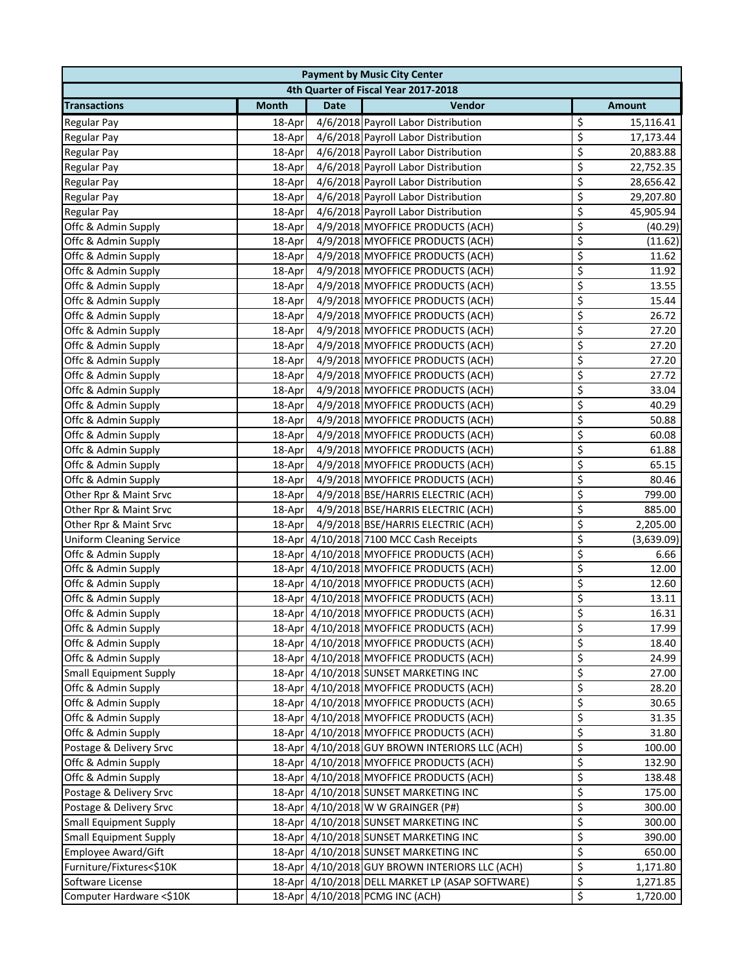| 4th Quarter of Fiscal Year 2017-2018<br>Vendor<br><b>Month</b><br><b>Date</b><br><b>Transactions</b><br><b>Amount</b><br>\$<br>4/6/2018 Payroll Labor Distribution<br><b>Regular Pay</b><br>18-Apr<br>15,116.41<br>\$<br>4/6/2018 Payroll Labor Distribution<br>17,173.44<br><b>Regular Pay</b><br>18-Apr<br>\$<br>4/6/2018 Payroll Labor Distribution<br>18-Apr<br>20,883.88<br>Regular Pay<br>\$<br>4/6/2018 Payroll Labor Distribution<br>22,752.35<br><b>Regular Pay</b><br>18-Apr<br>\$<br>4/6/2018 Payroll Labor Distribution<br><b>Regular Pay</b><br>18-Apr<br>28,656.42<br>\$<br>4/6/2018 Payroll Labor Distribution<br><b>Regular Pay</b><br>18-Apr<br>29,207.80<br>\$<br>4/6/2018 Payroll Labor Distribution<br><b>Regular Pay</b><br>18-Apr<br>45,905.94<br>\$<br>Offc & Admin Supply<br>4/9/2018 MYOFFICE PRODUCTS (ACH)<br>18-Apr<br>(40.29)<br>\$<br>4/9/2018 MYOFFICE PRODUCTS (ACH)<br>Offc & Admin Supply<br>18-Apr<br>(11.62)<br>\$<br>4/9/2018 MYOFFICE PRODUCTS (ACH)<br>11.62<br>Offc & Admin Supply<br>18-Apr<br>\$<br>4/9/2018 MYOFFICE PRODUCTS (ACH)<br>Offc & Admin Supply<br>11.92<br>18-Apr<br>\$<br>4/9/2018 MYOFFICE PRODUCTS (ACH)<br>13.55<br>Offc & Admin Supply<br>18-Apr<br>\$<br>4/9/2018 MYOFFICE PRODUCTS (ACH)<br>15.44<br>Offc & Admin Supply<br>18-Apr<br>\$<br>4/9/2018 MYOFFICE PRODUCTS (ACH)<br>Offc & Admin Supply<br>26.72<br>18-Apr<br>\$<br>4/9/2018 MYOFFICE PRODUCTS (ACH)<br>27.20<br>Offc & Admin Supply<br>18-Apr<br>\$<br>4/9/2018 MYOFFICE PRODUCTS (ACH)<br>Offc & Admin Supply<br>27.20<br>18-Apr<br>\$<br>4/9/2018 MYOFFICE PRODUCTS (ACH)<br>Offc & Admin Supply<br>27.20<br>18-Apr<br>\$<br>4/9/2018 MYOFFICE PRODUCTS (ACH)<br>27.72<br>Offc & Admin Supply<br>18-Apr<br>\$<br>33.04<br>4/9/2018 MYOFFICE PRODUCTS (ACH)<br>Offc & Admin Supply<br>18-Apr<br>\$<br>4/9/2018 MYOFFICE PRODUCTS (ACH)<br>40.29<br>Offc & Admin Supply<br>18-Apr<br>\$<br>4/9/2018 MYOFFICE PRODUCTS (ACH)<br>50.88<br>Offc & Admin Supply<br>18-Apr<br>\$<br>4/9/2018 MYOFFICE PRODUCTS (ACH)<br>60.08<br>Offc & Admin Supply<br>18-Apr<br>\$<br>4/9/2018 MYOFFICE PRODUCTS (ACH)<br>Offc & Admin Supply<br>61.88<br>18-Apr<br>\$<br>4/9/2018 MYOFFICE PRODUCTS (ACH)<br>65.15<br>Offc & Admin Supply<br>18-Apr<br>\$<br>4/9/2018 MYOFFICE PRODUCTS (ACH)<br>80.46<br>Offc & Admin Supply<br>18-Apr<br>\$<br>4/9/2018 BSE/HARRIS ELECTRIC (ACH)<br>799.00<br>Other Rpr & Maint Srvc<br>18-Apr<br>\$<br>4/9/2018 BSE/HARRIS ELECTRIC (ACH)<br>885.00<br>Other Rpr & Maint Srvc<br>18-Apr<br>\$<br>4/9/2018 BSE/HARRIS ELECTRIC (ACH)<br>2,205.00<br>Other Rpr & Maint Srvc<br>18-Apr<br>\$<br>18-Apr 4/10/2018 7100 MCC Cash Receipts<br><b>Uniform Cleaning Service</b><br>(3,639.09)<br>\$<br>18-Apr 4/10/2018 MYOFFICE PRODUCTS (ACH)<br>6.66<br>Offc & Admin Supply<br>\$<br>18-Apr 4/10/2018 MYOFFICE PRODUCTS (ACH)<br>12.00<br>Offc & Admin Supply<br>\$<br>18-Apr 4/10/2018 MYOFFICE PRODUCTS (ACH)<br>12.60<br>Offc & Admin Supply<br>\$<br>Offc & Admin Supply<br>18-Apr 4/10/2018 MYOFFICE PRODUCTS (ACH)<br>13.11<br>\$<br>18-Apr 4/10/2018 MYOFFICE PRODUCTS (ACH)<br>Offc & Admin Supply<br>16.31<br>\$<br>18-Apr 4/10/2018 MYOFFICE PRODUCTS (ACH)<br>Offc & Admin Supply<br>17.99<br>\$<br>Offc & Admin Supply<br>18-Apr 4/10/2018 MYOFFICE PRODUCTS (ACH)<br>18.40<br>\$<br>18-Apr 4/10/2018 MYOFFICE PRODUCTS (ACH)<br>24.99<br>Offc & Admin Supply<br>\$<br>18-Apr 4/10/2018 SUNSET MARKETING INC<br><b>Small Equipment Supply</b><br>27.00<br>\$<br>18-Apr 4/10/2018 MYOFFICE PRODUCTS (ACH)<br>Offc & Admin Supply<br>28.20<br>\$<br>Offc & Admin Supply<br>18-Apr 4/10/2018 MYOFFICE PRODUCTS (ACH)<br>30.65<br>\$<br>18-Apr 4/10/2018 MYOFFICE PRODUCTS (ACH)<br>31.35<br>Offc & Admin Supply<br>\$<br>18-Apr 4/10/2018 MYOFFICE PRODUCTS (ACH)<br>Offc & Admin Supply<br>31.80<br>\$<br>18-Apr 4/10/2018 GUY BROWN INTERIORS LLC (ACH)<br>100.00<br>Postage & Delivery Srvc<br>\$<br>18-Apr 4/10/2018 MYOFFICE PRODUCTS (ACH)<br>132.90<br>Offc & Admin Supply<br>\$<br>18-Apr 4/10/2018 MYOFFICE PRODUCTS (ACH)<br>Offc & Admin Supply<br>138.48<br>\$<br>Postage & Delivery Srvc<br>18-Apr 4/10/2018 SUNSET MARKETING INC<br>175.00<br>\$<br>Postage & Delivery Srvc<br>18-Apr 4/10/2018 W W GRAINGER (P#)<br>300.00<br>\$<br><b>Small Equipment Supply</b><br>18-Apr 4/10/2018 SUNSET MARKETING INC<br>300.00<br>\$<br><b>Small Equipment Supply</b><br>18-Apr 4/10/2018 SUNSET MARKETING INC<br>390.00<br>\$<br>Employee Award/Gift<br>18-Apr 4/10/2018 SUNSET MARKETING INC<br>650.00<br>\$<br>Furniture/Fixtures<\$10K<br>18-Apr 4/10/2018 GUY BROWN INTERIORS LLC (ACH)<br>1,171.80<br>\$<br>18-Apr 4/10/2018 DELL MARKET LP (ASAP SOFTWARE)<br>Software License<br>1,271.85<br>18-Apr 4/10/2018 PCMG INC (ACH) |                          |  |  | <b>Payment by Music City Center</b> |    |          |  |
|--------------------------------------------------------------------------------------------------------------------------------------------------------------------------------------------------------------------------------------------------------------------------------------------------------------------------------------------------------------------------------------------------------------------------------------------------------------------------------------------------------------------------------------------------------------------------------------------------------------------------------------------------------------------------------------------------------------------------------------------------------------------------------------------------------------------------------------------------------------------------------------------------------------------------------------------------------------------------------------------------------------------------------------------------------------------------------------------------------------------------------------------------------------------------------------------------------------------------------------------------------------------------------------------------------------------------------------------------------------------------------------------------------------------------------------------------------------------------------------------------------------------------------------------------------------------------------------------------------------------------------------------------------------------------------------------------------------------------------------------------------------------------------------------------------------------------------------------------------------------------------------------------------------------------------------------------------------------------------------------------------------------------------------------------------------------------------------------------------------------------------------------------------------------------------------------------------------------------------------------------------------------------------------------------------------------------------------------------------------------------------------------------------------------------------------------------------------------------------------------------------------------------------------------------------------------------------------------------------------------------------------------------------------------------------------------------------------------------------------------------------------------------------------------------------------------------------------------------------------------------------------------------------------------------------------------------------------------------------------------------------------------------------------------------------------------------------------------------------------------------------------------------------------------------------------------------------------------------------------------------------------------------------------------------------------------------------------------------------------------------------------------------------------------------------------------------------------------------------------------------------------------------------------------------------------------------------------------------------------------------------------------------------------------------------------------------------------------------------------------------------------------------------------------------------------------------------------------------------------------------------------------------------------------------------------------------------------------------------------------------------------------------------------------------------------------------------------------------------------------------------------------------------------------------------------------------------------------------------------------------------------------------------------------------------------------------------------------------------------------------------------------------------------------------------------------------------------------------------------------------------------------------------------------------------------------------------------------------------------------------------------------------------------------------------------------------------------------------------------------------------------------------------------------|--------------------------|--|--|-------------------------------------|----|----------|--|
|                                                                                                                                                                                                                                                                                                                                                                                                                                                                                                                                                                                                                                                                                                                                                                                                                                                                                                                                                                                                                                                                                                                                                                                                                                                                                                                                                                                                                                                                                                                                                                                                                                                                                                                                                                                                                                                                                                                                                                                                                                                                                                                                                                                                                                                                                                                                                                                                                                                                                                                                                                                                                                                                                                                                                                                                                                                                                                                                                                                                                                                                                                                                                                                                                                                                                                                                                                                                                                                                                                                                                                                                                                                                                                                                                                                                                                                                                                                                                                                                                                                                                                                                                                                                                                                                                                                                                                                                                                                                                                                                                                                                                                                                                                                                                                                            |                          |  |  |                                     |    |          |  |
|                                                                                                                                                                                                                                                                                                                                                                                                                                                                                                                                                                                                                                                                                                                                                                                                                                                                                                                                                                                                                                                                                                                                                                                                                                                                                                                                                                                                                                                                                                                                                                                                                                                                                                                                                                                                                                                                                                                                                                                                                                                                                                                                                                                                                                                                                                                                                                                                                                                                                                                                                                                                                                                                                                                                                                                                                                                                                                                                                                                                                                                                                                                                                                                                                                                                                                                                                                                                                                                                                                                                                                                                                                                                                                                                                                                                                                                                                                                                                                                                                                                                                                                                                                                                                                                                                                                                                                                                                                                                                                                                                                                                                                                                                                                                                                                            |                          |  |  |                                     |    |          |  |
|                                                                                                                                                                                                                                                                                                                                                                                                                                                                                                                                                                                                                                                                                                                                                                                                                                                                                                                                                                                                                                                                                                                                                                                                                                                                                                                                                                                                                                                                                                                                                                                                                                                                                                                                                                                                                                                                                                                                                                                                                                                                                                                                                                                                                                                                                                                                                                                                                                                                                                                                                                                                                                                                                                                                                                                                                                                                                                                                                                                                                                                                                                                                                                                                                                                                                                                                                                                                                                                                                                                                                                                                                                                                                                                                                                                                                                                                                                                                                                                                                                                                                                                                                                                                                                                                                                                                                                                                                                                                                                                                                                                                                                                                                                                                                                                            |                          |  |  |                                     |    |          |  |
|                                                                                                                                                                                                                                                                                                                                                                                                                                                                                                                                                                                                                                                                                                                                                                                                                                                                                                                                                                                                                                                                                                                                                                                                                                                                                                                                                                                                                                                                                                                                                                                                                                                                                                                                                                                                                                                                                                                                                                                                                                                                                                                                                                                                                                                                                                                                                                                                                                                                                                                                                                                                                                                                                                                                                                                                                                                                                                                                                                                                                                                                                                                                                                                                                                                                                                                                                                                                                                                                                                                                                                                                                                                                                                                                                                                                                                                                                                                                                                                                                                                                                                                                                                                                                                                                                                                                                                                                                                                                                                                                                                                                                                                                                                                                                                                            |                          |  |  |                                     |    |          |  |
|                                                                                                                                                                                                                                                                                                                                                                                                                                                                                                                                                                                                                                                                                                                                                                                                                                                                                                                                                                                                                                                                                                                                                                                                                                                                                                                                                                                                                                                                                                                                                                                                                                                                                                                                                                                                                                                                                                                                                                                                                                                                                                                                                                                                                                                                                                                                                                                                                                                                                                                                                                                                                                                                                                                                                                                                                                                                                                                                                                                                                                                                                                                                                                                                                                                                                                                                                                                                                                                                                                                                                                                                                                                                                                                                                                                                                                                                                                                                                                                                                                                                                                                                                                                                                                                                                                                                                                                                                                                                                                                                                                                                                                                                                                                                                                                            |                          |  |  |                                     |    |          |  |
|                                                                                                                                                                                                                                                                                                                                                                                                                                                                                                                                                                                                                                                                                                                                                                                                                                                                                                                                                                                                                                                                                                                                                                                                                                                                                                                                                                                                                                                                                                                                                                                                                                                                                                                                                                                                                                                                                                                                                                                                                                                                                                                                                                                                                                                                                                                                                                                                                                                                                                                                                                                                                                                                                                                                                                                                                                                                                                                                                                                                                                                                                                                                                                                                                                                                                                                                                                                                                                                                                                                                                                                                                                                                                                                                                                                                                                                                                                                                                                                                                                                                                                                                                                                                                                                                                                                                                                                                                                                                                                                                                                                                                                                                                                                                                                                            |                          |  |  |                                     |    |          |  |
|                                                                                                                                                                                                                                                                                                                                                                                                                                                                                                                                                                                                                                                                                                                                                                                                                                                                                                                                                                                                                                                                                                                                                                                                                                                                                                                                                                                                                                                                                                                                                                                                                                                                                                                                                                                                                                                                                                                                                                                                                                                                                                                                                                                                                                                                                                                                                                                                                                                                                                                                                                                                                                                                                                                                                                                                                                                                                                                                                                                                                                                                                                                                                                                                                                                                                                                                                                                                                                                                                                                                                                                                                                                                                                                                                                                                                                                                                                                                                                                                                                                                                                                                                                                                                                                                                                                                                                                                                                                                                                                                                                                                                                                                                                                                                                                            |                          |  |  |                                     |    |          |  |
|                                                                                                                                                                                                                                                                                                                                                                                                                                                                                                                                                                                                                                                                                                                                                                                                                                                                                                                                                                                                                                                                                                                                                                                                                                                                                                                                                                                                                                                                                                                                                                                                                                                                                                                                                                                                                                                                                                                                                                                                                                                                                                                                                                                                                                                                                                                                                                                                                                                                                                                                                                                                                                                                                                                                                                                                                                                                                                                                                                                                                                                                                                                                                                                                                                                                                                                                                                                                                                                                                                                                                                                                                                                                                                                                                                                                                                                                                                                                                                                                                                                                                                                                                                                                                                                                                                                                                                                                                                                                                                                                                                                                                                                                                                                                                                                            |                          |  |  |                                     |    |          |  |
|                                                                                                                                                                                                                                                                                                                                                                                                                                                                                                                                                                                                                                                                                                                                                                                                                                                                                                                                                                                                                                                                                                                                                                                                                                                                                                                                                                                                                                                                                                                                                                                                                                                                                                                                                                                                                                                                                                                                                                                                                                                                                                                                                                                                                                                                                                                                                                                                                                                                                                                                                                                                                                                                                                                                                                                                                                                                                                                                                                                                                                                                                                                                                                                                                                                                                                                                                                                                                                                                                                                                                                                                                                                                                                                                                                                                                                                                                                                                                                                                                                                                                                                                                                                                                                                                                                                                                                                                                                                                                                                                                                                                                                                                                                                                                                                            |                          |  |  |                                     |    |          |  |
|                                                                                                                                                                                                                                                                                                                                                                                                                                                                                                                                                                                                                                                                                                                                                                                                                                                                                                                                                                                                                                                                                                                                                                                                                                                                                                                                                                                                                                                                                                                                                                                                                                                                                                                                                                                                                                                                                                                                                                                                                                                                                                                                                                                                                                                                                                                                                                                                                                                                                                                                                                                                                                                                                                                                                                                                                                                                                                                                                                                                                                                                                                                                                                                                                                                                                                                                                                                                                                                                                                                                                                                                                                                                                                                                                                                                                                                                                                                                                                                                                                                                                                                                                                                                                                                                                                                                                                                                                                                                                                                                                                                                                                                                                                                                                                                            |                          |  |  |                                     |    |          |  |
|                                                                                                                                                                                                                                                                                                                                                                                                                                                                                                                                                                                                                                                                                                                                                                                                                                                                                                                                                                                                                                                                                                                                                                                                                                                                                                                                                                                                                                                                                                                                                                                                                                                                                                                                                                                                                                                                                                                                                                                                                                                                                                                                                                                                                                                                                                                                                                                                                                                                                                                                                                                                                                                                                                                                                                                                                                                                                                                                                                                                                                                                                                                                                                                                                                                                                                                                                                                                                                                                                                                                                                                                                                                                                                                                                                                                                                                                                                                                                                                                                                                                                                                                                                                                                                                                                                                                                                                                                                                                                                                                                                                                                                                                                                                                                                                            |                          |  |  |                                     |    |          |  |
|                                                                                                                                                                                                                                                                                                                                                                                                                                                                                                                                                                                                                                                                                                                                                                                                                                                                                                                                                                                                                                                                                                                                                                                                                                                                                                                                                                                                                                                                                                                                                                                                                                                                                                                                                                                                                                                                                                                                                                                                                                                                                                                                                                                                                                                                                                                                                                                                                                                                                                                                                                                                                                                                                                                                                                                                                                                                                                                                                                                                                                                                                                                                                                                                                                                                                                                                                                                                                                                                                                                                                                                                                                                                                                                                                                                                                                                                                                                                                                                                                                                                                                                                                                                                                                                                                                                                                                                                                                                                                                                                                                                                                                                                                                                                                                                            |                          |  |  |                                     |    |          |  |
|                                                                                                                                                                                                                                                                                                                                                                                                                                                                                                                                                                                                                                                                                                                                                                                                                                                                                                                                                                                                                                                                                                                                                                                                                                                                                                                                                                                                                                                                                                                                                                                                                                                                                                                                                                                                                                                                                                                                                                                                                                                                                                                                                                                                                                                                                                                                                                                                                                                                                                                                                                                                                                                                                                                                                                                                                                                                                                                                                                                                                                                                                                                                                                                                                                                                                                                                                                                                                                                                                                                                                                                                                                                                                                                                                                                                                                                                                                                                                                                                                                                                                                                                                                                                                                                                                                                                                                                                                                                                                                                                                                                                                                                                                                                                                                                            |                          |  |  |                                     |    |          |  |
|                                                                                                                                                                                                                                                                                                                                                                                                                                                                                                                                                                                                                                                                                                                                                                                                                                                                                                                                                                                                                                                                                                                                                                                                                                                                                                                                                                                                                                                                                                                                                                                                                                                                                                                                                                                                                                                                                                                                                                                                                                                                                                                                                                                                                                                                                                                                                                                                                                                                                                                                                                                                                                                                                                                                                                                                                                                                                                                                                                                                                                                                                                                                                                                                                                                                                                                                                                                                                                                                                                                                                                                                                                                                                                                                                                                                                                                                                                                                                                                                                                                                                                                                                                                                                                                                                                                                                                                                                                                                                                                                                                                                                                                                                                                                                                                            |                          |  |  |                                     |    |          |  |
|                                                                                                                                                                                                                                                                                                                                                                                                                                                                                                                                                                                                                                                                                                                                                                                                                                                                                                                                                                                                                                                                                                                                                                                                                                                                                                                                                                                                                                                                                                                                                                                                                                                                                                                                                                                                                                                                                                                                                                                                                                                                                                                                                                                                                                                                                                                                                                                                                                                                                                                                                                                                                                                                                                                                                                                                                                                                                                                                                                                                                                                                                                                                                                                                                                                                                                                                                                                                                                                                                                                                                                                                                                                                                                                                                                                                                                                                                                                                                                                                                                                                                                                                                                                                                                                                                                                                                                                                                                                                                                                                                                                                                                                                                                                                                                                            |                          |  |  |                                     |    |          |  |
|                                                                                                                                                                                                                                                                                                                                                                                                                                                                                                                                                                                                                                                                                                                                                                                                                                                                                                                                                                                                                                                                                                                                                                                                                                                                                                                                                                                                                                                                                                                                                                                                                                                                                                                                                                                                                                                                                                                                                                                                                                                                                                                                                                                                                                                                                                                                                                                                                                                                                                                                                                                                                                                                                                                                                                                                                                                                                                                                                                                                                                                                                                                                                                                                                                                                                                                                                                                                                                                                                                                                                                                                                                                                                                                                                                                                                                                                                                                                                                                                                                                                                                                                                                                                                                                                                                                                                                                                                                                                                                                                                                                                                                                                                                                                                                                            |                          |  |  |                                     |    |          |  |
|                                                                                                                                                                                                                                                                                                                                                                                                                                                                                                                                                                                                                                                                                                                                                                                                                                                                                                                                                                                                                                                                                                                                                                                                                                                                                                                                                                                                                                                                                                                                                                                                                                                                                                                                                                                                                                                                                                                                                                                                                                                                                                                                                                                                                                                                                                                                                                                                                                                                                                                                                                                                                                                                                                                                                                                                                                                                                                                                                                                                                                                                                                                                                                                                                                                                                                                                                                                                                                                                                                                                                                                                                                                                                                                                                                                                                                                                                                                                                                                                                                                                                                                                                                                                                                                                                                                                                                                                                                                                                                                                                                                                                                                                                                                                                                                            |                          |  |  |                                     |    |          |  |
|                                                                                                                                                                                                                                                                                                                                                                                                                                                                                                                                                                                                                                                                                                                                                                                                                                                                                                                                                                                                                                                                                                                                                                                                                                                                                                                                                                                                                                                                                                                                                                                                                                                                                                                                                                                                                                                                                                                                                                                                                                                                                                                                                                                                                                                                                                                                                                                                                                                                                                                                                                                                                                                                                                                                                                                                                                                                                                                                                                                                                                                                                                                                                                                                                                                                                                                                                                                                                                                                                                                                                                                                                                                                                                                                                                                                                                                                                                                                                                                                                                                                                                                                                                                                                                                                                                                                                                                                                                                                                                                                                                                                                                                                                                                                                                                            |                          |  |  |                                     |    |          |  |
|                                                                                                                                                                                                                                                                                                                                                                                                                                                                                                                                                                                                                                                                                                                                                                                                                                                                                                                                                                                                                                                                                                                                                                                                                                                                                                                                                                                                                                                                                                                                                                                                                                                                                                                                                                                                                                                                                                                                                                                                                                                                                                                                                                                                                                                                                                                                                                                                                                                                                                                                                                                                                                                                                                                                                                                                                                                                                                                                                                                                                                                                                                                                                                                                                                                                                                                                                                                                                                                                                                                                                                                                                                                                                                                                                                                                                                                                                                                                                                                                                                                                                                                                                                                                                                                                                                                                                                                                                                                                                                                                                                                                                                                                                                                                                                                            |                          |  |  |                                     |    |          |  |
|                                                                                                                                                                                                                                                                                                                                                                                                                                                                                                                                                                                                                                                                                                                                                                                                                                                                                                                                                                                                                                                                                                                                                                                                                                                                                                                                                                                                                                                                                                                                                                                                                                                                                                                                                                                                                                                                                                                                                                                                                                                                                                                                                                                                                                                                                                                                                                                                                                                                                                                                                                                                                                                                                                                                                                                                                                                                                                                                                                                                                                                                                                                                                                                                                                                                                                                                                                                                                                                                                                                                                                                                                                                                                                                                                                                                                                                                                                                                                                                                                                                                                                                                                                                                                                                                                                                                                                                                                                                                                                                                                                                                                                                                                                                                                                                            |                          |  |  |                                     |    |          |  |
|                                                                                                                                                                                                                                                                                                                                                                                                                                                                                                                                                                                                                                                                                                                                                                                                                                                                                                                                                                                                                                                                                                                                                                                                                                                                                                                                                                                                                                                                                                                                                                                                                                                                                                                                                                                                                                                                                                                                                                                                                                                                                                                                                                                                                                                                                                                                                                                                                                                                                                                                                                                                                                                                                                                                                                                                                                                                                                                                                                                                                                                                                                                                                                                                                                                                                                                                                                                                                                                                                                                                                                                                                                                                                                                                                                                                                                                                                                                                                                                                                                                                                                                                                                                                                                                                                                                                                                                                                                                                                                                                                                                                                                                                                                                                                                                            |                          |  |  |                                     |    |          |  |
|                                                                                                                                                                                                                                                                                                                                                                                                                                                                                                                                                                                                                                                                                                                                                                                                                                                                                                                                                                                                                                                                                                                                                                                                                                                                                                                                                                                                                                                                                                                                                                                                                                                                                                                                                                                                                                                                                                                                                                                                                                                                                                                                                                                                                                                                                                                                                                                                                                                                                                                                                                                                                                                                                                                                                                                                                                                                                                                                                                                                                                                                                                                                                                                                                                                                                                                                                                                                                                                                                                                                                                                                                                                                                                                                                                                                                                                                                                                                                                                                                                                                                                                                                                                                                                                                                                                                                                                                                                                                                                                                                                                                                                                                                                                                                                                            |                          |  |  |                                     |    |          |  |
|                                                                                                                                                                                                                                                                                                                                                                                                                                                                                                                                                                                                                                                                                                                                                                                                                                                                                                                                                                                                                                                                                                                                                                                                                                                                                                                                                                                                                                                                                                                                                                                                                                                                                                                                                                                                                                                                                                                                                                                                                                                                                                                                                                                                                                                                                                                                                                                                                                                                                                                                                                                                                                                                                                                                                                                                                                                                                                                                                                                                                                                                                                                                                                                                                                                                                                                                                                                                                                                                                                                                                                                                                                                                                                                                                                                                                                                                                                                                                                                                                                                                                                                                                                                                                                                                                                                                                                                                                                                                                                                                                                                                                                                                                                                                                                                            |                          |  |  |                                     |    |          |  |
|                                                                                                                                                                                                                                                                                                                                                                                                                                                                                                                                                                                                                                                                                                                                                                                                                                                                                                                                                                                                                                                                                                                                                                                                                                                                                                                                                                                                                                                                                                                                                                                                                                                                                                                                                                                                                                                                                                                                                                                                                                                                                                                                                                                                                                                                                                                                                                                                                                                                                                                                                                                                                                                                                                                                                                                                                                                                                                                                                                                                                                                                                                                                                                                                                                                                                                                                                                                                                                                                                                                                                                                                                                                                                                                                                                                                                                                                                                                                                                                                                                                                                                                                                                                                                                                                                                                                                                                                                                                                                                                                                                                                                                                                                                                                                                                            |                          |  |  |                                     |    |          |  |
|                                                                                                                                                                                                                                                                                                                                                                                                                                                                                                                                                                                                                                                                                                                                                                                                                                                                                                                                                                                                                                                                                                                                                                                                                                                                                                                                                                                                                                                                                                                                                                                                                                                                                                                                                                                                                                                                                                                                                                                                                                                                                                                                                                                                                                                                                                                                                                                                                                                                                                                                                                                                                                                                                                                                                                                                                                                                                                                                                                                                                                                                                                                                                                                                                                                                                                                                                                                                                                                                                                                                                                                                                                                                                                                                                                                                                                                                                                                                                                                                                                                                                                                                                                                                                                                                                                                                                                                                                                                                                                                                                                                                                                                                                                                                                                                            |                          |  |  |                                     |    |          |  |
|                                                                                                                                                                                                                                                                                                                                                                                                                                                                                                                                                                                                                                                                                                                                                                                                                                                                                                                                                                                                                                                                                                                                                                                                                                                                                                                                                                                                                                                                                                                                                                                                                                                                                                                                                                                                                                                                                                                                                                                                                                                                                                                                                                                                                                                                                                                                                                                                                                                                                                                                                                                                                                                                                                                                                                                                                                                                                                                                                                                                                                                                                                                                                                                                                                                                                                                                                                                                                                                                                                                                                                                                                                                                                                                                                                                                                                                                                                                                                                                                                                                                                                                                                                                                                                                                                                                                                                                                                                                                                                                                                                                                                                                                                                                                                                                            |                          |  |  |                                     |    |          |  |
|                                                                                                                                                                                                                                                                                                                                                                                                                                                                                                                                                                                                                                                                                                                                                                                                                                                                                                                                                                                                                                                                                                                                                                                                                                                                                                                                                                                                                                                                                                                                                                                                                                                                                                                                                                                                                                                                                                                                                                                                                                                                                                                                                                                                                                                                                                                                                                                                                                                                                                                                                                                                                                                                                                                                                                                                                                                                                                                                                                                                                                                                                                                                                                                                                                                                                                                                                                                                                                                                                                                                                                                                                                                                                                                                                                                                                                                                                                                                                                                                                                                                                                                                                                                                                                                                                                                                                                                                                                                                                                                                                                                                                                                                                                                                                                                            |                          |  |  |                                     |    |          |  |
|                                                                                                                                                                                                                                                                                                                                                                                                                                                                                                                                                                                                                                                                                                                                                                                                                                                                                                                                                                                                                                                                                                                                                                                                                                                                                                                                                                                                                                                                                                                                                                                                                                                                                                                                                                                                                                                                                                                                                                                                                                                                                                                                                                                                                                                                                                                                                                                                                                                                                                                                                                                                                                                                                                                                                                                                                                                                                                                                                                                                                                                                                                                                                                                                                                                                                                                                                                                                                                                                                                                                                                                                                                                                                                                                                                                                                                                                                                                                                                                                                                                                                                                                                                                                                                                                                                                                                                                                                                                                                                                                                                                                                                                                                                                                                                                            |                          |  |  |                                     |    |          |  |
|                                                                                                                                                                                                                                                                                                                                                                                                                                                                                                                                                                                                                                                                                                                                                                                                                                                                                                                                                                                                                                                                                                                                                                                                                                                                                                                                                                                                                                                                                                                                                                                                                                                                                                                                                                                                                                                                                                                                                                                                                                                                                                                                                                                                                                                                                                                                                                                                                                                                                                                                                                                                                                                                                                                                                                                                                                                                                                                                                                                                                                                                                                                                                                                                                                                                                                                                                                                                                                                                                                                                                                                                                                                                                                                                                                                                                                                                                                                                                                                                                                                                                                                                                                                                                                                                                                                                                                                                                                                                                                                                                                                                                                                                                                                                                                                            |                          |  |  |                                     |    |          |  |
|                                                                                                                                                                                                                                                                                                                                                                                                                                                                                                                                                                                                                                                                                                                                                                                                                                                                                                                                                                                                                                                                                                                                                                                                                                                                                                                                                                                                                                                                                                                                                                                                                                                                                                                                                                                                                                                                                                                                                                                                                                                                                                                                                                                                                                                                                                                                                                                                                                                                                                                                                                                                                                                                                                                                                                                                                                                                                                                                                                                                                                                                                                                                                                                                                                                                                                                                                                                                                                                                                                                                                                                                                                                                                                                                                                                                                                                                                                                                                                                                                                                                                                                                                                                                                                                                                                                                                                                                                                                                                                                                                                                                                                                                                                                                                                                            |                          |  |  |                                     |    |          |  |
|                                                                                                                                                                                                                                                                                                                                                                                                                                                                                                                                                                                                                                                                                                                                                                                                                                                                                                                                                                                                                                                                                                                                                                                                                                                                                                                                                                                                                                                                                                                                                                                                                                                                                                                                                                                                                                                                                                                                                                                                                                                                                                                                                                                                                                                                                                                                                                                                                                                                                                                                                                                                                                                                                                                                                                                                                                                                                                                                                                                                                                                                                                                                                                                                                                                                                                                                                                                                                                                                                                                                                                                                                                                                                                                                                                                                                                                                                                                                                                                                                                                                                                                                                                                                                                                                                                                                                                                                                                                                                                                                                                                                                                                                                                                                                                                            |                          |  |  |                                     |    |          |  |
|                                                                                                                                                                                                                                                                                                                                                                                                                                                                                                                                                                                                                                                                                                                                                                                                                                                                                                                                                                                                                                                                                                                                                                                                                                                                                                                                                                                                                                                                                                                                                                                                                                                                                                                                                                                                                                                                                                                                                                                                                                                                                                                                                                                                                                                                                                                                                                                                                                                                                                                                                                                                                                                                                                                                                                                                                                                                                                                                                                                                                                                                                                                                                                                                                                                                                                                                                                                                                                                                                                                                                                                                                                                                                                                                                                                                                                                                                                                                                                                                                                                                                                                                                                                                                                                                                                                                                                                                                                                                                                                                                                                                                                                                                                                                                                                            |                          |  |  |                                     |    |          |  |
|                                                                                                                                                                                                                                                                                                                                                                                                                                                                                                                                                                                                                                                                                                                                                                                                                                                                                                                                                                                                                                                                                                                                                                                                                                                                                                                                                                                                                                                                                                                                                                                                                                                                                                                                                                                                                                                                                                                                                                                                                                                                                                                                                                                                                                                                                                                                                                                                                                                                                                                                                                                                                                                                                                                                                                                                                                                                                                                                                                                                                                                                                                                                                                                                                                                                                                                                                                                                                                                                                                                                                                                                                                                                                                                                                                                                                                                                                                                                                                                                                                                                                                                                                                                                                                                                                                                                                                                                                                                                                                                                                                                                                                                                                                                                                                                            |                          |  |  |                                     |    |          |  |
|                                                                                                                                                                                                                                                                                                                                                                                                                                                                                                                                                                                                                                                                                                                                                                                                                                                                                                                                                                                                                                                                                                                                                                                                                                                                                                                                                                                                                                                                                                                                                                                                                                                                                                                                                                                                                                                                                                                                                                                                                                                                                                                                                                                                                                                                                                                                                                                                                                                                                                                                                                                                                                                                                                                                                                                                                                                                                                                                                                                                                                                                                                                                                                                                                                                                                                                                                                                                                                                                                                                                                                                                                                                                                                                                                                                                                                                                                                                                                                                                                                                                                                                                                                                                                                                                                                                                                                                                                                                                                                                                                                                                                                                                                                                                                                                            |                          |  |  |                                     |    |          |  |
|                                                                                                                                                                                                                                                                                                                                                                                                                                                                                                                                                                                                                                                                                                                                                                                                                                                                                                                                                                                                                                                                                                                                                                                                                                                                                                                                                                                                                                                                                                                                                                                                                                                                                                                                                                                                                                                                                                                                                                                                                                                                                                                                                                                                                                                                                                                                                                                                                                                                                                                                                                                                                                                                                                                                                                                                                                                                                                                                                                                                                                                                                                                                                                                                                                                                                                                                                                                                                                                                                                                                                                                                                                                                                                                                                                                                                                                                                                                                                                                                                                                                                                                                                                                                                                                                                                                                                                                                                                                                                                                                                                                                                                                                                                                                                                                            |                          |  |  |                                     |    |          |  |
|                                                                                                                                                                                                                                                                                                                                                                                                                                                                                                                                                                                                                                                                                                                                                                                                                                                                                                                                                                                                                                                                                                                                                                                                                                                                                                                                                                                                                                                                                                                                                                                                                                                                                                                                                                                                                                                                                                                                                                                                                                                                                                                                                                                                                                                                                                                                                                                                                                                                                                                                                                                                                                                                                                                                                                                                                                                                                                                                                                                                                                                                                                                                                                                                                                                                                                                                                                                                                                                                                                                                                                                                                                                                                                                                                                                                                                                                                                                                                                                                                                                                                                                                                                                                                                                                                                                                                                                                                                                                                                                                                                                                                                                                                                                                                                                            |                          |  |  |                                     |    |          |  |
|                                                                                                                                                                                                                                                                                                                                                                                                                                                                                                                                                                                                                                                                                                                                                                                                                                                                                                                                                                                                                                                                                                                                                                                                                                                                                                                                                                                                                                                                                                                                                                                                                                                                                                                                                                                                                                                                                                                                                                                                                                                                                                                                                                                                                                                                                                                                                                                                                                                                                                                                                                                                                                                                                                                                                                                                                                                                                                                                                                                                                                                                                                                                                                                                                                                                                                                                                                                                                                                                                                                                                                                                                                                                                                                                                                                                                                                                                                                                                                                                                                                                                                                                                                                                                                                                                                                                                                                                                                                                                                                                                                                                                                                                                                                                                                                            |                          |  |  |                                     |    |          |  |
|                                                                                                                                                                                                                                                                                                                                                                                                                                                                                                                                                                                                                                                                                                                                                                                                                                                                                                                                                                                                                                                                                                                                                                                                                                                                                                                                                                                                                                                                                                                                                                                                                                                                                                                                                                                                                                                                                                                                                                                                                                                                                                                                                                                                                                                                                                                                                                                                                                                                                                                                                                                                                                                                                                                                                                                                                                                                                                                                                                                                                                                                                                                                                                                                                                                                                                                                                                                                                                                                                                                                                                                                                                                                                                                                                                                                                                                                                                                                                                                                                                                                                                                                                                                                                                                                                                                                                                                                                                                                                                                                                                                                                                                                                                                                                                                            |                          |  |  |                                     |    |          |  |
|                                                                                                                                                                                                                                                                                                                                                                                                                                                                                                                                                                                                                                                                                                                                                                                                                                                                                                                                                                                                                                                                                                                                                                                                                                                                                                                                                                                                                                                                                                                                                                                                                                                                                                                                                                                                                                                                                                                                                                                                                                                                                                                                                                                                                                                                                                                                                                                                                                                                                                                                                                                                                                                                                                                                                                                                                                                                                                                                                                                                                                                                                                                                                                                                                                                                                                                                                                                                                                                                                                                                                                                                                                                                                                                                                                                                                                                                                                                                                                                                                                                                                                                                                                                                                                                                                                                                                                                                                                                                                                                                                                                                                                                                                                                                                                                            |                          |  |  |                                     |    |          |  |
|                                                                                                                                                                                                                                                                                                                                                                                                                                                                                                                                                                                                                                                                                                                                                                                                                                                                                                                                                                                                                                                                                                                                                                                                                                                                                                                                                                                                                                                                                                                                                                                                                                                                                                                                                                                                                                                                                                                                                                                                                                                                                                                                                                                                                                                                                                                                                                                                                                                                                                                                                                                                                                                                                                                                                                                                                                                                                                                                                                                                                                                                                                                                                                                                                                                                                                                                                                                                                                                                                                                                                                                                                                                                                                                                                                                                                                                                                                                                                                                                                                                                                                                                                                                                                                                                                                                                                                                                                                                                                                                                                                                                                                                                                                                                                                                            |                          |  |  |                                     |    |          |  |
|                                                                                                                                                                                                                                                                                                                                                                                                                                                                                                                                                                                                                                                                                                                                                                                                                                                                                                                                                                                                                                                                                                                                                                                                                                                                                                                                                                                                                                                                                                                                                                                                                                                                                                                                                                                                                                                                                                                                                                                                                                                                                                                                                                                                                                                                                                                                                                                                                                                                                                                                                                                                                                                                                                                                                                                                                                                                                                                                                                                                                                                                                                                                                                                                                                                                                                                                                                                                                                                                                                                                                                                                                                                                                                                                                                                                                                                                                                                                                                                                                                                                                                                                                                                                                                                                                                                                                                                                                                                                                                                                                                                                                                                                                                                                                                                            |                          |  |  |                                     |    |          |  |
|                                                                                                                                                                                                                                                                                                                                                                                                                                                                                                                                                                                                                                                                                                                                                                                                                                                                                                                                                                                                                                                                                                                                                                                                                                                                                                                                                                                                                                                                                                                                                                                                                                                                                                                                                                                                                                                                                                                                                                                                                                                                                                                                                                                                                                                                                                                                                                                                                                                                                                                                                                                                                                                                                                                                                                                                                                                                                                                                                                                                                                                                                                                                                                                                                                                                                                                                                                                                                                                                                                                                                                                                                                                                                                                                                                                                                                                                                                                                                                                                                                                                                                                                                                                                                                                                                                                                                                                                                                                                                                                                                                                                                                                                                                                                                                                            |                          |  |  |                                     |    |          |  |
|                                                                                                                                                                                                                                                                                                                                                                                                                                                                                                                                                                                                                                                                                                                                                                                                                                                                                                                                                                                                                                                                                                                                                                                                                                                                                                                                                                                                                                                                                                                                                                                                                                                                                                                                                                                                                                                                                                                                                                                                                                                                                                                                                                                                                                                                                                                                                                                                                                                                                                                                                                                                                                                                                                                                                                                                                                                                                                                                                                                                                                                                                                                                                                                                                                                                                                                                                                                                                                                                                                                                                                                                                                                                                                                                                                                                                                                                                                                                                                                                                                                                                                                                                                                                                                                                                                                                                                                                                                                                                                                                                                                                                                                                                                                                                                                            |                          |  |  |                                     |    |          |  |
|                                                                                                                                                                                                                                                                                                                                                                                                                                                                                                                                                                                                                                                                                                                                                                                                                                                                                                                                                                                                                                                                                                                                                                                                                                                                                                                                                                                                                                                                                                                                                                                                                                                                                                                                                                                                                                                                                                                                                                                                                                                                                                                                                                                                                                                                                                                                                                                                                                                                                                                                                                                                                                                                                                                                                                                                                                                                                                                                                                                                                                                                                                                                                                                                                                                                                                                                                                                                                                                                                                                                                                                                                                                                                                                                                                                                                                                                                                                                                                                                                                                                                                                                                                                                                                                                                                                                                                                                                                                                                                                                                                                                                                                                                                                                                                                            |                          |  |  |                                     |    |          |  |
|                                                                                                                                                                                                                                                                                                                                                                                                                                                                                                                                                                                                                                                                                                                                                                                                                                                                                                                                                                                                                                                                                                                                                                                                                                                                                                                                                                                                                                                                                                                                                                                                                                                                                                                                                                                                                                                                                                                                                                                                                                                                                                                                                                                                                                                                                                                                                                                                                                                                                                                                                                                                                                                                                                                                                                                                                                                                                                                                                                                                                                                                                                                                                                                                                                                                                                                                                                                                                                                                                                                                                                                                                                                                                                                                                                                                                                                                                                                                                                                                                                                                                                                                                                                                                                                                                                                                                                                                                                                                                                                                                                                                                                                                                                                                                                                            |                          |  |  |                                     |    |          |  |
|                                                                                                                                                                                                                                                                                                                                                                                                                                                                                                                                                                                                                                                                                                                                                                                                                                                                                                                                                                                                                                                                                                                                                                                                                                                                                                                                                                                                                                                                                                                                                                                                                                                                                                                                                                                                                                                                                                                                                                                                                                                                                                                                                                                                                                                                                                                                                                                                                                                                                                                                                                                                                                                                                                                                                                                                                                                                                                                                                                                                                                                                                                                                                                                                                                                                                                                                                                                                                                                                                                                                                                                                                                                                                                                                                                                                                                                                                                                                                                                                                                                                                                                                                                                                                                                                                                                                                                                                                                                                                                                                                                                                                                                                                                                                                                                            |                          |  |  |                                     |    |          |  |
|                                                                                                                                                                                                                                                                                                                                                                                                                                                                                                                                                                                                                                                                                                                                                                                                                                                                                                                                                                                                                                                                                                                                                                                                                                                                                                                                                                                                                                                                                                                                                                                                                                                                                                                                                                                                                                                                                                                                                                                                                                                                                                                                                                                                                                                                                                                                                                                                                                                                                                                                                                                                                                                                                                                                                                                                                                                                                                                                                                                                                                                                                                                                                                                                                                                                                                                                                                                                                                                                                                                                                                                                                                                                                                                                                                                                                                                                                                                                                                                                                                                                                                                                                                                                                                                                                                                                                                                                                                                                                                                                                                                                                                                                                                                                                                                            |                          |  |  |                                     |    |          |  |
|                                                                                                                                                                                                                                                                                                                                                                                                                                                                                                                                                                                                                                                                                                                                                                                                                                                                                                                                                                                                                                                                                                                                                                                                                                                                                                                                                                                                                                                                                                                                                                                                                                                                                                                                                                                                                                                                                                                                                                                                                                                                                                                                                                                                                                                                                                                                                                                                                                                                                                                                                                                                                                                                                                                                                                                                                                                                                                                                                                                                                                                                                                                                                                                                                                                                                                                                                                                                                                                                                                                                                                                                                                                                                                                                                                                                                                                                                                                                                                                                                                                                                                                                                                                                                                                                                                                                                                                                                                                                                                                                                                                                                                                                                                                                                                                            |                          |  |  |                                     |    |          |  |
|                                                                                                                                                                                                                                                                                                                                                                                                                                                                                                                                                                                                                                                                                                                                                                                                                                                                                                                                                                                                                                                                                                                                                                                                                                                                                                                                                                                                                                                                                                                                                                                                                                                                                                                                                                                                                                                                                                                                                                                                                                                                                                                                                                                                                                                                                                                                                                                                                                                                                                                                                                                                                                                                                                                                                                                                                                                                                                                                                                                                                                                                                                                                                                                                                                                                                                                                                                                                                                                                                                                                                                                                                                                                                                                                                                                                                                                                                                                                                                                                                                                                                                                                                                                                                                                                                                                                                                                                                                                                                                                                                                                                                                                                                                                                                                                            |                          |  |  |                                     |    |          |  |
|                                                                                                                                                                                                                                                                                                                                                                                                                                                                                                                                                                                                                                                                                                                                                                                                                                                                                                                                                                                                                                                                                                                                                                                                                                                                                                                                                                                                                                                                                                                                                                                                                                                                                                                                                                                                                                                                                                                                                                                                                                                                                                                                                                                                                                                                                                                                                                                                                                                                                                                                                                                                                                                                                                                                                                                                                                                                                                                                                                                                                                                                                                                                                                                                                                                                                                                                                                                                                                                                                                                                                                                                                                                                                                                                                                                                                                                                                                                                                                                                                                                                                                                                                                                                                                                                                                                                                                                                                                                                                                                                                                                                                                                                                                                                                                                            |                          |  |  |                                     |    |          |  |
|                                                                                                                                                                                                                                                                                                                                                                                                                                                                                                                                                                                                                                                                                                                                                                                                                                                                                                                                                                                                                                                                                                                                                                                                                                                                                                                                                                                                                                                                                                                                                                                                                                                                                                                                                                                                                                                                                                                                                                                                                                                                                                                                                                                                                                                                                                                                                                                                                                                                                                                                                                                                                                                                                                                                                                                                                                                                                                                                                                                                                                                                                                                                                                                                                                                                                                                                                                                                                                                                                                                                                                                                                                                                                                                                                                                                                                                                                                                                                                                                                                                                                                                                                                                                                                                                                                                                                                                                                                                                                                                                                                                                                                                                                                                                                                                            |                          |  |  |                                     |    |          |  |
|                                                                                                                                                                                                                                                                                                                                                                                                                                                                                                                                                                                                                                                                                                                                                                                                                                                                                                                                                                                                                                                                                                                                                                                                                                                                                                                                                                                                                                                                                                                                                                                                                                                                                                                                                                                                                                                                                                                                                                                                                                                                                                                                                                                                                                                                                                                                                                                                                                                                                                                                                                                                                                                                                                                                                                                                                                                                                                                                                                                                                                                                                                                                                                                                                                                                                                                                                                                                                                                                                                                                                                                                                                                                                                                                                                                                                                                                                                                                                                                                                                                                                                                                                                                                                                                                                                                                                                                                                                                                                                                                                                                                                                                                                                                                                                                            |                          |  |  |                                     |    |          |  |
|                                                                                                                                                                                                                                                                                                                                                                                                                                                                                                                                                                                                                                                                                                                                                                                                                                                                                                                                                                                                                                                                                                                                                                                                                                                                                                                                                                                                                                                                                                                                                                                                                                                                                                                                                                                                                                                                                                                                                                                                                                                                                                                                                                                                                                                                                                                                                                                                                                                                                                                                                                                                                                                                                                                                                                                                                                                                                                                                                                                                                                                                                                                                                                                                                                                                                                                                                                                                                                                                                                                                                                                                                                                                                                                                                                                                                                                                                                                                                                                                                                                                                                                                                                                                                                                                                                                                                                                                                                                                                                                                                                                                                                                                                                                                                                                            |                          |  |  |                                     |    |          |  |
|                                                                                                                                                                                                                                                                                                                                                                                                                                                                                                                                                                                                                                                                                                                                                                                                                                                                                                                                                                                                                                                                                                                                                                                                                                                                                                                                                                                                                                                                                                                                                                                                                                                                                                                                                                                                                                                                                                                                                                                                                                                                                                                                                                                                                                                                                                                                                                                                                                                                                                                                                                                                                                                                                                                                                                                                                                                                                                                                                                                                                                                                                                                                                                                                                                                                                                                                                                                                                                                                                                                                                                                                                                                                                                                                                                                                                                                                                                                                                                                                                                                                                                                                                                                                                                                                                                                                                                                                                                                                                                                                                                                                                                                                                                                                                                                            |                          |  |  |                                     |    |          |  |
|                                                                                                                                                                                                                                                                                                                                                                                                                                                                                                                                                                                                                                                                                                                                                                                                                                                                                                                                                                                                                                                                                                                                                                                                                                                                                                                                                                                                                                                                                                                                                                                                                                                                                                                                                                                                                                                                                                                                                                                                                                                                                                                                                                                                                                                                                                                                                                                                                                                                                                                                                                                                                                                                                                                                                                                                                                                                                                                                                                                                                                                                                                                                                                                                                                                                                                                                                                                                                                                                                                                                                                                                                                                                                                                                                                                                                                                                                                                                                                                                                                                                                                                                                                                                                                                                                                                                                                                                                                                                                                                                                                                                                                                                                                                                                                                            | Computer Hardware <\$10K |  |  |                                     | \$ | 1,720.00 |  |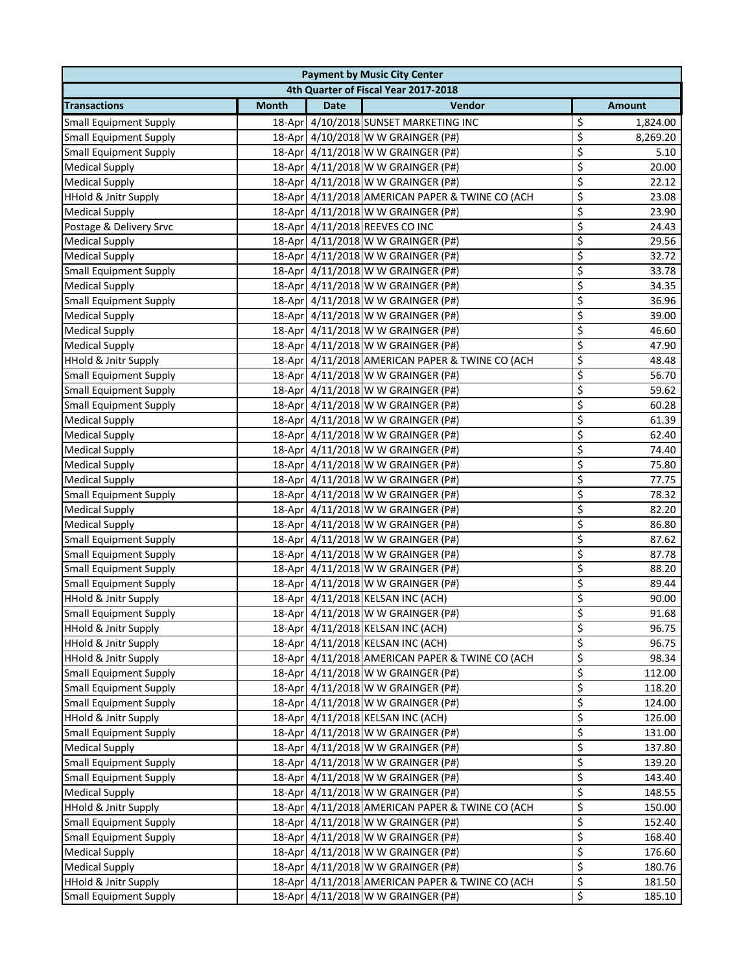| <b>Payment by Music City Center</b> |              |             |                                                 |    |               |  |
|-------------------------------------|--------------|-------------|-------------------------------------------------|----|---------------|--|
|                                     |              |             | 4th Quarter of Fiscal Year 2017-2018            |    |               |  |
| <b>Transactions</b>                 | <b>Month</b> | <b>Date</b> | Vendor                                          |    | <b>Amount</b> |  |
| <b>Small Equipment Supply</b>       |              |             | 18-Apr 4/10/2018 SUNSET MARKETING INC           | \$ | 1,824.00      |  |
| <b>Small Equipment Supply</b>       |              |             | 18-Apr 4/10/2018 W W GRAINGER (P#)              | \$ | 8,269.20      |  |
| <b>Small Equipment Supply</b>       |              |             | 18-Apr 4/11/2018 W W GRAINGER (P#)              | \$ | 5.10          |  |
| <b>Medical Supply</b>               |              |             | 18-Apr 4/11/2018 W W GRAINGER (P#)              | \$ | 20.00         |  |
| <b>Medical Supply</b>               |              |             | 18-Apr 4/11/2018 W W GRAINGER (P#)              | \$ | 22.12         |  |
| <b>HHold &amp; Jnitr Supply</b>     |              |             | 18-Apr 4/11/2018 AMERICAN PAPER & TWINE CO (ACH | \$ | 23.08         |  |
| <b>Medical Supply</b>               |              |             | 18-Apr 4/11/2018 W W GRAINGER (P#)              | \$ | 23.90         |  |
| Postage & Delivery Srvc             |              |             | 18-Apr 4/11/2018 REEVES CO INC                  | \$ | 24.43         |  |
| <b>Medical Supply</b>               |              |             | 18-Apr 4/11/2018 W W GRAINGER (P#)              | \$ | 29.56         |  |
| <b>Medical Supply</b>               |              |             | 18-Apr 4/11/2018 W W GRAINGER (P#)              | \$ | 32.72         |  |
| <b>Small Equipment Supply</b>       |              |             | 18-Apr 4/11/2018 W W GRAINGER (P#)              | \$ | 33.78         |  |
| <b>Medical Supply</b>               |              |             | 18-Apr 4/11/2018 W W GRAINGER (P#)              | \$ | 34.35         |  |
| <b>Small Equipment Supply</b>       |              |             | 18-Apr 4/11/2018 W W GRAINGER (P#)              | \$ | 36.96         |  |
| <b>Medical Supply</b>               |              |             | 18-Apr 4/11/2018 W W GRAINGER (P#)              | \$ | 39.00         |  |
| <b>Medical Supply</b>               |              |             | 18-Apr 4/11/2018 W W GRAINGER (P#)              | \$ | 46.60         |  |
| <b>Medical Supply</b>               |              |             | 18-Apr 4/11/2018 W W GRAINGER (P#)              | \$ | 47.90         |  |
| HHold & Jnitr Supply                |              |             | 18-Apr 4/11/2018 AMERICAN PAPER & TWINE CO (ACH | \$ | 48.48         |  |
| <b>Small Equipment Supply</b>       |              |             | 18-Apr 4/11/2018 W W GRAINGER (P#)              | \$ | 56.70         |  |
| <b>Small Equipment Supply</b>       |              |             | 18-Apr 4/11/2018 W W GRAINGER (P#)              | \$ | 59.62         |  |
| <b>Small Equipment Supply</b>       |              |             | 18-Apr 4/11/2018 W W GRAINGER (P#)              | \$ | 60.28         |  |
| <b>Medical Supply</b>               |              |             | 18-Apr 4/11/2018 W W GRAINGER (P#)              | \$ | 61.39         |  |
| <b>Medical Supply</b>               |              |             | 18-Apr 4/11/2018 W W GRAINGER (P#)              | \$ | 62.40         |  |
| <b>Medical Supply</b>               |              |             | 18-Apr 4/11/2018 W W GRAINGER (P#)              | \$ | 74.40         |  |
| <b>Medical Supply</b>               |              |             | 18-Apr 4/11/2018 W W GRAINGER (P#)              | \$ | 75.80         |  |
| <b>Medical Supply</b>               |              |             | 18-Apr 4/11/2018 W W GRAINGER (P#)              | \$ | 77.75         |  |
| <b>Small Equipment Supply</b>       |              |             | 18-Apr 4/11/2018 W W GRAINGER (P#)              | \$ | 78.32         |  |
| <b>Medical Supply</b>               |              |             | 18-Apr 4/11/2018 W W GRAINGER (P#)              | \$ | 82.20         |  |
| <b>Medical Supply</b>               |              |             | 18-Apr 4/11/2018 W W GRAINGER (P#)              | \$ | 86.80         |  |
| <b>Small Equipment Supply</b>       |              |             | 18-Apr 4/11/2018 W W GRAINGER (P#)              | \$ | 87.62         |  |
| <b>Small Equipment Supply</b>       |              |             | 18-Apr 4/11/2018 W W GRAINGER (P#)              | \$ | 87.78         |  |
| <b>Small Equipment Supply</b>       |              |             | 18-Apr 4/11/2018 W W GRAINGER (P#)              | \$ | 88.20         |  |
| <b>Small Equipment Supply</b>       |              |             | 18-Apr 4/11/2018 W W GRAINGER (P#)              | \$ | 89.44         |  |
| <b>HHold &amp; Jnitr Supply</b>     |              |             | 18-Apr 4/11/2018 KELSAN INC (ACH)               | \$ | 90.00         |  |
| <b>Small Equipment Supply</b>       |              |             | 18-Apr 4/11/2018 W W GRAINGER (P#)              | \$ | 91.68         |  |
| <b>HHold &amp; Jnitr Supply</b>     |              |             | 18-Apr 4/11/2018 KELSAN INC (ACH)               | \$ | 96.75         |  |
| <b>HHold &amp; Jnitr Supply</b>     |              |             | 18-Apr 4/11/2018 KELSAN INC (ACH)               | \$ | 96.75         |  |
| <b>HHold &amp; Jnitr Supply</b>     |              |             | 18-Apr 4/11/2018 AMERICAN PAPER & TWINE CO (ACH | \$ | 98.34         |  |
| <b>Small Equipment Supply</b>       |              |             | 18-Apr 4/11/2018 W W GRAINGER (P#)              | \$ | 112.00        |  |
| <b>Small Equipment Supply</b>       |              |             | 18-Apr 4/11/2018 W W GRAINGER (P#)              | \$ | 118.20        |  |
| <b>Small Equipment Supply</b>       |              |             | 18-Apr 4/11/2018 W W GRAINGER (P#)              | \$ | 124.00        |  |
| <b>HHold &amp; Jnitr Supply</b>     |              |             | 18-Apr 4/11/2018 KELSAN INC (ACH)               | \$ | 126.00        |  |
| <b>Small Equipment Supply</b>       |              |             | 18-Apr 4/11/2018 W W GRAINGER (P#)              | \$ | 131.00        |  |
| <b>Medical Supply</b>               |              |             | 18-Apr 4/11/2018 W W GRAINGER (P#)              | \$ | 137.80        |  |
| <b>Small Equipment Supply</b>       |              |             | 18-Apr 4/11/2018 W W GRAINGER (P#)              | \$ | 139.20        |  |
| <b>Small Equipment Supply</b>       |              |             | 18-Apr 4/11/2018 W W GRAINGER (P#)              | \$ | 143.40        |  |
| <b>Medical Supply</b>               |              |             | 18-Apr 4/11/2018 W W GRAINGER (P#)              | \$ | 148.55        |  |
| <b>HHold &amp; Jnitr Supply</b>     |              |             | 18-Apr 4/11/2018 AMERICAN PAPER & TWINE CO (ACH | \$ | 150.00        |  |
| <b>Small Equipment Supply</b>       |              |             | 18-Apr 4/11/2018 W W GRAINGER (P#)              | \$ | 152.40        |  |
| <b>Small Equipment Supply</b>       |              |             | 18-Apr 4/11/2018 W W GRAINGER (P#)              | \$ | 168.40        |  |
| <b>Medical Supply</b>               |              |             | 18-Apr 4/11/2018 W W GRAINGER (P#)              | \$ | 176.60        |  |
| <b>Medical Supply</b>               |              |             | 18-Apr 4/11/2018 W W GRAINGER (P#)              | \$ | 180.76        |  |
| <b>HHold &amp; Jnitr Supply</b>     |              |             | 18-Apr 4/11/2018 AMERICAN PAPER & TWINE CO (ACH | \$ | 181.50        |  |
| <b>Small Equipment Supply</b>       |              |             | 18-Apr 4/11/2018 W W GRAINGER (P#)              | \$ | 185.10        |  |
|                                     |              |             |                                                 |    |               |  |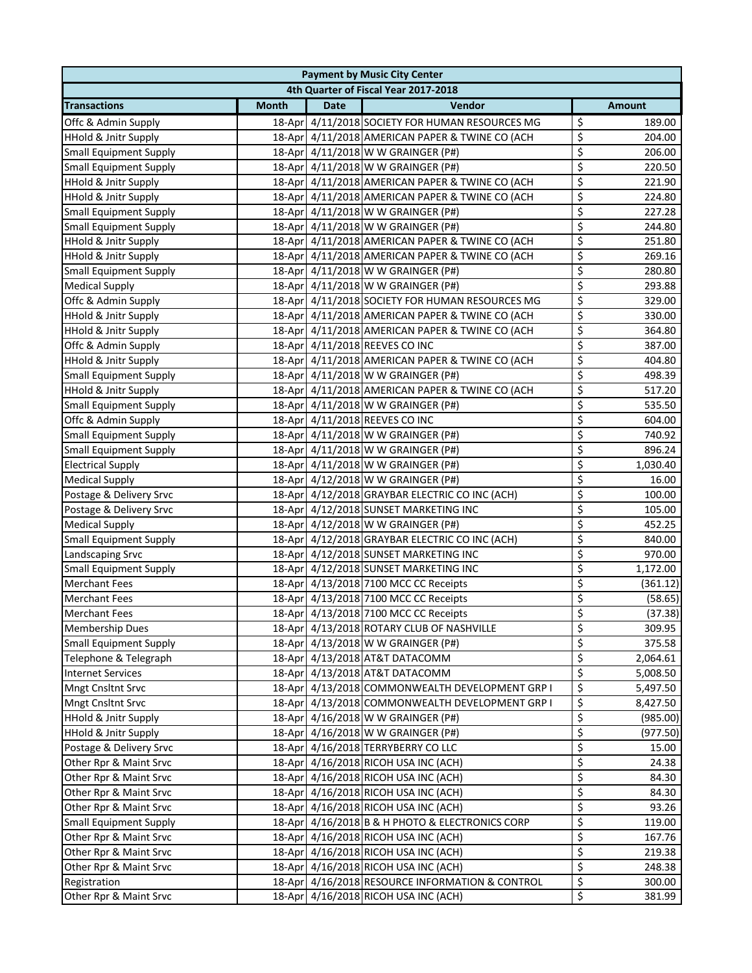| 4th Quarter of Fiscal Year 2017-2018<br>Vendor<br><b>Month</b><br><b>Date</b><br><b>Amount</b><br>\$<br>18-Apr 4/11/2018 SOCIETY FOR HUMAN RESOURCES MG<br>189.00<br>Offc & Admin Supply<br>\$<br>18-Apr 4/11/2018 AMERICAN PAPER & TWINE CO (ACH<br>204.00<br>\$<br>18-Apr 4/11/2018 W W GRAINGER (P#)<br>206.00<br><b>Small Equipment Supply</b><br>\$<br>18-Apr 4/11/2018 W W GRAINGER (P#)<br>220.50<br><b>Small Equipment Supply</b><br>\$<br>18-Apr 4/11/2018 AMERICAN PAPER & TWINE CO (ACH<br>221.90<br><b>HHold &amp; Jnitr Supply</b><br>\$<br><b>HHold &amp; Jnitr Supply</b><br>18-Apr 4/11/2018 AMERICAN PAPER & TWINE CO (ACH<br>224.80<br>\$<br>18-Apr 4/11/2018 W W GRAINGER (P#)<br>227.28<br><b>Small Equipment Supply</b><br>\$<br><b>Small Equipment Supply</b><br>18-Apr 4/11/2018 W W GRAINGER (P#)<br>244.80<br>\$<br><b>HHold &amp; Jnitr Supply</b><br>18-Apr 4/11/2018 AMERICAN PAPER & TWINE CO (ACH<br>251.80<br>\$<br><b>HHold &amp; Jnitr Supply</b><br>18-Apr 4/11/2018 AMERICAN PAPER & TWINE CO (ACH<br>269.16<br>\$<br>18-Apr 4/11/2018 W W GRAINGER (P#)<br><b>Small Equipment Supply</b><br>280.80<br>\$<br>18-Apr 4/11/2018 W W GRAINGER (P#)<br>293.88<br><b>Medical Supply</b><br>\$<br>Offc & Admin Supply<br>18-Apr 4/11/2018 SOCIETY FOR HUMAN RESOURCES MG<br>329.00<br>\$<br><b>HHold &amp; Jnitr Supply</b><br>18-Apr 4/11/2018 AMERICAN PAPER & TWINE CO (ACH<br>330.00<br>\$<br><b>HHold &amp; Jnitr Supply</b><br>18-Apr 4/11/2018 AMERICAN PAPER & TWINE CO (ACH<br>364.80<br>\$<br>Offc & Admin Supply<br>18-Apr 4/11/2018 REEVES CO INC<br>387.00<br>\$<br><b>HHold &amp; Jnitr Supply</b><br>18-Apr 4/11/2018 AMERICAN PAPER & TWINE CO (ACH<br>404.80<br>\$<br><b>Small Equipment Supply</b><br>18-Apr 4/11/2018 W W GRAINGER (P#)<br>498.39<br>\$<br><b>HHold &amp; Jnitr Supply</b><br>18-Apr 4/11/2018 AMERICAN PAPER & TWINE CO (ACH<br>517.20<br>\$<br>535.50<br><b>Small Equipment Supply</b><br>18-Apr 4/11/2018 W W GRAINGER (P#)<br>\$<br>Offc & Admin Supply<br>18-Apr 4/11/2018 REEVES CO INC<br>604.00<br>\$<br><b>Small Equipment Supply</b><br>18-Apr 4/11/2018 W W GRAINGER (P#)<br>740.92<br>\$<br><b>Small Equipment Supply</b><br>18-Apr 4/11/2018 W W GRAINGER (P#)<br>896.24<br>\$<br><b>Electrical Supply</b><br>18-Apr 4/11/2018 W W GRAINGER (P#)<br>1,030.40<br>\$<br>18-Apr 4/12/2018 W W GRAINGER (P#)<br><b>Medical Supply</b><br>16.00<br>\$<br>Postage & Delivery Srvc<br>18-Apr 4/12/2018 GRAYBAR ELECTRIC CO INC (ACH)<br>100.00<br>\$<br>Postage & Delivery Srvc<br>18-Apr 4/12/2018 SUNSET MARKETING INC<br>105.00<br>\$<br><b>Medical Supply</b><br>452.25<br>18-Apr 4/12/2018 W W GRAINGER (P#)<br>\$<br><b>Small Equipment Supply</b><br>18-Apr 4/12/2018 GRAYBAR ELECTRIC CO INC (ACH)<br>840.00<br>\$<br>Landscaping Srvc<br>18-Apr 4/12/2018 SUNSET MARKETING INC<br>970.00<br>\$<br><b>Small Equipment Supply</b><br>18-Apr 4/12/2018 SUNSET MARKETING INC<br>1,172.00<br>\$<br>18-Apr 4/13/2018 7100 MCC CC Receipts<br><b>Merchant Fees</b><br>(361.12)<br>\$<br><b>Merchant Fees</b><br>18-Apr 4/13/2018 7100 MCC CC Receipts<br>(58.65)<br>$\overline{\mathsf{S}}$<br>18-Apr 4/13/2018 7100 MCC CC Receipts<br>(37.38)<br><b>Merchant Fees</b><br>\$<br><b>Membership Dues</b><br>18-Apr 4/13/2018 ROTARY CLUB OF NASHVILLE<br>309.95<br>\$<br>18-Apr 4/13/2018 W W GRAINGER (P#)<br><b>Small Equipment Supply</b><br>375.58<br>\$<br>Telephone & Telegraph<br>18-Apr 4/13/2018 AT&T DATACOMM<br>2,064.61<br>\$<br><b>Internet Services</b><br>18-Apr 4/13/2018 AT&T DATACOMM<br>5,008.50<br>\$<br>18-Apr 4/13/2018 COMMONWEALTH DEVELOPMENT GRP I<br><b>Mngt Cnsltnt Srvc</b><br>5,497.50<br>\$<br>18-Apr 4/13/2018 COMMONWEALTH DEVELOPMENT GRP I<br><b>Mngt Cnsltnt Srvc</b><br>8,427.50<br>\$<br><b>HHold &amp; Jnitr Supply</b><br>18-Apr 4/16/2018 W W GRAINGER (P#)<br>(985.00)<br>\$<br><b>HHold &amp; Jnitr Supply</b><br>18-Apr 4/16/2018 W W GRAINGER (P#)<br>(977.50)<br>\$<br>Postage & Delivery Srvc<br>18-Apr 4/16/2018 TERRYBERRY CO LLC<br>15.00<br>\$<br>Other Rpr & Maint Srvc<br>18-Apr 4/16/2018 RICOH USA INC (ACH)<br>24.38<br>\$<br>18-Apr 4/16/2018 RICOH USA INC (ACH)<br>Other Rpr & Maint Srvc<br>84.30<br>\$<br>18-Apr 4/16/2018 RICOH USA INC (ACH)<br>Other Rpr & Maint Srvc<br>84.30<br>\$<br>Other Rpr & Maint Srvc<br>18-Apr 4/16/2018 RICOH USA INC (ACH)<br>93.26<br>\$<br>18-Apr 4/16/2018 B & H PHOTO & ELECTRONICS CORP<br><b>Small Equipment Supply</b><br>119.00<br>\$<br>18-Apr 4/16/2018 RICOH USA INC (ACH)<br>Other Rpr & Maint Srvc<br>167.76<br>\$<br>Other Rpr & Maint Srvc<br>18-Apr 4/16/2018 RICOH USA INC (ACH)<br>219.38 | <b>Payment by Music City Center</b> |  |  |  |    |  |  |  |
|--------------------------------------------------------------------------------------------------------------------------------------------------------------------------------------------------------------------------------------------------------------------------------------------------------------------------------------------------------------------------------------------------------------------------------------------------------------------------------------------------------------------------------------------------------------------------------------------------------------------------------------------------------------------------------------------------------------------------------------------------------------------------------------------------------------------------------------------------------------------------------------------------------------------------------------------------------------------------------------------------------------------------------------------------------------------------------------------------------------------------------------------------------------------------------------------------------------------------------------------------------------------------------------------------------------------------------------------------------------------------------------------------------------------------------------------------------------------------------------------------------------------------------------------------------------------------------------------------------------------------------------------------------------------------------------------------------------------------------------------------------------------------------------------------------------------------------------------------------------------------------------------------------------------------------------------------------------------------------------------------------------------------------------------------------------------------------------------------------------------------------------------------------------------------------------------------------------------------------------------------------------------------------------------------------------------------------------------------------------------------------------------------------------------------------------------------------------------------------------------------------------------------------------------------------------------------------------------------------------------------------------------------------------------------------------------------------------------------------------------------------------------------------------------------------------------------------------------------------------------------------------------------------------------------------------------------------------------------------------------------------------------------------------------------------------------------------------------------------------------------------------------------------------------------------------------------------------------------------------------------------------------------------------------------------------------------------------------------------------------------------------------------------------------------------------------------------------------------------------------------------------------------------------------------------------------------------------------------------------------------------------------------------------------------------------------------------------------------------------------------------------------------------------------------------------------------------------------------------------------------------------------------------------------------------------------------------------------------------------------------------------------------------------------------------------------------------------------------------------------------------------------------------------------------------------------------------------------------------------------------------------------------------------------------------------------------------------------------------------------------------------------------------------------------------------------------------------------------------------------------------------------------------------------------------------------------------------------------------------------------------------------------------------------------------|-------------------------------------|--|--|--|----|--|--|--|
|                                                                                                                                                                                                                                                                                                                                                                                                                                                                                                                                                                                                                                                                                                                                                                                                                                                                                                                                                                                                                                                                                                                                                                                                                                                                                                                                                                                                                                                                                                                                                                                                                                                                                                                                                                                                                                                                                                                                                                                                                                                                                                                                                                                                                                                                                                                                                                                                                                                                                                                                                                                                                                                                                                                                                                                                                                                                                                                                                                                                                                                                                                                                                                                                                                                                                                                                                                                                                                                                                                                                                                                                                                                                                                                                                                                                                                                                                                                                                                                                                                                                                                                                                                                                                                                                                                                                                                                                                                                                                                                                                                                                                                                                                |                                     |  |  |  |    |  |  |  |
|                                                                                                                                                                                                                                                                                                                                                                                                                                                                                                                                                                                                                                                                                                                                                                                                                                                                                                                                                                                                                                                                                                                                                                                                                                                                                                                                                                                                                                                                                                                                                                                                                                                                                                                                                                                                                                                                                                                                                                                                                                                                                                                                                                                                                                                                                                                                                                                                                                                                                                                                                                                                                                                                                                                                                                                                                                                                                                                                                                                                                                                                                                                                                                                                                                                                                                                                                                                                                                                                                                                                                                                                                                                                                                                                                                                                                                                                                                                                                                                                                                                                                                                                                                                                                                                                                                                                                                                                                                                                                                                                                                                                                                                                                | <b>Transactions</b>                 |  |  |  |    |  |  |  |
|                                                                                                                                                                                                                                                                                                                                                                                                                                                                                                                                                                                                                                                                                                                                                                                                                                                                                                                                                                                                                                                                                                                                                                                                                                                                                                                                                                                                                                                                                                                                                                                                                                                                                                                                                                                                                                                                                                                                                                                                                                                                                                                                                                                                                                                                                                                                                                                                                                                                                                                                                                                                                                                                                                                                                                                                                                                                                                                                                                                                                                                                                                                                                                                                                                                                                                                                                                                                                                                                                                                                                                                                                                                                                                                                                                                                                                                                                                                                                                                                                                                                                                                                                                                                                                                                                                                                                                                                                                                                                                                                                                                                                                                                                |                                     |  |  |  |    |  |  |  |
|                                                                                                                                                                                                                                                                                                                                                                                                                                                                                                                                                                                                                                                                                                                                                                                                                                                                                                                                                                                                                                                                                                                                                                                                                                                                                                                                                                                                                                                                                                                                                                                                                                                                                                                                                                                                                                                                                                                                                                                                                                                                                                                                                                                                                                                                                                                                                                                                                                                                                                                                                                                                                                                                                                                                                                                                                                                                                                                                                                                                                                                                                                                                                                                                                                                                                                                                                                                                                                                                                                                                                                                                                                                                                                                                                                                                                                                                                                                                                                                                                                                                                                                                                                                                                                                                                                                                                                                                                                                                                                                                                                                                                                                                                | <b>HHold &amp; Jnitr Supply</b>     |  |  |  |    |  |  |  |
|                                                                                                                                                                                                                                                                                                                                                                                                                                                                                                                                                                                                                                                                                                                                                                                                                                                                                                                                                                                                                                                                                                                                                                                                                                                                                                                                                                                                                                                                                                                                                                                                                                                                                                                                                                                                                                                                                                                                                                                                                                                                                                                                                                                                                                                                                                                                                                                                                                                                                                                                                                                                                                                                                                                                                                                                                                                                                                                                                                                                                                                                                                                                                                                                                                                                                                                                                                                                                                                                                                                                                                                                                                                                                                                                                                                                                                                                                                                                                                                                                                                                                                                                                                                                                                                                                                                                                                                                                                                                                                                                                                                                                                                                                |                                     |  |  |  |    |  |  |  |
|                                                                                                                                                                                                                                                                                                                                                                                                                                                                                                                                                                                                                                                                                                                                                                                                                                                                                                                                                                                                                                                                                                                                                                                                                                                                                                                                                                                                                                                                                                                                                                                                                                                                                                                                                                                                                                                                                                                                                                                                                                                                                                                                                                                                                                                                                                                                                                                                                                                                                                                                                                                                                                                                                                                                                                                                                                                                                                                                                                                                                                                                                                                                                                                                                                                                                                                                                                                                                                                                                                                                                                                                                                                                                                                                                                                                                                                                                                                                                                                                                                                                                                                                                                                                                                                                                                                                                                                                                                                                                                                                                                                                                                                                                |                                     |  |  |  |    |  |  |  |
|                                                                                                                                                                                                                                                                                                                                                                                                                                                                                                                                                                                                                                                                                                                                                                                                                                                                                                                                                                                                                                                                                                                                                                                                                                                                                                                                                                                                                                                                                                                                                                                                                                                                                                                                                                                                                                                                                                                                                                                                                                                                                                                                                                                                                                                                                                                                                                                                                                                                                                                                                                                                                                                                                                                                                                                                                                                                                                                                                                                                                                                                                                                                                                                                                                                                                                                                                                                                                                                                                                                                                                                                                                                                                                                                                                                                                                                                                                                                                                                                                                                                                                                                                                                                                                                                                                                                                                                                                                                                                                                                                                                                                                                                                |                                     |  |  |  |    |  |  |  |
|                                                                                                                                                                                                                                                                                                                                                                                                                                                                                                                                                                                                                                                                                                                                                                                                                                                                                                                                                                                                                                                                                                                                                                                                                                                                                                                                                                                                                                                                                                                                                                                                                                                                                                                                                                                                                                                                                                                                                                                                                                                                                                                                                                                                                                                                                                                                                                                                                                                                                                                                                                                                                                                                                                                                                                                                                                                                                                                                                                                                                                                                                                                                                                                                                                                                                                                                                                                                                                                                                                                                                                                                                                                                                                                                                                                                                                                                                                                                                                                                                                                                                                                                                                                                                                                                                                                                                                                                                                                                                                                                                                                                                                                                                |                                     |  |  |  |    |  |  |  |
|                                                                                                                                                                                                                                                                                                                                                                                                                                                                                                                                                                                                                                                                                                                                                                                                                                                                                                                                                                                                                                                                                                                                                                                                                                                                                                                                                                                                                                                                                                                                                                                                                                                                                                                                                                                                                                                                                                                                                                                                                                                                                                                                                                                                                                                                                                                                                                                                                                                                                                                                                                                                                                                                                                                                                                                                                                                                                                                                                                                                                                                                                                                                                                                                                                                                                                                                                                                                                                                                                                                                                                                                                                                                                                                                                                                                                                                                                                                                                                                                                                                                                                                                                                                                                                                                                                                                                                                                                                                                                                                                                                                                                                                                                |                                     |  |  |  |    |  |  |  |
|                                                                                                                                                                                                                                                                                                                                                                                                                                                                                                                                                                                                                                                                                                                                                                                                                                                                                                                                                                                                                                                                                                                                                                                                                                                                                                                                                                                                                                                                                                                                                                                                                                                                                                                                                                                                                                                                                                                                                                                                                                                                                                                                                                                                                                                                                                                                                                                                                                                                                                                                                                                                                                                                                                                                                                                                                                                                                                                                                                                                                                                                                                                                                                                                                                                                                                                                                                                                                                                                                                                                                                                                                                                                                                                                                                                                                                                                                                                                                                                                                                                                                                                                                                                                                                                                                                                                                                                                                                                                                                                                                                                                                                                                                |                                     |  |  |  |    |  |  |  |
|                                                                                                                                                                                                                                                                                                                                                                                                                                                                                                                                                                                                                                                                                                                                                                                                                                                                                                                                                                                                                                                                                                                                                                                                                                                                                                                                                                                                                                                                                                                                                                                                                                                                                                                                                                                                                                                                                                                                                                                                                                                                                                                                                                                                                                                                                                                                                                                                                                                                                                                                                                                                                                                                                                                                                                                                                                                                                                                                                                                                                                                                                                                                                                                                                                                                                                                                                                                                                                                                                                                                                                                                                                                                                                                                                                                                                                                                                                                                                                                                                                                                                                                                                                                                                                                                                                                                                                                                                                                                                                                                                                                                                                                                                |                                     |  |  |  |    |  |  |  |
|                                                                                                                                                                                                                                                                                                                                                                                                                                                                                                                                                                                                                                                                                                                                                                                                                                                                                                                                                                                                                                                                                                                                                                                                                                                                                                                                                                                                                                                                                                                                                                                                                                                                                                                                                                                                                                                                                                                                                                                                                                                                                                                                                                                                                                                                                                                                                                                                                                                                                                                                                                                                                                                                                                                                                                                                                                                                                                                                                                                                                                                                                                                                                                                                                                                                                                                                                                                                                                                                                                                                                                                                                                                                                                                                                                                                                                                                                                                                                                                                                                                                                                                                                                                                                                                                                                                                                                                                                                                                                                                                                                                                                                                                                |                                     |  |  |  |    |  |  |  |
|                                                                                                                                                                                                                                                                                                                                                                                                                                                                                                                                                                                                                                                                                                                                                                                                                                                                                                                                                                                                                                                                                                                                                                                                                                                                                                                                                                                                                                                                                                                                                                                                                                                                                                                                                                                                                                                                                                                                                                                                                                                                                                                                                                                                                                                                                                                                                                                                                                                                                                                                                                                                                                                                                                                                                                                                                                                                                                                                                                                                                                                                                                                                                                                                                                                                                                                                                                                                                                                                                                                                                                                                                                                                                                                                                                                                                                                                                                                                                                                                                                                                                                                                                                                                                                                                                                                                                                                                                                                                                                                                                                                                                                                                                |                                     |  |  |  |    |  |  |  |
|                                                                                                                                                                                                                                                                                                                                                                                                                                                                                                                                                                                                                                                                                                                                                                                                                                                                                                                                                                                                                                                                                                                                                                                                                                                                                                                                                                                                                                                                                                                                                                                                                                                                                                                                                                                                                                                                                                                                                                                                                                                                                                                                                                                                                                                                                                                                                                                                                                                                                                                                                                                                                                                                                                                                                                                                                                                                                                                                                                                                                                                                                                                                                                                                                                                                                                                                                                                                                                                                                                                                                                                                                                                                                                                                                                                                                                                                                                                                                                                                                                                                                                                                                                                                                                                                                                                                                                                                                                                                                                                                                                                                                                                                                |                                     |  |  |  |    |  |  |  |
|                                                                                                                                                                                                                                                                                                                                                                                                                                                                                                                                                                                                                                                                                                                                                                                                                                                                                                                                                                                                                                                                                                                                                                                                                                                                                                                                                                                                                                                                                                                                                                                                                                                                                                                                                                                                                                                                                                                                                                                                                                                                                                                                                                                                                                                                                                                                                                                                                                                                                                                                                                                                                                                                                                                                                                                                                                                                                                                                                                                                                                                                                                                                                                                                                                                                                                                                                                                                                                                                                                                                                                                                                                                                                                                                                                                                                                                                                                                                                                                                                                                                                                                                                                                                                                                                                                                                                                                                                                                                                                                                                                                                                                                                                |                                     |  |  |  |    |  |  |  |
|                                                                                                                                                                                                                                                                                                                                                                                                                                                                                                                                                                                                                                                                                                                                                                                                                                                                                                                                                                                                                                                                                                                                                                                                                                                                                                                                                                                                                                                                                                                                                                                                                                                                                                                                                                                                                                                                                                                                                                                                                                                                                                                                                                                                                                                                                                                                                                                                                                                                                                                                                                                                                                                                                                                                                                                                                                                                                                                                                                                                                                                                                                                                                                                                                                                                                                                                                                                                                                                                                                                                                                                                                                                                                                                                                                                                                                                                                                                                                                                                                                                                                                                                                                                                                                                                                                                                                                                                                                                                                                                                                                                                                                                                                |                                     |  |  |  |    |  |  |  |
|                                                                                                                                                                                                                                                                                                                                                                                                                                                                                                                                                                                                                                                                                                                                                                                                                                                                                                                                                                                                                                                                                                                                                                                                                                                                                                                                                                                                                                                                                                                                                                                                                                                                                                                                                                                                                                                                                                                                                                                                                                                                                                                                                                                                                                                                                                                                                                                                                                                                                                                                                                                                                                                                                                                                                                                                                                                                                                                                                                                                                                                                                                                                                                                                                                                                                                                                                                                                                                                                                                                                                                                                                                                                                                                                                                                                                                                                                                                                                                                                                                                                                                                                                                                                                                                                                                                                                                                                                                                                                                                                                                                                                                                                                |                                     |  |  |  |    |  |  |  |
|                                                                                                                                                                                                                                                                                                                                                                                                                                                                                                                                                                                                                                                                                                                                                                                                                                                                                                                                                                                                                                                                                                                                                                                                                                                                                                                                                                                                                                                                                                                                                                                                                                                                                                                                                                                                                                                                                                                                                                                                                                                                                                                                                                                                                                                                                                                                                                                                                                                                                                                                                                                                                                                                                                                                                                                                                                                                                                                                                                                                                                                                                                                                                                                                                                                                                                                                                                                                                                                                                                                                                                                                                                                                                                                                                                                                                                                                                                                                                                                                                                                                                                                                                                                                                                                                                                                                                                                                                                                                                                                                                                                                                                                                                |                                     |  |  |  |    |  |  |  |
|                                                                                                                                                                                                                                                                                                                                                                                                                                                                                                                                                                                                                                                                                                                                                                                                                                                                                                                                                                                                                                                                                                                                                                                                                                                                                                                                                                                                                                                                                                                                                                                                                                                                                                                                                                                                                                                                                                                                                                                                                                                                                                                                                                                                                                                                                                                                                                                                                                                                                                                                                                                                                                                                                                                                                                                                                                                                                                                                                                                                                                                                                                                                                                                                                                                                                                                                                                                                                                                                                                                                                                                                                                                                                                                                                                                                                                                                                                                                                                                                                                                                                                                                                                                                                                                                                                                                                                                                                                                                                                                                                                                                                                                                                |                                     |  |  |  |    |  |  |  |
|                                                                                                                                                                                                                                                                                                                                                                                                                                                                                                                                                                                                                                                                                                                                                                                                                                                                                                                                                                                                                                                                                                                                                                                                                                                                                                                                                                                                                                                                                                                                                                                                                                                                                                                                                                                                                                                                                                                                                                                                                                                                                                                                                                                                                                                                                                                                                                                                                                                                                                                                                                                                                                                                                                                                                                                                                                                                                                                                                                                                                                                                                                                                                                                                                                                                                                                                                                                                                                                                                                                                                                                                                                                                                                                                                                                                                                                                                                                                                                                                                                                                                                                                                                                                                                                                                                                                                                                                                                                                                                                                                                                                                                                                                |                                     |  |  |  |    |  |  |  |
|                                                                                                                                                                                                                                                                                                                                                                                                                                                                                                                                                                                                                                                                                                                                                                                                                                                                                                                                                                                                                                                                                                                                                                                                                                                                                                                                                                                                                                                                                                                                                                                                                                                                                                                                                                                                                                                                                                                                                                                                                                                                                                                                                                                                                                                                                                                                                                                                                                                                                                                                                                                                                                                                                                                                                                                                                                                                                                                                                                                                                                                                                                                                                                                                                                                                                                                                                                                                                                                                                                                                                                                                                                                                                                                                                                                                                                                                                                                                                                                                                                                                                                                                                                                                                                                                                                                                                                                                                                                                                                                                                                                                                                                                                |                                     |  |  |  |    |  |  |  |
|                                                                                                                                                                                                                                                                                                                                                                                                                                                                                                                                                                                                                                                                                                                                                                                                                                                                                                                                                                                                                                                                                                                                                                                                                                                                                                                                                                                                                                                                                                                                                                                                                                                                                                                                                                                                                                                                                                                                                                                                                                                                                                                                                                                                                                                                                                                                                                                                                                                                                                                                                                                                                                                                                                                                                                                                                                                                                                                                                                                                                                                                                                                                                                                                                                                                                                                                                                                                                                                                                                                                                                                                                                                                                                                                                                                                                                                                                                                                                                                                                                                                                                                                                                                                                                                                                                                                                                                                                                                                                                                                                                                                                                                                                |                                     |  |  |  |    |  |  |  |
|                                                                                                                                                                                                                                                                                                                                                                                                                                                                                                                                                                                                                                                                                                                                                                                                                                                                                                                                                                                                                                                                                                                                                                                                                                                                                                                                                                                                                                                                                                                                                                                                                                                                                                                                                                                                                                                                                                                                                                                                                                                                                                                                                                                                                                                                                                                                                                                                                                                                                                                                                                                                                                                                                                                                                                                                                                                                                                                                                                                                                                                                                                                                                                                                                                                                                                                                                                                                                                                                                                                                                                                                                                                                                                                                                                                                                                                                                                                                                                                                                                                                                                                                                                                                                                                                                                                                                                                                                                                                                                                                                                                                                                                                                |                                     |  |  |  |    |  |  |  |
|                                                                                                                                                                                                                                                                                                                                                                                                                                                                                                                                                                                                                                                                                                                                                                                                                                                                                                                                                                                                                                                                                                                                                                                                                                                                                                                                                                                                                                                                                                                                                                                                                                                                                                                                                                                                                                                                                                                                                                                                                                                                                                                                                                                                                                                                                                                                                                                                                                                                                                                                                                                                                                                                                                                                                                                                                                                                                                                                                                                                                                                                                                                                                                                                                                                                                                                                                                                                                                                                                                                                                                                                                                                                                                                                                                                                                                                                                                                                                                                                                                                                                                                                                                                                                                                                                                                                                                                                                                                                                                                                                                                                                                                                                |                                     |  |  |  |    |  |  |  |
|                                                                                                                                                                                                                                                                                                                                                                                                                                                                                                                                                                                                                                                                                                                                                                                                                                                                                                                                                                                                                                                                                                                                                                                                                                                                                                                                                                                                                                                                                                                                                                                                                                                                                                                                                                                                                                                                                                                                                                                                                                                                                                                                                                                                                                                                                                                                                                                                                                                                                                                                                                                                                                                                                                                                                                                                                                                                                                                                                                                                                                                                                                                                                                                                                                                                                                                                                                                                                                                                                                                                                                                                                                                                                                                                                                                                                                                                                                                                                                                                                                                                                                                                                                                                                                                                                                                                                                                                                                                                                                                                                                                                                                                                                |                                     |  |  |  |    |  |  |  |
|                                                                                                                                                                                                                                                                                                                                                                                                                                                                                                                                                                                                                                                                                                                                                                                                                                                                                                                                                                                                                                                                                                                                                                                                                                                                                                                                                                                                                                                                                                                                                                                                                                                                                                                                                                                                                                                                                                                                                                                                                                                                                                                                                                                                                                                                                                                                                                                                                                                                                                                                                                                                                                                                                                                                                                                                                                                                                                                                                                                                                                                                                                                                                                                                                                                                                                                                                                                                                                                                                                                                                                                                                                                                                                                                                                                                                                                                                                                                                                                                                                                                                                                                                                                                                                                                                                                                                                                                                                                                                                                                                                                                                                                                                |                                     |  |  |  |    |  |  |  |
|                                                                                                                                                                                                                                                                                                                                                                                                                                                                                                                                                                                                                                                                                                                                                                                                                                                                                                                                                                                                                                                                                                                                                                                                                                                                                                                                                                                                                                                                                                                                                                                                                                                                                                                                                                                                                                                                                                                                                                                                                                                                                                                                                                                                                                                                                                                                                                                                                                                                                                                                                                                                                                                                                                                                                                                                                                                                                                                                                                                                                                                                                                                                                                                                                                                                                                                                                                                                                                                                                                                                                                                                                                                                                                                                                                                                                                                                                                                                                                                                                                                                                                                                                                                                                                                                                                                                                                                                                                                                                                                                                                                                                                                                                |                                     |  |  |  |    |  |  |  |
|                                                                                                                                                                                                                                                                                                                                                                                                                                                                                                                                                                                                                                                                                                                                                                                                                                                                                                                                                                                                                                                                                                                                                                                                                                                                                                                                                                                                                                                                                                                                                                                                                                                                                                                                                                                                                                                                                                                                                                                                                                                                                                                                                                                                                                                                                                                                                                                                                                                                                                                                                                                                                                                                                                                                                                                                                                                                                                                                                                                                                                                                                                                                                                                                                                                                                                                                                                                                                                                                                                                                                                                                                                                                                                                                                                                                                                                                                                                                                                                                                                                                                                                                                                                                                                                                                                                                                                                                                                                                                                                                                                                                                                                                                |                                     |  |  |  |    |  |  |  |
|                                                                                                                                                                                                                                                                                                                                                                                                                                                                                                                                                                                                                                                                                                                                                                                                                                                                                                                                                                                                                                                                                                                                                                                                                                                                                                                                                                                                                                                                                                                                                                                                                                                                                                                                                                                                                                                                                                                                                                                                                                                                                                                                                                                                                                                                                                                                                                                                                                                                                                                                                                                                                                                                                                                                                                                                                                                                                                                                                                                                                                                                                                                                                                                                                                                                                                                                                                                                                                                                                                                                                                                                                                                                                                                                                                                                                                                                                                                                                                                                                                                                                                                                                                                                                                                                                                                                                                                                                                                                                                                                                                                                                                                                                |                                     |  |  |  |    |  |  |  |
|                                                                                                                                                                                                                                                                                                                                                                                                                                                                                                                                                                                                                                                                                                                                                                                                                                                                                                                                                                                                                                                                                                                                                                                                                                                                                                                                                                                                                                                                                                                                                                                                                                                                                                                                                                                                                                                                                                                                                                                                                                                                                                                                                                                                                                                                                                                                                                                                                                                                                                                                                                                                                                                                                                                                                                                                                                                                                                                                                                                                                                                                                                                                                                                                                                                                                                                                                                                                                                                                                                                                                                                                                                                                                                                                                                                                                                                                                                                                                                                                                                                                                                                                                                                                                                                                                                                                                                                                                                                                                                                                                                                                                                                                                |                                     |  |  |  |    |  |  |  |
|                                                                                                                                                                                                                                                                                                                                                                                                                                                                                                                                                                                                                                                                                                                                                                                                                                                                                                                                                                                                                                                                                                                                                                                                                                                                                                                                                                                                                                                                                                                                                                                                                                                                                                                                                                                                                                                                                                                                                                                                                                                                                                                                                                                                                                                                                                                                                                                                                                                                                                                                                                                                                                                                                                                                                                                                                                                                                                                                                                                                                                                                                                                                                                                                                                                                                                                                                                                                                                                                                                                                                                                                                                                                                                                                                                                                                                                                                                                                                                                                                                                                                                                                                                                                                                                                                                                                                                                                                                                                                                                                                                                                                                                                                |                                     |  |  |  |    |  |  |  |
|                                                                                                                                                                                                                                                                                                                                                                                                                                                                                                                                                                                                                                                                                                                                                                                                                                                                                                                                                                                                                                                                                                                                                                                                                                                                                                                                                                                                                                                                                                                                                                                                                                                                                                                                                                                                                                                                                                                                                                                                                                                                                                                                                                                                                                                                                                                                                                                                                                                                                                                                                                                                                                                                                                                                                                                                                                                                                                                                                                                                                                                                                                                                                                                                                                                                                                                                                                                                                                                                                                                                                                                                                                                                                                                                                                                                                                                                                                                                                                                                                                                                                                                                                                                                                                                                                                                                                                                                                                                                                                                                                                                                                                                                                |                                     |  |  |  |    |  |  |  |
|                                                                                                                                                                                                                                                                                                                                                                                                                                                                                                                                                                                                                                                                                                                                                                                                                                                                                                                                                                                                                                                                                                                                                                                                                                                                                                                                                                                                                                                                                                                                                                                                                                                                                                                                                                                                                                                                                                                                                                                                                                                                                                                                                                                                                                                                                                                                                                                                                                                                                                                                                                                                                                                                                                                                                                                                                                                                                                                                                                                                                                                                                                                                                                                                                                                                                                                                                                                                                                                                                                                                                                                                                                                                                                                                                                                                                                                                                                                                                                                                                                                                                                                                                                                                                                                                                                                                                                                                                                                                                                                                                                                                                                                                                |                                     |  |  |  |    |  |  |  |
|                                                                                                                                                                                                                                                                                                                                                                                                                                                                                                                                                                                                                                                                                                                                                                                                                                                                                                                                                                                                                                                                                                                                                                                                                                                                                                                                                                                                                                                                                                                                                                                                                                                                                                                                                                                                                                                                                                                                                                                                                                                                                                                                                                                                                                                                                                                                                                                                                                                                                                                                                                                                                                                                                                                                                                                                                                                                                                                                                                                                                                                                                                                                                                                                                                                                                                                                                                                                                                                                                                                                                                                                                                                                                                                                                                                                                                                                                                                                                                                                                                                                                                                                                                                                                                                                                                                                                                                                                                                                                                                                                                                                                                                                                |                                     |  |  |  |    |  |  |  |
|                                                                                                                                                                                                                                                                                                                                                                                                                                                                                                                                                                                                                                                                                                                                                                                                                                                                                                                                                                                                                                                                                                                                                                                                                                                                                                                                                                                                                                                                                                                                                                                                                                                                                                                                                                                                                                                                                                                                                                                                                                                                                                                                                                                                                                                                                                                                                                                                                                                                                                                                                                                                                                                                                                                                                                                                                                                                                                                                                                                                                                                                                                                                                                                                                                                                                                                                                                                                                                                                                                                                                                                                                                                                                                                                                                                                                                                                                                                                                                                                                                                                                                                                                                                                                                                                                                                                                                                                                                                                                                                                                                                                                                                                                |                                     |  |  |  |    |  |  |  |
|                                                                                                                                                                                                                                                                                                                                                                                                                                                                                                                                                                                                                                                                                                                                                                                                                                                                                                                                                                                                                                                                                                                                                                                                                                                                                                                                                                                                                                                                                                                                                                                                                                                                                                                                                                                                                                                                                                                                                                                                                                                                                                                                                                                                                                                                                                                                                                                                                                                                                                                                                                                                                                                                                                                                                                                                                                                                                                                                                                                                                                                                                                                                                                                                                                                                                                                                                                                                                                                                                                                                                                                                                                                                                                                                                                                                                                                                                                                                                                                                                                                                                                                                                                                                                                                                                                                                                                                                                                                                                                                                                                                                                                                                                |                                     |  |  |  |    |  |  |  |
|                                                                                                                                                                                                                                                                                                                                                                                                                                                                                                                                                                                                                                                                                                                                                                                                                                                                                                                                                                                                                                                                                                                                                                                                                                                                                                                                                                                                                                                                                                                                                                                                                                                                                                                                                                                                                                                                                                                                                                                                                                                                                                                                                                                                                                                                                                                                                                                                                                                                                                                                                                                                                                                                                                                                                                                                                                                                                                                                                                                                                                                                                                                                                                                                                                                                                                                                                                                                                                                                                                                                                                                                                                                                                                                                                                                                                                                                                                                                                                                                                                                                                                                                                                                                                                                                                                                                                                                                                                                                                                                                                                                                                                                                                |                                     |  |  |  |    |  |  |  |
|                                                                                                                                                                                                                                                                                                                                                                                                                                                                                                                                                                                                                                                                                                                                                                                                                                                                                                                                                                                                                                                                                                                                                                                                                                                                                                                                                                                                                                                                                                                                                                                                                                                                                                                                                                                                                                                                                                                                                                                                                                                                                                                                                                                                                                                                                                                                                                                                                                                                                                                                                                                                                                                                                                                                                                                                                                                                                                                                                                                                                                                                                                                                                                                                                                                                                                                                                                                                                                                                                                                                                                                                                                                                                                                                                                                                                                                                                                                                                                                                                                                                                                                                                                                                                                                                                                                                                                                                                                                                                                                                                                                                                                                                                |                                     |  |  |  |    |  |  |  |
|                                                                                                                                                                                                                                                                                                                                                                                                                                                                                                                                                                                                                                                                                                                                                                                                                                                                                                                                                                                                                                                                                                                                                                                                                                                                                                                                                                                                                                                                                                                                                                                                                                                                                                                                                                                                                                                                                                                                                                                                                                                                                                                                                                                                                                                                                                                                                                                                                                                                                                                                                                                                                                                                                                                                                                                                                                                                                                                                                                                                                                                                                                                                                                                                                                                                                                                                                                                                                                                                                                                                                                                                                                                                                                                                                                                                                                                                                                                                                                                                                                                                                                                                                                                                                                                                                                                                                                                                                                                                                                                                                                                                                                                                                |                                     |  |  |  |    |  |  |  |
|                                                                                                                                                                                                                                                                                                                                                                                                                                                                                                                                                                                                                                                                                                                                                                                                                                                                                                                                                                                                                                                                                                                                                                                                                                                                                                                                                                                                                                                                                                                                                                                                                                                                                                                                                                                                                                                                                                                                                                                                                                                                                                                                                                                                                                                                                                                                                                                                                                                                                                                                                                                                                                                                                                                                                                                                                                                                                                                                                                                                                                                                                                                                                                                                                                                                                                                                                                                                                                                                                                                                                                                                                                                                                                                                                                                                                                                                                                                                                                                                                                                                                                                                                                                                                                                                                                                                                                                                                                                                                                                                                                                                                                                                                |                                     |  |  |  |    |  |  |  |
|                                                                                                                                                                                                                                                                                                                                                                                                                                                                                                                                                                                                                                                                                                                                                                                                                                                                                                                                                                                                                                                                                                                                                                                                                                                                                                                                                                                                                                                                                                                                                                                                                                                                                                                                                                                                                                                                                                                                                                                                                                                                                                                                                                                                                                                                                                                                                                                                                                                                                                                                                                                                                                                                                                                                                                                                                                                                                                                                                                                                                                                                                                                                                                                                                                                                                                                                                                                                                                                                                                                                                                                                                                                                                                                                                                                                                                                                                                                                                                                                                                                                                                                                                                                                                                                                                                                                                                                                                                                                                                                                                                                                                                                                                |                                     |  |  |  |    |  |  |  |
|                                                                                                                                                                                                                                                                                                                                                                                                                                                                                                                                                                                                                                                                                                                                                                                                                                                                                                                                                                                                                                                                                                                                                                                                                                                                                                                                                                                                                                                                                                                                                                                                                                                                                                                                                                                                                                                                                                                                                                                                                                                                                                                                                                                                                                                                                                                                                                                                                                                                                                                                                                                                                                                                                                                                                                                                                                                                                                                                                                                                                                                                                                                                                                                                                                                                                                                                                                                                                                                                                                                                                                                                                                                                                                                                                                                                                                                                                                                                                                                                                                                                                                                                                                                                                                                                                                                                                                                                                                                                                                                                                                                                                                                                                |                                     |  |  |  |    |  |  |  |
|                                                                                                                                                                                                                                                                                                                                                                                                                                                                                                                                                                                                                                                                                                                                                                                                                                                                                                                                                                                                                                                                                                                                                                                                                                                                                                                                                                                                                                                                                                                                                                                                                                                                                                                                                                                                                                                                                                                                                                                                                                                                                                                                                                                                                                                                                                                                                                                                                                                                                                                                                                                                                                                                                                                                                                                                                                                                                                                                                                                                                                                                                                                                                                                                                                                                                                                                                                                                                                                                                                                                                                                                                                                                                                                                                                                                                                                                                                                                                                                                                                                                                                                                                                                                                                                                                                                                                                                                                                                                                                                                                                                                                                                                                |                                     |  |  |  |    |  |  |  |
|                                                                                                                                                                                                                                                                                                                                                                                                                                                                                                                                                                                                                                                                                                                                                                                                                                                                                                                                                                                                                                                                                                                                                                                                                                                                                                                                                                                                                                                                                                                                                                                                                                                                                                                                                                                                                                                                                                                                                                                                                                                                                                                                                                                                                                                                                                                                                                                                                                                                                                                                                                                                                                                                                                                                                                                                                                                                                                                                                                                                                                                                                                                                                                                                                                                                                                                                                                                                                                                                                                                                                                                                                                                                                                                                                                                                                                                                                                                                                                                                                                                                                                                                                                                                                                                                                                                                                                                                                                                                                                                                                                                                                                                                                |                                     |  |  |  |    |  |  |  |
|                                                                                                                                                                                                                                                                                                                                                                                                                                                                                                                                                                                                                                                                                                                                                                                                                                                                                                                                                                                                                                                                                                                                                                                                                                                                                                                                                                                                                                                                                                                                                                                                                                                                                                                                                                                                                                                                                                                                                                                                                                                                                                                                                                                                                                                                                                                                                                                                                                                                                                                                                                                                                                                                                                                                                                                                                                                                                                                                                                                                                                                                                                                                                                                                                                                                                                                                                                                                                                                                                                                                                                                                                                                                                                                                                                                                                                                                                                                                                                                                                                                                                                                                                                                                                                                                                                                                                                                                                                                                                                                                                                                                                                                                                |                                     |  |  |  |    |  |  |  |
|                                                                                                                                                                                                                                                                                                                                                                                                                                                                                                                                                                                                                                                                                                                                                                                                                                                                                                                                                                                                                                                                                                                                                                                                                                                                                                                                                                                                                                                                                                                                                                                                                                                                                                                                                                                                                                                                                                                                                                                                                                                                                                                                                                                                                                                                                                                                                                                                                                                                                                                                                                                                                                                                                                                                                                                                                                                                                                                                                                                                                                                                                                                                                                                                                                                                                                                                                                                                                                                                                                                                                                                                                                                                                                                                                                                                                                                                                                                                                                                                                                                                                                                                                                                                                                                                                                                                                                                                                                                                                                                                                                                                                                                                                |                                     |  |  |  |    |  |  |  |
|                                                                                                                                                                                                                                                                                                                                                                                                                                                                                                                                                                                                                                                                                                                                                                                                                                                                                                                                                                                                                                                                                                                                                                                                                                                                                                                                                                                                                                                                                                                                                                                                                                                                                                                                                                                                                                                                                                                                                                                                                                                                                                                                                                                                                                                                                                                                                                                                                                                                                                                                                                                                                                                                                                                                                                                                                                                                                                                                                                                                                                                                                                                                                                                                                                                                                                                                                                                                                                                                                                                                                                                                                                                                                                                                                                                                                                                                                                                                                                                                                                                                                                                                                                                                                                                                                                                                                                                                                                                                                                                                                                                                                                                                                |                                     |  |  |  |    |  |  |  |
|                                                                                                                                                                                                                                                                                                                                                                                                                                                                                                                                                                                                                                                                                                                                                                                                                                                                                                                                                                                                                                                                                                                                                                                                                                                                                                                                                                                                                                                                                                                                                                                                                                                                                                                                                                                                                                                                                                                                                                                                                                                                                                                                                                                                                                                                                                                                                                                                                                                                                                                                                                                                                                                                                                                                                                                                                                                                                                                                                                                                                                                                                                                                                                                                                                                                                                                                                                                                                                                                                                                                                                                                                                                                                                                                                                                                                                                                                                                                                                                                                                                                                                                                                                                                                                                                                                                                                                                                                                                                                                                                                                                                                                                                                |                                     |  |  |  |    |  |  |  |
|                                                                                                                                                                                                                                                                                                                                                                                                                                                                                                                                                                                                                                                                                                                                                                                                                                                                                                                                                                                                                                                                                                                                                                                                                                                                                                                                                                                                                                                                                                                                                                                                                                                                                                                                                                                                                                                                                                                                                                                                                                                                                                                                                                                                                                                                                                                                                                                                                                                                                                                                                                                                                                                                                                                                                                                                                                                                                                                                                                                                                                                                                                                                                                                                                                                                                                                                                                                                                                                                                                                                                                                                                                                                                                                                                                                                                                                                                                                                                                                                                                                                                                                                                                                                                                                                                                                                                                                                                                                                                                                                                                                                                                                                                |                                     |  |  |  |    |  |  |  |
|                                                                                                                                                                                                                                                                                                                                                                                                                                                                                                                                                                                                                                                                                                                                                                                                                                                                                                                                                                                                                                                                                                                                                                                                                                                                                                                                                                                                                                                                                                                                                                                                                                                                                                                                                                                                                                                                                                                                                                                                                                                                                                                                                                                                                                                                                                                                                                                                                                                                                                                                                                                                                                                                                                                                                                                                                                                                                                                                                                                                                                                                                                                                                                                                                                                                                                                                                                                                                                                                                                                                                                                                                                                                                                                                                                                                                                                                                                                                                                                                                                                                                                                                                                                                                                                                                                                                                                                                                                                                                                                                                                                                                                                                                |                                     |  |  |  |    |  |  |  |
|                                                                                                                                                                                                                                                                                                                                                                                                                                                                                                                                                                                                                                                                                                                                                                                                                                                                                                                                                                                                                                                                                                                                                                                                                                                                                                                                                                                                                                                                                                                                                                                                                                                                                                                                                                                                                                                                                                                                                                                                                                                                                                                                                                                                                                                                                                                                                                                                                                                                                                                                                                                                                                                                                                                                                                                                                                                                                                                                                                                                                                                                                                                                                                                                                                                                                                                                                                                                                                                                                                                                                                                                                                                                                                                                                                                                                                                                                                                                                                                                                                                                                                                                                                                                                                                                                                                                                                                                                                                                                                                                                                                                                                                                                |                                     |  |  |  |    |  |  |  |
|                                                                                                                                                                                                                                                                                                                                                                                                                                                                                                                                                                                                                                                                                                                                                                                                                                                                                                                                                                                                                                                                                                                                                                                                                                                                                                                                                                                                                                                                                                                                                                                                                                                                                                                                                                                                                                                                                                                                                                                                                                                                                                                                                                                                                                                                                                                                                                                                                                                                                                                                                                                                                                                                                                                                                                                                                                                                                                                                                                                                                                                                                                                                                                                                                                                                                                                                                                                                                                                                                                                                                                                                                                                                                                                                                                                                                                                                                                                                                                                                                                                                                                                                                                                                                                                                                                                                                                                                                                                                                                                                                                                                                                                                                |                                     |  |  |  |    |  |  |  |
| 18-Apr 4/16/2018 RICOH USA INC (ACH)<br>248.38                                                                                                                                                                                                                                                                                                                                                                                                                                                                                                                                                                                                                                                                                                                                                                                                                                                                                                                                                                                                                                                                                                                                                                                                                                                                                                                                                                                                                                                                                                                                                                                                                                                                                                                                                                                                                                                                                                                                                                                                                                                                                                                                                                                                                                                                                                                                                                                                                                                                                                                                                                                                                                                                                                                                                                                                                                                                                                                                                                                                                                                                                                                                                                                                                                                                                                                                                                                                                                                                                                                                                                                                                                                                                                                                                                                                                                                                                                                                                                                                                                                                                                                                                                                                                                                                                                                                                                                                                                                                                                                                                                                                                                 | Other Rpr & Maint Srvc              |  |  |  | \$ |  |  |  |
| \$<br>18-Apr 4/16/2018 RESOURCE INFORMATION & CONTROL<br>300.00                                                                                                                                                                                                                                                                                                                                                                                                                                                                                                                                                                                                                                                                                                                                                                                                                                                                                                                                                                                                                                                                                                                                                                                                                                                                                                                                                                                                                                                                                                                                                                                                                                                                                                                                                                                                                                                                                                                                                                                                                                                                                                                                                                                                                                                                                                                                                                                                                                                                                                                                                                                                                                                                                                                                                                                                                                                                                                                                                                                                                                                                                                                                                                                                                                                                                                                                                                                                                                                                                                                                                                                                                                                                                                                                                                                                                                                                                                                                                                                                                                                                                                                                                                                                                                                                                                                                                                                                                                                                                                                                                                                                                | Registration                        |  |  |  |    |  |  |  |
| \$<br>18-Apr 4/16/2018 RICOH USA INC (ACH)<br>381.99                                                                                                                                                                                                                                                                                                                                                                                                                                                                                                                                                                                                                                                                                                                                                                                                                                                                                                                                                                                                                                                                                                                                                                                                                                                                                                                                                                                                                                                                                                                                                                                                                                                                                                                                                                                                                                                                                                                                                                                                                                                                                                                                                                                                                                                                                                                                                                                                                                                                                                                                                                                                                                                                                                                                                                                                                                                                                                                                                                                                                                                                                                                                                                                                                                                                                                                                                                                                                                                                                                                                                                                                                                                                                                                                                                                                                                                                                                                                                                                                                                                                                                                                                                                                                                                                                                                                                                                                                                                                                                                                                                                                                           | Other Rpr & Maint Srvc              |  |  |  |    |  |  |  |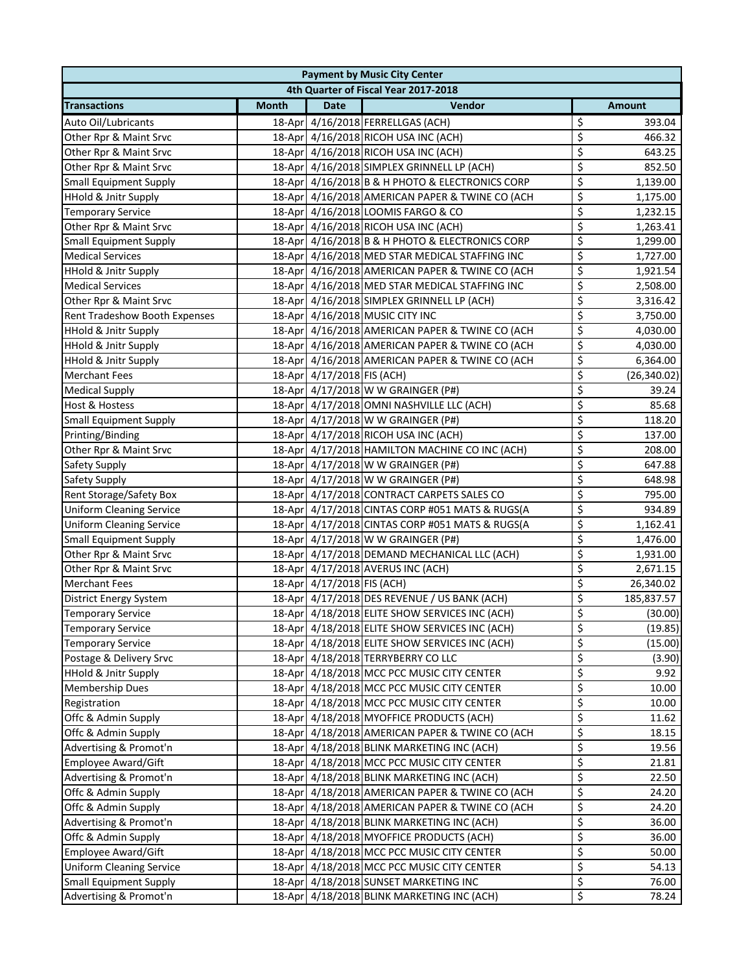| 4th Quarter of Fiscal Year 2017-2018<br>Vendor<br><b>Month</b><br><b>Date</b><br><b>Amount</b><br>\$<br>18-Apr 4/16/2018 FERRELLGAS (ACH)<br>393.04<br>Auto Oil/Lubricants<br>\$<br>18-Apr 4/16/2018 RICOH USA INC (ACH)<br>Other Rpr & Maint Srvc<br>466.32<br>\$<br>18-Apr 4/16/2018 RICOH USA INC (ACH)<br>643.25<br>Other Rpr & Maint Srvc<br>\$<br>18-Apr 4/16/2018 SIMPLEX GRINNELL LP (ACH)<br>852.50<br>\$<br>18-Apr 4/16/2018 B & H PHOTO & ELECTRONICS CORP<br><b>Small Equipment Supply</b><br>1,139.00<br>\$<br><b>HHold &amp; Jnitr Supply</b><br>18-Apr 4/16/2018 AMERICAN PAPER & TWINE CO (ACH<br>1,175.00<br>\$<br>18-Apr 4/16/2018 LOOMIS FARGO & CO<br>1,232.15<br><b>Temporary Service</b><br>\$<br>18-Apr 4/16/2018 RICOH USA INC (ACH)<br>Other Rpr & Maint Srvc<br>1,263.41<br>\$<br>18-Apr 4/16/2018 B & H PHOTO & ELECTRONICS CORP<br><b>Small Equipment Supply</b><br>1,299.00<br>\$<br>18-Apr 4/16/2018 MED STAR MEDICAL STAFFING INC<br>1,727.00<br>\$<br>18-Apr 4/16/2018 AMERICAN PAPER & TWINE CO (ACH<br><b>HHold &amp; Jnitr Supply</b><br>1,921.54<br>\$<br>18-Apr 4/16/2018 MED STAR MEDICAL STAFFING INC<br>2,508.00<br>\$<br>18-Apr 4/16/2018 SIMPLEX GRINNELL LP (ACH)<br>Other Rpr & Maint Srvc<br>3,316.42<br>\$<br>18-Apr 4/16/2018 MUSIC CITY INC<br>Rent Tradeshow Booth Expenses<br>3,750.00<br>\$<br>18-Apr 4/16/2018 AMERICAN PAPER & TWINE CO (ACH<br><b>HHold &amp; Jnitr Supply</b><br>4,030.00<br>\$<br>18-Apr 4/16/2018 AMERICAN PAPER & TWINE CO (ACH<br><b>HHold &amp; Jnitr Supply</b><br>4,030.00<br>\$<br>18-Apr 4/16/2018 AMERICAN PAPER & TWINE CO (ACH<br>HHold & Jnitr Supply<br>6,364.00<br>\$<br><b>Merchant Fees</b><br>18-Apr 4/17/2018 FIS (ACH)<br>(26, 340.02)<br>\$<br>18-Apr 4/17/2018 W W GRAINGER (P#)<br><b>Medical Supply</b><br>39.24<br>\$<br>18-Apr 4/17/2018 OMNI NASHVILLE LLC (ACH)<br>85.68<br>\$<br><b>Small Equipment Supply</b><br>18-Apr 4/17/2018 W W GRAINGER (P#)<br>118.20<br>\$<br>Printing/Binding<br>18-Apr 4/17/2018 RICOH USA INC (ACH)<br>137.00<br>\$<br>Other Rpr & Maint Srvc<br>18-Apr 4/17/2018 HAMILTON MACHINE CO INC (ACH)<br>208.00<br>\$<br>18-Apr 4/17/2018 W W GRAINGER (P#)<br>647.88<br>Safety Supply<br>\$<br>18-Apr 4/17/2018 W W GRAINGER (P#)<br>648.98<br>Safety Supply<br>\$<br>795.00<br>Rent Storage/Safety Box<br>18-Apr 4/17/2018 CONTRACT CARPETS SALES CO<br>\$<br><b>Uniform Cleaning Service</b><br>18-Apr 4/17/2018 CINTAS CORP #051 MATS & RUGS(A<br>934.89<br>\$<br><b>Uniform Cleaning Service</b><br>18-Apr 4/17/2018 CINTAS CORP #051 MATS & RUGS(A<br>1,162.41<br>\$<br><b>Small Equipment Supply</b><br>18-Apr 4/17/2018 W W GRAINGER (P#)<br>1,476.00<br>\$<br>18-Apr 4/17/2018 DEMAND MECHANICAL LLC (ACH)<br>Other Rpr & Maint Srvc<br>1,931.00<br>\$<br>18-Apr 4/17/2018 AVERUS INC (ACH)<br>2,671.15<br>Other Rpr & Maint Srvc<br>\$<br><b>Merchant Fees</b><br>18-Apr 4/17/2018 FIS (ACH)<br>26,340.02<br>\$<br>18-Apr 4/17/2018 DES REVENUE / US BANK (ACH)<br>185,837.57<br>District Energy System<br>$\overline{\mathsf{s}}$<br>18-Apr 4/18/2018 ELITE SHOW SERVICES INC (ACH)<br><b>Temporary Service</b><br>(30.00)<br>\$<br>18-Apr 4/18/2018 ELITE SHOW SERVICES INC (ACH)<br><b>Temporary Service</b><br>(19.85)<br>\$<br>18-Apr 4/18/2018 ELITE SHOW SERVICES INC (ACH)<br><b>Temporary Service</b><br>(15.00)<br>\$<br>Postage & Delivery Srvc<br>18-Apr 4/18/2018 TERRYBERRY CO LLC<br>(3.90)<br>\$<br><b>HHold &amp; Jnitr Supply</b><br>18-Apr 4/18/2018 MCC PCC MUSIC CITY CENTER<br>9.92<br>\$<br>18-Apr 4/18/2018 MCC PCC MUSIC CITY CENTER<br><b>Membership Dues</b><br>10.00<br>\$<br>18-Apr 4/18/2018 MCC PCC MUSIC CITY CENTER<br>10.00<br>Registration<br>\$<br>Offc & Admin Supply<br>18-Apr 4/18/2018 MYOFFICE PRODUCTS (ACH)<br>11.62<br>\$<br>18-Apr 4/18/2018 AMERICAN PAPER & TWINE CO (ACH<br>18.15<br>Offc & Admin Supply<br>\$<br>Advertising & Promot'n<br>18-Apr 4/18/2018 BLINK MARKETING INC (ACH)<br>19.56<br>\$<br>Employee Award/Gift<br>18-Apr 4/18/2018 MCC PCC MUSIC CITY CENTER<br>21.81<br>\$<br>Advertising & Promot'n<br>18-Apr 4/18/2018 BLINK MARKETING INC (ACH)<br>22.50<br>\$<br>18-Apr 4/18/2018 AMERICAN PAPER & TWINE CO (ACH<br>Offc & Admin Supply<br>24.20<br>\$<br>Offc & Admin Supply<br>18-Apr 4/18/2018 AMERICAN PAPER & TWINE CO (ACH<br>24.20<br>\$<br>Advertising & Promot'n<br>18-Apr 4/18/2018 BLINK MARKETING INC (ACH)<br>36.00<br>\$<br>Offc & Admin Supply<br>18-Apr 4/18/2018 MYOFFICE PRODUCTS (ACH)<br>36.00<br>\$<br>Employee Award/Gift<br>18-Apr 4/18/2018 MCC PCC MUSIC CITY CENTER<br>50.00<br>\$<br>18-Apr 4/18/2018 MCC PCC MUSIC CITY CENTER<br><b>Uniform Cleaning Service</b><br>54.13<br>\$<br>18-Apr 4/18/2018 SUNSET MARKETING INC<br><b>Small Equipment Supply</b><br>76.00<br>18-Apr 4/18/2018 BLINK MARKETING INC (ACH) |                           | <b>Payment by Music City Center</b> |  |  |    |       |  |  |
|-------------------------------------------------------------------------------------------------------------------------------------------------------------------------------------------------------------------------------------------------------------------------------------------------------------------------------------------------------------------------------------------------------------------------------------------------------------------------------------------------------------------------------------------------------------------------------------------------------------------------------------------------------------------------------------------------------------------------------------------------------------------------------------------------------------------------------------------------------------------------------------------------------------------------------------------------------------------------------------------------------------------------------------------------------------------------------------------------------------------------------------------------------------------------------------------------------------------------------------------------------------------------------------------------------------------------------------------------------------------------------------------------------------------------------------------------------------------------------------------------------------------------------------------------------------------------------------------------------------------------------------------------------------------------------------------------------------------------------------------------------------------------------------------------------------------------------------------------------------------------------------------------------------------------------------------------------------------------------------------------------------------------------------------------------------------------------------------------------------------------------------------------------------------------------------------------------------------------------------------------------------------------------------------------------------------------------------------------------------------------------------------------------------------------------------------------------------------------------------------------------------------------------------------------------------------------------------------------------------------------------------------------------------------------------------------------------------------------------------------------------------------------------------------------------------------------------------------------------------------------------------------------------------------------------------------------------------------------------------------------------------------------------------------------------------------------------------------------------------------------------------------------------------------------------------------------------------------------------------------------------------------------------------------------------------------------------------------------------------------------------------------------------------------------------------------------------------------------------------------------------------------------------------------------------------------------------------------------------------------------------------------------------------------------------------------------------------------------------------------------------------------------------------------------------------------------------------------------------------------------------------------------------------------------------------------------------------------------------------------------------------------------------------------------------------------------------------------------------------------------------------------------------------------------------------------------------------------------------------------------------------------------------------------------------------------------------------------------------------------------------------------------------------------------------------------------------------------------------------------------------------------------------------------------------------------------------------------------------------------------------------------------------------------------------------------------------------------------------------------------------------------------------------------------------------------------------------------------------|---------------------------|-------------------------------------|--|--|----|-------|--|--|
|                                                                                                                                                                                                                                                                                                                                                                                                                                                                                                                                                                                                                                                                                                                                                                                                                                                                                                                                                                                                                                                                                                                                                                                                                                                                                                                                                                                                                                                                                                                                                                                                                                                                                                                                                                                                                                                                                                                                                                                                                                                                                                                                                                                                                                                                                                                                                                                                                                                                                                                                                                                                                                                                                                                                                                                                                                                                                                                                                                                                                                                                                                                                                                                                                                                                                                                                                                                                                                                                                                                                                                                                                                                                                                                                                                                                                                                                                                                                                                                                                                                                                                                                                                                                                                                                                                                                                                                                                                                                                                                                                                                                                                                                                                                                                                                                                                                       |                           |                                     |  |  |    |       |  |  |
|                                                                                                                                                                                                                                                                                                                                                                                                                                                                                                                                                                                                                                                                                                                                                                                                                                                                                                                                                                                                                                                                                                                                                                                                                                                                                                                                                                                                                                                                                                                                                                                                                                                                                                                                                                                                                                                                                                                                                                                                                                                                                                                                                                                                                                                                                                                                                                                                                                                                                                                                                                                                                                                                                                                                                                                                                                                                                                                                                                                                                                                                                                                                                                                                                                                                                                                                                                                                                                                                                                                                                                                                                                                                                                                                                                                                                                                                                                                                                                                                                                                                                                                                                                                                                                                                                                                                                                                                                                                                                                                                                                                                                                                                                                                                                                                                                                                       | <b>Transactions</b>       |                                     |  |  |    |       |  |  |
|                                                                                                                                                                                                                                                                                                                                                                                                                                                                                                                                                                                                                                                                                                                                                                                                                                                                                                                                                                                                                                                                                                                                                                                                                                                                                                                                                                                                                                                                                                                                                                                                                                                                                                                                                                                                                                                                                                                                                                                                                                                                                                                                                                                                                                                                                                                                                                                                                                                                                                                                                                                                                                                                                                                                                                                                                                                                                                                                                                                                                                                                                                                                                                                                                                                                                                                                                                                                                                                                                                                                                                                                                                                                                                                                                                                                                                                                                                                                                                                                                                                                                                                                                                                                                                                                                                                                                                                                                                                                                                                                                                                                                                                                                                                                                                                                                                                       |                           |                                     |  |  |    |       |  |  |
|                                                                                                                                                                                                                                                                                                                                                                                                                                                                                                                                                                                                                                                                                                                                                                                                                                                                                                                                                                                                                                                                                                                                                                                                                                                                                                                                                                                                                                                                                                                                                                                                                                                                                                                                                                                                                                                                                                                                                                                                                                                                                                                                                                                                                                                                                                                                                                                                                                                                                                                                                                                                                                                                                                                                                                                                                                                                                                                                                                                                                                                                                                                                                                                                                                                                                                                                                                                                                                                                                                                                                                                                                                                                                                                                                                                                                                                                                                                                                                                                                                                                                                                                                                                                                                                                                                                                                                                                                                                                                                                                                                                                                                                                                                                                                                                                                                                       |                           |                                     |  |  |    |       |  |  |
|                                                                                                                                                                                                                                                                                                                                                                                                                                                                                                                                                                                                                                                                                                                                                                                                                                                                                                                                                                                                                                                                                                                                                                                                                                                                                                                                                                                                                                                                                                                                                                                                                                                                                                                                                                                                                                                                                                                                                                                                                                                                                                                                                                                                                                                                                                                                                                                                                                                                                                                                                                                                                                                                                                                                                                                                                                                                                                                                                                                                                                                                                                                                                                                                                                                                                                                                                                                                                                                                                                                                                                                                                                                                                                                                                                                                                                                                                                                                                                                                                                                                                                                                                                                                                                                                                                                                                                                                                                                                                                                                                                                                                                                                                                                                                                                                                                                       |                           |                                     |  |  |    |       |  |  |
|                                                                                                                                                                                                                                                                                                                                                                                                                                                                                                                                                                                                                                                                                                                                                                                                                                                                                                                                                                                                                                                                                                                                                                                                                                                                                                                                                                                                                                                                                                                                                                                                                                                                                                                                                                                                                                                                                                                                                                                                                                                                                                                                                                                                                                                                                                                                                                                                                                                                                                                                                                                                                                                                                                                                                                                                                                                                                                                                                                                                                                                                                                                                                                                                                                                                                                                                                                                                                                                                                                                                                                                                                                                                                                                                                                                                                                                                                                                                                                                                                                                                                                                                                                                                                                                                                                                                                                                                                                                                                                                                                                                                                                                                                                                                                                                                                                                       | Other Rpr & Maint Srvc    |                                     |  |  |    |       |  |  |
|                                                                                                                                                                                                                                                                                                                                                                                                                                                                                                                                                                                                                                                                                                                                                                                                                                                                                                                                                                                                                                                                                                                                                                                                                                                                                                                                                                                                                                                                                                                                                                                                                                                                                                                                                                                                                                                                                                                                                                                                                                                                                                                                                                                                                                                                                                                                                                                                                                                                                                                                                                                                                                                                                                                                                                                                                                                                                                                                                                                                                                                                                                                                                                                                                                                                                                                                                                                                                                                                                                                                                                                                                                                                                                                                                                                                                                                                                                                                                                                                                                                                                                                                                                                                                                                                                                                                                                                                                                                                                                                                                                                                                                                                                                                                                                                                                                                       |                           |                                     |  |  |    |       |  |  |
|                                                                                                                                                                                                                                                                                                                                                                                                                                                                                                                                                                                                                                                                                                                                                                                                                                                                                                                                                                                                                                                                                                                                                                                                                                                                                                                                                                                                                                                                                                                                                                                                                                                                                                                                                                                                                                                                                                                                                                                                                                                                                                                                                                                                                                                                                                                                                                                                                                                                                                                                                                                                                                                                                                                                                                                                                                                                                                                                                                                                                                                                                                                                                                                                                                                                                                                                                                                                                                                                                                                                                                                                                                                                                                                                                                                                                                                                                                                                                                                                                                                                                                                                                                                                                                                                                                                                                                                                                                                                                                                                                                                                                                                                                                                                                                                                                                                       |                           |                                     |  |  |    |       |  |  |
|                                                                                                                                                                                                                                                                                                                                                                                                                                                                                                                                                                                                                                                                                                                                                                                                                                                                                                                                                                                                                                                                                                                                                                                                                                                                                                                                                                                                                                                                                                                                                                                                                                                                                                                                                                                                                                                                                                                                                                                                                                                                                                                                                                                                                                                                                                                                                                                                                                                                                                                                                                                                                                                                                                                                                                                                                                                                                                                                                                                                                                                                                                                                                                                                                                                                                                                                                                                                                                                                                                                                                                                                                                                                                                                                                                                                                                                                                                                                                                                                                                                                                                                                                                                                                                                                                                                                                                                                                                                                                                                                                                                                                                                                                                                                                                                                                                                       |                           |                                     |  |  |    |       |  |  |
|                                                                                                                                                                                                                                                                                                                                                                                                                                                                                                                                                                                                                                                                                                                                                                                                                                                                                                                                                                                                                                                                                                                                                                                                                                                                                                                                                                                                                                                                                                                                                                                                                                                                                                                                                                                                                                                                                                                                                                                                                                                                                                                                                                                                                                                                                                                                                                                                                                                                                                                                                                                                                                                                                                                                                                                                                                                                                                                                                                                                                                                                                                                                                                                                                                                                                                                                                                                                                                                                                                                                                                                                                                                                                                                                                                                                                                                                                                                                                                                                                                                                                                                                                                                                                                                                                                                                                                                                                                                                                                                                                                                                                                                                                                                                                                                                                                                       |                           |                                     |  |  |    |       |  |  |
|                                                                                                                                                                                                                                                                                                                                                                                                                                                                                                                                                                                                                                                                                                                                                                                                                                                                                                                                                                                                                                                                                                                                                                                                                                                                                                                                                                                                                                                                                                                                                                                                                                                                                                                                                                                                                                                                                                                                                                                                                                                                                                                                                                                                                                                                                                                                                                                                                                                                                                                                                                                                                                                                                                                                                                                                                                                                                                                                                                                                                                                                                                                                                                                                                                                                                                                                                                                                                                                                                                                                                                                                                                                                                                                                                                                                                                                                                                                                                                                                                                                                                                                                                                                                                                                                                                                                                                                                                                                                                                                                                                                                                                                                                                                                                                                                                                                       |                           |                                     |  |  |    |       |  |  |
|                                                                                                                                                                                                                                                                                                                                                                                                                                                                                                                                                                                                                                                                                                                                                                                                                                                                                                                                                                                                                                                                                                                                                                                                                                                                                                                                                                                                                                                                                                                                                                                                                                                                                                                                                                                                                                                                                                                                                                                                                                                                                                                                                                                                                                                                                                                                                                                                                                                                                                                                                                                                                                                                                                                                                                                                                                                                                                                                                                                                                                                                                                                                                                                                                                                                                                                                                                                                                                                                                                                                                                                                                                                                                                                                                                                                                                                                                                                                                                                                                                                                                                                                                                                                                                                                                                                                                                                                                                                                                                                                                                                                                                                                                                                                                                                                                                                       | <b>Medical Services</b>   |                                     |  |  |    |       |  |  |
|                                                                                                                                                                                                                                                                                                                                                                                                                                                                                                                                                                                                                                                                                                                                                                                                                                                                                                                                                                                                                                                                                                                                                                                                                                                                                                                                                                                                                                                                                                                                                                                                                                                                                                                                                                                                                                                                                                                                                                                                                                                                                                                                                                                                                                                                                                                                                                                                                                                                                                                                                                                                                                                                                                                                                                                                                                                                                                                                                                                                                                                                                                                                                                                                                                                                                                                                                                                                                                                                                                                                                                                                                                                                                                                                                                                                                                                                                                                                                                                                                                                                                                                                                                                                                                                                                                                                                                                                                                                                                                                                                                                                                                                                                                                                                                                                                                                       |                           |                                     |  |  |    |       |  |  |
|                                                                                                                                                                                                                                                                                                                                                                                                                                                                                                                                                                                                                                                                                                                                                                                                                                                                                                                                                                                                                                                                                                                                                                                                                                                                                                                                                                                                                                                                                                                                                                                                                                                                                                                                                                                                                                                                                                                                                                                                                                                                                                                                                                                                                                                                                                                                                                                                                                                                                                                                                                                                                                                                                                                                                                                                                                                                                                                                                                                                                                                                                                                                                                                                                                                                                                                                                                                                                                                                                                                                                                                                                                                                                                                                                                                                                                                                                                                                                                                                                                                                                                                                                                                                                                                                                                                                                                                                                                                                                                                                                                                                                                                                                                                                                                                                                                                       | <b>Medical Services</b>   |                                     |  |  |    |       |  |  |
|                                                                                                                                                                                                                                                                                                                                                                                                                                                                                                                                                                                                                                                                                                                                                                                                                                                                                                                                                                                                                                                                                                                                                                                                                                                                                                                                                                                                                                                                                                                                                                                                                                                                                                                                                                                                                                                                                                                                                                                                                                                                                                                                                                                                                                                                                                                                                                                                                                                                                                                                                                                                                                                                                                                                                                                                                                                                                                                                                                                                                                                                                                                                                                                                                                                                                                                                                                                                                                                                                                                                                                                                                                                                                                                                                                                                                                                                                                                                                                                                                                                                                                                                                                                                                                                                                                                                                                                                                                                                                                                                                                                                                                                                                                                                                                                                                                                       |                           |                                     |  |  |    |       |  |  |
|                                                                                                                                                                                                                                                                                                                                                                                                                                                                                                                                                                                                                                                                                                                                                                                                                                                                                                                                                                                                                                                                                                                                                                                                                                                                                                                                                                                                                                                                                                                                                                                                                                                                                                                                                                                                                                                                                                                                                                                                                                                                                                                                                                                                                                                                                                                                                                                                                                                                                                                                                                                                                                                                                                                                                                                                                                                                                                                                                                                                                                                                                                                                                                                                                                                                                                                                                                                                                                                                                                                                                                                                                                                                                                                                                                                                                                                                                                                                                                                                                                                                                                                                                                                                                                                                                                                                                                                                                                                                                                                                                                                                                                                                                                                                                                                                                                                       |                           |                                     |  |  |    |       |  |  |
|                                                                                                                                                                                                                                                                                                                                                                                                                                                                                                                                                                                                                                                                                                                                                                                                                                                                                                                                                                                                                                                                                                                                                                                                                                                                                                                                                                                                                                                                                                                                                                                                                                                                                                                                                                                                                                                                                                                                                                                                                                                                                                                                                                                                                                                                                                                                                                                                                                                                                                                                                                                                                                                                                                                                                                                                                                                                                                                                                                                                                                                                                                                                                                                                                                                                                                                                                                                                                                                                                                                                                                                                                                                                                                                                                                                                                                                                                                                                                                                                                                                                                                                                                                                                                                                                                                                                                                                                                                                                                                                                                                                                                                                                                                                                                                                                                                                       |                           |                                     |  |  |    |       |  |  |
|                                                                                                                                                                                                                                                                                                                                                                                                                                                                                                                                                                                                                                                                                                                                                                                                                                                                                                                                                                                                                                                                                                                                                                                                                                                                                                                                                                                                                                                                                                                                                                                                                                                                                                                                                                                                                                                                                                                                                                                                                                                                                                                                                                                                                                                                                                                                                                                                                                                                                                                                                                                                                                                                                                                                                                                                                                                                                                                                                                                                                                                                                                                                                                                                                                                                                                                                                                                                                                                                                                                                                                                                                                                                                                                                                                                                                                                                                                                                                                                                                                                                                                                                                                                                                                                                                                                                                                                                                                                                                                                                                                                                                                                                                                                                                                                                                                                       |                           |                                     |  |  |    |       |  |  |
|                                                                                                                                                                                                                                                                                                                                                                                                                                                                                                                                                                                                                                                                                                                                                                                                                                                                                                                                                                                                                                                                                                                                                                                                                                                                                                                                                                                                                                                                                                                                                                                                                                                                                                                                                                                                                                                                                                                                                                                                                                                                                                                                                                                                                                                                                                                                                                                                                                                                                                                                                                                                                                                                                                                                                                                                                                                                                                                                                                                                                                                                                                                                                                                                                                                                                                                                                                                                                                                                                                                                                                                                                                                                                                                                                                                                                                                                                                                                                                                                                                                                                                                                                                                                                                                                                                                                                                                                                                                                                                                                                                                                                                                                                                                                                                                                                                                       |                           |                                     |  |  |    |       |  |  |
|                                                                                                                                                                                                                                                                                                                                                                                                                                                                                                                                                                                                                                                                                                                                                                                                                                                                                                                                                                                                                                                                                                                                                                                                                                                                                                                                                                                                                                                                                                                                                                                                                                                                                                                                                                                                                                                                                                                                                                                                                                                                                                                                                                                                                                                                                                                                                                                                                                                                                                                                                                                                                                                                                                                                                                                                                                                                                                                                                                                                                                                                                                                                                                                                                                                                                                                                                                                                                                                                                                                                                                                                                                                                                                                                                                                                                                                                                                                                                                                                                                                                                                                                                                                                                                                                                                                                                                                                                                                                                                                                                                                                                                                                                                                                                                                                                                                       |                           |                                     |  |  |    |       |  |  |
|                                                                                                                                                                                                                                                                                                                                                                                                                                                                                                                                                                                                                                                                                                                                                                                                                                                                                                                                                                                                                                                                                                                                                                                                                                                                                                                                                                                                                                                                                                                                                                                                                                                                                                                                                                                                                                                                                                                                                                                                                                                                                                                                                                                                                                                                                                                                                                                                                                                                                                                                                                                                                                                                                                                                                                                                                                                                                                                                                                                                                                                                                                                                                                                                                                                                                                                                                                                                                                                                                                                                                                                                                                                                                                                                                                                                                                                                                                                                                                                                                                                                                                                                                                                                                                                                                                                                                                                                                                                                                                                                                                                                                                                                                                                                                                                                                                                       |                           |                                     |  |  |    |       |  |  |
|                                                                                                                                                                                                                                                                                                                                                                                                                                                                                                                                                                                                                                                                                                                                                                                                                                                                                                                                                                                                                                                                                                                                                                                                                                                                                                                                                                                                                                                                                                                                                                                                                                                                                                                                                                                                                                                                                                                                                                                                                                                                                                                                                                                                                                                                                                                                                                                                                                                                                                                                                                                                                                                                                                                                                                                                                                                                                                                                                                                                                                                                                                                                                                                                                                                                                                                                                                                                                                                                                                                                                                                                                                                                                                                                                                                                                                                                                                                                                                                                                                                                                                                                                                                                                                                                                                                                                                                                                                                                                                                                                                                                                                                                                                                                                                                                                                                       | <b>Host &amp; Hostess</b> |                                     |  |  |    |       |  |  |
|                                                                                                                                                                                                                                                                                                                                                                                                                                                                                                                                                                                                                                                                                                                                                                                                                                                                                                                                                                                                                                                                                                                                                                                                                                                                                                                                                                                                                                                                                                                                                                                                                                                                                                                                                                                                                                                                                                                                                                                                                                                                                                                                                                                                                                                                                                                                                                                                                                                                                                                                                                                                                                                                                                                                                                                                                                                                                                                                                                                                                                                                                                                                                                                                                                                                                                                                                                                                                                                                                                                                                                                                                                                                                                                                                                                                                                                                                                                                                                                                                                                                                                                                                                                                                                                                                                                                                                                                                                                                                                                                                                                                                                                                                                                                                                                                                                                       |                           |                                     |  |  |    |       |  |  |
|                                                                                                                                                                                                                                                                                                                                                                                                                                                                                                                                                                                                                                                                                                                                                                                                                                                                                                                                                                                                                                                                                                                                                                                                                                                                                                                                                                                                                                                                                                                                                                                                                                                                                                                                                                                                                                                                                                                                                                                                                                                                                                                                                                                                                                                                                                                                                                                                                                                                                                                                                                                                                                                                                                                                                                                                                                                                                                                                                                                                                                                                                                                                                                                                                                                                                                                                                                                                                                                                                                                                                                                                                                                                                                                                                                                                                                                                                                                                                                                                                                                                                                                                                                                                                                                                                                                                                                                                                                                                                                                                                                                                                                                                                                                                                                                                                                                       |                           |                                     |  |  |    |       |  |  |
|                                                                                                                                                                                                                                                                                                                                                                                                                                                                                                                                                                                                                                                                                                                                                                                                                                                                                                                                                                                                                                                                                                                                                                                                                                                                                                                                                                                                                                                                                                                                                                                                                                                                                                                                                                                                                                                                                                                                                                                                                                                                                                                                                                                                                                                                                                                                                                                                                                                                                                                                                                                                                                                                                                                                                                                                                                                                                                                                                                                                                                                                                                                                                                                                                                                                                                                                                                                                                                                                                                                                                                                                                                                                                                                                                                                                                                                                                                                                                                                                                                                                                                                                                                                                                                                                                                                                                                                                                                                                                                                                                                                                                                                                                                                                                                                                                                                       |                           |                                     |  |  |    |       |  |  |
|                                                                                                                                                                                                                                                                                                                                                                                                                                                                                                                                                                                                                                                                                                                                                                                                                                                                                                                                                                                                                                                                                                                                                                                                                                                                                                                                                                                                                                                                                                                                                                                                                                                                                                                                                                                                                                                                                                                                                                                                                                                                                                                                                                                                                                                                                                                                                                                                                                                                                                                                                                                                                                                                                                                                                                                                                                                                                                                                                                                                                                                                                                                                                                                                                                                                                                                                                                                                                                                                                                                                                                                                                                                                                                                                                                                                                                                                                                                                                                                                                                                                                                                                                                                                                                                                                                                                                                                                                                                                                                                                                                                                                                                                                                                                                                                                                                                       |                           |                                     |  |  |    |       |  |  |
|                                                                                                                                                                                                                                                                                                                                                                                                                                                                                                                                                                                                                                                                                                                                                                                                                                                                                                                                                                                                                                                                                                                                                                                                                                                                                                                                                                                                                                                                                                                                                                                                                                                                                                                                                                                                                                                                                                                                                                                                                                                                                                                                                                                                                                                                                                                                                                                                                                                                                                                                                                                                                                                                                                                                                                                                                                                                                                                                                                                                                                                                                                                                                                                                                                                                                                                                                                                                                                                                                                                                                                                                                                                                                                                                                                                                                                                                                                                                                                                                                                                                                                                                                                                                                                                                                                                                                                                                                                                                                                                                                                                                                                                                                                                                                                                                                                                       |                           |                                     |  |  |    |       |  |  |
|                                                                                                                                                                                                                                                                                                                                                                                                                                                                                                                                                                                                                                                                                                                                                                                                                                                                                                                                                                                                                                                                                                                                                                                                                                                                                                                                                                                                                                                                                                                                                                                                                                                                                                                                                                                                                                                                                                                                                                                                                                                                                                                                                                                                                                                                                                                                                                                                                                                                                                                                                                                                                                                                                                                                                                                                                                                                                                                                                                                                                                                                                                                                                                                                                                                                                                                                                                                                                                                                                                                                                                                                                                                                                                                                                                                                                                                                                                                                                                                                                                                                                                                                                                                                                                                                                                                                                                                                                                                                                                                                                                                                                                                                                                                                                                                                                                                       |                           |                                     |  |  |    |       |  |  |
|                                                                                                                                                                                                                                                                                                                                                                                                                                                                                                                                                                                                                                                                                                                                                                                                                                                                                                                                                                                                                                                                                                                                                                                                                                                                                                                                                                                                                                                                                                                                                                                                                                                                                                                                                                                                                                                                                                                                                                                                                                                                                                                                                                                                                                                                                                                                                                                                                                                                                                                                                                                                                                                                                                                                                                                                                                                                                                                                                                                                                                                                                                                                                                                                                                                                                                                                                                                                                                                                                                                                                                                                                                                                                                                                                                                                                                                                                                                                                                                                                                                                                                                                                                                                                                                                                                                                                                                                                                                                                                                                                                                                                                                                                                                                                                                                                                                       |                           |                                     |  |  |    |       |  |  |
|                                                                                                                                                                                                                                                                                                                                                                                                                                                                                                                                                                                                                                                                                                                                                                                                                                                                                                                                                                                                                                                                                                                                                                                                                                                                                                                                                                                                                                                                                                                                                                                                                                                                                                                                                                                                                                                                                                                                                                                                                                                                                                                                                                                                                                                                                                                                                                                                                                                                                                                                                                                                                                                                                                                                                                                                                                                                                                                                                                                                                                                                                                                                                                                                                                                                                                                                                                                                                                                                                                                                                                                                                                                                                                                                                                                                                                                                                                                                                                                                                                                                                                                                                                                                                                                                                                                                                                                                                                                                                                                                                                                                                                                                                                                                                                                                                                                       |                           |                                     |  |  |    |       |  |  |
|                                                                                                                                                                                                                                                                                                                                                                                                                                                                                                                                                                                                                                                                                                                                                                                                                                                                                                                                                                                                                                                                                                                                                                                                                                                                                                                                                                                                                                                                                                                                                                                                                                                                                                                                                                                                                                                                                                                                                                                                                                                                                                                                                                                                                                                                                                                                                                                                                                                                                                                                                                                                                                                                                                                                                                                                                                                                                                                                                                                                                                                                                                                                                                                                                                                                                                                                                                                                                                                                                                                                                                                                                                                                                                                                                                                                                                                                                                                                                                                                                                                                                                                                                                                                                                                                                                                                                                                                                                                                                                                                                                                                                                                                                                                                                                                                                                                       |                           |                                     |  |  |    |       |  |  |
|                                                                                                                                                                                                                                                                                                                                                                                                                                                                                                                                                                                                                                                                                                                                                                                                                                                                                                                                                                                                                                                                                                                                                                                                                                                                                                                                                                                                                                                                                                                                                                                                                                                                                                                                                                                                                                                                                                                                                                                                                                                                                                                                                                                                                                                                                                                                                                                                                                                                                                                                                                                                                                                                                                                                                                                                                                                                                                                                                                                                                                                                                                                                                                                                                                                                                                                                                                                                                                                                                                                                                                                                                                                                                                                                                                                                                                                                                                                                                                                                                                                                                                                                                                                                                                                                                                                                                                                                                                                                                                                                                                                                                                                                                                                                                                                                                                                       |                           |                                     |  |  |    |       |  |  |
|                                                                                                                                                                                                                                                                                                                                                                                                                                                                                                                                                                                                                                                                                                                                                                                                                                                                                                                                                                                                                                                                                                                                                                                                                                                                                                                                                                                                                                                                                                                                                                                                                                                                                                                                                                                                                                                                                                                                                                                                                                                                                                                                                                                                                                                                                                                                                                                                                                                                                                                                                                                                                                                                                                                                                                                                                                                                                                                                                                                                                                                                                                                                                                                                                                                                                                                                                                                                                                                                                                                                                                                                                                                                                                                                                                                                                                                                                                                                                                                                                                                                                                                                                                                                                                                                                                                                                                                                                                                                                                                                                                                                                                                                                                                                                                                                                                                       |                           |                                     |  |  |    |       |  |  |
|                                                                                                                                                                                                                                                                                                                                                                                                                                                                                                                                                                                                                                                                                                                                                                                                                                                                                                                                                                                                                                                                                                                                                                                                                                                                                                                                                                                                                                                                                                                                                                                                                                                                                                                                                                                                                                                                                                                                                                                                                                                                                                                                                                                                                                                                                                                                                                                                                                                                                                                                                                                                                                                                                                                                                                                                                                                                                                                                                                                                                                                                                                                                                                                                                                                                                                                                                                                                                                                                                                                                                                                                                                                                                                                                                                                                                                                                                                                                                                                                                                                                                                                                                                                                                                                                                                                                                                                                                                                                                                                                                                                                                                                                                                                                                                                                                                                       |                           |                                     |  |  |    |       |  |  |
|                                                                                                                                                                                                                                                                                                                                                                                                                                                                                                                                                                                                                                                                                                                                                                                                                                                                                                                                                                                                                                                                                                                                                                                                                                                                                                                                                                                                                                                                                                                                                                                                                                                                                                                                                                                                                                                                                                                                                                                                                                                                                                                                                                                                                                                                                                                                                                                                                                                                                                                                                                                                                                                                                                                                                                                                                                                                                                                                                                                                                                                                                                                                                                                                                                                                                                                                                                                                                                                                                                                                                                                                                                                                                                                                                                                                                                                                                                                                                                                                                                                                                                                                                                                                                                                                                                                                                                                                                                                                                                                                                                                                                                                                                                                                                                                                                                                       |                           |                                     |  |  |    |       |  |  |
|                                                                                                                                                                                                                                                                                                                                                                                                                                                                                                                                                                                                                                                                                                                                                                                                                                                                                                                                                                                                                                                                                                                                                                                                                                                                                                                                                                                                                                                                                                                                                                                                                                                                                                                                                                                                                                                                                                                                                                                                                                                                                                                                                                                                                                                                                                                                                                                                                                                                                                                                                                                                                                                                                                                                                                                                                                                                                                                                                                                                                                                                                                                                                                                                                                                                                                                                                                                                                                                                                                                                                                                                                                                                                                                                                                                                                                                                                                                                                                                                                                                                                                                                                                                                                                                                                                                                                                                                                                                                                                                                                                                                                                                                                                                                                                                                                                                       |                           |                                     |  |  |    |       |  |  |
|                                                                                                                                                                                                                                                                                                                                                                                                                                                                                                                                                                                                                                                                                                                                                                                                                                                                                                                                                                                                                                                                                                                                                                                                                                                                                                                                                                                                                                                                                                                                                                                                                                                                                                                                                                                                                                                                                                                                                                                                                                                                                                                                                                                                                                                                                                                                                                                                                                                                                                                                                                                                                                                                                                                                                                                                                                                                                                                                                                                                                                                                                                                                                                                                                                                                                                                                                                                                                                                                                                                                                                                                                                                                                                                                                                                                                                                                                                                                                                                                                                                                                                                                                                                                                                                                                                                                                                                                                                                                                                                                                                                                                                                                                                                                                                                                                                                       |                           |                                     |  |  |    |       |  |  |
|                                                                                                                                                                                                                                                                                                                                                                                                                                                                                                                                                                                                                                                                                                                                                                                                                                                                                                                                                                                                                                                                                                                                                                                                                                                                                                                                                                                                                                                                                                                                                                                                                                                                                                                                                                                                                                                                                                                                                                                                                                                                                                                                                                                                                                                                                                                                                                                                                                                                                                                                                                                                                                                                                                                                                                                                                                                                                                                                                                                                                                                                                                                                                                                                                                                                                                                                                                                                                                                                                                                                                                                                                                                                                                                                                                                                                                                                                                                                                                                                                                                                                                                                                                                                                                                                                                                                                                                                                                                                                                                                                                                                                                                                                                                                                                                                                                                       |                           |                                     |  |  |    |       |  |  |
|                                                                                                                                                                                                                                                                                                                                                                                                                                                                                                                                                                                                                                                                                                                                                                                                                                                                                                                                                                                                                                                                                                                                                                                                                                                                                                                                                                                                                                                                                                                                                                                                                                                                                                                                                                                                                                                                                                                                                                                                                                                                                                                                                                                                                                                                                                                                                                                                                                                                                                                                                                                                                                                                                                                                                                                                                                                                                                                                                                                                                                                                                                                                                                                                                                                                                                                                                                                                                                                                                                                                                                                                                                                                                                                                                                                                                                                                                                                                                                                                                                                                                                                                                                                                                                                                                                                                                                                                                                                                                                                                                                                                                                                                                                                                                                                                                                                       |                           |                                     |  |  |    |       |  |  |
|                                                                                                                                                                                                                                                                                                                                                                                                                                                                                                                                                                                                                                                                                                                                                                                                                                                                                                                                                                                                                                                                                                                                                                                                                                                                                                                                                                                                                                                                                                                                                                                                                                                                                                                                                                                                                                                                                                                                                                                                                                                                                                                                                                                                                                                                                                                                                                                                                                                                                                                                                                                                                                                                                                                                                                                                                                                                                                                                                                                                                                                                                                                                                                                                                                                                                                                                                                                                                                                                                                                                                                                                                                                                                                                                                                                                                                                                                                                                                                                                                                                                                                                                                                                                                                                                                                                                                                                                                                                                                                                                                                                                                                                                                                                                                                                                                                                       |                           |                                     |  |  |    |       |  |  |
|                                                                                                                                                                                                                                                                                                                                                                                                                                                                                                                                                                                                                                                                                                                                                                                                                                                                                                                                                                                                                                                                                                                                                                                                                                                                                                                                                                                                                                                                                                                                                                                                                                                                                                                                                                                                                                                                                                                                                                                                                                                                                                                                                                                                                                                                                                                                                                                                                                                                                                                                                                                                                                                                                                                                                                                                                                                                                                                                                                                                                                                                                                                                                                                                                                                                                                                                                                                                                                                                                                                                                                                                                                                                                                                                                                                                                                                                                                                                                                                                                                                                                                                                                                                                                                                                                                                                                                                                                                                                                                                                                                                                                                                                                                                                                                                                                                                       |                           |                                     |  |  |    |       |  |  |
|                                                                                                                                                                                                                                                                                                                                                                                                                                                                                                                                                                                                                                                                                                                                                                                                                                                                                                                                                                                                                                                                                                                                                                                                                                                                                                                                                                                                                                                                                                                                                                                                                                                                                                                                                                                                                                                                                                                                                                                                                                                                                                                                                                                                                                                                                                                                                                                                                                                                                                                                                                                                                                                                                                                                                                                                                                                                                                                                                                                                                                                                                                                                                                                                                                                                                                                                                                                                                                                                                                                                                                                                                                                                                                                                                                                                                                                                                                                                                                                                                                                                                                                                                                                                                                                                                                                                                                                                                                                                                                                                                                                                                                                                                                                                                                                                                                                       |                           |                                     |  |  |    |       |  |  |
|                                                                                                                                                                                                                                                                                                                                                                                                                                                                                                                                                                                                                                                                                                                                                                                                                                                                                                                                                                                                                                                                                                                                                                                                                                                                                                                                                                                                                                                                                                                                                                                                                                                                                                                                                                                                                                                                                                                                                                                                                                                                                                                                                                                                                                                                                                                                                                                                                                                                                                                                                                                                                                                                                                                                                                                                                                                                                                                                                                                                                                                                                                                                                                                                                                                                                                                                                                                                                                                                                                                                                                                                                                                                                                                                                                                                                                                                                                                                                                                                                                                                                                                                                                                                                                                                                                                                                                                                                                                                                                                                                                                                                                                                                                                                                                                                                                                       |                           |                                     |  |  |    |       |  |  |
|                                                                                                                                                                                                                                                                                                                                                                                                                                                                                                                                                                                                                                                                                                                                                                                                                                                                                                                                                                                                                                                                                                                                                                                                                                                                                                                                                                                                                                                                                                                                                                                                                                                                                                                                                                                                                                                                                                                                                                                                                                                                                                                                                                                                                                                                                                                                                                                                                                                                                                                                                                                                                                                                                                                                                                                                                                                                                                                                                                                                                                                                                                                                                                                                                                                                                                                                                                                                                                                                                                                                                                                                                                                                                                                                                                                                                                                                                                                                                                                                                                                                                                                                                                                                                                                                                                                                                                                                                                                                                                                                                                                                                                                                                                                                                                                                                                                       |                           |                                     |  |  |    |       |  |  |
|                                                                                                                                                                                                                                                                                                                                                                                                                                                                                                                                                                                                                                                                                                                                                                                                                                                                                                                                                                                                                                                                                                                                                                                                                                                                                                                                                                                                                                                                                                                                                                                                                                                                                                                                                                                                                                                                                                                                                                                                                                                                                                                                                                                                                                                                                                                                                                                                                                                                                                                                                                                                                                                                                                                                                                                                                                                                                                                                                                                                                                                                                                                                                                                                                                                                                                                                                                                                                                                                                                                                                                                                                                                                                                                                                                                                                                                                                                                                                                                                                                                                                                                                                                                                                                                                                                                                                                                                                                                                                                                                                                                                                                                                                                                                                                                                                                                       |                           |                                     |  |  |    |       |  |  |
|                                                                                                                                                                                                                                                                                                                                                                                                                                                                                                                                                                                                                                                                                                                                                                                                                                                                                                                                                                                                                                                                                                                                                                                                                                                                                                                                                                                                                                                                                                                                                                                                                                                                                                                                                                                                                                                                                                                                                                                                                                                                                                                                                                                                                                                                                                                                                                                                                                                                                                                                                                                                                                                                                                                                                                                                                                                                                                                                                                                                                                                                                                                                                                                                                                                                                                                                                                                                                                                                                                                                                                                                                                                                                                                                                                                                                                                                                                                                                                                                                                                                                                                                                                                                                                                                                                                                                                                                                                                                                                                                                                                                                                                                                                                                                                                                                                                       |                           |                                     |  |  |    |       |  |  |
|                                                                                                                                                                                                                                                                                                                                                                                                                                                                                                                                                                                                                                                                                                                                                                                                                                                                                                                                                                                                                                                                                                                                                                                                                                                                                                                                                                                                                                                                                                                                                                                                                                                                                                                                                                                                                                                                                                                                                                                                                                                                                                                                                                                                                                                                                                                                                                                                                                                                                                                                                                                                                                                                                                                                                                                                                                                                                                                                                                                                                                                                                                                                                                                                                                                                                                                                                                                                                                                                                                                                                                                                                                                                                                                                                                                                                                                                                                                                                                                                                                                                                                                                                                                                                                                                                                                                                                                                                                                                                                                                                                                                                                                                                                                                                                                                                                                       |                           |                                     |  |  |    |       |  |  |
|                                                                                                                                                                                                                                                                                                                                                                                                                                                                                                                                                                                                                                                                                                                                                                                                                                                                                                                                                                                                                                                                                                                                                                                                                                                                                                                                                                                                                                                                                                                                                                                                                                                                                                                                                                                                                                                                                                                                                                                                                                                                                                                                                                                                                                                                                                                                                                                                                                                                                                                                                                                                                                                                                                                                                                                                                                                                                                                                                                                                                                                                                                                                                                                                                                                                                                                                                                                                                                                                                                                                                                                                                                                                                                                                                                                                                                                                                                                                                                                                                                                                                                                                                                                                                                                                                                                                                                                                                                                                                                                                                                                                                                                                                                                                                                                                                                                       |                           |                                     |  |  |    |       |  |  |
|                                                                                                                                                                                                                                                                                                                                                                                                                                                                                                                                                                                                                                                                                                                                                                                                                                                                                                                                                                                                                                                                                                                                                                                                                                                                                                                                                                                                                                                                                                                                                                                                                                                                                                                                                                                                                                                                                                                                                                                                                                                                                                                                                                                                                                                                                                                                                                                                                                                                                                                                                                                                                                                                                                                                                                                                                                                                                                                                                                                                                                                                                                                                                                                                                                                                                                                                                                                                                                                                                                                                                                                                                                                                                                                                                                                                                                                                                                                                                                                                                                                                                                                                                                                                                                                                                                                                                                                                                                                                                                                                                                                                                                                                                                                                                                                                                                                       |                           |                                     |  |  |    |       |  |  |
|                                                                                                                                                                                                                                                                                                                                                                                                                                                                                                                                                                                                                                                                                                                                                                                                                                                                                                                                                                                                                                                                                                                                                                                                                                                                                                                                                                                                                                                                                                                                                                                                                                                                                                                                                                                                                                                                                                                                                                                                                                                                                                                                                                                                                                                                                                                                                                                                                                                                                                                                                                                                                                                                                                                                                                                                                                                                                                                                                                                                                                                                                                                                                                                                                                                                                                                                                                                                                                                                                                                                                                                                                                                                                                                                                                                                                                                                                                                                                                                                                                                                                                                                                                                                                                                                                                                                                                                                                                                                                                                                                                                                                                                                                                                                                                                                                                                       |                           |                                     |  |  |    |       |  |  |
|                                                                                                                                                                                                                                                                                                                                                                                                                                                                                                                                                                                                                                                                                                                                                                                                                                                                                                                                                                                                                                                                                                                                                                                                                                                                                                                                                                                                                                                                                                                                                                                                                                                                                                                                                                                                                                                                                                                                                                                                                                                                                                                                                                                                                                                                                                                                                                                                                                                                                                                                                                                                                                                                                                                                                                                                                                                                                                                                                                                                                                                                                                                                                                                                                                                                                                                                                                                                                                                                                                                                                                                                                                                                                                                                                                                                                                                                                                                                                                                                                                                                                                                                                                                                                                                                                                                                                                                                                                                                                                                                                                                                                                                                                                                                                                                                                                                       |                           |                                     |  |  |    |       |  |  |
|                                                                                                                                                                                                                                                                                                                                                                                                                                                                                                                                                                                                                                                                                                                                                                                                                                                                                                                                                                                                                                                                                                                                                                                                                                                                                                                                                                                                                                                                                                                                                                                                                                                                                                                                                                                                                                                                                                                                                                                                                                                                                                                                                                                                                                                                                                                                                                                                                                                                                                                                                                                                                                                                                                                                                                                                                                                                                                                                                                                                                                                                                                                                                                                                                                                                                                                                                                                                                                                                                                                                                                                                                                                                                                                                                                                                                                                                                                                                                                                                                                                                                                                                                                                                                                                                                                                                                                                                                                                                                                                                                                                                                                                                                                                                                                                                                                                       |                           |                                     |  |  |    |       |  |  |
|                                                                                                                                                                                                                                                                                                                                                                                                                                                                                                                                                                                                                                                                                                                                                                                                                                                                                                                                                                                                                                                                                                                                                                                                                                                                                                                                                                                                                                                                                                                                                                                                                                                                                                                                                                                                                                                                                                                                                                                                                                                                                                                                                                                                                                                                                                                                                                                                                                                                                                                                                                                                                                                                                                                                                                                                                                                                                                                                                                                                                                                                                                                                                                                                                                                                                                                                                                                                                                                                                                                                                                                                                                                                                                                                                                                                                                                                                                                                                                                                                                                                                                                                                                                                                                                                                                                                                                                                                                                                                                                                                                                                                                                                                                                                                                                                                                                       |                           |                                     |  |  |    |       |  |  |
|                                                                                                                                                                                                                                                                                                                                                                                                                                                                                                                                                                                                                                                                                                                                                                                                                                                                                                                                                                                                                                                                                                                                                                                                                                                                                                                                                                                                                                                                                                                                                                                                                                                                                                                                                                                                                                                                                                                                                                                                                                                                                                                                                                                                                                                                                                                                                                                                                                                                                                                                                                                                                                                                                                                                                                                                                                                                                                                                                                                                                                                                                                                                                                                                                                                                                                                                                                                                                                                                                                                                                                                                                                                                                                                                                                                                                                                                                                                                                                                                                                                                                                                                                                                                                                                                                                                                                                                                                                                                                                                                                                                                                                                                                                                                                                                                                                                       |                           |                                     |  |  |    |       |  |  |
|                                                                                                                                                                                                                                                                                                                                                                                                                                                                                                                                                                                                                                                                                                                                                                                                                                                                                                                                                                                                                                                                                                                                                                                                                                                                                                                                                                                                                                                                                                                                                                                                                                                                                                                                                                                                                                                                                                                                                                                                                                                                                                                                                                                                                                                                                                                                                                                                                                                                                                                                                                                                                                                                                                                                                                                                                                                                                                                                                                                                                                                                                                                                                                                                                                                                                                                                                                                                                                                                                                                                                                                                                                                                                                                                                                                                                                                                                                                                                                                                                                                                                                                                                                                                                                                                                                                                                                                                                                                                                                                                                                                                                                                                                                                                                                                                                                                       | Advertising & Promot'n    |                                     |  |  | \$ | 78.24 |  |  |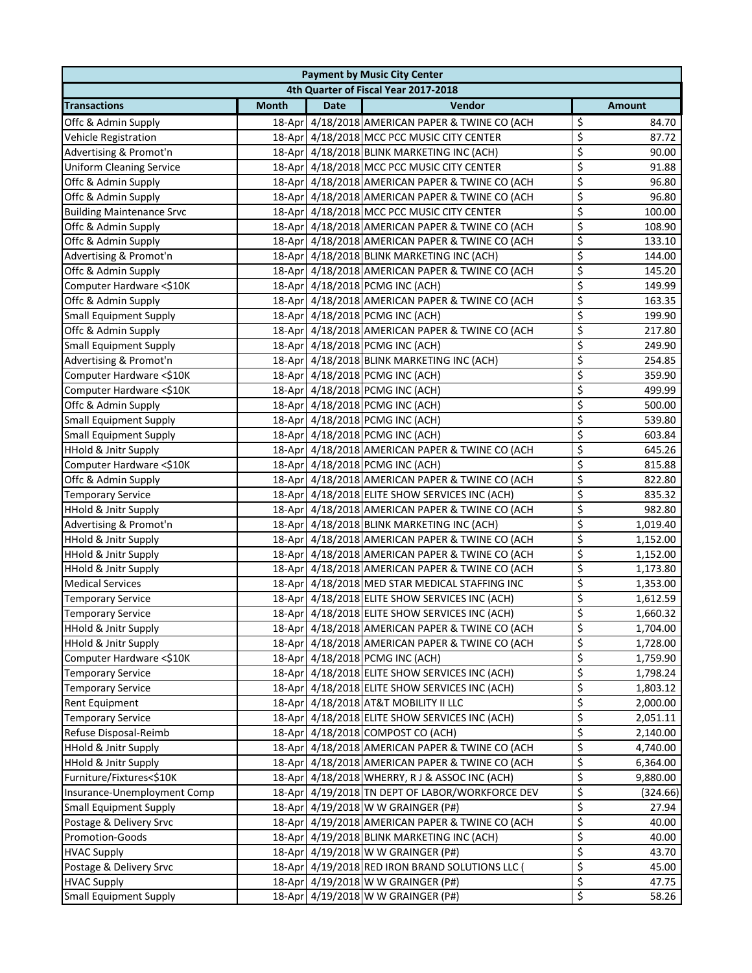| <b>Payment by Music City Center</b> |              |             |                                                 |                         |               |  |
|-------------------------------------|--------------|-------------|-------------------------------------------------|-------------------------|---------------|--|
|                                     |              |             | 4th Quarter of Fiscal Year 2017-2018            |                         |               |  |
| <b>Transactions</b>                 | <b>Month</b> | <b>Date</b> | Vendor                                          |                         | <b>Amount</b> |  |
| Offc & Admin Supply                 |              |             | 18-Apr 4/18/2018 AMERICAN PAPER & TWINE CO (ACH | \$                      | 84.70         |  |
| Vehicle Registration                |              |             | 18-Apr 4/18/2018 MCC PCC MUSIC CITY CENTER      | \$                      | 87.72         |  |
| Advertising & Promot'n              |              |             | 18-Apr 4/18/2018 BLINK MARKETING INC (ACH)      | \$                      | 90.00         |  |
| <b>Uniform Cleaning Service</b>     |              |             | 18-Apr 4/18/2018 MCC PCC MUSIC CITY CENTER      | \$                      | 91.88         |  |
| Offc & Admin Supply                 |              |             | 18-Apr 4/18/2018 AMERICAN PAPER & TWINE CO (ACH | \$                      | 96.80         |  |
| Offc & Admin Supply                 |              |             | 18-Apr 4/18/2018 AMERICAN PAPER & TWINE CO (ACH | \$                      | 96.80         |  |
| <b>Building Maintenance Srvc</b>    |              |             | 18-Apr 4/18/2018 MCC PCC MUSIC CITY CENTER      | \$                      | 100.00        |  |
| Offc & Admin Supply                 |              |             | 18-Apr 4/18/2018 AMERICAN PAPER & TWINE CO (ACH | \$                      | 108.90        |  |
| Offc & Admin Supply                 |              |             | 18-Apr 4/18/2018 AMERICAN PAPER & TWINE CO (ACH | \$                      | 133.10        |  |
| Advertising & Promot'n              |              |             | 18-Apr 4/18/2018 BLINK MARKETING INC (ACH)      | \$                      | 144.00        |  |
| Offc & Admin Supply                 |              |             | 18-Apr 4/18/2018 AMERICAN PAPER & TWINE CO (ACH | \$                      | 145.20        |  |
| Computer Hardware <\$10K            |              |             | 18-Apr 4/18/2018 PCMG INC (ACH)                 | \$                      | 149.99        |  |
| Offc & Admin Supply                 |              |             | 18-Apr 4/18/2018 AMERICAN PAPER & TWINE CO (ACH | \$                      | 163.35        |  |
| <b>Small Equipment Supply</b>       |              |             | 18-Apr 4/18/2018 PCMG INC (ACH)                 | \$                      | 199.90        |  |
| Offc & Admin Supply                 |              |             | 18-Apr 4/18/2018 AMERICAN PAPER & TWINE CO (ACH | \$                      | 217.80        |  |
| <b>Small Equipment Supply</b>       |              |             | 18-Apr 4/18/2018 PCMG INC (ACH)                 | \$                      | 249.90        |  |
| Advertising & Promot'n              |              |             | 18-Apr 4/18/2018 BLINK MARKETING INC (ACH)      | \$                      | 254.85        |  |
| Computer Hardware <\$10K            |              |             | 18-Apr 4/18/2018 PCMG INC (ACH)                 | \$                      | 359.90        |  |
| Computer Hardware <\$10K            |              |             | 18-Apr 4/18/2018 PCMG INC (ACH)                 | \$                      | 499.99        |  |
| Offc & Admin Supply                 |              |             | 18-Apr 4/18/2018 PCMG INC (ACH)                 | \$                      | 500.00        |  |
| <b>Small Equipment Supply</b>       |              |             | 18-Apr 4/18/2018 PCMG INC (ACH)                 | \$                      | 539.80        |  |
| <b>Small Equipment Supply</b>       |              |             | 18-Apr 4/18/2018 PCMG INC (ACH)                 | \$                      | 603.84        |  |
| <b>HHold &amp; Jnitr Supply</b>     |              |             | 18-Apr 4/18/2018 AMERICAN PAPER & TWINE CO (ACH | \$                      | 645.26        |  |
| Computer Hardware <\$10K            |              |             | 18-Apr 4/18/2018 PCMG INC (ACH)                 | \$                      | 815.88        |  |
| Offc & Admin Supply                 |              |             | 18-Apr 4/18/2018 AMERICAN PAPER & TWINE CO (ACH | \$                      | 822.80        |  |
| <b>Temporary Service</b>            |              |             | 18-Apr 4/18/2018 ELITE SHOW SERVICES INC (ACH)  | \$                      | 835.32        |  |
| <b>HHold &amp; Jnitr Supply</b>     |              |             | 18-Apr 4/18/2018 AMERICAN PAPER & TWINE CO (ACH | \$                      | 982.80        |  |
| Advertising & Promot'n              |              |             | 18-Apr 4/18/2018 BLINK MARKETING INC (ACH)      | \$                      | 1,019.40      |  |
| <b>HHold &amp; Jnitr Supply</b>     |              |             | 18-Apr 4/18/2018 AMERICAN PAPER & TWINE CO (ACH | \$                      | 1,152.00      |  |
| <b>HHold &amp; Jnitr Supply</b>     |              |             | 18-Apr 4/18/2018 AMERICAN PAPER & TWINE CO (ACH | \$                      | 1,152.00      |  |
| <b>HHold &amp; Jnitr Supply</b>     |              |             | 18-Apr 4/18/2018 AMERICAN PAPER & TWINE CO (ACH | \$                      | 1,173.80      |  |
| <b>Medical Services</b>             |              |             | 18-Apr 4/18/2018 MED STAR MEDICAL STAFFING INC  | \$                      | 1,353.00      |  |
| <b>Temporary Service</b>            |              |             | 18-Apr 4/18/2018 ELITE SHOW SERVICES INC (ACH)  | \$                      | 1,612.59      |  |
| <b>Temporary Service</b>            |              |             | 18-Apr 4/18/2018 ELITE SHOW SERVICES INC (ACH)  | $\overline{\mathsf{S}}$ | 1,660.32      |  |
| <b>HHold &amp; Jnitr Supply</b>     |              |             | 18-Apr 4/18/2018 AMERICAN PAPER & TWINE CO (ACH | \$                      | 1,704.00      |  |
| <b>HHold &amp; Jnitr Supply</b>     |              |             | 18-Apr 4/18/2018 AMERICAN PAPER & TWINE CO (ACH | \$                      | 1,728.00      |  |
| Computer Hardware <\$10K            |              |             | 18-Apr 4/18/2018 PCMG INC (ACH)                 | \$                      | 1,759.90      |  |
| <b>Temporary Service</b>            |              |             | 18-Apr 4/18/2018 ELITE SHOW SERVICES INC (ACH)  | \$                      | 1,798.24      |  |
| <b>Temporary Service</b>            |              |             | 18-Apr 4/18/2018 ELITE SHOW SERVICES INC (ACH)  | \$                      | 1,803.12      |  |
| <b>Rent Equipment</b>               |              |             | 18-Apr 4/18/2018 AT&T MOBILITY II LLC           | \$                      | 2,000.00      |  |
| <b>Temporary Service</b>            |              |             | 18-Apr 4/18/2018 ELITE SHOW SERVICES INC (ACH)  | \$                      | 2,051.11      |  |
| Refuse Disposal-Reimb               |              |             | 18-Apr 4/18/2018 COMPOST CO (ACH)               | \$                      | 2,140.00      |  |
| <b>HHold &amp; Jnitr Supply</b>     |              |             | 18-Apr 4/18/2018 AMERICAN PAPER & TWINE CO (ACH | \$                      | 4,740.00      |  |
| <b>HHold &amp; Jnitr Supply</b>     |              |             | 18-Apr 4/18/2018 AMERICAN PAPER & TWINE CO (ACH | \$                      | 6,364.00      |  |
| Furniture/Fixtures<\$10K            |              |             | 18-Apr 4/18/2018 WHERRY, R J & ASSOC INC (ACH)  | \$                      | 9,880.00      |  |
| Insurance-Unemployment Comp         |              |             | 18-Apr 4/19/2018 TN DEPT OF LABOR/WORKFORCE DEV | \$                      | (324.66)      |  |
| <b>Small Equipment Supply</b>       |              |             | 18-Apr 4/19/2018 W W GRAINGER (P#)              | \$                      | 27.94         |  |
| Postage & Delivery Srvc             |              |             | 18-Apr 4/19/2018 AMERICAN PAPER & TWINE CO (ACH | \$                      | 40.00         |  |
| Promotion-Goods                     |              |             | 18-Apr 4/19/2018 BLINK MARKETING INC (ACH)      | \$                      | 40.00         |  |
| <b>HVAC Supply</b>                  |              |             | 18-Apr 4/19/2018 W W GRAINGER (P#)              | \$                      | 43.70         |  |
| Postage & Delivery Srvc             |              |             | 18-Apr 4/19/2018 RED IRON BRAND SOLUTIONS LLC ( | \$                      | 45.00         |  |
| <b>HVAC Supply</b>                  |              |             | 18-Apr 4/19/2018 W W GRAINGER (P#)              | \$                      | 47.75         |  |
| <b>Small Equipment Supply</b>       |              |             | 18-Apr 4/19/2018 W W GRAINGER (P#)              | \$                      | 58.26         |  |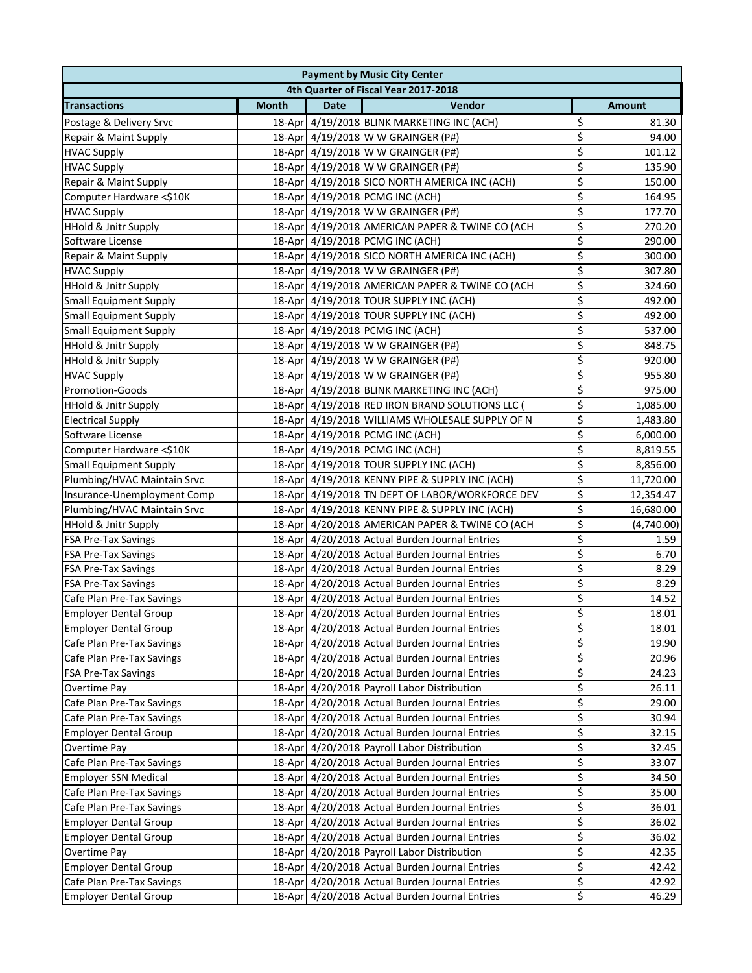| 4th Quarter of Fiscal Year 2017-2018<br>Vendor<br><b>Month</b><br><b>Date</b><br><b>Transactions</b><br><b>Amount</b><br>18-Apr 4/19/2018 BLINK MARKETING INC (ACH)<br>\$<br>Postage & Delivery Srvc<br>81.30<br>\$<br>18-Apr 4/19/2018 W W GRAINGER (P#)<br>Repair & Maint Supply<br>94.00<br>\$<br>18-Apr 4/19/2018 W W GRAINGER (P#)<br>101.12<br><b>HVAC Supply</b><br>\$<br>18-Apr 4/19/2018 W W GRAINGER (P#)<br>135.90<br><b>HVAC Supply</b><br>\$<br>18-Apr 4/19/2018 SICO NORTH AMERICA INC (ACH)<br>Repair & Maint Supply<br>150.00<br>\$<br>18-Apr 4/19/2018 PCMG INC (ACH)<br>Computer Hardware <\$10K<br>164.95<br>\$<br>18-Apr 4/19/2018 W W GRAINGER (P#)<br>177.70<br><b>HVAC Supply</b><br>\$<br>18-Apr 4/19/2018 AMERICAN PAPER & TWINE CO (ACH<br><b>HHold &amp; Jnitr Supply</b><br>270.20<br>\$<br>Software License<br>18-Apr 4/19/2018 PCMG INC (ACH)<br>290.00<br>\$<br>18-Apr 4/19/2018 SICO NORTH AMERICA INC (ACH)<br>300.00<br>Repair & Maint Supply<br>\$<br>18-Apr 4/19/2018 W W GRAINGER (P#)<br>307.80<br><b>HVAC Supply</b><br>\$<br>18-Apr 4/19/2018 AMERICAN PAPER & TWINE CO (ACH<br>HHold & Jnitr Supply<br>324.60<br>\$<br>18-Apr 4/19/2018 TOUR SUPPLY INC (ACH)<br>Small Equipment Supply<br>492.00<br>\$<br>Small Equipment Supply<br>18-Apr 4/19/2018 TOUR SUPPLY INC (ACH)<br>492.00<br>\$<br>18-Apr 4/19/2018 PCMG INC (ACH)<br><b>Small Equipment Supply</b><br>537.00<br>\$<br><b>HHold &amp; Jnitr Supply</b><br>18-Apr 4/19/2018 W W GRAINGER (P#)<br>848.75<br>\$<br>18-Apr 4/19/2018 W W GRAINGER (P#)<br><b>HHold &amp; Jnitr Supply</b><br>920.00<br>\$<br>18-Apr 4/19/2018 W W GRAINGER (P#)<br>955.80<br><b>HVAC Supply</b><br>\$<br>18-Apr 4/19/2018 BLINK MARKETING INC (ACH)<br>975.00<br>Promotion-Goods<br>\$<br>18-Apr 4/19/2018 RED IRON BRAND SOLUTIONS LLC (<br><b>HHold &amp; Jnitr Supply</b><br>1,085.00<br>\$<br>18-Apr 4/19/2018 WILLIAMS WHOLESALE SUPPLY OF N<br><b>Electrical Supply</b><br>1,483.80<br>\$<br>18-Apr 4/19/2018 PCMG INC (ACH)<br>Software License<br>6,000.00<br>\$<br>18-Apr 4/19/2018 PCMG INC (ACH)<br>Computer Hardware <\$10K<br>8,819.55<br>\$<br>18-Apr 4/19/2018 TOUR SUPPLY INC (ACH)<br><b>Small Equipment Supply</b><br>8,856.00<br>\$<br>Plumbing/HVAC Maintain Srvc<br>18-Apr 4/19/2018 KENNY PIPE & SUPPLY INC (ACH)<br>11,720.00<br>\$<br>Insurance-Unemployment Comp<br>18-Apr 4/19/2018 TN DEPT OF LABOR/WORKFORCE DEV<br>12,354.47<br>\$<br>18-Apr 4/19/2018 KENNY PIPE & SUPPLY INC (ACH)<br>Plumbing/HVAC Maintain Srvc<br>16,680.00<br>\$<br>HHold & Jnitr Supply<br>18-Apr 4/20/2018 AMERICAN PAPER & TWINE CO (ACH<br>(4,740.00)<br>\$<br>18-Apr 4/20/2018 Actual Burden Journal Entries<br><b>FSA Pre-Tax Savings</b><br>1.59<br>\$<br>18-Apr 4/20/2018 Actual Burden Journal Entries<br>6.70<br>FSA Pre-Tax Savings<br>\$<br>18-Apr 4/20/2018 Actual Burden Journal Entries<br>8.29<br>FSA Pre-Tax Savings<br>\$<br>18-Apr 4/20/2018 Actual Burden Journal Entries<br>FSA Pre-Tax Savings<br>8.29<br>\$<br>18-Apr 4/20/2018 Actual Burden Journal Entries<br>Cafe Plan Pre-Tax Savings<br>14.52<br>$\overline{\mathsf{S}}$<br>18-Apr 4/20/2018 Actual Burden Journal Entries<br><b>Employer Dental Group</b><br>18.01<br>\$<br>18-Apr 4/20/2018 Actual Burden Journal Entries<br><b>Employer Dental Group</b><br>18.01<br>\$<br>18-Apr 4/20/2018 Actual Burden Journal Entries<br>19.90<br>Cafe Plan Pre-Tax Savings<br>\$<br>18-Apr 4/20/2018 Actual Burden Journal Entries<br>Cafe Plan Pre-Tax Savings<br>20.96<br>\$<br>18-Apr 4/20/2018 Actual Burden Journal Entries<br>24.23<br><b>FSA Pre-Tax Savings</b><br>\$<br>18-Apr 4/20/2018 Payroll Labor Distribution<br>Overtime Pay<br>26.11<br>\$<br>Cafe Plan Pre-Tax Savings<br>18-Apr 4/20/2018 Actual Burden Journal Entries<br>29.00<br>\$<br>18-Apr 4/20/2018 Actual Burden Journal Entries<br>30.94<br>Cafe Plan Pre-Tax Savings<br>\$<br>18-Apr 4/20/2018 Actual Burden Journal Entries<br>32.15<br><b>Employer Dental Group</b><br>\$<br>18-Apr 4/20/2018 Payroll Labor Distribution<br>Overtime Pay<br>32.45<br>\$<br>Cafe Plan Pre-Tax Savings<br>18-Apr 4/20/2018 Actual Burden Journal Entries<br>33.07<br>\$<br>18-Apr 4/20/2018 Actual Burden Journal Entries<br><b>Employer SSN Medical</b><br>34.50<br>\$<br>Cafe Plan Pre-Tax Savings<br>18-Apr 4/20/2018 Actual Burden Journal Entries<br>35.00<br>\$<br>Cafe Plan Pre-Tax Savings<br>18-Apr 4/20/2018 Actual Burden Journal Entries<br>36.01<br>\$<br>18-Apr 4/20/2018 Actual Burden Journal Entries<br><b>Employer Dental Group</b><br>36.02<br>\$<br><b>Employer Dental Group</b><br>18-Apr 4/20/2018 Actual Burden Journal Entries<br>36.02<br>\$<br>18-Apr 4/20/2018 Payroll Labor Distribution<br>42.35<br>Overtime Pay<br>\$<br>18-Apr 4/20/2018 Actual Burden Journal Entries<br><b>Employer Dental Group</b><br>42.42<br>\$<br>18-Apr 4/20/2018 Actual Burden Journal Entries<br>42.92<br>Cafe Plan Pre-Tax Savings<br>18-Apr 4/20/2018 Actual Burden Journal Entries |                              | <b>Payment by Music City Center</b> |  |  |    |       |  |  |
|----------------------------------------------------------------------------------------------------------------------------------------------------------------------------------------------------------------------------------------------------------------------------------------------------------------------------------------------------------------------------------------------------------------------------------------------------------------------------------------------------------------------------------------------------------------------------------------------------------------------------------------------------------------------------------------------------------------------------------------------------------------------------------------------------------------------------------------------------------------------------------------------------------------------------------------------------------------------------------------------------------------------------------------------------------------------------------------------------------------------------------------------------------------------------------------------------------------------------------------------------------------------------------------------------------------------------------------------------------------------------------------------------------------------------------------------------------------------------------------------------------------------------------------------------------------------------------------------------------------------------------------------------------------------------------------------------------------------------------------------------------------------------------------------------------------------------------------------------------------------------------------------------------------------------------------------------------------------------------------------------------------------------------------------------------------------------------------------------------------------------------------------------------------------------------------------------------------------------------------------------------------------------------------------------------------------------------------------------------------------------------------------------------------------------------------------------------------------------------------------------------------------------------------------------------------------------------------------------------------------------------------------------------------------------------------------------------------------------------------------------------------------------------------------------------------------------------------------------------------------------------------------------------------------------------------------------------------------------------------------------------------------------------------------------------------------------------------------------------------------------------------------------------------------------------------------------------------------------------------------------------------------------------------------------------------------------------------------------------------------------------------------------------------------------------------------------------------------------------------------------------------------------------------------------------------------------------------------------------------------------------------------------------------------------------------------------------------------------------------------------------------------------------------------------------------------------------------------------------------------------------------------------------------------------------------------------------------------------------------------------------------------------------------------------------------------------------------------------------------------------------------------------------------------------------------------------------------------------------------------------------------------------------------------------------------------------------------------------------------------------------------------------------------------------------------------------------------------------------------------------------------------------------------------------------------------------------------------------------------------------------------------------------------------------------------------------------------------------------------------------------------------------------------------------------------------------------------------------------------------------------------------------------------------------------------------------------------------------------------------------------------------|------------------------------|-------------------------------------|--|--|----|-------|--|--|
|                                                                                                                                                                                                                                                                                                                                                                                                                                                                                                                                                                                                                                                                                                                                                                                                                                                                                                                                                                                                                                                                                                                                                                                                                                                                                                                                                                                                                                                                                                                                                                                                                                                                                                                                                                                                                                                                                                                                                                                                                                                                                                                                                                                                                                                                                                                                                                                                                                                                                                                                                                                                                                                                                                                                                                                                                                                                                                                                                                                                                                                                                                                                                                                                                                                                                                                                                                                                                                                                                                                                                                                                                                                                                                                                                                                                                                                                                                                                                                                                                                                                                                                                                                                                                                                                                                                                                                                                                                                                                                                                                                                                                                                                                                                                                                                                                                                                                                                                                                                                                      |                              |                                     |  |  |    |       |  |  |
|                                                                                                                                                                                                                                                                                                                                                                                                                                                                                                                                                                                                                                                                                                                                                                                                                                                                                                                                                                                                                                                                                                                                                                                                                                                                                                                                                                                                                                                                                                                                                                                                                                                                                                                                                                                                                                                                                                                                                                                                                                                                                                                                                                                                                                                                                                                                                                                                                                                                                                                                                                                                                                                                                                                                                                                                                                                                                                                                                                                                                                                                                                                                                                                                                                                                                                                                                                                                                                                                                                                                                                                                                                                                                                                                                                                                                                                                                                                                                                                                                                                                                                                                                                                                                                                                                                                                                                                                                                                                                                                                                                                                                                                                                                                                                                                                                                                                                                                                                                                                                      |                              |                                     |  |  |    |       |  |  |
|                                                                                                                                                                                                                                                                                                                                                                                                                                                                                                                                                                                                                                                                                                                                                                                                                                                                                                                                                                                                                                                                                                                                                                                                                                                                                                                                                                                                                                                                                                                                                                                                                                                                                                                                                                                                                                                                                                                                                                                                                                                                                                                                                                                                                                                                                                                                                                                                                                                                                                                                                                                                                                                                                                                                                                                                                                                                                                                                                                                                                                                                                                                                                                                                                                                                                                                                                                                                                                                                                                                                                                                                                                                                                                                                                                                                                                                                                                                                                                                                                                                                                                                                                                                                                                                                                                                                                                                                                                                                                                                                                                                                                                                                                                                                                                                                                                                                                                                                                                                                                      |                              |                                     |  |  |    |       |  |  |
|                                                                                                                                                                                                                                                                                                                                                                                                                                                                                                                                                                                                                                                                                                                                                                                                                                                                                                                                                                                                                                                                                                                                                                                                                                                                                                                                                                                                                                                                                                                                                                                                                                                                                                                                                                                                                                                                                                                                                                                                                                                                                                                                                                                                                                                                                                                                                                                                                                                                                                                                                                                                                                                                                                                                                                                                                                                                                                                                                                                                                                                                                                                                                                                                                                                                                                                                                                                                                                                                                                                                                                                                                                                                                                                                                                                                                                                                                                                                                                                                                                                                                                                                                                                                                                                                                                                                                                                                                                                                                                                                                                                                                                                                                                                                                                                                                                                                                                                                                                                                                      |                              |                                     |  |  |    |       |  |  |
|                                                                                                                                                                                                                                                                                                                                                                                                                                                                                                                                                                                                                                                                                                                                                                                                                                                                                                                                                                                                                                                                                                                                                                                                                                                                                                                                                                                                                                                                                                                                                                                                                                                                                                                                                                                                                                                                                                                                                                                                                                                                                                                                                                                                                                                                                                                                                                                                                                                                                                                                                                                                                                                                                                                                                                                                                                                                                                                                                                                                                                                                                                                                                                                                                                                                                                                                                                                                                                                                                                                                                                                                                                                                                                                                                                                                                                                                                                                                                                                                                                                                                                                                                                                                                                                                                                                                                                                                                                                                                                                                                                                                                                                                                                                                                                                                                                                                                                                                                                                                                      |                              |                                     |  |  |    |       |  |  |
|                                                                                                                                                                                                                                                                                                                                                                                                                                                                                                                                                                                                                                                                                                                                                                                                                                                                                                                                                                                                                                                                                                                                                                                                                                                                                                                                                                                                                                                                                                                                                                                                                                                                                                                                                                                                                                                                                                                                                                                                                                                                                                                                                                                                                                                                                                                                                                                                                                                                                                                                                                                                                                                                                                                                                                                                                                                                                                                                                                                                                                                                                                                                                                                                                                                                                                                                                                                                                                                                                                                                                                                                                                                                                                                                                                                                                                                                                                                                                                                                                                                                                                                                                                                                                                                                                                                                                                                                                                                                                                                                                                                                                                                                                                                                                                                                                                                                                                                                                                                                                      |                              |                                     |  |  |    |       |  |  |
|                                                                                                                                                                                                                                                                                                                                                                                                                                                                                                                                                                                                                                                                                                                                                                                                                                                                                                                                                                                                                                                                                                                                                                                                                                                                                                                                                                                                                                                                                                                                                                                                                                                                                                                                                                                                                                                                                                                                                                                                                                                                                                                                                                                                                                                                                                                                                                                                                                                                                                                                                                                                                                                                                                                                                                                                                                                                                                                                                                                                                                                                                                                                                                                                                                                                                                                                                                                                                                                                                                                                                                                                                                                                                                                                                                                                                                                                                                                                                                                                                                                                                                                                                                                                                                                                                                                                                                                                                                                                                                                                                                                                                                                                                                                                                                                                                                                                                                                                                                                                                      |                              |                                     |  |  |    |       |  |  |
|                                                                                                                                                                                                                                                                                                                                                                                                                                                                                                                                                                                                                                                                                                                                                                                                                                                                                                                                                                                                                                                                                                                                                                                                                                                                                                                                                                                                                                                                                                                                                                                                                                                                                                                                                                                                                                                                                                                                                                                                                                                                                                                                                                                                                                                                                                                                                                                                                                                                                                                                                                                                                                                                                                                                                                                                                                                                                                                                                                                                                                                                                                                                                                                                                                                                                                                                                                                                                                                                                                                                                                                                                                                                                                                                                                                                                                                                                                                                                                                                                                                                                                                                                                                                                                                                                                                                                                                                                                                                                                                                                                                                                                                                                                                                                                                                                                                                                                                                                                                                                      |                              |                                     |  |  |    |       |  |  |
|                                                                                                                                                                                                                                                                                                                                                                                                                                                                                                                                                                                                                                                                                                                                                                                                                                                                                                                                                                                                                                                                                                                                                                                                                                                                                                                                                                                                                                                                                                                                                                                                                                                                                                                                                                                                                                                                                                                                                                                                                                                                                                                                                                                                                                                                                                                                                                                                                                                                                                                                                                                                                                                                                                                                                                                                                                                                                                                                                                                                                                                                                                                                                                                                                                                                                                                                                                                                                                                                                                                                                                                                                                                                                                                                                                                                                                                                                                                                                                                                                                                                                                                                                                                                                                                                                                                                                                                                                                                                                                                                                                                                                                                                                                                                                                                                                                                                                                                                                                                                                      |                              |                                     |  |  |    |       |  |  |
|                                                                                                                                                                                                                                                                                                                                                                                                                                                                                                                                                                                                                                                                                                                                                                                                                                                                                                                                                                                                                                                                                                                                                                                                                                                                                                                                                                                                                                                                                                                                                                                                                                                                                                                                                                                                                                                                                                                                                                                                                                                                                                                                                                                                                                                                                                                                                                                                                                                                                                                                                                                                                                                                                                                                                                                                                                                                                                                                                                                                                                                                                                                                                                                                                                                                                                                                                                                                                                                                                                                                                                                                                                                                                                                                                                                                                                                                                                                                                                                                                                                                                                                                                                                                                                                                                                                                                                                                                                                                                                                                                                                                                                                                                                                                                                                                                                                                                                                                                                                                                      |                              |                                     |  |  |    |       |  |  |
|                                                                                                                                                                                                                                                                                                                                                                                                                                                                                                                                                                                                                                                                                                                                                                                                                                                                                                                                                                                                                                                                                                                                                                                                                                                                                                                                                                                                                                                                                                                                                                                                                                                                                                                                                                                                                                                                                                                                                                                                                                                                                                                                                                                                                                                                                                                                                                                                                                                                                                                                                                                                                                                                                                                                                                                                                                                                                                                                                                                                                                                                                                                                                                                                                                                                                                                                                                                                                                                                                                                                                                                                                                                                                                                                                                                                                                                                                                                                                                                                                                                                                                                                                                                                                                                                                                                                                                                                                                                                                                                                                                                                                                                                                                                                                                                                                                                                                                                                                                                                                      |                              |                                     |  |  |    |       |  |  |
|                                                                                                                                                                                                                                                                                                                                                                                                                                                                                                                                                                                                                                                                                                                                                                                                                                                                                                                                                                                                                                                                                                                                                                                                                                                                                                                                                                                                                                                                                                                                                                                                                                                                                                                                                                                                                                                                                                                                                                                                                                                                                                                                                                                                                                                                                                                                                                                                                                                                                                                                                                                                                                                                                                                                                                                                                                                                                                                                                                                                                                                                                                                                                                                                                                                                                                                                                                                                                                                                                                                                                                                                                                                                                                                                                                                                                                                                                                                                                                                                                                                                                                                                                                                                                                                                                                                                                                                                                                                                                                                                                                                                                                                                                                                                                                                                                                                                                                                                                                                                                      |                              |                                     |  |  |    |       |  |  |
|                                                                                                                                                                                                                                                                                                                                                                                                                                                                                                                                                                                                                                                                                                                                                                                                                                                                                                                                                                                                                                                                                                                                                                                                                                                                                                                                                                                                                                                                                                                                                                                                                                                                                                                                                                                                                                                                                                                                                                                                                                                                                                                                                                                                                                                                                                                                                                                                                                                                                                                                                                                                                                                                                                                                                                                                                                                                                                                                                                                                                                                                                                                                                                                                                                                                                                                                                                                                                                                                                                                                                                                                                                                                                                                                                                                                                                                                                                                                                                                                                                                                                                                                                                                                                                                                                                                                                                                                                                                                                                                                                                                                                                                                                                                                                                                                                                                                                                                                                                                                                      |                              |                                     |  |  |    |       |  |  |
|                                                                                                                                                                                                                                                                                                                                                                                                                                                                                                                                                                                                                                                                                                                                                                                                                                                                                                                                                                                                                                                                                                                                                                                                                                                                                                                                                                                                                                                                                                                                                                                                                                                                                                                                                                                                                                                                                                                                                                                                                                                                                                                                                                                                                                                                                                                                                                                                                                                                                                                                                                                                                                                                                                                                                                                                                                                                                                                                                                                                                                                                                                                                                                                                                                                                                                                                                                                                                                                                                                                                                                                                                                                                                                                                                                                                                                                                                                                                                                                                                                                                                                                                                                                                                                                                                                                                                                                                                                                                                                                                                                                                                                                                                                                                                                                                                                                                                                                                                                                                                      |                              |                                     |  |  |    |       |  |  |
|                                                                                                                                                                                                                                                                                                                                                                                                                                                                                                                                                                                                                                                                                                                                                                                                                                                                                                                                                                                                                                                                                                                                                                                                                                                                                                                                                                                                                                                                                                                                                                                                                                                                                                                                                                                                                                                                                                                                                                                                                                                                                                                                                                                                                                                                                                                                                                                                                                                                                                                                                                                                                                                                                                                                                                                                                                                                                                                                                                                                                                                                                                                                                                                                                                                                                                                                                                                                                                                                                                                                                                                                                                                                                                                                                                                                                                                                                                                                                                                                                                                                                                                                                                                                                                                                                                                                                                                                                                                                                                                                                                                                                                                                                                                                                                                                                                                                                                                                                                                                                      |                              |                                     |  |  |    |       |  |  |
|                                                                                                                                                                                                                                                                                                                                                                                                                                                                                                                                                                                                                                                                                                                                                                                                                                                                                                                                                                                                                                                                                                                                                                                                                                                                                                                                                                                                                                                                                                                                                                                                                                                                                                                                                                                                                                                                                                                                                                                                                                                                                                                                                                                                                                                                                                                                                                                                                                                                                                                                                                                                                                                                                                                                                                                                                                                                                                                                                                                                                                                                                                                                                                                                                                                                                                                                                                                                                                                                                                                                                                                                                                                                                                                                                                                                                                                                                                                                                                                                                                                                                                                                                                                                                                                                                                                                                                                                                                                                                                                                                                                                                                                                                                                                                                                                                                                                                                                                                                                                                      |                              |                                     |  |  |    |       |  |  |
|                                                                                                                                                                                                                                                                                                                                                                                                                                                                                                                                                                                                                                                                                                                                                                                                                                                                                                                                                                                                                                                                                                                                                                                                                                                                                                                                                                                                                                                                                                                                                                                                                                                                                                                                                                                                                                                                                                                                                                                                                                                                                                                                                                                                                                                                                                                                                                                                                                                                                                                                                                                                                                                                                                                                                                                                                                                                                                                                                                                                                                                                                                                                                                                                                                                                                                                                                                                                                                                                                                                                                                                                                                                                                                                                                                                                                                                                                                                                                                                                                                                                                                                                                                                                                                                                                                                                                                                                                                                                                                                                                                                                                                                                                                                                                                                                                                                                                                                                                                                                                      |                              |                                     |  |  |    |       |  |  |
|                                                                                                                                                                                                                                                                                                                                                                                                                                                                                                                                                                                                                                                                                                                                                                                                                                                                                                                                                                                                                                                                                                                                                                                                                                                                                                                                                                                                                                                                                                                                                                                                                                                                                                                                                                                                                                                                                                                                                                                                                                                                                                                                                                                                                                                                                                                                                                                                                                                                                                                                                                                                                                                                                                                                                                                                                                                                                                                                                                                                                                                                                                                                                                                                                                                                                                                                                                                                                                                                                                                                                                                                                                                                                                                                                                                                                                                                                                                                                                                                                                                                                                                                                                                                                                                                                                                                                                                                                                                                                                                                                                                                                                                                                                                                                                                                                                                                                                                                                                                                                      |                              |                                     |  |  |    |       |  |  |
|                                                                                                                                                                                                                                                                                                                                                                                                                                                                                                                                                                                                                                                                                                                                                                                                                                                                                                                                                                                                                                                                                                                                                                                                                                                                                                                                                                                                                                                                                                                                                                                                                                                                                                                                                                                                                                                                                                                                                                                                                                                                                                                                                                                                                                                                                                                                                                                                                                                                                                                                                                                                                                                                                                                                                                                                                                                                                                                                                                                                                                                                                                                                                                                                                                                                                                                                                                                                                                                                                                                                                                                                                                                                                                                                                                                                                                                                                                                                                                                                                                                                                                                                                                                                                                                                                                                                                                                                                                                                                                                                                                                                                                                                                                                                                                                                                                                                                                                                                                                                                      |                              |                                     |  |  |    |       |  |  |
|                                                                                                                                                                                                                                                                                                                                                                                                                                                                                                                                                                                                                                                                                                                                                                                                                                                                                                                                                                                                                                                                                                                                                                                                                                                                                                                                                                                                                                                                                                                                                                                                                                                                                                                                                                                                                                                                                                                                                                                                                                                                                                                                                                                                                                                                                                                                                                                                                                                                                                                                                                                                                                                                                                                                                                                                                                                                                                                                                                                                                                                                                                                                                                                                                                                                                                                                                                                                                                                                                                                                                                                                                                                                                                                                                                                                                                                                                                                                                                                                                                                                                                                                                                                                                                                                                                                                                                                                                                                                                                                                                                                                                                                                                                                                                                                                                                                                                                                                                                                                                      |                              |                                     |  |  |    |       |  |  |
|                                                                                                                                                                                                                                                                                                                                                                                                                                                                                                                                                                                                                                                                                                                                                                                                                                                                                                                                                                                                                                                                                                                                                                                                                                                                                                                                                                                                                                                                                                                                                                                                                                                                                                                                                                                                                                                                                                                                                                                                                                                                                                                                                                                                                                                                                                                                                                                                                                                                                                                                                                                                                                                                                                                                                                                                                                                                                                                                                                                                                                                                                                                                                                                                                                                                                                                                                                                                                                                                                                                                                                                                                                                                                                                                                                                                                                                                                                                                                                                                                                                                                                                                                                                                                                                                                                                                                                                                                                                                                                                                                                                                                                                                                                                                                                                                                                                                                                                                                                                                                      |                              |                                     |  |  |    |       |  |  |
|                                                                                                                                                                                                                                                                                                                                                                                                                                                                                                                                                                                                                                                                                                                                                                                                                                                                                                                                                                                                                                                                                                                                                                                                                                                                                                                                                                                                                                                                                                                                                                                                                                                                                                                                                                                                                                                                                                                                                                                                                                                                                                                                                                                                                                                                                                                                                                                                                                                                                                                                                                                                                                                                                                                                                                                                                                                                                                                                                                                                                                                                                                                                                                                                                                                                                                                                                                                                                                                                                                                                                                                                                                                                                                                                                                                                                                                                                                                                                                                                                                                                                                                                                                                                                                                                                                                                                                                                                                                                                                                                                                                                                                                                                                                                                                                                                                                                                                                                                                                                                      |                              |                                     |  |  |    |       |  |  |
|                                                                                                                                                                                                                                                                                                                                                                                                                                                                                                                                                                                                                                                                                                                                                                                                                                                                                                                                                                                                                                                                                                                                                                                                                                                                                                                                                                                                                                                                                                                                                                                                                                                                                                                                                                                                                                                                                                                                                                                                                                                                                                                                                                                                                                                                                                                                                                                                                                                                                                                                                                                                                                                                                                                                                                                                                                                                                                                                                                                                                                                                                                                                                                                                                                                                                                                                                                                                                                                                                                                                                                                                                                                                                                                                                                                                                                                                                                                                                                                                                                                                                                                                                                                                                                                                                                                                                                                                                                                                                                                                                                                                                                                                                                                                                                                                                                                                                                                                                                                                                      |                              |                                     |  |  |    |       |  |  |
|                                                                                                                                                                                                                                                                                                                                                                                                                                                                                                                                                                                                                                                                                                                                                                                                                                                                                                                                                                                                                                                                                                                                                                                                                                                                                                                                                                                                                                                                                                                                                                                                                                                                                                                                                                                                                                                                                                                                                                                                                                                                                                                                                                                                                                                                                                                                                                                                                                                                                                                                                                                                                                                                                                                                                                                                                                                                                                                                                                                                                                                                                                                                                                                                                                                                                                                                                                                                                                                                                                                                                                                                                                                                                                                                                                                                                                                                                                                                                                                                                                                                                                                                                                                                                                                                                                                                                                                                                                                                                                                                                                                                                                                                                                                                                                                                                                                                                                                                                                                                                      |                              |                                     |  |  |    |       |  |  |
|                                                                                                                                                                                                                                                                                                                                                                                                                                                                                                                                                                                                                                                                                                                                                                                                                                                                                                                                                                                                                                                                                                                                                                                                                                                                                                                                                                                                                                                                                                                                                                                                                                                                                                                                                                                                                                                                                                                                                                                                                                                                                                                                                                                                                                                                                                                                                                                                                                                                                                                                                                                                                                                                                                                                                                                                                                                                                                                                                                                                                                                                                                                                                                                                                                                                                                                                                                                                                                                                                                                                                                                                                                                                                                                                                                                                                                                                                                                                                                                                                                                                                                                                                                                                                                                                                                                                                                                                                                                                                                                                                                                                                                                                                                                                                                                                                                                                                                                                                                                                                      |                              |                                     |  |  |    |       |  |  |
|                                                                                                                                                                                                                                                                                                                                                                                                                                                                                                                                                                                                                                                                                                                                                                                                                                                                                                                                                                                                                                                                                                                                                                                                                                                                                                                                                                                                                                                                                                                                                                                                                                                                                                                                                                                                                                                                                                                                                                                                                                                                                                                                                                                                                                                                                                                                                                                                                                                                                                                                                                                                                                                                                                                                                                                                                                                                                                                                                                                                                                                                                                                                                                                                                                                                                                                                                                                                                                                                                                                                                                                                                                                                                                                                                                                                                                                                                                                                                                                                                                                                                                                                                                                                                                                                                                                                                                                                                                                                                                                                                                                                                                                                                                                                                                                                                                                                                                                                                                                                                      |                              |                                     |  |  |    |       |  |  |
|                                                                                                                                                                                                                                                                                                                                                                                                                                                                                                                                                                                                                                                                                                                                                                                                                                                                                                                                                                                                                                                                                                                                                                                                                                                                                                                                                                                                                                                                                                                                                                                                                                                                                                                                                                                                                                                                                                                                                                                                                                                                                                                                                                                                                                                                                                                                                                                                                                                                                                                                                                                                                                                                                                                                                                                                                                                                                                                                                                                                                                                                                                                                                                                                                                                                                                                                                                                                                                                                                                                                                                                                                                                                                                                                                                                                                                                                                                                                                                                                                                                                                                                                                                                                                                                                                                                                                                                                                                                                                                                                                                                                                                                                                                                                                                                                                                                                                                                                                                                                                      |                              |                                     |  |  |    |       |  |  |
|                                                                                                                                                                                                                                                                                                                                                                                                                                                                                                                                                                                                                                                                                                                                                                                                                                                                                                                                                                                                                                                                                                                                                                                                                                                                                                                                                                                                                                                                                                                                                                                                                                                                                                                                                                                                                                                                                                                                                                                                                                                                                                                                                                                                                                                                                                                                                                                                                                                                                                                                                                                                                                                                                                                                                                                                                                                                                                                                                                                                                                                                                                                                                                                                                                                                                                                                                                                                                                                                                                                                                                                                                                                                                                                                                                                                                                                                                                                                                                                                                                                                                                                                                                                                                                                                                                                                                                                                                                                                                                                                                                                                                                                                                                                                                                                                                                                                                                                                                                                                                      |                              |                                     |  |  |    |       |  |  |
|                                                                                                                                                                                                                                                                                                                                                                                                                                                                                                                                                                                                                                                                                                                                                                                                                                                                                                                                                                                                                                                                                                                                                                                                                                                                                                                                                                                                                                                                                                                                                                                                                                                                                                                                                                                                                                                                                                                                                                                                                                                                                                                                                                                                                                                                                                                                                                                                                                                                                                                                                                                                                                                                                                                                                                                                                                                                                                                                                                                                                                                                                                                                                                                                                                                                                                                                                                                                                                                                                                                                                                                                                                                                                                                                                                                                                                                                                                                                                                                                                                                                                                                                                                                                                                                                                                                                                                                                                                                                                                                                                                                                                                                                                                                                                                                                                                                                                                                                                                                                                      |                              |                                     |  |  |    |       |  |  |
|                                                                                                                                                                                                                                                                                                                                                                                                                                                                                                                                                                                                                                                                                                                                                                                                                                                                                                                                                                                                                                                                                                                                                                                                                                                                                                                                                                                                                                                                                                                                                                                                                                                                                                                                                                                                                                                                                                                                                                                                                                                                                                                                                                                                                                                                                                                                                                                                                                                                                                                                                                                                                                                                                                                                                                                                                                                                                                                                                                                                                                                                                                                                                                                                                                                                                                                                                                                                                                                                                                                                                                                                                                                                                                                                                                                                                                                                                                                                                                                                                                                                                                                                                                                                                                                                                                                                                                                                                                                                                                                                                                                                                                                                                                                                                                                                                                                                                                                                                                                                                      |                              |                                     |  |  |    |       |  |  |
|                                                                                                                                                                                                                                                                                                                                                                                                                                                                                                                                                                                                                                                                                                                                                                                                                                                                                                                                                                                                                                                                                                                                                                                                                                                                                                                                                                                                                                                                                                                                                                                                                                                                                                                                                                                                                                                                                                                                                                                                                                                                                                                                                                                                                                                                                                                                                                                                                                                                                                                                                                                                                                                                                                                                                                                                                                                                                                                                                                                                                                                                                                                                                                                                                                                                                                                                                                                                                                                                                                                                                                                                                                                                                                                                                                                                                                                                                                                                                                                                                                                                                                                                                                                                                                                                                                                                                                                                                                                                                                                                                                                                                                                                                                                                                                                                                                                                                                                                                                                                                      |                              |                                     |  |  |    |       |  |  |
|                                                                                                                                                                                                                                                                                                                                                                                                                                                                                                                                                                                                                                                                                                                                                                                                                                                                                                                                                                                                                                                                                                                                                                                                                                                                                                                                                                                                                                                                                                                                                                                                                                                                                                                                                                                                                                                                                                                                                                                                                                                                                                                                                                                                                                                                                                                                                                                                                                                                                                                                                                                                                                                                                                                                                                                                                                                                                                                                                                                                                                                                                                                                                                                                                                                                                                                                                                                                                                                                                                                                                                                                                                                                                                                                                                                                                                                                                                                                                                                                                                                                                                                                                                                                                                                                                                                                                                                                                                                                                                                                                                                                                                                                                                                                                                                                                                                                                                                                                                                                                      |                              |                                     |  |  |    |       |  |  |
|                                                                                                                                                                                                                                                                                                                                                                                                                                                                                                                                                                                                                                                                                                                                                                                                                                                                                                                                                                                                                                                                                                                                                                                                                                                                                                                                                                                                                                                                                                                                                                                                                                                                                                                                                                                                                                                                                                                                                                                                                                                                                                                                                                                                                                                                                                                                                                                                                                                                                                                                                                                                                                                                                                                                                                                                                                                                                                                                                                                                                                                                                                                                                                                                                                                                                                                                                                                                                                                                                                                                                                                                                                                                                                                                                                                                                                                                                                                                                                                                                                                                                                                                                                                                                                                                                                                                                                                                                                                                                                                                                                                                                                                                                                                                                                                                                                                                                                                                                                                                                      |                              |                                     |  |  |    |       |  |  |
|                                                                                                                                                                                                                                                                                                                                                                                                                                                                                                                                                                                                                                                                                                                                                                                                                                                                                                                                                                                                                                                                                                                                                                                                                                                                                                                                                                                                                                                                                                                                                                                                                                                                                                                                                                                                                                                                                                                                                                                                                                                                                                                                                                                                                                                                                                                                                                                                                                                                                                                                                                                                                                                                                                                                                                                                                                                                                                                                                                                                                                                                                                                                                                                                                                                                                                                                                                                                                                                                                                                                                                                                                                                                                                                                                                                                                                                                                                                                                                                                                                                                                                                                                                                                                                                                                                                                                                                                                                                                                                                                                                                                                                                                                                                                                                                                                                                                                                                                                                                                                      |                              |                                     |  |  |    |       |  |  |
|                                                                                                                                                                                                                                                                                                                                                                                                                                                                                                                                                                                                                                                                                                                                                                                                                                                                                                                                                                                                                                                                                                                                                                                                                                                                                                                                                                                                                                                                                                                                                                                                                                                                                                                                                                                                                                                                                                                                                                                                                                                                                                                                                                                                                                                                                                                                                                                                                                                                                                                                                                                                                                                                                                                                                                                                                                                                                                                                                                                                                                                                                                                                                                                                                                                                                                                                                                                                                                                                                                                                                                                                                                                                                                                                                                                                                                                                                                                                                                                                                                                                                                                                                                                                                                                                                                                                                                                                                                                                                                                                                                                                                                                                                                                                                                                                                                                                                                                                                                                                                      |                              |                                     |  |  |    |       |  |  |
|                                                                                                                                                                                                                                                                                                                                                                                                                                                                                                                                                                                                                                                                                                                                                                                                                                                                                                                                                                                                                                                                                                                                                                                                                                                                                                                                                                                                                                                                                                                                                                                                                                                                                                                                                                                                                                                                                                                                                                                                                                                                                                                                                                                                                                                                                                                                                                                                                                                                                                                                                                                                                                                                                                                                                                                                                                                                                                                                                                                                                                                                                                                                                                                                                                                                                                                                                                                                                                                                                                                                                                                                                                                                                                                                                                                                                                                                                                                                                                                                                                                                                                                                                                                                                                                                                                                                                                                                                                                                                                                                                                                                                                                                                                                                                                                                                                                                                                                                                                                                                      |                              |                                     |  |  |    |       |  |  |
|                                                                                                                                                                                                                                                                                                                                                                                                                                                                                                                                                                                                                                                                                                                                                                                                                                                                                                                                                                                                                                                                                                                                                                                                                                                                                                                                                                                                                                                                                                                                                                                                                                                                                                                                                                                                                                                                                                                                                                                                                                                                                                                                                                                                                                                                                                                                                                                                                                                                                                                                                                                                                                                                                                                                                                                                                                                                                                                                                                                                                                                                                                                                                                                                                                                                                                                                                                                                                                                                                                                                                                                                                                                                                                                                                                                                                                                                                                                                                                                                                                                                                                                                                                                                                                                                                                                                                                                                                                                                                                                                                                                                                                                                                                                                                                                                                                                                                                                                                                                                                      |                              |                                     |  |  |    |       |  |  |
|                                                                                                                                                                                                                                                                                                                                                                                                                                                                                                                                                                                                                                                                                                                                                                                                                                                                                                                                                                                                                                                                                                                                                                                                                                                                                                                                                                                                                                                                                                                                                                                                                                                                                                                                                                                                                                                                                                                                                                                                                                                                                                                                                                                                                                                                                                                                                                                                                                                                                                                                                                                                                                                                                                                                                                                                                                                                                                                                                                                                                                                                                                                                                                                                                                                                                                                                                                                                                                                                                                                                                                                                                                                                                                                                                                                                                                                                                                                                                                                                                                                                                                                                                                                                                                                                                                                                                                                                                                                                                                                                                                                                                                                                                                                                                                                                                                                                                                                                                                                                                      |                              |                                     |  |  |    |       |  |  |
|                                                                                                                                                                                                                                                                                                                                                                                                                                                                                                                                                                                                                                                                                                                                                                                                                                                                                                                                                                                                                                                                                                                                                                                                                                                                                                                                                                                                                                                                                                                                                                                                                                                                                                                                                                                                                                                                                                                                                                                                                                                                                                                                                                                                                                                                                                                                                                                                                                                                                                                                                                                                                                                                                                                                                                                                                                                                                                                                                                                                                                                                                                                                                                                                                                                                                                                                                                                                                                                                                                                                                                                                                                                                                                                                                                                                                                                                                                                                                                                                                                                                                                                                                                                                                                                                                                                                                                                                                                                                                                                                                                                                                                                                                                                                                                                                                                                                                                                                                                                                                      |                              |                                     |  |  |    |       |  |  |
|                                                                                                                                                                                                                                                                                                                                                                                                                                                                                                                                                                                                                                                                                                                                                                                                                                                                                                                                                                                                                                                                                                                                                                                                                                                                                                                                                                                                                                                                                                                                                                                                                                                                                                                                                                                                                                                                                                                                                                                                                                                                                                                                                                                                                                                                                                                                                                                                                                                                                                                                                                                                                                                                                                                                                                                                                                                                                                                                                                                                                                                                                                                                                                                                                                                                                                                                                                                                                                                                                                                                                                                                                                                                                                                                                                                                                                                                                                                                                                                                                                                                                                                                                                                                                                                                                                                                                                                                                                                                                                                                                                                                                                                                                                                                                                                                                                                                                                                                                                                                                      |                              |                                     |  |  |    |       |  |  |
|                                                                                                                                                                                                                                                                                                                                                                                                                                                                                                                                                                                                                                                                                                                                                                                                                                                                                                                                                                                                                                                                                                                                                                                                                                                                                                                                                                                                                                                                                                                                                                                                                                                                                                                                                                                                                                                                                                                                                                                                                                                                                                                                                                                                                                                                                                                                                                                                                                                                                                                                                                                                                                                                                                                                                                                                                                                                                                                                                                                                                                                                                                                                                                                                                                                                                                                                                                                                                                                                                                                                                                                                                                                                                                                                                                                                                                                                                                                                                                                                                                                                                                                                                                                                                                                                                                                                                                                                                                                                                                                                                                                                                                                                                                                                                                                                                                                                                                                                                                                                                      |                              |                                     |  |  |    |       |  |  |
|                                                                                                                                                                                                                                                                                                                                                                                                                                                                                                                                                                                                                                                                                                                                                                                                                                                                                                                                                                                                                                                                                                                                                                                                                                                                                                                                                                                                                                                                                                                                                                                                                                                                                                                                                                                                                                                                                                                                                                                                                                                                                                                                                                                                                                                                                                                                                                                                                                                                                                                                                                                                                                                                                                                                                                                                                                                                                                                                                                                                                                                                                                                                                                                                                                                                                                                                                                                                                                                                                                                                                                                                                                                                                                                                                                                                                                                                                                                                                                                                                                                                                                                                                                                                                                                                                                                                                                                                                                                                                                                                                                                                                                                                                                                                                                                                                                                                                                                                                                                                                      |                              |                                     |  |  |    |       |  |  |
|                                                                                                                                                                                                                                                                                                                                                                                                                                                                                                                                                                                                                                                                                                                                                                                                                                                                                                                                                                                                                                                                                                                                                                                                                                                                                                                                                                                                                                                                                                                                                                                                                                                                                                                                                                                                                                                                                                                                                                                                                                                                                                                                                                                                                                                                                                                                                                                                                                                                                                                                                                                                                                                                                                                                                                                                                                                                                                                                                                                                                                                                                                                                                                                                                                                                                                                                                                                                                                                                                                                                                                                                                                                                                                                                                                                                                                                                                                                                                                                                                                                                                                                                                                                                                                                                                                                                                                                                                                                                                                                                                                                                                                                                                                                                                                                                                                                                                                                                                                                                                      |                              |                                     |  |  |    |       |  |  |
|                                                                                                                                                                                                                                                                                                                                                                                                                                                                                                                                                                                                                                                                                                                                                                                                                                                                                                                                                                                                                                                                                                                                                                                                                                                                                                                                                                                                                                                                                                                                                                                                                                                                                                                                                                                                                                                                                                                                                                                                                                                                                                                                                                                                                                                                                                                                                                                                                                                                                                                                                                                                                                                                                                                                                                                                                                                                                                                                                                                                                                                                                                                                                                                                                                                                                                                                                                                                                                                                                                                                                                                                                                                                                                                                                                                                                                                                                                                                                                                                                                                                                                                                                                                                                                                                                                                                                                                                                                                                                                                                                                                                                                                                                                                                                                                                                                                                                                                                                                                                                      |                              |                                     |  |  |    |       |  |  |
|                                                                                                                                                                                                                                                                                                                                                                                                                                                                                                                                                                                                                                                                                                                                                                                                                                                                                                                                                                                                                                                                                                                                                                                                                                                                                                                                                                                                                                                                                                                                                                                                                                                                                                                                                                                                                                                                                                                                                                                                                                                                                                                                                                                                                                                                                                                                                                                                                                                                                                                                                                                                                                                                                                                                                                                                                                                                                                                                                                                                                                                                                                                                                                                                                                                                                                                                                                                                                                                                                                                                                                                                                                                                                                                                                                                                                                                                                                                                                                                                                                                                                                                                                                                                                                                                                                                                                                                                                                                                                                                                                                                                                                                                                                                                                                                                                                                                                                                                                                                                                      |                              |                                     |  |  |    |       |  |  |
|                                                                                                                                                                                                                                                                                                                                                                                                                                                                                                                                                                                                                                                                                                                                                                                                                                                                                                                                                                                                                                                                                                                                                                                                                                                                                                                                                                                                                                                                                                                                                                                                                                                                                                                                                                                                                                                                                                                                                                                                                                                                                                                                                                                                                                                                                                                                                                                                                                                                                                                                                                                                                                                                                                                                                                                                                                                                                                                                                                                                                                                                                                                                                                                                                                                                                                                                                                                                                                                                                                                                                                                                                                                                                                                                                                                                                                                                                                                                                                                                                                                                                                                                                                                                                                                                                                                                                                                                                                                                                                                                                                                                                                                                                                                                                                                                                                                                                                                                                                                                                      |                              |                                     |  |  |    |       |  |  |
|                                                                                                                                                                                                                                                                                                                                                                                                                                                                                                                                                                                                                                                                                                                                                                                                                                                                                                                                                                                                                                                                                                                                                                                                                                                                                                                                                                                                                                                                                                                                                                                                                                                                                                                                                                                                                                                                                                                                                                                                                                                                                                                                                                                                                                                                                                                                                                                                                                                                                                                                                                                                                                                                                                                                                                                                                                                                                                                                                                                                                                                                                                                                                                                                                                                                                                                                                                                                                                                                                                                                                                                                                                                                                                                                                                                                                                                                                                                                                                                                                                                                                                                                                                                                                                                                                                                                                                                                                                                                                                                                                                                                                                                                                                                                                                                                                                                                                                                                                                                                                      |                              |                                     |  |  |    |       |  |  |
|                                                                                                                                                                                                                                                                                                                                                                                                                                                                                                                                                                                                                                                                                                                                                                                                                                                                                                                                                                                                                                                                                                                                                                                                                                                                                                                                                                                                                                                                                                                                                                                                                                                                                                                                                                                                                                                                                                                                                                                                                                                                                                                                                                                                                                                                                                                                                                                                                                                                                                                                                                                                                                                                                                                                                                                                                                                                                                                                                                                                                                                                                                                                                                                                                                                                                                                                                                                                                                                                                                                                                                                                                                                                                                                                                                                                                                                                                                                                                                                                                                                                                                                                                                                                                                                                                                                                                                                                                                                                                                                                                                                                                                                                                                                                                                                                                                                                                                                                                                                                                      |                              |                                     |  |  |    |       |  |  |
|                                                                                                                                                                                                                                                                                                                                                                                                                                                                                                                                                                                                                                                                                                                                                                                                                                                                                                                                                                                                                                                                                                                                                                                                                                                                                                                                                                                                                                                                                                                                                                                                                                                                                                                                                                                                                                                                                                                                                                                                                                                                                                                                                                                                                                                                                                                                                                                                                                                                                                                                                                                                                                                                                                                                                                                                                                                                                                                                                                                                                                                                                                                                                                                                                                                                                                                                                                                                                                                                                                                                                                                                                                                                                                                                                                                                                                                                                                                                                                                                                                                                                                                                                                                                                                                                                                                                                                                                                                                                                                                                                                                                                                                                                                                                                                                                                                                                                                                                                                                                                      |                              |                                     |  |  |    |       |  |  |
|                                                                                                                                                                                                                                                                                                                                                                                                                                                                                                                                                                                                                                                                                                                                                                                                                                                                                                                                                                                                                                                                                                                                                                                                                                                                                                                                                                                                                                                                                                                                                                                                                                                                                                                                                                                                                                                                                                                                                                                                                                                                                                                                                                                                                                                                                                                                                                                                                                                                                                                                                                                                                                                                                                                                                                                                                                                                                                                                                                                                                                                                                                                                                                                                                                                                                                                                                                                                                                                                                                                                                                                                                                                                                                                                                                                                                                                                                                                                                                                                                                                                                                                                                                                                                                                                                                                                                                                                                                                                                                                                                                                                                                                                                                                                                                                                                                                                                                                                                                                                                      |                              |                                     |  |  |    |       |  |  |
|                                                                                                                                                                                                                                                                                                                                                                                                                                                                                                                                                                                                                                                                                                                                                                                                                                                                                                                                                                                                                                                                                                                                                                                                                                                                                                                                                                                                                                                                                                                                                                                                                                                                                                                                                                                                                                                                                                                                                                                                                                                                                                                                                                                                                                                                                                                                                                                                                                                                                                                                                                                                                                                                                                                                                                                                                                                                                                                                                                                                                                                                                                                                                                                                                                                                                                                                                                                                                                                                                                                                                                                                                                                                                                                                                                                                                                                                                                                                                                                                                                                                                                                                                                                                                                                                                                                                                                                                                                                                                                                                                                                                                                                                                                                                                                                                                                                                                                                                                                                                                      |                              |                                     |  |  |    |       |  |  |
|                                                                                                                                                                                                                                                                                                                                                                                                                                                                                                                                                                                                                                                                                                                                                                                                                                                                                                                                                                                                                                                                                                                                                                                                                                                                                                                                                                                                                                                                                                                                                                                                                                                                                                                                                                                                                                                                                                                                                                                                                                                                                                                                                                                                                                                                                                                                                                                                                                                                                                                                                                                                                                                                                                                                                                                                                                                                                                                                                                                                                                                                                                                                                                                                                                                                                                                                                                                                                                                                                                                                                                                                                                                                                                                                                                                                                                                                                                                                                                                                                                                                                                                                                                                                                                                                                                                                                                                                                                                                                                                                                                                                                                                                                                                                                                                                                                                                                                                                                                                                                      |                              |                                     |  |  |    |       |  |  |
|                                                                                                                                                                                                                                                                                                                                                                                                                                                                                                                                                                                                                                                                                                                                                                                                                                                                                                                                                                                                                                                                                                                                                                                                                                                                                                                                                                                                                                                                                                                                                                                                                                                                                                                                                                                                                                                                                                                                                                                                                                                                                                                                                                                                                                                                                                                                                                                                                                                                                                                                                                                                                                                                                                                                                                                                                                                                                                                                                                                                                                                                                                                                                                                                                                                                                                                                                                                                                                                                                                                                                                                                                                                                                                                                                                                                                                                                                                                                                                                                                                                                                                                                                                                                                                                                                                                                                                                                                                                                                                                                                                                                                                                                                                                                                                                                                                                                                                                                                                                                                      |                              |                                     |  |  |    |       |  |  |
|                                                                                                                                                                                                                                                                                                                                                                                                                                                                                                                                                                                                                                                                                                                                                                                                                                                                                                                                                                                                                                                                                                                                                                                                                                                                                                                                                                                                                                                                                                                                                                                                                                                                                                                                                                                                                                                                                                                                                                                                                                                                                                                                                                                                                                                                                                                                                                                                                                                                                                                                                                                                                                                                                                                                                                                                                                                                                                                                                                                                                                                                                                                                                                                                                                                                                                                                                                                                                                                                                                                                                                                                                                                                                                                                                                                                                                                                                                                                                                                                                                                                                                                                                                                                                                                                                                                                                                                                                                                                                                                                                                                                                                                                                                                                                                                                                                                                                                                                                                                                                      |                              |                                     |  |  |    |       |  |  |
|                                                                                                                                                                                                                                                                                                                                                                                                                                                                                                                                                                                                                                                                                                                                                                                                                                                                                                                                                                                                                                                                                                                                                                                                                                                                                                                                                                                                                                                                                                                                                                                                                                                                                                                                                                                                                                                                                                                                                                                                                                                                                                                                                                                                                                                                                                                                                                                                                                                                                                                                                                                                                                                                                                                                                                                                                                                                                                                                                                                                                                                                                                                                                                                                                                                                                                                                                                                                                                                                                                                                                                                                                                                                                                                                                                                                                                                                                                                                                                                                                                                                                                                                                                                                                                                                                                                                                                                                                                                                                                                                                                                                                                                                                                                                                                                                                                                                                                                                                                                                                      | <b>Employer Dental Group</b> |                                     |  |  | \$ | 46.29 |  |  |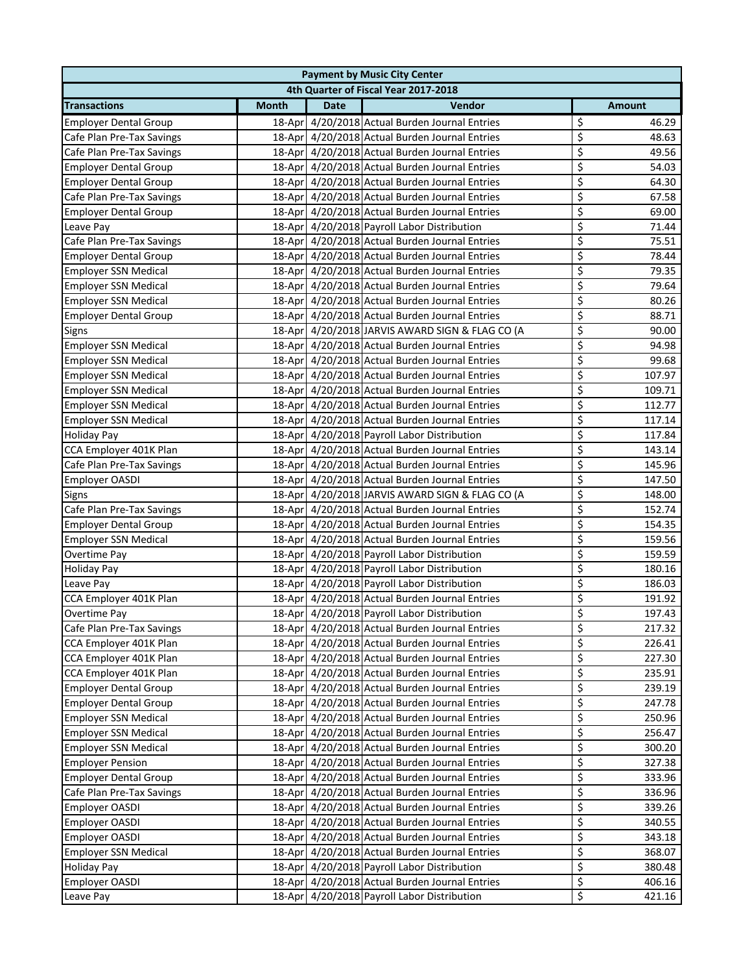|                              | <b>Payment by Music City Center</b> |             |                                                 |                         |               |  |  |
|------------------------------|-------------------------------------|-------------|-------------------------------------------------|-------------------------|---------------|--|--|
|                              |                                     |             | 4th Quarter of Fiscal Year 2017-2018            |                         |               |  |  |
| <b>Transactions</b>          | <b>Month</b>                        | <b>Date</b> | Vendor                                          |                         | <b>Amount</b> |  |  |
| <b>Employer Dental Group</b> |                                     |             | 18-Apr 4/20/2018 Actual Burden Journal Entries  | \$                      | 46.29         |  |  |
| Cafe Plan Pre-Tax Savings    |                                     |             | 18-Apr 4/20/2018 Actual Burden Journal Entries  | \$                      | 48.63         |  |  |
| Cafe Plan Pre-Tax Savings    |                                     |             | 18-Apr 4/20/2018 Actual Burden Journal Entries  | \$                      | 49.56         |  |  |
| <b>Employer Dental Group</b> |                                     |             | 18-Apr 4/20/2018 Actual Burden Journal Entries  | \$                      | 54.03         |  |  |
| <b>Employer Dental Group</b> |                                     |             | 18-Apr 4/20/2018 Actual Burden Journal Entries  | \$                      | 64.30         |  |  |
| Cafe Plan Pre-Tax Savings    |                                     |             | 18-Apr 4/20/2018 Actual Burden Journal Entries  | \$                      | 67.58         |  |  |
| <b>Employer Dental Group</b> |                                     |             | 18-Apr 4/20/2018 Actual Burden Journal Entries  | \$                      | 69.00         |  |  |
| Leave Pay                    |                                     |             | 18-Apr 4/20/2018 Payroll Labor Distribution     | \$                      | 71.44         |  |  |
| Cafe Plan Pre-Tax Savings    |                                     |             | 18-Apr 4/20/2018 Actual Burden Journal Entries  | \$                      | 75.51         |  |  |
| <b>Employer Dental Group</b> |                                     |             | 18-Apr 4/20/2018 Actual Burden Journal Entries  | \$                      | 78.44         |  |  |
| <b>Employer SSN Medical</b>  |                                     |             | 18-Apr 4/20/2018 Actual Burden Journal Entries  | \$                      | 79.35         |  |  |
| <b>Employer SSN Medical</b>  |                                     |             | 18-Apr 4/20/2018 Actual Burden Journal Entries  | \$                      | 79.64         |  |  |
| <b>Employer SSN Medical</b>  |                                     |             | 18-Apr 4/20/2018 Actual Burden Journal Entries  | \$                      | 80.26         |  |  |
| <b>Employer Dental Group</b> |                                     |             | 18-Apr 4/20/2018 Actual Burden Journal Entries  | \$                      | 88.71         |  |  |
| Signs                        |                                     |             | 18-Apr 4/20/2018 JARVIS AWARD SIGN & FLAG CO (A | \$                      | 90.00         |  |  |
| <b>Employer SSN Medical</b>  |                                     |             | 18-Apr 4/20/2018 Actual Burden Journal Entries  | \$                      | 94.98         |  |  |
| <b>Employer SSN Medical</b>  |                                     |             | 18-Apr 4/20/2018 Actual Burden Journal Entries  | \$                      | 99.68         |  |  |
| <b>Employer SSN Medical</b>  |                                     |             | 18-Apr 4/20/2018 Actual Burden Journal Entries  | \$                      | 107.97        |  |  |
| <b>Employer SSN Medical</b>  |                                     |             | 18-Apr 4/20/2018 Actual Burden Journal Entries  | \$                      | 109.71        |  |  |
| <b>Employer SSN Medical</b>  |                                     |             | 18-Apr 4/20/2018 Actual Burden Journal Entries  | \$                      | 112.77        |  |  |
| <b>Employer SSN Medical</b>  |                                     |             | 18-Apr 4/20/2018 Actual Burden Journal Entries  | \$                      | 117.14        |  |  |
| <b>Holiday Pay</b>           |                                     |             | 18-Apr 4/20/2018 Payroll Labor Distribution     | \$                      | 117.84        |  |  |
| CCA Employer 401K Plan       |                                     |             | 18-Apr 4/20/2018 Actual Burden Journal Entries  | \$                      | 143.14        |  |  |
| Cafe Plan Pre-Tax Savings    |                                     |             | 18-Apr 4/20/2018 Actual Burden Journal Entries  | \$                      | 145.96        |  |  |
| Employer OASDI               |                                     |             | 18-Apr 4/20/2018 Actual Burden Journal Entries  | \$                      | 147.50        |  |  |
| Signs                        |                                     |             | 18-Apr 4/20/2018 JARVIS AWARD SIGN & FLAG CO (A | \$                      | 148.00        |  |  |
| Cafe Plan Pre-Tax Savings    |                                     |             | 18-Apr 4/20/2018 Actual Burden Journal Entries  | \$                      | 152.74        |  |  |
| <b>Employer Dental Group</b> |                                     |             | 18-Apr 4/20/2018 Actual Burden Journal Entries  | \$                      | 154.35        |  |  |
| <b>Employer SSN Medical</b>  |                                     |             | 18-Apr 4/20/2018 Actual Burden Journal Entries  | \$                      | 159.56        |  |  |
| Overtime Pay                 |                                     |             | 18-Apr 4/20/2018 Payroll Labor Distribution     | \$                      | 159.59        |  |  |
| <b>Holiday Pay</b>           |                                     |             | 18-Apr 4/20/2018 Payroll Labor Distribution     | \$                      | 180.16        |  |  |
| Leave Pay                    |                                     |             | 18-Apr 4/20/2018 Payroll Labor Distribution     | \$                      | 186.03        |  |  |
| CCA Employer 401K Plan       |                                     |             | 18-Apr 4/20/2018 Actual Burden Journal Entries  | \$                      | 191.92        |  |  |
| Overtime Pay                 |                                     |             | 18-Apr 4/20/2018 Payroll Labor Distribution     | $\overline{\mathsf{S}}$ | 197.43        |  |  |
| Cafe Plan Pre-Tax Savings    |                                     |             | 18-Apr 4/20/2018 Actual Burden Journal Entries  | \$                      | 217.32        |  |  |
| CCA Employer 401K Plan       |                                     |             | 18-Apr 4/20/2018 Actual Burden Journal Entries  | \$                      | 226.41        |  |  |
| CCA Employer 401K Plan       |                                     |             | 18-Apr 4/20/2018 Actual Burden Journal Entries  | \$                      | 227.30        |  |  |
| CCA Employer 401K Plan       |                                     |             | 18-Apr 4/20/2018 Actual Burden Journal Entries  | \$                      | 235.91        |  |  |
| <b>Employer Dental Group</b> |                                     |             | 18-Apr 4/20/2018 Actual Burden Journal Entries  | \$                      | 239.19        |  |  |
| <b>Employer Dental Group</b> |                                     |             | 18-Apr 4/20/2018 Actual Burden Journal Entries  | \$                      | 247.78        |  |  |
| <b>Employer SSN Medical</b>  |                                     |             | 18-Apr 4/20/2018 Actual Burden Journal Entries  | \$                      | 250.96        |  |  |
| <b>Employer SSN Medical</b>  |                                     |             | 18-Apr 4/20/2018 Actual Burden Journal Entries  | \$                      | 256.47        |  |  |
| <b>Employer SSN Medical</b>  |                                     |             | 18-Apr 4/20/2018 Actual Burden Journal Entries  | \$                      | 300.20        |  |  |
| <b>Employer Pension</b>      |                                     |             | 18-Apr 4/20/2018 Actual Burden Journal Entries  | \$                      | 327.38        |  |  |
| <b>Employer Dental Group</b> |                                     |             | 18-Apr 4/20/2018 Actual Burden Journal Entries  | \$                      | 333.96        |  |  |
| Cafe Plan Pre-Tax Savings    |                                     |             | 18-Apr 4/20/2018 Actual Burden Journal Entries  | \$                      | 336.96        |  |  |
| <b>Employer OASDI</b>        |                                     |             | 18-Apr 4/20/2018 Actual Burden Journal Entries  | \$                      | 339.26        |  |  |
| Employer OASDI               |                                     |             | 18-Apr 4/20/2018 Actual Burden Journal Entries  | \$                      | 340.55        |  |  |
| Employer OASDI               |                                     |             | 18-Apr 4/20/2018 Actual Burden Journal Entries  | \$                      | 343.18        |  |  |
| <b>Employer SSN Medical</b>  |                                     |             | 18-Apr 4/20/2018 Actual Burden Journal Entries  | \$                      | 368.07        |  |  |
| <b>Holiday Pay</b>           |                                     |             | 18-Apr 4/20/2018 Payroll Labor Distribution     | \$                      | 380.48        |  |  |
| Employer OASDI               |                                     |             | 18-Apr 4/20/2018 Actual Burden Journal Entries  | \$                      | 406.16        |  |  |
| Leave Pay                    |                                     |             | 18-Apr 4/20/2018 Payroll Labor Distribution     | \$                      | 421.16        |  |  |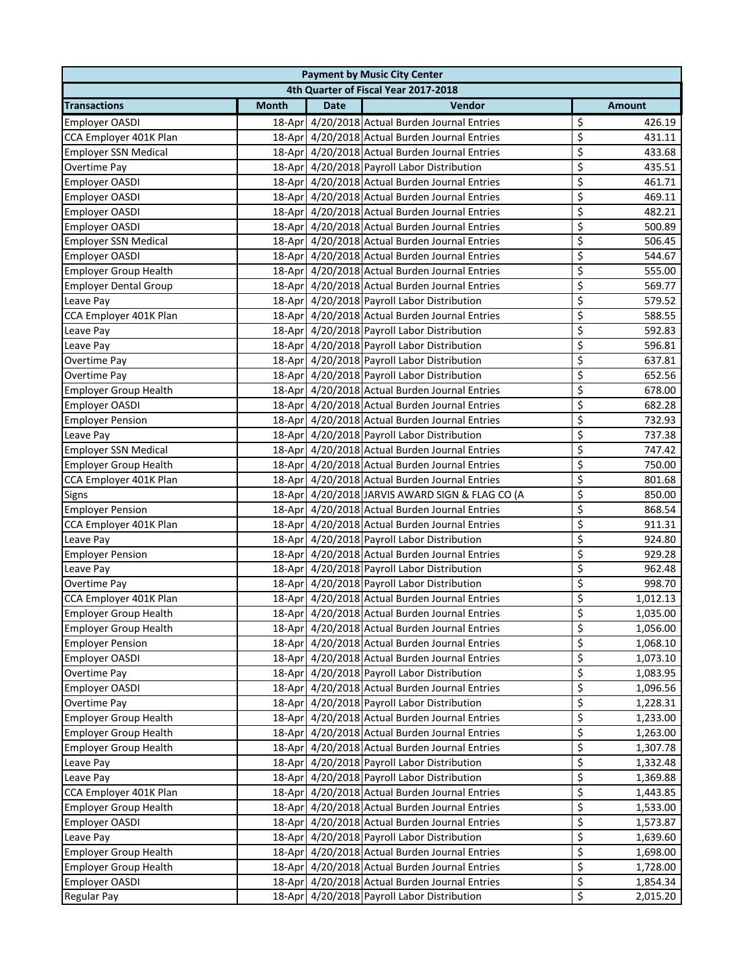| 4th Quarter of Fiscal Year 2017-2018<br>Vendor<br><b>Date</b><br><b>Transactions</b><br><b>Month</b><br><b>Amount</b><br>\$<br>18-Apr 4/20/2018 Actual Burden Journal Entries<br>426.19<br><b>Employer OASDI</b><br>\$<br>18-Apr 4/20/2018 Actual Burden Journal Entries<br>CCA Employer 401K Plan<br>431.11<br>\$<br>18-Apr 4/20/2018 Actual Burden Journal Entries<br><b>Employer SSN Medical</b><br>433.68<br>\$<br>18-Apr 4/20/2018 Payroll Labor Distribution<br>435.51<br>Overtime Pay<br>\$<br>18-Apr 4/20/2018 Actual Burden Journal Entries<br>461.71<br><b>Employer OASDI</b> |
|-----------------------------------------------------------------------------------------------------------------------------------------------------------------------------------------------------------------------------------------------------------------------------------------------------------------------------------------------------------------------------------------------------------------------------------------------------------------------------------------------------------------------------------------------------------------------------------------|
|                                                                                                                                                                                                                                                                                                                                                                                                                                                                                                                                                                                         |
|                                                                                                                                                                                                                                                                                                                                                                                                                                                                                                                                                                                         |
|                                                                                                                                                                                                                                                                                                                                                                                                                                                                                                                                                                                         |
|                                                                                                                                                                                                                                                                                                                                                                                                                                                                                                                                                                                         |
|                                                                                                                                                                                                                                                                                                                                                                                                                                                                                                                                                                                         |
|                                                                                                                                                                                                                                                                                                                                                                                                                                                                                                                                                                                         |
|                                                                                                                                                                                                                                                                                                                                                                                                                                                                                                                                                                                         |
| \$<br>18-Apr 4/20/2018 Actual Burden Journal Entries<br>469.11<br><b>Employer OASDI</b>                                                                                                                                                                                                                                                                                                                                                                                                                                                                                                 |
| \$<br>18-Apr 4/20/2018 Actual Burden Journal Entries<br>Employer OASDI<br>482.21                                                                                                                                                                                                                                                                                                                                                                                                                                                                                                        |
| \$<br>18-Apr 4/20/2018 Actual Burden Journal Entries<br>Employer OASDI<br>500.89                                                                                                                                                                                                                                                                                                                                                                                                                                                                                                        |
| \$<br>18-Apr 4/20/2018 Actual Burden Journal Entries<br>506.45<br><b>Employer SSN Medical</b>                                                                                                                                                                                                                                                                                                                                                                                                                                                                                           |
| \$<br>18-Apr 4/20/2018 Actual Burden Journal Entries<br>Employer OASDI<br>544.67                                                                                                                                                                                                                                                                                                                                                                                                                                                                                                        |
| \$<br>18-Apr 4/20/2018 Actual Burden Journal Entries<br><b>Employer Group Health</b><br>555.00                                                                                                                                                                                                                                                                                                                                                                                                                                                                                          |
| \$<br>18-Apr 4/20/2018 Actual Burden Journal Entries<br><b>Employer Dental Group</b><br>569.77                                                                                                                                                                                                                                                                                                                                                                                                                                                                                          |
| \$<br>18-Apr 4/20/2018 Payroll Labor Distribution<br>579.52<br>Leave Pay                                                                                                                                                                                                                                                                                                                                                                                                                                                                                                                |
| \$<br>18-Apr 4/20/2018 Actual Burden Journal Entries<br>CCA Employer 401K Plan<br>588.55                                                                                                                                                                                                                                                                                                                                                                                                                                                                                                |
| \$<br>18-Apr 4/20/2018 Payroll Labor Distribution<br>592.83<br>Leave Pay                                                                                                                                                                                                                                                                                                                                                                                                                                                                                                                |
| \$<br>18-Apr 4/20/2018 Payroll Labor Distribution<br>596.81<br>Leave Pay                                                                                                                                                                                                                                                                                                                                                                                                                                                                                                                |
| \$<br>18-Apr 4/20/2018 Payroll Labor Distribution<br>637.81<br>Overtime Pay                                                                                                                                                                                                                                                                                                                                                                                                                                                                                                             |
| $\overline{\xi}$<br>18-Apr 4/20/2018 Payroll Labor Distribution<br><b>Overtime Pay</b><br>652.56                                                                                                                                                                                                                                                                                                                                                                                                                                                                                        |
| \$<br>18-Apr 4/20/2018 Actual Burden Journal Entries<br>678.00<br><b>Employer Group Health</b>                                                                                                                                                                                                                                                                                                                                                                                                                                                                                          |
| \$<br>18-Apr 4/20/2018 Actual Burden Journal Entries<br>682.28<br>Employer OASDI                                                                                                                                                                                                                                                                                                                                                                                                                                                                                                        |
| \$<br><b>Employer Pension</b><br>18-Apr 4/20/2018 Actual Burden Journal Entries<br>732.93                                                                                                                                                                                                                                                                                                                                                                                                                                                                                               |
| \$<br>18-Apr 4/20/2018 Payroll Labor Distribution<br>Leave Pay<br>737.38                                                                                                                                                                                                                                                                                                                                                                                                                                                                                                                |
| \$<br><b>Employer SSN Medical</b><br>18-Apr 4/20/2018 Actual Burden Journal Entries<br>747.42                                                                                                                                                                                                                                                                                                                                                                                                                                                                                           |
| \$<br><b>Employer Group Health</b><br>18-Apr 4/20/2018 Actual Burden Journal Entries<br>750.00                                                                                                                                                                                                                                                                                                                                                                                                                                                                                          |
| \$<br>CCA Employer 401K Plan<br>18-Apr 4/20/2018 Actual Burden Journal Entries<br>801.68                                                                                                                                                                                                                                                                                                                                                                                                                                                                                                |
| \$<br>18-Apr 4/20/2018 JARVIS AWARD SIGN & FLAG CO (A<br>850.00<br><b>Signs</b>                                                                                                                                                                                                                                                                                                                                                                                                                                                                                                         |
| \$<br><b>Employer Pension</b><br>18-Apr 4/20/2018 Actual Burden Journal Entries<br>868.54                                                                                                                                                                                                                                                                                                                                                                                                                                                                                               |
| \$<br>CCA Employer 401K Plan<br>18-Apr 4/20/2018 Actual Burden Journal Entries<br>911.31                                                                                                                                                                                                                                                                                                                                                                                                                                                                                                |
| \$<br>Leave Pay<br>18-Apr 4/20/2018 Payroll Labor Distribution<br>924.80                                                                                                                                                                                                                                                                                                                                                                                                                                                                                                                |
| \$<br>18-Apr 4/20/2018 Actual Burden Journal Entries<br>929.28<br><b>Employer Pension</b>                                                                                                                                                                                                                                                                                                                                                                                                                                                                                               |
| \$<br>Leave Pay<br>18-Apr 4/20/2018 Payroll Labor Distribution<br>962.48                                                                                                                                                                                                                                                                                                                                                                                                                                                                                                                |
| \$<br>18-Apr 4/20/2018 Payroll Labor Distribution<br>Overtime Pay<br>998.70                                                                                                                                                                                                                                                                                                                                                                                                                                                                                                             |
| \$<br>CCA Employer 401K Plan<br>18-Apr 4/20/2018 Actual Burden Journal Entries<br>1,012.13                                                                                                                                                                                                                                                                                                                                                                                                                                                                                              |
| $\overline{\mathsf{s}}$<br>18-Apr 4/20/2018 Actual Burden Journal Entries<br>1,035.00<br><b>Employer Group Health</b>                                                                                                                                                                                                                                                                                                                                                                                                                                                                   |
| \$<br>18-Apr 4/20/2018 Actual Burden Journal Entries<br><b>Employer Group Health</b><br>1,056.00                                                                                                                                                                                                                                                                                                                                                                                                                                                                                        |
| \$<br>18-Apr 4/20/2018 Actual Burden Journal Entries<br><b>Employer Pension</b><br>1,068.10                                                                                                                                                                                                                                                                                                                                                                                                                                                                                             |
| \$<br>18-Apr 4/20/2018 Actual Burden Journal Entries<br><b>Employer OASDI</b><br>1,073.10                                                                                                                                                                                                                                                                                                                                                                                                                                                                                               |
| \$<br>18-Apr 4/20/2018 Payroll Labor Distribution<br>Overtime Pay<br>1,083.95                                                                                                                                                                                                                                                                                                                                                                                                                                                                                                           |
| \$<br>18-Apr 4/20/2018 Actual Burden Journal Entries<br>Employer OASDI<br>1,096.56                                                                                                                                                                                                                                                                                                                                                                                                                                                                                                      |
| \$<br>18-Apr 4/20/2018 Payroll Labor Distribution<br>Overtime Pay<br>1,228.31                                                                                                                                                                                                                                                                                                                                                                                                                                                                                                           |
| \$<br><b>Employer Group Health</b><br>18-Apr 4/20/2018 Actual Burden Journal Entries<br>1,233.00                                                                                                                                                                                                                                                                                                                                                                                                                                                                                        |
| \$<br><b>Employer Group Health</b><br>18-Apr 4/20/2018 Actual Burden Journal Entries<br>1,263.00                                                                                                                                                                                                                                                                                                                                                                                                                                                                                        |
| \$<br><b>Employer Group Health</b><br>18-Apr 4/20/2018 Actual Burden Journal Entries<br>1,307.78                                                                                                                                                                                                                                                                                                                                                                                                                                                                                        |
| \$<br>18-Apr 4/20/2018 Payroll Labor Distribution<br>Leave Pay<br>1,332.48                                                                                                                                                                                                                                                                                                                                                                                                                                                                                                              |
| \$<br>18-Apr 4/20/2018 Payroll Labor Distribution<br>1,369.88<br>Leave Pay                                                                                                                                                                                                                                                                                                                                                                                                                                                                                                              |
| \$<br>18-Apr 4/20/2018 Actual Burden Journal Entries<br>CCA Employer 401K Plan<br>1,443.85                                                                                                                                                                                                                                                                                                                                                                                                                                                                                              |
| \$<br><b>Employer Group Health</b><br>18-Apr 4/20/2018 Actual Burden Journal Entries<br>1,533.00                                                                                                                                                                                                                                                                                                                                                                                                                                                                                        |
| \$<br>18-Apr 4/20/2018 Actual Burden Journal Entries<br><b>Employer OASDI</b><br>1,573.87                                                                                                                                                                                                                                                                                                                                                                                                                                                                                               |
| \$<br>18-Apr 4/20/2018 Payroll Labor Distribution<br>1,639.60<br>Leave Pay                                                                                                                                                                                                                                                                                                                                                                                                                                                                                                              |
| \$<br><b>Employer Group Health</b><br>18-Apr 4/20/2018 Actual Burden Journal Entries<br>1,698.00                                                                                                                                                                                                                                                                                                                                                                                                                                                                                        |
| \$<br>18-Apr 4/20/2018 Actual Burden Journal Entries<br><b>Employer Group Health</b><br>1,728.00                                                                                                                                                                                                                                                                                                                                                                                                                                                                                        |
| \$<br>18-Apr 4/20/2018 Actual Burden Journal Entries<br>Employer OASDI<br>1,854.34                                                                                                                                                                                                                                                                                                                                                                                                                                                                                                      |
| \$<br>18-Apr 4/20/2018 Payroll Labor Distribution<br>2,015.20<br>Regular Pay                                                                                                                                                                                                                                                                                                                                                                                                                                                                                                            |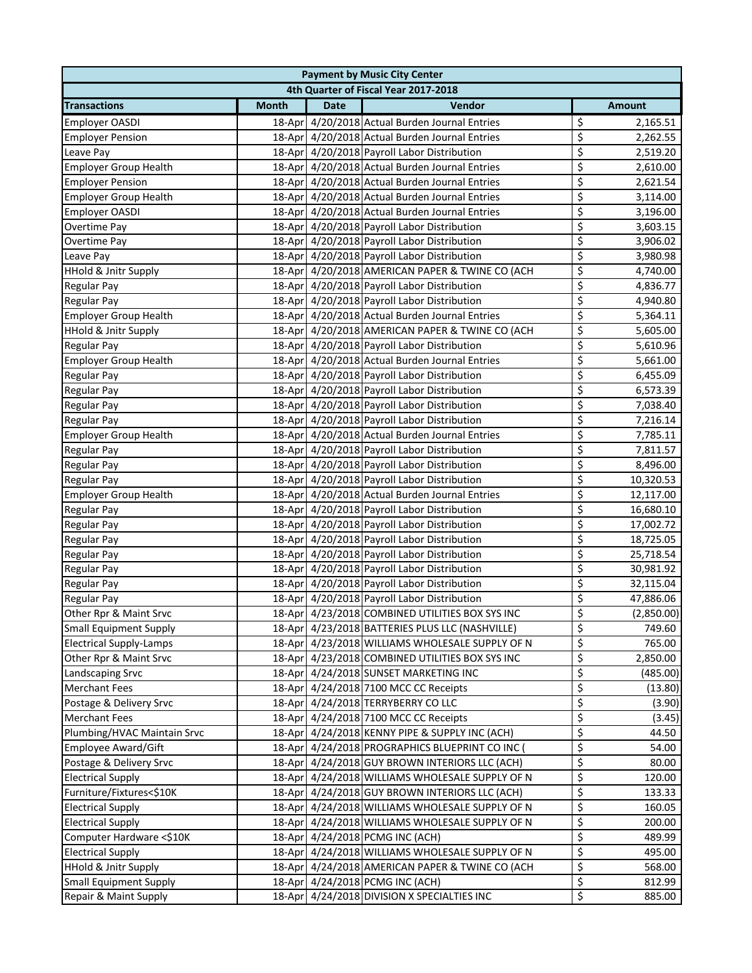| <b>Payment by Music City Center</b>  |              |             |                                                 |                         |               |  |  |
|--------------------------------------|--------------|-------------|-------------------------------------------------|-------------------------|---------------|--|--|
| 4th Quarter of Fiscal Year 2017-2018 |              |             |                                                 |                         |               |  |  |
| <b>Transactions</b>                  | <b>Month</b> | <b>Date</b> | Vendor                                          |                         | <b>Amount</b> |  |  |
| <b>Employer OASDI</b>                |              |             | 18-Apr 4/20/2018 Actual Burden Journal Entries  | \$                      | 2,165.51      |  |  |
| <b>Employer Pension</b>              |              |             | 18-Apr 4/20/2018 Actual Burden Journal Entries  | \$                      | 2,262.55      |  |  |
| Leave Pay                            |              |             | 18-Apr 4/20/2018 Payroll Labor Distribution     | \$                      | 2,519.20      |  |  |
| <b>Employer Group Health</b>         |              |             | 18-Apr 4/20/2018 Actual Burden Journal Entries  | \$                      | 2,610.00      |  |  |
| <b>Employer Pension</b>              |              |             | 18-Apr 4/20/2018 Actual Burden Journal Entries  | \$                      | 2,621.54      |  |  |
| <b>Employer Group Health</b>         |              |             | 18-Apr 4/20/2018 Actual Burden Journal Entries  | \$                      | 3,114.00      |  |  |
| Employer OASDI                       |              |             | 18-Apr 4/20/2018 Actual Burden Journal Entries  | \$                      | 3,196.00      |  |  |
| Overtime Pay                         |              |             | 18-Apr 4/20/2018 Payroll Labor Distribution     | \$                      | 3,603.15      |  |  |
| Overtime Pay                         |              |             | 18-Apr 4/20/2018 Payroll Labor Distribution     | \$                      | 3,906.02      |  |  |
| Leave Pay                            |              |             | 18-Apr 4/20/2018 Payroll Labor Distribution     | \$                      | 3,980.98      |  |  |
| HHold & Jnitr Supply                 |              |             | 18-Apr 4/20/2018 AMERICAN PAPER & TWINE CO (ACH | \$                      | 4,740.00      |  |  |
| Regular Pay                          |              |             | 18-Apr 4/20/2018 Payroll Labor Distribution     | \$                      | 4,836.77      |  |  |
| <b>Regular Pay</b>                   |              |             | 18-Apr 4/20/2018 Payroll Labor Distribution     | \$                      | 4,940.80      |  |  |
| <b>Employer Group Health</b>         |              |             | 18-Apr 4/20/2018 Actual Burden Journal Entries  | \$                      | 5,364.11      |  |  |
| <b>HHold &amp; Jnitr Supply</b>      |              |             | 18-Apr 4/20/2018 AMERICAN PAPER & TWINE CO (ACH | \$                      | 5,605.00      |  |  |
| Regular Pay                          |              |             | 18-Apr 4/20/2018 Payroll Labor Distribution     | \$                      | 5,610.96      |  |  |
| <b>Employer Group Health</b>         |              |             | 18-Apr 4/20/2018 Actual Burden Journal Entries  | \$                      | 5,661.00      |  |  |
| Regular Pay                          |              |             | 18-Apr 4/20/2018 Payroll Labor Distribution     | \$                      | 6,455.09      |  |  |
| Regular Pay                          |              |             | 18-Apr 4/20/2018 Payroll Labor Distribution     | \$                      | 6,573.39      |  |  |
| <b>Regular Pay</b>                   |              |             | 18-Apr 4/20/2018 Payroll Labor Distribution     | \$                      | 7,038.40      |  |  |
| <b>Regular Pay</b>                   |              |             | 18-Apr 4/20/2018 Payroll Labor Distribution     | \$                      | 7,216.14      |  |  |
| <b>Employer Group Health</b>         |              |             | 18-Apr 4/20/2018 Actual Burden Journal Entries  | \$                      | 7,785.11      |  |  |
| Regular Pay                          |              |             | 18-Apr 4/20/2018 Payroll Labor Distribution     | \$                      | 7,811.57      |  |  |
| Regular Pay                          |              |             | 18-Apr 4/20/2018 Payroll Labor Distribution     | \$                      | 8,496.00      |  |  |
| <b>Regular Pay</b>                   |              |             | 18-Apr 4/20/2018 Payroll Labor Distribution     | \$                      | 10,320.53     |  |  |
| <b>Employer Group Health</b>         |              |             | 18-Apr 4/20/2018 Actual Burden Journal Entries  | \$                      | 12,117.00     |  |  |
| <b>Regular Pay</b>                   |              |             | 18-Apr 4/20/2018 Payroll Labor Distribution     | \$                      | 16,680.10     |  |  |
| <b>Regular Pay</b>                   |              |             | 18-Apr 4/20/2018 Payroll Labor Distribution     | \$                      | 17,002.72     |  |  |
| Regular Pay                          |              |             | 18-Apr 4/20/2018 Payroll Labor Distribution     | \$                      | 18,725.05     |  |  |
| Regular Pay                          |              |             | 18-Apr 4/20/2018 Payroll Labor Distribution     | \$                      | 25,718.54     |  |  |
| <b>Regular Pay</b>                   |              |             | 18-Apr 4/20/2018 Payroll Labor Distribution     | \$                      | 30,981.92     |  |  |
| <b>Regular Pay</b>                   |              |             | 18-Apr 4/20/2018 Payroll Labor Distribution     | \$                      | 32,115.04     |  |  |
| <b>Regular Pay</b>                   |              |             | 18-Apr 4/20/2018 Payroll Labor Distribution     | \$                      | 47,886.06     |  |  |
| Other Rpr & Maint Srvc               |              |             | 18-Apr 4/23/2018 COMBINED UTILITIES BOX SYS INC | $\overline{\mathsf{s}}$ | (2,850.00)    |  |  |
| <b>Small Equipment Supply</b>        |              |             | 18-Apr 4/23/2018 BATTERIES PLUS LLC (NASHVILLE) | \$                      | 749.60        |  |  |
| <b>Electrical Supply-Lamps</b>       |              |             | 18-Apr 4/23/2018 WILLIAMS WHOLESALE SUPPLY OF N | \$                      | 765.00        |  |  |
| Other Rpr & Maint Srvc               |              |             | 18-Apr 4/23/2018 COMBINED UTILITIES BOX SYS INC | \$                      | 2,850.00      |  |  |
| Landscaping Srvc                     |              |             | 18-Apr 4/24/2018 SUNSET MARKETING INC           | \$                      | (485.00)      |  |  |
| <b>Merchant Fees</b>                 |              |             | 18-Apr 4/24/2018 7100 MCC CC Receipts           | \$                      | (13.80)       |  |  |
| Postage & Delivery Srvc              |              |             | 18-Apr 4/24/2018 TERRYBERRY CO LLC              | \$                      | (3.90)        |  |  |
| <b>Merchant Fees</b>                 |              |             | 18-Apr 4/24/2018 7100 MCC CC Receipts           | \$                      | (3.45)        |  |  |
| Plumbing/HVAC Maintain Srvc          |              |             | 18-Apr 4/24/2018 KENNY PIPE & SUPPLY INC (ACH)  | \$                      | 44.50         |  |  |
| <b>Employee Award/Gift</b>           |              |             | 18-Apr 4/24/2018 PROGRAPHICS BLUEPRINT CO INC ( | \$                      | 54.00         |  |  |
| Postage & Delivery Srvc              |              |             | 18-Apr 4/24/2018 GUY BROWN INTERIORS LLC (ACH)  | \$                      | 80.00         |  |  |
| <b>Electrical Supply</b>             |              |             | 18-Apr 4/24/2018 WILLIAMS WHOLESALE SUPPLY OF N | \$                      | 120.00        |  |  |
| Furniture/Fixtures<\$10K             |              |             | 18-Apr 4/24/2018 GUY BROWN INTERIORS LLC (ACH)  | \$                      | 133.33        |  |  |
| <b>Electrical Supply</b>             |              |             | 18-Apr 4/24/2018 WILLIAMS WHOLESALE SUPPLY OF N | \$                      | 160.05        |  |  |
| <b>Electrical Supply</b>             |              |             | 18-Apr 4/24/2018 WILLIAMS WHOLESALE SUPPLY OF N | \$                      | 200.00        |  |  |
| Computer Hardware <\$10K             |              |             | 18-Apr 4/24/2018 PCMG INC (ACH)                 | \$                      | 489.99        |  |  |
| <b>Electrical Supply</b>             |              |             | 18-Apr 4/24/2018 WILLIAMS WHOLESALE SUPPLY OF N | \$                      | 495.00        |  |  |
| <b>HHold &amp; Jnitr Supply</b>      |              |             | 18-Apr 4/24/2018 AMERICAN PAPER & TWINE CO (ACH | \$                      | 568.00        |  |  |
| <b>Small Equipment Supply</b>        |              |             | 18-Apr 4/24/2018 PCMG INC (ACH)                 | \$                      | 812.99        |  |  |
| Repair & Maint Supply                |              |             | 18-Apr 4/24/2018 DIVISION X SPECIALTIES INC     | $\overline{\mathsf{S}}$ | 885.00        |  |  |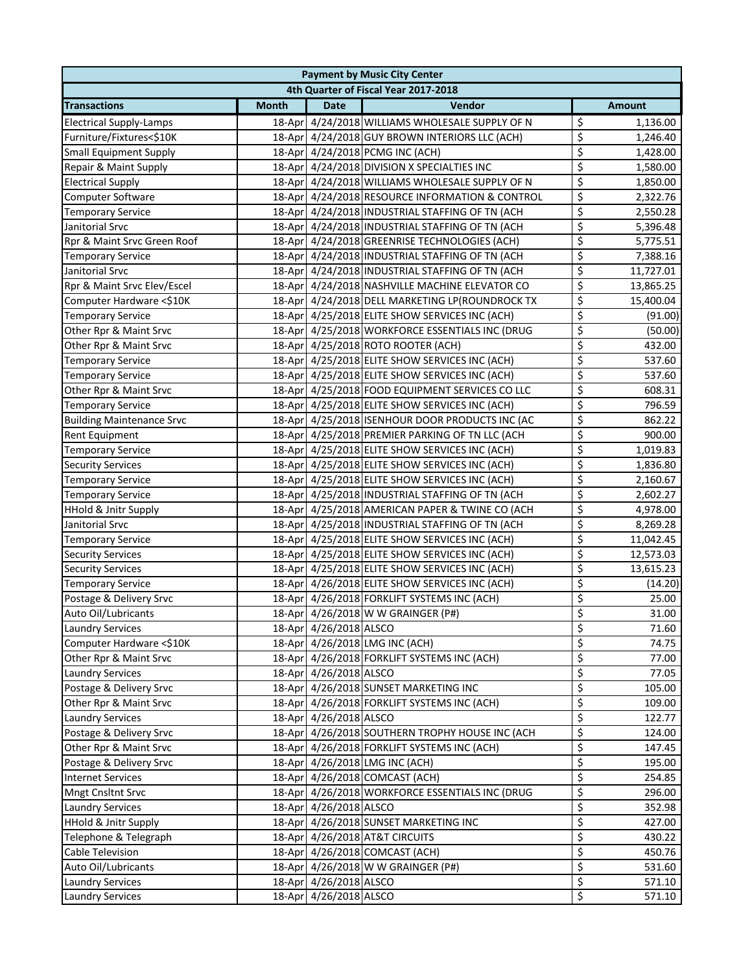| <b>Payment by Music City Center</b>  |              |                        |                                                 |                         |               |  |  |
|--------------------------------------|--------------|------------------------|-------------------------------------------------|-------------------------|---------------|--|--|
| 4th Quarter of Fiscal Year 2017-2018 |              |                        |                                                 |                         |               |  |  |
| <b>Transactions</b>                  | <b>Month</b> | <b>Date</b>            | Vendor                                          |                         | <b>Amount</b> |  |  |
| <b>Electrical Supply-Lamps</b>       |              |                        | 18-Apr 4/24/2018 WILLIAMS WHOLESALE SUPPLY OF N | \$                      | 1,136.00      |  |  |
| Furniture/Fixtures<\$10K             |              |                        | 18-Apr 4/24/2018 GUY BROWN INTERIORS LLC (ACH)  | \$                      | 1,246.40      |  |  |
| <b>Small Equipment Supply</b>        |              |                        | 18-Apr 4/24/2018 PCMG INC (ACH)                 | \$                      | 1,428.00      |  |  |
| Repair & Maint Supply                |              |                        | 18-Apr 4/24/2018 DIVISION X SPECIALTIES INC     | \$                      | 1,580.00      |  |  |
| <b>Electrical Supply</b>             |              |                        | 18-Apr 4/24/2018 WILLIAMS WHOLESALE SUPPLY OF N | \$                      | 1,850.00      |  |  |
| <b>Computer Software</b>             |              |                        | 18-Apr 4/24/2018 RESOURCE INFORMATION & CONTROL | \$                      | 2,322.76      |  |  |
| <b>Temporary Service</b>             |              |                        | 18-Apr 4/24/2018 INDUSTRIAL STAFFING OF TN (ACH | \$                      | 2,550.28      |  |  |
| Janitorial Srvc                      |              |                        | 18-Apr 4/24/2018 INDUSTRIAL STAFFING OF TN (ACH | \$                      | 5,396.48      |  |  |
| Rpr & Maint Srvc Green Roof          |              |                        | 18-Apr 4/24/2018 GREENRISE TECHNOLOGIES (ACH)   | \$                      | 5,775.51      |  |  |
| <b>Temporary Service</b>             |              |                        | 18-Apr 4/24/2018 INDUSTRIAL STAFFING OF TN (ACH | \$                      | 7,388.16      |  |  |
| Janitorial Srvc                      |              |                        | 18-Apr 4/24/2018 INDUSTRIAL STAFFING OF TN (ACH | \$                      | 11,727.01     |  |  |
| Rpr & Maint Srvc Elev/Escel          |              |                        | 18-Apr 4/24/2018 NASHVILLE MACHINE ELEVATOR CO  | \$                      | 13,865.25     |  |  |
| Computer Hardware <\$10K             |              |                        | 18-Apr 4/24/2018 DELL MARKETING LP(ROUNDROCK TX | \$                      | 15,400.04     |  |  |
| <b>Temporary Service</b>             |              |                        | 18-Apr 4/25/2018 ELITE SHOW SERVICES INC (ACH)  | \$                      | (91.00)       |  |  |
| Other Rpr & Maint Srvc               |              |                        | 18-Apr 4/25/2018 WORKFORCE ESSENTIALS INC (DRUG | \$                      | (50.00)       |  |  |
| Other Rpr & Maint Srvc               |              |                        | 18-Apr 4/25/2018 ROTO ROOTER (ACH)              | \$                      | 432.00        |  |  |
| <b>Temporary Service</b>             |              |                        | 18-Apr 4/25/2018 ELITE SHOW SERVICES INC (ACH)  | \$                      | 537.60        |  |  |
| <b>Temporary Service</b>             |              |                        | 18-Apr 4/25/2018 ELITE SHOW SERVICES INC (ACH)  | \$                      | 537.60        |  |  |
| Other Rpr & Maint Srvc               |              |                        | 18-Apr 4/25/2018 FOOD EQUIPMENT SERVICES CO LLC | \$                      | 608.31        |  |  |
| <b>Temporary Service</b>             |              |                        | 18-Apr 4/25/2018 ELITE SHOW SERVICES INC (ACH)  | \$                      | 796.59        |  |  |
| <b>Building Maintenance Srvc</b>     |              |                        | 18-Apr 4/25/2018 ISENHOUR DOOR PRODUCTS INC (AC | \$                      | 862.22        |  |  |
| Rent Equipment                       |              |                        | 18-Apr 4/25/2018 PREMIER PARKING OF TN LLC (ACH | \$                      | 900.00        |  |  |
| <b>Temporary Service</b>             |              |                        | 18-Apr 4/25/2018 ELITE SHOW SERVICES INC (ACH)  | \$                      | 1,019.83      |  |  |
| <b>Security Services</b>             |              |                        | 18-Apr 4/25/2018 ELITE SHOW SERVICES INC (ACH)  | \$                      | 1,836.80      |  |  |
| <b>Temporary Service</b>             |              |                        | 18-Apr 4/25/2018 ELITE SHOW SERVICES INC (ACH)  | \$                      | 2,160.67      |  |  |
| <b>Temporary Service</b>             |              |                        | 18-Apr 4/25/2018 INDUSTRIAL STAFFING OF TN (ACH | \$                      | 2,602.27      |  |  |
| <b>HHold &amp; Jnitr Supply</b>      |              |                        | 18-Apr 4/25/2018 AMERICAN PAPER & TWINE CO (ACH | \$                      | 4,978.00      |  |  |
| Janitorial Srvc                      |              |                        | 18-Apr 4/25/2018 INDUSTRIAL STAFFING OF TN (ACH | \$                      | 8,269.28      |  |  |
| <b>Temporary Service</b>             |              |                        | 18-Apr 4/25/2018 ELITE SHOW SERVICES INC (ACH)  | \$                      | 11,042.45     |  |  |
| <b>Security Services</b>             |              |                        | 18-Apr 4/25/2018 ELITE SHOW SERVICES INC (ACH)  | \$                      | 12,573.03     |  |  |
| <b>Security Services</b>             |              |                        | 18-Apr 4/25/2018 ELITE SHOW SERVICES INC (ACH)  | \$                      | 13,615.23     |  |  |
| <b>Temporary Service</b>             |              |                        | 18-Apr 4/26/2018 ELITE SHOW SERVICES INC (ACH)  | \$                      | (14.20)       |  |  |
| Postage & Delivery Srvc              |              |                        | 18-Apr 4/26/2018 FORKLIFT SYSTEMS INC (ACH)     | \$                      | 25.00         |  |  |
| Auto Oil/Lubricants                  |              |                        | 18-Apr 4/26/2018 W W GRAINGER (P#)              | $\overline{\mathsf{S}}$ | 31.00         |  |  |
| <b>Laundry Services</b>              |              | 18-Apr 4/26/2018 ALSCO |                                                 | \$                      | 71.60         |  |  |
| Computer Hardware <\$10K             |              |                        | 18-Apr 4/26/2018 LMG INC (ACH)                  | \$                      | 74.75         |  |  |
| Other Rpr & Maint Srvc               |              |                        | 18-Apr 4/26/2018 FORKLIFT SYSTEMS INC (ACH)     | \$                      | 77.00         |  |  |
| <b>Laundry Services</b>              |              | 18-Apr 4/26/2018 ALSCO |                                                 | \$                      | 77.05         |  |  |
| Postage & Delivery Srvc              |              |                        | 18-Apr 4/26/2018 SUNSET MARKETING INC           | \$                      | 105.00        |  |  |
| Other Rpr & Maint Srvc               |              |                        | 18-Apr 4/26/2018 FORKLIFT SYSTEMS INC (ACH)     | \$                      | 109.00        |  |  |
| <b>Laundry Services</b>              |              | 18-Apr 4/26/2018 ALSCO |                                                 | \$                      | 122.77        |  |  |
| Postage & Delivery Srvc              |              |                        | 18-Apr 4/26/2018 SOUTHERN TROPHY HOUSE INC (ACH | \$                      | 124.00        |  |  |
| Other Rpr & Maint Srvc               |              |                        | 18-Apr 4/26/2018 FORKLIFT SYSTEMS INC (ACH)     | \$                      | 147.45        |  |  |
| Postage & Delivery Srvc              |              |                        | 18-Apr 4/26/2018 LMG INC (ACH)                  | \$                      | 195.00        |  |  |
| <b>Internet Services</b>             |              |                        | 18-Apr 4/26/2018 COMCAST (ACH)                  | \$                      | 254.85        |  |  |
| Mngt Cnsltnt Srvc                    |              |                        | 18-Apr 4/26/2018 WORKFORCE ESSENTIALS INC (DRUG | \$                      | 296.00        |  |  |
| <b>Laundry Services</b>              |              | 18-Apr 4/26/2018 ALSCO |                                                 | \$                      | 352.98        |  |  |
| <b>HHold &amp; Jnitr Supply</b>      |              |                        | 18-Apr 4/26/2018 SUNSET MARKETING INC           | \$                      | 427.00        |  |  |
| Telephone & Telegraph                |              |                        | 18-Apr 4/26/2018 AT&T CIRCUITS                  | \$                      | 430.22        |  |  |
| Cable Television                     |              |                        | 18-Apr 4/26/2018 COMCAST (ACH)                  | \$                      | 450.76        |  |  |
| Auto Oil/Lubricants                  |              |                        | 18-Apr 4/26/2018 W W GRAINGER (P#)              | \$                      | 531.60        |  |  |
| <b>Laundry Services</b>              |              | 18-Apr 4/26/2018 ALSCO |                                                 | \$                      | 571.10        |  |  |
| <b>Laundry Services</b>              |              | 18-Apr 4/26/2018 ALSCO |                                                 | \$                      | 571.10        |  |  |
|                                      |              |                        |                                                 |                         |               |  |  |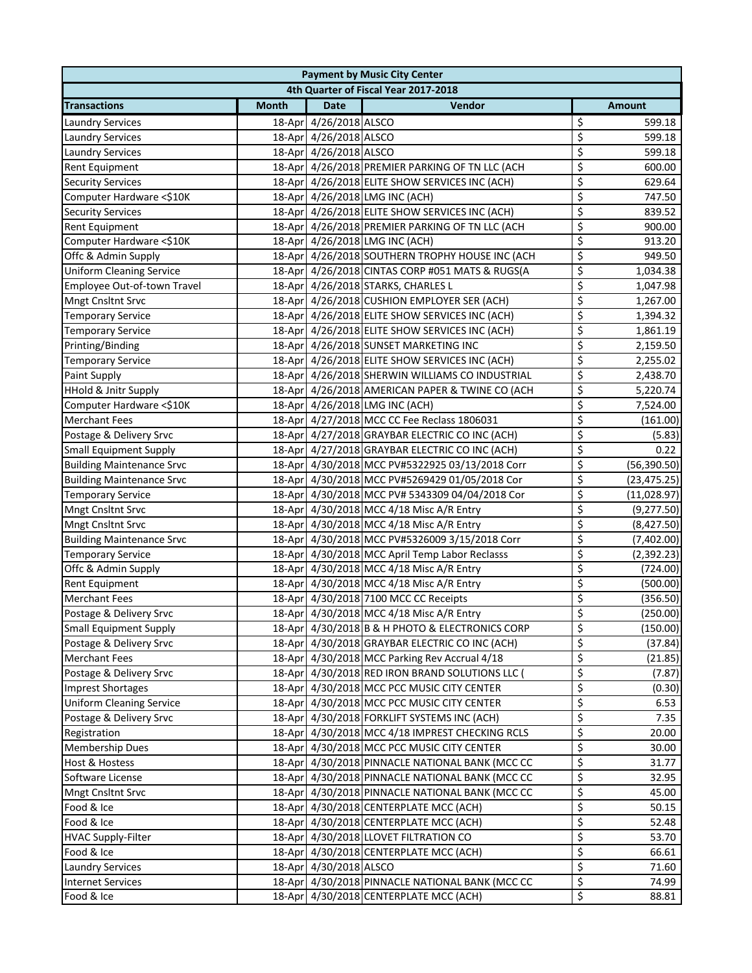| <b>Payment by Music City Center</b>  |              |                        |                                                 |                          |               |  |  |
|--------------------------------------|--------------|------------------------|-------------------------------------------------|--------------------------|---------------|--|--|
| 4th Quarter of Fiscal Year 2017-2018 |              |                        |                                                 |                          |               |  |  |
| <b>Transactions</b>                  | <b>Month</b> | <b>Date</b>            | Vendor                                          |                          | <b>Amount</b> |  |  |
| <b>Laundry Services</b>              |              | 18-Apr 4/26/2018 ALSCO |                                                 | \$                       | 599.18        |  |  |
| <b>Laundry Services</b>              |              | 18-Apr 4/26/2018 ALSCO |                                                 | \$                       | 599.18        |  |  |
| <b>Laundry Services</b>              |              | 18-Apr 4/26/2018 ALSCO |                                                 | \$                       | 599.18        |  |  |
| <b>Rent Equipment</b>                |              |                        | 18-Apr 4/26/2018 PREMIER PARKING OF TN LLC (ACH | \$                       | 600.00        |  |  |
| <b>Security Services</b>             |              |                        | 18-Apr 4/26/2018 ELITE SHOW SERVICES INC (ACH)  | \$                       | 629.64        |  |  |
| Computer Hardware <\$10K             |              |                        | 18-Apr 4/26/2018 LMG INC (ACH)                  | \$                       | 747.50        |  |  |
| <b>Security Services</b>             |              |                        | 18-Apr 4/26/2018 ELITE SHOW SERVICES INC (ACH)  | \$                       | 839.52        |  |  |
| <b>Rent Equipment</b>                |              |                        | 18-Apr 4/26/2018 PREMIER PARKING OF TN LLC (ACH | \$                       | 900.00        |  |  |
| Computer Hardware <\$10K             |              |                        | 18-Apr 4/26/2018 LMG INC (ACH)                  | \$                       | 913.20        |  |  |
| Offc & Admin Supply                  |              |                        | 18-Apr 4/26/2018 SOUTHERN TROPHY HOUSE INC (ACH | \$                       | 949.50        |  |  |
| <b>Uniform Cleaning Service</b>      |              |                        | 18-Apr 4/26/2018 CINTAS CORP #051 MATS & RUGS(A | \$                       | 1,034.38      |  |  |
| Employee Out-of-town Travel          |              |                        | 18-Apr 4/26/2018 STARKS, CHARLES L              | \$                       | 1,047.98      |  |  |
| Mngt Cnsltnt Srvc                    |              |                        | 18-Apr 4/26/2018 CUSHION EMPLOYER SER (ACH)     | \$                       | 1,267.00      |  |  |
| <b>Temporary Service</b>             |              |                        | 18-Apr 4/26/2018 ELITE SHOW SERVICES INC (ACH)  | \$                       | 1,394.32      |  |  |
| <b>Temporary Service</b>             |              |                        | 18-Apr 4/26/2018 ELITE SHOW SERVICES INC (ACH)  | \$                       | 1,861.19      |  |  |
| Printing/Binding                     |              |                        | 18-Apr 4/26/2018 SUNSET MARKETING INC           | \$                       | 2,159.50      |  |  |
| <b>Temporary Service</b>             |              |                        | 18-Apr 4/26/2018 ELITE SHOW SERVICES INC (ACH)  | \$                       | 2,255.02      |  |  |
| Paint Supply                         |              |                        | 18-Apr 4/26/2018 SHERWIN WILLIAMS CO INDUSTRIAL | \$                       | 2,438.70      |  |  |
| <b>HHold &amp; Jnitr Supply</b>      |              |                        | 18-Apr 4/26/2018 AMERICAN PAPER & TWINE CO (ACH | \$                       | 5,220.74      |  |  |
| Computer Hardware <\$10K             |              |                        | 18-Apr 4/26/2018 LMG INC (ACH)                  | \$                       | 7,524.00      |  |  |
| <b>Merchant Fees</b>                 |              |                        | 18-Apr 4/27/2018 MCC CC Fee Reclass 1806031     | $\overline{\xi}$         | (161.00)      |  |  |
| Postage & Delivery Srvc              |              |                        | 18-Apr 4/27/2018 GRAYBAR ELECTRIC CO INC (ACH)  | \$                       | (5.83)        |  |  |
| <b>Small Equipment Supply</b>        |              |                        | 18-Apr 4/27/2018 GRAYBAR ELECTRIC CO INC (ACH)  | \$                       | 0.22          |  |  |
| <b>Building Maintenance Srvc</b>     |              |                        | 18-Apr 4/30/2018 MCC PV#5322925 03/13/2018 Corr | $\overline{\mathcal{L}}$ | (56, 390.50)  |  |  |
| <b>Building Maintenance Srvc</b>     |              |                        | 18-Apr 4/30/2018 MCC PV#5269429 01/05/2018 Cor  | \$                       | (23, 475.25)  |  |  |
| <b>Temporary Service</b>             |              |                        | 18-Apr 4/30/2018 MCC PV# 5343309 04/04/2018 Cor | \$                       | (11,028.97)   |  |  |
| Mngt Cnsltnt Srvc                    |              |                        | 18-Apr 4/30/2018 MCC 4/18 Misc A/R Entry        | \$                       | (9, 277.50)   |  |  |
| <b>Mngt Cnsltnt Srvc</b>             |              |                        | 18-Apr 4/30/2018 MCC 4/18 Misc A/R Entry        | \$                       | (8,427.50)    |  |  |
| <b>Building Maintenance Srvc</b>     |              |                        | 18-Apr 4/30/2018 MCC PV#5326009 3/15/2018 Corr  | \$                       | (7,402.00)    |  |  |
| <b>Temporary Service</b>             |              |                        | 18-Apr 4/30/2018 MCC April Temp Labor Reclasss  | \$                       | (2,392.23)    |  |  |
| Offc & Admin Supply                  |              |                        | 18-Apr 4/30/2018 MCC 4/18 Misc A/R Entry        | \$                       | (724.00)      |  |  |
| <b>Rent Equipment</b>                |              |                        | 18-Apr 4/30/2018 MCC 4/18 Misc A/R Entry        | \$                       | (500.00)      |  |  |
| <b>Merchant Fees</b>                 |              |                        | 18-Apr 4/30/2018 7100 MCC CC Receipts           | \$                       | (356.50)      |  |  |
| Postage & Delivery Srvc              |              |                        | 18-Apr 4/30/2018 MCC 4/18 Misc A/R Entry        | $\overline{\mathsf{S}}$  | (250.00)      |  |  |
| <b>Small Equipment Supply</b>        |              |                        | 18-Apr 4/30/2018 B & H PHOTO & ELECTRONICS CORP | \$                       | (150.00)      |  |  |
| Postage & Delivery Srvc              |              |                        | 18-Apr 4/30/2018 GRAYBAR ELECTRIC CO INC (ACH)  | \$                       | (37.84)       |  |  |
| <b>Merchant Fees</b>                 |              |                        | 18-Apr 4/30/2018 MCC Parking Rev Accrual 4/18   | \$                       | (21.85)       |  |  |
| Postage & Delivery Srvc              |              |                        | 18-Apr 4/30/2018 RED IRON BRAND SOLUTIONS LLC ( | \$                       | (7.87)        |  |  |
| <b>Imprest Shortages</b>             |              |                        | 18-Apr 4/30/2018 MCC PCC MUSIC CITY CENTER      | \$                       | (0.30)        |  |  |
| <b>Uniform Cleaning Service</b>      |              |                        | 18-Apr 4/30/2018 MCC PCC MUSIC CITY CENTER      | \$                       | 6.53          |  |  |
| Postage & Delivery Srvc              |              |                        | 18-Apr 4/30/2018 FORKLIFT SYSTEMS INC (ACH)     | \$                       | 7.35          |  |  |
| Registration                         |              |                        | 18-Apr 4/30/2018 MCC 4/18 IMPREST CHECKING RCLS | \$                       | 20.00         |  |  |
| <b>Membership Dues</b>               |              |                        | 18-Apr 4/30/2018 MCC PCC MUSIC CITY CENTER      | \$                       | 30.00         |  |  |
| Host & Hostess                       |              |                        | 18-Apr 4/30/2018 PINNACLE NATIONAL BANK (MCC CC | \$                       | 31.77         |  |  |
| Software License                     |              |                        | 18-Apr 4/30/2018 PINNACLE NATIONAL BANK (MCC CC | \$                       | 32.95         |  |  |
| <b>Mngt Cnsltnt Srvc</b>             |              |                        | 18-Apr 4/30/2018 PINNACLE NATIONAL BANK (MCC CC | \$                       | 45.00         |  |  |
| Food & Ice                           |              |                        | 18-Apr 4/30/2018 CENTERPLATE MCC (ACH)          | \$                       | 50.15         |  |  |
| Food & Ice                           |              |                        | 18-Apr 4/30/2018 CENTERPLATE MCC (ACH)          | \$                       | 52.48         |  |  |
| <b>HVAC Supply-Filter</b>            |              |                        | 18-Apr 4/30/2018 LLOVET FILTRATION CO           | \$                       | 53.70         |  |  |
| Food & Ice                           |              |                        | 18-Apr 4/30/2018 CENTERPLATE MCC (ACH)          | \$                       | 66.61         |  |  |
| <b>Laundry Services</b>              |              | 18-Apr 4/30/2018 ALSCO |                                                 | \$                       | 71.60         |  |  |
| <b>Internet Services</b>             |              |                        | 18-Apr 4/30/2018 PINNACLE NATIONAL BANK (MCC CC | \$                       | 74.99         |  |  |
| Food & Ice                           |              |                        | 18-Apr 4/30/2018 CENTERPLATE MCC (ACH)          | \$                       | 88.81         |  |  |
|                                      |              |                        |                                                 |                          |               |  |  |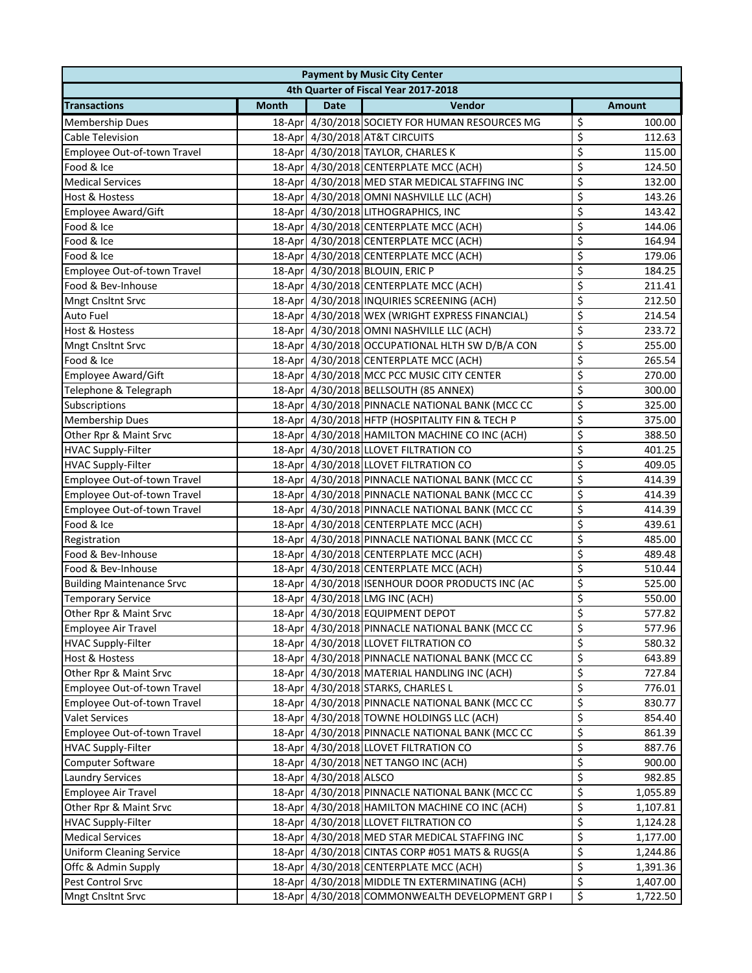| 4th Quarter of Fiscal Year 2017-2018<br>Vendor<br><b>Transactions</b><br><b>Month</b><br><b>Date</b><br><b>Amount</b><br>18-Apr 4/30/2018 SOCIETY FOR HUMAN RESOURCES MG<br>\$<br>100.00<br><b>Membership Dues</b><br>\$<br>18-Apr 4/30/2018 AT&T CIRCUITS<br><b>Cable Television</b><br>112.63<br>\$<br>Employee Out-of-town Travel<br>18-Apr 4/30/2018 TAYLOR, CHARLES K<br>115.00<br>\$<br>18-Apr 4/30/2018 CENTERPLATE MCC (ACH)<br>124.50<br>Food & Ice<br>\$<br>18-Apr 4/30/2018 MED STAR MEDICAL STAFFING INC<br>132.00<br>\$<br>18-Apr 4/30/2018 OMNI NASHVILLE LLC (ACH)<br>143.26<br>\$<br>18-Apr 4/30/2018 LITHOGRAPHICS, INC<br><b>Employee Award/Gift</b><br>143.42<br>\$<br>18-Apr 4/30/2018 CENTERPLATE MCC (ACH)<br>144.06<br>\$<br>Food & Ice<br>18-Apr 4/30/2018 CENTERPLATE MCC (ACH)<br>164.94<br>\$<br>18-Apr 4/30/2018 CENTERPLATE MCC (ACH)<br>179.06<br>Food & Ice<br>\$<br>18-Apr 4/30/2018 BLOUIN, ERIC P<br>Employee Out-of-town Travel<br>184.25<br>\$<br>18-Apr 4/30/2018 CENTERPLATE MCC (ACH)<br>Food & Bev-Inhouse<br>211.41<br>\$<br>18-Apr 4/30/2018 INQUIRIES SCREENING (ACH)<br>212.50<br>Mngt Cnsltnt Srvc<br>\$<br>18-Apr 4/30/2018 WEX (WRIGHT EXPRESS FINANCIAL)<br>Auto Fuel<br>214.54<br>\$<br>18-Apr 4/30/2018 OMNI NASHVILLE LLC (ACH)<br><b>Host &amp; Hostess</b><br>233.72<br>\$<br>18-Apr 4/30/2018 OCCUPATIONAL HLTH SW D/B/A CON<br>255.00<br>Mngt Cnsltnt Srvc<br>\$<br>Food & Ice<br>18-Apr 4/30/2018 CENTERPLATE MCC (ACH)<br>265.54<br>\$<br><b>Employee Award/Gift</b><br>18-Apr 4/30/2018 MCC PCC MUSIC CITY CENTER<br>270.00<br>\$<br>Telephone & Telegraph<br>18-Apr 4/30/2018 BELLSOUTH (85 ANNEX)<br>300.00<br>\$<br>18-Apr 4/30/2018 PINNACLE NATIONAL BANK (MCC CC<br>Subscriptions<br>325.00<br>\$<br>18-Apr 4/30/2018 HFTP (HOSPITALITY FIN & TECH P<br>375.00<br><b>Membership Dues</b><br>\$<br>388.50<br>Other Rpr & Maint Srvc<br>18-Apr 4/30/2018 HAMILTON MACHINE CO INC (ACH)<br>\$<br>18-Apr 4/30/2018 LLOVET FILTRATION CO<br>401.25<br><b>HVAC Supply-Filter</b><br>\$<br>18-Apr 4/30/2018 LLOVET FILTRATION CO<br><b>HVAC Supply-Filter</b><br>409.05<br>\$<br>Employee Out-of-town Travel<br>18-Apr 4/30/2018 PINNACLE NATIONAL BANK (MCC CC<br>414.39<br>\$<br>Employee Out-of-town Travel<br>18-Apr 4/30/2018 PINNACLE NATIONAL BANK (MCC CC<br>414.39<br>\$<br>Employee Out-of-town Travel<br>18-Apr 4/30/2018 PINNACLE NATIONAL BANK (MCC CC<br>414.39<br>\$<br>Food & Ice<br>18-Apr 4/30/2018 CENTERPLATE MCC (ACH)<br>439.61<br>\$<br>18-Apr 4/30/2018 PINNACLE NATIONAL BANK (MCC CC<br>485.00<br>Registration<br>\$<br>Food & Bev-Inhouse<br>18-Apr 4/30/2018 CENTERPLATE MCC (ACH)<br>489.48<br>\$<br>Food & Bev-Inhouse<br>18-Apr 4/30/2018 CENTERPLATE MCC (ACH)<br>510.44<br>\$<br>18-Apr 4/30/2018 ISENHOUR DOOR PRODUCTS INC (AC<br>525.00<br><b>Building Maintenance Srvc</b><br>\$<br>18-Apr 4/30/2018 LMG INC (ACH)<br><b>Temporary Service</b><br>550.00<br>$\overline{\mathsf{S}}$<br>18-Apr 4/30/2018 EQUIPMENT DEPOT<br>577.82<br>Other Rpr & Maint Srvc<br>\$<br>Employee Air Travel<br>18-Apr 4/30/2018 PINNACLE NATIONAL BANK (MCC CC<br>577.96<br>\$<br><b>HVAC Supply-Filter</b><br>18-Apr 4/30/2018 LLOVET FILTRATION CO<br>580.32<br>\$<br><b>Host &amp; Hostess</b><br>18-Apr 4/30/2018 PINNACLE NATIONAL BANK (MCC CC<br>643.89<br>\$<br>Other Rpr & Maint Srvc<br>18-Apr 4/30/2018 MATERIAL HANDLING INC (ACH)<br>727.84<br>\$<br>18-Apr 4/30/2018 STARKS, CHARLES L<br>Employee Out-of-town Travel<br>776.01<br>\$<br>Employee Out-of-town Travel<br>18-Apr 4/30/2018 PINNACLE NATIONAL BANK (MCC CC<br>830.77<br>\$<br><b>Valet Services</b><br>18-Apr 4/30/2018 TOWNE HOLDINGS LLC (ACH)<br>854.40<br>\$<br>Employee Out-of-town Travel<br>18-Apr 4/30/2018 PINNACLE NATIONAL BANK (MCC CC<br>861.39<br>\$<br>18-Apr 4/30/2018 LLOVET FILTRATION CO<br>887.76<br><b>HVAC Supply-Filter</b><br>\$<br>18-Apr 4/30/2018 NET TANGO INC (ACH)<br><b>Computer Software</b><br>900.00<br>\$<br>18-Apr 4/30/2018 ALSCO<br>982.85<br><b>Laundry Services</b><br>\$<br>18-Apr 4/30/2018 PINNACLE NATIONAL BANK (MCC CC<br>Employee Air Travel<br>1,055.89<br>\$<br>Other Rpr & Maint Srvc<br>18-Apr 4/30/2018 HAMILTON MACHINE CO INC (ACH)<br>1,107.81<br>\$<br>18-Apr 4/30/2018 LLOVET FILTRATION CO<br><b>HVAC Supply-Filter</b><br>1,124.28<br>\$<br>18-Apr 4/30/2018 MED STAR MEDICAL STAFFING INC<br><b>Medical Services</b><br>1,177.00<br>\$<br><b>Uniform Cleaning Service</b><br>18-Apr 4/30/2018 CINTAS CORP #051 MATS & RUGS(A<br>1,244.86<br>\$<br>18-Apr 4/30/2018 CENTERPLATE MCC (ACH)<br>Offc & Admin Supply<br>1,391.36<br>\$<br>18-Apr 4/30/2018 MIDDLE TN EXTERMINATING (ACH)<br>Pest Control Srvc<br>1,407.00<br>\$<br>Mngt Cnsltnt Srvc<br>18-Apr 4/30/2018 COMMONWEALTH DEVELOPMENT GRP I<br>1,722.50 | <b>Payment by Music City Center</b> |  |  |  |  |  |  |  |
|----------------------------------------------------------------------------------------------------------------------------------------------------------------------------------------------------------------------------------------------------------------------------------------------------------------------------------------------------------------------------------------------------------------------------------------------------------------------------------------------------------------------------------------------------------------------------------------------------------------------------------------------------------------------------------------------------------------------------------------------------------------------------------------------------------------------------------------------------------------------------------------------------------------------------------------------------------------------------------------------------------------------------------------------------------------------------------------------------------------------------------------------------------------------------------------------------------------------------------------------------------------------------------------------------------------------------------------------------------------------------------------------------------------------------------------------------------------------------------------------------------------------------------------------------------------------------------------------------------------------------------------------------------------------------------------------------------------------------------------------------------------------------------------------------------------------------------------------------------------------------------------------------------------------------------------------------------------------------------------------------------------------------------------------------------------------------------------------------------------------------------------------------------------------------------------------------------------------------------------------------------------------------------------------------------------------------------------------------------------------------------------------------------------------------------------------------------------------------------------------------------------------------------------------------------------------------------------------------------------------------------------------------------------------------------------------------------------------------------------------------------------------------------------------------------------------------------------------------------------------------------------------------------------------------------------------------------------------------------------------------------------------------------------------------------------------------------------------------------------------------------------------------------------------------------------------------------------------------------------------------------------------------------------------------------------------------------------------------------------------------------------------------------------------------------------------------------------------------------------------------------------------------------------------------------------------------------------------------------------------------------------------------------------------------------------------------------------------------------------------------------------------------------------------------------------------------------------------------------------------------------------------------------------------------------------------------------------------------------------------------------------------------------------------------------------------------------------------------------------------------------------------------------------------------------------------------------------------------------------------------------------------------------------------------------------------------------------------------------------------------------------------------------------------------------------------------------------------------------------------------------------------------------------------------------------------------------------------------------------------------------------------------------------------------------------------------------------------------------------------------------------------------------------------------------------------------------|-------------------------------------|--|--|--|--|--|--|--|
|                                                                                                                                                                                                                                                                                                                                                                                                                                                                                                                                                                                                                                                                                                                                                                                                                                                                                                                                                                                                                                                                                                                                                                                                                                                                                                                                                                                                                                                                                                                                                                                                                                                                                                                                                                                                                                                                                                                                                                                                                                                                                                                                                                                                                                                                                                                                                                                                                                                                                                                                                                                                                                                                                                                                                                                                                                                                                                                                                                                                                                                                                                                                                                                                                                                                                                                                                                                                                                                                                                                                                                                                                                                                                                                                                                                                                                                                                                                                                                                                                                                                                                                                                                                                                                                                                                                                                                                                                                                                                                                                                                                                                                                                                                                                                                                                                                  |                                     |  |  |  |  |  |  |  |
|                                                                                                                                                                                                                                                                                                                                                                                                                                                                                                                                                                                                                                                                                                                                                                                                                                                                                                                                                                                                                                                                                                                                                                                                                                                                                                                                                                                                                                                                                                                                                                                                                                                                                                                                                                                                                                                                                                                                                                                                                                                                                                                                                                                                                                                                                                                                                                                                                                                                                                                                                                                                                                                                                                                                                                                                                                                                                                                                                                                                                                                                                                                                                                                                                                                                                                                                                                                                                                                                                                                                                                                                                                                                                                                                                                                                                                                                                                                                                                                                                                                                                                                                                                                                                                                                                                                                                                                                                                                                                                                                                                                                                                                                                                                                                                                                                                  |                                     |  |  |  |  |  |  |  |
|                                                                                                                                                                                                                                                                                                                                                                                                                                                                                                                                                                                                                                                                                                                                                                                                                                                                                                                                                                                                                                                                                                                                                                                                                                                                                                                                                                                                                                                                                                                                                                                                                                                                                                                                                                                                                                                                                                                                                                                                                                                                                                                                                                                                                                                                                                                                                                                                                                                                                                                                                                                                                                                                                                                                                                                                                                                                                                                                                                                                                                                                                                                                                                                                                                                                                                                                                                                                                                                                                                                                                                                                                                                                                                                                                                                                                                                                                                                                                                                                                                                                                                                                                                                                                                                                                                                                                                                                                                                                                                                                                                                                                                                                                                                                                                                                                                  |                                     |  |  |  |  |  |  |  |
|                                                                                                                                                                                                                                                                                                                                                                                                                                                                                                                                                                                                                                                                                                                                                                                                                                                                                                                                                                                                                                                                                                                                                                                                                                                                                                                                                                                                                                                                                                                                                                                                                                                                                                                                                                                                                                                                                                                                                                                                                                                                                                                                                                                                                                                                                                                                                                                                                                                                                                                                                                                                                                                                                                                                                                                                                                                                                                                                                                                                                                                                                                                                                                                                                                                                                                                                                                                                                                                                                                                                                                                                                                                                                                                                                                                                                                                                                                                                                                                                                                                                                                                                                                                                                                                                                                                                                                                                                                                                                                                                                                                                                                                                                                                                                                                                                                  |                                     |  |  |  |  |  |  |  |
|                                                                                                                                                                                                                                                                                                                                                                                                                                                                                                                                                                                                                                                                                                                                                                                                                                                                                                                                                                                                                                                                                                                                                                                                                                                                                                                                                                                                                                                                                                                                                                                                                                                                                                                                                                                                                                                                                                                                                                                                                                                                                                                                                                                                                                                                                                                                                                                                                                                                                                                                                                                                                                                                                                                                                                                                                                                                                                                                                                                                                                                                                                                                                                                                                                                                                                                                                                                                                                                                                                                                                                                                                                                                                                                                                                                                                                                                                                                                                                                                                                                                                                                                                                                                                                                                                                                                                                                                                                                                                                                                                                                                                                                                                                                                                                                                                                  |                                     |  |  |  |  |  |  |  |
|                                                                                                                                                                                                                                                                                                                                                                                                                                                                                                                                                                                                                                                                                                                                                                                                                                                                                                                                                                                                                                                                                                                                                                                                                                                                                                                                                                                                                                                                                                                                                                                                                                                                                                                                                                                                                                                                                                                                                                                                                                                                                                                                                                                                                                                                                                                                                                                                                                                                                                                                                                                                                                                                                                                                                                                                                                                                                                                                                                                                                                                                                                                                                                                                                                                                                                                                                                                                                                                                                                                                                                                                                                                                                                                                                                                                                                                                                                                                                                                                                                                                                                                                                                                                                                                                                                                                                                                                                                                                                                                                                                                                                                                                                                                                                                                                                                  |                                     |  |  |  |  |  |  |  |
|                                                                                                                                                                                                                                                                                                                                                                                                                                                                                                                                                                                                                                                                                                                                                                                                                                                                                                                                                                                                                                                                                                                                                                                                                                                                                                                                                                                                                                                                                                                                                                                                                                                                                                                                                                                                                                                                                                                                                                                                                                                                                                                                                                                                                                                                                                                                                                                                                                                                                                                                                                                                                                                                                                                                                                                                                                                                                                                                                                                                                                                                                                                                                                                                                                                                                                                                                                                                                                                                                                                                                                                                                                                                                                                                                                                                                                                                                                                                                                                                                                                                                                                                                                                                                                                                                                                                                                                                                                                                                                                                                                                                                                                                                                                                                                                                                                  | <b>Medical Services</b>             |  |  |  |  |  |  |  |
|                                                                                                                                                                                                                                                                                                                                                                                                                                                                                                                                                                                                                                                                                                                                                                                                                                                                                                                                                                                                                                                                                                                                                                                                                                                                                                                                                                                                                                                                                                                                                                                                                                                                                                                                                                                                                                                                                                                                                                                                                                                                                                                                                                                                                                                                                                                                                                                                                                                                                                                                                                                                                                                                                                                                                                                                                                                                                                                                                                                                                                                                                                                                                                                                                                                                                                                                                                                                                                                                                                                                                                                                                                                                                                                                                                                                                                                                                                                                                                                                                                                                                                                                                                                                                                                                                                                                                                                                                                                                                                                                                                                                                                                                                                                                                                                                                                  | <b>Host &amp; Hostess</b>           |  |  |  |  |  |  |  |
|                                                                                                                                                                                                                                                                                                                                                                                                                                                                                                                                                                                                                                                                                                                                                                                                                                                                                                                                                                                                                                                                                                                                                                                                                                                                                                                                                                                                                                                                                                                                                                                                                                                                                                                                                                                                                                                                                                                                                                                                                                                                                                                                                                                                                                                                                                                                                                                                                                                                                                                                                                                                                                                                                                                                                                                                                                                                                                                                                                                                                                                                                                                                                                                                                                                                                                                                                                                                                                                                                                                                                                                                                                                                                                                                                                                                                                                                                                                                                                                                                                                                                                                                                                                                                                                                                                                                                                                                                                                                                                                                                                                                                                                                                                                                                                                                                                  |                                     |  |  |  |  |  |  |  |
|                                                                                                                                                                                                                                                                                                                                                                                                                                                                                                                                                                                                                                                                                                                                                                                                                                                                                                                                                                                                                                                                                                                                                                                                                                                                                                                                                                                                                                                                                                                                                                                                                                                                                                                                                                                                                                                                                                                                                                                                                                                                                                                                                                                                                                                                                                                                                                                                                                                                                                                                                                                                                                                                                                                                                                                                                                                                                                                                                                                                                                                                                                                                                                                                                                                                                                                                                                                                                                                                                                                                                                                                                                                                                                                                                                                                                                                                                                                                                                                                                                                                                                                                                                                                                                                                                                                                                                                                                                                                                                                                                                                                                                                                                                                                                                                                                                  | Food & Ice                          |  |  |  |  |  |  |  |
|                                                                                                                                                                                                                                                                                                                                                                                                                                                                                                                                                                                                                                                                                                                                                                                                                                                                                                                                                                                                                                                                                                                                                                                                                                                                                                                                                                                                                                                                                                                                                                                                                                                                                                                                                                                                                                                                                                                                                                                                                                                                                                                                                                                                                                                                                                                                                                                                                                                                                                                                                                                                                                                                                                                                                                                                                                                                                                                                                                                                                                                                                                                                                                                                                                                                                                                                                                                                                                                                                                                                                                                                                                                                                                                                                                                                                                                                                                                                                                                                                                                                                                                                                                                                                                                                                                                                                                                                                                                                                                                                                                                                                                                                                                                                                                                                                                  |                                     |  |  |  |  |  |  |  |
|                                                                                                                                                                                                                                                                                                                                                                                                                                                                                                                                                                                                                                                                                                                                                                                                                                                                                                                                                                                                                                                                                                                                                                                                                                                                                                                                                                                                                                                                                                                                                                                                                                                                                                                                                                                                                                                                                                                                                                                                                                                                                                                                                                                                                                                                                                                                                                                                                                                                                                                                                                                                                                                                                                                                                                                                                                                                                                                                                                                                                                                                                                                                                                                                                                                                                                                                                                                                                                                                                                                                                                                                                                                                                                                                                                                                                                                                                                                                                                                                                                                                                                                                                                                                                                                                                                                                                                                                                                                                                                                                                                                                                                                                                                                                                                                                                                  |                                     |  |  |  |  |  |  |  |
|                                                                                                                                                                                                                                                                                                                                                                                                                                                                                                                                                                                                                                                                                                                                                                                                                                                                                                                                                                                                                                                                                                                                                                                                                                                                                                                                                                                                                                                                                                                                                                                                                                                                                                                                                                                                                                                                                                                                                                                                                                                                                                                                                                                                                                                                                                                                                                                                                                                                                                                                                                                                                                                                                                                                                                                                                                                                                                                                                                                                                                                                                                                                                                                                                                                                                                                                                                                                                                                                                                                                                                                                                                                                                                                                                                                                                                                                                                                                                                                                                                                                                                                                                                                                                                                                                                                                                                                                                                                                                                                                                                                                                                                                                                                                                                                                                                  |                                     |  |  |  |  |  |  |  |
|                                                                                                                                                                                                                                                                                                                                                                                                                                                                                                                                                                                                                                                                                                                                                                                                                                                                                                                                                                                                                                                                                                                                                                                                                                                                                                                                                                                                                                                                                                                                                                                                                                                                                                                                                                                                                                                                                                                                                                                                                                                                                                                                                                                                                                                                                                                                                                                                                                                                                                                                                                                                                                                                                                                                                                                                                                                                                                                                                                                                                                                                                                                                                                                                                                                                                                                                                                                                                                                                                                                                                                                                                                                                                                                                                                                                                                                                                                                                                                                                                                                                                                                                                                                                                                                                                                                                                                                                                                                                                                                                                                                                                                                                                                                                                                                                                                  |                                     |  |  |  |  |  |  |  |
|                                                                                                                                                                                                                                                                                                                                                                                                                                                                                                                                                                                                                                                                                                                                                                                                                                                                                                                                                                                                                                                                                                                                                                                                                                                                                                                                                                                                                                                                                                                                                                                                                                                                                                                                                                                                                                                                                                                                                                                                                                                                                                                                                                                                                                                                                                                                                                                                                                                                                                                                                                                                                                                                                                                                                                                                                                                                                                                                                                                                                                                                                                                                                                                                                                                                                                                                                                                                                                                                                                                                                                                                                                                                                                                                                                                                                                                                                                                                                                                                                                                                                                                                                                                                                                                                                                                                                                                                                                                                                                                                                                                                                                                                                                                                                                                                                                  |                                     |  |  |  |  |  |  |  |
|                                                                                                                                                                                                                                                                                                                                                                                                                                                                                                                                                                                                                                                                                                                                                                                                                                                                                                                                                                                                                                                                                                                                                                                                                                                                                                                                                                                                                                                                                                                                                                                                                                                                                                                                                                                                                                                                                                                                                                                                                                                                                                                                                                                                                                                                                                                                                                                                                                                                                                                                                                                                                                                                                                                                                                                                                                                                                                                                                                                                                                                                                                                                                                                                                                                                                                                                                                                                                                                                                                                                                                                                                                                                                                                                                                                                                                                                                                                                                                                                                                                                                                                                                                                                                                                                                                                                                                                                                                                                                                                                                                                                                                                                                                                                                                                                                                  |                                     |  |  |  |  |  |  |  |
|                                                                                                                                                                                                                                                                                                                                                                                                                                                                                                                                                                                                                                                                                                                                                                                                                                                                                                                                                                                                                                                                                                                                                                                                                                                                                                                                                                                                                                                                                                                                                                                                                                                                                                                                                                                                                                                                                                                                                                                                                                                                                                                                                                                                                                                                                                                                                                                                                                                                                                                                                                                                                                                                                                                                                                                                                                                                                                                                                                                                                                                                                                                                                                                                                                                                                                                                                                                                                                                                                                                                                                                                                                                                                                                                                                                                                                                                                                                                                                                                                                                                                                                                                                                                                                                                                                                                                                                                                                                                                                                                                                                                                                                                                                                                                                                                                                  |                                     |  |  |  |  |  |  |  |
|                                                                                                                                                                                                                                                                                                                                                                                                                                                                                                                                                                                                                                                                                                                                                                                                                                                                                                                                                                                                                                                                                                                                                                                                                                                                                                                                                                                                                                                                                                                                                                                                                                                                                                                                                                                                                                                                                                                                                                                                                                                                                                                                                                                                                                                                                                                                                                                                                                                                                                                                                                                                                                                                                                                                                                                                                                                                                                                                                                                                                                                                                                                                                                                                                                                                                                                                                                                                                                                                                                                                                                                                                                                                                                                                                                                                                                                                                                                                                                                                                                                                                                                                                                                                                                                                                                                                                                                                                                                                                                                                                                                                                                                                                                                                                                                                                                  |                                     |  |  |  |  |  |  |  |
|                                                                                                                                                                                                                                                                                                                                                                                                                                                                                                                                                                                                                                                                                                                                                                                                                                                                                                                                                                                                                                                                                                                                                                                                                                                                                                                                                                                                                                                                                                                                                                                                                                                                                                                                                                                                                                                                                                                                                                                                                                                                                                                                                                                                                                                                                                                                                                                                                                                                                                                                                                                                                                                                                                                                                                                                                                                                                                                                                                                                                                                                                                                                                                                                                                                                                                                                                                                                                                                                                                                                                                                                                                                                                                                                                                                                                                                                                                                                                                                                                                                                                                                                                                                                                                                                                                                                                                                                                                                                                                                                                                                                                                                                                                                                                                                                                                  |                                     |  |  |  |  |  |  |  |
|                                                                                                                                                                                                                                                                                                                                                                                                                                                                                                                                                                                                                                                                                                                                                                                                                                                                                                                                                                                                                                                                                                                                                                                                                                                                                                                                                                                                                                                                                                                                                                                                                                                                                                                                                                                                                                                                                                                                                                                                                                                                                                                                                                                                                                                                                                                                                                                                                                                                                                                                                                                                                                                                                                                                                                                                                                                                                                                                                                                                                                                                                                                                                                                                                                                                                                                                                                                                                                                                                                                                                                                                                                                                                                                                                                                                                                                                                                                                                                                                                                                                                                                                                                                                                                                                                                                                                                                                                                                                                                                                                                                                                                                                                                                                                                                                                                  |                                     |  |  |  |  |  |  |  |
|                                                                                                                                                                                                                                                                                                                                                                                                                                                                                                                                                                                                                                                                                                                                                                                                                                                                                                                                                                                                                                                                                                                                                                                                                                                                                                                                                                                                                                                                                                                                                                                                                                                                                                                                                                                                                                                                                                                                                                                                                                                                                                                                                                                                                                                                                                                                                                                                                                                                                                                                                                                                                                                                                                                                                                                                                                                                                                                                                                                                                                                                                                                                                                                                                                                                                                                                                                                                                                                                                                                                                                                                                                                                                                                                                                                                                                                                                                                                                                                                                                                                                                                                                                                                                                                                                                                                                                                                                                                                                                                                                                                                                                                                                                                                                                                                                                  |                                     |  |  |  |  |  |  |  |
|                                                                                                                                                                                                                                                                                                                                                                                                                                                                                                                                                                                                                                                                                                                                                                                                                                                                                                                                                                                                                                                                                                                                                                                                                                                                                                                                                                                                                                                                                                                                                                                                                                                                                                                                                                                                                                                                                                                                                                                                                                                                                                                                                                                                                                                                                                                                                                                                                                                                                                                                                                                                                                                                                                                                                                                                                                                                                                                                                                                                                                                                                                                                                                                                                                                                                                                                                                                                                                                                                                                                                                                                                                                                                                                                                                                                                                                                                                                                                                                                                                                                                                                                                                                                                                                                                                                                                                                                                                                                                                                                                                                                                                                                                                                                                                                                                                  |                                     |  |  |  |  |  |  |  |
|                                                                                                                                                                                                                                                                                                                                                                                                                                                                                                                                                                                                                                                                                                                                                                                                                                                                                                                                                                                                                                                                                                                                                                                                                                                                                                                                                                                                                                                                                                                                                                                                                                                                                                                                                                                                                                                                                                                                                                                                                                                                                                                                                                                                                                                                                                                                                                                                                                                                                                                                                                                                                                                                                                                                                                                                                                                                                                                                                                                                                                                                                                                                                                                                                                                                                                                                                                                                                                                                                                                                                                                                                                                                                                                                                                                                                                                                                                                                                                                                                                                                                                                                                                                                                                                                                                                                                                                                                                                                                                                                                                                                                                                                                                                                                                                                                                  |                                     |  |  |  |  |  |  |  |
|                                                                                                                                                                                                                                                                                                                                                                                                                                                                                                                                                                                                                                                                                                                                                                                                                                                                                                                                                                                                                                                                                                                                                                                                                                                                                                                                                                                                                                                                                                                                                                                                                                                                                                                                                                                                                                                                                                                                                                                                                                                                                                                                                                                                                                                                                                                                                                                                                                                                                                                                                                                                                                                                                                                                                                                                                                                                                                                                                                                                                                                                                                                                                                                                                                                                                                                                                                                                                                                                                                                                                                                                                                                                                                                                                                                                                                                                                                                                                                                                                                                                                                                                                                                                                                                                                                                                                                                                                                                                                                                                                                                                                                                                                                                                                                                                                                  |                                     |  |  |  |  |  |  |  |
|                                                                                                                                                                                                                                                                                                                                                                                                                                                                                                                                                                                                                                                                                                                                                                                                                                                                                                                                                                                                                                                                                                                                                                                                                                                                                                                                                                                                                                                                                                                                                                                                                                                                                                                                                                                                                                                                                                                                                                                                                                                                                                                                                                                                                                                                                                                                                                                                                                                                                                                                                                                                                                                                                                                                                                                                                                                                                                                                                                                                                                                                                                                                                                                                                                                                                                                                                                                                                                                                                                                                                                                                                                                                                                                                                                                                                                                                                                                                                                                                                                                                                                                                                                                                                                                                                                                                                                                                                                                                                                                                                                                                                                                                                                                                                                                                                                  |                                     |  |  |  |  |  |  |  |
|                                                                                                                                                                                                                                                                                                                                                                                                                                                                                                                                                                                                                                                                                                                                                                                                                                                                                                                                                                                                                                                                                                                                                                                                                                                                                                                                                                                                                                                                                                                                                                                                                                                                                                                                                                                                                                                                                                                                                                                                                                                                                                                                                                                                                                                                                                                                                                                                                                                                                                                                                                                                                                                                                                                                                                                                                                                                                                                                                                                                                                                                                                                                                                                                                                                                                                                                                                                                                                                                                                                                                                                                                                                                                                                                                                                                                                                                                                                                                                                                                                                                                                                                                                                                                                                                                                                                                                                                                                                                                                                                                                                                                                                                                                                                                                                                                                  |                                     |  |  |  |  |  |  |  |
|                                                                                                                                                                                                                                                                                                                                                                                                                                                                                                                                                                                                                                                                                                                                                                                                                                                                                                                                                                                                                                                                                                                                                                                                                                                                                                                                                                                                                                                                                                                                                                                                                                                                                                                                                                                                                                                                                                                                                                                                                                                                                                                                                                                                                                                                                                                                                                                                                                                                                                                                                                                                                                                                                                                                                                                                                                                                                                                                                                                                                                                                                                                                                                                                                                                                                                                                                                                                                                                                                                                                                                                                                                                                                                                                                                                                                                                                                                                                                                                                                                                                                                                                                                                                                                                                                                                                                                                                                                                                                                                                                                                                                                                                                                                                                                                                                                  |                                     |  |  |  |  |  |  |  |
|                                                                                                                                                                                                                                                                                                                                                                                                                                                                                                                                                                                                                                                                                                                                                                                                                                                                                                                                                                                                                                                                                                                                                                                                                                                                                                                                                                                                                                                                                                                                                                                                                                                                                                                                                                                                                                                                                                                                                                                                                                                                                                                                                                                                                                                                                                                                                                                                                                                                                                                                                                                                                                                                                                                                                                                                                                                                                                                                                                                                                                                                                                                                                                                                                                                                                                                                                                                                                                                                                                                                                                                                                                                                                                                                                                                                                                                                                                                                                                                                                                                                                                                                                                                                                                                                                                                                                                                                                                                                                                                                                                                                                                                                                                                                                                                                                                  |                                     |  |  |  |  |  |  |  |
|                                                                                                                                                                                                                                                                                                                                                                                                                                                                                                                                                                                                                                                                                                                                                                                                                                                                                                                                                                                                                                                                                                                                                                                                                                                                                                                                                                                                                                                                                                                                                                                                                                                                                                                                                                                                                                                                                                                                                                                                                                                                                                                                                                                                                                                                                                                                                                                                                                                                                                                                                                                                                                                                                                                                                                                                                                                                                                                                                                                                                                                                                                                                                                                                                                                                                                                                                                                                                                                                                                                                                                                                                                                                                                                                                                                                                                                                                                                                                                                                                                                                                                                                                                                                                                                                                                                                                                                                                                                                                                                                                                                                                                                                                                                                                                                                                                  |                                     |  |  |  |  |  |  |  |
|                                                                                                                                                                                                                                                                                                                                                                                                                                                                                                                                                                                                                                                                                                                                                                                                                                                                                                                                                                                                                                                                                                                                                                                                                                                                                                                                                                                                                                                                                                                                                                                                                                                                                                                                                                                                                                                                                                                                                                                                                                                                                                                                                                                                                                                                                                                                                                                                                                                                                                                                                                                                                                                                                                                                                                                                                                                                                                                                                                                                                                                                                                                                                                                                                                                                                                                                                                                                                                                                                                                                                                                                                                                                                                                                                                                                                                                                                                                                                                                                                                                                                                                                                                                                                                                                                                                                                                                                                                                                                                                                                                                                                                                                                                                                                                                                                                  |                                     |  |  |  |  |  |  |  |
|                                                                                                                                                                                                                                                                                                                                                                                                                                                                                                                                                                                                                                                                                                                                                                                                                                                                                                                                                                                                                                                                                                                                                                                                                                                                                                                                                                                                                                                                                                                                                                                                                                                                                                                                                                                                                                                                                                                                                                                                                                                                                                                                                                                                                                                                                                                                                                                                                                                                                                                                                                                                                                                                                                                                                                                                                                                                                                                                                                                                                                                                                                                                                                                                                                                                                                                                                                                                                                                                                                                                                                                                                                                                                                                                                                                                                                                                                                                                                                                                                                                                                                                                                                                                                                                                                                                                                                                                                                                                                                                                                                                                                                                                                                                                                                                                                                  |                                     |  |  |  |  |  |  |  |
|                                                                                                                                                                                                                                                                                                                                                                                                                                                                                                                                                                                                                                                                                                                                                                                                                                                                                                                                                                                                                                                                                                                                                                                                                                                                                                                                                                                                                                                                                                                                                                                                                                                                                                                                                                                                                                                                                                                                                                                                                                                                                                                                                                                                                                                                                                                                                                                                                                                                                                                                                                                                                                                                                                                                                                                                                                                                                                                                                                                                                                                                                                                                                                                                                                                                                                                                                                                                                                                                                                                                                                                                                                                                                                                                                                                                                                                                                                                                                                                                                                                                                                                                                                                                                                                                                                                                                                                                                                                                                                                                                                                                                                                                                                                                                                                                                                  |                                     |  |  |  |  |  |  |  |
|                                                                                                                                                                                                                                                                                                                                                                                                                                                                                                                                                                                                                                                                                                                                                                                                                                                                                                                                                                                                                                                                                                                                                                                                                                                                                                                                                                                                                                                                                                                                                                                                                                                                                                                                                                                                                                                                                                                                                                                                                                                                                                                                                                                                                                                                                                                                                                                                                                                                                                                                                                                                                                                                                                                                                                                                                                                                                                                                                                                                                                                                                                                                                                                                                                                                                                                                                                                                                                                                                                                                                                                                                                                                                                                                                                                                                                                                                                                                                                                                                                                                                                                                                                                                                                                                                                                                                                                                                                                                                                                                                                                                                                                                                                                                                                                                                                  |                                     |  |  |  |  |  |  |  |
|                                                                                                                                                                                                                                                                                                                                                                                                                                                                                                                                                                                                                                                                                                                                                                                                                                                                                                                                                                                                                                                                                                                                                                                                                                                                                                                                                                                                                                                                                                                                                                                                                                                                                                                                                                                                                                                                                                                                                                                                                                                                                                                                                                                                                                                                                                                                                                                                                                                                                                                                                                                                                                                                                                                                                                                                                                                                                                                                                                                                                                                                                                                                                                                                                                                                                                                                                                                                                                                                                                                                                                                                                                                                                                                                                                                                                                                                                                                                                                                                                                                                                                                                                                                                                                                                                                                                                                                                                                                                                                                                                                                                                                                                                                                                                                                                                                  |                                     |  |  |  |  |  |  |  |
|                                                                                                                                                                                                                                                                                                                                                                                                                                                                                                                                                                                                                                                                                                                                                                                                                                                                                                                                                                                                                                                                                                                                                                                                                                                                                                                                                                                                                                                                                                                                                                                                                                                                                                                                                                                                                                                                                                                                                                                                                                                                                                                                                                                                                                                                                                                                                                                                                                                                                                                                                                                                                                                                                                                                                                                                                                                                                                                                                                                                                                                                                                                                                                                                                                                                                                                                                                                                                                                                                                                                                                                                                                                                                                                                                                                                                                                                                                                                                                                                                                                                                                                                                                                                                                                                                                                                                                                                                                                                                                                                                                                                                                                                                                                                                                                                                                  |                                     |  |  |  |  |  |  |  |
|                                                                                                                                                                                                                                                                                                                                                                                                                                                                                                                                                                                                                                                                                                                                                                                                                                                                                                                                                                                                                                                                                                                                                                                                                                                                                                                                                                                                                                                                                                                                                                                                                                                                                                                                                                                                                                                                                                                                                                                                                                                                                                                                                                                                                                                                                                                                                                                                                                                                                                                                                                                                                                                                                                                                                                                                                                                                                                                                                                                                                                                                                                                                                                                                                                                                                                                                                                                                                                                                                                                                                                                                                                                                                                                                                                                                                                                                                                                                                                                                                                                                                                                                                                                                                                                                                                                                                                                                                                                                                                                                                                                                                                                                                                                                                                                                                                  |                                     |  |  |  |  |  |  |  |
|                                                                                                                                                                                                                                                                                                                                                                                                                                                                                                                                                                                                                                                                                                                                                                                                                                                                                                                                                                                                                                                                                                                                                                                                                                                                                                                                                                                                                                                                                                                                                                                                                                                                                                                                                                                                                                                                                                                                                                                                                                                                                                                                                                                                                                                                                                                                                                                                                                                                                                                                                                                                                                                                                                                                                                                                                                                                                                                                                                                                                                                                                                                                                                                                                                                                                                                                                                                                                                                                                                                                                                                                                                                                                                                                                                                                                                                                                                                                                                                                                                                                                                                                                                                                                                                                                                                                                                                                                                                                                                                                                                                                                                                                                                                                                                                                                                  |                                     |  |  |  |  |  |  |  |
|                                                                                                                                                                                                                                                                                                                                                                                                                                                                                                                                                                                                                                                                                                                                                                                                                                                                                                                                                                                                                                                                                                                                                                                                                                                                                                                                                                                                                                                                                                                                                                                                                                                                                                                                                                                                                                                                                                                                                                                                                                                                                                                                                                                                                                                                                                                                                                                                                                                                                                                                                                                                                                                                                                                                                                                                                                                                                                                                                                                                                                                                                                                                                                                                                                                                                                                                                                                                                                                                                                                                                                                                                                                                                                                                                                                                                                                                                                                                                                                                                                                                                                                                                                                                                                                                                                                                                                                                                                                                                                                                                                                                                                                                                                                                                                                                                                  |                                     |  |  |  |  |  |  |  |
|                                                                                                                                                                                                                                                                                                                                                                                                                                                                                                                                                                                                                                                                                                                                                                                                                                                                                                                                                                                                                                                                                                                                                                                                                                                                                                                                                                                                                                                                                                                                                                                                                                                                                                                                                                                                                                                                                                                                                                                                                                                                                                                                                                                                                                                                                                                                                                                                                                                                                                                                                                                                                                                                                                                                                                                                                                                                                                                                                                                                                                                                                                                                                                                                                                                                                                                                                                                                                                                                                                                                                                                                                                                                                                                                                                                                                                                                                                                                                                                                                                                                                                                                                                                                                                                                                                                                                                                                                                                                                                                                                                                                                                                                                                                                                                                                                                  |                                     |  |  |  |  |  |  |  |
|                                                                                                                                                                                                                                                                                                                                                                                                                                                                                                                                                                                                                                                                                                                                                                                                                                                                                                                                                                                                                                                                                                                                                                                                                                                                                                                                                                                                                                                                                                                                                                                                                                                                                                                                                                                                                                                                                                                                                                                                                                                                                                                                                                                                                                                                                                                                                                                                                                                                                                                                                                                                                                                                                                                                                                                                                                                                                                                                                                                                                                                                                                                                                                                                                                                                                                                                                                                                                                                                                                                                                                                                                                                                                                                                                                                                                                                                                                                                                                                                                                                                                                                                                                                                                                                                                                                                                                                                                                                                                                                                                                                                                                                                                                                                                                                                                                  |                                     |  |  |  |  |  |  |  |
|                                                                                                                                                                                                                                                                                                                                                                                                                                                                                                                                                                                                                                                                                                                                                                                                                                                                                                                                                                                                                                                                                                                                                                                                                                                                                                                                                                                                                                                                                                                                                                                                                                                                                                                                                                                                                                                                                                                                                                                                                                                                                                                                                                                                                                                                                                                                                                                                                                                                                                                                                                                                                                                                                                                                                                                                                                                                                                                                                                                                                                                                                                                                                                                                                                                                                                                                                                                                                                                                                                                                                                                                                                                                                                                                                                                                                                                                                                                                                                                                                                                                                                                                                                                                                                                                                                                                                                                                                                                                                                                                                                                                                                                                                                                                                                                                                                  |                                     |  |  |  |  |  |  |  |
|                                                                                                                                                                                                                                                                                                                                                                                                                                                                                                                                                                                                                                                                                                                                                                                                                                                                                                                                                                                                                                                                                                                                                                                                                                                                                                                                                                                                                                                                                                                                                                                                                                                                                                                                                                                                                                                                                                                                                                                                                                                                                                                                                                                                                                                                                                                                                                                                                                                                                                                                                                                                                                                                                                                                                                                                                                                                                                                                                                                                                                                                                                                                                                                                                                                                                                                                                                                                                                                                                                                                                                                                                                                                                                                                                                                                                                                                                                                                                                                                                                                                                                                                                                                                                                                                                                                                                                                                                                                                                                                                                                                                                                                                                                                                                                                                                                  |                                     |  |  |  |  |  |  |  |
|                                                                                                                                                                                                                                                                                                                                                                                                                                                                                                                                                                                                                                                                                                                                                                                                                                                                                                                                                                                                                                                                                                                                                                                                                                                                                                                                                                                                                                                                                                                                                                                                                                                                                                                                                                                                                                                                                                                                                                                                                                                                                                                                                                                                                                                                                                                                                                                                                                                                                                                                                                                                                                                                                                                                                                                                                                                                                                                                                                                                                                                                                                                                                                                                                                                                                                                                                                                                                                                                                                                                                                                                                                                                                                                                                                                                                                                                                                                                                                                                                                                                                                                                                                                                                                                                                                                                                                                                                                                                                                                                                                                                                                                                                                                                                                                                                                  |                                     |  |  |  |  |  |  |  |
|                                                                                                                                                                                                                                                                                                                                                                                                                                                                                                                                                                                                                                                                                                                                                                                                                                                                                                                                                                                                                                                                                                                                                                                                                                                                                                                                                                                                                                                                                                                                                                                                                                                                                                                                                                                                                                                                                                                                                                                                                                                                                                                                                                                                                                                                                                                                                                                                                                                                                                                                                                                                                                                                                                                                                                                                                                                                                                                                                                                                                                                                                                                                                                                                                                                                                                                                                                                                                                                                                                                                                                                                                                                                                                                                                                                                                                                                                                                                                                                                                                                                                                                                                                                                                                                                                                                                                                                                                                                                                                                                                                                                                                                                                                                                                                                                                                  |                                     |  |  |  |  |  |  |  |
|                                                                                                                                                                                                                                                                                                                                                                                                                                                                                                                                                                                                                                                                                                                                                                                                                                                                                                                                                                                                                                                                                                                                                                                                                                                                                                                                                                                                                                                                                                                                                                                                                                                                                                                                                                                                                                                                                                                                                                                                                                                                                                                                                                                                                                                                                                                                                                                                                                                                                                                                                                                                                                                                                                                                                                                                                                                                                                                                                                                                                                                                                                                                                                                                                                                                                                                                                                                                                                                                                                                                                                                                                                                                                                                                                                                                                                                                                                                                                                                                                                                                                                                                                                                                                                                                                                                                                                                                                                                                                                                                                                                                                                                                                                                                                                                                                                  |                                     |  |  |  |  |  |  |  |
|                                                                                                                                                                                                                                                                                                                                                                                                                                                                                                                                                                                                                                                                                                                                                                                                                                                                                                                                                                                                                                                                                                                                                                                                                                                                                                                                                                                                                                                                                                                                                                                                                                                                                                                                                                                                                                                                                                                                                                                                                                                                                                                                                                                                                                                                                                                                                                                                                                                                                                                                                                                                                                                                                                                                                                                                                                                                                                                                                                                                                                                                                                                                                                                                                                                                                                                                                                                                                                                                                                                                                                                                                                                                                                                                                                                                                                                                                                                                                                                                                                                                                                                                                                                                                                                                                                                                                                                                                                                                                                                                                                                                                                                                                                                                                                                                                                  |                                     |  |  |  |  |  |  |  |
|                                                                                                                                                                                                                                                                                                                                                                                                                                                                                                                                                                                                                                                                                                                                                                                                                                                                                                                                                                                                                                                                                                                                                                                                                                                                                                                                                                                                                                                                                                                                                                                                                                                                                                                                                                                                                                                                                                                                                                                                                                                                                                                                                                                                                                                                                                                                                                                                                                                                                                                                                                                                                                                                                                                                                                                                                                                                                                                                                                                                                                                                                                                                                                                                                                                                                                                                                                                                                                                                                                                                                                                                                                                                                                                                                                                                                                                                                                                                                                                                                                                                                                                                                                                                                                                                                                                                                                                                                                                                                                                                                                                                                                                                                                                                                                                                                                  |                                     |  |  |  |  |  |  |  |
|                                                                                                                                                                                                                                                                                                                                                                                                                                                                                                                                                                                                                                                                                                                                                                                                                                                                                                                                                                                                                                                                                                                                                                                                                                                                                                                                                                                                                                                                                                                                                                                                                                                                                                                                                                                                                                                                                                                                                                                                                                                                                                                                                                                                                                                                                                                                                                                                                                                                                                                                                                                                                                                                                                                                                                                                                                                                                                                                                                                                                                                                                                                                                                                                                                                                                                                                                                                                                                                                                                                                                                                                                                                                                                                                                                                                                                                                                                                                                                                                                                                                                                                                                                                                                                                                                                                                                                                                                                                                                                                                                                                                                                                                                                                                                                                                                                  |                                     |  |  |  |  |  |  |  |
|                                                                                                                                                                                                                                                                                                                                                                                                                                                                                                                                                                                                                                                                                                                                                                                                                                                                                                                                                                                                                                                                                                                                                                                                                                                                                                                                                                                                                                                                                                                                                                                                                                                                                                                                                                                                                                                                                                                                                                                                                                                                                                                                                                                                                                                                                                                                                                                                                                                                                                                                                                                                                                                                                                                                                                                                                                                                                                                                                                                                                                                                                                                                                                                                                                                                                                                                                                                                                                                                                                                                                                                                                                                                                                                                                                                                                                                                                                                                                                                                                                                                                                                                                                                                                                                                                                                                                                                                                                                                                                                                                                                                                                                                                                                                                                                                                                  |                                     |  |  |  |  |  |  |  |
|                                                                                                                                                                                                                                                                                                                                                                                                                                                                                                                                                                                                                                                                                                                                                                                                                                                                                                                                                                                                                                                                                                                                                                                                                                                                                                                                                                                                                                                                                                                                                                                                                                                                                                                                                                                                                                                                                                                                                                                                                                                                                                                                                                                                                                                                                                                                                                                                                                                                                                                                                                                                                                                                                                                                                                                                                                                                                                                                                                                                                                                                                                                                                                                                                                                                                                                                                                                                                                                                                                                                                                                                                                                                                                                                                                                                                                                                                                                                                                                                                                                                                                                                                                                                                                                                                                                                                                                                                                                                                                                                                                                                                                                                                                                                                                                                                                  |                                     |  |  |  |  |  |  |  |
|                                                                                                                                                                                                                                                                                                                                                                                                                                                                                                                                                                                                                                                                                                                                                                                                                                                                                                                                                                                                                                                                                                                                                                                                                                                                                                                                                                                                                                                                                                                                                                                                                                                                                                                                                                                                                                                                                                                                                                                                                                                                                                                                                                                                                                                                                                                                                                                                                                                                                                                                                                                                                                                                                                                                                                                                                                                                                                                                                                                                                                                                                                                                                                                                                                                                                                                                                                                                                                                                                                                                                                                                                                                                                                                                                                                                                                                                                                                                                                                                                                                                                                                                                                                                                                                                                                                                                                                                                                                                                                                                                                                                                                                                                                                                                                                                                                  |                                     |  |  |  |  |  |  |  |
|                                                                                                                                                                                                                                                                                                                                                                                                                                                                                                                                                                                                                                                                                                                                                                                                                                                                                                                                                                                                                                                                                                                                                                                                                                                                                                                                                                                                                                                                                                                                                                                                                                                                                                                                                                                                                                                                                                                                                                                                                                                                                                                                                                                                                                                                                                                                                                                                                                                                                                                                                                                                                                                                                                                                                                                                                                                                                                                                                                                                                                                                                                                                                                                                                                                                                                                                                                                                                                                                                                                                                                                                                                                                                                                                                                                                                                                                                                                                                                                                                                                                                                                                                                                                                                                                                                                                                                                                                                                                                                                                                                                                                                                                                                                                                                                                                                  |                                     |  |  |  |  |  |  |  |
|                                                                                                                                                                                                                                                                                                                                                                                                                                                                                                                                                                                                                                                                                                                                                                                                                                                                                                                                                                                                                                                                                                                                                                                                                                                                                                                                                                                                                                                                                                                                                                                                                                                                                                                                                                                                                                                                                                                                                                                                                                                                                                                                                                                                                                                                                                                                                                                                                                                                                                                                                                                                                                                                                                                                                                                                                                                                                                                                                                                                                                                                                                                                                                                                                                                                                                                                                                                                                                                                                                                                                                                                                                                                                                                                                                                                                                                                                                                                                                                                                                                                                                                                                                                                                                                                                                                                                                                                                                                                                                                                                                                                                                                                                                                                                                                                                                  |                                     |  |  |  |  |  |  |  |
|                                                                                                                                                                                                                                                                                                                                                                                                                                                                                                                                                                                                                                                                                                                                                                                                                                                                                                                                                                                                                                                                                                                                                                                                                                                                                                                                                                                                                                                                                                                                                                                                                                                                                                                                                                                                                                                                                                                                                                                                                                                                                                                                                                                                                                                                                                                                                                                                                                                                                                                                                                                                                                                                                                                                                                                                                                                                                                                                                                                                                                                                                                                                                                                                                                                                                                                                                                                                                                                                                                                                                                                                                                                                                                                                                                                                                                                                                                                                                                                                                                                                                                                                                                                                                                                                                                                                                                                                                                                                                                                                                                                                                                                                                                                                                                                                                                  |                                     |  |  |  |  |  |  |  |
|                                                                                                                                                                                                                                                                                                                                                                                                                                                                                                                                                                                                                                                                                                                                                                                                                                                                                                                                                                                                                                                                                                                                                                                                                                                                                                                                                                                                                                                                                                                                                                                                                                                                                                                                                                                                                                                                                                                                                                                                                                                                                                                                                                                                                                                                                                                                                                                                                                                                                                                                                                                                                                                                                                                                                                                                                                                                                                                                                                                                                                                                                                                                                                                                                                                                                                                                                                                                                                                                                                                                                                                                                                                                                                                                                                                                                                                                                                                                                                                                                                                                                                                                                                                                                                                                                                                                                                                                                                                                                                                                                                                                                                                                                                                                                                                                                                  |                                     |  |  |  |  |  |  |  |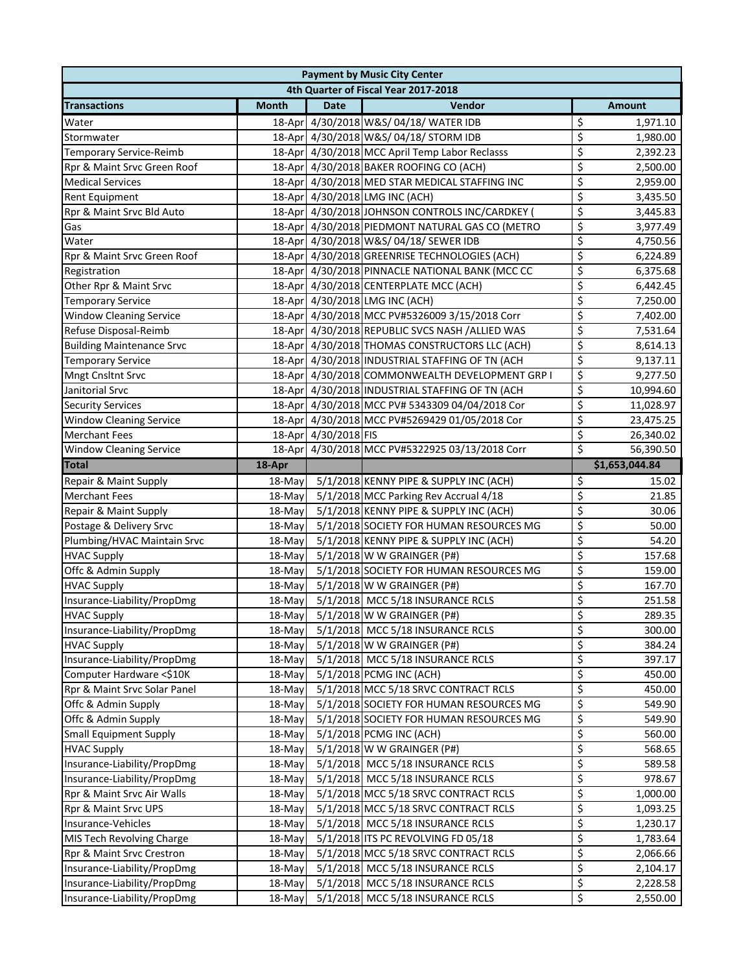|                                      |              |                      | <b>Payment by Music City Center</b>             |                         |                |  |  |
|--------------------------------------|--------------|----------------------|-------------------------------------------------|-------------------------|----------------|--|--|
| 4th Quarter of Fiscal Year 2017-2018 |              |                      |                                                 |                         |                |  |  |
| <b>Transactions</b>                  | <b>Month</b> | <b>Date</b>          | Vendor                                          |                         | Amount         |  |  |
| Water                                |              |                      | 18-Apr 4/30/2018 W&S/04/18/WATER IDB            | \$                      | 1,971.10       |  |  |
| Stormwater                           |              |                      | 18-Apr 4/30/2018 W&S/04/18/ STORM IDB           | \$                      | 1,980.00       |  |  |
| <b>Temporary Service-Reimb</b>       |              |                      | 18-Apr 4/30/2018 MCC April Temp Labor Reclasss  | \$                      | 2,392.23       |  |  |
| Rpr & Maint Srvc Green Roof          |              |                      | 18-Apr 4/30/2018 BAKER ROOFING CO (ACH)         | \$                      | 2,500.00       |  |  |
| <b>Medical Services</b>              |              |                      | 18-Apr 4/30/2018 MED STAR MEDICAL STAFFING INC  | \$                      | 2,959.00       |  |  |
| <b>Rent Equipment</b>                |              |                      | 18-Apr 4/30/2018 LMG INC (ACH)                  | \$                      | 3,435.50       |  |  |
| Rpr & Maint Srvc Bld Auto            |              |                      | 18-Apr 4/30/2018 JOHNSON CONTROLS INC/CARDKEY ( | \$                      | 3,445.83       |  |  |
| Gas                                  |              |                      | 18-Apr 4/30/2018 PIEDMONT NATURAL GAS CO (METRO | \$                      | 3,977.49       |  |  |
| Water                                |              |                      | 18-Apr 4/30/2018 W&S/04/18/SEWER IDB            | \$                      | 4,750.56       |  |  |
| Rpr & Maint Srvc Green Roof          |              |                      | 18-Apr 4/30/2018 GREENRISE TECHNOLOGIES (ACH)   | \$                      | 6,224.89       |  |  |
| Registration                         |              |                      | 18-Apr 4/30/2018 PINNACLE NATIONAL BANK (MCC CC | \$                      | 6,375.68       |  |  |
| Other Rpr & Maint Srvc               |              |                      | 18-Apr 4/30/2018 CENTERPLATE MCC (ACH)          | \$                      | 6,442.45       |  |  |
| <b>Temporary Service</b>             |              |                      | 18-Apr 4/30/2018 LMG INC (ACH)                  | \$                      | 7,250.00       |  |  |
| <b>Window Cleaning Service</b>       |              |                      | 18-Apr 4/30/2018 MCC PV#5326009 3/15/2018 Corr  | \$                      | 7,402.00       |  |  |
| Refuse Disposal-Reimb                |              |                      | 18-Apr 4/30/2018 REPUBLIC SVCS NASH /ALLIED WAS | \$                      | 7,531.64       |  |  |
| <b>Building Maintenance Srvc</b>     |              |                      | 18-Apr 4/30/2018 THOMAS CONSTRUCTORS LLC (ACH)  | \$                      | 8,614.13       |  |  |
| <b>Temporary Service</b>             |              |                      | 18-Apr 4/30/2018 INDUSTRIAL STAFFING OF TN (ACH | \$                      | 9,137.11       |  |  |
| Mngt Cnsltnt Srvc                    |              |                      | 18-Apr 4/30/2018 COMMONWEALTH DEVELOPMENT GRP I | \$                      | 9,277.50       |  |  |
| Janitorial Srvc                      |              |                      | 18-Apr 4/30/2018 INDUSTRIAL STAFFING OF TN (ACH | $\overline{\varsigma}$  | 10,994.60      |  |  |
| <b>Security Services</b>             |              |                      | 18-Apr 4/30/2018 MCC PV# 5343309 04/04/2018 Cor | $\overline{\xi}$        | 11,028.97      |  |  |
| <b>Window Cleaning Service</b>       |              |                      | 18-Apr 4/30/2018 MCC PV#5269429 01/05/2018 Cor  | $\overline{\xi}$        | 23,475.25      |  |  |
| <b>Merchant Fees</b>                 |              | 18-Apr 4/30/2018 FIS |                                                 | \$                      | 26,340.02      |  |  |
| <b>Window Cleaning Service</b>       |              |                      | 18-Apr 4/30/2018 MCC PV#5322925 03/13/2018 Corr | $\overline{\xi}$        | 56,390.50      |  |  |
| <b>Total</b>                         | 18-Apr       |                      |                                                 |                         | \$1,653,044.84 |  |  |
| Repair & Maint Supply                | 18-May       |                      | 5/1/2018 KENNY PIPE & SUPPLY INC (ACH)          | \$                      | 15.02          |  |  |
| <b>Merchant Fees</b>                 | 18-May       |                      | 5/1/2018 MCC Parking Rev Accrual 4/18           | \$                      | 21.85          |  |  |
| Repair & Maint Supply                | 18-May       |                      | 5/1/2018 KENNY PIPE & SUPPLY INC (ACH)          | \$                      | 30.06          |  |  |
| Postage & Delivery Srvc              | $18-May$     |                      | 5/1/2018 SOCIETY FOR HUMAN RESOURCES MG         | \$                      | 50.00          |  |  |
| Plumbing/HVAC Maintain Srvc          | 18-May       |                      | 5/1/2018 KENNY PIPE & SUPPLY INC (ACH)          | \$                      | 54.20          |  |  |
| <b>HVAC Supply</b>                   | $18-May$     |                      | 5/1/2018 W W GRAINGER (P#)                      | \$                      | 157.68         |  |  |
| Offc & Admin Supply                  | 18-May       |                      | 5/1/2018 SOCIETY FOR HUMAN RESOURCES MG         | \$                      | 159.00         |  |  |
| <b>HVAC Supply</b>                   | 18-May       |                      | 5/1/2018 W W GRAINGER (P#)                      | \$                      | 167.70         |  |  |
| Insurance-Liability/PropDmg          | 18-May       |                      | 5/1/2018 MCC 5/18 INSURANCE RCLS                | \$                      | 251.58         |  |  |
| <b>HVAC Supply</b>                   | 18-May       |                      | 5/1/2018 W W GRAINGER (P#)                      | $\overline{\mathsf{S}}$ | 289.35         |  |  |
| Insurance-Liability/PropDmg          | 18-May       |                      | 5/1/2018 MCC 5/18 INSURANCE RCLS                | \$                      | 300.00         |  |  |
| <b>HVAC Supply</b>                   | 18-May       |                      | 5/1/2018 W W GRAINGER (P#)                      | \$                      | 384.24         |  |  |
| Insurance-Liability/PropDmg          | 18-May       |                      | 5/1/2018 MCC 5/18 INSURANCE RCLS                | \$                      | 397.17         |  |  |
| Computer Hardware <\$10K             | 18-May       |                      | 5/1/2018 PCMG INC (ACH)                         | \$                      | 450.00         |  |  |
| Rpr & Maint Srvc Solar Panel         | 18-May       |                      | 5/1/2018 MCC 5/18 SRVC CONTRACT RCLS            | \$                      | 450.00         |  |  |
| Offc & Admin Supply                  | 18-May       |                      | 5/1/2018 SOCIETY FOR HUMAN RESOURCES MG         | \$                      | 549.90         |  |  |
| Offc & Admin Supply                  | 18-May       |                      | 5/1/2018 SOCIETY FOR HUMAN RESOURCES MG         | \$                      | 549.90         |  |  |
| <b>Small Equipment Supply</b>        | 18-May       |                      | 5/1/2018 PCMG INC (ACH)                         | \$                      | 560.00         |  |  |
| <b>HVAC Supply</b>                   | 18-May       |                      | 5/1/2018 W W GRAINGER (P#)                      | \$                      | 568.65         |  |  |
| Insurance-Liability/PropDmg          | 18-May       |                      | 5/1/2018 MCC 5/18 INSURANCE RCLS                | \$                      | 589.58         |  |  |
| Insurance-Liability/PropDmg          | 18-May       |                      | 5/1/2018 MCC 5/18 INSURANCE RCLS                | \$                      | 978.67         |  |  |
| Rpr & Maint Srvc Air Walls           | 18-May       |                      | 5/1/2018 MCC 5/18 SRVC CONTRACT RCLS            | \$                      | 1,000.00       |  |  |
| Rpr & Maint Srvc UPS                 | 18-May       |                      | 5/1/2018 MCC 5/18 SRVC CONTRACT RCLS            | \$                      | 1,093.25       |  |  |
| Insurance-Vehicles                   | 18-May       |                      | 5/1/2018 MCC 5/18 INSURANCE RCLS                | \$                      | 1,230.17       |  |  |
| MIS Tech Revolving Charge            | 18-May       |                      | 5/1/2018 ITS PC REVOLVING FD 05/18              | \$                      | 1,783.64       |  |  |
| Rpr & Maint Srvc Crestron            | 18-May       |                      | 5/1/2018 MCC 5/18 SRVC CONTRACT RCLS            | \$                      | 2,066.66       |  |  |
| Insurance-Liability/PropDmg          | 18-May       |                      | 5/1/2018 MCC 5/18 INSURANCE RCLS                | \$                      | 2,104.17       |  |  |
| Insurance-Liability/PropDmg          | 18-May       |                      | 5/1/2018 MCC 5/18 INSURANCE RCLS                | \$                      | 2,228.58       |  |  |
| Insurance-Liability/PropDmg          | 18-May       |                      | 5/1/2018 MCC 5/18 INSURANCE RCLS                | \$                      | 2,550.00       |  |  |
|                                      |              |                      |                                                 |                         |                |  |  |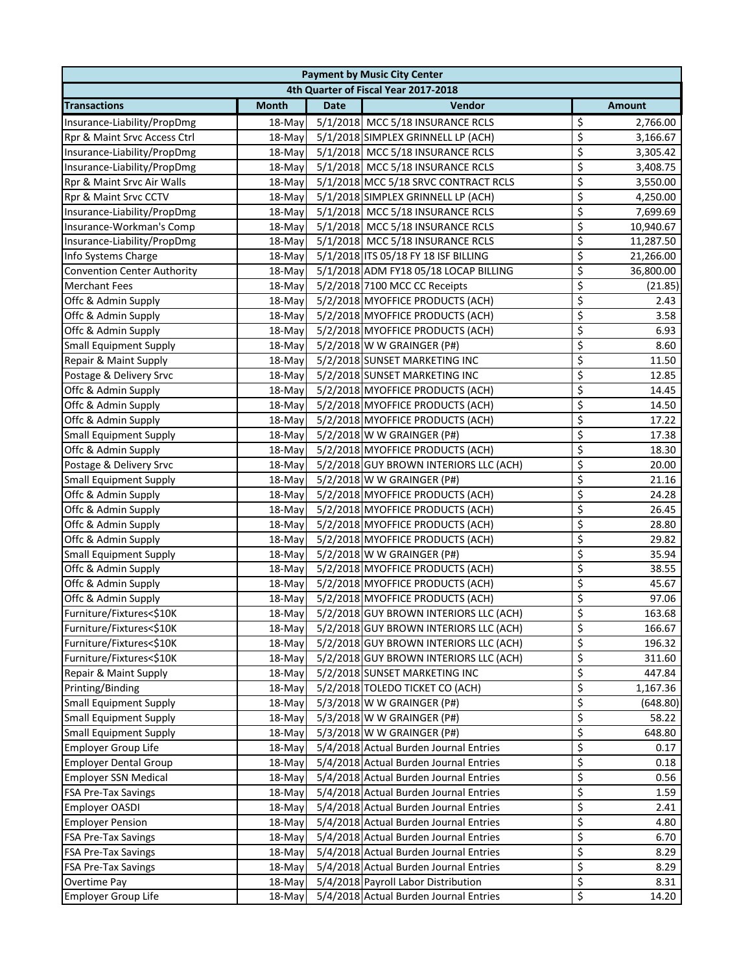|                                      | <b>Payment by Music City Center</b> |             |                                        |                         |               |  |  |  |
|--------------------------------------|-------------------------------------|-------------|----------------------------------------|-------------------------|---------------|--|--|--|
| 4th Quarter of Fiscal Year 2017-2018 |                                     |             |                                        |                         |               |  |  |  |
| <b>Transactions</b>                  | <b>Month</b>                        | <b>Date</b> | Vendor                                 |                         | <b>Amount</b> |  |  |  |
| Insurance-Liability/PropDmg          | 18-May                              |             | 5/1/2018 MCC 5/18 INSURANCE RCLS       | \$                      | 2,766.00      |  |  |  |
| Rpr & Maint Srvc Access Ctrl         | 18-May                              |             | 5/1/2018 SIMPLEX GRINNELL LP (ACH)     | \$                      | 3,166.67      |  |  |  |
| Insurance-Liability/PropDmg          | 18-May                              |             | 5/1/2018 MCC 5/18 INSURANCE RCLS       | \$                      | 3,305.42      |  |  |  |
| Insurance-Liability/PropDmg          | 18-May                              |             | 5/1/2018 MCC 5/18 INSURANCE RCLS       | \$                      | 3,408.75      |  |  |  |
| Rpr & Maint Srvc Air Walls           | 18-May                              |             | 5/1/2018 MCC 5/18 SRVC CONTRACT RCLS   | \$                      | 3,550.00      |  |  |  |
| Rpr & Maint Srvc CCTV                | 18-May                              |             | 5/1/2018 SIMPLEX GRINNELL LP (ACH)     | \$                      | 4,250.00      |  |  |  |
| Insurance-Liability/PropDmg          | 18-May                              |             | 5/1/2018 MCC 5/18 INSURANCE RCLS       | \$                      | 7,699.69      |  |  |  |
| Insurance-Workman's Comp             | 18-May                              |             | 5/1/2018 MCC 5/18 INSURANCE RCLS       | \$                      | 10,940.67     |  |  |  |
| Insurance-Liability/PropDmg          | 18-May                              |             | 5/1/2018 MCC 5/18 INSURANCE RCLS       | \$                      | 11,287.50     |  |  |  |
| Info Systems Charge                  | 18-May                              |             | 5/1/2018 ITS 05/18 FY 18 ISF BILLING   | \$                      | 21,266.00     |  |  |  |
| <b>Convention Center Authority</b>   | 18-May                              |             | 5/1/2018 ADM FY18 05/18 LOCAP BILLING  | \$                      | 36,800.00     |  |  |  |
| <b>Merchant Fees</b>                 | 18-May                              |             | 5/2/2018 7100 MCC CC Receipts          | \$                      | (21.85)       |  |  |  |
| Offc & Admin Supply                  | 18-May                              |             | 5/2/2018 MYOFFICE PRODUCTS (ACH)       | \$                      | 2.43          |  |  |  |
| Offc & Admin Supply                  | 18-May                              |             | 5/2/2018 MYOFFICE PRODUCTS (ACH)       | \$                      | 3.58          |  |  |  |
| Offc & Admin Supply                  | 18-May                              |             | 5/2/2018 MYOFFICE PRODUCTS (ACH)       | \$                      | 6.93          |  |  |  |
| <b>Small Equipment Supply</b>        | 18-May                              |             | 5/2/2018 W W GRAINGER (P#)             | \$                      | 8.60          |  |  |  |
| Repair & Maint Supply                | 18-May                              |             | 5/2/2018 SUNSET MARKETING INC          | \$                      | 11.50         |  |  |  |
| Postage & Delivery Srvc              | 18-May                              |             | 5/2/2018 SUNSET MARKETING INC          | \$                      | 12.85         |  |  |  |
| Offc & Admin Supply                  | 18-May                              |             | 5/2/2018 MYOFFICE PRODUCTS (ACH)       | \$                      | 14.45         |  |  |  |
| Offc & Admin Supply                  | 18-May                              |             | 5/2/2018 MYOFFICE PRODUCTS (ACH)       | \$                      | 14.50         |  |  |  |
| Offc & Admin Supply                  | 18-May                              |             | 5/2/2018 MYOFFICE PRODUCTS (ACH)       | \$                      | 17.22         |  |  |  |
| <b>Small Equipment Supply</b>        | 18-May                              |             | 5/2/2018 W W GRAINGER (P#)             | \$                      | 17.38         |  |  |  |
| Offc & Admin Supply                  | $18$ -May                           |             | 5/2/2018 MYOFFICE PRODUCTS (ACH)       | \$                      | 18.30         |  |  |  |
| Postage & Delivery Srvc              | 18-May                              |             | 5/2/2018 GUY BROWN INTERIORS LLC (ACH) | \$                      | 20.00         |  |  |  |
| <b>Small Equipment Supply</b>        | 18-May                              |             | 5/2/2018 W W GRAINGER (P#)             | \$                      | 21.16         |  |  |  |
| Offc & Admin Supply                  | 18-May                              |             | 5/2/2018 MYOFFICE PRODUCTS (ACH)       | \$                      | 24.28         |  |  |  |
| Offc & Admin Supply                  | 18-May                              |             | 5/2/2018 MYOFFICE PRODUCTS (ACH)       | \$                      | 26.45         |  |  |  |
| Offc & Admin Supply                  | $18$ -May                           |             | 5/2/2018 MYOFFICE PRODUCTS (ACH)       | \$                      | 28.80         |  |  |  |
| Offc & Admin Supply                  | 18-May                              |             | 5/2/2018 MYOFFICE PRODUCTS (ACH)       | \$                      | 29.82         |  |  |  |
| <b>Small Equipment Supply</b>        | 18-May                              |             | 5/2/2018 W W GRAINGER (P#)             | \$                      | 35.94         |  |  |  |
| Offc & Admin Supply                  | 18-May                              |             | 5/2/2018 MYOFFICE PRODUCTS (ACH)       | \$                      | 38.55         |  |  |  |
| Offc & Admin Supply                  | 18-May                              |             | 5/2/2018 MYOFFICE PRODUCTS (ACH)       | \$                      | 45.67         |  |  |  |
| Offc & Admin Supply                  | 18-May                              |             | 5/2/2018 MYOFFICE PRODUCTS (ACH)       | \$                      | 97.06         |  |  |  |
| Furniture/Fixtures<\$10K             | $18$ -May                           |             | 5/2/2018 GUY BROWN INTERIORS LLC (ACH) | $\overline{\mathsf{s}}$ | 163.68        |  |  |  |
| Furniture/Fixtures<\$10K             | 18-May                              |             | 5/2/2018 GUY BROWN INTERIORS LLC (ACH) | \$                      | 166.67        |  |  |  |
| Furniture/Fixtures<\$10K             | 18-May                              |             | 5/2/2018 GUY BROWN INTERIORS LLC (ACH) | \$                      | 196.32        |  |  |  |
| Furniture/Fixtures<\$10K             | 18-May                              |             | 5/2/2018 GUY BROWN INTERIORS LLC (ACH) | \$                      | 311.60        |  |  |  |
| Repair & Maint Supply                | 18-May                              |             | 5/2/2018 SUNSET MARKETING INC          | \$                      | 447.84        |  |  |  |
| Printing/Binding                     | 18-May                              |             | 5/2/2018 TOLEDO TICKET CO (ACH)        | \$                      | 1,167.36      |  |  |  |
| <b>Small Equipment Supply</b>        | 18-May                              |             | 5/3/2018 W W GRAINGER (P#)             | \$                      | (648.80)      |  |  |  |
| <b>Small Equipment Supply</b>        | 18-May                              |             | 5/3/2018 W W GRAINGER (P#)             | \$                      | 58.22         |  |  |  |
| <b>Small Equipment Supply</b>        | 18-May                              |             | 5/3/2018 W W GRAINGER (P#)             | \$                      | 648.80        |  |  |  |
| <b>Employer Group Life</b>           | 18-May                              |             | 5/4/2018 Actual Burden Journal Entries | \$                      | 0.17          |  |  |  |
| <b>Employer Dental Group</b>         | 18-May                              |             | 5/4/2018 Actual Burden Journal Entries | \$                      | 0.18          |  |  |  |
| <b>Employer SSN Medical</b>          | 18-May                              |             | 5/4/2018 Actual Burden Journal Entries | \$                      | 0.56          |  |  |  |
| <b>FSA Pre-Tax Savings</b>           | 18-May                              |             | 5/4/2018 Actual Burden Journal Entries | \$                      | 1.59          |  |  |  |
| Employer OASDI                       | 18-May                              |             | 5/4/2018 Actual Burden Journal Entries | \$                      | 2.41          |  |  |  |
| <b>Employer Pension</b>              | 18-May                              |             | 5/4/2018 Actual Burden Journal Entries | \$                      | 4.80          |  |  |  |
| <b>FSA Pre-Tax Savings</b>           | 18-May                              |             | 5/4/2018 Actual Burden Journal Entries | \$                      | 6.70          |  |  |  |
| <b>FSA Pre-Tax Savings</b>           | 18-May                              |             | 5/4/2018 Actual Burden Journal Entries | \$                      | 8.29          |  |  |  |
| <b>FSA Pre-Tax Savings</b>           | 18-May                              |             | 5/4/2018 Actual Burden Journal Entries | \$                      | 8.29          |  |  |  |
| Overtime Pay                         | 18-May                              |             | 5/4/2018 Payroll Labor Distribution    | \$                      | 8.31          |  |  |  |
| <b>Employer Group Life</b>           | 18-May                              |             | 5/4/2018 Actual Burden Journal Entries | \$                      | 14.20         |  |  |  |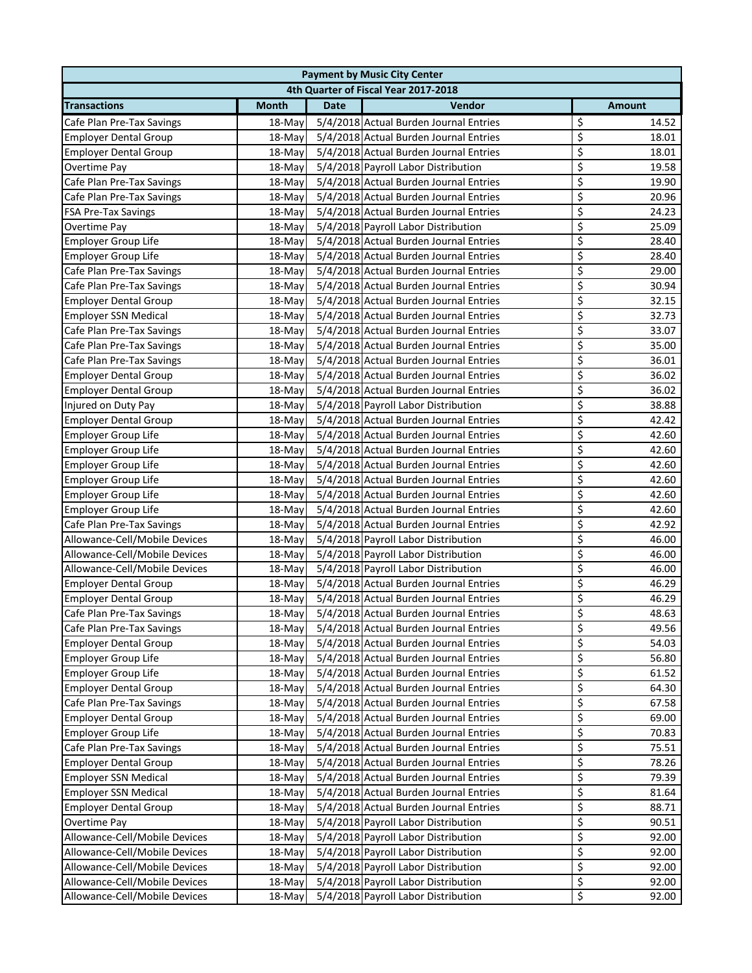| <b>Payment by Music City Center</b>  |              |             |                                        |    |               |  |  |
|--------------------------------------|--------------|-------------|----------------------------------------|----|---------------|--|--|
| 4th Quarter of Fiscal Year 2017-2018 |              |             |                                        |    |               |  |  |
| <b>Transactions</b>                  | <b>Month</b> | <b>Date</b> | Vendor                                 |    | <b>Amount</b> |  |  |
| Cafe Plan Pre-Tax Savings            | 18-May       |             | 5/4/2018 Actual Burden Journal Entries | \$ | 14.52         |  |  |
| <b>Employer Dental Group</b>         | 18-May       |             | 5/4/2018 Actual Burden Journal Entries | \$ | 18.01         |  |  |
| <b>Employer Dental Group</b>         | 18-May       |             | 5/4/2018 Actual Burden Journal Entries | \$ | 18.01         |  |  |
| Overtime Pay                         | 18-May       |             | 5/4/2018 Payroll Labor Distribution    | \$ | 19.58         |  |  |
| Cafe Plan Pre-Tax Savings            | 18-May       |             | 5/4/2018 Actual Burden Journal Entries | \$ | 19.90         |  |  |
| Cafe Plan Pre-Tax Savings            | 18-May       |             | 5/4/2018 Actual Burden Journal Entries | \$ | 20.96         |  |  |
| <b>FSA Pre-Tax Savings</b>           | 18-May       |             | 5/4/2018 Actual Burden Journal Entries | \$ | 24.23         |  |  |
| Overtime Pay                         | 18-May       |             | 5/4/2018 Payroll Labor Distribution    | \$ | 25.09         |  |  |
| <b>Employer Group Life</b>           | 18-May       |             | 5/4/2018 Actual Burden Journal Entries | \$ | 28.40         |  |  |
| <b>Employer Group Life</b>           | 18-May       |             | 5/4/2018 Actual Burden Journal Entries | \$ | 28.40         |  |  |
| Cafe Plan Pre-Tax Savings            | 18-May       |             | 5/4/2018 Actual Burden Journal Entries | \$ | 29.00         |  |  |
| Cafe Plan Pre-Tax Savings            | 18-May       |             | 5/4/2018 Actual Burden Journal Entries | \$ | 30.94         |  |  |
| <b>Employer Dental Group</b>         | 18-May       |             | 5/4/2018 Actual Burden Journal Entries | \$ | 32.15         |  |  |
| <b>Employer SSN Medical</b>          | 18-May       |             | 5/4/2018 Actual Burden Journal Entries | \$ | 32.73         |  |  |
| Cafe Plan Pre-Tax Savings            | 18-May       |             | 5/4/2018 Actual Burden Journal Entries | \$ | 33.07         |  |  |
| Cafe Plan Pre-Tax Savings            | 18-May       |             | 5/4/2018 Actual Burden Journal Entries | \$ | 35.00         |  |  |
| Cafe Plan Pre-Tax Savings            | 18-May       |             | 5/4/2018 Actual Burden Journal Entries | \$ | 36.01         |  |  |
| <b>Employer Dental Group</b>         | 18-May       |             | 5/4/2018 Actual Burden Journal Entries | \$ | 36.02         |  |  |
| <b>Employer Dental Group</b>         | 18-May       |             | 5/4/2018 Actual Burden Journal Entries | \$ | 36.02         |  |  |
| Injured on Duty Pay                  | 18-May       |             | 5/4/2018 Payroll Labor Distribution    | \$ | 38.88         |  |  |
| <b>Employer Dental Group</b>         | 18-May       |             | 5/4/2018 Actual Burden Journal Entries | \$ | 42.42         |  |  |
| <b>Employer Group Life</b>           | 18-May       |             | 5/4/2018 Actual Burden Journal Entries | \$ | 42.60         |  |  |
| Employer Group Life                  | 18-May       |             | 5/4/2018 Actual Burden Journal Entries | \$ | 42.60         |  |  |
| <b>Employer Group Life</b>           | $18$ -May    |             | 5/4/2018 Actual Burden Journal Entries | \$ | 42.60         |  |  |
| <b>Employer Group Life</b>           | 18-May       |             | 5/4/2018 Actual Burden Journal Entries | \$ | 42.60         |  |  |
| <b>Employer Group Life</b>           | $18$ -May    |             | 5/4/2018 Actual Burden Journal Entries | \$ | 42.60         |  |  |
| <b>Employer Group Life</b>           | 18-May       |             | 5/4/2018 Actual Burden Journal Entries | \$ | 42.60         |  |  |
| Cafe Plan Pre-Tax Savings            | 18-May       |             | 5/4/2018 Actual Burden Journal Entries | \$ | 42.92         |  |  |
| Allowance-Cell/Mobile Devices        | 18-May       |             | 5/4/2018 Payroll Labor Distribution    | \$ | 46.00         |  |  |
| Allowance-Cell/Mobile Devices        | $18$ -May    |             | 5/4/2018 Payroll Labor Distribution    | \$ | 46.00         |  |  |
| Allowance-Cell/Mobile Devices        | $18$ -May    |             | 5/4/2018 Payroll Labor Distribution    | \$ | 46.00         |  |  |
| <b>Employer Dental Group</b>         | $18$ -May    |             | 5/4/2018 Actual Burden Journal Entries | \$ | 46.29         |  |  |
| <b>Employer Dental Group</b>         | 18-May       |             | 5/4/2018 Actual Burden Journal Entries | \$ | 46.29         |  |  |
| Cafe Plan Pre-Tax Savings            | 18-May       |             | 5/4/2018 Actual Burden Journal Entries | \$ | 48.63         |  |  |
| Cafe Plan Pre-Tax Savings            | 18-May       |             | 5/4/2018 Actual Burden Journal Entries | \$ | 49.56         |  |  |
| <b>Employer Dental Group</b>         | $18-May$     |             | 5/4/2018 Actual Burden Journal Entries | \$ | 54.03         |  |  |
| <b>Employer Group Life</b>           | 18-May       |             | 5/4/2018 Actual Burden Journal Entries | \$ | 56.80         |  |  |
| <b>Employer Group Life</b>           | 18-May       |             | 5/4/2018 Actual Burden Journal Entries | \$ | 61.52         |  |  |
| <b>Employer Dental Group</b>         | $18-May$     |             | 5/4/2018 Actual Burden Journal Entries | \$ | 64.30         |  |  |
| Cafe Plan Pre-Tax Savings            | $18-May$     |             | 5/4/2018 Actual Burden Journal Entries | \$ | 67.58         |  |  |
| <b>Employer Dental Group</b>         | 18-May       |             | 5/4/2018 Actual Burden Journal Entries | \$ | 69.00         |  |  |
| <b>Employer Group Life</b>           | $18-May$     |             | 5/4/2018 Actual Burden Journal Entries | \$ | 70.83         |  |  |
| Cafe Plan Pre-Tax Savings            | 18-May       |             | 5/4/2018 Actual Burden Journal Entries | \$ | 75.51         |  |  |
| <b>Employer Dental Group</b>         | 18-May       |             | 5/4/2018 Actual Burden Journal Entries | \$ | 78.26         |  |  |
| <b>Employer SSN Medical</b>          | 18-May       |             | 5/4/2018 Actual Burden Journal Entries | \$ | 79.39         |  |  |
| <b>Employer SSN Medical</b>          | 18-May       |             | 5/4/2018 Actual Burden Journal Entries | \$ | 81.64         |  |  |
| <b>Employer Dental Group</b>         | 18-May       |             | 5/4/2018 Actual Burden Journal Entries | \$ | 88.71         |  |  |
| Overtime Pay                         | 18-May       |             | 5/4/2018 Payroll Labor Distribution    | \$ | 90.51         |  |  |
| Allowance-Cell/Mobile Devices        | 18-May       |             | 5/4/2018 Payroll Labor Distribution    | \$ | 92.00         |  |  |
| Allowance-Cell/Mobile Devices        | 18-May       |             | 5/4/2018 Payroll Labor Distribution    | \$ | 92.00         |  |  |
| Allowance-Cell/Mobile Devices        | 18-May       |             | 5/4/2018 Payroll Labor Distribution    | \$ | 92.00         |  |  |
| Allowance-Cell/Mobile Devices        | 18-May       |             | 5/4/2018 Payroll Labor Distribution    | \$ | 92.00         |  |  |
| Allowance-Cell/Mobile Devices        | 18-May       |             | 5/4/2018 Payroll Labor Distribution    | \$ | 92.00         |  |  |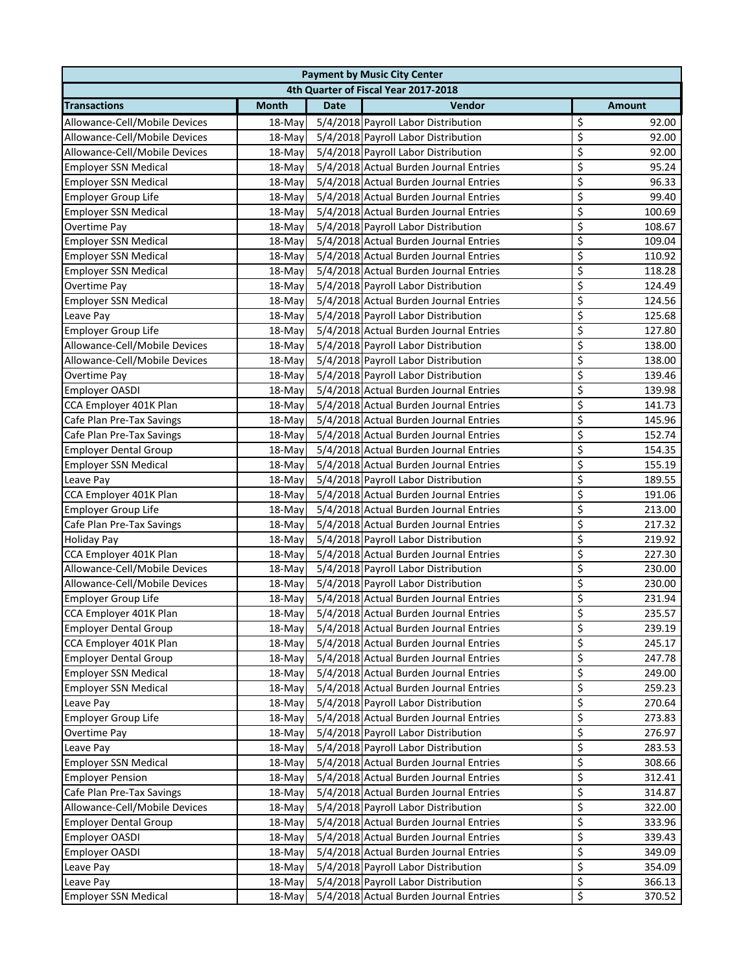| <b>Payment by Music City Center</b>  |              |             |                                        |                         |               |  |  |
|--------------------------------------|--------------|-------------|----------------------------------------|-------------------------|---------------|--|--|
| 4th Quarter of Fiscal Year 2017-2018 |              |             |                                        |                         |               |  |  |
| <b>Transactions</b>                  | <b>Month</b> | <b>Date</b> | Vendor                                 |                         | <b>Amount</b> |  |  |
| Allowance-Cell/Mobile Devices        | 18-May       |             | 5/4/2018 Payroll Labor Distribution    | \$                      | 92.00         |  |  |
| Allowance-Cell/Mobile Devices        | 18-May       |             | 5/4/2018 Payroll Labor Distribution    | \$                      | 92.00         |  |  |
| Allowance-Cell/Mobile Devices        | 18-May       |             | 5/4/2018 Payroll Labor Distribution    | \$                      | 92.00         |  |  |
| <b>Employer SSN Medical</b>          | $18-May$     |             | 5/4/2018 Actual Burden Journal Entries | \$                      | 95.24         |  |  |
| <b>Employer SSN Medical</b>          | $18-May$     |             | 5/4/2018 Actual Burden Journal Entries | \$                      | 96.33         |  |  |
| Employer Group Life                  | $18-May$     |             | 5/4/2018 Actual Burden Journal Entries | \$                      | 99.40         |  |  |
| <b>Employer SSN Medical</b>          | $18-May$     |             | 5/4/2018 Actual Burden Journal Entries | \$                      | 100.69        |  |  |
| Overtime Pay                         | $18-May$     |             | 5/4/2018 Payroll Labor Distribution    | \$                      | 108.67        |  |  |
| <b>Employer SSN Medical</b>          | $18-May$     |             | 5/4/2018 Actual Burden Journal Entries | \$                      | 109.04        |  |  |
| <b>Employer SSN Medical</b>          | $18-May$     |             | 5/4/2018 Actual Burden Journal Entries | \$                      | 110.92        |  |  |
| <b>Employer SSN Medical</b>          | $18-May$     |             | 5/4/2018 Actual Burden Journal Entries | \$                      | 118.28        |  |  |
| Overtime Pay                         | 18-May       |             | 5/4/2018 Payroll Labor Distribution    | \$                      | 124.49        |  |  |
| <b>Employer SSN Medical</b>          | 18-May       |             | 5/4/2018 Actual Burden Journal Entries | \$                      | 124.56        |  |  |
| Leave Pay                            | $18-May$     |             | 5/4/2018 Payroll Labor Distribution    | \$                      | 125.68        |  |  |
| Employer Group Life                  | $18-May$     |             | 5/4/2018 Actual Burden Journal Entries | \$                      | 127.80        |  |  |
| Allowance-Cell/Mobile Devices        | $18-Mav$     |             | 5/4/2018 Payroll Labor Distribution    | \$                      | 138.00        |  |  |
| Allowance-Cell/Mobile Devices        | 18-May       |             | 5/4/2018 Payroll Labor Distribution    | \$                      | 138.00        |  |  |
| Overtime Pay                         | 18-May       |             | 5/4/2018 Payroll Labor Distribution    | \$                      | 139.46        |  |  |
| Employer OASDI                       | 18-May       |             | 5/4/2018 Actual Burden Journal Entries | \$                      | 139.98        |  |  |
| CCA Employer 401K Plan               | $18-Mav$     |             | 5/4/2018 Actual Burden Journal Entries | \$                      | 141.73        |  |  |
| Cafe Plan Pre-Tax Savings            | 18-May       |             | 5/4/2018 Actual Burden Journal Entries | \$                      | 145.96        |  |  |
| Cafe Plan Pre-Tax Savings            | 18-May       |             | 5/4/2018 Actual Burden Journal Entries | \$                      | 152.74        |  |  |
| <b>Employer Dental Group</b>         | $18-May$     |             | 5/4/2018 Actual Burden Journal Entries | \$                      | 154.35        |  |  |
| <b>Employer SSN Medical</b>          | 18-May       |             | 5/4/2018 Actual Burden Journal Entries | \$                      | 155.19        |  |  |
| Leave Pay                            | 18-May       |             | 5/4/2018 Payroll Labor Distribution    | \$                      | 189.55        |  |  |
| CCA Employer 401K Plan               | 18-May       |             | 5/4/2018 Actual Burden Journal Entries | \$                      | 191.06        |  |  |
| <b>Employer Group Life</b>           | 18-May       |             | 5/4/2018 Actual Burden Journal Entries | \$                      | 213.00        |  |  |
| Cafe Plan Pre-Tax Savings            | 18-May       |             | 5/4/2018 Actual Burden Journal Entries | \$                      | 217.32        |  |  |
| <b>Holiday Pay</b>                   | 18-May       |             | 5/4/2018 Payroll Labor Distribution    | \$                      | 219.92        |  |  |
| CCA Employer 401K Plan               | 18-May       |             | 5/4/2018 Actual Burden Journal Entries | \$                      | 227.30        |  |  |
| Allowance-Cell/Mobile Devices        | 18-May       |             | 5/4/2018 Payroll Labor Distribution    | \$                      | 230.00        |  |  |
| Allowance-Cell/Mobile Devices        | 18-May       |             | 5/4/2018 Payroll Labor Distribution    | \$                      | 230.00        |  |  |
| <b>Employer Group Life</b>           | $18-Mav$     |             | 5/4/2018 Actual Burden Journal Entries | \$                      | 231.94        |  |  |
| CCA Employer 401K Plan               | $18$ -May    |             | 5/4/2018 Actual Burden Journal Entries | $\overline{\mathsf{S}}$ | 235.57        |  |  |
| <b>Employer Dental Group</b>         | 18-May       |             | 5/4/2018 Actual Burden Journal Entries | \$                      | 239.19        |  |  |
| CCA Employer 401K Plan               | 18-May       |             | 5/4/2018 Actual Burden Journal Entries | \$                      | 245.17        |  |  |
| <b>Employer Dental Group</b>         | 18-May       |             | 5/4/2018 Actual Burden Journal Entries | \$                      | 247.78        |  |  |
| <b>Employer SSN Medical</b>          | 18-May       |             | 5/4/2018 Actual Burden Journal Entries | \$                      | 249.00        |  |  |
| <b>Employer SSN Medical</b>          | 18-May       |             | 5/4/2018 Actual Burden Journal Entries | \$                      | 259.23        |  |  |
| Leave Pay                            | $18-May$     |             | 5/4/2018 Payroll Labor Distribution    | \$                      | 270.64        |  |  |
| Employer Group Life                  | 18-May       |             | 5/4/2018 Actual Burden Journal Entries | \$                      | 273.83        |  |  |
| Overtime Pay                         | 18-May       |             | 5/4/2018 Payroll Labor Distribution    | \$                      | 276.97        |  |  |
| Leave Pay                            | 18-May       |             | 5/4/2018 Payroll Labor Distribution    | \$                      | 283.53        |  |  |
| <b>Employer SSN Medical</b>          | 18-May       |             | 5/4/2018 Actual Burden Journal Entries | \$                      | 308.66        |  |  |
| <b>Employer Pension</b>              | 18-May       |             | 5/4/2018 Actual Burden Journal Entries | \$                      | 312.41        |  |  |
| Cafe Plan Pre-Tax Savings            | 18-May       |             | 5/4/2018 Actual Burden Journal Entries | \$                      | 314.87        |  |  |
| Allowance-Cell/Mobile Devices        | 18-May       |             | 5/4/2018 Payroll Labor Distribution    | \$                      | 322.00        |  |  |
| <b>Employer Dental Group</b>         | 18-May       |             | 5/4/2018 Actual Burden Journal Entries | \$                      | 333.96        |  |  |
| <b>Employer OASDI</b>                | 18-May       |             | 5/4/2018 Actual Burden Journal Entries | \$                      | 339.43        |  |  |
| <b>Employer OASDI</b>                | 18-May       |             | 5/4/2018 Actual Burden Journal Entries | \$                      | 349.09        |  |  |
| Leave Pay                            | $18-May$     |             | 5/4/2018 Payroll Labor Distribution    | \$                      | 354.09        |  |  |
| Leave Pay                            | 18-May       |             | 5/4/2018 Payroll Labor Distribution    | \$                      | 366.13        |  |  |
| <b>Employer SSN Medical</b>          | 18-May       |             | 5/4/2018 Actual Burden Journal Entries | \$                      | 370.52        |  |  |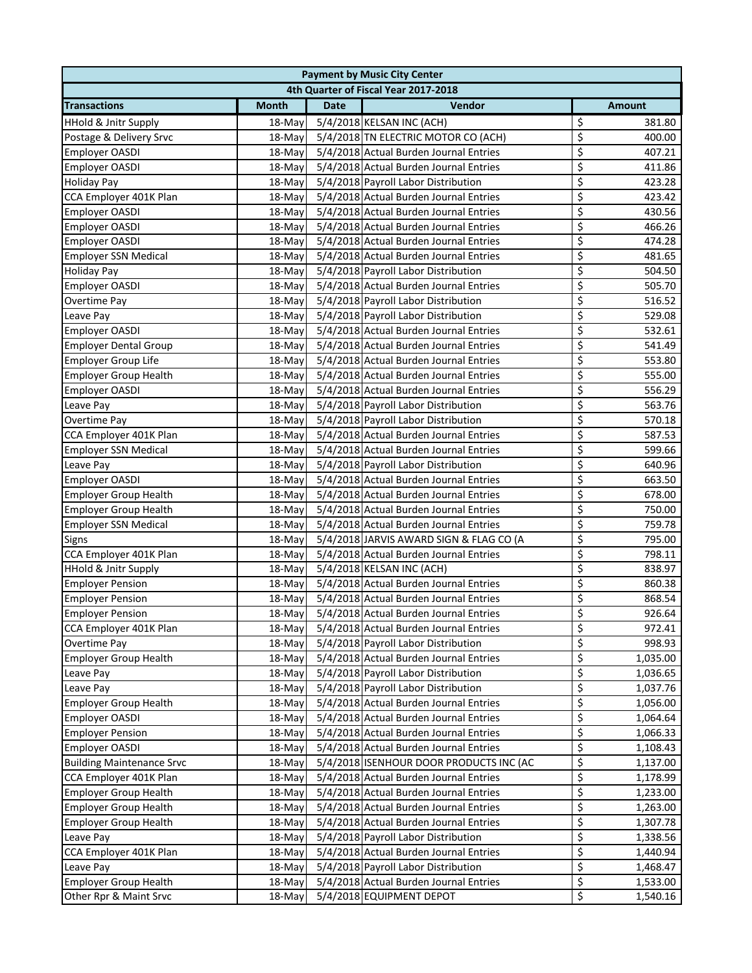| <b>Payment by Music City Center</b>  |              |             |                                         |                  |               |  |  |
|--------------------------------------|--------------|-------------|-----------------------------------------|------------------|---------------|--|--|
| 4th Quarter of Fiscal Year 2017-2018 |              |             |                                         |                  |               |  |  |
| <b>Transactions</b>                  | <b>Month</b> | <b>Date</b> | Vendor                                  |                  | <b>Amount</b> |  |  |
| HHold & Jnitr Supply                 | 18-May       |             | 5/4/2018 KELSAN INC (ACH)               | \$               | 381.80        |  |  |
| Postage & Delivery Srvc              | $18$ -May    |             | 5/4/2018 TN ELECTRIC MOTOR CO (ACH)     | \$               | 400.00        |  |  |
| Employer OASDI                       | 18-May       |             | 5/4/2018 Actual Burden Journal Entries  | \$               | 407.21        |  |  |
| Employer OASDI                       | 18-May       |             | 5/4/2018 Actual Burden Journal Entries  | \$               | 411.86        |  |  |
| <b>Holiday Pay</b>                   | 18-May       |             | 5/4/2018 Payroll Labor Distribution     | \$               | 423.28        |  |  |
| CCA Employer 401K Plan               | 18-May       |             | 5/4/2018 Actual Burden Journal Entries  | \$               | 423.42        |  |  |
| <b>Employer OASDI</b>                | 18-May       |             | 5/4/2018 Actual Burden Journal Entries  | \$               | 430.56        |  |  |
| Employer OASDI                       | 18-May       |             | 5/4/2018 Actual Burden Journal Entries  | \$               | 466.26        |  |  |
| <b>Employer OASDI</b>                | 18-May       |             | 5/4/2018 Actual Burden Journal Entries  | \$               | 474.28        |  |  |
| <b>Employer SSN Medical</b>          | 18-May       |             | 5/4/2018 Actual Burden Journal Entries  | \$               | 481.65        |  |  |
| <b>Holiday Pay</b>                   | 18-May       |             | 5/4/2018 Payroll Labor Distribution     | \$               | 504.50        |  |  |
| Employer OASDI                       | 18-May       |             | 5/4/2018 Actual Burden Journal Entries  | $\overline{\xi}$ | 505.70        |  |  |
| Overtime Pay                         | 18-May       |             | 5/4/2018 Payroll Labor Distribution     | \$               | 516.52        |  |  |
| Leave Pay                            | 18-May       |             | 5/4/2018 Payroll Labor Distribution     | \$               | 529.08        |  |  |
| Employer OASDI                       | $18-Mav$     |             | 5/4/2018 Actual Burden Journal Entries  | \$               | 532.61        |  |  |
| <b>Employer Dental Group</b>         | 18-May       |             | 5/4/2018 Actual Burden Journal Entries  | \$               | 541.49        |  |  |
| Employer Group Life                  | $18-Mav$     |             | 5/4/2018 Actual Burden Journal Entries  | \$               | 553.80        |  |  |
| <b>Employer Group Health</b>         | 18-May       |             | 5/4/2018 Actual Burden Journal Entries  | \$               | 555.00        |  |  |
| Employer OASDI                       | 18-May       |             | 5/4/2018 Actual Burden Journal Entries  | \$               | 556.29        |  |  |
| Leave Pay                            | 18-May       |             | 5/4/2018 Payroll Labor Distribution     | \$               | 563.76        |  |  |
| Overtime Pay                         | 18-May       |             | 5/4/2018 Payroll Labor Distribution     | \$               | 570.18        |  |  |
| CCA Employer 401K Plan               | 18-May       |             | 5/4/2018 Actual Burden Journal Entries  | \$               | 587.53        |  |  |
| <b>Employer SSN Medical</b>          | 18-May       |             | 5/4/2018 Actual Burden Journal Entries  | \$               | 599.66        |  |  |
| Leave Pay                            | 18-May       |             | 5/4/2018 Payroll Labor Distribution     | \$               | 640.96        |  |  |
| Employer OASDI                       | 18-May       |             | 5/4/2018 Actual Burden Journal Entries  | \$               | 663.50        |  |  |
| <b>Employer Group Health</b>         | 18-May       |             | 5/4/2018 Actual Burden Journal Entries  | \$               | 678.00        |  |  |
| <b>Employer Group Health</b>         | 18-May       |             | 5/4/2018 Actual Burden Journal Entries  | \$               | 750.00        |  |  |
| <b>Employer SSN Medical</b>          | 18-May       |             | 5/4/2018 Actual Burden Journal Entries  | \$               | 759.78        |  |  |
| Signs                                | 18-May       |             | 5/4/2018 JARVIS AWARD SIGN & FLAG CO (A | \$               | 795.00        |  |  |
| CCA Employer 401K Plan               | 18-May       |             | 5/4/2018 Actual Burden Journal Entries  | \$               | 798.11        |  |  |
| HHold & Jnitr Supply                 | 18-May       |             | 5/4/2018 KELSAN INC (ACH)               | \$               | 838.97        |  |  |
| <b>Employer Pension</b>              | $18$ -May    |             | 5/4/2018 Actual Burden Journal Entries  | \$               | 860.38        |  |  |
| <b>Employer Pension</b>              | 18-May       |             | 5/4/2018 Actual Burden Journal Entries  | \$               | 868.54        |  |  |
| <b>Employer Pension</b>              | 18-May       |             | 5/4/2018 Actual Burden Journal Entries  | \$               | 926.64        |  |  |
| CCA Employer 401K Plan               | 18-May       |             | 5/4/2018 Actual Burden Journal Entries  | \$               | 972.41        |  |  |
| Overtime Pay                         | 18-May       |             | 5/4/2018 Payroll Labor Distribution     | \$               | 998.93        |  |  |
| <b>Employer Group Health</b>         | 18-May       |             | 5/4/2018 Actual Burden Journal Entries  | \$               | 1,035.00      |  |  |
| Leave Pay                            | 18-May       |             | 5/4/2018 Payroll Labor Distribution     | \$               | 1,036.65      |  |  |
| Leave Pay                            | 18-May       |             | 5/4/2018 Payroll Labor Distribution     | \$               | 1,037.76      |  |  |
| <b>Employer Group Health</b>         | $18-May$     |             | 5/4/2018 Actual Burden Journal Entries  | \$               | 1,056.00      |  |  |
| Employer OASDI                       | 18-May       |             | 5/4/2018 Actual Burden Journal Entries  | \$               | 1,064.64      |  |  |
| <b>Employer Pension</b>              | $18-May$     |             | 5/4/2018 Actual Burden Journal Entries  | \$               | 1,066.33      |  |  |
| Employer OASDI                       | $18-Mav$     |             | 5/4/2018 Actual Burden Journal Entries  | \$               | 1,108.43      |  |  |
| <b>Building Maintenance Srvc</b>     | 18-May       |             | 5/4/2018 ISENHOUR DOOR PRODUCTS INC (AC | \$               | 1,137.00      |  |  |
| CCA Employer 401K Plan               | 18-May       |             | 5/4/2018 Actual Burden Journal Entries  | \$               | 1,178.99      |  |  |
| <b>Employer Group Health</b>         | 18-May       |             | 5/4/2018 Actual Burden Journal Entries  | \$               | 1,233.00      |  |  |
| <b>Employer Group Health</b>         | 18-May       |             | 5/4/2018 Actual Burden Journal Entries  | \$               | 1,263.00      |  |  |
| <b>Employer Group Health</b>         | 18-May       |             | 5/4/2018 Actual Burden Journal Entries  | \$               | 1,307.78      |  |  |
| Leave Pay                            | 18-May       |             | 5/4/2018 Payroll Labor Distribution     | \$               | 1,338.56      |  |  |
| CCA Employer 401K Plan               | 18-May       |             | 5/4/2018 Actual Burden Journal Entries  | \$               | 1,440.94      |  |  |
| Leave Pay                            | 18-May       |             | 5/4/2018 Payroll Labor Distribution     | \$               | 1,468.47      |  |  |
| <b>Employer Group Health</b>         | 18-May       |             | 5/4/2018 Actual Burden Journal Entries  | \$               | 1,533.00      |  |  |
| Other Rpr & Maint Srvc               | 18-May       |             | 5/4/2018 EQUIPMENT DEPOT                | \$               | 1,540.16      |  |  |
|                                      |              |             |                                         |                  |               |  |  |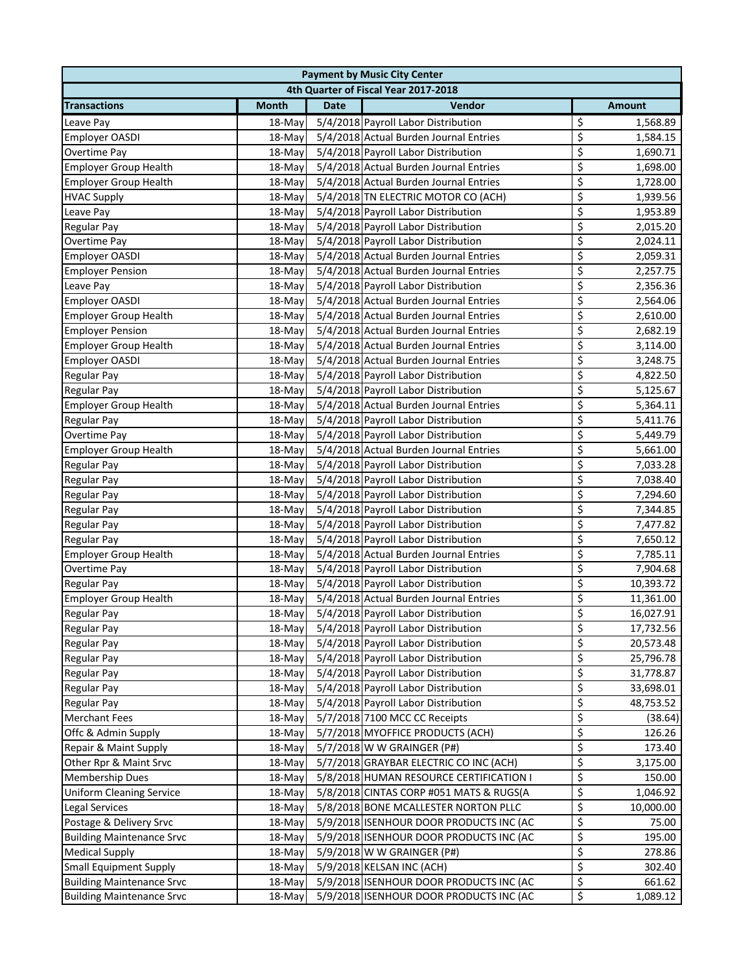| <b>Payment by Music City Center</b>  |              |             |                                         |    |               |  |  |
|--------------------------------------|--------------|-------------|-----------------------------------------|----|---------------|--|--|
| 4th Quarter of Fiscal Year 2017-2018 |              |             |                                         |    |               |  |  |
| <b>Transactions</b>                  | <b>Month</b> | <b>Date</b> | Vendor                                  |    | <b>Amount</b> |  |  |
| Leave Pay                            | $18-May$     |             | 5/4/2018 Payroll Labor Distribution     | \$ | 1,568.89      |  |  |
| Employer OASDI                       | 18-May       |             | 5/4/2018 Actual Burden Journal Entries  | \$ | 1,584.15      |  |  |
| Overtime Pay                         | 18-May       |             | 5/4/2018 Payroll Labor Distribution     | \$ | 1,690.71      |  |  |
| <b>Employer Group Health</b>         | $18-May$     |             | 5/4/2018 Actual Burden Journal Entries  | \$ | 1,698.00      |  |  |
| <b>Employer Group Health</b>         | 18-May       |             | 5/4/2018 Actual Burden Journal Entries  | \$ | 1,728.00      |  |  |
| <b>HVAC Supply</b>                   | $18-May$     |             | 5/4/2018 TN ELECTRIC MOTOR CO (ACH)     | \$ | 1,939.56      |  |  |
| Leave Pay                            | $18-May$     |             | 5/4/2018 Payroll Labor Distribution     | \$ | 1,953.89      |  |  |
| Regular Pay                          | $18-May$     |             | 5/4/2018 Payroll Labor Distribution     | \$ | 2,015.20      |  |  |
| Overtime Pay                         | $18-May$     |             | 5/4/2018 Payroll Labor Distribution     | \$ | 2,024.11      |  |  |
| Employer OASDI                       | $18-May$     |             | 5/4/2018 Actual Burden Journal Entries  | \$ | 2,059.31      |  |  |
| <b>Employer Pension</b>              | $18-May$     |             | 5/4/2018 Actual Burden Journal Entries  | \$ | 2,257.75      |  |  |
| Leave Pay                            | 18-May       |             | 5/4/2018 Payroll Labor Distribution     | \$ | 2,356.36      |  |  |
| Employer OASDI                       | 18-May       |             | 5/4/2018 Actual Burden Journal Entries  | \$ | 2,564.06      |  |  |
| <b>Employer Group Health</b>         | $18-May$     |             | 5/4/2018 Actual Burden Journal Entries  | \$ | 2,610.00      |  |  |
| <b>Employer Pension</b>              | 18-May       |             | 5/4/2018 Actual Burden Journal Entries  | \$ | 2,682.19      |  |  |
| <b>Employer Group Health</b>         | 18-May       |             | 5/4/2018 Actual Burden Journal Entries  | \$ | 3,114.00      |  |  |
| Employer OASDI                       | 18-May       |             | 5/4/2018 Actual Burden Journal Entries  | \$ | 3,248.75      |  |  |
| <b>Regular Pay</b>                   | $18-May$     |             | 5/4/2018 Payroll Labor Distribution     | \$ | 4,822.50      |  |  |
| <b>Regular Pay</b>                   | $18-May$     |             | 5/4/2018 Payroll Labor Distribution     | \$ | 5,125.67      |  |  |
| <b>Employer Group Health</b>         | 18-May       |             | 5/4/2018 Actual Burden Journal Entries  | \$ | 5,364.11      |  |  |
| Regular Pay                          | 18-May       |             | 5/4/2018 Payroll Labor Distribution     | \$ | 5,411.76      |  |  |
| Overtime Pay                         | 18-May       |             | 5/4/2018 Payroll Labor Distribution     | \$ | 5,449.79      |  |  |
| <b>Employer Group Health</b>         | $18-May$     |             | 5/4/2018 Actual Burden Journal Entries  | \$ | 5,661.00      |  |  |
| Regular Pay                          | 18-May       |             | 5/4/2018 Payroll Labor Distribution     | \$ | 7,033.28      |  |  |
| Regular Pay                          | 18-May       |             | 5/4/2018 Payroll Labor Distribution     | \$ | 7,038.40      |  |  |
| Regular Pay                          | $18-May$     |             | 5/4/2018 Payroll Labor Distribution     | \$ | 7,294.60      |  |  |
| Regular Pay                          | 18-May       |             | 5/4/2018 Payroll Labor Distribution     | \$ | 7,344.85      |  |  |
| Regular Pay                          | $18-May$     |             | 5/4/2018 Payroll Labor Distribution     | \$ | 7,477.82      |  |  |
| <b>Regular Pay</b>                   | 18-May       |             | 5/4/2018 Payroll Labor Distribution     | \$ | 7,650.12      |  |  |
| <b>Employer Group Health</b>         | 18-May       |             | 5/4/2018 Actual Burden Journal Entries  | \$ | 7,785.11      |  |  |
| Overtime Pay                         | 18-May       |             | 5/4/2018 Payroll Labor Distribution     | \$ | 7,904.68      |  |  |
| Regular Pay                          | 18-May       |             | 5/4/2018 Payroll Labor Distribution     | \$ | 10,393.72     |  |  |
| <b>Employer Group Health</b>         | 18-May       |             | 5/4/2018 Actual Burden Journal Entries  | \$ | 11,361.00     |  |  |
| <b>Regular Pay</b>                   | 18-May       |             | 5/4/2018 Payroll Labor Distribution     | \$ | 16,027.91     |  |  |
| <b>Regular Pay</b>                   | $18-May$     |             | 5/4/2018 Payroll Labor Distribution     | \$ | 17,732.56     |  |  |
| Regular Pay                          | 18-May       |             | 5/4/2018 Payroll Labor Distribution     | \$ | 20,573.48     |  |  |
| Regular Pay                          | $18-May$     |             | 5/4/2018 Payroll Labor Distribution     | \$ | 25,796.78     |  |  |
| Regular Pay                          | 18-May       |             | 5/4/2018 Payroll Labor Distribution     | \$ | 31,778.87     |  |  |
| Regular Pay                          | 18-May       |             | 5/4/2018 Payroll Labor Distribution     | \$ | 33,698.01     |  |  |
| Regular Pay                          | 18-May       |             | 5/4/2018 Payroll Labor Distribution     | \$ | 48,753.52     |  |  |
| <b>Merchant Fees</b>                 | 18-May       |             | 5/7/2018 7100 MCC CC Receipts           | \$ | (38.64)       |  |  |
| Offc & Admin Supply                  | $18-May$     |             | 5/7/2018 MYOFFICE PRODUCTS (ACH)        | \$ | 126.26        |  |  |
| Repair & Maint Supply                | 18-May       |             | 5/7/2018 W W GRAINGER (P#)              | \$ | 173.40        |  |  |
| Other Rpr & Maint Srvc               | 18-May       |             | 5/7/2018 GRAYBAR ELECTRIC CO INC (ACH)  | \$ | 3,175.00      |  |  |
| <b>Membership Dues</b>               | 18-May       |             | 5/8/2018 HUMAN RESOURCE CERTIFICATION I | \$ | 150.00        |  |  |
| <b>Uniform Cleaning Service</b>      | 18-May       |             | 5/8/2018 CINTAS CORP #051 MATS & RUGS(A | \$ | 1,046.92      |  |  |
| Legal Services                       | 18-May       |             | 5/8/2018 BONE MCALLESTER NORTON PLLC    | \$ | 10,000.00     |  |  |
| Postage & Delivery Srvc              | 18-May       |             | 5/9/2018 ISENHOUR DOOR PRODUCTS INC (AC | \$ | 75.00         |  |  |
| <b>Building Maintenance Srvc</b>     | 18-May       |             | 5/9/2018 ISENHOUR DOOR PRODUCTS INC (AC | \$ | 195.00        |  |  |
| <b>Medical Supply</b>                | 18-May       |             | 5/9/2018 W W GRAINGER (P#)              | \$ | 278.86        |  |  |
| <b>Small Equipment Supply</b>        |              |             | 5/9/2018 KELSAN INC (ACH)               | \$ | 302.40        |  |  |
| <b>Building Maintenance Srvc</b>     | 18-May       |             | 5/9/2018 ISENHOUR DOOR PRODUCTS INC (AC | \$ | 661.62        |  |  |
| <b>Building Maintenance Srvc</b>     | 18-May       |             | 5/9/2018 ISENHOUR DOOR PRODUCTS INC (AC | \$ | 1,089.12      |  |  |
|                                      | 18-May       |             |                                         |    |               |  |  |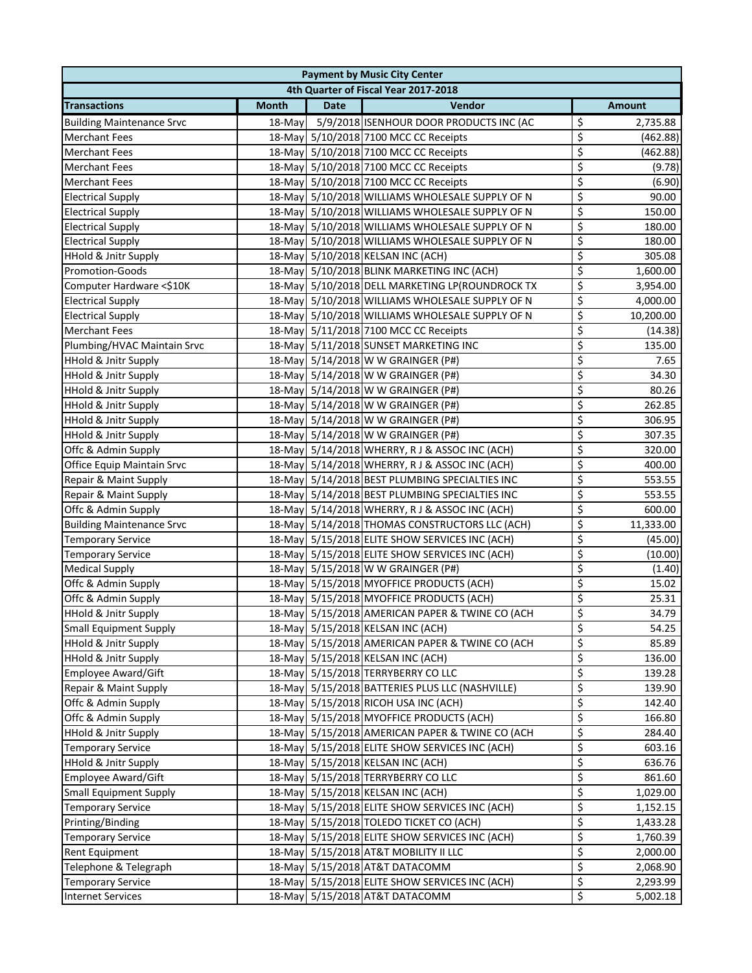| <b>Payment by Music City Center</b>  |              |             |                                                 |                         |               |  |  |
|--------------------------------------|--------------|-------------|-------------------------------------------------|-------------------------|---------------|--|--|
| 4th Quarter of Fiscal Year 2017-2018 |              |             |                                                 |                         |               |  |  |
| <b>Transactions</b>                  | <b>Month</b> | <b>Date</b> | Vendor                                          |                         | <b>Amount</b> |  |  |
| <b>Building Maintenance Srvc</b>     | 18-May       |             | 5/9/2018 ISENHOUR DOOR PRODUCTS INC (AC         | \$                      | 2,735.88      |  |  |
| <b>Merchant Fees</b>                 |              |             | 18-May 5/10/2018 7100 MCC CC Receipts           | \$                      | (462.88)      |  |  |
| <b>Merchant Fees</b>                 |              |             | 18-May 5/10/2018 7100 MCC CC Receipts           | \$                      | (462.88)      |  |  |
| <b>Merchant Fees</b>                 |              |             | 18-May 5/10/2018 7100 MCC CC Receipts           | \$                      | (9.78)        |  |  |
| <b>Merchant Fees</b>                 |              |             | 18-May 5/10/2018 7100 MCC CC Receipts           | \$                      | (6.90)        |  |  |
| <b>Electrical Supply</b>             |              |             | 18-May 5/10/2018 WILLIAMS WHOLESALE SUPPLY OF N | \$                      | 90.00         |  |  |
| <b>Electrical Supply</b>             |              |             | 18-May 5/10/2018 WILLIAMS WHOLESALE SUPPLY OF N | \$                      | 150.00        |  |  |
| <b>Electrical Supply</b>             |              |             | 18-May 5/10/2018 WILLIAMS WHOLESALE SUPPLY OF N | \$                      | 180.00        |  |  |
| <b>Electrical Supply</b>             |              |             | 18-May 5/10/2018 WILLIAMS WHOLESALE SUPPLY OF N | \$                      | 180.00        |  |  |
| <b>HHold &amp; Jnitr Supply</b>      |              |             | 18-May 5/10/2018 KELSAN INC (ACH)               | \$                      | 305.08        |  |  |
| <b>Promotion-Goods</b>               |              |             | 18-May 5/10/2018 BLINK MARKETING INC (ACH)      | \$                      | 1,600.00      |  |  |
| Computer Hardware <\$10K             |              |             | 18-May 5/10/2018 DELL MARKETING LP(ROUNDROCK TX | \$                      | 3,954.00      |  |  |
| <b>Electrical Supply</b>             |              |             | 18-May 5/10/2018 WILLIAMS WHOLESALE SUPPLY OF N | \$                      | 4,000.00      |  |  |
| <b>Electrical Supply</b>             |              |             | 18-May 5/10/2018 WILLIAMS WHOLESALE SUPPLY OF N | \$                      | 10,200.00     |  |  |
| <b>Merchant Fees</b>                 |              |             | 18-May 5/11/2018 7100 MCC CC Receipts           | \$                      | (14.38)       |  |  |
| Plumbing/HVAC Maintain Srvc          |              |             | 18-May 5/11/2018 SUNSET MARKETING INC           | \$                      | 135.00        |  |  |
| <b>HHold &amp; Jnitr Supply</b>      |              |             | 18-May 5/14/2018 W W GRAINGER (P#)              | \$                      | 7.65          |  |  |
| <b>HHold &amp; Jnitr Supply</b>      |              |             | 18-May 5/14/2018 W W GRAINGER (P#)              | \$                      | 34.30         |  |  |
| <b>HHold &amp; Jnitr Supply</b>      |              |             | 18-May 5/14/2018 W W GRAINGER (P#)              | \$                      | 80.26         |  |  |
| HHold & Jnitr Supply                 |              |             | 18-May 5/14/2018 W W GRAINGER (P#)              | \$                      | 262.85        |  |  |
| <b>HHold &amp; Jnitr Supply</b>      |              |             | 18-May 5/14/2018 W W GRAINGER (P#)              | \$                      | 306.95        |  |  |
| <b>HHold &amp; Jnitr Supply</b>      |              |             | 18-May 5/14/2018 W W GRAINGER (P#)              | \$                      | 307.35        |  |  |
| Offc & Admin Supply                  |              |             | 18-May 5/14/2018 WHERRY, R J & ASSOC INC (ACH)  | \$                      | 320.00        |  |  |
| Office Equip Maintain Srvc           |              |             | 18-May 5/14/2018 WHERRY, R J & ASSOC INC (ACH)  | \$                      | 400.00        |  |  |
| Repair & Maint Supply                |              |             | 18-May 5/14/2018 BEST PLUMBING SPECIALTIES INC  | \$                      | 553.55        |  |  |
| Repair & Maint Supply                |              |             | 18-May 5/14/2018 BEST PLUMBING SPECIALTIES INC  | \$                      | 553.55        |  |  |
| Offc & Admin Supply                  |              |             | 18-May 5/14/2018 WHERRY, RJ & ASSOC INC (ACH)   | \$                      | 600.00        |  |  |
| <b>Building Maintenance Srvc</b>     |              |             | 18-May 5/14/2018 THOMAS CONSTRUCTORS LLC (ACH)  | \$                      | 11,333.00     |  |  |
| <b>Temporary Service</b>             |              |             | 18-May 5/15/2018 ELITE SHOW SERVICES INC (ACH)  | \$                      | (45.00)       |  |  |
| <b>Temporary Service</b>             |              |             | 18-May 5/15/2018 ELITE SHOW SERVICES INC (ACH)  | \$                      | (10.00)       |  |  |
| <b>Medical Supply</b>                |              |             | 18-May 5/15/2018 W W GRAINGER (P#)              | \$                      | (1.40)        |  |  |
| Offc & Admin Supply                  |              |             | 18-May 5/15/2018 MYOFFICE PRODUCTS (ACH)        | \$                      | 15.02         |  |  |
| Offc & Admin Supply                  |              |             | 18-May 5/15/2018 MYOFFICE PRODUCTS (ACH)        | \$                      | 25.31         |  |  |
| HHold & Jnitr Supply                 |              |             | 18-May 5/15/2018 AMERICAN PAPER & TWINE CO (ACH | $\overline{\mathsf{S}}$ | 34.79         |  |  |
| <b>Small Equipment Supply</b>        |              |             | 18-May 5/15/2018 KELSAN INC (ACH)               | \$                      | 54.25         |  |  |
| <b>HHold &amp; Jnitr Supply</b>      |              |             | 18-May 5/15/2018 AMERICAN PAPER & TWINE CO (ACH | \$                      | 85.89         |  |  |
| <b>HHold &amp; Jnitr Supply</b>      |              |             | 18-May 5/15/2018 KELSAN INC (ACH)               | \$                      | 136.00        |  |  |
| Employee Award/Gift                  |              |             | 18-May 5/15/2018 TERRYBERRY CO LLC              | \$                      | 139.28        |  |  |
| Repair & Maint Supply                |              |             | 18-May 5/15/2018 BATTERIES PLUS LLC (NASHVILLE) | \$                      | 139.90        |  |  |
| Offc & Admin Supply                  |              |             | 18-May 5/15/2018 RICOH USA INC (ACH)            | \$                      | 142.40        |  |  |
| Offc & Admin Supply                  |              |             | 18-May 5/15/2018 MYOFFICE PRODUCTS (ACH)        | \$                      | 166.80        |  |  |
| <b>HHold &amp; Jnitr Supply</b>      |              |             | 18-May 5/15/2018 AMERICAN PAPER & TWINE CO (ACH | \$                      | 284.40        |  |  |
| <b>Temporary Service</b>             |              |             | 18-May 5/15/2018 ELITE SHOW SERVICES INC (ACH)  | \$                      | 603.16        |  |  |
| <b>HHold &amp; Jnitr Supply</b>      |              |             | 18-May 5/15/2018 KELSAN INC (ACH)               | \$                      | 636.76        |  |  |
| <b>Employee Award/Gift</b>           |              |             | 18-May 5/15/2018 TERRYBERRY CO LLC              | \$                      | 861.60        |  |  |
| <b>Small Equipment Supply</b>        |              |             | 18-May 5/15/2018 KELSAN INC (ACH)               | \$                      | 1,029.00      |  |  |
| <b>Temporary Service</b>             |              |             | 18-May 5/15/2018 ELITE SHOW SERVICES INC (ACH)  | \$                      | 1,152.15      |  |  |
| Printing/Binding                     |              |             | 18-May 5/15/2018 TOLEDO TICKET CO (ACH)         | \$                      | 1,433.28      |  |  |
| <b>Temporary Service</b>             |              |             | 18-May 5/15/2018 ELITE SHOW SERVICES INC (ACH)  | \$                      | 1,760.39      |  |  |
| Rent Equipment                       |              |             | 18-May 5/15/2018 AT&T MOBILITY II LLC           | \$                      | 2,000.00      |  |  |
| Telephone & Telegraph                |              |             | 18-May 5/15/2018 AT&T DATACOMM                  | \$                      | 2,068.90      |  |  |
| <b>Temporary Service</b>             |              |             | 18-May 5/15/2018 ELITE SHOW SERVICES INC (ACH)  | \$                      | 2,293.99      |  |  |
| <b>Internet Services</b>             |              |             | 18-May 5/15/2018 AT&T DATACOMM                  | \$                      | 5,002.18      |  |  |
|                                      |              |             |                                                 |                         |               |  |  |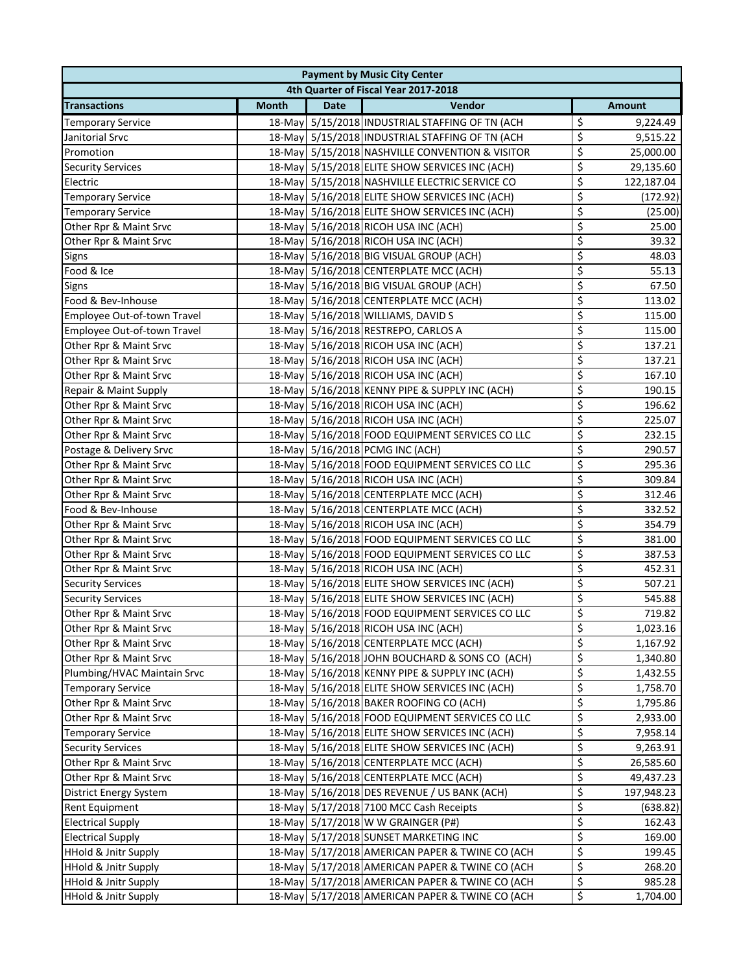| <b>Payment by Music City Center</b> |              |             |                                                 |                         |               |  |  |
|-------------------------------------|--------------|-------------|-------------------------------------------------|-------------------------|---------------|--|--|
|                                     |              |             | 4th Quarter of Fiscal Year 2017-2018            |                         |               |  |  |
| <b>Transactions</b>                 | <b>Month</b> | <b>Date</b> | Vendor                                          |                         | <b>Amount</b> |  |  |
| <b>Temporary Service</b>            |              |             | 18-May 5/15/2018 INDUSTRIAL STAFFING OF TN (ACH | \$                      | 9,224.49      |  |  |
| Janitorial Srvc                     |              |             | 18-May 5/15/2018 INDUSTRIAL STAFFING OF TN (ACH | \$                      | 9,515.22      |  |  |
| Promotion                           |              |             | 18-May 5/15/2018 NASHVILLE CONVENTION & VISITOR | \$                      | 25,000.00     |  |  |
| <b>Security Services</b>            |              |             | 18-May 5/15/2018 ELITE SHOW SERVICES INC (ACH)  | \$                      | 29,135.60     |  |  |
| Electric                            |              |             | 18-May 5/15/2018 NASHVILLE ELECTRIC SERVICE CO  | \$                      | 122,187.04    |  |  |
| <b>Temporary Service</b>            |              |             | 18-May 5/16/2018 ELITE SHOW SERVICES INC (ACH)  | \$                      | (172.92)      |  |  |
| <b>Temporary Service</b>            |              |             | 18-May 5/16/2018 ELITE SHOW SERVICES INC (ACH)  | \$                      | (25.00)       |  |  |
| Other Rpr & Maint Srvc              |              |             | 18-May 5/16/2018 RICOH USA INC (ACH)            | \$                      | 25.00         |  |  |
| Other Rpr & Maint Srvc              |              |             | 18-May 5/16/2018 RICOH USA INC (ACH)            | \$                      | 39.32         |  |  |
| Signs                               |              |             | 18-May 5/16/2018 BIG VISUAL GROUP (ACH)         | \$                      | 48.03         |  |  |
| Food & Ice                          |              |             | 18-May 5/16/2018 CENTERPLATE MCC (ACH)          | \$                      | 55.13         |  |  |
| Signs                               |              |             | 18-May 5/16/2018 BIG VISUAL GROUP (ACH)         | \$                      | 67.50         |  |  |
| Food & Bev-Inhouse                  |              |             | 18-May 5/16/2018 CENTERPLATE MCC (ACH)          | \$                      | 113.02        |  |  |
| Employee Out-of-town Travel         |              |             | 18-May 5/16/2018 WILLIAMS, DAVID S              | \$                      | 115.00        |  |  |
| Employee Out-of-town Travel         |              |             | 18-May 5/16/2018 RESTREPO, CARLOS A             | \$                      | 115.00        |  |  |
| Other Rpr & Maint Srvc              |              |             | 18-May 5/16/2018 RICOH USA INC (ACH)            | \$                      | 137.21        |  |  |
| Other Rpr & Maint Srvc              |              |             | 18-May 5/16/2018 RICOH USA INC (ACH)            | \$                      | 137.21        |  |  |
| Other Rpr & Maint Srvc              |              |             | 18-May 5/16/2018 RICOH USA INC (ACH)            | \$                      | 167.10        |  |  |
| Repair & Maint Supply               |              |             | 18-May 5/16/2018 KENNY PIPE & SUPPLY INC (ACH)  | \$                      | 190.15        |  |  |
| Other Rpr & Maint Srvc              |              |             | 18-May 5/16/2018 RICOH USA INC (ACH)            | \$                      | 196.62        |  |  |
| Other Rpr & Maint Srvc              |              |             | 18-May 5/16/2018 RICOH USA INC (ACH)            | \$                      | 225.07        |  |  |
| Other Rpr & Maint Srvc              |              |             | 18-May 5/16/2018 FOOD EQUIPMENT SERVICES CO LLC | \$                      | 232.15        |  |  |
| Postage & Delivery Srvc             |              |             | 18-May 5/16/2018 PCMG INC (ACH)                 | \$                      | 290.57        |  |  |
| Other Rpr & Maint Srvc              |              |             | 18-May 5/16/2018 FOOD EQUIPMENT SERVICES CO LLC | \$                      | 295.36        |  |  |
| Other Rpr & Maint Srvc              |              |             | 18-May 5/16/2018 RICOH USA INC (ACH)            | \$                      | 309.84        |  |  |
| Other Rpr & Maint Srvc              |              |             | 18-May 5/16/2018 CENTERPLATE MCC (ACH)          | \$                      | 312.46        |  |  |
| Food & Bev-Inhouse                  |              |             | 18-May 5/16/2018 CENTERPLATE MCC (ACH)          | \$                      | 332.52        |  |  |
| Other Rpr & Maint Srvc              |              |             | 18-May 5/16/2018 RICOH USA INC (ACH)            | \$                      | 354.79        |  |  |
| Other Rpr & Maint Srvc              |              |             | 18-May 5/16/2018 FOOD EQUIPMENT SERVICES CO LLC | \$                      | 381.00        |  |  |
| Other Rpr & Maint Srvc              |              |             | 18-May 5/16/2018 FOOD EQUIPMENT SERVICES CO LLC | \$                      | 387.53        |  |  |
| Other Rpr & Maint Srvc              |              |             | 18-May 5/16/2018 RICOH USA INC (ACH)            | \$                      | 452.31        |  |  |
| <b>Security Services</b>            |              |             | 18-May 5/16/2018 ELITE SHOW SERVICES INC (ACH)  | \$                      | 507.21        |  |  |
| <b>Security Services</b>            |              |             | 18-May 5/16/2018 ELITE SHOW SERVICES INC (ACH)  | \$                      | 545.88        |  |  |
| Other Rpr & Maint Srvc              |              |             | 18-May 5/16/2018 FOOD EQUIPMENT SERVICES CO LLC | $\overline{\mathsf{S}}$ | 719.82        |  |  |
| Other Rpr & Maint Srvc              |              |             | 18-May 5/16/2018 RICOH USA INC (ACH)            | \$                      | 1,023.16      |  |  |
| Other Rpr & Maint Srvc              |              |             | 18-May 5/16/2018 CENTERPLATE MCC (ACH)          | \$                      | 1,167.92      |  |  |
| Other Rpr & Maint Srvc              |              |             | 18-May 5/16/2018 JOHN BOUCHARD & SONS CO (ACH)  | \$                      | 1,340.80      |  |  |
| Plumbing/HVAC Maintain Srvc         |              |             | 18-May 5/16/2018 KENNY PIPE & SUPPLY INC (ACH)  | \$                      | 1,432.55      |  |  |
| <b>Temporary Service</b>            |              |             | 18-May 5/16/2018 ELITE SHOW SERVICES INC (ACH)  | \$                      | 1,758.70      |  |  |
| Other Rpr & Maint Srvc              |              |             | 18-May 5/16/2018 BAKER ROOFING CO (ACH)         | \$                      | 1,795.86      |  |  |
| Other Rpr & Maint Srvc              |              |             | 18-May 5/16/2018 FOOD EQUIPMENT SERVICES CO LLC | \$                      | 2,933.00      |  |  |
| <b>Temporary Service</b>            |              |             | 18-May 5/16/2018 ELITE SHOW SERVICES INC (ACH)  | \$                      | 7,958.14      |  |  |
| <b>Security Services</b>            |              |             | 18-May 5/16/2018 ELITE SHOW SERVICES INC (ACH)  | \$                      | 9,263.91      |  |  |
| Other Rpr & Maint Srvc              |              |             | 18-May 5/16/2018 CENTERPLATE MCC (ACH)          | \$                      | 26,585.60     |  |  |
| Other Rpr & Maint Srvc              |              |             | 18-May 5/16/2018 CENTERPLATE MCC (ACH)          | \$                      | 49,437.23     |  |  |
| District Energy System              |              |             | 18-May 5/16/2018 DES REVENUE / US BANK (ACH)    | \$                      | 197,948.23    |  |  |
| <b>Rent Equipment</b>               |              |             | 18-May 5/17/2018 7100 MCC Cash Receipts         | \$                      | (638.82)      |  |  |
| <b>Electrical Supply</b>            |              |             | 18-May 5/17/2018 W W GRAINGER (P#)              | \$                      | 162.43        |  |  |
| <b>Electrical Supply</b>            |              |             | 18-May 5/17/2018 SUNSET MARKETING INC           | \$                      | 169.00        |  |  |
| <b>HHold &amp; Jnitr Supply</b>     |              |             | 18-May 5/17/2018 AMERICAN PAPER & TWINE CO (ACH | \$                      | 199.45        |  |  |
| <b>HHold &amp; Jnitr Supply</b>     |              |             | 18-May 5/17/2018 AMERICAN PAPER & TWINE CO (ACH | \$                      | 268.20        |  |  |
| <b>HHold &amp; Jnitr Supply</b>     |              |             | 18-May 5/17/2018 AMERICAN PAPER & TWINE CO (ACH | \$                      | 985.28        |  |  |
| <b>HHold &amp; Jnitr Supply</b>     |              |             | 18-May 5/17/2018 AMERICAN PAPER & TWINE CO (ACH | \$                      | 1,704.00      |  |  |
|                                     |              |             |                                                 |                         |               |  |  |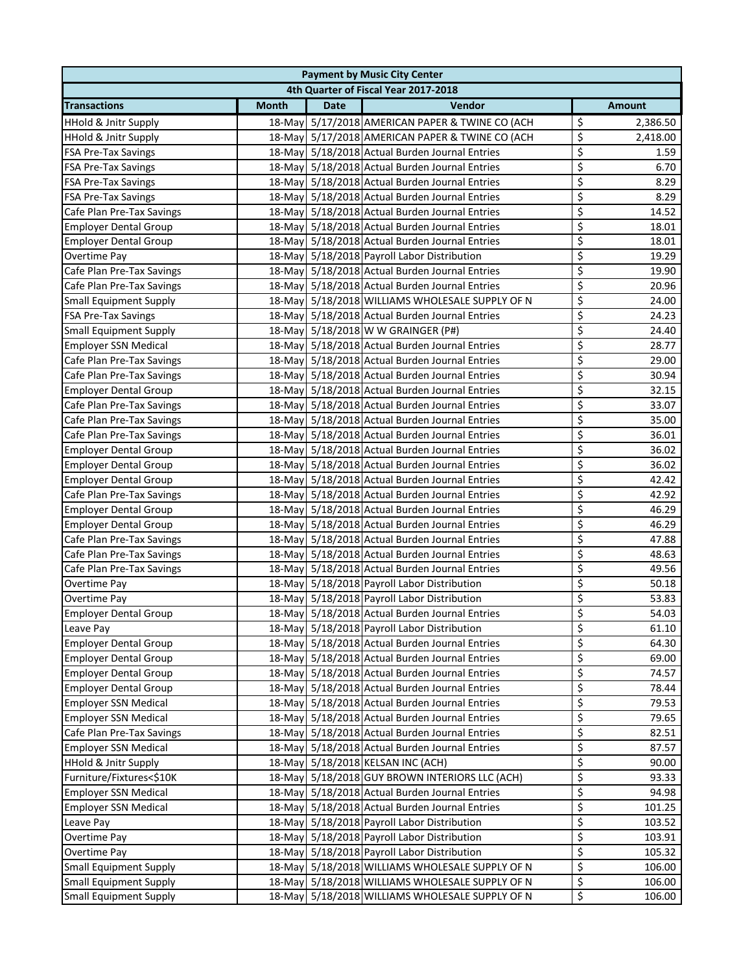| <b>Payment by Music City Center</b>  |              |             |                                                 |                         |               |  |  |
|--------------------------------------|--------------|-------------|-------------------------------------------------|-------------------------|---------------|--|--|
| 4th Quarter of Fiscal Year 2017-2018 |              |             |                                                 |                         |               |  |  |
| <b>Transactions</b>                  | <b>Month</b> | <b>Date</b> | Vendor                                          |                         | <b>Amount</b> |  |  |
| <b>HHold &amp; Jnitr Supply</b>      |              |             | 18-May 5/17/2018 AMERICAN PAPER & TWINE CO (ACH | \$                      | 2,386.50      |  |  |
| HHold & Jnitr Supply                 |              |             | 18-May 5/17/2018 AMERICAN PAPER & TWINE CO (ACH | \$                      | 2,418.00      |  |  |
| <b>FSA Pre-Tax Savings</b>           |              |             | 18-May 5/18/2018 Actual Burden Journal Entries  | \$                      | 1.59          |  |  |
| <b>FSA Pre-Tax Savings</b>           |              |             | 18-May 5/18/2018 Actual Burden Journal Entries  | \$                      | 6.70          |  |  |
| <b>FSA Pre-Tax Savings</b>           |              |             | 18-May 5/18/2018 Actual Burden Journal Entries  | \$                      | 8.29          |  |  |
| <b>FSA Pre-Tax Savings</b>           |              |             | 18-May 5/18/2018 Actual Burden Journal Entries  | \$                      | 8.29          |  |  |
| Cafe Plan Pre-Tax Savings            |              |             | 18-May 5/18/2018 Actual Burden Journal Entries  | \$                      | 14.52         |  |  |
| <b>Employer Dental Group</b>         |              |             | 18-May 5/18/2018 Actual Burden Journal Entries  | \$                      | 18.01         |  |  |
| <b>Employer Dental Group</b>         |              |             | 18-May 5/18/2018 Actual Burden Journal Entries  | \$                      | 18.01         |  |  |
| Overtime Pay                         |              |             | 18-May 5/18/2018 Payroll Labor Distribution     | \$                      | 19.29         |  |  |
| Cafe Plan Pre-Tax Savings            |              |             | 18-May 5/18/2018 Actual Burden Journal Entries  | \$                      | 19.90         |  |  |
| Cafe Plan Pre-Tax Savings            |              |             | 18-May 5/18/2018 Actual Burden Journal Entries  | \$                      | 20.96         |  |  |
| <b>Small Equipment Supply</b>        |              |             | 18-May 5/18/2018 WILLIAMS WHOLESALE SUPPLY OF N | \$                      | 24.00         |  |  |
| <b>FSA Pre-Tax Savings</b>           |              |             | 18-May 5/18/2018 Actual Burden Journal Entries  | \$                      | 24.23         |  |  |
| <b>Small Equipment Supply</b>        |              |             | 18-May 5/18/2018 W W GRAINGER (P#)              | \$                      | 24.40         |  |  |
| <b>Employer SSN Medical</b>          |              |             | 18-May 5/18/2018 Actual Burden Journal Entries  | \$                      | 28.77         |  |  |
| Cafe Plan Pre-Tax Savings            |              |             | 18-May 5/18/2018 Actual Burden Journal Entries  | \$                      | 29.00         |  |  |
| Cafe Plan Pre-Tax Savings            |              |             | 18-May 5/18/2018 Actual Burden Journal Entries  | \$                      | 30.94         |  |  |
| <b>Employer Dental Group</b>         |              |             | 18-May 5/18/2018 Actual Burden Journal Entries  | \$                      | 32.15         |  |  |
| Cafe Plan Pre-Tax Savings            |              |             | 18-May 5/18/2018 Actual Burden Journal Entries  | \$                      | 33.07         |  |  |
| Cafe Plan Pre-Tax Savings            |              |             | 18-May 5/18/2018 Actual Burden Journal Entries  | \$                      | 35.00         |  |  |
| Cafe Plan Pre-Tax Savings            |              |             | 18-May 5/18/2018 Actual Burden Journal Entries  | \$                      | 36.01         |  |  |
| <b>Employer Dental Group</b>         |              |             | 18-May 5/18/2018 Actual Burden Journal Entries  | \$                      | 36.02         |  |  |
| <b>Employer Dental Group</b>         |              |             | 18-May 5/18/2018 Actual Burden Journal Entries  | \$                      | 36.02         |  |  |
| <b>Employer Dental Group</b>         |              |             | 18-May 5/18/2018 Actual Burden Journal Entries  | \$                      | 42.42         |  |  |
| Cafe Plan Pre-Tax Savings            |              |             | 18-May 5/18/2018 Actual Burden Journal Entries  | \$                      | 42.92         |  |  |
| <b>Employer Dental Group</b>         |              |             | 18-May 5/18/2018 Actual Burden Journal Entries  | \$                      | 46.29         |  |  |
| <b>Employer Dental Group</b>         |              |             | 18-May 5/18/2018 Actual Burden Journal Entries  | \$                      | 46.29         |  |  |
| Cafe Plan Pre-Tax Savings            |              |             | 18-May 5/18/2018 Actual Burden Journal Entries  | \$                      | 47.88         |  |  |
| Cafe Plan Pre-Tax Savings            |              |             | 18-May 5/18/2018 Actual Burden Journal Entries  | \$                      | 48.63         |  |  |
| Cafe Plan Pre-Tax Savings            |              |             | 18-May 5/18/2018 Actual Burden Journal Entries  | \$                      | 49.56         |  |  |
| Overtime Pay                         |              |             | 18-May 5/18/2018 Payroll Labor Distribution     | \$                      | 50.18         |  |  |
| Overtime Pay                         |              |             | 18-May 5/18/2018 Payroll Labor Distribution     | \$                      | 53.83         |  |  |
| <b>Employer Dental Group</b>         |              |             | 18-May 5/18/2018 Actual Burden Journal Entries  | $\overline{\mathsf{S}}$ | 54.03         |  |  |
| Leave Pay                            |              |             | 18-May 5/18/2018 Payroll Labor Distribution     | \$                      | 61.10         |  |  |
| <b>Employer Dental Group</b>         |              |             | 18-May 5/18/2018 Actual Burden Journal Entries  | \$                      | 64.30         |  |  |
| <b>Employer Dental Group</b>         |              |             | 18-May 5/18/2018 Actual Burden Journal Entries  | \$                      | 69.00         |  |  |
| <b>Employer Dental Group</b>         |              |             | 18-May 5/18/2018 Actual Burden Journal Entries  | \$                      | 74.57         |  |  |
| <b>Employer Dental Group</b>         |              |             | 18-May 5/18/2018 Actual Burden Journal Entries  | \$                      | 78.44         |  |  |
| <b>Employer SSN Medical</b>          |              |             | 18-May 5/18/2018 Actual Burden Journal Entries  | \$                      | 79.53         |  |  |
| <b>Employer SSN Medical</b>          |              |             | 18-May 5/18/2018 Actual Burden Journal Entries  | \$                      | 79.65         |  |  |
| Cafe Plan Pre-Tax Savings            |              |             | 18-May 5/18/2018 Actual Burden Journal Entries  | \$                      | 82.51         |  |  |
| <b>Employer SSN Medical</b>          |              |             | 18-May 5/18/2018 Actual Burden Journal Entries  | \$                      | 87.57         |  |  |
| <b>HHold &amp; Jnitr Supply</b>      |              |             | 18-May 5/18/2018 KELSAN INC (ACH)               | \$                      | 90.00         |  |  |
| Furniture/Fixtures<\$10K             |              |             | 18-May 5/18/2018 GUY BROWN INTERIORS LLC (ACH)  | \$                      | 93.33         |  |  |
| <b>Employer SSN Medical</b>          |              |             | 18-May 5/18/2018 Actual Burden Journal Entries  | \$                      | 94.98         |  |  |
| <b>Employer SSN Medical</b>          |              |             | 18-May 5/18/2018 Actual Burden Journal Entries  | \$                      | 101.25        |  |  |
| Leave Pay                            |              |             | 18-May 5/18/2018 Payroll Labor Distribution     | \$                      | 103.52        |  |  |
| Overtime Pay                         |              |             | 18-May 5/18/2018 Payroll Labor Distribution     | \$                      | 103.91        |  |  |
| Overtime Pay                         |              |             | 18-May 5/18/2018 Payroll Labor Distribution     | \$                      | 105.32        |  |  |
| <b>Small Equipment Supply</b>        |              |             | 18-May 5/18/2018 WILLIAMS WHOLESALE SUPPLY OF N | \$                      | 106.00        |  |  |
| <b>Small Equipment Supply</b>        |              |             | 18-May 5/18/2018 WILLIAMS WHOLESALE SUPPLY OF N | \$                      | 106.00        |  |  |
| <b>Small Equipment Supply</b>        |              |             | 18-May 5/18/2018 WILLIAMS WHOLESALE SUPPLY OF N | \$                      | 106.00        |  |  |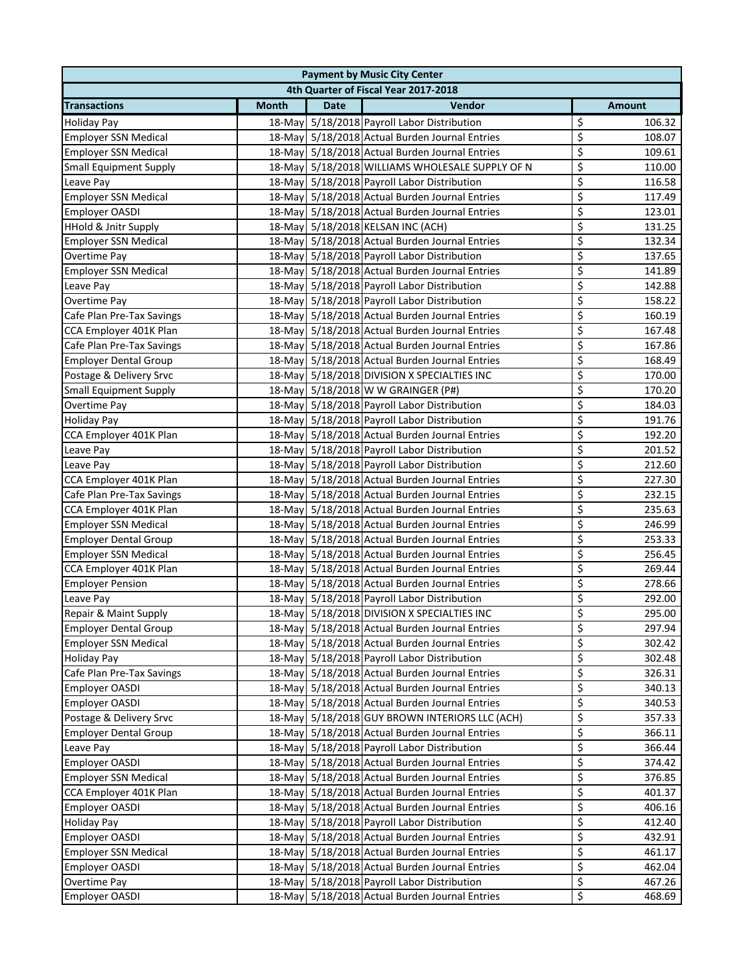| 4th Quarter of Fiscal Year 2017-2018<br>Vendor<br><b>Month</b><br><b>Date</b><br><b>Transactions</b><br><b>Amount</b><br>18-May 5/18/2018 Payroll Labor Distribution<br>\$<br>106.32<br><b>Holiday Pay</b><br>\$<br>18-May 5/18/2018 Actual Burden Journal Entries<br><b>Employer SSN Medical</b><br>108.07<br>\$<br>18-May 5/18/2018 Actual Burden Journal Entries<br><b>Employer SSN Medical</b><br>109.61<br>\$<br>18-May 5/18/2018 WILLIAMS WHOLESALE SUPPLY OF N<br><b>Small Equipment Supply</b><br>110.00<br>\$<br>18-May 5/18/2018 Payroll Labor Distribution<br>116.58<br>Leave Pay<br>\$<br>18-May 5/18/2018 Actual Burden Journal Entries<br><b>Employer SSN Medical</b><br>117.49<br>\$<br>18-May 5/18/2018 Actual Burden Journal Entries<br>Employer OASDI<br>123.01<br>\$<br>18-May 5/18/2018 KELSAN INC (ACH)<br><b>HHold &amp; Jnitr Supply</b><br>131.25<br>\$<br><b>Employer SSN Medical</b><br>18-May 5/18/2018 Actual Burden Journal Entries<br>132.34<br>\$<br>18-May 5/18/2018 Payroll Labor Distribution<br>137.65<br>Overtime Pay<br>\$<br>18-May 5/18/2018 Actual Burden Journal Entries<br><b>Employer SSN Medical</b><br>141.89<br>$\overline{\xi}$<br>18-May 5/18/2018 Payroll Labor Distribution<br>142.88<br>Leave Pay<br>\$<br>18-May 5/18/2018 Payroll Labor Distribution<br>158.22<br>Overtime Pay<br>\$<br>18-May 5/18/2018 Actual Burden Journal Entries<br>Cafe Plan Pre-Tax Savings<br>160.19<br>\$<br>18-May 5/18/2018 Actual Burden Journal Entries<br>CCA Employer 401K Plan<br>167.48<br>\$<br>18-May 5/18/2018 Actual Burden Journal Entries<br>167.86<br>Cafe Plan Pre-Tax Savings<br>\$<br>18-May 5/18/2018 Actual Burden Journal Entries<br>168.49<br><b>Employer Dental Group</b><br>\$<br>18-May 5/18/2018 DIVISION X SPECIALTIES INC<br>Postage & Delivery Srvc<br>170.00<br>\$<br><b>Small Equipment Supply</b><br>18-May 5/18/2018 W W GRAINGER (P#)<br>170.20<br>\$<br>18-May 5/18/2018 Payroll Labor Distribution<br>Overtime Pay<br>184.03<br>\$<br>18-May 5/18/2018 Payroll Labor Distribution<br>191.76<br><b>Holiday Pay</b><br>\$<br>18-May 5/18/2018 Actual Burden Journal Entries<br>CCA Employer 401K Plan<br>192.20<br>\$<br>18-May 5/18/2018 Payroll Labor Distribution<br>201.52<br>Leave Pay<br>\$<br>18-May 5/18/2018 Payroll Labor Distribution<br>212.60<br>Leave Pay<br>\$<br>18-May 5/18/2018 Actual Burden Journal Entries<br>CCA Employer 401K Plan<br>227.30<br>\$<br>18-May 5/18/2018 Actual Burden Journal Entries<br>Cafe Plan Pre-Tax Savings<br>232.15<br>\$<br>18-May 5/18/2018 Actual Burden Journal Entries<br>CCA Employer 401K Plan<br>235.63<br>\$<br>Employer SSN Medical<br>18-May 5/18/2018 Actual Burden Journal Entries<br>246.99<br>\$<br>18-May 5/18/2018 Actual Burden Journal Entries<br>253.33<br><b>Employer Dental Group</b><br>\$<br>18-May 5/18/2018 Actual Burden Journal Entries<br>256.45<br><b>Employer SSN Medical</b><br>\$<br>CCA Employer 401K Plan<br>18-May 5/18/2018 Actual Burden Journal Entries<br>269.44<br>\$<br>18-May 5/18/2018 Actual Burden Journal Entries<br><b>Employer Pension</b><br>278.66<br>\$<br>18-May 5/18/2018 Payroll Labor Distribution<br>Leave Pay<br>292.00<br>\$<br>18-May 5/18/2018 DIVISION X SPECIALTIES INC<br>295.00<br>Repair & Maint Supply<br>\$<br>18-May 5/18/2018 Actual Burden Journal Entries<br><b>Employer Dental Group</b><br>297.94<br>\$<br>18-May 5/18/2018 Actual Burden Journal Entries<br><b>Employer SSN Medical</b><br>302.42<br>\$<br>18-May 5/18/2018 Payroll Labor Distribution<br><b>Holiday Pay</b><br>302.48<br>\$<br>Cafe Plan Pre-Tax Savings<br>18-May 5/18/2018 Actual Burden Journal Entries<br>326.31<br>\$<br>18-May 5/18/2018 Actual Burden Journal Entries<br>Employer OASDI<br>340.13<br>\$<br>18-May 5/18/2018 Actual Burden Journal Entries<br>340.53<br>Employer OASDI<br>\$<br>Postage & Delivery Srvc<br>18-May 5/18/2018 GUY BROWN INTERIORS LLC (ACH)<br>357.33<br>\$<br>18-May 5/18/2018 Actual Burden Journal Entries<br><b>Employer Dental Group</b><br>366.11<br>\$<br>18-May 5/18/2018 Payroll Labor Distribution<br>366.44<br>Leave Pay<br>\$<br>Employer OASDI<br>18-May 5/18/2018 Actual Burden Journal Entries<br>374.42<br>\$<br>18-May 5/18/2018 Actual Burden Journal Entries<br><b>Employer SSN Medical</b><br>376.85<br>\$<br>CCA Employer 401K Plan<br>18-May 5/18/2018 Actual Burden Journal Entries<br>401.37<br>\$<br><b>Employer OASDI</b><br>18-May 5/18/2018 Actual Burden Journal Entries<br>406.16<br>\$<br>18-May 5/18/2018 Payroll Labor Distribution<br><b>Holiday Pay</b><br>412.40<br>\$<br>18-May 5/18/2018 Actual Burden Journal Entries<br>Employer OASDI<br>432.91<br>\$<br><b>Employer SSN Medical</b><br>18-May 5/18/2018 Actual Burden Journal Entries<br>461.17<br>\$<br>18-May 5/18/2018 Actual Burden Journal Entries<br><b>Employer OASDI</b><br>462.04<br>\$<br>18-May 5/18/2018 Payroll Labor Distribution<br>Overtime Pay<br>467.26<br>18-May 5/18/2018 Actual Burden Journal Entries | <b>Payment by Music City Center</b> |  |  |  |    |        |  |  |
|-----------------------------------------------------------------------------------------------------------------------------------------------------------------------------------------------------------------------------------------------------------------------------------------------------------------------------------------------------------------------------------------------------------------------------------------------------------------------------------------------------------------------------------------------------------------------------------------------------------------------------------------------------------------------------------------------------------------------------------------------------------------------------------------------------------------------------------------------------------------------------------------------------------------------------------------------------------------------------------------------------------------------------------------------------------------------------------------------------------------------------------------------------------------------------------------------------------------------------------------------------------------------------------------------------------------------------------------------------------------------------------------------------------------------------------------------------------------------------------------------------------------------------------------------------------------------------------------------------------------------------------------------------------------------------------------------------------------------------------------------------------------------------------------------------------------------------------------------------------------------------------------------------------------------------------------------------------------------------------------------------------------------------------------------------------------------------------------------------------------------------------------------------------------------------------------------------------------------------------------------------------------------------------------------------------------------------------------------------------------------------------------------------------------------------------------------------------------------------------------------------------------------------------------------------------------------------------------------------------------------------------------------------------------------------------------------------------------------------------------------------------------------------------------------------------------------------------------------------------------------------------------------------------------------------------------------------------------------------------------------------------------------------------------------------------------------------------------------------------------------------------------------------------------------------------------------------------------------------------------------------------------------------------------------------------------------------------------------------------------------------------------------------------------------------------------------------------------------------------------------------------------------------------------------------------------------------------------------------------------------------------------------------------------------------------------------------------------------------------------------------------------------------------------------------------------------------------------------------------------------------------------------------------------------------------------------------------------------------------------------------------------------------------------------------------------------------------------------------------------------------------------------------------------------------------------------------------------------------------------------------------------------------------------------------------------------------------------------------------------------------------------------------------------------------------------------------------------------------------------------------------------------------------------------------------------------------------------------------------------------------------------------------------------------------------------------------------------------------------------------------------------------------------------------------------------------------------------------------------------------------------------------------------------------------------------------------------------------------------------------------------------------|-------------------------------------|--|--|--|----|--------|--|--|
|                                                                                                                                                                                                                                                                                                                                                                                                                                                                                                                                                                                                                                                                                                                                                                                                                                                                                                                                                                                                                                                                                                                                                                                                                                                                                                                                                                                                                                                                                                                                                                                                                                                                                                                                                                                                                                                                                                                                                                                                                                                                                                                                                                                                                                                                                                                                                                                                                                                                                                                                                                                                                                                                                                                                                                                                                                                                                                                                                                                                                                                                                                                                                                                                                                                                                                                                                                                                                                                                                                                                                                                                                                                                                                                                                                                                                                                                                                                                                                                                                                                                                                                                                                                                                                                                                                                                                                                                                                                                                                                                                                                                                                                                                                                                                                                                                                                                                                                                                                                                                       |                                     |  |  |  |    |        |  |  |
|                                                                                                                                                                                                                                                                                                                                                                                                                                                                                                                                                                                                                                                                                                                                                                                                                                                                                                                                                                                                                                                                                                                                                                                                                                                                                                                                                                                                                                                                                                                                                                                                                                                                                                                                                                                                                                                                                                                                                                                                                                                                                                                                                                                                                                                                                                                                                                                                                                                                                                                                                                                                                                                                                                                                                                                                                                                                                                                                                                                                                                                                                                                                                                                                                                                                                                                                                                                                                                                                                                                                                                                                                                                                                                                                                                                                                                                                                                                                                                                                                                                                                                                                                                                                                                                                                                                                                                                                                                                                                                                                                                                                                                                                                                                                                                                                                                                                                                                                                                                                                       |                                     |  |  |  |    |        |  |  |
|                                                                                                                                                                                                                                                                                                                                                                                                                                                                                                                                                                                                                                                                                                                                                                                                                                                                                                                                                                                                                                                                                                                                                                                                                                                                                                                                                                                                                                                                                                                                                                                                                                                                                                                                                                                                                                                                                                                                                                                                                                                                                                                                                                                                                                                                                                                                                                                                                                                                                                                                                                                                                                                                                                                                                                                                                                                                                                                                                                                                                                                                                                                                                                                                                                                                                                                                                                                                                                                                                                                                                                                                                                                                                                                                                                                                                                                                                                                                                                                                                                                                                                                                                                                                                                                                                                                                                                                                                                                                                                                                                                                                                                                                                                                                                                                                                                                                                                                                                                                                                       |                                     |  |  |  |    |        |  |  |
|                                                                                                                                                                                                                                                                                                                                                                                                                                                                                                                                                                                                                                                                                                                                                                                                                                                                                                                                                                                                                                                                                                                                                                                                                                                                                                                                                                                                                                                                                                                                                                                                                                                                                                                                                                                                                                                                                                                                                                                                                                                                                                                                                                                                                                                                                                                                                                                                                                                                                                                                                                                                                                                                                                                                                                                                                                                                                                                                                                                                                                                                                                                                                                                                                                                                                                                                                                                                                                                                                                                                                                                                                                                                                                                                                                                                                                                                                                                                                                                                                                                                                                                                                                                                                                                                                                                                                                                                                                                                                                                                                                                                                                                                                                                                                                                                                                                                                                                                                                                                                       |                                     |  |  |  |    |        |  |  |
|                                                                                                                                                                                                                                                                                                                                                                                                                                                                                                                                                                                                                                                                                                                                                                                                                                                                                                                                                                                                                                                                                                                                                                                                                                                                                                                                                                                                                                                                                                                                                                                                                                                                                                                                                                                                                                                                                                                                                                                                                                                                                                                                                                                                                                                                                                                                                                                                                                                                                                                                                                                                                                                                                                                                                                                                                                                                                                                                                                                                                                                                                                                                                                                                                                                                                                                                                                                                                                                                                                                                                                                                                                                                                                                                                                                                                                                                                                                                                                                                                                                                                                                                                                                                                                                                                                                                                                                                                                                                                                                                                                                                                                                                                                                                                                                                                                                                                                                                                                                                                       |                                     |  |  |  |    |        |  |  |
|                                                                                                                                                                                                                                                                                                                                                                                                                                                                                                                                                                                                                                                                                                                                                                                                                                                                                                                                                                                                                                                                                                                                                                                                                                                                                                                                                                                                                                                                                                                                                                                                                                                                                                                                                                                                                                                                                                                                                                                                                                                                                                                                                                                                                                                                                                                                                                                                                                                                                                                                                                                                                                                                                                                                                                                                                                                                                                                                                                                                                                                                                                                                                                                                                                                                                                                                                                                                                                                                                                                                                                                                                                                                                                                                                                                                                                                                                                                                                                                                                                                                                                                                                                                                                                                                                                                                                                                                                                                                                                                                                                                                                                                                                                                                                                                                                                                                                                                                                                                                                       |                                     |  |  |  |    |        |  |  |
|                                                                                                                                                                                                                                                                                                                                                                                                                                                                                                                                                                                                                                                                                                                                                                                                                                                                                                                                                                                                                                                                                                                                                                                                                                                                                                                                                                                                                                                                                                                                                                                                                                                                                                                                                                                                                                                                                                                                                                                                                                                                                                                                                                                                                                                                                                                                                                                                                                                                                                                                                                                                                                                                                                                                                                                                                                                                                                                                                                                                                                                                                                                                                                                                                                                                                                                                                                                                                                                                                                                                                                                                                                                                                                                                                                                                                                                                                                                                                                                                                                                                                                                                                                                                                                                                                                                                                                                                                                                                                                                                                                                                                                                                                                                                                                                                                                                                                                                                                                                                                       |                                     |  |  |  |    |        |  |  |
|                                                                                                                                                                                                                                                                                                                                                                                                                                                                                                                                                                                                                                                                                                                                                                                                                                                                                                                                                                                                                                                                                                                                                                                                                                                                                                                                                                                                                                                                                                                                                                                                                                                                                                                                                                                                                                                                                                                                                                                                                                                                                                                                                                                                                                                                                                                                                                                                                                                                                                                                                                                                                                                                                                                                                                                                                                                                                                                                                                                                                                                                                                                                                                                                                                                                                                                                                                                                                                                                                                                                                                                                                                                                                                                                                                                                                                                                                                                                                                                                                                                                                                                                                                                                                                                                                                                                                                                                                                                                                                                                                                                                                                                                                                                                                                                                                                                                                                                                                                                                                       |                                     |  |  |  |    |        |  |  |
|                                                                                                                                                                                                                                                                                                                                                                                                                                                                                                                                                                                                                                                                                                                                                                                                                                                                                                                                                                                                                                                                                                                                                                                                                                                                                                                                                                                                                                                                                                                                                                                                                                                                                                                                                                                                                                                                                                                                                                                                                                                                                                                                                                                                                                                                                                                                                                                                                                                                                                                                                                                                                                                                                                                                                                                                                                                                                                                                                                                                                                                                                                                                                                                                                                                                                                                                                                                                                                                                                                                                                                                                                                                                                                                                                                                                                                                                                                                                                                                                                                                                                                                                                                                                                                                                                                                                                                                                                                                                                                                                                                                                                                                                                                                                                                                                                                                                                                                                                                                                                       |                                     |  |  |  |    |        |  |  |
|                                                                                                                                                                                                                                                                                                                                                                                                                                                                                                                                                                                                                                                                                                                                                                                                                                                                                                                                                                                                                                                                                                                                                                                                                                                                                                                                                                                                                                                                                                                                                                                                                                                                                                                                                                                                                                                                                                                                                                                                                                                                                                                                                                                                                                                                                                                                                                                                                                                                                                                                                                                                                                                                                                                                                                                                                                                                                                                                                                                                                                                                                                                                                                                                                                                                                                                                                                                                                                                                                                                                                                                                                                                                                                                                                                                                                                                                                                                                                                                                                                                                                                                                                                                                                                                                                                                                                                                                                                                                                                                                                                                                                                                                                                                                                                                                                                                                                                                                                                                                                       |                                     |  |  |  |    |        |  |  |
|                                                                                                                                                                                                                                                                                                                                                                                                                                                                                                                                                                                                                                                                                                                                                                                                                                                                                                                                                                                                                                                                                                                                                                                                                                                                                                                                                                                                                                                                                                                                                                                                                                                                                                                                                                                                                                                                                                                                                                                                                                                                                                                                                                                                                                                                                                                                                                                                                                                                                                                                                                                                                                                                                                                                                                                                                                                                                                                                                                                                                                                                                                                                                                                                                                                                                                                                                                                                                                                                                                                                                                                                                                                                                                                                                                                                                                                                                                                                                                                                                                                                                                                                                                                                                                                                                                                                                                                                                                                                                                                                                                                                                                                                                                                                                                                                                                                                                                                                                                                                                       |                                     |  |  |  |    |        |  |  |
|                                                                                                                                                                                                                                                                                                                                                                                                                                                                                                                                                                                                                                                                                                                                                                                                                                                                                                                                                                                                                                                                                                                                                                                                                                                                                                                                                                                                                                                                                                                                                                                                                                                                                                                                                                                                                                                                                                                                                                                                                                                                                                                                                                                                                                                                                                                                                                                                                                                                                                                                                                                                                                                                                                                                                                                                                                                                                                                                                                                                                                                                                                                                                                                                                                                                                                                                                                                                                                                                                                                                                                                                                                                                                                                                                                                                                                                                                                                                                                                                                                                                                                                                                                                                                                                                                                                                                                                                                                                                                                                                                                                                                                                                                                                                                                                                                                                                                                                                                                                                                       |                                     |  |  |  |    |        |  |  |
|                                                                                                                                                                                                                                                                                                                                                                                                                                                                                                                                                                                                                                                                                                                                                                                                                                                                                                                                                                                                                                                                                                                                                                                                                                                                                                                                                                                                                                                                                                                                                                                                                                                                                                                                                                                                                                                                                                                                                                                                                                                                                                                                                                                                                                                                                                                                                                                                                                                                                                                                                                                                                                                                                                                                                                                                                                                                                                                                                                                                                                                                                                                                                                                                                                                                                                                                                                                                                                                                                                                                                                                                                                                                                                                                                                                                                                                                                                                                                                                                                                                                                                                                                                                                                                                                                                                                                                                                                                                                                                                                                                                                                                                                                                                                                                                                                                                                                                                                                                                                                       |                                     |  |  |  |    |        |  |  |
|                                                                                                                                                                                                                                                                                                                                                                                                                                                                                                                                                                                                                                                                                                                                                                                                                                                                                                                                                                                                                                                                                                                                                                                                                                                                                                                                                                                                                                                                                                                                                                                                                                                                                                                                                                                                                                                                                                                                                                                                                                                                                                                                                                                                                                                                                                                                                                                                                                                                                                                                                                                                                                                                                                                                                                                                                                                                                                                                                                                                                                                                                                                                                                                                                                                                                                                                                                                                                                                                                                                                                                                                                                                                                                                                                                                                                                                                                                                                                                                                                                                                                                                                                                                                                                                                                                                                                                                                                                                                                                                                                                                                                                                                                                                                                                                                                                                                                                                                                                                                                       |                                     |  |  |  |    |        |  |  |
|                                                                                                                                                                                                                                                                                                                                                                                                                                                                                                                                                                                                                                                                                                                                                                                                                                                                                                                                                                                                                                                                                                                                                                                                                                                                                                                                                                                                                                                                                                                                                                                                                                                                                                                                                                                                                                                                                                                                                                                                                                                                                                                                                                                                                                                                                                                                                                                                                                                                                                                                                                                                                                                                                                                                                                                                                                                                                                                                                                                                                                                                                                                                                                                                                                                                                                                                                                                                                                                                                                                                                                                                                                                                                                                                                                                                                                                                                                                                                                                                                                                                                                                                                                                                                                                                                                                                                                                                                                                                                                                                                                                                                                                                                                                                                                                                                                                                                                                                                                                                                       |                                     |  |  |  |    |        |  |  |
|                                                                                                                                                                                                                                                                                                                                                                                                                                                                                                                                                                                                                                                                                                                                                                                                                                                                                                                                                                                                                                                                                                                                                                                                                                                                                                                                                                                                                                                                                                                                                                                                                                                                                                                                                                                                                                                                                                                                                                                                                                                                                                                                                                                                                                                                                                                                                                                                                                                                                                                                                                                                                                                                                                                                                                                                                                                                                                                                                                                                                                                                                                                                                                                                                                                                                                                                                                                                                                                                                                                                                                                                                                                                                                                                                                                                                                                                                                                                                                                                                                                                                                                                                                                                                                                                                                                                                                                                                                                                                                                                                                                                                                                                                                                                                                                                                                                                                                                                                                                                                       |                                     |  |  |  |    |        |  |  |
|                                                                                                                                                                                                                                                                                                                                                                                                                                                                                                                                                                                                                                                                                                                                                                                                                                                                                                                                                                                                                                                                                                                                                                                                                                                                                                                                                                                                                                                                                                                                                                                                                                                                                                                                                                                                                                                                                                                                                                                                                                                                                                                                                                                                                                                                                                                                                                                                                                                                                                                                                                                                                                                                                                                                                                                                                                                                                                                                                                                                                                                                                                                                                                                                                                                                                                                                                                                                                                                                                                                                                                                                                                                                                                                                                                                                                                                                                                                                                                                                                                                                                                                                                                                                                                                                                                                                                                                                                                                                                                                                                                                                                                                                                                                                                                                                                                                                                                                                                                                                                       |                                     |  |  |  |    |        |  |  |
|                                                                                                                                                                                                                                                                                                                                                                                                                                                                                                                                                                                                                                                                                                                                                                                                                                                                                                                                                                                                                                                                                                                                                                                                                                                                                                                                                                                                                                                                                                                                                                                                                                                                                                                                                                                                                                                                                                                                                                                                                                                                                                                                                                                                                                                                                                                                                                                                                                                                                                                                                                                                                                                                                                                                                                                                                                                                                                                                                                                                                                                                                                                                                                                                                                                                                                                                                                                                                                                                                                                                                                                                                                                                                                                                                                                                                                                                                                                                                                                                                                                                                                                                                                                                                                                                                                                                                                                                                                                                                                                                                                                                                                                                                                                                                                                                                                                                                                                                                                                                                       |                                     |  |  |  |    |        |  |  |
|                                                                                                                                                                                                                                                                                                                                                                                                                                                                                                                                                                                                                                                                                                                                                                                                                                                                                                                                                                                                                                                                                                                                                                                                                                                                                                                                                                                                                                                                                                                                                                                                                                                                                                                                                                                                                                                                                                                                                                                                                                                                                                                                                                                                                                                                                                                                                                                                                                                                                                                                                                                                                                                                                                                                                                                                                                                                                                                                                                                                                                                                                                                                                                                                                                                                                                                                                                                                                                                                                                                                                                                                                                                                                                                                                                                                                                                                                                                                                                                                                                                                                                                                                                                                                                                                                                                                                                                                                                                                                                                                                                                                                                                                                                                                                                                                                                                                                                                                                                                                                       |                                     |  |  |  |    |        |  |  |
|                                                                                                                                                                                                                                                                                                                                                                                                                                                                                                                                                                                                                                                                                                                                                                                                                                                                                                                                                                                                                                                                                                                                                                                                                                                                                                                                                                                                                                                                                                                                                                                                                                                                                                                                                                                                                                                                                                                                                                                                                                                                                                                                                                                                                                                                                                                                                                                                                                                                                                                                                                                                                                                                                                                                                                                                                                                                                                                                                                                                                                                                                                                                                                                                                                                                                                                                                                                                                                                                                                                                                                                                                                                                                                                                                                                                                                                                                                                                                                                                                                                                                                                                                                                                                                                                                                                                                                                                                                                                                                                                                                                                                                                                                                                                                                                                                                                                                                                                                                                                                       |                                     |  |  |  |    |        |  |  |
|                                                                                                                                                                                                                                                                                                                                                                                                                                                                                                                                                                                                                                                                                                                                                                                                                                                                                                                                                                                                                                                                                                                                                                                                                                                                                                                                                                                                                                                                                                                                                                                                                                                                                                                                                                                                                                                                                                                                                                                                                                                                                                                                                                                                                                                                                                                                                                                                                                                                                                                                                                                                                                                                                                                                                                                                                                                                                                                                                                                                                                                                                                                                                                                                                                                                                                                                                                                                                                                                                                                                                                                                                                                                                                                                                                                                                                                                                                                                                                                                                                                                                                                                                                                                                                                                                                                                                                                                                                                                                                                                                                                                                                                                                                                                                                                                                                                                                                                                                                                                                       |                                     |  |  |  |    |        |  |  |
|                                                                                                                                                                                                                                                                                                                                                                                                                                                                                                                                                                                                                                                                                                                                                                                                                                                                                                                                                                                                                                                                                                                                                                                                                                                                                                                                                                                                                                                                                                                                                                                                                                                                                                                                                                                                                                                                                                                                                                                                                                                                                                                                                                                                                                                                                                                                                                                                                                                                                                                                                                                                                                                                                                                                                                                                                                                                                                                                                                                                                                                                                                                                                                                                                                                                                                                                                                                                                                                                                                                                                                                                                                                                                                                                                                                                                                                                                                                                                                                                                                                                                                                                                                                                                                                                                                                                                                                                                                                                                                                                                                                                                                                                                                                                                                                                                                                                                                                                                                                                                       |                                     |  |  |  |    |        |  |  |
|                                                                                                                                                                                                                                                                                                                                                                                                                                                                                                                                                                                                                                                                                                                                                                                                                                                                                                                                                                                                                                                                                                                                                                                                                                                                                                                                                                                                                                                                                                                                                                                                                                                                                                                                                                                                                                                                                                                                                                                                                                                                                                                                                                                                                                                                                                                                                                                                                                                                                                                                                                                                                                                                                                                                                                                                                                                                                                                                                                                                                                                                                                                                                                                                                                                                                                                                                                                                                                                                                                                                                                                                                                                                                                                                                                                                                                                                                                                                                                                                                                                                                                                                                                                                                                                                                                                                                                                                                                                                                                                                                                                                                                                                                                                                                                                                                                                                                                                                                                                                                       |                                     |  |  |  |    |        |  |  |
|                                                                                                                                                                                                                                                                                                                                                                                                                                                                                                                                                                                                                                                                                                                                                                                                                                                                                                                                                                                                                                                                                                                                                                                                                                                                                                                                                                                                                                                                                                                                                                                                                                                                                                                                                                                                                                                                                                                                                                                                                                                                                                                                                                                                                                                                                                                                                                                                                                                                                                                                                                                                                                                                                                                                                                                                                                                                                                                                                                                                                                                                                                                                                                                                                                                                                                                                                                                                                                                                                                                                                                                                                                                                                                                                                                                                                                                                                                                                                                                                                                                                                                                                                                                                                                                                                                                                                                                                                                                                                                                                                                                                                                                                                                                                                                                                                                                                                                                                                                                                                       |                                     |  |  |  |    |        |  |  |
|                                                                                                                                                                                                                                                                                                                                                                                                                                                                                                                                                                                                                                                                                                                                                                                                                                                                                                                                                                                                                                                                                                                                                                                                                                                                                                                                                                                                                                                                                                                                                                                                                                                                                                                                                                                                                                                                                                                                                                                                                                                                                                                                                                                                                                                                                                                                                                                                                                                                                                                                                                                                                                                                                                                                                                                                                                                                                                                                                                                                                                                                                                                                                                                                                                                                                                                                                                                                                                                                                                                                                                                                                                                                                                                                                                                                                                                                                                                                                                                                                                                                                                                                                                                                                                                                                                                                                                                                                                                                                                                                                                                                                                                                                                                                                                                                                                                                                                                                                                                                                       |                                     |  |  |  |    |        |  |  |
|                                                                                                                                                                                                                                                                                                                                                                                                                                                                                                                                                                                                                                                                                                                                                                                                                                                                                                                                                                                                                                                                                                                                                                                                                                                                                                                                                                                                                                                                                                                                                                                                                                                                                                                                                                                                                                                                                                                                                                                                                                                                                                                                                                                                                                                                                                                                                                                                                                                                                                                                                                                                                                                                                                                                                                                                                                                                                                                                                                                                                                                                                                                                                                                                                                                                                                                                                                                                                                                                                                                                                                                                                                                                                                                                                                                                                                                                                                                                                                                                                                                                                                                                                                                                                                                                                                                                                                                                                                                                                                                                                                                                                                                                                                                                                                                                                                                                                                                                                                                                                       |                                     |  |  |  |    |        |  |  |
|                                                                                                                                                                                                                                                                                                                                                                                                                                                                                                                                                                                                                                                                                                                                                                                                                                                                                                                                                                                                                                                                                                                                                                                                                                                                                                                                                                                                                                                                                                                                                                                                                                                                                                                                                                                                                                                                                                                                                                                                                                                                                                                                                                                                                                                                                                                                                                                                                                                                                                                                                                                                                                                                                                                                                                                                                                                                                                                                                                                                                                                                                                                                                                                                                                                                                                                                                                                                                                                                                                                                                                                                                                                                                                                                                                                                                                                                                                                                                                                                                                                                                                                                                                                                                                                                                                                                                                                                                                                                                                                                                                                                                                                                                                                                                                                                                                                                                                                                                                                                                       |                                     |  |  |  |    |        |  |  |
|                                                                                                                                                                                                                                                                                                                                                                                                                                                                                                                                                                                                                                                                                                                                                                                                                                                                                                                                                                                                                                                                                                                                                                                                                                                                                                                                                                                                                                                                                                                                                                                                                                                                                                                                                                                                                                                                                                                                                                                                                                                                                                                                                                                                                                                                                                                                                                                                                                                                                                                                                                                                                                                                                                                                                                                                                                                                                                                                                                                                                                                                                                                                                                                                                                                                                                                                                                                                                                                                                                                                                                                                                                                                                                                                                                                                                                                                                                                                                                                                                                                                                                                                                                                                                                                                                                                                                                                                                                                                                                                                                                                                                                                                                                                                                                                                                                                                                                                                                                                                                       |                                     |  |  |  |    |        |  |  |
|                                                                                                                                                                                                                                                                                                                                                                                                                                                                                                                                                                                                                                                                                                                                                                                                                                                                                                                                                                                                                                                                                                                                                                                                                                                                                                                                                                                                                                                                                                                                                                                                                                                                                                                                                                                                                                                                                                                                                                                                                                                                                                                                                                                                                                                                                                                                                                                                                                                                                                                                                                                                                                                                                                                                                                                                                                                                                                                                                                                                                                                                                                                                                                                                                                                                                                                                                                                                                                                                                                                                                                                                                                                                                                                                                                                                                                                                                                                                                                                                                                                                                                                                                                                                                                                                                                                                                                                                                                                                                                                                                                                                                                                                                                                                                                                                                                                                                                                                                                                                                       |                                     |  |  |  |    |        |  |  |
|                                                                                                                                                                                                                                                                                                                                                                                                                                                                                                                                                                                                                                                                                                                                                                                                                                                                                                                                                                                                                                                                                                                                                                                                                                                                                                                                                                                                                                                                                                                                                                                                                                                                                                                                                                                                                                                                                                                                                                                                                                                                                                                                                                                                                                                                                                                                                                                                                                                                                                                                                                                                                                                                                                                                                                                                                                                                                                                                                                                                                                                                                                                                                                                                                                                                                                                                                                                                                                                                                                                                                                                                                                                                                                                                                                                                                                                                                                                                                                                                                                                                                                                                                                                                                                                                                                                                                                                                                                                                                                                                                                                                                                                                                                                                                                                                                                                                                                                                                                                                                       |                                     |  |  |  |    |        |  |  |
|                                                                                                                                                                                                                                                                                                                                                                                                                                                                                                                                                                                                                                                                                                                                                                                                                                                                                                                                                                                                                                                                                                                                                                                                                                                                                                                                                                                                                                                                                                                                                                                                                                                                                                                                                                                                                                                                                                                                                                                                                                                                                                                                                                                                                                                                                                                                                                                                                                                                                                                                                                                                                                                                                                                                                                                                                                                                                                                                                                                                                                                                                                                                                                                                                                                                                                                                                                                                                                                                                                                                                                                                                                                                                                                                                                                                                                                                                                                                                                                                                                                                                                                                                                                                                                                                                                                                                                                                                                                                                                                                                                                                                                                                                                                                                                                                                                                                                                                                                                                                                       |                                     |  |  |  |    |        |  |  |
|                                                                                                                                                                                                                                                                                                                                                                                                                                                                                                                                                                                                                                                                                                                                                                                                                                                                                                                                                                                                                                                                                                                                                                                                                                                                                                                                                                                                                                                                                                                                                                                                                                                                                                                                                                                                                                                                                                                                                                                                                                                                                                                                                                                                                                                                                                                                                                                                                                                                                                                                                                                                                                                                                                                                                                                                                                                                                                                                                                                                                                                                                                                                                                                                                                                                                                                                                                                                                                                                                                                                                                                                                                                                                                                                                                                                                                                                                                                                                                                                                                                                                                                                                                                                                                                                                                                                                                                                                                                                                                                                                                                                                                                                                                                                                                                                                                                                                                                                                                                                                       |                                     |  |  |  |    |        |  |  |
|                                                                                                                                                                                                                                                                                                                                                                                                                                                                                                                                                                                                                                                                                                                                                                                                                                                                                                                                                                                                                                                                                                                                                                                                                                                                                                                                                                                                                                                                                                                                                                                                                                                                                                                                                                                                                                                                                                                                                                                                                                                                                                                                                                                                                                                                                                                                                                                                                                                                                                                                                                                                                                                                                                                                                                                                                                                                                                                                                                                                                                                                                                                                                                                                                                                                                                                                                                                                                                                                                                                                                                                                                                                                                                                                                                                                                                                                                                                                                                                                                                                                                                                                                                                                                                                                                                                                                                                                                                                                                                                                                                                                                                                                                                                                                                                                                                                                                                                                                                                                                       |                                     |  |  |  |    |        |  |  |
|                                                                                                                                                                                                                                                                                                                                                                                                                                                                                                                                                                                                                                                                                                                                                                                                                                                                                                                                                                                                                                                                                                                                                                                                                                                                                                                                                                                                                                                                                                                                                                                                                                                                                                                                                                                                                                                                                                                                                                                                                                                                                                                                                                                                                                                                                                                                                                                                                                                                                                                                                                                                                                                                                                                                                                                                                                                                                                                                                                                                                                                                                                                                                                                                                                                                                                                                                                                                                                                                                                                                                                                                                                                                                                                                                                                                                                                                                                                                                                                                                                                                                                                                                                                                                                                                                                                                                                                                                                                                                                                                                                                                                                                                                                                                                                                                                                                                                                                                                                                                                       |                                     |  |  |  |    |        |  |  |
|                                                                                                                                                                                                                                                                                                                                                                                                                                                                                                                                                                                                                                                                                                                                                                                                                                                                                                                                                                                                                                                                                                                                                                                                                                                                                                                                                                                                                                                                                                                                                                                                                                                                                                                                                                                                                                                                                                                                                                                                                                                                                                                                                                                                                                                                                                                                                                                                                                                                                                                                                                                                                                                                                                                                                                                                                                                                                                                                                                                                                                                                                                                                                                                                                                                                                                                                                                                                                                                                                                                                                                                                                                                                                                                                                                                                                                                                                                                                                                                                                                                                                                                                                                                                                                                                                                                                                                                                                                                                                                                                                                                                                                                                                                                                                                                                                                                                                                                                                                                                                       |                                     |  |  |  |    |        |  |  |
|                                                                                                                                                                                                                                                                                                                                                                                                                                                                                                                                                                                                                                                                                                                                                                                                                                                                                                                                                                                                                                                                                                                                                                                                                                                                                                                                                                                                                                                                                                                                                                                                                                                                                                                                                                                                                                                                                                                                                                                                                                                                                                                                                                                                                                                                                                                                                                                                                                                                                                                                                                                                                                                                                                                                                                                                                                                                                                                                                                                                                                                                                                                                                                                                                                                                                                                                                                                                                                                                                                                                                                                                                                                                                                                                                                                                                                                                                                                                                                                                                                                                                                                                                                                                                                                                                                                                                                                                                                                                                                                                                                                                                                                                                                                                                                                                                                                                                                                                                                                                                       |                                     |  |  |  |    |        |  |  |
|                                                                                                                                                                                                                                                                                                                                                                                                                                                                                                                                                                                                                                                                                                                                                                                                                                                                                                                                                                                                                                                                                                                                                                                                                                                                                                                                                                                                                                                                                                                                                                                                                                                                                                                                                                                                                                                                                                                                                                                                                                                                                                                                                                                                                                                                                                                                                                                                                                                                                                                                                                                                                                                                                                                                                                                                                                                                                                                                                                                                                                                                                                                                                                                                                                                                                                                                                                                                                                                                                                                                                                                                                                                                                                                                                                                                                                                                                                                                                                                                                                                                                                                                                                                                                                                                                                                                                                                                                                                                                                                                                                                                                                                                                                                                                                                                                                                                                                                                                                                                                       |                                     |  |  |  |    |        |  |  |
|                                                                                                                                                                                                                                                                                                                                                                                                                                                                                                                                                                                                                                                                                                                                                                                                                                                                                                                                                                                                                                                                                                                                                                                                                                                                                                                                                                                                                                                                                                                                                                                                                                                                                                                                                                                                                                                                                                                                                                                                                                                                                                                                                                                                                                                                                                                                                                                                                                                                                                                                                                                                                                                                                                                                                                                                                                                                                                                                                                                                                                                                                                                                                                                                                                                                                                                                                                                                                                                                                                                                                                                                                                                                                                                                                                                                                                                                                                                                                                                                                                                                                                                                                                                                                                                                                                                                                                                                                                                                                                                                                                                                                                                                                                                                                                                                                                                                                                                                                                                                                       |                                     |  |  |  |    |        |  |  |
|                                                                                                                                                                                                                                                                                                                                                                                                                                                                                                                                                                                                                                                                                                                                                                                                                                                                                                                                                                                                                                                                                                                                                                                                                                                                                                                                                                                                                                                                                                                                                                                                                                                                                                                                                                                                                                                                                                                                                                                                                                                                                                                                                                                                                                                                                                                                                                                                                                                                                                                                                                                                                                                                                                                                                                                                                                                                                                                                                                                                                                                                                                                                                                                                                                                                                                                                                                                                                                                                                                                                                                                                                                                                                                                                                                                                                                                                                                                                                                                                                                                                                                                                                                                                                                                                                                                                                                                                                                                                                                                                                                                                                                                                                                                                                                                                                                                                                                                                                                                                                       |                                     |  |  |  |    |        |  |  |
|                                                                                                                                                                                                                                                                                                                                                                                                                                                                                                                                                                                                                                                                                                                                                                                                                                                                                                                                                                                                                                                                                                                                                                                                                                                                                                                                                                                                                                                                                                                                                                                                                                                                                                                                                                                                                                                                                                                                                                                                                                                                                                                                                                                                                                                                                                                                                                                                                                                                                                                                                                                                                                                                                                                                                                                                                                                                                                                                                                                                                                                                                                                                                                                                                                                                                                                                                                                                                                                                                                                                                                                                                                                                                                                                                                                                                                                                                                                                                                                                                                                                                                                                                                                                                                                                                                                                                                                                                                                                                                                                                                                                                                                                                                                                                                                                                                                                                                                                                                                                                       |                                     |  |  |  |    |        |  |  |
|                                                                                                                                                                                                                                                                                                                                                                                                                                                                                                                                                                                                                                                                                                                                                                                                                                                                                                                                                                                                                                                                                                                                                                                                                                                                                                                                                                                                                                                                                                                                                                                                                                                                                                                                                                                                                                                                                                                                                                                                                                                                                                                                                                                                                                                                                                                                                                                                                                                                                                                                                                                                                                                                                                                                                                                                                                                                                                                                                                                                                                                                                                                                                                                                                                                                                                                                                                                                                                                                                                                                                                                                                                                                                                                                                                                                                                                                                                                                                                                                                                                                                                                                                                                                                                                                                                                                                                                                                                                                                                                                                                                                                                                                                                                                                                                                                                                                                                                                                                                                                       |                                     |  |  |  |    |        |  |  |
|                                                                                                                                                                                                                                                                                                                                                                                                                                                                                                                                                                                                                                                                                                                                                                                                                                                                                                                                                                                                                                                                                                                                                                                                                                                                                                                                                                                                                                                                                                                                                                                                                                                                                                                                                                                                                                                                                                                                                                                                                                                                                                                                                                                                                                                                                                                                                                                                                                                                                                                                                                                                                                                                                                                                                                                                                                                                                                                                                                                                                                                                                                                                                                                                                                                                                                                                                                                                                                                                                                                                                                                                                                                                                                                                                                                                                                                                                                                                                                                                                                                                                                                                                                                                                                                                                                                                                                                                                                                                                                                                                                                                                                                                                                                                                                                                                                                                                                                                                                                                                       |                                     |  |  |  |    |        |  |  |
|                                                                                                                                                                                                                                                                                                                                                                                                                                                                                                                                                                                                                                                                                                                                                                                                                                                                                                                                                                                                                                                                                                                                                                                                                                                                                                                                                                                                                                                                                                                                                                                                                                                                                                                                                                                                                                                                                                                                                                                                                                                                                                                                                                                                                                                                                                                                                                                                                                                                                                                                                                                                                                                                                                                                                                                                                                                                                                                                                                                                                                                                                                                                                                                                                                                                                                                                                                                                                                                                                                                                                                                                                                                                                                                                                                                                                                                                                                                                                                                                                                                                                                                                                                                                                                                                                                                                                                                                                                                                                                                                                                                                                                                                                                                                                                                                                                                                                                                                                                                                                       |                                     |  |  |  |    |        |  |  |
|                                                                                                                                                                                                                                                                                                                                                                                                                                                                                                                                                                                                                                                                                                                                                                                                                                                                                                                                                                                                                                                                                                                                                                                                                                                                                                                                                                                                                                                                                                                                                                                                                                                                                                                                                                                                                                                                                                                                                                                                                                                                                                                                                                                                                                                                                                                                                                                                                                                                                                                                                                                                                                                                                                                                                                                                                                                                                                                                                                                                                                                                                                                                                                                                                                                                                                                                                                                                                                                                                                                                                                                                                                                                                                                                                                                                                                                                                                                                                                                                                                                                                                                                                                                                                                                                                                                                                                                                                                                                                                                                                                                                                                                                                                                                                                                                                                                                                                                                                                                                                       |                                     |  |  |  |    |        |  |  |
|                                                                                                                                                                                                                                                                                                                                                                                                                                                                                                                                                                                                                                                                                                                                                                                                                                                                                                                                                                                                                                                                                                                                                                                                                                                                                                                                                                                                                                                                                                                                                                                                                                                                                                                                                                                                                                                                                                                                                                                                                                                                                                                                                                                                                                                                                                                                                                                                                                                                                                                                                                                                                                                                                                                                                                                                                                                                                                                                                                                                                                                                                                                                                                                                                                                                                                                                                                                                                                                                                                                                                                                                                                                                                                                                                                                                                                                                                                                                                                                                                                                                                                                                                                                                                                                                                                                                                                                                                                                                                                                                                                                                                                                                                                                                                                                                                                                                                                                                                                                                                       |                                     |  |  |  |    |        |  |  |
|                                                                                                                                                                                                                                                                                                                                                                                                                                                                                                                                                                                                                                                                                                                                                                                                                                                                                                                                                                                                                                                                                                                                                                                                                                                                                                                                                                                                                                                                                                                                                                                                                                                                                                                                                                                                                                                                                                                                                                                                                                                                                                                                                                                                                                                                                                                                                                                                                                                                                                                                                                                                                                                                                                                                                                                                                                                                                                                                                                                                                                                                                                                                                                                                                                                                                                                                                                                                                                                                                                                                                                                                                                                                                                                                                                                                                                                                                                                                                                                                                                                                                                                                                                                                                                                                                                                                                                                                                                                                                                                                                                                                                                                                                                                                                                                                                                                                                                                                                                                                                       |                                     |  |  |  |    |        |  |  |
|                                                                                                                                                                                                                                                                                                                                                                                                                                                                                                                                                                                                                                                                                                                                                                                                                                                                                                                                                                                                                                                                                                                                                                                                                                                                                                                                                                                                                                                                                                                                                                                                                                                                                                                                                                                                                                                                                                                                                                                                                                                                                                                                                                                                                                                                                                                                                                                                                                                                                                                                                                                                                                                                                                                                                                                                                                                                                                                                                                                                                                                                                                                                                                                                                                                                                                                                                                                                                                                                                                                                                                                                                                                                                                                                                                                                                                                                                                                                                                                                                                                                                                                                                                                                                                                                                                                                                                                                                                                                                                                                                                                                                                                                                                                                                                                                                                                                                                                                                                                                                       |                                     |  |  |  |    |        |  |  |
|                                                                                                                                                                                                                                                                                                                                                                                                                                                                                                                                                                                                                                                                                                                                                                                                                                                                                                                                                                                                                                                                                                                                                                                                                                                                                                                                                                                                                                                                                                                                                                                                                                                                                                                                                                                                                                                                                                                                                                                                                                                                                                                                                                                                                                                                                                                                                                                                                                                                                                                                                                                                                                                                                                                                                                                                                                                                                                                                                                                                                                                                                                                                                                                                                                                                                                                                                                                                                                                                                                                                                                                                                                                                                                                                                                                                                                                                                                                                                                                                                                                                                                                                                                                                                                                                                                                                                                                                                                                                                                                                                                                                                                                                                                                                                                                                                                                                                                                                                                                                                       |                                     |  |  |  |    |        |  |  |
|                                                                                                                                                                                                                                                                                                                                                                                                                                                                                                                                                                                                                                                                                                                                                                                                                                                                                                                                                                                                                                                                                                                                                                                                                                                                                                                                                                                                                                                                                                                                                                                                                                                                                                                                                                                                                                                                                                                                                                                                                                                                                                                                                                                                                                                                                                                                                                                                                                                                                                                                                                                                                                                                                                                                                                                                                                                                                                                                                                                                                                                                                                                                                                                                                                                                                                                                                                                                                                                                                                                                                                                                                                                                                                                                                                                                                                                                                                                                                                                                                                                                                                                                                                                                                                                                                                                                                                                                                                                                                                                                                                                                                                                                                                                                                                                                                                                                                                                                                                                                                       |                                     |  |  |  |    |        |  |  |
|                                                                                                                                                                                                                                                                                                                                                                                                                                                                                                                                                                                                                                                                                                                                                                                                                                                                                                                                                                                                                                                                                                                                                                                                                                                                                                                                                                                                                                                                                                                                                                                                                                                                                                                                                                                                                                                                                                                                                                                                                                                                                                                                                                                                                                                                                                                                                                                                                                                                                                                                                                                                                                                                                                                                                                                                                                                                                                                                                                                                                                                                                                                                                                                                                                                                                                                                                                                                                                                                                                                                                                                                                                                                                                                                                                                                                                                                                                                                                                                                                                                                                                                                                                                                                                                                                                                                                                                                                                                                                                                                                                                                                                                                                                                                                                                                                                                                                                                                                                                                                       |                                     |  |  |  |    |        |  |  |
|                                                                                                                                                                                                                                                                                                                                                                                                                                                                                                                                                                                                                                                                                                                                                                                                                                                                                                                                                                                                                                                                                                                                                                                                                                                                                                                                                                                                                                                                                                                                                                                                                                                                                                                                                                                                                                                                                                                                                                                                                                                                                                                                                                                                                                                                                                                                                                                                                                                                                                                                                                                                                                                                                                                                                                                                                                                                                                                                                                                                                                                                                                                                                                                                                                                                                                                                                                                                                                                                                                                                                                                                                                                                                                                                                                                                                                                                                                                                                                                                                                                                                                                                                                                                                                                                                                                                                                                                                                                                                                                                                                                                                                                                                                                                                                                                                                                                                                                                                                                                                       |                                     |  |  |  |    |        |  |  |
|                                                                                                                                                                                                                                                                                                                                                                                                                                                                                                                                                                                                                                                                                                                                                                                                                                                                                                                                                                                                                                                                                                                                                                                                                                                                                                                                                                                                                                                                                                                                                                                                                                                                                                                                                                                                                                                                                                                                                                                                                                                                                                                                                                                                                                                                                                                                                                                                                                                                                                                                                                                                                                                                                                                                                                                                                                                                                                                                                                                                                                                                                                                                                                                                                                                                                                                                                                                                                                                                                                                                                                                                                                                                                                                                                                                                                                                                                                                                                                                                                                                                                                                                                                                                                                                                                                                                                                                                                                                                                                                                                                                                                                                                                                                                                                                                                                                                                                                                                                                                                       |                                     |  |  |  |    |        |  |  |
|                                                                                                                                                                                                                                                                                                                                                                                                                                                                                                                                                                                                                                                                                                                                                                                                                                                                                                                                                                                                                                                                                                                                                                                                                                                                                                                                                                                                                                                                                                                                                                                                                                                                                                                                                                                                                                                                                                                                                                                                                                                                                                                                                                                                                                                                                                                                                                                                                                                                                                                                                                                                                                                                                                                                                                                                                                                                                                                                                                                                                                                                                                                                                                                                                                                                                                                                                                                                                                                                                                                                                                                                                                                                                                                                                                                                                                                                                                                                                                                                                                                                                                                                                                                                                                                                                                                                                                                                                                                                                                                                                                                                                                                                                                                                                                                                                                                                                                                                                                                                                       |                                     |  |  |  |    |        |  |  |
|                                                                                                                                                                                                                                                                                                                                                                                                                                                                                                                                                                                                                                                                                                                                                                                                                                                                                                                                                                                                                                                                                                                                                                                                                                                                                                                                                                                                                                                                                                                                                                                                                                                                                                                                                                                                                                                                                                                                                                                                                                                                                                                                                                                                                                                                                                                                                                                                                                                                                                                                                                                                                                                                                                                                                                                                                                                                                                                                                                                                                                                                                                                                                                                                                                                                                                                                                                                                                                                                                                                                                                                                                                                                                                                                                                                                                                                                                                                                                                                                                                                                                                                                                                                                                                                                                                                                                                                                                                                                                                                                                                                                                                                                                                                                                                                                                                                                                                                                                                                                                       |                                     |  |  |  |    |        |  |  |
|                                                                                                                                                                                                                                                                                                                                                                                                                                                                                                                                                                                                                                                                                                                                                                                                                                                                                                                                                                                                                                                                                                                                                                                                                                                                                                                                                                                                                                                                                                                                                                                                                                                                                                                                                                                                                                                                                                                                                                                                                                                                                                                                                                                                                                                                                                                                                                                                                                                                                                                                                                                                                                                                                                                                                                                                                                                                                                                                                                                                                                                                                                                                                                                                                                                                                                                                                                                                                                                                                                                                                                                                                                                                                                                                                                                                                                                                                                                                                                                                                                                                                                                                                                                                                                                                                                                                                                                                                                                                                                                                                                                                                                                                                                                                                                                                                                                                                                                                                                                                                       | Employer OASDI                      |  |  |  | \$ | 468.69 |  |  |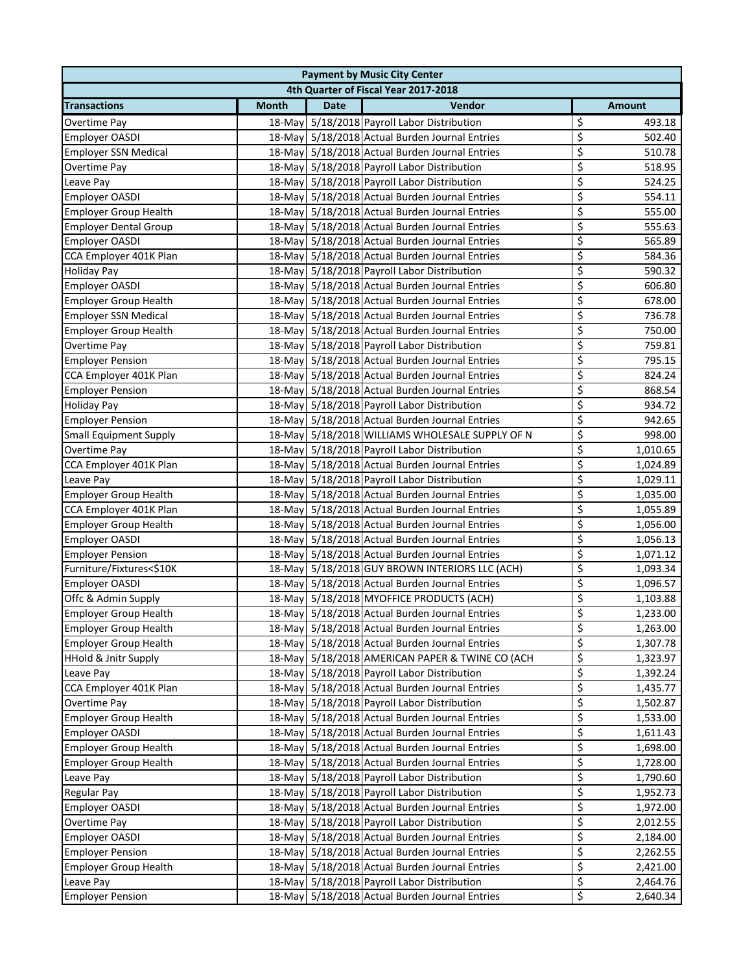| <b>Payment by Music City Center</b> |              |             |                                                 |                         |                      |  |  |
|-------------------------------------|--------------|-------------|-------------------------------------------------|-------------------------|----------------------|--|--|
|                                     |              |             | 4th Quarter of Fiscal Year 2017-2018            |                         |                      |  |  |
| <b>Transactions</b>                 | <b>Month</b> | <b>Date</b> | Vendor                                          |                         | <b>Amount</b>        |  |  |
| Overtime Pay                        |              |             | 18-May 5/18/2018 Payroll Labor Distribution     | \$                      | 493.18               |  |  |
| Employer OASDI                      |              |             | 18-May 5/18/2018 Actual Burden Journal Entries  | \$                      | 502.40               |  |  |
| <b>Employer SSN Medical</b>         |              |             | 18-May 5/18/2018 Actual Burden Journal Entries  | \$                      | 510.78               |  |  |
| <b>Overtime Pay</b>                 |              |             | 18-May 5/18/2018 Payroll Labor Distribution     | \$                      | 518.95               |  |  |
| Leave Pay                           |              |             | 18-May 5/18/2018 Payroll Labor Distribution     | \$                      | 524.25               |  |  |
| <b>Employer OASDI</b>               |              |             | 18-May 5/18/2018 Actual Burden Journal Entries  | \$                      | 554.11               |  |  |
| <b>Employer Group Health</b>        |              |             | 18-May 5/18/2018 Actual Burden Journal Entries  | \$                      | 555.00               |  |  |
| <b>Employer Dental Group</b>        |              |             | 18-May 5/18/2018 Actual Burden Journal Entries  | \$                      | 555.63               |  |  |
| Employer OASDI                      |              |             | 18-May 5/18/2018 Actual Burden Journal Entries  | \$                      | 565.89               |  |  |
| CCA Employer 401K Plan              |              |             | 18-May 5/18/2018 Actual Burden Journal Entries  | \$                      | 584.36               |  |  |
| <b>Holiday Pay</b>                  |              |             | 18-May 5/18/2018 Payroll Labor Distribution     | \$                      | 590.32               |  |  |
| Employer OASDI                      |              |             | 18-May 5/18/2018 Actual Burden Journal Entries  | \$                      | 606.80               |  |  |
| <b>Employer Group Health</b>        |              |             | 18-May 5/18/2018 Actual Burden Journal Entries  | \$                      | 678.00               |  |  |
| <b>Employer SSN Medical</b>         |              |             | 18-May 5/18/2018 Actual Burden Journal Entries  | \$                      | 736.78               |  |  |
| <b>Employer Group Health</b>        |              |             | 18-May 5/18/2018 Actual Burden Journal Entries  | \$                      | 750.00               |  |  |
| Overtime Pay                        |              |             | 18-May 5/18/2018 Payroll Labor Distribution     | \$                      | 759.81               |  |  |
| <b>Employer Pension</b>             |              |             | 18-May 5/18/2018 Actual Burden Journal Entries  | \$                      | 795.15               |  |  |
| CCA Employer 401K Plan              |              |             | 18-May 5/18/2018 Actual Burden Journal Entries  | \$                      | 824.24               |  |  |
| <b>Employer Pension</b>             |              |             | 18-May 5/18/2018 Actual Burden Journal Entries  | \$                      | 868.54               |  |  |
| <b>Holiday Pay</b>                  |              |             | 18-May 5/18/2018 Payroll Labor Distribution     | \$                      | 934.72               |  |  |
| <b>Employer Pension</b>             |              |             | 18-May 5/18/2018 Actual Burden Journal Entries  | \$                      | 942.65               |  |  |
| <b>Small Equipment Supply</b>       |              |             | 18-May 5/18/2018 WILLIAMS WHOLESALE SUPPLY OF N | \$                      | 998.00               |  |  |
| Overtime Pay                        |              |             | 18-May 5/18/2018 Payroll Labor Distribution     | \$                      | 1,010.65             |  |  |
| CCA Employer 401K Plan              |              |             | 18-May 5/18/2018 Actual Burden Journal Entries  | \$                      | 1,024.89             |  |  |
| Leave Pay                           |              |             | 18-May 5/18/2018 Payroll Labor Distribution     | \$                      | 1,029.11             |  |  |
| <b>Employer Group Health</b>        |              |             | 18-May 5/18/2018 Actual Burden Journal Entries  | \$                      | 1,035.00             |  |  |
| CCA Employer 401K Plan              |              |             | 18-May 5/18/2018 Actual Burden Journal Entries  | \$                      | 1,055.89             |  |  |
| <b>Employer Group Health</b>        |              |             | 18-May 5/18/2018 Actual Burden Journal Entries  | \$                      | 1,056.00             |  |  |
| Employer OASDI                      |              |             | 18-May 5/18/2018 Actual Burden Journal Entries  | \$                      | 1,056.13             |  |  |
| <b>Employer Pension</b>             |              |             | 18-May 5/18/2018 Actual Burden Journal Entries  | \$                      | 1,071.12             |  |  |
| Furniture/Fixtures<\$10K            |              |             | 18-May 5/18/2018 GUY BROWN INTERIORS LLC (ACH)  | \$                      | 1,093.34             |  |  |
| Employer OASDI                      |              |             | 18-May 5/18/2018 Actual Burden Journal Entries  | \$                      | 1,096.57             |  |  |
| Offc & Admin Supply                 |              |             | 18-May 5/18/2018 MYOFFICE PRODUCTS (ACH)        | \$                      | 1,103.88             |  |  |
| <b>Employer Group Health</b>        |              |             | 18-May 5/18/2018 Actual Burden Journal Entries  | $\overline{\mathsf{S}}$ | 1,233.00             |  |  |
| <b>Employer Group Health</b>        |              |             | 18-May 5/18/2018 Actual Burden Journal Entries  | \$                      | 1,263.00             |  |  |
| <b>Employer Group Health</b>        |              |             | 18-May 5/18/2018 Actual Burden Journal Entries  | \$                      | 1,307.78             |  |  |
| <b>HHold &amp; Jnitr Supply</b>     |              |             | 18-May 5/18/2018 AMERICAN PAPER & TWINE CO (ACH | \$                      | 1,323.97             |  |  |
| Leave Pay                           |              |             | 18-May 5/18/2018 Payroll Labor Distribution     | \$                      | 1,392.24             |  |  |
| CCA Employer 401K Plan              |              |             | 18-May 5/18/2018 Actual Burden Journal Entries  | \$                      | 1,435.77             |  |  |
| Overtime Pay                        |              |             | 18-May 5/18/2018 Payroll Labor Distribution     | \$                      | 1,502.87             |  |  |
| Employer Group Health               |              |             | 18-May 5/18/2018 Actual Burden Journal Entries  | \$                      | 1,533.00             |  |  |
| <b>Employer OASDI</b>               |              |             | 18-May 5/18/2018 Actual Burden Journal Entries  | \$                      | 1,611.43             |  |  |
| <b>Employer Group Health</b>        |              |             | 18-May 5/18/2018 Actual Burden Journal Entries  | \$                      | 1,698.00             |  |  |
| <b>Employer Group Health</b>        |              |             | 18-May 5/18/2018 Actual Burden Journal Entries  | \$                      | 1,728.00             |  |  |
| Leave Pay                           |              |             | 18-May 5/18/2018 Payroll Labor Distribution     | \$                      | 1,790.60             |  |  |
| Regular Pay                         |              |             | 18-May 5/18/2018 Payroll Labor Distribution     | \$                      | 1,952.73             |  |  |
| Employer OASDI                      |              |             | 18-May 5/18/2018 Actual Burden Journal Entries  | \$                      | 1,972.00             |  |  |
| Overtime Pay                        |              |             | 18-May 5/18/2018 Payroll Labor Distribution     | \$                      | 2,012.55             |  |  |
| Employer OASDI                      |              |             | 18-May 5/18/2018 Actual Burden Journal Entries  | \$                      | 2,184.00             |  |  |
| <b>Employer Pension</b>             |              |             | 18-May 5/18/2018 Actual Burden Journal Entries  | \$                      | 2,262.55             |  |  |
| <b>Employer Group Health</b>        |              |             | 18-May 5/18/2018 Actual Burden Journal Entries  | \$                      |                      |  |  |
| Leave Pay                           |              |             | 18-May 5/18/2018 Payroll Labor Distribution     | \$                      | 2,421.00<br>2,464.76 |  |  |
| <b>Employer Pension</b>             |              |             | 18-May 5/18/2018 Actual Burden Journal Entries  | \$                      | 2,640.34             |  |  |
|                                     |              |             |                                                 |                         |                      |  |  |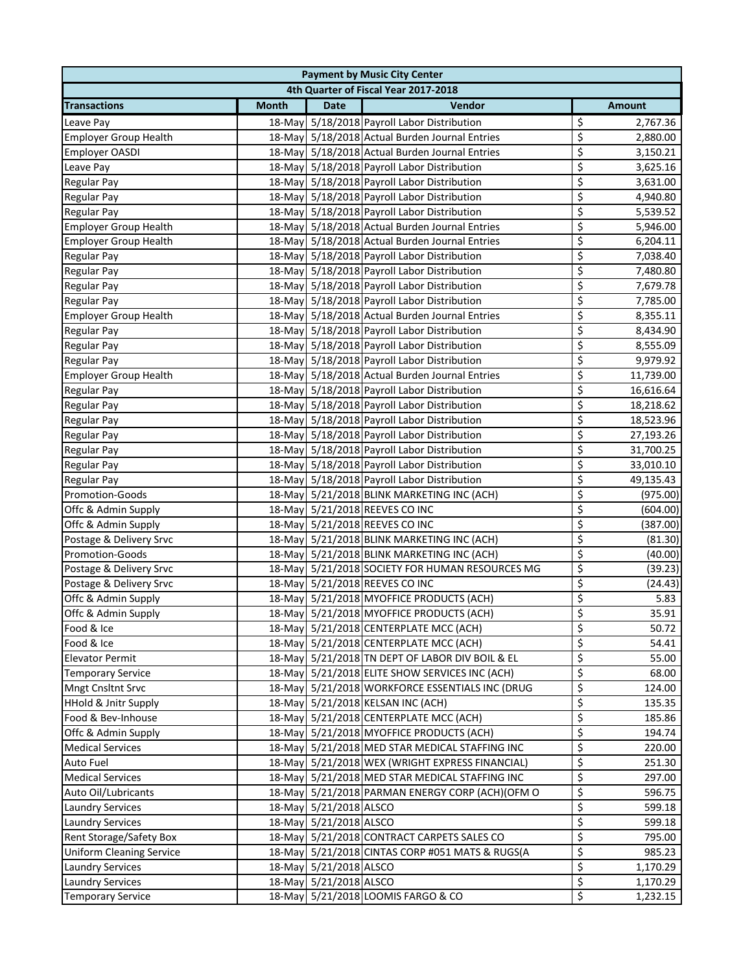| 4th Quarter of Fiscal Year 2017-2018<br>Vendor<br><b>Month</b><br><b>Date</b><br><b>Transactions</b><br><b>Amount</b><br>\$<br>18-May 5/18/2018 Payroll Labor Distribution<br>2,767.36<br>Leave Pay<br>\$<br>18-May 5/18/2018 Actual Burden Journal Entries<br><b>Employer Group Health</b><br>2,880.00<br>\$<br>18-May 5/18/2018 Actual Burden Journal Entries<br>Employer OASDI<br>3,150.21<br>\$<br>18-May 5/18/2018 Payroll Labor Distribution<br>3,625.16<br>Leave Pay<br>\$<br>18-May 5/18/2018 Payroll Labor Distribution<br>Regular Pay<br>3,631.00<br>\$<br>18-May 5/18/2018 Payroll Labor Distribution<br>4,940.80<br><b>Regular Pay</b><br>\$<br>18-May 5/18/2018 Payroll Labor Distribution<br>Regular Pay<br>5,539.52<br>\$<br>18-May 5/18/2018 Actual Burden Journal Entries<br><b>Employer Group Health</b><br>5,946.00<br>\$<br>18-May 5/18/2018 Actual Burden Journal Entries<br>6,204.11<br><b>Employer Group Health</b><br>\$<br>18-May 5/18/2018 Payroll Labor Distribution<br>7,038.40<br><b>Regular Pay</b><br>\$<br>18-May 5/18/2018 Payroll Labor Distribution<br><b>Regular Pay</b><br>7,480.80<br>$\overline{\xi}$<br>18-May 5/18/2018 Payroll Labor Distribution<br><b>Regular Pay</b><br>7,679.78<br>\$<br>18-May 5/18/2018 Payroll Labor Distribution<br>Regular Pay<br>7,785.00<br>\$<br>18-May 5/18/2018 Actual Burden Journal Entries<br><b>Employer Group Health</b><br>8,355.11<br>\$<br>18-May 5/18/2018 Payroll Labor Distribution<br><b>Regular Pay</b><br>8,434.90<br>\$<br>18-May 5/18/2018 Payroll Labor Distribution<br>8,555.09<br>Regular Pay<br>\$<br>18-May 5/18/2018 Payroll Labor Distribution<br><b>Regular Pay</b><br>9,979.92<br>\$<br>18-May 5/18/2018 Actual Burden Journal Entries<br><b>Employer Group Health</b><br>11,739.00<br>\$<br>18-May 5/18/2018 Payroll Labor Distribution<br>16,616.64<br><b>Regular Pay</b><br>\$<br>18-May 5/18/2018 Payroll Labor Distribution<br>Regular Pay<br>18,218.62<br>\$<br>18-May 5/18/2018 Payroll Labor Distribution<br>Regular Pay<br>18,523.96<br>\$<br>18-May 5/18/2018 Payroll Labor Distribution<br>27,193.26<br>Regular Pay<br>\$<br>18-May 5/18/2018 Payroll Labor Distribution<br>Regular Pay<br>31,700.25<br>\$<br>18-May 5/18/2018 Payroll Labor Distribution<br>Regular Pay<br>33,010.10<br>\$<br>18-May 5/18/2018 Payroll Labor Distribution<br>Regular Pay<br>49,135.43<br>\$<br>18-May 5/21/2018 BLINK MARKETING INC (ACH)<br>Promotion-Goods<br>(975.00)<br>\$<br>18-May 5/21/2018 REEVES CO INC<br>Offc & Admin Supply<br>(604.00)<br>\$<br>18-May 5/21/2018 REEVES CO INC<br>(387.00)<br>Offc & Admin Supply<br>\$<br>18-May 5/21/2018 BLINK MARKETING INC (ACH)<br>Postage & Delivery Srvc<br>(81.30)<br>\$<br>Promotion-Goods<br>18-May 5/21/2018 BLINK MARKETING INC (ACH)<br>(40.00)<br>\$<br>18-May 5/21/2018 SOCIETY FOR HUMAN RESOURCES MG<br>(39.23)<br>Postage & Delivery Srvc<br>\$<br>18-May 5/21/2018 REEVES CO INC<br>Postage & Delivery Srvc<br>(24.43)<br>\$<br>Offc & Admin Supply<br>18-May 5/21/2018 MYOFFICE PRODUCTS (ACH)<br>5.83<br>\$<br>18-May 5/21/2018 MYOFFICE PRODUCTS (ACH)<br>35.91<br>Offc & Admin Supply<br>\$<br>Food & Ice<br>18-May 5/21/2018 CENTERPLATE MCC (ACH)<br>50.72<br>\$<br>Food & Ice<br>18-May 5/21/2018 CENTERPLATE MCC (ACH)<br>54.41<br>\$<br><b>Elevator Permit</b><br>18-May 5/21/2018 TN DEPT OF LABOR DIV BOIL & EL<br>55.00 | <b>Payment by Music City Center</b> |  |  |  |  |  |  |  |
|---------------------------------------------------------------------------------------------------------------------------------------------------------------------------------------------------------------------------------------------------------------------------------------------------------------------------------------------------------------------------------------------------------------------------------------------------------------------------------------------------------------------------------------------------------------------------------------------------------------------------------------------------------------------------------------------------------------------------------------------------------------------------------------------------------------------------------------------------------------------------------------------------------------------------------------------------------------------------------------------------------------------------------------------------------------------------------------------------------------------------------------------------------------------------------------------------------------------------------------------------------------------------------------------------------------------------------------------------------------------------------------------------------------------------------------------------------------------------------------------------------------------------------------------------------------------------------------------------------------------------------------------------------------------------------------------------------------------------------------------------------------------------------------------------------------------------------------------------------------------------------------------------------------------------------------------------------------------------------------------------------------------------------------------------------------------------------------------------------------------------------------------------------------------------------------------------------------------------------------------------------------------------------------------------------------------------------------------------------------------------------------------------------------------------------------------------------------------------------------------------------------------------------------------------------------------------------------------------------------------------------------------------------------------------------------------------------------------------------------------------------------------------------------------------------------------------------------------------------------------------------------------------------------------------------------------------------------------------------------------------------------------------------------------------------------------------------------------------------------------------------------------------------------------------------------------------------------------------------------------------------------------------------------------------------------------------------------------------------------------------------------------------|-------------------------------------|--|--|--|--|--|--|--|
|                                                                                                                                                                                                                                                                                                                                                                                                                                                                                                                                                                                                                                                                                                                                                                                                                                                                                                                                                                                                                                                                                                                                                                                                                                                                                                                                                                                                                                                                                                                                                                                                                                                                                                                                                                                                                                                                                                                                                                                                                                                                                                                                                                                                                                                                                                                                                                                                                                                                                                                                                                                                                                                                                                                                                                                                                                                                                                                                                                                                                                                                                                                                                                                                                                                                                                                                                                                                   |                                     |  |  |  |  |  |  |  |
|                                                                                                                                                                                                                                                                                                                                                                                                                                                                                                                                                                                                                                                                                                                                                                                                                                                                                                                                                                                                                                                                                                                                                                                                                                                                                                                                                                                                                                                                                                                                                                                                                                                                                                                                                                                                                                                                                                                                                                                                                                                                                                                                                                                                                                                                                                                                                                                                                                                                                                                                                                                                                                                                                                                                                                                                                                                                                                                                                                                                                                                                                                                                                                                                                                                                                                                                                                                                   |                                     |  |  |  |  |  |  |  |
|                                                                                                                                                                                                                                                                                                                                                                                                                                                                                                                                                                                                                                                                                                                                                                                                                                                                                                                                                                                                                                                                                                                                                                                                                                                                                                                                                                                                                                                                                                                                                                                                                                                                                                                                                                                                                                                                                                                                                                                                                                                                                                                                                                                                                                                                                                                                                                                                                                                                                                                                                                                                                                                                                                                                                                                                                                                                                                                                                                                                                                                                                                                                                                                                                                                                                                                                                                                                   |                                     |  |  |  |  |  |  |  |
|                                                                                                                                                                                                                                                                                                                                                                                                                                                                                                                                                                                                                                                                                                                                                                                                                                                                                                                                                                                                                                                                                                                                                                                                                                                                                                                                                                                                                                                                                                                                                                                                                                                                                                                                                                                                                                                                                                                                                                                                                                                                                                                                                                                                                                                                                                                                                                                                                                                                                                                                                                                                                                                                                                                                                                                                                                                                                                                                                                                                                                                                                                                                                                                                                                                                                                                                                                                                   |                                     |  |  |  |  |  |  |  |
|                                                                                                                                                                                                                                                                                                                                                                                                                                                                                                                                                                                                                                                                                                                                                                                                                                                                                                                                                                                                                                                                                                                                                                                                                                                                                                                                                                                                                                                                                                                                                                                                                                                                                                                                                                                                                                                                                                                                                                                                                                                                                                                                                                                                                                                                                                                                                                                                                                                                                                                                                                                                                                                                                                                                                                                                                                                                                                                                                                                                                                                                                                                                                                                                                                                                                                                                                                                                   |                                     |  |  |  |  |  |  |  |
|                                                                                                                                                                                                                                                                                                                                                                                                                                                                                                                                                                                                                                                                                                                                                                                                                                                                                                                                                                                                                                                                                                                                                                                                                                                                                                                                                                                                                                                                                                                                                                                                                                                                                                                                                                                                                                                                                                                                                                                                                                                                                                                                                                                                                                                                                                                                                                                                                                                                                                                                                                                                                                                                                                                                                                                                                                                                                                                                                                                                                                                                                                                                                                                                                                                                                                                                                                                                   |                                     |  |  |  |  |  |  |  |
|                                                                                                                                                                                                                                                                                                                                                                                                                                                                                                                                                                                                                                                                                                                                                                                                                                                                                                                                                                                                                                                                                                                                                                                                                                                                                                                                                                                                                                                                                                                                                                                                                                                                                                                                                                                                                                                                                                                                                                                                                                                                                                                                                                                                                                                                                                                                                                                                                                                                                                                                                                                                                                                                                                                                                                                                                                                                                                                                                                                                                                                                                                                                                                                                                                                                                                                                                                                                   |                                     |  |  |  |  |  |  |  |
|                                                                                                                                                                                                                                                                                                                                                                                                                                                                                                                                                                                                                                                                                                                                                                                                                                                                                                                                                                                                                                                                                                                                                                                                                                                                                                                                                                                                                                                                                                                                                                                                                                                                                                                                                                                                                                                                                                                                                                                                                                                                                                                                                                                                                                                                                                                                                                                                                                                                                                                                                                                                                                                                                                                                                                                                                                                                                                                                                                                                                                                                                                                                                                                                                                                                                                                                                                                                   |                                     |  |  |  |  |  |  |  |
|                                                                                                                                                                                                                                                                                                                                                                                                                                                                                                                                                                                                                                                                                                                                                                                                                                                                                                                                                                                                                                                                                                                                                                                                                                                                                                                                                                                                                                                                                                                                                                                                                                                                                                                                                                                                                                                                                                                                                                                                                                                                                                                                                                                                                                                                                                                                                                                                                                                                                                                                                                                                                                                                                                                                                                                                                                                                                                                                                                                                                                                                                                                                                                                                                                                                                                                                                                                                   |                                     |  |  |  |  |  |  |  |
|                                                                                                                                                                                                                                                                                                                                                                                                                                                                                                                                                                                                                                                                                                                                                                                                                                                                                                                                                                                                                                                                                                                                                                                                                                                                                                                                                                                                                                                                                                                                                                                                                                                                                                                                                                                                                                                                                                                                                                                                                                                                                                                                                                                                                                                                                                                                                                                                                                                                                                                                                                                                                                                                                                                                                                                                                                                                                                                                                                                                                                                                                                                                                                                                                                                                                                                                                                                                   |                                     |  |  |  |  |  |  |  |
|                                                                                                                                                                                                                                                                                                                                                                                                                                                                                                                                                                                                                                                                                                                                                                                                                                                                                                                                                                                                                                                                                                                                                                                                                                                                                                                                                                                                                                                                                                                                                                                                                                                                                                                                                                                                                                                                                                                                                                                                                                                                                                                                                                                                                                                                                                                                                                                                                                                                                                                                                                                                                                                                                                                                                                                                                                                                                                                                                                                                                                                                                                                                                                                                                                                                                                                                                                                                   |                                     |  |  |  |  |  |  |  |
|                                                                                                                                                                                                                                                                                                                                                                                                                                                                                                                                                                                                                                                                                                                                                                                                                                                                                                                                                                                                                                                                                                                                                                                                                                                                                                                                                                                                                                                                                                                                                                                                                                                                                                                                                                                                                                                                                                                                                                                                                                                                                                                                                                                                                                                                                                                                                                                                                                                                                                                                                                                                                                                                                                                                                                                                                                                                                                                                                                                                                                                                                                                                                                                                                                                                                                                                                                                                   |                                     |  |  |  |  |  |  |  |
|                                                                                                                                                                                                                                                                                                                                                                                                                                                                                                                                                                                                                                                                                                                                                                                                                                                                                                                                                                                                                                                                                                                                                                                                                                                                                                                                                                                                                                                                                                                                                                                                                                                                                                                                                                                                                                                                                                                                                                                                                                                                                                                                                                                                                                                                                                                                                                                                                                                                                                                                                                                                                                                                                                                                                                                                                                                                                                                                                                                                                                                                                                                                                                                                                                                                                                                                                                                                   |                                     |  |  |  |  |  |  |  |
|                                                                                                                                                                                                                                                                                                                                                                                                                                                                                                                                                                                                                                                                                                                                                                                                                                                                                                                                                                                                                                                                                                                                                                                                                                                                                                                                                                                                                                                                                                                                                                                                                                                                                                                                                                                                                                                                                                                                                                                                                                                                                                                                                                                                                                                                                                                                                                                                                                                                                                                                                                                                                                                                                                                                                                                                                                                                                                                                                                                                                                                                                                                                                                                                                                                                                                                                                                                                   |                                     |  |  |  |  |  |  |  |
|                                                                                                                                                                                                                                                                                                                                                                                                                                                                                                                                                                                                                                                                                                                                                                                                                                                                                                                                                                                                                                                                                                                                                                                                                                                                                                                                                                                                                                                                                                                                                                                                                                                                                                                                                                                                                                                                                                                                                                                                                                                                                                                                                                                                                                                                                                                                                                                                                                                                                                                                                                                                                                                                                                                                                                                                                                                                                                                                                                                                                                                                                                                                                                                                                                                                                                                                                                                                   |                                     |  |  |  |  |  |  |  |
|                                                                                                                                                                                                                                                                                                                                                                                                                                                                                                                                                                                                                                                                                                                                                                                                                                                                                                                                                                                                                                                                                                                                                                                                                                                                                                                                                                                                                                                                                                                                                                                                                                                                                                                                                                                                                                                                                                                                                                                                                                                                                                                                                                                                                                                                                                                                                                                                                                                                                                                                                                                                                                                                                                                                                                                                                                                                                                                                                                                                                                                                                                                                                                                                                                                                                                                                                                                                   |                                     |  |  |  |  |  |  |  |
|                                                                                                                                                                                                                                                                                                                                                                                                                                                                                                                                                                                                                                                                                                                                                                                                                                                                                                                                                                                                                                                                                                                                                                                                                                                                                                                                                                                                                                                                                                                                                                                                                                                                                                                                                                                                                                                                                                                                                                                                                                                                                                                                                                                                                                                                                                                                                                                                                                                                                                                                                                                                                                                                                                                                                                                                                                                                                                                                                                                                                                                                                                                                                                                                                                                                                                                                                                                                   |                                     |  |  |  |  |  |  |  |
|                                                                                                                                                                                                                                                                                                                                                                                                                                                                                                                                                                                                                                                                                                                                                                                                                                                                                                                                                                                                                                                                                                                                                                                                                                                                                                                                                                                                                                                                                                                                                                                                                                                                                                                                                                                                                                                                                                                                                                                                                                                                                                                                                                                                                                                                                                                                                                                                                                                                                                                                                                                                                                                                                                                                                                                                                                                                                                                                                                                                                                                                                                                                                                                                                                                                                                                                                                                                   |                                     |  |  |  |  |  |  |  |
|                                                                                                                                                                                                                                                                                                                                                                                                                                                                                                                                                                                                                                                                                                                                                                                                                                                                                                                                                                                                                                                                                                                                                                                                                                                                                                                                                                                                                                                                                                                                                                                                                                                                                                                                                                                                                                                                                                                                                                                                                                                                                                                                                                                                                                                                                                                                                                                                                                                                                                                                                                                                                                                                                                                                                                                                                                                                                                                                                                                                                                                                                                                                                                                                                                                                                                                                                                                                   |                                     |  |  |  |  |  |  |  |
|                                                                                                                                                                                                                                                                                                                                                                                                                                                                                                                                                                                                                                                                                                                                                                                                                                                                                                                                                                                                                                                                                                                                                                                                                                                                                                                                                                                                                                                                                                                                                                                                                                                                                                                                                                                                                                                                                                                                                                                                                                                                                                                                                                                                                                                                                                                                                                                                                                                                                                                                                                                                                                                                                                                                                                                                                                                                                                                                                                                                                                                                                                                                                                                                                                                                                                                                                                                                   |                                     |  |  |  |  |  |  |  |
|                                                                                                                                                                                                                                                                                                                                                                                                                                                                                                                                                                                                                                                                                                                                                                                                                                                                                                                                                                                                                                                                                                                                                                                                                                                                                                                                                                                                                                                                                                                                                                                                                                                                                                                                                                                                                                                                                                                                                                                                                                                                                                                                                                                                                                                                                                                                                                                                                                                                                                                                                                                                                                                                                                                                                                                                                                                                                                                                                                                                                                                                                                                                                                                                                                                                                                                                                                                                   |                                     |  |  |  |  |  |  |  |
|                                                                                                                                                                                                                                                                                                                                                                                                                                                                                                                                                                                                                                                                                                                                                                                                                                                                                                                                                                                                                                                                                                                                                                                                                                                                                                                                                                                                                                                                                                                                                                                                                                                                                                                                                                                                                                                                                                                                                                                                                                                                                                                                                                                                                                                                                                                                                                                                                                                                                                                                                                                                                                                                                                                                                                                                                                                                                                                                                                                                                                                                                                                                                                                                                                                                                                                                                                                                   |                                     |  |  |  |  |  |  |  |
|                                                                                                                                                                                                                                                                                                                                                                                                                                                                                                                                                                                                                                                                                                                                                                                                                                                                                                                                                                                                                                                                                                                                                                                                                                                                                                                                                                                                                                                                                                                                                                                                                                                                                                                                                                                                                                                                                                                                                                                                                                                                                                                                                                                                                                                                                                                                                                                                                                                                                                                                                                                                                                                                                                                                                                                                                                                                                                                                                                                                                                                                                                                                                                                                                                                                                                                                                                                                   |                                     |  |  |  |  |  |  |  |
|                                                                                                                                                                                                                                                                                                                                                                                                                                                                                                                                                                                                                                                                                                                                                                                                                                                                                                                                                                                                                                                                                                                                                                                                                                                                                                                                                                                                                                                                                                                                                                                                                                                                                                                                                                                                                                                                                                                                                                                                                                                                                                                                                                                                                                                                                                                                                                                                                                                                                                                                                                                                                                                                                                                                                                                                                                                                                                                                                                                                                                                                                                                                                                                                                                                                                                                                                                                                   |                                     |  |  |  |  |  |  |  |
|                                                                                                                                                                                                                                                                                                                                                                                                                                                                                                                                                                                                                                                                                                                                                                                                                                                                                                                                                                                                                                                                                                                                                                                                                                                                                                                                                                                                                                                                                                                                                                                                                                                                                                                                                                                                                                                                                                                                                                                                                                                                                                                                                                                                                                                                                                                                                                                                                                                                                                                                                                                                                                                                                                                                                                                                                                                                                                                                                                                                                                                                                                                                                                                                                                                                                                                                                                                                   |                                     |  |  |  |  |  |  |  |
|                                                                                                                                                                                                                                                                                                                                                                                                                                                                                                                                                                                                                                                                                                                                                                                                                                                                                                                                                                                                                                                                                                                                                                                                                                                                                                                                                                                                                                                                                                                                                                                                                                                                                                                                                                                                                                                                                                                                                                                                                                                                                                                                                                                                                                                                                                                                                                                                                                                                                                                                                                                                                                                                                                                                                                                                                                                                                                                                                                                                                                                                                                                                                                                                                                                                                                                                                                                                   |                                     |  |  |  |  |  |  |  |
|                                                                                                                                                                                                                                                                                                                                                                                                                                                                                                                                                                                                                                                                                                                                                                                                                                                                                                                                                                                                                                                                                                                                                                                                                                                                                                                                                                                                                                                                                                                                                                                                                                                                                                                                                                                                                                                                                                                                                                                                                                                                                                                                                                                                                                                                                                                                                                                                                                                                                                                                                                                                                                                                                                                                                                                                                                                                                                                                                                                                                                                                                                                                                                                                                                                                                                                                                                                                   |                                     |  |  |  |  |  |  |  |
|                                                                                                                                                                                                                                                                                                                                                                                                                                                                                                                                                                                                                                                                                                                                                                                                                                                                                                                                                                                                                                                                                                                                                                                                                                                                                                                                                                                                                                                                                                                                                                                                                                                                                                                                                                                                                                                                                                                                                                                                                                                                                                                                                                                                                                                                                                                                                                                                                                                                                                                                                                                                                                                                                                                                                                                                                                                                                                                                                                                                                                                                                                                                                                                                                                                                                                                                                                                                   |                                     |  |  |  |  |  |  |  |
|                                                                                                                                                                                                                                                                                                                                                                                                                                                                                                                                                                                                                                                                                                                                                                                                                                                                                                                                                                                                                                                                                                                                                                                                                                                                                                                                                                                                                                                                                                                                                                                                                                                                                                                                                                                                                                                                                                                                                                                                                                                                                                                                                                                                                                                                                                                                                                                                                                                                                                                                                                                                                                                                                                                                                                                                                                                                                                                                                                                                                                                                                                                                                                                                                                                                                                                                                                                                   |                                     |  |  |  |  |  |  |  |
|                                                                                                                                                                                                                                                                                                                                                                                                                                                                                                                                                                                                                                                                                                                                                                                                                                                                                                                                                                                                                                                                                                                                                                                                                                                                                                                                                                                                                                                                                                                                                                                                                                                                                                                                                                                                                                                                                                                                                                                                                                                                                                                                                                                                                                                                                                                                                                                                                                                                                                                                                                                                                                                                                                                                                                                                                                                                                                                                                                                                                                                                                                                                                                                                                                                                                                                                                                                                   |                                     |  |  |  |  |  |  |  |
|                                                                                                                                                                                                                                                                                                                                                                                                                                                                                                                                                                                                                                                                                                                                                                                                                                                                                                                                                                                                                                                                                                                                                                                                                                                                                                                                                                                                                                                                                                                                                                                                                                                                                                                                                                                                                                                                                                                                                                                                                                                                                                                                                                                                                                                                                                                                                                                                                                                                                                                                                                                                                                                                                                                                                                                                                                                                                                                                                                                                                                                                                                                                                                                                                                                                                                                                                                                                   |                                     |  |  |  |  |  |  |  |
|                                                                                                                                                                                                                                                                                                                                                                                                                                                                                                                                                                                                                                                                                                                                                                                                                                                                                                                                                                                                                                                                                                                                                                                                                                                                                                                                                                                                                                                                                                                                                                                                                                                                                                                                                                                                                                                                                                                                                                                                                                                                                                                                                                                                                                                                                                                                                                                                                                                                                                                                                                                                                                                                                                                                                                                                                                                                                                                                                                                                                                                                                                                                                                                                                                                                                                                                                                                                   |                                     |  |  |  |  |  |  |  |
|                                                                                                                                                                                                                                                                                                                                                                                                                                                                                                                                                                                                                                                                                                                                                                                                                                                                                                                                                                                                                                                                                                                                                                                                                                                                                                                                                                                                                                                                                                                                                                                                                                                                                                                                                                                                                                                                                                                                                                                                                                                                                                                                                                                                                                                                                                                                                                                                                                                                                                                                                                                                                                                                                                                                                                                                                                                                                                                                                                                                                                                                                                                                                                                                                                                                                                                                                                                                   |                                     |  |  |  |  |  |  |  |
|                                                                                                                                                                                                                                                                                                                                                                                                                                                                                                                                                                                                                                                                                                                                                                                                                                                                                                                                                                                                                                                                                                                                                                                                                                                                                                                                                                                                                                                                                                                                                                                                                                                                                                                                                                                                                                                                                                                                                                                                                                                                                                                                                                                                                                                                                                                                                                                                                                                                                                                                                                                                                                                                                                                                                                                                                                                                                                                                                                                                                                                                                                                                                                                                                                                                                                                                                                                                   |                                     |  |  |  |  |  |  |  |
|                                                                                                                                                                                                                                                                                                                                                                                                                                                                                                                                                                                                                                                                                                                                                                                                                                                                                                                                                                                                                                                                                                                                                                                                                                                                                                                                                                                                                                                                                                                                                                                                                                                                                                                                                                                                                                                                                                                                                                                                                                                                                                                                                                                                                                                                                                                                                                                                                                                                                                                                                                                                                                                                                                                                                                                                                                                                                                                                                                                                                                                                                                                                                                                                                                                                                                                                                                                                   |                                     |  |  |  |  |  |  |  |
|                                                                                                                                                                                                                                                                                                                                                                                                                                                                                                                                                                                                                                                                                                                                                                                                                                                                                                                                                                                                                                                                                                                                                                                                                                                                                                                                                                                                                                                                                                                                                                                                                                                                                                                                                                                                                                                                                                                                                                                                                                                                                                                                                                                                                                                                                                                                                                                                                                                                                                                                                                                                                                                                                                                                                                                                                                                                                                                                                                                                                                                                                                                                                                                                                                                                                                                                                                                                   |                                     |  |  |  |  |  |  |  |
|                                                                                                                                                                                                                                                                                                                                                                                                                                                                                                                                                                                                                                                                                                                                                                                                                                                                                                                                                                                                                                                                                                                                                                                                                                                                                                                                                                                                                                                                                                                                                                                                                                                                                                                                                                                                                                                                                                                                                                                                                                                                                                                                                                                                                                                                                                                                                                                                                                                                                                                                                                                                                                                                                                                                                                                                                                                                                                                                                                                                                                                                                                                                                                                                                                                                                                                                                                                                   |                                     |  |  |  |  |  |  |  |
|                                                                                                                                                                                                                                                                                                                                                                                                                                                                                                                                                                                                                                                                                                                                                                                                                                                                                                                                                                                                                                                                                                                                                                                                                                                                                                                                                                                                                                                                                                                                                                                                                                                                                                                                                                                                                                                                                                                                                                                                                                                                                                                                                                                                                                                                                                                                                                                                                                                                                                                                                                                                                                                                                                                                                                                                                                                                                                                                                                                                                                                                                                                                                                                                                                                                                                                                                                                                   |                                     |  |  |  |  |  |  |  |
|                                                                                                                                                                                                                                                                                                                                                                                                                                                                                                                                                                                                                                                                                                                                                                                                                                                                                                                                                                                                                                                                                                                                                                                                                                                                                                                                                                                                                                                                                                                                                                                                                                                                                                                                                                                                                                                                                                                                                                                                                                                                                                                                                                                                                                                                                                                                                                                                                                                                                                                                                                                                                                                                                                                                                                                                                                                                                                                                                                                                                                                                                                                                                                                                                                                                                                                                                                                                   |                                     |  |  |  |  |  |  |  |
| \$<br>18-May 5/21/2018 ELITE SHOW SERVICES INC (ACH)<br>68.00                                                                                                                                                                                                                                                                                                                                                                                                                                                                                                                                                                                                                                                                                                                                                                                                                                                                                                                                                                                                                                                                                                                                                                                                                                                                                                                                                                                                                                                                                                                                                                                                                                                                                                                                                                                                                                                                                                                                                                                                                                                                                                                                                                                                                                                                                                                                                                                                                                                                                                                                                                                                                                                                                                                                                                                                                                                                                                                                                                                                                                                                                                                                                                                                                                                                                                                                     | <b>Temporary Service</b>            |  |  |  |  |  |  |  |
| \$<br>18-May 5/21/2018 WORKFORCE ESSENTIALS INC (DRUG<br>124.00                                                                                                                                                                                                                                                                                                                                                                                                                                                                                                                                                                                                                                                                                                                                                                                                                                                                                                                                                                                                                                                                                                                                                                                                                                                                                                                                                                                                                                                                                                                                                                                                                                                                                                                                                                                                                                                                                                                                                                                                                                                                                                                                                                                                                                                                                                                                                                                                                                                                                                                                                                                                                                                                                                                                                                                                                                                                                                                                                                                                                                                                                                                                                                                                                                                                                                                                   | <b>Mngt Cnsltnt Srvc</b>            |  |  |  |  |  |  |  |
| \$<br><b>HHold &amp; Jnitr Supply</b><br>18-May 5/21/2018 KELSAN INC (ACH)<br>135.35                                                                                                                                                                                                                                                                                                                                                                                                                                                                                                                                                                                                                                                                                                                                                                                                                                                                                                                                                                                                                                                                                                                                                                                                                                                                                                                                                                                                                                                                                                                                                                                                                                                                                                                                                                                                                                                                                                                                                                                                                                                                                                                                                                                                                                                                                                                                                                                                                                                                                                                                                                                                                                                                                                                                                                                                                                                                                                                                                                                                                                                                                                                                                                                                                                                                                                              |                                     |  |  |  |  |  |  |  |
| \$<br>Food & Bev-Inhouse<br>18-May 5/21/2018 CENTERPLATE MCC (ACH)<br>185.86                                                                                                                                                                                                                                                                                                                                                                                                                                                                                                                                                                                                                                                                                                                                                                                                                                                                                                                                                                                                                                                                                                                                                                                                                                                                                                                                                                                                                                                                                                                                                                                                                                                                                                                                                                                                                                                                                                                                                                                                                                                                                                                                                                                                                                                                                                                                                                                                                                                                                                                                                                                                                                                                                                                                                                                                                                                                                                                                                                                                                                                                                                                                                                                                                                                                                                                      |                                     |  |  |  |  |  |  |  |
| \$<br>18-May 5/21/2018 MYOFFICE PRODUCTS (ACH)<br>Offc & Admin Supply<br>194.74                                                                                                                                                                                                                                                                                                                                                                                                                                                                                                                                                                                                                                                                                                                                                                                                                                                                                                                                                                                                                                                                                                                                                                                                                                                                                                                                                                                                                                                                                                                                                                                                                                                                                                                                                                                                                                                                                                                                                                                                                                                                                                                                                                                                                                                                                                                                                                                                                                                                                                                                                                                                                                                                                                                                                                                                                                                                                                                                                                                                                                                                                                                                                                                                                                                                                                                   |                                     |  |  |  |  |  |  |  |
| \$<br>18-May 5/21/2018 MED STAR MEDICAL STAFFING INC<br>220.00                                                                                                                                                                                                                                                                                                                                                                                                                                                                                                                                                                                                                                                                                                                                                                                                                                                                                                                                                                                                                                                                                                                                                                                                                                                                                                                                                                                                                                                                                                                                                                                                                                                                                                                                                                                                                                                                                                                                                                                                                                                                                                                                                                                                                                                                                                                                                                                                                                                                                                                                                                                                                                                                                                                                                                                                                                                                                                                                                                                                                                                                                                                                                                                                                                                                                                                                    | <b>Medical Services</b>             |  |  |  |  |  |  |  |
| \$<br>18-May 5/21/2018 WEX (WRIGHT EXPRESS FINANCIAL)<br>251.30                                                                                                                                                                                                                                                                                                                                                                                                                                                                                                                                                                                                                                                                                                                                                                                                                                                                                                                                                                                                                                                                                                                                                                                                                                                                                                                                                                                                                                                                                                                                                                                                                                                                                                                                                                                                                                                                                                                                                                                                                                                                                                                                                                                                                                                                                                                                                                                                                                                                                                                                                                                                                                                                                                                                                                                                                                                                                                                                                                                                                                                                                                                                                                                                                                                                                                                                   | Auto Fuel                           |  |  |  |  |  |  |  |
| \$<br>18-May 5/21/2018 MED STAR MEDICAL STAFFING INC<br>297.00                                                                                                                                                                                                                                                                                                                                                                                                                                                                                                                                                                                                                                                                                                                                                                                                                                                                                                                                                                                                                                                                                                                                                                                                                                                                                                                                                                                                                                                                                                                                                                                                                                                                                                                                                                                                                                                                                                                                                                                                                                                                                                                                                                                                                                                                                                                                                                                                                                                                                                                                                                                                                                                                                                                                                                                                                                                                                                                                                                                                                                                                                                                                                                                                                                                                                                                                    | <b>Medical Services</b>             |  |  |  |  |  |  |  |
| \$<br>18-May 5/21/2018 PARMAN ENERGY CORP (ACH)(OFM O<br>596.75                                                                                                                                                                                                                                                                                                                                                                                                                                                                                                                                                                                                                                                                                                                                                                                                                                                                                                                                                                                                                                                                                                                                                                                                                                                                                                                                                                                                                                                                                                                                                                                                                                                                                                                                                                                                                                                                                                                                                                                                                                                                                                                                                                                                                                                                                                                                                                                                                                                                                                                                                                                                                                                                                                                                                                                                                                                                                                                                                                                                                                                                                                                                                                                                                                                                                                                                   | Auto Oil/Lubricants                 |  |  |  |  |  |  |  |
| \$<br>18-May 5/21/2018 ALSCO<br>599.18<br>Laundry Services                                                                                                                                                                                                                                                                                                                                                                                                                                                                                                                                                                                                                                                                                                                                                                                                                                                                                                                                                                                                                                                                                                                                                                                                                                                                                                                                                                                                                                                                                                                                                                                                                                                                                                                                                                                                                                                                                                                                                                                                                                                                                                                                                                                                                                                                                                                                                                                                                                                                                                                                                                                                                                                                                                                                                                                                                                                                                                                                                                                                                                                                                                                                                                                                                                                                                                                                        |                                     |  |  |  |  |  |  |  |
| \$<br>18-May 5/21/2018 ALSCO<br>599.18                                                                                                                                                                                                                                                                                                                                                                                                                                                                                                                                                                                                                                                                                                                                                                                                                                                                                                                                                                                                                                                                                                                                                                                                                                                                                                                                                                                                                                                                                                                                                                                                                                                                                                                                                                                                                                                                                                                                                                                                                                                                                                                                                                                                                                                                                                                                                                                                                                                                                                                                                                                                                                                                                                                                                                                                                                                                                                                                                                                                                                                                                                                                                                                                                                                                                                                                                            | <b>Laundry Services</b>             |  |  |  |  |  |  |  |
| \$<br>18-May 5/21/2018 CONTRACT CARPETS SALES CO<br>795.00                                                                                                                                                                                                                                                                                                                                                                                                                                                                                                                                                                                                                                                                                                                                                                                                                                                                                                                                                                                                                                                                                                                                                                                                                                                                                                                                                                                                                                                                                                                                                                                                                                                                                                                                                                                                                                                                                                                                                                                                                                                                                                                                                                                                                                                                                                                                                                                                                                                                                                                                                                                                                                                                                                                                                                                                                                                                                                                                                                                                                                                                                                                                                                                                                                                                                                                                        | Rent Storage/Safety Box             |  |  |  |  |  |  |  |
| \$<br>18-May 5/21/2018 CINTAS CORP #051 MATS & RUGS(A<br><b>Uniform Cleaning Service</b><br>985.23                                                                                                                                                                                                                                                                                                                                                                                                                                                                                                                                                                                                                                                                                                                                                                                                                                                                                                                                                                                                                                                                                                                                                                                                                                                                                                                                                                                                                                                                                                                                                                                                                                                                                                                                                                                                                                                                                                                                                                                                                                                                                                                                                                                                                                                                                                                                                                                                                                                                                                                                                                                                                                                                                                                                                                                                                                                                                                                                                                                                                                                                                                                                                                                                                                                                                                |                                     |  |  |  |  |  |  |  |
| \$<br>18-May 5/21/2018 ALSCO<br>1,170.29<br>Laundry Services                                                                                                                                                                                                                                                                                                                                                                                                                                                                                                                                                                                                                                                                                                                                                                                                                                                                                                                                                                                                                                                                                                                                                                                                                                                                                                                                                                                                                                                                                                                                                                                                                                                                                                                                                                                                                                                                                                                                                                                                                                                                                                                                                                                                                                                                                                                                                                                                                                                                                                                                                                                                                                                                                                                                                                                                                                                                                                                                                                                                                                                                                                                                                                                                                                                                                                                                      |                                     |  |  |  |  |  |  |  |
| \$<br>18-May 5/21/2018 ALSCO<br><b>Laundry Services</b><br>1,170.29                                                                                                                                                                                                                                                                                                                                                                                                                                                                                                                                                                                                                                                                                                                                                                                                                                                                                                                                                                                                                                                                                                                                                                                                                                                                                                                                                                                                                                                                                                                                                                                                                                                                                                                                                                                                                                                                                                                                                                                                                                                                                                                                                                                                                                                                                                                                                                                                                                                                                                                                                                                                                                                                                                                                                                                                                                                                                                                                                                                                                                                                                                                                                                                                                                                                                                                               |                                     |  |  |  |  |  |  |  |
| \$<br>18-May 5/21/2018 LOOMIS FARGO & CO<br>1,232.15                                                                                                                                                                                                                                                                                                                                                                                                                                                                                                                                                                                                                                                                                                                                                                                                                                                                                                                                                                                                                                                                                                                                                                                                                                                                                                                                                                                                                                                                                                                                                                                                                                                                                                                                                                                                                                                                                                                                                                                                                                                                                                                                                                                                                                                                                                                                                                                                                                                                                                                                                                                                                                                                                                                                                                                                                                                                                                                                                                                                                                                                                                                                                                                                                                                                                                                                              | <b>Temporary Service</b>            |  |  |  |  |  |  |  |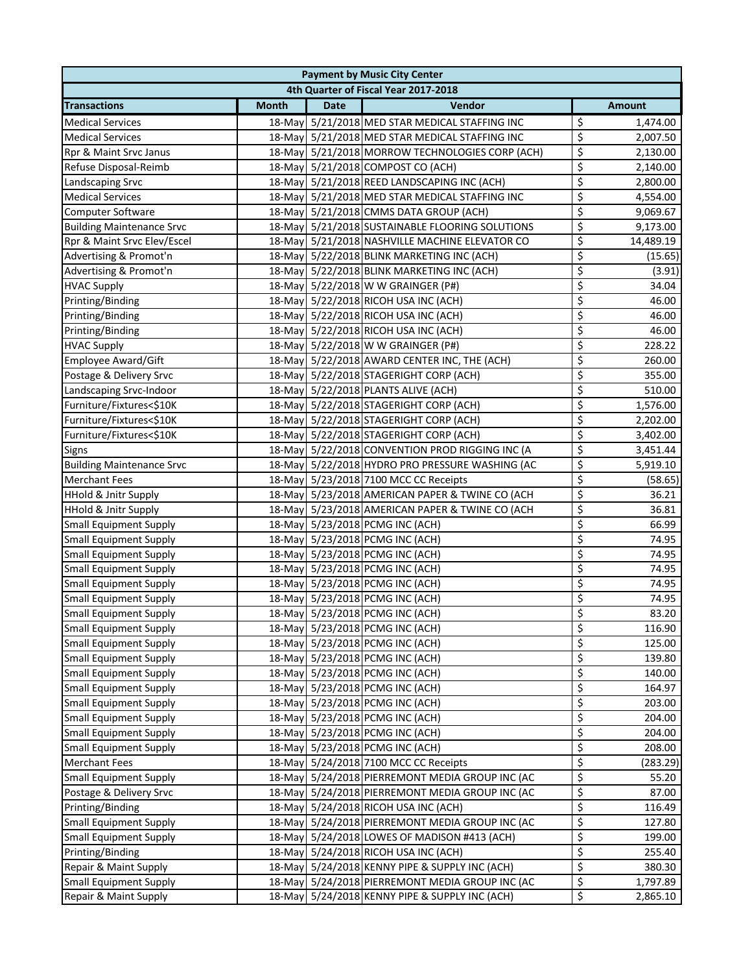| <b>Payment by Music City Center</b>  |              |             |                                                                          |    |                  |  |  |
|--------------------------------------|--------------|-------------|--------------------------------------------------------------------------|----|------------------|--|--|
| 4th Quarter of Fiscal Year 2017-2018 |              |             |                                                                          |    |                  |  |  |
| <b>Transactions</b>                  | <b>Month</b> | <b>Date</b> | Vendor                                                                   |    | <b>Amount</b>    |  |  |
| <b>Medical Services</b>              |              |             | 18-May 5/21/2018 MED STAR MEDICAL STAFFING INC                           | \$ | 1,474.00         |  |  |
| <b>Medical Services</b>              |              |             | 18-May 5/21/2018 MED STAR MEDICAL STAFFING INC                           | \$ | 2,007.50         |  |  |
| Rpr & Maint Srvc Janus               |              |             | 18-May 5/21/2018 MORROW TECHNOLOGIES CORP (ACH)                          | \$ | 2,130.00         |  |  |
| Refuse Disposal-Reimb                |              |             | 18-May 5/21/2018 COMPOST CO (ACH)                                        | \$ | 2,140.00         |  |  |
| Landscaping Srvc                     |              |             | 18-May 5/21/2018 REED LANDSCAPING INC (ACH)                              | \$ | 2,800.00         |  |  |
| <b>Medical Services</b>              |              |             | 18-May 5/21/2018 MED STAR MEDICAL STAFFING INC                           | \$ | 4,554.00         |  |  |
| Computer Software                    |              |             | 18-May 5/21/2018 CMMS DATA GROUP (ACH)                                   | \$ | 9,069.67         |  |  |
| <b>Building Maintenance Srvc</b>     |              |             | 18-May 5/21/2018 SUSTAINABLE FLOORING SOLUTIONS                          | \$ | 9,173.00         |  |  |
| Rpr & Maint Srvc Elev/Escel          |              |             | 18-May 5/21/2018 NASHVILLE MACHINE ELEVATOR CO                           | \$ | 14,489.19        |  |  |
| Advertising & Promot'n               |              |             | 18-May 5/22/2018 BLINK MARKETING INC (ACH)                               | \$ | (15.65)          |  |  |
| Advertising & Promot'n               |              |             | 18-May 5/22/2018 BLINK MARKETING INC (ACH)                               | \$ | (3.91)           |  |  |
| <b>HVAC Supply</b>                   |              |             | 18-May 5/22/2018 W W GRAINGER (P#)                                       | \$ | 34.04            |  |  |
| Printing/Binding                     |              |             | 18-May 5/22/2018 RICOH USA INC (ACH)                                     | \$ | 46.00            |  |  |
| Printing/Binding                     |              |             | 18-May 5/22/2018 RICOH USA INC (ACH)                                     | \$ | 46.00            |  |  |
| Printing/Binding                     |              |             | 18-May 5/22/2018 RICOH USA INC (ACH)                                     | \$ | 46.00            |  |  |
| <b>HVAC Supply</b>                   |              |             | 18-May 5/22/2018 W W GRAINGER (P#)                                       | \$ | 228.22           |  |  |
| Employee Award/Gift                  |              |             | 18-May 5/22/2018 AWARD CENTER INC, THE (ACH)                             | \$ | 260.00           |  |  |
| Postage & Delivery Srvc              |              |             | 18-May 5/22/2018 STAGERIGHT CORP (ACH)                                   | \$ | 355.00           |  |  |
| Landscaping Srvc-Indoor              |              |             | 18-May 5/22/2018 PLANTS ALIVE (ACH)                                      | \$ | 510.00           |  |  |
| Furniture/Fixtures<\$10K             |              |             | 18-May 5/22/2018 STAGERIGHT CORP (ACH)                                   | \$ | 1,576.00         |  |  |
| Furniture/Fixtures<\$10K             |              |             | 18-May 5/22/2018 STAGERIGHT CORP (ACH)                                   | \$ | 2,202.00         |  |  |
| Furniture/Fixtures<\$10K             |              |             | 18-May 5/22/2018 STAGERIGHT CORP (ACH)                                   | \$ | 3,402.00         |  |  |
| Signs                                |              |             | 18-May 5/22/2018 CONVENTION PROD RIGGING INC (A                          | \$ | 3,451.44         |  |  |
| <b>Building Maintenance Srvc</b>     |              |             | 18-May 5/22/2018 HYDRO PRO PRESSURE WASHING (AC                          | \$ | 5,919.10         |  |  |
| <b>Merchant Fees</b>                 |              |             | 18-May 5/23/2018 7100 MCC CC Receipts                                    | \$ | (58.65)          |  |  |
| HHold & Jnitr Supply                 |              |             | 18-May 5/23/2018 AMERICAN PAPER & TWINE CO (ACH                          | \$ | 36.21            |  |  |
| HHold & Jnitr Supply                 |              |             | 18-May 5/23/2018 AMERICAN PAPER & TWINE CO (ACH                          | \$ | 36.81            |  |  |
| <b>Small Equipment Supply</b>        |              |             | 18-May 5/23/2018 PCMG INC (ACH)                                          | \$ | 66.99            |  |  |
| <b>Small Equipment Supply</b>        |              |             | 18-May 5/23/2018 PCMG INC (ACH)                                          | \$ | 74.95            |  |  |
| <b>Small Equipment Supply</b>        |              |             | 18-May 5/23/2018 PCMG INC (ACH)                                          | \$ | 74.95            |  |  |
| <b>Small Equipment Supply</b>        |              |             | 18-May 5/23/2018 PCMG INC (ACH)                                          | \$ | 74.95            |  |  |
| <b>Small Equipment Supply</b>        |              |             | 18-May 5/23/2018 PCMG INC (ACH)                                          | \$ | 74.95            |  |  |
| <b>Small Equipment Supply</b>        |              |             | 18-May 5/23/2018 PCMG INC (ACH)                                          | \$ | 74.95            |  |  |
| <b>Small Equipment Supply</b>        |              |             | 18-May 5/23/2018 PCMG INC (ACH)                                          | \$ | 83.20            |  |  |
| <b>Small Equipment Supply</b>        |              |             | 18-May 5/23/2018 PCMG INC (ACH)                                          | \$ | 116.90           |  |  |
| <b>Small Equipment Supply</b>        |              |             | 18-May 5/23/2018 PCMG INC (ACH)                                          | \$ | 125.00           |  |  |
| <b>Small Equipment Supply</b>        |              |             | 18-May 5/23/2018 PCMG INC (ACH)                                          | \$ | 139.80           |  |  |
| <b>Small Equipment Supply</b>        |              |             | 18-May 5/23/2018 PCMG INC (ACH)                                          | \$ | 140.00           |  |  |
| <b>Small Equipment Supply</b>        |              |             | 18-May 5/23/2018 PCMG INC (ACH)                                          | \$ |                  |  |  |
| <b>Small Equipment Supply</b>        |              |             | 18-May 5/23/2018 PCMG INC (ACH)                                          | \$ | 164.97           |  |  |
| <b>Small Equipment Supply</b>        |              |             | 18-May 5/23/2018 PCMG INC (ACH)                                          | \$ | 203.00<br>204.00 |  |  |
| <b>Small Equipment Supply</b>        |              |             | 18-May 5/23/2018 PCMG INC (ACH)                                          | \$ |                  |  |  |
|                                      |              |             |                                                                          | \$ | 204.00           |  |  |
| <b>Small Equipment Supply</b>        |              |             | 18-May 5/23/2018 PCMG INC (ACH)<br>18-May 5/24/2018 7100 MCC CC Receipts | \$ | 208.00           |  |  |
| <b>Merchant Fees</b>                 |              |             |                                                                          |    | (283.29)         |  |  |
| <b>Small Equipment Supply</b>        |              |             | 18-May 5/24/2018 PIERREMONT MEDIA GROUP INC (AC                          | \$ | 55.20            |  |  |
| Postage & Delivery Srvc              |              |             | 18-May 5/24/2018 PIERREMONT MEDIA GROUP INC (AC                          | \$ | 87.00            |  |  |
| Printing/Binding                     |              |             | 18-May 5/24/2018 RICOH USA INC (ACH)                                     | \$ | 116.49           |  |  |
| <b>Small Equipment Supply</b>        |              |             | 18-May 5/24/2018 PIERREMONT MEDIA GROUP INC (AC                          | \$ | 127.80           |  |  |
| <b>Small Equipment Supply</b>        |              |             | 18-May 5/24/2018 LOWES OF MADISON #413 (ACH)                             | \$ | 199.00           |  |  |
| Printing/Binding                     |              |             | 18-May 5/24/2018 RICOH USA INC (ACH)                                     | \$ | 255.40           |  |  |
| Repair & Maint Supply                |              |             | 18-May 5/24/2018 KENNY PIPE & SUPPLY INC (ACH)                           | \$ | 380.30           |  |  |
| <b>Small Equipment Supply</b>        |              |             | 18-May 5/24/2018 PIERREMONT MEDIA GROUP INC (AC                          | \$ | 1,797.89         |  |  |
| Repair & Maint Supply                |              |             | 18-May 5/24/2018 KENNY PIPE & SUPPLY INC (ACH)                           | \$ | 2,865.10         |  |  |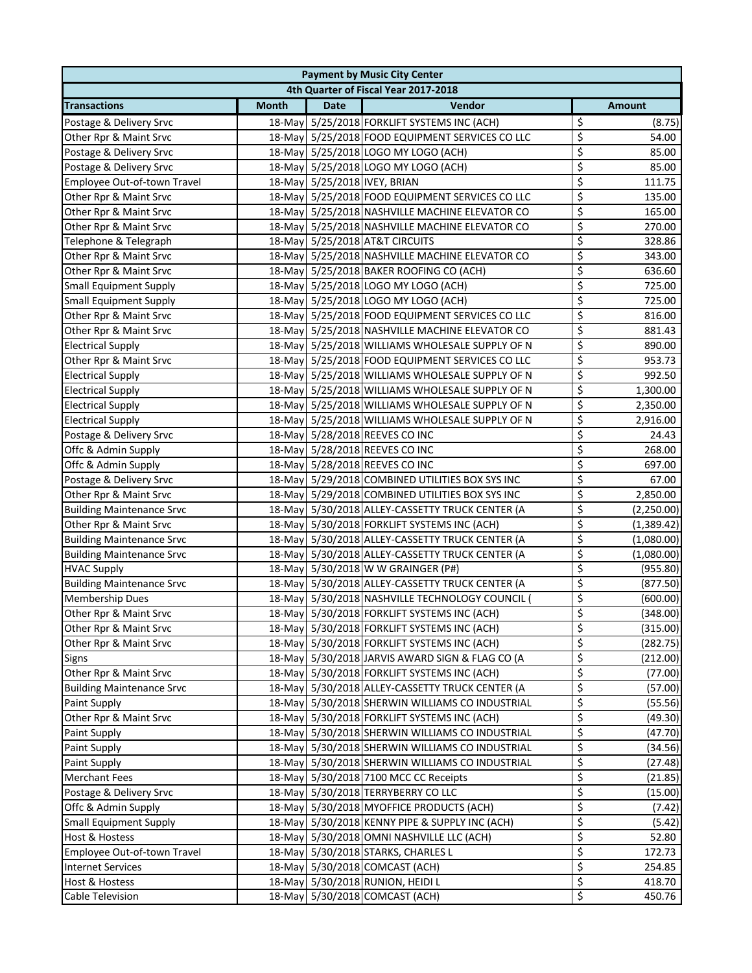| 4th Quarter of Fiscal Year 2017-2018<br>Vendor<br><b>Month</b><br><b>Date</b><br><b>Transactions</b><br><b>Amount</b><br>18-May 5/25/2018 FORKLIFT SYSTEMS INC (ACH)<br>\$<br>Postage & Delivery Srvc<br>(8.75)<br>\$<br>18-May 5/25/2018 FOOD EQUIPMENT SERVICES CO LLC<br>Other Rpr & Maint Srvc<br>54.00<br>\$<br>18-May 5/25/2018 LOGO MY LOGO (ACH)<br>85.00<br>Postage & Delivery Srvc<br>\$<br>18-May 5/25/2018 LOGO MY LOGO (ACH)<br>85.00<br>Postage & Delivery Srvc<br>\$<br>18-May 5/25/2018 IVEY, BRIAN<br>Employee Out-of-town Travel<br>111.75<br>\$<br>18-May 5/25/2018 FOOD EQUIPMENT SERVICES CO LLC<br>135.00<br>Other Rpr & Maint Srvc<br>\$<br>18-May 5/25/2018 NASHVILLE MACHINE ELEVATOR CO<br>Other Rpr & Maint Srvc<br>165.00<br>\$<br>Other Rpr & Maint Srvc<br>18-May 5/25/2018 NASHVILLE MACHINE ELEVATOR CO<br>270.00<br>\$<br>18-May 5/25/2018 AT&T CIRCUITS<br>328.86<br>Telephone & Telegraph<br>\$<br>18-May 5/25/2018 NASHVILLE MACHINE ELEVATOR CO<br>343.00<br>Other Rpr & Maint Srvc<br>\$<br>18-May 5/25/2018 BAKER ROOFING CO (ACH)<br>636.60<br>Other Rpr & Maint Srvc<br>\$<br>18-May 5/25/2018 LOGO MY LOGO (ACH)<br><b>Small Equipment Supply</b><br>725.00<br>\$<br>18-May 5/25/2018 LOGO MY LOGO (ACH)<br><b>Small Equipment Supply</b><br>725.00<br>\$<br>Other Rpr & Maint Srvc<br>18-May 5/25/2018 FOOD EQUIPMENT SERVICES CO LLC<br>816.00<br>\$<br>18-May 5/25/2018 NASHVILLE MACHINE ELEVATOR CO<br>Other Rpr & Maint Srvc<br>881.43<br>\$<br>18-May 5/25/2018 WILLIAMS WHOLESALE SUPPLY OF N<br><b>Electrical Supply</b><br>890.00<br>\$<br>18-May 5/25/2018 FOOD EQUIPMENT SERVICES CO LLC<br>Other Rpr & Maint Srvc<br>953.73<br>\$<br>18-May 5/25/2018 WILLIAMS WHOLESALE SUPPLY OF N<br><b>Electrical Supply</b><br>992.50<br>\$<br><b>Electrical Supply</b><br>18-May 5/25/2018 WILLIAMS WHOLESALE SUPPLY OF N<br>1,300.00<br>\$<br>18-May 5/25/2018 WILLIAMS WHOLESALE SUPPLY OF N<br><b>Electrical Supply</b><br>2,350.00<br>\$<br><b>Electrical Supply</b><br>18-May 5/25/2018 WILLIAMS WHOLESALE SUPPLY OF N<br>2,916.00<br>\$<br>18-May 5/28/2018 REEVES CO INC<br>24.43<br>Postage & Delivery Srvc<br>\$<br>18-May 5/28/2018 REEVES CO INC<br>Offc & Admin Supply<br>268.00<br>\$<br>18-May 5/28/2018 REEVES CO INC<br>Offc & Admin Supply<br>697.00<br>\$<br>18-May 5/29/2018 COMBINED UTILITIES BOX SYS INC<br>67.00<br>Postage & Delivery Srvc<br>\$<br>18-May 5/29/2018 COMBINED UTILITIES BOX SYS INC<br>Other Rpr & Maint Srvc<br>2,850.00<br>\$<br><b>Building Maintenance Srvc</b><br>18-May 5/30/2018 ALLEY-CASSETTY TRUCK CENTER (A<br>(2,250.00)<br>\$<br>18-May 5/30/2018 FORKLIFT SYSTEMS INC (ACH)<br>Other Rpr & Maint Srvc<br>(1,389.42)<br>\$<br><b>Building Maintenance Srvc</b><br>18-May 5/30/2018 ALLEY-CASSETTY TRUCK CENTER (A<br>(1,080.00)<br>\$<br><b>Building Maintenance Srvc</b><br>18-May 5/30/2018 ALLEY-CASSETTY TRUCK CENTER (A<br>(1,080.00)<br>\$<br><b>HVAC Supply</b><br>18-May 5/30/2018 W W GRAINGER (P#)<br>(955.80)<br>\$<br><b>Building Maintenance Srvc</b><br>18-May 5/30/2018 ALLEY-CASSETTY TRUCK CENTER (A<br>(877.50)<br>\$<br><b>Membership Dues</b><br>18-May 5/30/2018 NASHVILLE TECHNOLOGY COUNCIL (<br>(600.00)<br>\$<br>18-May 5/30/2018 FORKLIFT SYSTEMS INC (ACH)<br>(348.00)<br>Other Rpr & Maint Srvc<br>\$<br>18-May 5/30/2018 FORKLIFT SYSTEMS INC (ACH)<br>Other Rpr & Maint Srvc<br>(315.00)<br>\$<br>18-May 5/30/2018 FORKLIFT SYSTEMS INC (ACH)<br>Other Rpr & Maint Srvc<br>(282.75)<br>\$<br>18-May 5/30/2018 JARVIS AWARD SIGN & FLAG CO (A<br><b>Signs</b><br>(212.00)<br>\$<br>Other Rpr & Maint Srvc<br>18-May 5/30/2018 FORKLIFT SYSTEMS INC (ACH)<br>(77.00)<br>\$<br>18-May 5/30/2018 ALLEY-CASSETTY TRUCK CENTER (A<br><b>Building Maintenance Srvc</b><br>(57.00)<br>\$<br>Paint Supply<br>18-May 5/30/2018 SHERWIN WILLIAMS CO INDUSTRIAL<br>(55.56)<br>\$<br>Other Rpr & Maint Srvc<br>18-May 5/30/2018 FORKLIFT SYSTEMS INC (ACH)<br>(49.30)<br>\$<br>18-May 5/30/2018 SHERWIN WILLIAMS CO INDUSTRIAL<br>Paint Supply<br>(47.70)<br>\$<br>Paint Supply<br>18-May 5/30/2018 SHERWIN WILLIAMS CO INDUSTRIAL<br>(34.56)<br>\$<br>Paint Supply<br>18-May 5/30/2018 SHERWIN WILLIAMS CO INDUSTRIAL<br>(27.48)<br>\$<br>18-May 5/30/2018 7100 MCC CC Receipts<br><b>Merchant Fees</b><br>(21.85)<br>\$<br>18-May 5/30/2018 TERRYBERRY CO LLC<br>Postage & Delivery Srvc<br>(15.00)<br>\$<br>Offc & Admin Supply<br>18-May 5/30/2018 MYOFFICE PRODUCTS (ACH)<br>(7.42)<br>\$<br><b>Small Equipment Supply</b><br>18-May 5/30/2018 KENNY PIPE & SUPPLY INC (ACH)<br>(5.42)<br>\$<br>18-May 5/30/2018 OMNI NASHVILLE LLC (ACH)<br>Host & Hostess<br>52.80<br>\$<br>Employee Out-of-town Travel<br>18-May 5/30/2018 STARKS, CHARLES L<br>172.73<br>\$<br>18-May 5/30/2018 COMCAST (ACH)<br>254.85<br><b>Internet Services</b><br>\$<br>18-May 5/30/2018 RUNION, HEIDI L<br>Host & Hostess<br>418.70<br>18-May 5/30/2018 COMCAST (ACH) | <b>Payment by Music City Center</b> |  |  |  |    |        |  |  |
|-------------------------------------------------------------------------------------------------------------------------------------------------------------------------------------------------------------------------------------------------------------------------------------------------------------------------------------------------------------------------------------------------------------------------------------------------------------------------------------------------------------------------------------------------------------------------------------------------------------------------------------------------------------------------------------------------------------------------------------------------------------------------------------------------------------------------------------------------------------------------------------------------------------------------------------------------------------------------------------------------------------------------------------------------------------------------------------------------------------------------------------------------------------------------------------------------------------------------------------------------------------------------------------------------------------------------------------------------------------------------------------------------------------------------------------------------------------------------------------------------------------------------------------------------------------------------------------------------------------------------------------------------------------------------------------------------------------------------------------------------------------------------------------------------------------------------------------------------------------------------------------------------------------------------------------------------------------------------------------------------------------------------------------------------------------------------------------------------------------------------------------------------------------------------------------------------------------------------------------------------------------------------------------------------------------------------------------------------------------------------------------------------------------------------------------------------------------------------------------------------------------------------------------------------------------------------------------------------------------------------------------------------------------------------------------------------------------------------------------------------------------------------------------------------------------------------------------------------------------------------------------------------------------------------------------------------------------------------------------------------------------------------------------------------------------------------------------------------------------------------------------------------------------------------------------------------------------------------------------------------------------------------------------------------------------------------------------------------------------------------------------------------------------------------------------------------------------------------------------------------------------------------------------------------------------------------------------------------------------------------------------------------------------------------------------------------------------------------------------------------------------------------------------------------------------------------------------------------------------------------------------------------------------------------------------------------------------------------------------------------------------------------------------------------------------------------------------------------------------------------------------------------------------------------------------------------------------------------------------------------------------------------------------------------------------------------------------------------------------------------------------------------------------------------------------------------------------------------------------------------------------------------------------------------------------------------------------------------------------------------------------------------------------------------------------------------------------------------------------------------------------------------------------------------------------------------------------------------------------------------------------------------------------------------------------------------------------------------|-------------------------------------|--|--|--|----|--------|--|--|
|                                                                                                                                                                                                                                                                                                                                                                                                                                                                                                                                                                                                                                                                                                                                                                                                                                                                                                                                                                                                                                                                                                                                                                                                                                                                                                                                                                                                                                                                                                                                                                                                                                                                                                                                                                                                                                                                                                                                                                                                                                                                                                                                                                                                                                                                                                                                                                                                                                                                                                                                                                                                                                                                                                                                                                                                                                                                                                                                                                                                                                                                                                                                                                                                                                                                                                                                                                                                                                                                                                                                                                                                                                                                                                                                                                                                                                                                                                                                                                                                                                                                                                                                                                                                                                                                                                                                                                                                                                                                                                                                                                                                                                                                                                                                                                                                                                                                                                                                                                         |                                     |  |  |  |    |        |  |  |
|                                                                                                                                                                                                                                                                                                                                                                                                                                                                                                                                                                                                                                                                                                                                                                                                                                                                                                                                                                                                                                                                                                                                                                                                                                                                                                                                                                                                                                                                                                                                                                                                                                                                                                                                                                                                                                                                                                                                                                                                                                                                                                                                                                                                                                                                                                                                                                                                                                                                                                                                                                                                                                                                                                                                                                                                                                                                                                                                                                                                                                                                                                                                                                                                                                                                                                                                                                                                                                                                                                                                                                                                                                                                                                                                                                                                                                                                                                                                                                                                                                                                                                                                                                                                                                                                                                                                                                                                                                                                                                                                                                                                                                                                                                                                                                                                                                                                                                                                                                         |                                     |  |  |  |    |        |  |  |
|                                                                                                                                                                                                                                                                                                                                                                                                                                                                                                                                                                                                                                                                                                                                                                                                                                                                                                                                                                                                                                                                                                                                                                                                                                                                                                                                                                                                                                                                                                                                                                                                                                                                                                                                                                                                                                                                                                                                                                                                                                                                                                                                                                                                                                                                                                                                                                                                                                                                                                                                                                                                                                                                                                                                                                                                                                                                                                                                                                                                                                                                                                                                                                                                                                                                                                                                                                                                                                                                                                                                                                                                                                                                                                                                                                                                                                                                                                                                                                                                                                                                                                                                                                                                                                                                                                                                                                                                                                                                                                                                                                                                                                                                                                                                                                                                                                                                                                                                                                         |                                     |  |  |  |    |        |  |  |
|                                                                                                                                                                                                                                                                                                                                                                                                                                                                                                                                                                                                                                                                                                                                                                                                                                                                                                                                                                                                                                                                                                                                                                                                                                                                                                                                                                                                                                                                                                                                                                                                                                                                                                                                                                                                                                                                                                                                                                                                                                                                                                                                                                                                                                                                                                                                                                                                                                                                                                                                                                                                                                                                                                                                                                                                                                                                                                                                                                                                                                                                                                                                                                                                                                                                                                                                                                                                                                                                                                                                                                                                                                                                                                                                                                                                                                                                                                                                                                                                                                                                                                                                                                                                                                                                                                                                                                                                                                                                                                                                                                                                                                                                                                                                                                                                                                                                                                                                                                         |                                     |  |  |  |    |        |  |  |
|                                                                                                                                                                                                                                                                                                                                                                                                                                                                                                                                                                                                                                                                                                                                                                                                                                                                                                                                                                                                                                                                                                                                                                                                                                                                                                                                                                                                                                                                                                                                                                                                                                                                                                                                                                                                                                                                                                                                                                                                                                                                                                                                                                                                                                                                                                                                                                                                                                                                                                                                                                                                                                                                                                                                                                                                                                                                                                                                                                                                                                                                                                                                                                                                                                                                                                                                                                                                                                                                                                                                                                                                                                                                                                                                                                                                                                                                                                                                                                                                                                                                                                                                                                                                                                                                                                                                                                                                                                                                                                                                                                                                                                                                                                                                                                                                                                                                                                                                                                         |                                     |  |  |  |    |        |  |  |
|                                                                                                                                                                                                                                                                                                                                                                                                                                                                                                                                                                                                                                                                                                                                                                                                                                                                                                                                                                                                                                                                                                                                                                                                                                                                                                                                                                                                                                                                                                                                                                                                                                                                                                                                                                                                                                                                                                                                                                                                                                                                                                                                                                                                                                                                                                                                                                                                                                                                                                                                                                                                                                                                                                                                                                                                                                                                                                                                                                                                                                                                                                                                                                                                                                                                                                                                                                                                                                                                                                                                                                                                                                                                                                                                                                                                                                                                                                                                                                                                                                                                                                                                                                                                                                                                                                                                                                                                                                                                                                                                                                                                                                                                                                                                                                                                                                                                                                                                                                         |                                     |  |  |  |    |        |  |  |
|                                                                                                                                                                                                                                                                                                                                                                                                                                                                                                                                                                                                                                                                                                                                                                                                                                                                                                                                                                                                                                                                                                                                                                                                                                                                                                                                                                                                                                                                                                                                                                                                                                                                                                                                                                                                                                                                                                                                                                                                                                                                                                                                                                                                                                                                                                                                                                                                                                                                                                                                                                                                                                                                                                                                                                                                                                                                                                                                                                                                                                                                                                                                                                                                                                                                                                                                                                                                                                                                                                                                                                                                                                                                                                                                                                                                                                                                                                                                                                                                                                                                                                                                                                                                                                                                                                                                                                                                                                                                                                                                                                                                                                                                                                                                                                                                                                                                                                                                                                         |                                     |  |  |  |    |        |  |  |
|                                                                                                                                                                                                                                                                                                                                                                                                                                                                                                                                                                                                                                                                                                                                                                                                                                                                                                                                                                                                                                                                                                                                                                                                                                                                                                                                                                                                                                                                                                                                                                                                                                                                                                                                                                                                                                                                                                                                                                                                                                                                                                                                                                                                                                                                                                                                                                                                                                                                                                                                                                                                                                                                                                                                                                                                                                                                                                                                                                                                                                                                                                                                                                                                                                                                                                                                                                                                                                                                                                                                                                                                                                                                                                                                                                                                                                                                                                                                                                                                                                                                                                                                                                                                                                                                                                                                                                                                                                                                                                                                                                                                                                                                                                                                                                                                                                                                                                                                                                         |                                     |  |  |  |    |        |  |  |
|                                                                                                                                                                                                                                                                                                                                                                                                                                                                                                                                                                                                                                                                                                                                                                                                                                                                                                                                                                                                                                                                                                                                                                                                                                                                                                                                                                                                                                                                                                                                                                                                                                                                                                                                                                                                                                                                                                                                                                                                                                                                                                                                                                                                                                                                                                                                                                                                                                                                                                                                                                                                                                                                                                                                                                                                                                                                                                                                                                                                                                                                                                                                                                                                                                                                                                                                                                                                                                                                                                                                                                                                                                                                                                                                                                                                                                                                                                                                                                                                                                                                                                                                                                                                                                                                                                                                                                                                                                                                                                                                                                                                                                                                                                                                                                                                                                                                                                                                                                         |                                     |  |  |  |    |        |  |  |
|                                                                                                                                                                                                                                                                                                                                                                                                                                                                                                                                                                                                                                                                                                                                                                                                                                                                                                                                                                                                                                                                                                                                                                                                                                                                                                                                                                                                                                                                                                                                                                                                                                                                                                                                                                                                                                                                                                                                                                                                                                                                                                                                                                                                                                                                                                                                                                                                                                                                                                                                                                                                                                                                                                                                                                                                                                                                                                                                                                                                                                                                                                                                                                                                                                                                                                                                                                                                                                                                                                                                                                                                                                                                                                                                                                                                                                                                                                                                                                                                                                                                                                                                                                                                                                                                                                                                                                                                                                                                                                                                                                                                                                                                                                                                                                                                                                                                                                                                                                         |                                     |  |  |  |    |        |  |  |
|                                                                                                                                                                                                                                                                                                                                                                                                                                                                                                                                                                                                                                                                                                                                                                                                                                                                                                                                                                                                                                                                                                                                                                                                                                                                                                                                                                                                                                                                                                                                                                                                                                                                                                                                                                                                                                                                                                                                                                                                                                                                                                                                                                                                                                                                                                                                                                                                                                                                                                                                                                                                                                                                                                                                                                                                                                                                                                                                                                                                                                                                                                                                                                                                                                                                                                                                                                                                                                                                                                                                                                                                                                                                                                                                                                                                                                                                                                                                                                                                                                                                                                                                                                                                                                                                                                                                                                                                                                                                                                                                                                                                                                                                                                                                                                                                                                                                                                                                                                         |                                     |  |  |  |    |        |  |  |
|                                                                                                                                                                                                                                                                                                                                                                                                                                                                                                                                                                                                                                                                                                                                                                                                                                                                                                                                                                                                                                                                                                                                                                                                                                                                                                                                                                                                                                                                                                                                                                                                                                                                                                                                                                                                                                                                                                                                                                                                                                                                                                                                                                                                                                                                                                                                                                                                                                                                                                                                                                                                                                                                                                                                                                                                                                                                                                                                                                                                                                                                                                                                                                                                                                                                                                                                                                                                                                                                                                                                                                                                                                                                                                                                                                                                                                                                                                                                                                                                                                                                                                                                                                                                                                                                                                                                                                                                                                                                                                                                                                                                                                                                                                                                                                                                                                                                                                                                                                         |                                     |  |  |  |    |        |  |  |
|                                                                                                                                                                                                                                                                                                                                                                                                                                                                                                                                                                                                                                                                                                                                                                                                                                                                                                                                                                                                                                                                                                                                                                                                                                                                                                                                                                                                                                                                                                                                                                                                                                                                                                                                                                                                                                                                                                                                                                                                                                                                                                                                                                                                                                                                                                                                                                                                                                                                                                                                                                                                                                                                                                                                                                                                                                                                                                                                                                                                                                                                                                                                                                                                                                                                                                                                                                                                                                                                                                                                                                                                                                                                                                                                                                                                                                                                                                                                                                                                                                                                                                                                                                                                                                                                                                                                                                                                                                                                                                                                                                                                                                                                                                                                                                                                                                                                                                                                                                         |                                     |  |  |  |    |        |  |  |
|                                                                                                                                                                                                                                                                                                                                                                                                                                                                                                                                                                                                                                                                                                                                                                                                                                                                                                                                                                                                                                                                                                                                                                                                                                                                                                                                                                                                                                                                                                                                                                                                                                                                                                                                                                                                                                                                                                                                                                                                                                                                                                                                                                                                                                                                                                                                                                                                                                                                                                                                                                                                                                                                                                                                                                                                                                                                                                                                                                                                                                                                                                                                                                                                                                                                                                                                                                                                                                                                                                                                                                                                                                                                                                                                                                                                                                                                                                                                                                                                                                                                                                                                                                                                                                                                                                                                                                                                                                                                                                                                                                                                                                                                                                                                                                                                                                                                                                                                                                         |                                     |  |  |  |    |        |  |  |
|                                                                                                                                                                                                                                                                                                                                                                                                                                                                                                                                                                                                                                                                                                                                                                                                                                                                                                                                                                                                                                                                                                                                                                                                                                                                                                                                                                                                                                                                                                                                                                                                                                                                                                                                                                                                                                                                                                                                                                                                                                                                                                                                                                                                                                                                                                                                                                                                                                                                                                                                                                                                                                                                                                                                                                                                                                                                                                                                                                                                                                                                                                                                                                                                                                                                                                                                                                                                                                                                                                                                                                                                                                                                                                                                                                                                                                                                                                                                                                                                                                                                                                                                                                                                                                                                                                                                                                                                                                                                                                                                                                                                                                                                                                                                                                                                                                                                                                                                                                         |                                     |  |  |  |    |        |  |  |
|                                                                                                                                                                                                                                                                                                                                                                                                                                                                                                                                                                                                                                                                                                                                                                                                                                                                                                                                                                                                                                                                                                                                                                                                                                                                                                                                                                                                                                                                                                                                                                                                                                                                                                                                                                                                                                                                                                                                                                                                                                                                                                                                                                                                                                                                                                                                                                                                                                                                                                                                                                                                                                                                                                                                                                                                                                                                                                                                                                                                                                                                                                                                                                                                                                                                                                                                                                                                                                                                                                                                                                                                                                                                                                                                                                                                                                                                                                                                                                                                                                                                                                                                                                                                                                                                                                                                                                                                                                                                                                                                                                                                                                                                                                                                                                                                                                                                                                                                                                         |                                     |  |  |  |    |        |  |  |
|                                                                                                                                                                                                                                                                                                                                                                                                                                                                                                                                                                                                                                                                                                                                                                                                                                                                                                                                                                                                                                                                                                                                                                                                                                                                                                                                                                                                                                                                                                                                                                                                                                                                                                                                                                                                                                                                                                                                                                                                                                                                                                                                                                                                                                                                                                                                                                                                                                                                                                                                                                                                                                                                                                                                                                                                                                                                                                                                                                                                                                                                                                                                                                                                                                                                                                                                                                                                                                                                                                                                                                                                                                                                                                                                                                                                                                                                                                                                                                                                                                                                                                                                                                                                                                                                                                                                                                                                                                                                                                                                                                                                                                                                                                                                                                                                                                                                                                                                                                         |                                     |  |  |  |    |        |  |  |
|                                                                                                                                                                                                                                                                                                                                                                                                                                                                                                                                                                                                                                                                                                                                                                                                                                                                                                                                                                                                                                                                                                                                                                                                                                                                                                                                                                                                                                                                                                                                                                                                                                                                                                                                                                                                                                                                                                                                                                                                                                                                                                                                                                                                                                                                                                                                                                                                                                                                                                                                                                                                                                                                                                                                                                                                                                                                                                                                                                                                                                                                                                                                                                                                                                                                                                                                                                                                                                                                                                                                                                                                                                                                                                                                                                                                                                                                                                                                                                                                                                                                                                                                                                                                                                                                                                                                                                                                                                                                                                                                                                                                                                                                                                                                                                                                                                                                                                                                                                         |                                     |  |  |  |    |        |  |  |
|                                                                                                                                                                                                                                                                                                                                                                                                                                                                                                                                                                                                                                                                                                                                                                                                                                                                                                                                                                                                                                                                                                                                                                                                                                                                                                                                                                                                                                                                                                                                                                                                                                                                                                                                                                                                                                                                                                                                                                                                                                                                                                                                                                                                                                                                                                                                                                                                                                                                                                                                                                                                                                                                                                                                                                                                                                                                                                                                                                                                                                                                                                                                                                                                                                                                                                                                                                                                                                                                                                                                                                                                                                                                                                                                                                                                                                                                                                                                                                                                                                                                                                                                                                                                                                                                                                                                                                                                                                                                                                                                                                                                                                                                                                                                                                                                                                                                                                                                                                         |                                     |  |  |  |    |        |  |  |
|                                                                                                                                                                                                                                                                                                                                                                                                                                                                                                                                                                                                                                                                                                                                                                                                                                                                                                                                                                                                                                                                                                                                                                                                                                                                                                                                                                                                                                                                                                                                                                                                                                                                                                                                                                                                                                                                                                                                                                                                                                                                                                                                                                                                                                                                                                                                                                                                                                                                                                                                                                                                                                                                                                                                                                                                                                                                                                                                                                                                                                                                                                                                                                                                                                                                                                                                                                                                                                                                                                                                                                                                                                                                                                                                                                                                                                                                                                                                                                                                                                                                                                                                                                                                                                                                                                                                                                                                                                                                                                                                                                                                                                                                                                                                                                                                                                                                                                                                                                         |                                     |  |  |  |    |        |  |  |
|                                                                                                                                                                                                                                                                                                                                                                                                                                                                                                                                                                                                                                                                                                                                                                                                                                                                                                                                                                                                                                                                                                                                                                                                                                                                                                                                                                                                                                                                                                                                                                                                                                                                                                                                                                                                                                                                                                                                                                                                                                                                                                                                                                                                                                                                                                                                                                                                                                                                                                                                                                                                                                                                                                                                                                                                                                                                                                                                                                                                                                                                                                                                                                                                                                                                                                                                                                                                                                                                                                                                                                                                                                                                                                                                                                                                                                                                                                                                                                                                                                                                                                                                                                                                                                                                                                                                                                                                                                                                                                                                                                                                                                                                                                                                                                                                                                                                                                                                                                         |                                     |  |  |  |    |        |  |  |
|                                                                                                                                                                                                                                                                                                                                                                                                                                                                                                                                                                                                                                                                                                                                                                                                                                                                                                                                                                                                                                                                                                                                                                                                                                                                                                                                                                                                                                                                                                                                                                                                                                                                                                                                                                                                                                                                                                                                                                                                                                                                                                                                                                                                                                                                                                                                                                                                                                                                                                                                                                                                                                                                                                                                                                                                                                                                                                                                                                                                                                                                                                                                                                                                                                                                                                                                                                                                                                                                                                                                                                                                                                                                                                                                                                                                                                                                                                                                                                                                                                                                                                                                                                                                                                                                                                                                                                                                                                                                                                                                                                                                                                                                                                                                                                                                                                                                                                                                                                         |                                     |  |  |  |    |        |  |  |
|                                                                                                                                                                                                                                                                                                                                                                                                                                                                                                                                                                                                                                                                                                                                                                                                                                                                                                                                                                                                                                                                                                                                                                                                                                                                                                                                                                                                                                                                                                                                                                                                                                                                                                                                                                                                                                                                                                                                                                                                                                                                                                                                                                                                                                                                                                                                                                                                                                                                                                                                                                                                                                                                                                                                                                                                                                                                                                                                                                                                                                                                                                                                                                                                                                                                                                                                                                                                                                                                                                                                                                                                                                                                                                                                                                                                                                                                                                                                                                                                                                                                                                                                                                                                                                                                                                                                                                                                                                                                                                                                                                                                                                                                                                                                                                                                                                                                                                                                                                         |                                     |  |  |  |    |        |  |  |
|                                                                                                                                                                                                                                                                                                                                                                                                                                                                                                                                                                                                                                                                                                                                                                                                                                                                                                                                                                                                                                                                                                                                                                                                                                                                                                                                                                                                                                                                                                                                                                                                                                                                                                                                                                                                                                                                                                                                                                                                                                                                                                                                                                                                                                                                                                                                                                                                                                                                                                                                                                                                                                                                                                                                                                                                                                                                                                                                                                                                                                                                                                                                                                                                                                                                                                                                                                                                                                                                                                                                                                                                                                                                                                                                                                                                                                                                                                                                                                                                                                                                                                                                                                                                                                                                                                                                                                                                                                                                                                                                                                                                                                                                                                                                                                                                                                                                                                                                                                         |                                     |  |  |  |    |        |  |  |
|                                                                                                                                                                                                                                                                                                                                                                                                                                                                                                                                                                                                                                                                                                                                                                                                                                                                                                                                                                                                                                                                                                                                                                                                                                                                                                                                                                                                                                                                                                                                                                                                                                                                                                                                                                                                                                                                                                                                                                                                                                                                                                                                                                                                                                                                                                                                                                                                                                                                                                                                                                                                                                                                                                                                                                                                                                                                                                                                                                                                                                                                                                                                                                                                                                                                                                                                                                                                                                                                                                                                                                                                                                                                                                                                                                                                                                                                                                                                                                                                                                                                                                                                                                                                                                                                                                                                                                                                                                                                                                                                                                                                                                                                                                                                                                                                                                                                                                                                                                         |                                     |  |  |  |    |        |  |  |
|                                                                                                                                                                                                                                                                                                                                                                                                                                                                                                                                                                                                                                                                                                                                                                                                                                                                                                                                                                                                                                                                                                                                                                                                                                                                                                                                                                                                                                                                                                                                                                                                                                                                                                                                                                                                                                                                                                                                                                                                                                                                                                                                                                                                                                                                                                                                                                                                                                                                                                                                                                                                                                                                                                                                                                                                                                                                                                                                                                                                                                                                                                                                                                                                                                                                                                                                                                                                                                                                                                                                                                                                                                                                                                                                                                                                                                                                                                                                                                                                                                                                                                                                                                                                                                                                                                                                                                                                                                                                                                                                                                                                                                                                                                                                                                                                                                                                                                                                                                         |                                     |  |  |  |    |        |  |  |
|                                                                                                                                                                                                                                                                                                                                                                                                                                                                                                                                                                                                                                                                                                                                                                                                                                                                                                                                                                                                                                                                                                                                                                                                                                                                                                                                                                                                                                                                                                                                                                                                                                                                                                                                                                                                                                                                                                                                                                                                                                                                                                                                                                                                                                                                                                                                                                                                                                                                                                                                                                                                                                                                                                                                                                                                                                                                                                                                                                                                                                                                                                                                                                                                                                                                                                                                                                                                                                                                                                                                                                                                                                                                                                                                                                                                                                                                                                                                                                                                                                                                                                                                                                                                                                                                                                                                                                                                                                                                                                                                                                                                                                                                                                                                                                                                                                                                                                                                                                         |                                     |  |  |  |    |        |  |  |
|                                                                                                                                                                                                                                                                                                                                                                                                                                                                                                                                                                                                                                                                                                                                                                                                                                                                                                                                                                                                                                                                                                                                                                                                                                                                                                                                                                                                                                                                                                                                                                                                                                                                                                                                                                                                                                                                                                                                                                                                                                                                                                                                                                                                                                                                                                                                                                                                                                                                                                                                                                                                                                                                                                                                                                                                                                                                                                                                                                                                                                                                                                                                                                                                                                                                                                                                                                                                                                                                                                                                                                                                                                                                                                                                                                                                                                                                                                                                                                                                                                                                                                                                                                                                                                                                                                                                                                                                                                                                                                                                                                                                                                                                                                                                                                                                                                                                                                                                                                         |                                     |  |  |  |    |        |  |  |
|                                                                                                                                                                                                                                                                                                                                                                                                                                                                                                                                                                                                                                                                                                                                                                                                                                                                                                                                                                                                                                                                                                                                                                                                                                                                                                                                                                                                                                                                                                                                                                                                                                                                                                                                                                                                                                                                                                                                                                                                                                                                                                                                                                                                                                                                                                                                                                                                                                                                                                                                                                                                                                                                                                                                                                                                                                                                                                                                                                                                                                                                                                                                                                                                                                                                                                                                                                                                                                                                                                                                                                                                                                                                                                                                                                                                                                                                                                                                                                                                                                                                                                                                                                                                                                                                                                                                                                                                                                                                                                                                                                                                                                                                                                                                                                                                                                                                                                                                                                         |                                     |  |  |  |    |        |  |  |
|                                                                                                                                                                                                                                                                                                                                                                                                                                                                                                                                                                                                                                                                                                                                                                                                                                                                                                                                                                                                                                                                                                                                                                                                                                                                                                                                                                                                                                                                                                                                                                                                                                                                                                                                                                                                                                                                                                                                                                                                                                                                                                                                                                                                                                                                                                                                                                                                                                                                                                                                                                                                                                                                                                                                                                                                                                                                                                                                                                                                                                                                                                                                                                                                                                                                                                                                                                                                                                                                                                                                                                                                                                                                                                                                                                                                                                                                                                                                                                                                                                                                                                                                                                                                                                                                                                                                                                                                                                                                                                                                                                                                                                                                                                                                                                                                                                                                                                                                                                         |                                     |  |  |  |    |        |  |  |
|                                                                                                                                                                                                                                                                                                                                                                                                                                                                                                                                                                                                                                                                                                                                                                                                                                                                                                                                                                                                                                                                                                                                                                                                                                                                                                                                                                                                                                                                                                                                                                                                                                                                                                                                                                                                                                                                                                                                                                                                                                                                                                                                                                                                                                                                                                                                                                                                                                                                                                                                                                                                                                                                                                                                                                                                                                                                                                                                                                                                                                                                                                                                                                                                                                                                                                                                                                                                                                                                                                                                                                                                                                                                                                                                                                                                                                                                                                                                                                                                                                                                                                                                                                                                                                                                                                                                                                                                                                                                                                                                                                                                                                                                                                                                                                                                                                                                                                                                                                         |                                     |  |  |  |    |        |  |  |
|                                                                                                                                                                                                                                                                                                                                                                                                                                                                                                                                                                                                                                                                                                                                                                                                                                                                                                                                                                                                                                                                                                                                                                                                                                                                                                                                                                                                                                                                                                                                                                                                                                                                                                                                                                                                                                                                                                                                                                                                                                                                                                                                                                                                                                                                                                                                                                                                                                                                                                                                                                                                                                                                                                                                                                                                                                                                                                                                                                                                                                                                                                                                                                                                                                                                                                                                                                                                                                                                                                                                                                                                                                                                                                                                                                                                                                                                                                                                                                                                                                                                                                                                                                                                                                                                                                                                                                                                                                                                                                                                                                                                                                                                                                                                                                                                                                                                                                                                                                         |                                     |  |  |  |    |        |  |  |
|                                                                                                                                                                                                                                                                                                                                                                                                                                                                                                                                                                                                                                                                                                                                                                                                                                                                                                                                                                                                                                                                                                                                                                                                                                                                                                                                                                                                                                                                                                                                                                                                                                                                                                                                                                                                                                                                                                                                                                                                                                                                                                                                                                                                                                                                                                                                                                                                                                                                                                                                                                                                                                                                                                                                                                                                                                                                                                                                                                                                                                                                                                                                                                                                                                                                                                                                                                                                                                                                                                                                                                                                                                                                                                                                                                                                                                                                                                                                                                                                                                                                                                                                                                                                                                                                                                                                                                                                                                                                                                                                                                                                                                                                                                                                                                                                                                                                                                                                                                         |                                     |  |  |  |    |        |  |  |
|                                                                                                                                                                                                                                                                                                                                                                                                                                                                                                                                                                                                                                                                                                                                                                                                                                                                                                                                                                                                                                                                                                                                                                                                                                                                                                                                                                                                                                                                                                                                                                                                                                                                                                                                                                                                                                                                                                                                                                                                                                                                                                                                                                                                                                                                                                                                                                                                                                                                                                                                                                                                                                                                                                                                                                                                                                                                                                                                                                                                                                                                                                                                                                                                                                                                                                                                                                                                                                                                                                                                                                                                                                                                                                                                                                                                                                                                                                                                                                                                                                                                                                                                                                                                                                                                                                                                                                                                                                                                                                                                                                                                                                                                                                                                                                                                                                                                                                                                                                         |                                     |  |  |  |    |        |  |  |
|                                                                                                                                                                                                                                                                                                                                                                                                                                                                                                                                                                                                                                                                                                                                                                                                                                                                                                                                                                                                                                                                                                                                                                                                                                                                                                                                                                                                                                                                                                                                                                                                                                                                                                                                                                                                                                                                                                                                                                                                                                                                                                                                                                                                                                                                                                                                                                                                                                                                                                                                                                                                                                                                                                                                                                                                                                                                                                                                                                                                                                                                                                                                                                                                                                                                                                                                                                                                                                                                                                                                                                                                                                                                                                                                                                                                                                                                                                                                                                                                                                                                                                                                                                                                                                                                                                                                                                                                                                                                                                                                                                                                                                                                                                                                                                                                                                                                                                                                                                         |                                     |  |  |  |    |        |  |  |
|                                                                                                                                                                                                                                                                                                                                                                                                                                                                                                                                                                                                                                                                                                                                                                                                                                                                                                                                                                                                                                                                                                                                                                                                                                                                                                                                                                                                                                                                                                                                                                                                                                                                                                                                                                                                                                                                                                                                                                                                                                                                                                                                                                                                                                                                                                                                                                                                                                                                                                                                                                                                                                                                                                                                                                                                                                                                                                                                                                                                                                                                                                                                                                                                                                                                                                                                                                                                                                                                                                                                                                                                                                                                                                                                                                                                                                                                                                                                                                                                                                                                                                                                                                                                                                                                                                                                                                                                                                                                                                                                                                                                                                                                                                                                                                                                                                                                                                                                                                         |                                     |  |  |  |    |        |  |  |
|                                                                                                                                                                                                                                                                                                                                                                                                                                                                                                                                                                                                                                                                                                                                                                                                                                                                                                                                                                                                                                                                                                                                                                                                                                                                                                                                                                                                                                                                                                                                                                                                                                                                                                                                                                                                                                                                                                                                                                                                                                                                                                                                                                                                                                                                                                                                                                                                                                                                                                                                                                                                                                                                                                                                                                                                                                                                                                                                                                                                                                                                                                                                                                                                                                                                                                                                                                                                                                                                                                                                                                                                                                                                                                                                                                                                                                                                                                                                                                                                                                                                                                                                                                                                                                                                                                                                                                                                                                                                                                                                                                                                                                                                                                                                                                                                                                                                                                                                                                         |                                     |  |  |  |    |        |  |  |
|                                                                                                                                                                                                                                                                                                                                                                                                                                                                                                                                                                                                                                                                                                                                                                                                                                                                                                                                                                                                                                                                                                                                                                                                                                                                                                                                                                                                                                                                                                                                                                                                                                                                                                                                                                                                                                                                                                                                                                                                                                                                                                                                                                                                                                                                                                                                                                                                                                                                                                                                                                                                                                                                                                                                                                                                                                                                                                                                                                                                                                                                                                                                                                                                                                                                                                                                                                                                                                                                                                                                                                                                                                                                                                                                                                                                                                                                                                                                                                                                                                                                                                                                                                                                                                                                                                                                                                                                                                                                                                                                                                                                                                                                                                                                                                                                                                                                                                                                                                         |                                     |  |  |  |    |        |  |  |
|                                                                                                                                                                                                                                                                                                                                                                                                                                                                                                                                                                                                                                                                                                                                                                                                                                                                                                                                                                                                                                                                                                                                                                                                                                                                                                                                                                                                                                                                                                                                                                                                                                                                                                                                                                                                                                                                                                                                                                                                                                                                                                                                                                                                                                                                                                                                                                                                                                                                                                                                                                                                                                                                                                                                                                                                                                                                                                                                                                                                                                                                                                                                                                                                                                                                                                                                                                                                                                                                                                                                                                                                                                                                                                                                                                                                                                                                                                                                                                                                                                                                                                                                                                                                                                                                                                                                                                                                                                                                                                                                                                                                                                                                                                                                                                                                                                                                                                                                                                         |                                     |  |  |  |    |        |  |  |
|                                                                                                                                                                                                                                                                                                                                                                                                                                                                                                                                                                                                                                                                                                                                                                                                                                                                                                                                                                                                                                                                                                                                                                                                                                                                                                                                                                                                                                                                                                                                                                                                                                                                                                                                                                                                                                                                                                                                                                                                                                                                                                                                                                                                                                                                                                                                                                                                                                                                                                                                                                                                                                                                                                                                                                                                                                                                                                                                                                                                                                                                                                                                                                                                                                                                                                                                                                                                                                                                                                                                                                                                                                                                                                                                                                                                                                                                                                                                                                                                                                                                                                                                                                                                                                                                                                                                                                                                                                                                                                                                                                                                                                                                                                                                                                                                                                                                                                                                                                         |                                     |  |  |  |    |        |  |  |
|                                                                                                                                                                                                                                                                                                                                                                                                                                                                                                                                                                                                                                                                                                                                                                                                                                                                                                                                                                                                                                                                                                                                                                                                                                                                                                                                                                                                                                                                                                                                                                                                                                                                                                                                                                                                                                                                                                                                                                                                                                                                                                                                                                                                                                                                                                                                                                                                                                                                                                                                                                                                                                                                                                                                                                                                                                                                                                                                                                                                                                                                                                                                                                                                                                                                                                                                                                                                                                                                                                                                                                                                                                                                                                                                                                                                                                                                                                                                                                                                                                                                                                                                                                                                                                                                                                                                                                                                                                                                                                                                                                                                                                                                                                                                                                                                                                                                                                                                                                         |                                     |  |  |  |    |        |  |  |
|                                                                                                                                                                                                                                                                                                                                                                                                                                                                                                                                                                                                                                                                                                                                                                                                                                                                                                                                                                                                                                                                                                                                                                                                                                                                                                                                                                                                                                                                                                                                                                                                                                                                                                                                                                                                                                                                                                                                                                                                                                                                                                                                                                                                                                                                                                                                                                                                                                                                                                                                                                                                                                                                                                                                                                                                                                                                                                                                                                                                                                                                                                                                                                                                                                                                                                                                                                                                                                                                                                                                                                                                                                                                                                                                                                                                                                                                                                                                                                                                                                                                                                                                                                                                                                                                                                                                                                                                                                                                                                                                                                                                                                                                                                                                                                                                                                                                                                                                                                         |                                     |  |  |  |    |        |  |  |
|                                                                                                                                                                                                                                                                                                                                                                                                                                                                                                                                                                                                                                                                                                                                                                                                                                                                                                                                                                                                                                                                                                                                                                                                                                                                                                                                                                                                                                                                                                                                                                                                                                                                                                                                                                                                                                                                                                                                                                                                                                                                                                                                                                                                                                                                                                                                                                                                                                                                                                                                                                                                                                                                                                                                                                                                                                                                                                                                                                                                                                                                                                                                                                                                                                                                                                                                                                                                                                                                                                                                                                                                                                                                                                                                                                                                                                                                                                                                                                                                                                                                                                                                                                                                                                                                                                                                                                                                                                                                                                                                                                                                                                                                                                                                                                                                                                                                                                                                                                         |                                     |  |  |  |    |        |  |  |
|                                                                                                                                                                                                                                                                                                                                                                                                                                                                                                                                                                                                                                                                                                                                                                                                                                                                                                                                                                                                                                                                                                                                                                                                                                                                                                                                                                                                                                                                                                                                                                                                                                                                                                                                                                                                                                                                                                                                                                                                                                                                                                                                                                                                                                                                                                                                                                                                                                                                                                                                                                                                                                                                                                                                                                                                                                                                                                                                                                                                                                                                                                                                                                                                                                                                                                                                                                                                                                                                                                                                                                                                                                                                                                                                                                                                                                                                                                                                                                                                                                                                                                                                                                                                                                                                                                                                                                                                                                                                                                                                                                                                                                                                                                                                                                                                                                                                                                                                                                         |                                     |  |  |  |    |        |  |  |
|                                                                                                                                                                                                                                                                                                                                                                                                                                                                                                                                                                                                                                                                                                                                                                                                                                                                                                                                                                                                                                                                                                                                                                                                                                                                                                                                                                                                                                                                                                                                                                                                                                                                                                                                                                                                                                                                                                                                                                                                                                                                                                                                                                                                                                                                                                                                                                                                                                                                                                                                                                                                                                                                                                                                                                                                                                                                                                                                                                                                                                                                                                                                                                                                                                                                                                                                                                                                                                                                                                                                                                                                                                                                                                                                                                                                                                                                                                                                                                                                                                                                                                                                                                                                                                                                                                                                                                                                                                                                                                                                                                                                                                                                                                                                                                                                                                                                                                                                                                         |                                     |  |  |  |    |        |  |  |
|                                                                                                                                                                                                                                                                                                                                                                                                                                                                                                                                                                                                                                                                                                                                                                                                                                                                                                                                                                                                                                                                                                                                                                                                                                                                                                                                                                                                                                                                                                                                                                                                                                                                                                                                                                                                                                                                                                                                                                                                                                                                                                                                                                                                                                                                                                                                                                                                                                                                                                                                                                                                                                                                                                                                                                                                                                                                                                                                                                                                                                                                                                                                                                                                                                                                                                                                                                                                                                                                                                                                                                                                                                                                                                                                                                                                                                                                                                                                                                                                                                                                                                                                                                                                                                                                                                                                                                                                                                                                                                                                                                                                                                                                                                                                                                                                                                                                                                                                                                         |                                     |  |  |  |    |        |  |  |
|                                                                                                                                                                                                                                                                                                                                                                                                                                                                                                                                                                                                                                                                                                                                                                                                                                                                                                                                                                                                                                                                                                                                                                                                                                                                                                                                                                                                                                                                                                                                                                                                                                                                                                                                                                                                                                                                                                                                                                                                                                                                                                                                                                                                                                                                                                                                                                                                                                                                                                                                                                                                                                                                                                                                                                                                                                                                                                                                                                                                                                                                                                                                                                                                                                                                                                                                                                                                                                                                                                                                                                                                                                                                                                                                                                                                                                                                                                                                                                                                                                                                                                                                                                                                                                                                                                                                                                                                                                                                                                                                                                                                                                                                                                                                                                                                                                                                                                                                                                         |                                     |  |  |  |    |        |  |  |
|                                                                                                                                                                                                                                                                                                                                                                                                                                                                                                                                                                                                                                                                                                                                                                                                                                                                                                                                                                                                                                                                                                                                                                                                                                                                                                                                                                                                                                                                                                                                                                                                                                                                                                                                                                                                                                                                                                                                                                                                                                                                                                                                                                                                                                                                                                                                                                                                                                                                                                                                                                                                                                                                                                                                                                                                                                                                                                                                                                                                                                                                                                                                                                                                                                                                                                                                                                                                                                                                                                                                                                                                                                                                                                                                                                                                                                                                                                                                                                                                                                                                                                                                                                                                                                                                                                                                                                                                                                                                                                                                                                                                                                                                                                                                                                                                                                                                                                                                                                         |                                     |  |  |  |    |        |  |  |
|                                                                                                                                                                                                                                                                                                                                                                                                                                                                                                                                                                                                                                                                                                                                                                                                                                                                                                                                                                                                                                                                                                                                                                                                                                                                                                                                                                                                                                                                                                                                                                                                                                                                                                                                                                                                                                                                                                                                                                                                                                                                                                                                                                                                                                                                                                                                                                                                                                                                                                                                                                                                                                                                                                                                                                                                                                                                                                                                                                                                                                                                                                                                                                                                                                                                                                                                                                                                                                                                                                                                                                                                                                                                                                                                                                                                                                                                                                                                                                                                                                                                                                                                                                                                                                                                                                                                                                                                                                                                                                                                                                                                                                                                                                                                                                                                                                                                                                                                                                         |                                     |  |  |  |    |        |  |  |
|                                                                                                                                                                                                                                                                                                                                                                                                                                                                                                                                                                                                                                                                                                                                                                                                                                                                                                                                                                                                                                                                                                                                                                                                                                                                                                                                                                                                                                                                                                                                                                                                                                                                                                                                                                                                                                                                                                                                                                                                                                                                                                                                                                                                                                                                                                                                                                                                                                                                                                                                                                                                                                                                                                                                                                                                                                                                                                                                                                                                                                                                                                                                                                                                                                                                                                                                                                                                                                                                                                                                                                                                                                                                                                                                                                                                                                                                                                                                                                                                                                                                                                                                                                                                                                                                                                                                                                                                                                                                                                                                                                                                                                                                                                                                                                                                                                                                                                                                                                         |                                     |  |  |  |    |        |  |  |
|                                                                                                                                                                                                                                                                                                                                                                                                                                                                                                                                                                                                                                                                                                                                                                                                                                                                                                                                                                                                                                                                                                                                                                                                                                                                                                                                                                                                                                                                                                                                                                                                                                                                                                                                                                                                                                                                                                                                                                                                                                                                                                                                                                                                                                                                                                                                                                                                                                                                                                                                                                                                                                                                                                                                                                                                                                                                                                                                                                                                                                                                                                                                                                                                                                                                                                                                                                                                                                                                                                                                                                                                                                                                                                                                                                                                                                                                                                                                                                                                                                                                                                                                                                                                                                                                                                                                                                                                                                                                                                                                                                                                                                                                                                                                                                                                                                                                                                                                                                         |                                     |  |  |  |    |        |  |  |
|                                                                                                                                                                                                                                                                                                                                                                                                                                                                                                                                                                                                                                                                                                                                                                                                                                                                                                                                                                                                                                                                                                                                                                                                                                                                                                                                                                                                                                                                                                                                                                                                                                                                                                                                                                                                                                                                                                                                                                                                                                                                                                                                                                                                                                                                                                                                                                                                                                                                                                                                                                                                                                                                                                                                                                                                                                                                                                                                                                                                                                                                                                                                                                                                                                                                                                                                                                                                                                                                                                                                                                                                                                                                                                                                                                                                                                                                                                                                                                                                                                                                                                                                                                                                                                                                                                                                                                                                                                                                                                                                                                                                                                                                                                                                                                                                                                                                                                                                                                         |                                     |  |  |  |    |        |  |  |
|                                                                                                                                                                                                                                                                                                                                                                                                                                                                                                                                                                                                                                                                                                                                                                                                                                                                                                                                                                                                                                                                                                                                                                                                                                                                                                                                                                                                                                                                                                                                                                                                                                                                                                                                                                                                                                                                                                                                                                                                                                                                                                                                                                                                                                                                                                                                                                                                                                                                                                                                                                                                                                                                                                                                                                                                                                                                                                                                                                                                                                                                                                                                                                                                                                                                                                                                                                                                                                                                                                                                                                                                                                                                                                                                                                                                                                                                                                                                                                                                                                                                                                                                                                                                                                                                                                                                                                                                                                                                                                                                                                                                                                                                                                                                                                                                                                                                                                                                                                         |                                     |  |  |  |    |        |  |  |
|                                                                                                                                                                                                                                                                                                                                                                                                                                                                                                                                                                                                                                                                                                                                                                                                                                                                                                                                                                                                                                                                                                                                                                                                                                                                                                                                                                                                                                                                                                                                                                                                                                                                                                                                                                                                                                                                                                                                                                                                                                                                                                                                                                                                                                                                                                                                                                                                                                                                                                                                                                                                                                                                                                                                                                                                                                                                                                                                                                                                                                                                                                                                                                                                                                                                                                                                                                                                                                                                                                                                                                                                                                                                                                                                                                                                                                                                                                                                                                                                                                                                                                                                                                                                                                                                                                                                                                                                                                                                                                                                                                                                                                                                                                                                                                                                                                                                                                                                                                         |                                     |  |  |  |    |        |  |  |
|                                                                                                                                                                                                                                                                                                                                                                                                                                                                                                                                                                                                                                                                                                                                                                                                                                                                                                                                                                                                                                                                                                                                                                                                                                                                                                                                                                                                                                                                                                                                                                                                                                                                                                                                                                                                                                                                                                                                                                                                                                                                                                                                                                                                                                                                                                                                                                                                                                                                                                                                                                                                                                                                                                                                                                                                                                                                                                                                                                                                                                                                                                                                                                                                                                                                                                                                                                                                                                                                                                                                                                                                                                                                                                                                                                                                                                                                                                                                                                                                                                                                                                                                                                                                                                                                                                                                                                                                                                                                                                                                                                                                                                                                                                                                                                                                                                                                                                                                                                         | Cable Television                    |  |  |  | \$ | 450.76 |  |  |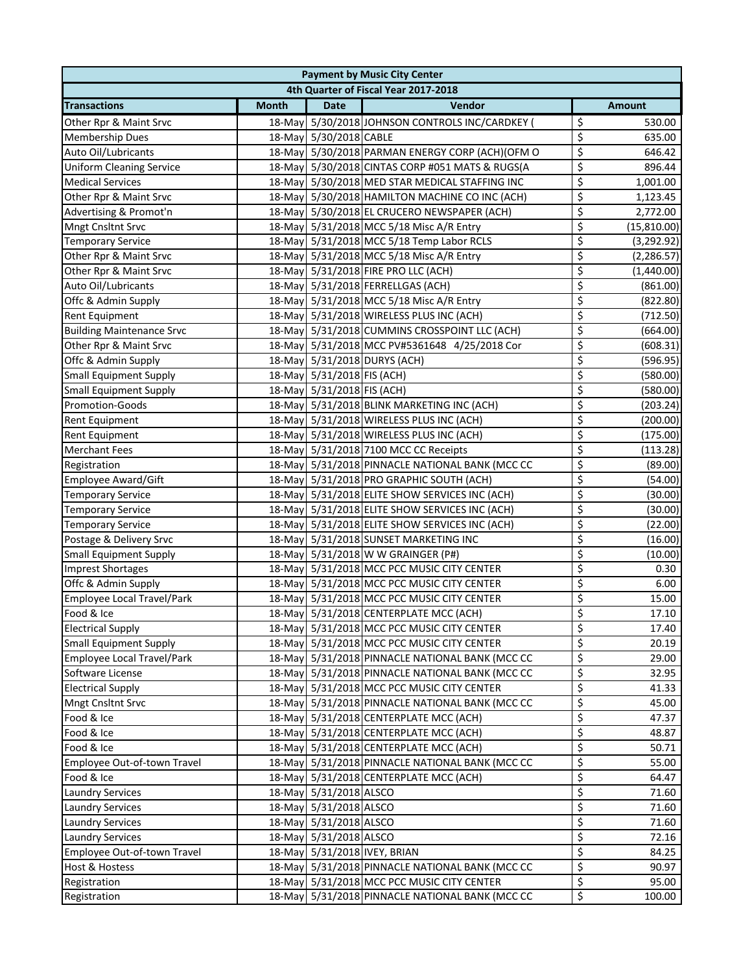| <b>Payment by Music City Center</b> |              |                            |                                                 |                         |               |  |  |
|-------------------------------------|--------------|----------------------------|-------------------------------------------------|-------------------------|---------------|--|--|
|                                     |              |                            | 4th Quarter of Fiscal Year 2017-2018            |                         |               |  |  |
| <b>Transactions</b>                 | <b>Month</b> | <b>Date</b>                | Vendor                                          |                         | <b>Amount</b> |  |  |
| Other Rpr & Maint Srvc              |              |                            | 18-May 5/30/2018 JOHNSON CONTROLS INC/CARDKEY ( | \$                      | 530.00        |  |  |
| <b>Membership Dues</b>              |              | 18-May 5/30/2018 CABLE     |                                                 | \$                      | 635.00        |  |  |
| Auto Oil/Lubricants                 |              |                            | 18-May 5/30/2018 PARMAN ENERGY CORP (ACH)(OFM O | \$                      | 646.42        |  |  |
| <b>Uniform Cleaning Service</b>     |              |                            | 18-May 5/30/2018 CINTAS CORP #051 MATS & RUGS(A | \$                      | 896.44        |  |  |
| <b>Medical Services</b>             |              |                            | 18-May 5/30/2018 MED STAR MEDICAL STAFFING INC  | \$                      | 1,001.00      |  |  |
| Other Rpr & Maint Srvc              |              |                            | 18-May 5/30/2018 HAMILTON MACHINE CO INC (ACH)  | \$                      | 1,123.45      |  |  |
| Advertising & Promot'n              |              |                            | 18-May 5/30/2018 EL CRUCERO NEWSPAPER (ACH)     | \$                      | 2,772.00      |  |  |
| Mngt Cnsltnt Srvc                   |              |                            | 18-May 5/31/2018 MCC 5/18 Misc A/R Entry        | \$                      | (15, 810.00)  |  |  |
| <b>Temporary Service</b>            |              |                            | 18-May 5/31/2018 MCC 5/18 Temp Labor RCLS       | \$                      | (3,292.92)    |  |  |
| Other Rpr & Maint Srvc              |              |                            | 18-May 5/31/2018 MCC 5/18 Misc A/R Entry        | \$                      | (2, 286.57)   |  |  |
| Other Rpr & Maint Srvc              |              |                            | 18-May 5/31/2018 FIRE PRO LLC (ACH)             | \$                      | (1,440.00)    |  |  |
| Auto Oil/Lubricants                 |              |                            | 18-May 5/31/2018 FERRELLGAS (ACH)               | \$                      | (861.00)      |  |  |
| Offc & Admin Supply                 |              |                            | 18-May 5/31/2018 MCC 5/18 Misc A/R Entry        | \$                      | (822.80)      |  |  |
| <b>Rent Equipment</b>               |              |                            | 18-May 5/31/2018 WIRELESS PLUS INC (ACH)        | \$                      | (712.50)      |  |  |
| <b>Building Maintenance Srvc</b>    |              |                            | 18-May 5/31/2018 CUMMINS CROSSPOINT LLC (ACH)   | \$                      | (664.00)      |  |  |
| Other Rpr & Maint Srvc              |              |                            | 18-May 5/31/2018 MCC PV#5361648 4/25/2018 Cor   | \$                      | (608.31)      |  |  |
| Offc & Admin Supply                 |              |                            | 18-May 5/31/2018 DURYS (ACH)                    | \$                      | (596.95)      |  |  |
| <b>Small Equipment Supply</b>       |              | 18-May 5/31/2018 FIS (ACH) |                                                 | \$                      | (580.00)      |  |  |
| <b>Small Equipment Supply</b>       |              | 18-May 5/31/2018 FIS (ACH) |                                                 | \$                      | (580.00)      |  |  |
| Promotion-Goods                     |              |                            | 18-May 5/31/2018 BLINK MARKETING INC (ACH)      | \$                      | (203.24)      |  |  |
| Rent Equipment                      |              |                            | 18-May 5/31/2018 WIRELESS PLUS INC (ACH)        | \$                      | (200.00)      |  |  |
| <b>Rent Equipment</b>               |              |                            | 18-May 5/31/2018 WIRELESS PLUS INC (ACH)        | \$                      | (175.00)      |  |  |
| <b>Merchant Fees</b>                |              |                            | 18-May 5/31/2018 7100 MCC CC Receipts           | \$                      | (113.28)      |  |  |
| Registration                        |              |                            | 18-May 5/31/2018 PINNACLE NATIONAL BANK (MCC CC | \$                      | (89.00)       |  |  |
| Employee Award/Gift                 |              |                            | 18-May 5/31/2018 PRO GRAPHIC SOUTH (ACH)        | \$                      | (54.00)       |  |  |
| <b>Temporary Service</b>            |              |                            | 18-May 5/31/2018 ELITE SHOW SERVICES INC (ACH)  | \$                      | (30.00)       |  |  |
| <b>Temporary Service</b>            |              |                            | 18-May 5/31/2018 ELITE SHOW SERVICES INC (ACH)  | \$                      | (30.00)       |  |  |
| <b>Temporary Service</b>            |              |                            | 18-May 5/31/2018 ELITE SHOW SERVICES INC (ACH)  | \$                      | (22.00)       |  |  |
| Postage & Delivery Srvc             |              |                            | 18-May 5/31/2018 SUNSET MARKETING INC           | \$                      | (16.00)       |  |  |
| <b>Small Equipment Supply</b>       |              |                            | 18-May 5/31/2018 W W GRAINGER (P#)              | \$                      | (10.00)       |  |  |
| <b>Imprest Shortages</b>            |              |                            | 18-May 5/31/2018 MCC PCC MUSIC CITY CENTER      | \$                      | 0.30          |  |  |
| Offc & Admin Supply                 |              |                            | 18-May 5/31/2018 MCC PCC MUSIC CITY CENTER      | \$                      | 6.00          |  |  |
| Employee Local Travel/Park          |              |                            | 18-May 5/31/2018 MCC PCC MUSIC CITY CENTER      | \$                      | 15.00         |  |  |
| Food & Ice                          |              |                            | 18-May 5/31/2018 CENTERPLATE MCC (ACH)          | $\overline{\mathsf{S}}$ | 17.10         |  |  |
| <b>Electrical Supply</b>            |              |                            | 18-May 5/31/2018 MCC PCC MUSIC CITY CENTER      | \$                      | 17.40         |  |  |
| <b>Small Equipment Supply</b>       |              |                            | 18-May 5/31/2018 MCC PCC MUSIC CITY CENTER      | \$                      | 20.19         |  |  |
| Employee Local Travel/Park          |              |                            | 18-May 5/31/2018 PINNACLE NATIONAL BANK (MCC CC | \$                      | 29.00         |  |  |
| Software License                    |              |                            | 18-May 5/31/2018 PINNACLE NATIONAL BANK (MCC CC | \$                      | 32.95         |  |  |
| <b>Electrical Supply</b>            |              |                            | 18-May 5/31/2018 MCC PCC MUSIC CITY CENTER      | \$                      | 41.33         |  |  |
| <b>Mngt Cnsltnt Srvc</b>            |              |                            | 18-May 5/31/2018 PINNACLE NATIONAL BANK (MCC CC | \$                      | 45.00         |  |  |
| Food & Ice                          |              |                            | 18-May 5/31/2018 CENTERPLATE MCC (ACH)          | \$                      | 47.37         |  |  |
| Food & Ice                          |              |                            | 18-May 5/31/2018 CENTERPLATE MCC (ACH)          | \$                      | 48.87         |  |  |
| Food & Ice                          |              |                            | 18-May 5/31/2018 CENTERPLATE MCC (ACH)          | \$                      | 50.71         |  |  |
| Employee Out-of-town Travel         |              |                            | 18-May 5/31/2018 PINNACLE NATIONAL BANK (MCC CC | \$                      |               |  |  |
|                                     |              |                            |                                                 | \$                      | 55.00         |  |  |
| Food & Ice                          |              |                            | 18-May 5/31/2018 CENTERPLATE MCC (ACH)          | \$                      | 64.47         |  |  |
| <b>Laundry Services</b>             |              | 18-May 5/31/2018 ALSCO     |                                                 |                         | 71.60         |  |  |
| <b>Laundry Services</b>             |              | 18-May 5/31/2018 ALSCO     |                                                 | \$                      | 71.60         |  |  |
| <b>Laundry Services</b>             |              | 18-May 5/31/2018 ALSCO     |                                                 | \$                      | 71.60         |  |  |
| <b>Laundry Services</b>             |              | 18-May 5/31/2018 ALSCO     |                                                 | \$                      | 72.16         |  |  |
| Employee Out-of-town Travel         |              |                            | 18-May 5/31/2018 IVEY, BRIAN                    | \$                      | 84.25         |  |  |
| Host & Hostess                      |              |                            | 18-May 5/31/2018 PINNACLE NATIONAL BANK (MCC CC | \$                      | 90.97         |  |  |
| Registration                        |              |                            | 18-May 5/31/2018 MCC PCC MUSIC CITY CENTER      | \$                      | 95.00         |  |  |
| Registration                        |              |                            | 18-May 5/31/2018 PINNACLE NATIONAL BANK (MCC CC | \$                      | 100.00        |  |  |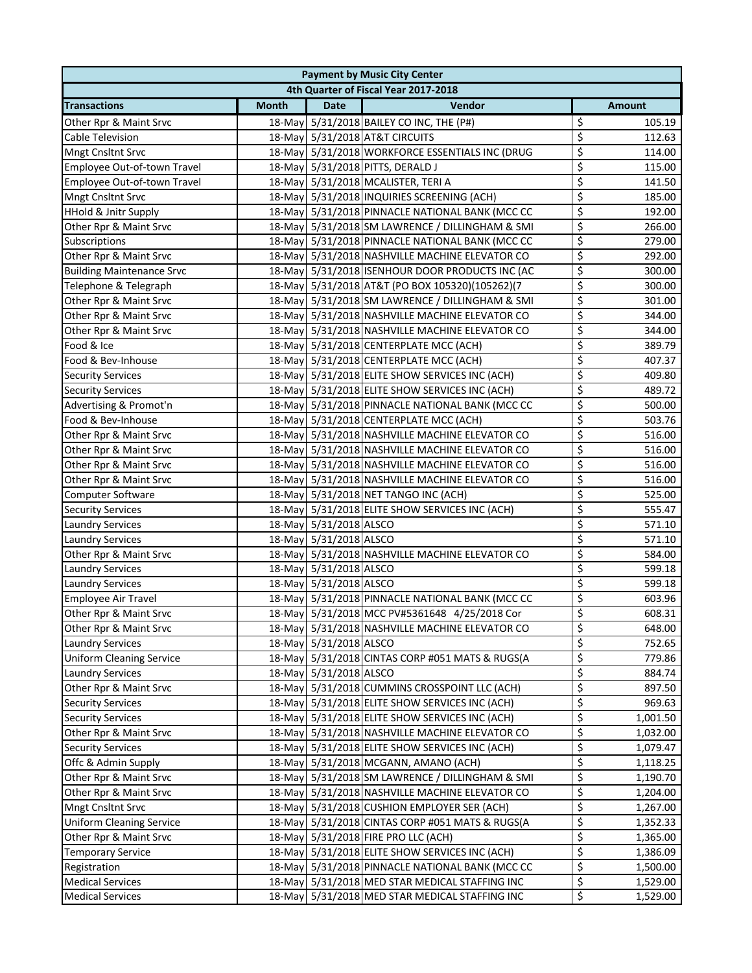| <b>Payment by Music City Center</b>  |              |                        |                                                 |                         |               |  |  |
|--------------------------------------|--------------|------------------------|-------------------------------------------------|-------------------------|---------------|--|--|
| 4th Quarter of Fiscal Year 2017-2018 |              |                        |                                                 |                         |               |  |  |
| <b>Transactions</b>                  | <b>Month</b> | <b>Date</b>            | Vendor                                          |                         | <b>Amount</b> |  |  |
| Other Rpr & Maint Srvc               |              |                        | 18-May 5/31/2018 BAILEY CO INC, THE (P#)        | \$                      | 105.19        |  |  |
| Cable Television                     |              |                        | 18-May 5/31/2018 AT&T CIRCUITS                  | \$                      | 112.63        |  |  |
| <b>Mngt Cnsltnt Srvc</b>             |              |                        | 18-May 5/31/2018 WORKFORCE ESSENTIALS INC (DRUG | \$                      | 114.00        |  |  |
| Employee Out-of-town Travel          |              |                        | 18-May 5/31/2018 PITTS, DERALD J                | \$                      | 115.00        |  |  |
| Employee Out-of-town Travel          |              |                        | 18-May 5/31/2018 MCALISTER, TERI A              | \$                      | 141.50        |  |  |
| Mngt Cnsltnt Srvc                    |              |                        | 18-May 5/31/2018 INQUIRIES SCREENING (ACH)      | \$                      | 185.00        |  |  |
| <b>HHold &amp; Jnitr Supply</b>      |              |                        | 18-May 5/31/2018 PINNACLE NATIONAL BANK (MCC CC | \$                      | 192.00        |  |  |
| Other Rpr & Maint Srvc               |              |                        | 18-May 5/31/2018 SM LAWRENCE / DILLINGHAM & SMI | \$                      | 266.00        |  |  |
| Subscriptions                        |              |                        | 18-May 5/31/2018 PINNACLE NATIONAL BANK (MCC CC | \$                      | 279.00        |  |  |
| Other Rpr & Maint Srvc               |              |                        | 18-May 5/31/2018 NASHVILLE MACHINE ELEVATOR CO  | \$                      | 292.00        |  |  |
| <b>Building Maintenance Srvc</b>     |              |                        | 18-May 5/31/2018 ISENHOUR DOOR PRODUCTS INC (AC | \$                      | 300.00        |  |  |
| Telephone & Telegraph                |              |                        | 18-May 5/31/2018 AT&T (PO BOX 105320)(105262)(7 | \$                      | 300.00        |  |  |
| Other Rpr & Maint Srvc               |              |                        | 18-May 5/31/2018 SM LAWRENCE / DILLINGHAM & SMI | \$                      | 301.00        |  |  |
| Other Rpr & Maint Srvc               |              |                        | 18-May 5/31/2018 NASHVILLE MACHINE ELEVATOR CO  | \$                      |               |  |  |
|                                      |              |                        | 18-May 5/31/2018 NASHVILLE MACHINE ELEVATOR CO  | \$                      | 344.00        |  |  |
| Other Rpr & Maint Srvc               |              |                        |                                                 | \$                      | 344.00        |  |  |
| Food & Ice                           |              |                        | 18-May 5/31/2018 CENTERPLATE MCC (ACH)          |                         | 389.79        |  |  |
| Food & Bev-Inhouse                   |              |                        | 18-May 5/31/2018 CENTERPLATE MCC (ACH)          | \$                      | 407.37        |  |  |
| <b>Security Services</b>             |              |                        | 18-May 5/31/2018 ELITE SHOW SERVICES INC (ACH)  | \$                      | 409.80        |  |  |
| <b>Security Services</b>             |              |                        | 18-May 5/31/2018 ELITE SHOW SERVICES INC (ACH)  | \$                      | 489.72        |  |  |
| Advertising & Promot'n               |              |                        | 18-May 5/31/2018 PINNACLE NATIONAL BANK (MCC CC | \$                      | 500.00        |  |  |
| Food & Bev-Inhouse                   |              |                        | 18-May 5/31/2018 CENTERPLATE MCC (ACH)          | \$                      | 503.76        |  |  |
| Other Rpr & Maint Srvc               |              |                        | 18-May 5/31/2018 NASHVILLE MACHINE ELEVATOR CO  | \$                      | 516.00        |  |  |
| Other Rpr & Maint Srvc               |              |                        | 18-May 5/31/2018 NASHVILLE MACHINE ELEVATOR CO  | \$                      | 516.00        |  |  |
| Other Rpr & Maint Srvc               |              |                        | 18-May 5/31/2018 NASHVILLE MACHINE ELEVATOR CO  | \$                      | 516.00        |  |  |
| Other Rpr & Maint Srvc               |              |                        | 18-May 5/31/2018 NASHVILLE MACHINE ELEVATOR CO  | \$                      | 516.00        |  |  |
| Computer Software                    |              |                        | 18-May 5/31/2018 NET TANGO INC (ACH)            | \$                      | 525.00        |  |  |
| <b>Security Services</b>             |              |                        | 18-May 5/31/2018 ELITE SHOW SERVICES INC (ACH)  | \$                      | 555.47        |  |  |
| <b>Laundry Services</b>              |              | 18-May 5/31/2018 ALSCO |                                                 | \$                      | 571.10        |  |  |
| <b>Laundry Services</b>              |              | 18-May 5/31/2018 ALSCO |                                                 | \$                      | 571.10        |  |  |
| Other Rpr & Maint Srvc               |              |                        | 18-May 5/31/2018 NASHVILLE MACHINE ELEVATOR CO  | \$                      | 584.00        |  |  |
| <b>Laundry Services</b>              |              | 18-May 5/31/2018 ALSCO |                                                 | \$                      | 599.18        |  |  |
| <b>Laundry Services</b>              |              | 18-May 5/31/2018 ALSCO |                                                 | \$                      | 599.18        |  |  |
| <b>Employee Air Travel</b>           |              |                        | 18-May 5/31/2018 PINNACLE NATIONAL BANK (MCC CC | \$                      | 603.96        |  |  |
| Other Rpr & Maint Srvc               |              |                        | 18-May 5/31/2018 MCC PV#5361648 4/25/2018 Cor   | $\overline{\mathsf{S}}$ | 608.31        |  |  |
| Other Rpr & Maint Srvc               |              |                        | 18-May 5/31/2018 NASHVILLE MACHINE ELEVATOR CO  | \$                      | 648.00        |  |  |
| <b>Laundry Services</b>              |              | 18-May 5/31/2018 ALSCO |                                                 | \$                      | 752.65        |  |  |
| <b>Uniform Cleaning Service</b>      |              |                        | 18-May 5/31/2018 CINTAS CORP #051 MATS & RUGS(A | \$                      | 779.86        |  |  |
| Laundry Services                     |              | 18-May 5/31/2018 ALSCO |                                                 | \$                      | 884.74        |  |  |
| Other Rpr & Maint Srvc               |              |                        | 18-May 5/31/2018 CUMMINS CROSSPOINT LLC (ACH)   | \$                      | 897.50        |  |  |
| <b>Security Services</b>             |              |                        |                                                 | \$                      |               |  |  |
|                                      |              |                        | 18-May 5/31/2018 ELITE SHOW SERVICES INC (ACH)  | \$                      | 969.63        |  |  |
| <b>Security Services</b>             |              |                        | 18-May 5/31/2018 ELITE SHOW SERVICES INC (ACH)  |                         | 1,001.50      |  |  |
| Other Rpr & Maint Srvc               |              |                        | 18-May 5/31/2018 NASHVILLE MACHINE ELEVATOR CO  | \$                      | 1,032.00      |  |  |
| <b>Security Services</b>             |              |                        | 18-May 5/31/2018 ELITE SHOW SERVICES INC (ACH)  | \$                      | 1,079.47      |  |  |
| Offc & Admin Supply                  |              |                        | 18-May 5/31/2018 MCGANN, AMANO (ACH)            | \$                      | 1,118.25      |  |  |
| Other Rpr & Maint Srvc               |              |                        | 18-May 5/31/2018 SM LAWRENCE / DILLINGHAM & SMI | \$                      | 1,190.70      |  |  |
| Other Rpr & Maint Srvc               |              |                        | 18-May 5/31/2018 NASHVILLE MACHINE ELEVATOR CO  | \$                      | 1,204.00      |  |  |
| <b>Mngt Cnsltnt Srvc</b>             |              |                        | 18-May 5/31/2018 CUSHION EMPLOYER SER (ACH)     | \$                      | 1,267.00      |  |  |
| <b>Uniform Cleaning Service</b>      |              |                        | 18-May 5/31/2018 CINTAS CORP #051 MATS & RUGS(A | \$                      | 1,352.33      |  |  |
| Other Rpr & Maint Srvc               |              |                        | 18-May 5/31/2018 FIRE PRO LLC (ACH)             | \$                      | 1,365.00      |  |  |
| <b>Temporary Service</b>             |              |                        | 18-May 5/31/2018 ELITE SHOW SERVICES INC (ACH)  | \$                      | 1,386.09      |  |  |
| Registration                         |              |                        | 18-May 5/31/2018 PINNACLE NATIONAL BANK (MCC CC | \$                      | 1,500.00      |  |  |
| <b>Medical Services</b>              |              |                        | 18-May 5/31/2018 MED STAR MEDICAL STAFFING INC  | \$                      | 1,529.00      |  |  |
| <b>Medical Services</b>              |              |                        | 18-May 5/31/2018 MED STAR MEDICAL STAFFING INC  | \$                      | 1,529.00      |  |  |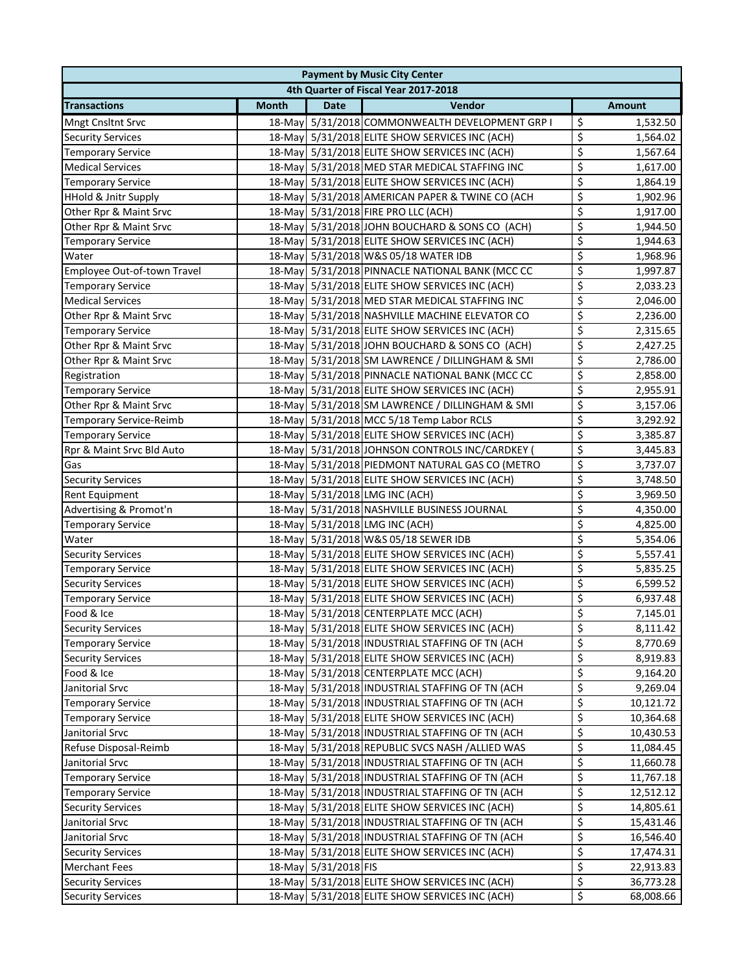| 4th Quarter of Fiscal Year 2017-2018<br>Vendor<br><b>Month</b><br><b>Date</b><br><b>Amount</b><br>18-May 5/31/2018 COMMONWEALTH DEVELOPMENT GRP I<br>\$<br>1,532.50<br>\$<br>18-May 5/31/2018 ELITE SHOW SERVICES INC (ACH)<br>1,564.02<br><b>Security Services</b><br>\$<br>18-May 5/31/2018 ELITE SHOW SERVICES INC (ACH)<br>1,567.64<br>\$<br>18-May 5/31/2018 MED STAR MEDICAL STAFFING INC<br>1,617.00<br>\$<br>18-May 5/31/2018 ELITE SHOW SERVICES INC (ACH)<br><b>Temporary Service</b><br>1,864.19<br>\$<br>18-May 5/31/2018 AMERICAN PAPER & TWINE CO (ACH<br>1,902.96<br>\$<br>18-May 5/31/2018 FIRE PRO LLC (ACH)<br>1,917.00<br>\$<br>18-May 5/31/2018 JOHN BOUCHARD & SONS CO (ACH)<br>1,944.50<br>\$<br>18-May 5/31/2018 ELITE SHOW SERVICES INC (ACH)<br>1,944.63<br><b>Temporary Service</b><br>\$<br>18-May 5/31/2018 W&S 05/18 WATER IDB<br>1,968.96<br>\$<br>Employee Out-of-town Travel<br>18-May 5/31/2018 PINNACLE NATIONAL BANK (MCC CC<br>1,997.87<br>\$<br>18-May 5/31/2018 ELITE SHOW SERVICES INC (ACH)<br>2,033.23<br><b>Temporary Service</b><br>\$<br>18-May 5/31/2018 MED STAR MEDICAL STAFFING INC<br>2,046.00<br>\$<br>18-May 5/31/2018 NASHVILLE MACHINE ELEVATOR CO<br>Other Rpr & Maint Srvc<br>2,236.00<br>\$<br>18-May 5/31/2018 ELITE SHOW SERVICES INC (ACH)<br>2,315.65<br><b>Temporary Service</b><br>\$<br>Other Rpr & Maint Srvc<br>18-May 5/31/2018 JOHN BOUCHARD & SONS CO (ACH)<br>2,427.25<br>\$<br>18-May 5/31/2018 SM LAWRENCE / DILLINGHAM & SMI<br>Other Rpr & Maint Srvc<br>2,786.00<br>\$<br>Registration<br>18-May 5/31/2018 PINNACLE NATIONAL BANK (MCC CC<br>2,858.00<br>\$<br><b>Temporary Service</b><br>18-May 5/31/2018 ELITE SHOW SERVICES INC (ACH)<br>2,955.91<br>\$<br>18-May 5/31/2018 SM LAWRENCE / DILLINGHAM & SMI<br>Other Rpr & Maint Srvc<br>3,157.06<br>\$<br><b>Temporary Service-Reimb</b><br>18-May 5/31/2018 MCC 5/18 Temp Labor RCLS<br>3,292.92<br>\$<br><b>Temporary Service</b><br>18-May 5/31/2018 ELITE SHOW SERVICES INC (ACH)<br>3,385.87<br>\$<br>Rpr & Maint Srvc Bld Auto<br>18-May 5/31/2018 JOHNSON CONTROLS INC/CARDKEY (<br>3,445.83<br>\$<br>18-May 5/31/2018 PIEDMONT NATURAL GAS CO (METRO<br>3,737.07<br>Gas<br>\$<br>18-May 5/31/2018 ELITE SHOW SERVICES INC (ACH)<br><b>Security Services</b><br>3,748.50<br>\$<br>18-May 5/31/2018 LMG INC (ACH)<br><b>Rent Equipment</b><br>3,969.50<br>\$<br>Advertising & Promot'n<br>18-May 5/31/2018 NASHVILLE BUSINESS JOURNAL<br>4,350.00<br>\$<br><b>Temporary Service</b><br>18-May 5/31/2018 LMG INC (ACH)<br>4,825.00<br>\$<br>Water<br>18-May 5/31/2018 W&S 05/18 SEWER IDB<br>5,354.06<br>\$<br>18-May 5/31/2018 ELITE SHOW SERVICES INC (ACH)<br><b>Security Services</b><br>5,557.41<br>\$<br>18-May 5/31/2018 ELITE SHOW SERVICES INC (ACH)<br><b>Temporary Service</b><br>5,835.25<br>\$<br>18-May 5/31/2018 ELITE SHOW SERVICES INC (ACH)<br><b>Security Services</b><br>6,599.52<br>\$<br>18-May 5/31/2018 ELITE SHOW SERVICES INC (ACH)<br><b>Temporary Service</b><br>6,937.48<br>$\overline{\mathsf{S}}$<br>18-May 5/31/2018 CENTERPLATE MCC (ACH)<br>Food & Ice<br>7,145.01 | <b>Payment by Music City Center</b> |  |  |  |    |          |  |
|-----------------------------------------------------------------------------------------------------------------------------------------------------------------------------------------------------------------------------------------------------------------------------------------------------------------------------------------------------------------------------------------------------------------------------------------------------------------------------------------------------------------------------------------------------------------------------------------------------------------------------------------------------------------------------------------------------------------------------------------------------------------------------------------------------------------------------------------------------------------------------------------------------------------------------------------------------------------------------------------------------------------------------------------------------------------------------------------------------------------------------------------------------------------------------------------------------------------------------------------------------------------------------------------------------------------------------------------------------------------------------------------------------------------------------------------------------------------------------------------------------------------------------------------------------------------------------------------------------------------------------------------------------------------------------------------------------------------------------------------------------------------------------------------------------------------------------------------------------------------------------------------------------------------------------------------------------------------------------------------------------------------------------------------------------------------------------------------------------------------------------------------------------------------------------------------------------------------------------------------------------------------------------------------------------------------------------------------------------------------------------------------------------------------------------------------------------------------------------------------------------------------------------------------------------------------------------------------------------------------------------------------------------------------------------------------------------------------------------------------------------------------------------------------------------------------------------------------------------------------------------------------------------------------------------------------------------------------------------------------------------------------------------------------------------------------------------------------------------------------------------------------|-------------------------------------|--|--|--|----|----------|--|
|                                                                                                                                                                                                                                                                                                                                                                                                                                                                                                                                                                                                                                                                                                                                                                                                                                                                                                                                                                                                                                                                                                                                                                                                                                                                                                                                                                                                                                                                                                                                                                                                                                                                                                                                                                                                                                                                                                                                                                                                                                                                                                                                                                                                                                                                                                                                                                                                                                                                                                                                                                                                                                                                                                                                                                                                                                                                                                                                                                                                                                                                                                                                         |                                     |  |  |  |    |          |  |
|                                                                                                                                                                                                                                                                                                                                                                                                                                                                                                                                                                                                                                                                                                                                                                                                                                                                                                                                                                                                                                                                                                                                                                                                                                                                                                                                                                                                                                                                                                                                                                                                                                                                                                                                                                                                                                                                                                                                                                                                                                                                                                                                                                                                                                                                                                                                                                                                                                                                                                                                                                                                                                                                                                                                                                                                                                                                                                                                                                                                                                                                                                                                         | <b>Transactions</b>                 |  |  |  |    |          |  |
|                                                                                                                                                                                                                                                                                                                                                                                                                                                                                                                                                                                                                                                                                                                                                                                                                                                                                                                                                                                                                                                                                                                                                                                                                                                                                                                                                                                                                                                                                                                                                                                                                                                                                                                                                                                                                                                                                                                                                                                                                                                                                                                                                                                                                                                                                                                                                                                                                                                                                                                                                                                                                                                                                                                                                                                                                                                                                                                                                                                                                                                                                                                                         | <b>Mngt Cnsltnt Srvc</b>            |  |  |  |    |          |  |
|                                                                                                                                                                                                                                                                                                                                                                                                                                                                                                                                                                                                                                                                                                                                                                                                                                                                                                                                                                                                                                                                                                                                                                                                                                                                                                                                                                                                                                                                                                                                                                                                                                                                                                                                                                                                                                                                                                                                                                                                                                                                                                                                                                                                                                                                                                                                                                                                                                                                                                                                                                                                                                                                                                                                                                                                                                                                                                                                                                                                                                                                                                                                         |                                     |  |  |  |    |          |  |
|                                                                                                                                                                                                                                                                                                                                                                                                                                                                                                                                                                                                                                                                                                                                                                                                                                                                                                                                                                                                                                                                                                                                                                                                                                                                                                                                                                                                                                                                                                                                                                                                                                                                                                                                                                                                                                                                                                                                                                                                                                                                                                                                                                                                                                                                                                                                                                                                                                                                                                                                                                                                                                                                                                                                                                                                                                                                                                                                                                                                                                                                                                                                         | <b>Temporary Service</b>            |  |  |  |    |          |  |
|                                                                                                                                                                                                                                                                                                                                                                                                                                                                                                                                                                                                                                                                                                                                                                                                                                                                                                                                                                                                                                                                                                                                                                                                                                                                                                                                                                                                                                                                                                                                                                                                                                                                                                                                                                                                                                                                                                                                                                                                                                                                                                                                                                                                                                                                                                                                                                                                                                                                                                                                                                                                                                                                                                                                                                                                                                                                                                                                                                                                                                                                                                                                         | <b>Medical Services</b>             |  |  |  |    |          |  |
|                                                                                                                                                                                                                                                                                                                                                                                                                                                                                                                                                                                                                                                                                                                                                                                                                                                                                                                                                                                                                                                                                                                                                                                                                                                                                                                                                                                                                                                                                                                                                                                                                                                                                                                                                                                                                                                                                                                                                                                                                                                                                                                                                                                                                                                                                                                                                                                                                                                                                                                                                                                                                                                                                                                                                                                                                                                                                                                                                                                                                                                                                                                                         |                                     |  |  |  |    |          |  |
|                                                                                                                                                                                                                                                                                                                                                                                                                                                                                                                                                                                                                                                                                                                                                                                                                                                                                                                                                                                                                                                                                                                                                                                                                                                                                                                                                                                                                                                                                                                                                                                                                                                                                                                                                                                                                                                                                                                                                                                                                                                                                                                                                                                                                                                                                                                                                                                                                                                                                                                                                                                                                                                                                                                                                                                                                                                                                                                                                                                                                                                                                                                                         | <b>HHold &amp; Jnitr Supply</b>     |  |  |  |    |          |  |
|                                                                                                                                                                                                                                                                                                                                                                                                                                                                                                                                                                                                                                                                                                                                                                                                                                                                                                                                                                                                                                                                                                                                                                                                                                                                                                                                                                                                                                                                                                                                                                                                                                                                                                                                                                                                                                                                                                                                                                                                                                                                                                                                                                                                                                                                                                                                                                                                                                                                                                                                                                                                                                                                                                                                                                                                                                                                                                                                                                                                                                                                                                                                         | Other Rpr & Maint Srvc              |  |  |  |    |          |  |
|                                                                                                                                                                                                                                                                                                                                                                                                                                                                                                                                                                                                                                                                                                                                                                                                                                                                                                                                                                                                                                                                                                                                                                                                                                                                                                                                                                                                                                                                                                                                                                                                                                                                                                                                                                                                                                                                                                                                                                                                                                                                                                                                                                                                                                                                                                                                                                                                                                                                                                                                                                                                                                                                                                                                                                                                                                                                                                                                                                                                                                                                                                                                         | Other Rpr & Maint Srvc              |  |  |  |    |          |  |
|                                                                                                                                                                                                                                                                                                                                                                                                                                                                                                                                                                                                                                                                                                                                                                                                                                                                                                                                                                                                                                                                                                                                                                                                                                                                                                                                                                                                                                                                                                                                                                                                                                                                                                                                                                                                                                                                                                                                                                                                                                                                                                                                                                                                                                                                                                                                                                                                                                                                                                                                                                                                                                                                                                                                                                                                                                                                                                                                                                                                                                                                                                                                         |                                     |  |  |  |    |          |  |
|                                                                                                                                                                                                                                                                                                                                                                                                                                                                                                                                                                                                                                                                                                                                                                                                                                                                                                                                                                                                                                                                                                                                                                                                                                                                                                                                                                                                                                                                                                                                                                                                                                                                                                                                                                                                                                                                                                                                                                                                                                                                                                                                                                                                                                                                                                                                                                                                                                                                                                                                                                                                                                                                                                                                                                                                                                                                                                                                                                                                                                                                                                                                         | Water                               |  |  |  |    |          |  |
|                                                                                                                                                                                                                                                                                                                                                                                                                                                                                                                                                                                                                                                                                                                                                                                                                                                                                                                                                                                                                                                                                                                                                                                                                                                                                                                                                                                                                                                                                                                                                                                                                                                                                                                                                                                                                                                                                                                                                                                                                                                                                                                                                                                                                                                                                                                                                                                                                                                                                                                                                                                                                                                                                                                                                                                                                                                                                                                                                                                                                                                                                                                                         |                                     |  |  |  |    |          |  |
|                                                                                                                                                                                                                                                                                                                                                                                                                                                                                                                                                                                                                                                                                                                                                                                                                                                                                                                                                                                                                                                                                                                                                                                                                                                                                                                                                                                                                                                                                                                                                                                                                                                                                                                                                                                                                                                                                                                                                                                                                                                                                                                                                                                                                                                                                                                                                                                                                                                                                                                                                                                                                                                                                                                                                                                                                                                                                                                                                                                                                                                                                                                                         |                                     |  |  |  |    |          |  |
|                                                                                                                                                                                                                                                                                                                                                                                                                                                                                                                                                                                                                                                                                                                                                                                                                                                                                                                                                                                                                                                                                                                                                                                                                                                                                                                                                                                                                                                                                                                                                                                                                                                                                                                                                                                                                                                                                                                                                                                                                                                                                                                                                                                                                                                                                                                                                                                                                                                                                                                                                                                                                                                                                                                                                                                                                                                                                                                                                                                                                                                                                                                                         | <b>Medical Services</b>             |  |  |  |    |          |  |
|                                                                                                                                                                                                                                                                                                                                                                                                                                                                                                                                                                                                                                                                                                                                                                                                                                                                                                                                                                                                                                                                                                                                                                                                                                                                                                                                                                                                                                                                                                                                                                                                                                                                                                                                                                                                                                                                                                                                                                                                                                                                                                                                                                                                                                                                                                                                                                                                                                                                                                                                                                                                                                                                                                                                                                                                                                                                                                                                                                                                                                                                                                                                         |                                     |  |  |  |    |          |  |
|                                                                                                                                                                                                                                                                                                                                                                                                                                                                                                                                                                                                                                                                                                                                                                                                                                                                                                                                                                                                                                                                                                                                                                                                                                                                                                                                                                                                                                                                                                                                                                                                                                                                                                                                                                                                                                                                                                                                                                                                                                                                                                                                                                                                                                                                                                                                                                                                                                                                                                                                                                                                                                                                                                                                                                                                                                                                                                                                                                                                                                                                                                                                         |                                     |  |  |  |    |          |  |
|                                                                                                                                                                                                                                                                                                                                                                                                                                                                                                                                                                                                                                                                                                                                                                                                                                                                                                                                                                                                                                                                                                                                                                                                                                                                                                                                                                                                                                                                                                                                                                                                                                                                                                                                                                                                                                                                                                                                                                                                                                                                                                                                                                                                                                                                                                                                                                                                                                                                                                                                                                                                                                                                                                                                                                                                                                                                                                                                                                                                                                                                                                                                         |                                     |  |  |  |    |          |  |
|                                                                                                                                                                                                                                                                                                                                                                                                                                                                                                                                                                                                                                                                                                                                                                                                                                                                                                                                                                                                                                                                                                                                                                                                                                                                                                                                                                                                                                                                                                                                                                                                                                                                                                                                                                                                                                                                                                                                                                                                                                                                                                                                                                                                                                                                                                                                                                                                                                                                                                                                                                                                                                                                                                                                                                                                                                                                                                                                                                                                                                                                                                                                         |                                     |  |  |  |    |          |  |
|                                                                                                                                                                                                                                                                                                                                                                                                                                                                                                                                                                                                                                                                                                                                                                                                                                                                                                                                                                                                                                                                                                                                                                                                                                                                                                                                                                                                                                                                                                                                                                                                                                                                                                                                                                                                                                                                                                                                                                                                                                                                                                                                                                                                                                                                                                                                                                                                                                                                                                                                                                                                                                                                                                                                                                                                                                                                                                                                                                                                                                                                                                                                         |                                     |  |  |  |    |          |  |
|                                                                                                                                                                                                                                                                                                                                                                                                                                                                                                                                                                                                                                                                                                                                                                                                                                                                                                                                                                                                                                                                                                                                                                                                                                                                                                                                                                                                                                                                                                                                                                                                                                                                                                                                                                                                                                                                                                                                                                                                                                                                                                                                                                                                                                                                                                                                                                                                                                                                                                                                                                                                                                                                                                                                                                                                                                                                                                                                                                                                                                                                                                                                         |                                     |  |  |  |    |          |  |
|                                                                                                                                                                                                                                                                                                                                                                                                                                                                                                                                                                                                                                                                                                                                                                                                                                                                                                                                                                                                                                                                                                                                                                                                                                                                                                                                                                                                                                                                                                                                                                                                                                                                                                                                                                                                                                                                                                                                                                                                                                                                                                                                                                                                                                                                                                                                                                                                                                                                                                                                                                                                                                                                                                                                                                                                                                                                                                                                                                                                                                                                                                                                         |                                     |  |  |  |    |          |  |
|                                                                                                                                                                                                                                                                                                                                                                                                                                                                                                                                                                                                                                                                                                                                                                                                                                                                                                                                                                                                                                                                                                                                                                                                                                                                                                                                                                                                                                                                                                                                                                                                                                                                                                                                                                                                                                                                                                                                                                                                                                                                                                                                                                                                                                                                                                                                                                                                                                                                                                                                                                                                                                                                                                                                                                                                                                                                                                                                                                                                                                                                                                                                         |                                     |  |  |  |    |          |  |
|                                                                                                                                                                                                                                                                                                                                                                                                                                                                                                                                                                                                                                                                                                                                                                                                                                                                                                                                                                                                                                                                                                                                                                                                                                                                                                                                                                                                                                                                                                                                                                                                                                                                                                                                                                                                                                                                                                                                                                                                                                                                                                                                                                                                                                                                                                                                                                                                                                                                                                                                                                                                                                                                                                                                                                                                                                                                                                                                                                                                                                                                                                                                         |                                     |  |  |  |    |          |  |
|                                                                                                                                                                                                                                                                                                                                                                                                                                                                                                                                                                                                                                                                                                                                                                                                                                                                                                                                                                                                                                                                                                                                                                                                                                                                                                                                                                                                                                                                                                                                                                                                                                                                                                                                                                                                                                                                                                                                                                                                                                                                                                                                                                                                                                                                                                                                                                                                                                                                                                                                                                                                                                                                                                                                                                                                                                                                                                                                                                                                                                                                                                                                         |                                     |  |  |  |    |          |  |
|                                                                                                                                                                                                                                                                                                                                                                                                                                                                                                                                                                                                                                                                                                                                                                                                                                                                                                                                                                                                                                                                                                                                                                                                                                                                                                                                                                                                                                                                                                                                                                                                                                                                                                                                                                                                                                                                                                                                                                                                                                                                                                                                                                                                                                                                                                                                                                                                                                                                                                                                                                                                                                                                                                                                                                                                                                                                                                                                                                                                                                                                                                                                         |                                     |  |  |  |    |          |  |
|                                                                                                                                                                                                                                                                                                                                                                                                                                                                                                                                                                                                                                                                                                                                                                                                                                                                                                                                                                                                                                                                                                                                                                                                                                                                                                                                                                                                                                                                                                                                                                                                                                                                                                                                                                                                                                                                                                                                                                                                                                                                                                                                                                                                                                                                                                                                                                                                                                                                                                                                                                                                                                                                                                                                                                                                                                                                                                                                                                                                                                                                                                                                         |                                     |  |  |  |    |          |  |
|                                                                                                                                                                                                                                                                                                                                                                                                                                                                                                                                                                                                                                                                                                                                                                                                                                                                                                                                                                                                                                                                                                                                                                                                                                                                                                                                                                                                                                                                                                                                                                                                                                                                                                                                                                                                                                                                                                                                                                                                                                                                                                                                                                                                                                                                                                                                                                                                                                                                                                                                                                                                                                                                                                                                                                                                                                                                                                                                                                                                                                                                                                                                         |                                     |  |  |  |    |          |  |
|                                                                                                                                                                                                                                                                                                                                                                                                                                                                                                                                                                                                                                                                                                                                                                                                                                                                                                                                                                                                                                                                                                                                                                                                                                                                                                                                                                                                                                                                                                                                                                                                                                                                                                                                                                                                                                                                                                                                                                                                                                                                                                                                                                                                                                                                                                                                                                                                                                                                                                                                                                                                                                                                                                                                                                                                                                                                                                                                                                                                                                                                                                                                         |                                     |  |  |  |    |          |  |
|                                                                                                                                                                                                                                                                                                                                                                                                                                                                                                                                                                                                                                                                                                                                                                                                                                                                                                                                                                                                                                                                                                                                                                                                                                                                                                                                                                                                                                                                                                                                                                                                                                                                                                                                                                                                                                                                                                                                                                                                                                                                                                                                                                                                                                                                                                                                                                                                                                                                                                                                                                                                                                                                                                                                                                                                                                                                                                                                                                                                                                                                                                                                         |                                     |  |  |  |    |          |  |
|                                                                                                                                                                                                                                                                                                                                                                                                                                                                                                                                                                                                                                                                                                                                                                                                                                                                                                                                                                                                                                                                                                                                                                                                                                                                                                                                                                                                                                                                                                                                                                                                                                                                                                                                                                                                                                                                                                                                                                                                                                                                                                                                                                                                                                                                                                                                                                                                                                                                                                                                                                                                                                                                                                                                                                                                                                                                                                                                                                                                                                                                                                                                         |                                     |  |  |  |    |          |  |
|                                                                                                                                                                                                                                                                                                                                                                                                                                                                                                                                                                                                                                                                                                                                                                                                                                                                                                                                                                                                                                                                                                                                                                                                                                                                                                                                                                                                                                                                                                                                                                                                                                                                                                                                                                                                                                                                                                                                                                                                                                                                                                                                                                                                                                                                                                                                                                                                                                                                                                                                                                                                                                                                                                                                                                                                                                                                                                                                                                                                                                                                                                                                         |                                     |  |  |  |    |          |  |
|                                                                                                                                                                                                                                                                                                                                                                                                                                                                                                                                                                                                                                                                                                                                                                                                                                                                                                                                                                                                                                                                                                                                                                                                                                                                                                                                                                                                                                                                                                                                                                                                                                                                                                                                                                                                                                                                                                                                                                                                                                                                                                                                                                                                                                                                                                                                                                                                                                                                                                                                                                                                                                                                                                                                                                                                                                                                                                                                                                                                                                                                                                                                         |                                     |  |  |  |    |          |  |
|                                                                                                                                                                                                                                                                                                                                                                                                                                                                                                                                                                                                                                                                                                                                                                                                                                                                                                                                                                                                                                                                                                                                                                                                                                                                                                                                                                                                                                                                                                                                                                                                                                                                                                                                                                                                                                                                                                                                                                                                                                                                                                                                                                                                                                                                                                                                                                                                                                                                                                                                                                                                                                                                                                                                                                                                                                                                                                                                                                                                                                                                                                                                         |                                     |  |  |  |    |          |  |
|                                                                                                                                                                                                                                                                                                                                                                                                                                                                                                                                                                                                                                                                                                                                                                                                                                                                                                                                                                                                                                                                                                                                                                                                                                                                                                                                                                                                                                                                                                                                                                                                                                                                                                                                                                                                                                                                                                                                                                                                                                                                                                                                                                                                                                                                                                                                                                                                                                                                                                                                                                                                                                                                                                                                                                                                                                                                                                                                                                                                                                                                                                                                         |                                     |  |  |  |    |          |  |
|                                                                                                                                                                                                                                                                                                                                                                                                                                                                                                                                                                                                                                                                                                                                                                                                                                                                                                                                                                                                                                                                                                                                                                                                                                                                                                                                                                                                                                                                                                                                                                                                                                                                                                                                                                                                                                                                                                                                                                                                                                                                                                                                                                                                                                                                                                                                                                                                                                                                                                                                                                                                                                                                                                                                                                                                                                                                                                                                                                                                                                                                                                                                         |                                     |  |  |  |    |          |  |
| 18-May 5/31/2018 ELITE SHOW SERVICES INC (ACH)                                                                                                                                                                                                                                                                                                                                                                                                                                                                                                                                                                                                                                                                                                                                                                                                                                                                                                                                                                                                                                                                                                                                                                                                                                                                                                                                                                                                                                                                                                                                                                                                                                                                                                                                                                                                                                                                                                                                                                                                                                                                                                                                                                                                                                                                                                                                                                                                                                                                                                                                                                                                                                                                                                                                                                                                                                                                                                                                                                                                                                                                                          | <b>Security Services</b>            |  |  |  | \$ | 8,111.42 |  |
| \$<br>18-May 5/31/2018 INDUSTRIAL STAFFING OF TN (ACH<br>8,770.69                                                                                                                                                                                                                                                                                                                                                                                                                                                                                                                                                                                                                                                                                                                                                                                                                                                                                                                                                                                                                                                                                                                                                                                                                                                                                                                                                                                                                                                                                                                                                                                                                                                                                                                                                                                                                                                                                                                                                                                                                                                                                                                                                                                                                                                                                                                                                                                                                                                                                                                                                                                                                                                                                                                                                                                                                                                                                                                                                                                                                                                                       | <b>Temporary Service</b>            |  |  |  |    |          |  |
| \$<br>18-May 5/31/2018 ELITE SHOW SERVICES INC (ACH)<br>8,919.83                                                                                                                                                                                                                                                                                                                                                                                                                                                                                                                                                                                                                                                                                                                                                                                                                                                                                                                                                                                                                                                                                                                                                                                                                                                                                                                                                                                                                                                                                                                                                                                                                                                                                                                                                                                                                                                                                                                                                                                                                                                                                                                                                                                                                                                                                                                                                                                                                                                                                                                                                                                                                                                                                                                                                                                                                                                                                                                                                                                                                                                                        | <b>Security Services</b>            |  |  |  |    |          |  |
| \$<br>18-May 5/31/2018 CENTERPLATE MCC (ACH)<br>9,164.20                                                                                                                                                                                                                                                                                                                                                                                                                                                                                                                                                                                                                                                                                                                                                                                                                                                                                                                                                                                                                                                                                                                                                                                                                                                                                                                                                                                                                                                                                                                                                                                                                                                                                                                                                                                                                                                                                                                                                                                                                                                                                                                                                                                                                                                                                                                                                                                                                                                                                                                                                                                                                                                                                                                                                                                                                                                                                                                                                                                                                                                                                | Food & Ice                          |  |  |  |    |          |  |
| \$<br>18-May 5/31/2018 INDUSTRIAL STAFFING OF TN (ACH<br>9,269.04                                                                                                                                                                                                                                                                                                                                                                                                                                                                                                                                                                                                                                                                                                                                                                                                                                                                                                                                                                                                                                                                                                                                                                                                                                                                                                                                                                                                                                                                                                                                                                                                                                                                                                                                                                                                                                                                                                                                                                                                                                                                                                                                                                                                                                                                                                                                                                                                                                                                                                                                                                                                                                                                                                                                                                                                                                                                                                                                                                                                                                                                       | Janitorial Srvc                     |  |  |  |    |          |  |
| \$<br>18-May 5/31/2018 INDUSTRIAL STAFFING OF TN (ACH<br>10,121.72                                                                                                                                                                                                                                                                                                                                                                                                                                                                                                                                                                                                                                                                                                                                                                                                                                                                                                                                                                                                                                                                                                                                                                                                                                                                                                                                                                                                                                                                                                                                                                                                                                                                                                                                                                                                                                                                                                                                                                                                                                                                                                                                                                                                                                                                                                                                                                                                                                                                                                                                                                                                                                                                                                                                                                                                                                                                                                                                                                                                                                                                      | <b>Temporary Service</b>            |  |  |  |    |          |  |
| \$<br>18-May 5/31/2018 ELITE SHOW SERVICES INC (ACH)<br>10,364.68                                                                                                                                                                                                                                                                                                                                                                                                                                                                                                                                                                                                                                                                                                                                                                                                                                                                                                                                                                                                                                                                                                                                                                                                                                                                                                                                                                                                                                                                                                                                                                                                                                                                                                                                                                                                                                                                                                                                                                                                                                                                                                                                                                                                                                                                                                                                                                                                                                                                                                                                                                                                                                                                                                                                                                                                                                                                                                                                                                                                                                                                       | <b>Temporary Service</b>            |  |  |  |    |          |  |
| \$<br>18-May 5/31/2018 INDUSTRIAL STAFFING OF TN (ACH<br>10,430.53                                                                                                                                                                                                                                                                                                                                                                                                                                                                                                                                                                                                                                                                                                                                                                                                                                                                                                                                                                                                                                                                                                                                                                                                                                                                                                                                                                                                                                                                                                                                                                                                                                                                                                                                                                                                                                                                                                                                                                                                                                                                                                                                                                                                                                                                                                                                                                                                                                                                                                                                                                                                                                                                                                                                                                                                                                                                                                                                                                                                                                                                      | Janitorial Srvc                     |  |  |  |    |          |  |
| \$<br>18-May 5/31/2018 REPUBLIC SVCS NASH /ALLIED WAS<br>11,084.45                                                                                                                                                                                                                                                                                                                                                                                                                                                                                                                                                                                                                                                                                                                                                                                                                                                                                                                                                                                                                                                                                                                                                                                                                                                                                                                                                                                                                                                                                                                                                                                                                                                                                                                                                                                                                                                                                                                                                                                                                                                                                                                                                                                                                                                                                                                                                                                                                                                                                                                                                                                                                                                                                                                                                                                                                                                                                                                                                                                                                                                                      | Refuse Disposal-Reimb               |  |  |  |    |          |  |
| \$<br>18-May 5/31/2018 INDUSTRIAL STAFFING OF TN (ACH<br>11,660.78                                                                                                                                                                                                                                                                                                                                                                                                                                                                                                                                                                                                                                                                                                                                                                                                                                                                                                                                                                                                                                                                                                                                                                                                                                                                                                                                                                                                                                                                                                                                                                                                                                                                                                                                                                                                                                                                                                                                                                                                                                                                                                                                                                                                                                                                                                                                                                                                                                                                                                                                                                                                                                                                                                                                                                                                                                                                                                                                                                                                                                                                      | Janitorial Srvc                     |  |  |  |    |          |  |
| \$<br>18-May 5/31/2018 INDUSTRIAL STAFFING OF TN (ACH<br>11,767.18                                                                                                                                                                                                                                                                                                                                                                                                                                                                                                                                                                                                                                                                                                                                                                                                                                                                                                                                                                                                                                                                                                                                                                                                                                                                                                                                                                                                                                                                                                                                                                                                                                                                                                                                                                                                                                                                                                                                                                                                                                                                                                                                                                                                                                                                                                                                                                                                                                                                                                                                                                                                                                                                                                                                                                                                                                                                                                                                                                                                                                                                      | <b>Temporary Service</b>            |  |  |  |    |          |  |
| \$<br>18-May 5/31/2018 INDUSTRIAL STAFFING OF TN (ACH<br>12,512.12                                                                                                                                                                                                                                                                                                                                                                                                                                                                                                                                                                                                                                                                                                                                                                                                                                                                                                                                                                                                                                                                                                                                                                                                                                                                                                                                                                                                                                                                                                                                                                                                                                                                                                                                                                                                                                                                                                                                                                                                                                                                                                                                                                                                                                                                                                                                                                                                                                                                                                                                                                                                                                                                                                                                                                                                                                                                                                                                                                                                                                                                      | <b>Temporary Service</b>            |  |  |  |    |          |  |
| \$<br>18-May 5/31/2018 ELITE SHOW SERVICES INC (ACH)<br>14,805.61                                                                                                                                                                                                                                                                                                                                                                                                                                                                                                                                                                                                                                                                                                                                                                                                                                                                                                                                                                                                                                                                                                                                                                                                                                                                                                                                                                                                                                                                                                                                                                                                                                                                                                                                                                                                                                                                                                                                                                                                                                                                                                                                                                                                                                                                                                                                                                                                                                                                                                                                                                                                                                                                                                                                                                                                                                                                                                                                                                                                                                                                       | <b>Security Services</b>            |  |  |  |    |          |  |
| \$<br>18-May 5/31/2018 INDUSTRIAL STAFFING OF TN (ACH<br>15,431.46                                                                                                                                                                                                                                                                                                                                                                                                                                                                                                                                                                                                                                                                                                                                                                                                                                                                                                                                                                                                                                                                                                                                                                                                                                                                                                                                                                                                                                                                                                                                                                                                                                                                                                                                                                                                                                                                                                                                                                                                                                                                                                                                                                                                                                                                                                                                                                                                                                                                                                                                                                                                                                                                                                                                                                                                                                                                                                                                                                                                                                                                      | Janitorial Srvc                     |  |  |  |    |          |  |
| \$<br>18-May 5/31/2018 INDUSTRIAL STAFFING OF TN (ACH<br>16,546.40                                                                                                                                                                                                                                                                                                                                                                                                                                                                                                                                                                                                                                                                                                                                                                                                                                                                                                                                                                                                                                                                                                                                                                                                                                                                                                                                                                                                                                                                                                                                                                                                                                                                                                                                                                                                                                                                                                                                                                                                                                                                                                                                                                                                                                                                                                                                                                                                                                                                                                                                                                                                                                                                                                                                                                                                                                                                                                                                                                                                                                                                      | Janitorial Srvc                     |  |  |  |    |          |  |
| \$<br>18-May 5/31/2018 ELITE SHOW SERVICES INC (ACH)<br>17,474.31                                                                                                                                                                                                                                                                                                                                                                                                                                                                                                                                                                                                                                                                                                                                                                                                                                                                                                                                                                                                                                                                                                                                                                                                                                                                                                                                                                                                                                                                                                                                                                                                                                                                                                                                                                                                                                                                                                                                                                                                                                                                                                                                                                                                                                                                                                                                                                                                                                                                                                                                                                                                                                                                                                                                                                                                                                                                                                                                                                                                                                                                       | <b>Security Services</b>            |  |  |  |    |          |  |
| \$<br>18-May 5/31/2018 FIS<br>22,913.83                                                                                                                                                                                                                                                                                                                                                                                                                                                                                                                                                                                                                                                                                                                                                                                                                                                                                                                                                                                                                                                                                                                                                                                                                                                                                                                                                                                                                                                                                                                                                                                                                                                                                                                                                                                                                                                                                                                                                                                                                                                                                                                                                                                                                                                                                                                                                                                                                                                                                                                                                                                                                                                                                                                                                                                                                                                                                                                                                                                                                                                                                                 | <b>Merchant Fees</b>                |  |  |  |    |          |  |
| \$<br>18-May 5/31/2018 ELITE SHOW SERVICES INC (ACH)<br>36,773.28                                                                                                                                                                                                                                                                                                                                                                                                                                                                                                                                                                                                                                                                                                                                                                                                                                                                                                                                                                                                                                                                                                                                                                                                                                                                                                                                                                                                                                                                                                                                                                                                                                                                                                                                                                                                                                                                                                                                                                                                                                                                                                                                                                                                                                                                                                                                                                                                                                                                                                                                                                                                                                                                                                                                                                                                                                                                                                                                                                                                                                                                       | <b>Security Services</b>            |  |  |  |    |          |  |
| \$<br>18-May 5/31/2018 ELITE SHOW SERVICES INC (ACH)<br>68,008.66                                                                                                                                                                                                                                                                                                                                                                                                                                                                                                                                                                                                                                                                                                                                                                                                                                                                                                                                                                                                                                                                                                                                                                                                                                                                                                                                                                                                                                                                                                                                                                                                                                                                                                                                                                                                                                                                                                                                                                                                                                                                                                                                                                                                                                                                                                                                                                                                                                                                                                                                                                                                                                                                                                                                                                                                                                                                                                                                                                                                                                                                       | <b>Security Services</b>            |  |  |  |    |          |  |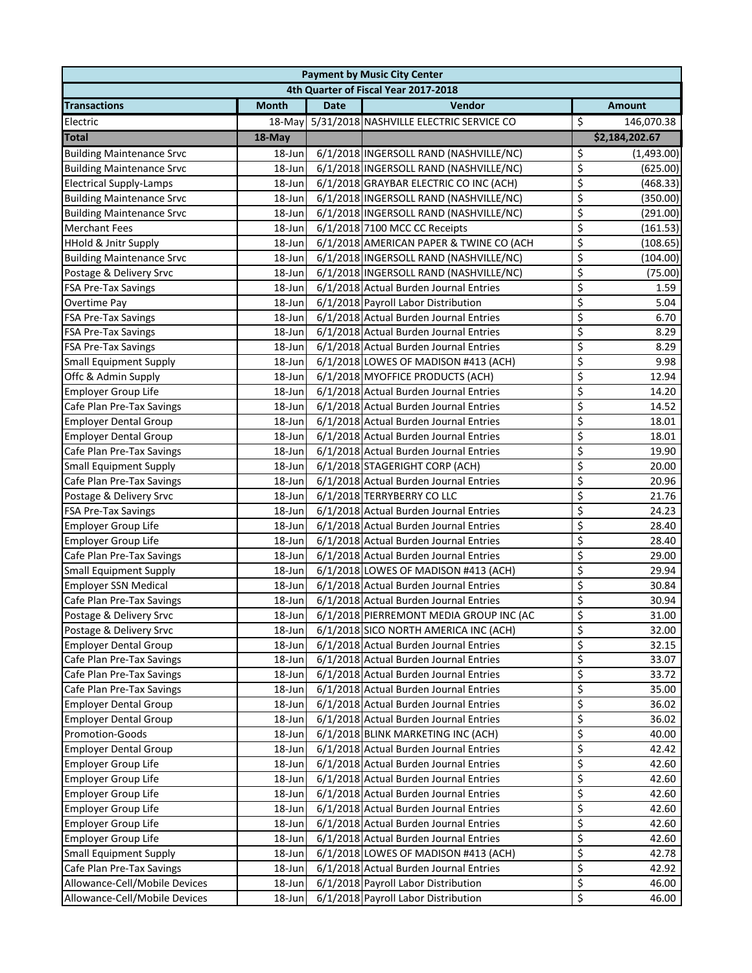|                                      | <b>Payment by Music City Center</b> |             |                                                |    |                |  |  |
|--------------------------------------|-------------------------------------|-------------|------------------------------------------------|----|----------------|--|--|
| 4th Quarter of Fiscal Year 2017-2018 |                                     |             |                                                |    |                |  |  |
| <b>Transactions</b>                  | <b>Month</b>                        | <b>Date</b> | Vendor                                         |    | <b>Amount</b>  |  |  |
| Electric                             |                                     |             | 18-May 5/31/2018 NASHVILLE ELECTRIC SERVICE CO | \$ | 146,070.38     |  |  |
| <b>Total</b>                         | 18-May                              |             |                                                |    | \$2,184,202.67 |  |  |
| <b>Building Maintenance Srvc</b>     | 18-Jun                              |             | 6/1/2018 INGERSOLL RAND (NASHVILLE/NC)         | \$ | (1,493.00)     |  |  |
| <b>Building Maintenance Srvc</b>     | 18-Jun                              |             | 6/1/2018 INGERSOLL RAND (NASHVILLE/NC)         | \$ | (625.00)       |  |  |
| <b>Electrical Supply-Lamps</b>       | 18-Jun                              |             | 6/1/2018 GRAYBAR ELECTRIC CO INC (ACH)         | \$ | (468.33)       |  |  |
| <b>Building Maintenance Srvc</b>     | 18-Jun                              |             | 6/1/2018 INGERSOLL RAND (NASHVILLE/NC)         | \$ | (350.00)       |  |  |
| <b>Building Maintenance Srvc</b>     | 18-Jun                              |             | 6/1/2018 INGERSOLL RAND (NASHVILLE/NC)         | \$ | (291.00)       |  |  |
| <b>Merchant Fees</b>                 | 18-Jun                              |             | 6/1/2018 7100 MCC CC Receipts                  | \$ | (161.53)       |  |  |
| <b>HHold &amp; Jnitr Supply</b>      | 18-Jun                              |             | 6/1/2018 AMERICAN PAPER & TWINE CO (ACH        | \$ | (108.65)       |  |  |
| <b>Building Maintenance Srvc</b>     | 18-Jun                              |             | 6/1/2018 INGERSOLL RAND (NASHVILLE/NC)         | \$ | (104.00)       |  |  |
| Postage & Delivery Srvc              | 18-Jun                              |             | 6/1/2018 INGERSOLL RAND (NASHVILLE/NC)         | \$ | (75.00)        |  |  |
| FSA Pre-Tax Savings                  | 18-Jun                              |             | 6/1/2018 Actual Burden Journal Entries         | \$ | 1.59           |  |  |
| Overtime Pay                         | 18-Jun                              |             | 6/1/2018 Payroll Labor Distribution            | \$ | 5.04           |  |  |
| <b>FSA Pre-Tax Savings</b>           | 18-Jun                              |             | 6/1/2018 Actual Burden Journal Entries         | \$ | 6.70           |  |  |
| <b>FSA Pre-Tax Savings</b>           | 18-Jun                              |             | 6/1/2018 Actual Burden Journal Entries         | \$ | 8.29           |  |  |
| <b>FSA Pre-Tax Savings</b>           | 18-Jun                              |             | 6/1/2018 Actual Burden Journal Entries         | \$ | 8.29           |  |  |
| <b>Small Equipment Supply</b>        | 18-Jun                              |             | 6/1/2018 LOWES OF MADISON #413 (ACH)           | \$ | 9.98           |  |  |
| Offc & Admin Supply                  | 18-Jun                              |             | 6/1/2018 MYOFFICE PRODUCTS (ACH)               | \$ | 12.94          |  |  |
| <b>Employer Group Life</b>           | 18-Jun                              |             | 6/1/2018 Actual Burden Journal Entries         | \$ | 14.20          |  |  |
| Cafe Plan Pre-Tax Savings            | 18-Jun                              |             | 6/1/2018 Actual Burden Journal Entries         | \$ | 14.52          |  |  |
| <b>Employer Dental Group</b>         | 18-Jun                              |             | 6/1/2018 Actual Burden Journal Entries         | \$ | 18.01          |  |  |
| <b>Employer Dental Group</b>         | 18-Jun                              |             | 6/1/2018 Actual Burden Journal Entries         | \$ | 18.01          |  |  |
| Cafe Plan Pre-Tax Savings            | 18-Jun                              |             | 6/1/2018 Actual Burden Journal Entries         | \$ | 19.90          |  |  |
| <b>Small Equipment Supply</b>        | 18-Jun                              |             | 6/1/2018 STAGERIGHT CORP (ACH)                 | \$ | 20.00          |  |  |
| Cafe Plan Pre-Tax Savings            | 18-Jun                              |             | 6/1/2018 Actual Burden Journal Entries         | \$ | 20.96          |  |  |
| Postage & Delivery Srvc              | 18-Jun                              |             | 6/1/2018 TERRYBERRY CO LLC                     | \$ | 21.76          |  |  |
| <b>FSA Pre-Tax Savings</b>           | 18-Jun                              |             | 6/1/2018 Actual Burden Journal Entries         | \$ | 24.23          |  |  |
| <b>Employer Group Life</b>           | 18-Jun                              |             | 6/1/2018 Actual Burden Journal Entries         | \$ | 28.40          |  |  |
| <b>Employer Group Life</b>           | 18-Jun                              |             | 6/1/2018 Actual Burden Journal Entries         | \$ | 28.40          |  |  |
| Cafe Plan Pre-Tax Savings            | 18-Jun                              |             | 6/1/2018 Actual Burden Journal Entries         | \$ | 29.00          |  |  |
| <b>Small Equipment Supply</b>        | 18-Jun                              |             | 6/1/2018 LOWES OF MADISON #413 (ACH)           | \$ | 29.94          |  |  |
| <b>Employer SSN Medical</b>          | 18-Jun                              |             | 6/1/2018 Actual Burden Journal Entries         | \$ | 30.84          |  |  |
| Cafe Plan Pre-Tax Savings            | 18-Jun                              |             | 6/1/2018 Actual Burden Journal Entries         | \$ | 30.94          |  |  |
| Postage & Delivery Srvc              | 18-Jun                              |             | 6/1/2018 PIERREMONT MEDIA GROUP INC (AC        | \$ | 31.00          |  |  |
| Postage & Delivery Srvc              | 18-Jun                              |             | 6/1/2018 SICO NORTH AMERICA INC (ACH)          | \$ | 32.00          |  |  |
| <b>Employer Dental Group</b>         | 18-Jun                              |             | 6/1/2018 Actual Burden Journal Entries         | \$ | 32.15          |  |  |
| Cafe Plan Pre-Tax Savings            | 18-Jun                              |             | 6/1/2018 Actual Burden Journal Entries         | \$ | 33.07          |  |  |
| Cafe Plan Pre-Tax Savings            | 18-Jun                              |             | 6/1/2018 Actual Burden Journal Entries         | \$ | 33.72          |  |  |
| Cafe Plan Pre-Tax Savings            | 18-Jun                              |             | 6/1/2018 Actual Burden Journal Entries         | \$ | 35.00          |  |  |
| <b>Employer Dental Group</b>         | 18-Jun                              |             | 6/1/2018 Actual Burden Journal Entries         | \$ | 36.02          |  |  |
| <b>Employer Dental Group</b>         | 18-Jun                              |             | 6/1/2018 Actual Burden Journal Entries         | \$ | 36.02          |  |  |
| <b>Promotion-Goods</b>               | 18-Jun                              |             | 6/1/2018 BLINK MARKETING INC (ACH)             | \$ | 40.00          |  |  |
| <b>Employer Dental Group</b>         | 18-Jun                              |             | 6/1/2018 Actual Burden Journal Entries         | \$ | 42.42          |  |  |
| <b>Employer Group Life</b>           | 18-Jun                              |             | 6/1/2018 Actual Burden Journal Entries         | \$ | 42.60          |  |  |
| <b>Employer Group Life</b>           | 18-Jun                              |             | 6/1/2018 Actual Burden Journal Entries         | \$ | 42.60          |  |  |
| <b>Employer Group Life</b>           | 18-Jun                              |             | 6/1/2018 Actual Burden Journal Entries         | \$ | 42.60          |  |  |
| <b>Employer Group Life</b>           | 18-Jun                              |             | 6/1/2018 Actual Burden Journal Entries         | \$ | 42.60          |  |  |
| <b>Employer Group Life</b>           | 18-Jun                              |             | 6/1/2018 Actual Burden Journal Entries         | \$ | 42.60          |  |  |
| <b>Employer Group Life</b>           | 18-Jun                              |             | 6/1/2018 Actual Burden Journal Entries         | \$ | 42.60          |  |  |
| <b>Small Equipment Supply</b>        | 18-Jun                              |             | 6/1/2018 LOWES OF MADISON #413 (ACH)           | \$ | 42.78          |  |  |
| Cafe Plan Pre-Tax Savings            | 18-Jun                              |             | 6/1/2018 Actual Burden Journal Entries         | \$ | 42.92          |  |  |
| Allowance-Cell/Mobile Devices        | 18-Jun                              |             | 6/1/2018 Payroll Labor Distribution            | \$ | 46.00          |  |  |
| Allowance-Cell/Mobile Devices        | 18-Jun                              |             | 6/1/2018 Payroll Labor Distribution            | \$ | 46.00          |  |  |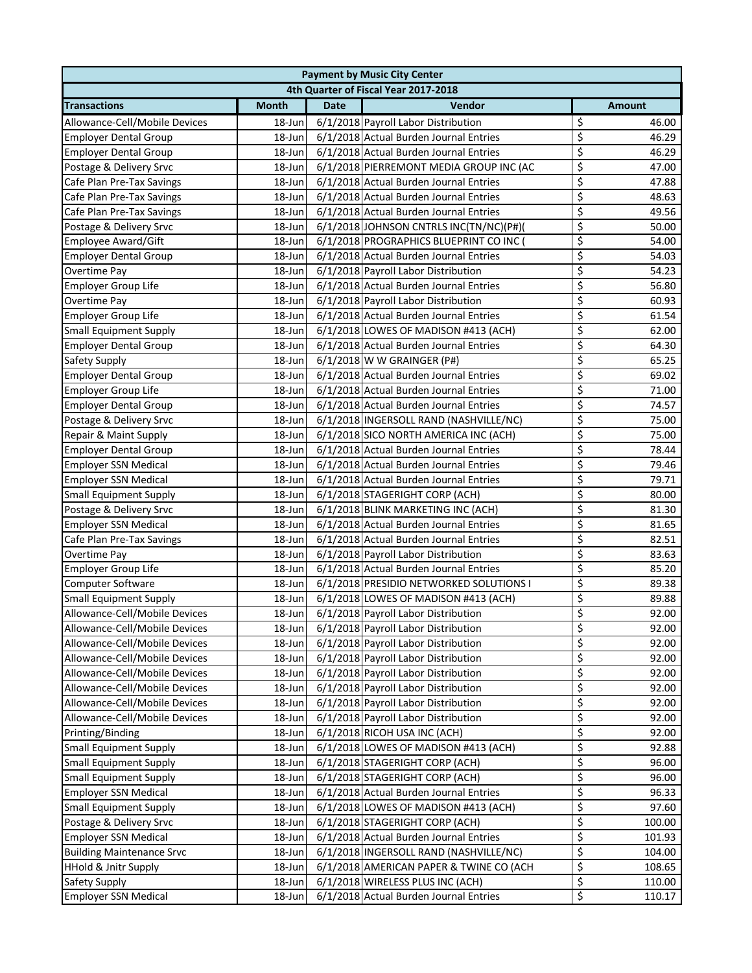| <b>Payment by Music City Center</b>  |              |             |                                         |    |               |  |  |
|--------------------------------------|--------------|-------------|-----------------------------------------|----|---------------|--|--|
| 4th Quarter of Fiscal Year 2017-2018 |              |             |                                         |    |               |  |  |
| <b>Transactions</b>                  | <b>Month</b> | <b>Date</b> | Vendor                                  |    | <b>Amount</b> |  |  |
| Allowance-Cell/Mobile Devices        | 18-Jun       |             | 6/1/2018 Payroll Labor Distribution     | \$ | 46.00         |  |  |
| <b>Employer Dental Group</b>         | 18-Jun       |             | 6/1/2018 Actual Burden Journal Entries  | \$ | 46.29         |  |  |
| <b>Employer Dental Group</b>         | 18-Jun       |             | 6/1/2018 Actual Burden Journal Entries  | \$ | 46.29         |  |  |
| Postage & Delivery Srvc              | 18-Jun       |             | 6/1/2018 PIERREMONT MEDIA GROUP INC (AC | \$ | 47.00         |  |  |
| Cafe Plan Pre-Tax Savings            | 18-Jun       |             | 6/1/2018 Actual Burden Journal Entries  | \$ | 47.88         |  |  |
| Cafe Plan Pre-Tax Savings            | 18-Jun       |             | 6/1/2018 Actual Burden Journal Entries  | \$ | 48.63         |  |  |
| Cafe Plan Pre-Tax Savings            | 18-Jun       |             | 6/1/2018 Actual Burden Journal Entries  | \$ | 49.56         |  |  |
| Postage & Delivery Srvc              | 18-Jun       |             | 6/1/2018 JOHNSON CNTRLS INC(TN/NC)(P#)( | \$ | 50.00         |  |  |
| Employee Award/Gift                  | 18-Jun       |             | 6/1/2018 PROGRAPHICS BLUEPRINT CO INC ( | \$ | 54.00         |  |  |
| <b>Employer Dental Group</b>         | 18-Jun       |             | 6/1/2018 Actual Burden Journal Entries  | \$ | 54.03         |  |  |
| Overtime Pay                         | 18-Jun       |             | 6/1/2018 Payroll Labor Distribution     | \$ | 54.23         |  |  |
| <b>Employer Group Life</b>           | 18-Jun       |             | 6/1/2018 Actual Burden Journal Entries  | \$ | 56.80         |  |  |
| Overtime Pay                         | 18-Jun       |             | 6/1/2018 Payroll Labor Distribution     | \$ | 60.93         |  |  |
| Employer Group Life                  | 18-Jun       |             | 6/1/2018 Actual Burden Journal Entries  | \$ | 61.54         |  |  |
| <b>Small Equipment Supply</b>        | 18-Jun       |             | 6/1/2018 LOWES OF MADISON #413 (ACH)    | \$ | 62.00         |  |  |
| <b>Employer Dental Group</b>         | 18-Jun       |             | 6/1/2018 Actual Burden Journal Entries  | \$ | 64.30         |  |  |
| Safety Supply                        | 18-Jun       |             | 6/1/2018 W W GRAINGER (P#)              | \$ | 65.25         |  |  |
| <b>Employer Dental Group</b>         | 18-Jun       |             | 6/1/2018 Actual Burden Journal Entries  | \$ | 69.02         |  |  |
| <b>Employer Group Life</b>           | 18-Jun       |             | 6/1/2018 Actual Burden Journal Entries  | \$ | 71.00         |  |  |
| <b>Employer Dental Group</b>         | 18-Jun       |             | 6/1/2018 Actual Burden Journal Entries  | \$ | 74.57         |  |  |
| Postage & Delivery Srvc              | 18-Jun       |             | 6/1/2018 INGERSOLL RAND (NASHVILLE/NC)  | \$ | 75.00         |  |  |
| Repair & Maint Supply                | 18-Jun       |             | 6/1/2018 SICO NORTH AMERICA INC (ACH)   | \$ | 75.00         |  |  |
| <b>Employer Dental Group</b>         | 18-Jun       |             | 6/1/2018 Actual Burden Journal Entries  | \$ | 78.44         |  |  |
| <b>Employer SSN Medical</b>          | 18-Jun       |             | 6/1/2018 Actual Burden Journal Entries  | \$ | 79.46         |  |  |
| <b>Employer SSN Medical</b>          | 18-Jun       |             | 6/1/2018 Actual Burden Journal Entries  | \$ | 79.71         |  |  |
| <b>Small Equipment Supply</b>        | 18-Jun       |             | 6/1/2018 STAGERIGHT CORP (ACH)          | \$ | 80.00         |  |  |
| Postage & Delivery Srvc              | 18-Jun       |             | 6/1/2018 BLINK MARKETING INC (ACH)      | \$ | 81.30         |  |  |
| <b>Employer SSN Medical</b>          | 18-Jun       |             | 6/1/2018 Actual Burden Journal Entries  | \$ | 81.65         |  |  |
| Cafe Plan Pre-Tax Savings            | 18-Jun       |             | 6/1/2018 Actual Burden Journal Entries  | \$ | 82.51         |  |  |
| Overtime Pay                         | 18-Jun       |             | 6/1/2018 Payroll Labor Distribution     | \$ | 83.63         |  |  |
| Employer Group Life                  | 18-Jun       |             | 6/1/2018 Actual Burden Journal Entries  | \$ | 85.20         |  |  |
| <b>Computer Software</b>             | 18-Jun       |             | 6/1/2018 PRESIDIO NETWORKED SOLUTIONS I | \$ | 89.38         |  |  |
| <b>Small Equipment Supply</b>        | 18-Jun       |             | 6/1/2018 LOWES OF MADISON #413 (ACH)    | \$ | 89.88         |  |  |
| Allowance-Cell/Mobile Devices        | 18-Jun       |             | 6/1/2018 Payroll Labor Distribution     | Ś  | 92.00         |  |  |
| Allowance-Cell/Mobile Devices        | 18-Jun       |             | 6/1/2018 Payroll Labor Distribution     | \$ | 92.00         |  |  |
| Allowance-Cell/Mobile Devices        | 18-Jun       |             | 6/1/2018 Payroll Labor Distribution     | \$ | 92.00         |  |  |
| Allowance-Cell/Mobile Devices        | 18-Jun       |             | 6/1/2018 Payroll Labor Distribution     | \$ | 92.00         |  |  |
| Allowance-Cell/Mobile Devices        | 18-Jun       |             | 6/1/2018 Payroll Labor Distribution     | \$ | 92.00         |  |  |
| Allowance-Cell/Mobile Devices        | 18-Jun       |             | 6/1/2018 Payroll Labor Distribution     | \$ | 92.00         |  |  |
| Allowance-Cell/Mobile Devices        | 18-Jun       |             | 6/1/2018 Payroll Labor Distribution     | \$ | 92.00         |  |  |
| Allowance-Cell/Mobile Devices        | 18-Jun       |             | 6/1/2018 Payroll Labor Distribution     | \$ | 92.00         |  |  |
| Printing/Binding                     | 18-Jun       |             | 6/1/2018 RICOH USA INC (ACH)            | \$ | 92.00         |  |  |
| <b>Small Equipment Supply</b>        | 18-Jun       |             | 6/1/2018 LOWES OF MADISON #413 (ACH)    | \$ | 92.88         |  |  |
| <b>Small Equipment Supply</b>        | 18-Jun       |             | 6/1/2018 STAGERIGHT CORP (ACH)          | \$ | 96.00         |  |  |
| <b>Small Equipment Supply</b>        | 18-Jun       |             | 6/1/2018 STAGERIGHT CORP (ACH)          | \$ | 96.00         |  |  |
| <b>Employer SSN Medical</b>          | 18-Jun       |             | 6/1/2018 Actual Burden Journal Entries  | \$ | 96.33         |  |  |
| <b>Small Equipment Supply</b>        | 18-Jun       |             | 6/1/2018 LOWES OF MADISON #413 (ACH)    | \$ | 97.60         |  |  |
| Postage & Delivery Srvc              | 18-Jun       |             | 6/1/2018 STAGERIGHT CORP (ACH)          | \$ | 100.00        |  |  |
| <b>Employer SSN Medical</b>          | 18-Jun       |             | 6/1/2018 Actual Burden Journal Entries  | \$ | 101.93        |  |  |
| <b>Building Maintenance Srvc</b>     | 18-Jun       |             | 6/1/2018 INGERSOLL RAND (NASHVILLE/NC)  | \$ | 104.00        |  |  |
| <b>HHold &amp; Jnitr Supply</b>      | 18-Jun       |             | 6/1/2018 AMERICAN PAPER & TWINE CO (ACH | \$ | 108.65        |  |  |
| Safety Supply                        | 18-Jun       |             | 6/1/2018 WIRELESS PLUS INC (ACH)        | \$ | 110.00        |  |  |
| <b>Employer SSN Medical</b>          | 18-Jun       |             | 6/1/2018 Actual Burden Journal Entries  | \$ | 110.17        |  |  |
|                                      |              |             |                                         |    |               |  |  |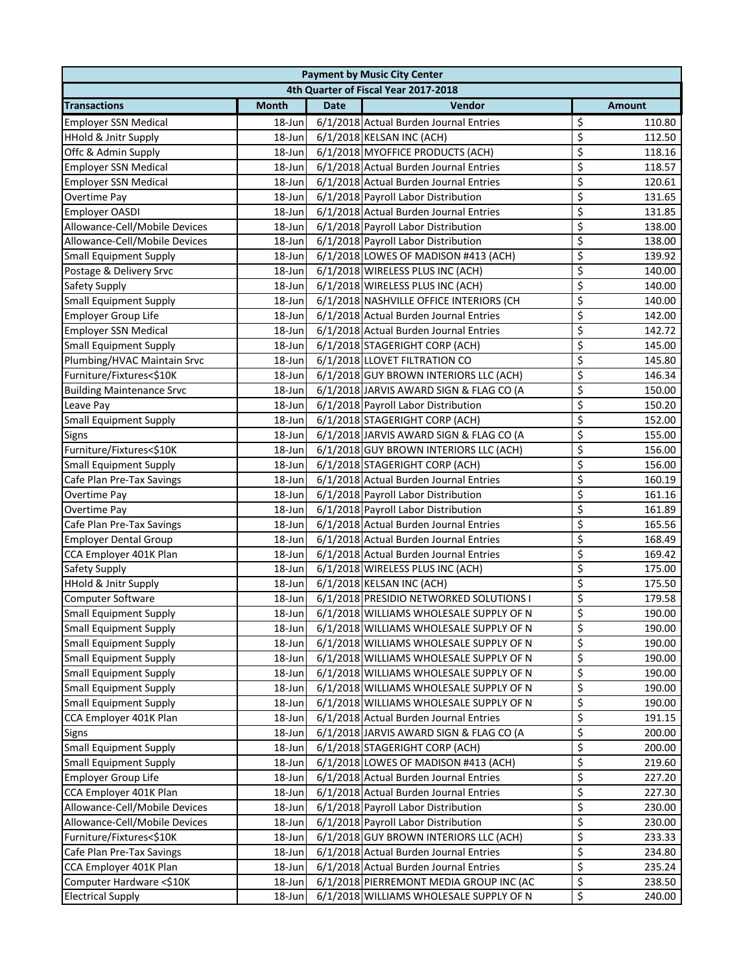|                                      | <b>Payment by Music City Center</b> |             |                                         |                         |               |  |  |
|--------------------------------------|-------------------------------------|-------------|-----------------------------------------|-------------------------|---------------|--|--|
| 4th Quarter of Fiscal Year 2017-2018 |                                     |             |                                         |                         |               |  |  |
| <b>Transactions</b>                  | <b>Month</b>                        | <b>Date</b> | Vendor                                  |                         | <b>Amount</b> |  |  |
| <b>Employer SSN Medical</b>          | 18-Jun                              |             | 6/1/2018 Actual Burden Journal Entries  | \$                      | 110.80        |  |  |
| HHold & Jnitr Supply                 | 18-Jun                              |             | 6/1/2018 KELSAN INC (ACH)               | \$                      | 112.50        |  |  |
| Offc & Admin Supply                  | 18-Jun                              |             | 6/1/2018 MYOFFICE PRODUCTS (ACH)        | \$                      | 118.16        |  |  |
| <b>Employer SSN Medical</b>          | 18-Jun                              |             | 6/1/2018 Actual Burden Journal Entries  | \$                      | 118.57        |  |  |
| <b>Employer SSN Medical</b>          | 18-Jun                              |             | 6/1/2018 Actual Burden Journal Entries  | \$                      | 120.61        |  |  |
| Overtime Pay                         | 18-Jun                              |             | 6/1/2018 Payroll Labor Distribution     | \$                      | 131.65        |  |  |
| <b>Employer OASDI</b>                | 18-Jun                              |             | 6/1/2018 Actual Burden Journal Entries  | \$                      | 131.85        |  |  |
| Allowance-Cell/Mobile Devices        | 18-Jun                              |             | 6/1/2018 Payroll Labor Distribution     | \$                      | 138.00        |  |  |
| Allowance-Cell/Mobile Devices        | 18-Jun                              |             | 6/1/2018 Payroll Labor Distribution     | \$                      | 138.00        |  |  |
| Small Equipment Supply               | 18-Jun                              |             | 6/1/2018 LOWES OF MADISON #413 (ACH)    | \$                      | 139.92        |  |  |
| Postage & Delivery Srvc              | 18-Jun                              |             | 6/1/2018 WIRELESS PLUS INC (ACH)        | \$                      | 140.00        |  |  |
| Safety Supply                        | 18-Jun                              |             | 6/1/2018 WIRELESS PLUS INC (ACH)        | \$                      | 140.00        |  |  |
| Small Equipment Supply               | 18-Jun                              |             | 6/1/2018 NASHVILLE OFFICE INTERIORS (CH | \$                      | 140.00        |  |  |
| Employer Group Life                  | 18-Jun                              |             | 6/1/2018 Actual Burden Journal Entries  | \$                      | 142.00        |  |  |
| <b>Employer SSN Medical</b>          | 18-Jun                              |             | 6/1/2018 Actual Burden Journal Entries  | \$                      | 142.72        |  |  |
| <b>Small Equipment Supply</b>        | 18-Jun                              |             | 6/1/2018 STAGERIGHT CORP (ACH)          | \$                      | 145.00        |  |  |
| Plumbing/HVAC Maintain Srvc          | 18-Jun                              |             | 6/1/2018 LLOVET FILTRATION CO           | \$                      | 145.80        |  |  |
| Furniture/Fixtures<\$10K             | 18-Jun                              |             | 6/1/2018 GUY BROWN INTERIORS LLC (ACH)  | \$                      | 146.34        |  |  |
| <b>Building Maintenance Srvc</b>     | 18-Jun                              |             | 6/1/2018 JARVIS AWARD SIGN & FLAG CO (A | \$                      | 150.00        |  |  |
| Leave Pay                            | 18-Jun                              |             | 6/1/2018 Payroll Labor Distribution     | \$                      | 150.20        |  |  |
| <b>Small Equipment Supply</b>        | 18-Jun                              |             | 6/1/2018 STAGERIGHT CORP (ACH)          | \$                      | 152.00        |  |  |
| Signs                                | 18-Jun                              |             | 6/1/2018 JARVIS AWARD SIGN & FLAG CO (A | \$                      | 155.00        |  |  |
| Furniture/Fixtures<\$10K             | 18-Jun                              |             | 6/1/2018 GUY BROWN INTERIORS LLC (ACH)  | \$                      | 156.00        |  |  |
| <b>Small Equipment Supply</b>        | 18-Jun                              |             | 6/1/2018 STAGERIGHT CORP (ACH)          | \$                      | 156.00        |  |  |
| Cafe Plan Pre-Tax Savings            | 18-Jun                              |             | 6/1/2018 Actual Burden Journal Entries  | \$                      | 160.19        |  |  |
| Overtime Pay                         | 18-Jun                              |             | 6/1/2018 Payroll Labor Distribution     | \$                      | 161.16        |  |  |
| Overtime Pay                         | 18-Jun                              |             | 6/1/2018 Payroll Labor Distribution     | \$                      | 161.89        |  |  |
| Cafe Plan Pre-Tax Savings            | 18-Jun                              |             | 6/1/2018 Actual Burden Journal Entries  | \$                      | 165.56        |  |  |
| <b>Employer Dental Group</b>         | 18-Jun                              |             | 6/1/2018 Actual Burden Journal Entries  | \$                      | 168.49        |  |  |
| CCA Employer 401K Plan               | 18-Jun                              |             | 6/1/2018 Actual Burden Journal Entries  | \$                      | 169.42        |  |  |
| Safety Supply                        | 18-Jun                              |             | 6/1/2018 WIRELESS PLUS INC (ACH)        | \$                      | 175.00        |  |  |
| HHold & Jnitr Supply                 | 18-Jun                              |             | 6/1/2018 KELSAN INC (ACH)               | \$                      | 175.50        |  |  |
| <b>Computer Software</b>             | 18-Jun                              |             | 6/1/2018 PRESIDIO NETWORKED SOLUTIONS I | \$                      | 179.58        |  |  |
| <b>Small Equipment Supply</b>        | 18-Jun                              |             | 6/1/2018 WILLIAMS WHOLESALE SUPPLY OF N | $\overline{\mathsf{S}}$ | 190.00        |  |  |
| <b>Small Equipment Supply</b>        | 18-Jun                              |             | 6/1/2018 WILLIAMS WHOLESALE SUPPLY OF N | \$                      | 190.00        |  |  |
| <b>Small Equipment Supply</b>        | 18-Jun                              |             | 6/1/2018 WILLIAMS WHOLESALE SUPPLY OF N | \$                      | 190.00        |  |  |
| <b>Small Equipment Supply</b>        | 18-Jun                              |             | 6/1/2018 WILLIAMS WHOLESALE SUPPLY OF N | \$                      | 190.00        |  |  |
| <b>Small Equipment Supply</b>        | 18-Jun                              |             | 6/1/2018 WILLIAMS WHOLESALE SUPPLY OF N | \$                      | 190.00        |  |  |
| <b>Small Equipment Supply</b>        | 18-Jun                              |             | 6/1/2018 WILLIAMS WHOLESALE SUPPLY OF N | \$                      | 190.00        |  |  |
| <b>Small Equipment Supply</b>        | 18-Jun                              |             | 6/1/2018 WILLIAMS WHOLESALE SUPPLY OF N | \$                      | 190.00        |  |  |
| CCA Employer 401K Plan               | 18-Jun                              |             | 6/1/2018 Actual Burden Journal Entries  | \$                      | 191.15        |  |  |
| Signs                                | 18-Jun                              |             | 6/1/2018 JARVIS AWARD SIGN & FLAG CO (A | \$                      | 200.00        |  |  |
| <b>Small Equipment Supply</b>        | 18-Jun                              |             | 6/1/2018 STAGERIGHT CORP (ACH)          | \$                      | 200.00        |  |  |
| <b>Small Equipment Supply</b>        | 18-Jun                              |             | 6/1/2018 LOWES OF MADISON #413 (ACH)    | \$                      | 219.60        |  |  |
| Employer Group Life                  | 18-Jun                              |             | 6/1/2018 Actual Burden Journal Entries  | \$                      | 227.20        |  |  |
| CCA Employer 401K Plan               | 18-Jun                              |             | 6/1/2018 Actual Burden Journal Entries  | \$                      | 227.30        |  |  |
| Allowance-Cell/Mobile Devices        | 18-Jun                              |             | 6/1/2018 Payroll Labor Distribution     | \$                      | 230.00        |  |  |
| Allowance-Cell/Mobile Devices        | 18-Jun                              |             | 6/1/2018 Payroll Labor Distribution     | \$                      | 230.00        |  |  |
| Furniture/Fixtures<\$10K             | 18-Jun                              |             | 6/1/2018 GUY BROWN INTERIORS LLC (ACH)  | \$                      | 233.33        |  |  |
| Cafe Plan Pre-Tax Savings            | 18-Jun                              |             | 6/1/2018 Actual Burden Journal Entries  | \$                      | 234.80        |  |  |
| CCA Employer 401K Plan               | 18-Jun                              |             | 6/1/2018 Actual Burden Journal Entries  | \$                      | 235.24        |  |  |
| Computer Hardware <\$10K             | 18-Jun                              |             | 6/1/2018 PIERREMONT MEDIA GROUP INC (AC | \$                      | 238.50        |  |  |
| <b>Electrical Supply</b>             | 18-Jun                              |             | 6/1/2018 WILLIAMS WHOLESALE SUPPLY OF N | \$                      | 240.00        |  |  |
|                                      |                                     |             |                                         |                         |               |  |  |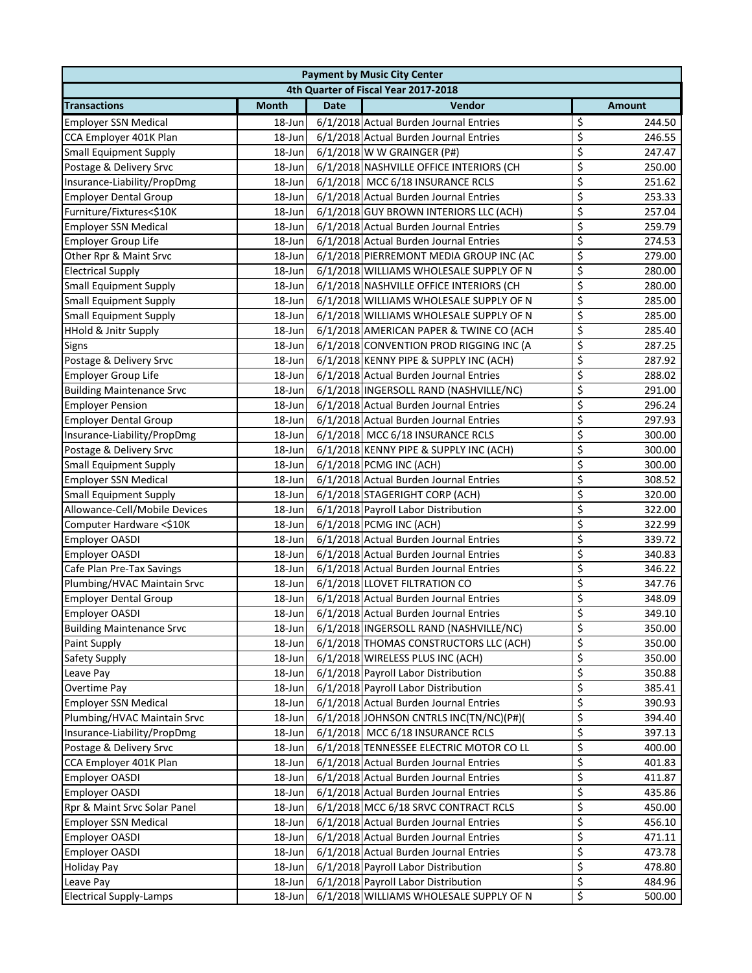| <b>Payment by Music City Center</b>  |              |             |                                         |                         |               |  |
|--------------------------------------|--------------|-------------|-----------------------------------------|-------------------------|---------------|--|
| 4th Quarter of Fiscal Year 2017-2018 |              |             |                                         |                         |               |  |
| <b>Transactions</b>                  | <b>Month</b> | <b>Date</b> | Vendor                                  |                         | <b>Amount</b> |  |
| <b>Employer SSN Medical</b>          | 18-Jun       |             | 6/1/2018 Actual Burden Journal Entries  | \$                      | 244.50        |  |
| CCA Employer 401K Plan               | 18-Jun       |             | 6/1/2018 Actual Burden Journal Entries  | \$                      | 246.55        |  |
| <b>Small Equipment Supply</b>        | 18-Jun       |             | 6/1/2018 W W GRAINGER (P#)              | \$                      | 247.47        |  |
| Postage & Delivery Srvc              | 18-Jun       |             | 6/1/2018 NASHVILLE OFFICE INTERIORS (CH | \$                      | 250.00        |  |
| Insurance-Liability/PropDmg          | 18-Jun       |             | 6/1/2018 MCC 6/18 INSURANCE RCLS        | \$                      | 251.62        |  |
| <b>Employer Dental Group</b>         | 18-Jun       |             | 6/1/2018 Actual Burden Journal Entries  | \$                      | 253.33        |  |
| Furniture/Fixtures<\$10K             | 18-Jun       |             | 6/1/2018 GUY BROWN INTERIORS LLC (ACH)  | \$                      | 257.04        |  |
| <b>Employer SSN Medical</b>          | 18-Jun       |             | 6/1/2018 Actual Burden Journal Entries  | \$                      | 259.79        |  |
| <b>Employer Group Life</b>           | 18-Jun       |             | 6/1/2018 Actual Burden Journal Entries  | \$                      | 274.53        |  |
| Other Rpr & Maint Srvc               | 18-Jun       |             | 6/1/2018 PIERREMONT MEDIA GROUP INC (AC | \$                      | 279.00        |  |
| <b>Electrical Supply</b>             | 18-Jun       |             | 6/1/2018 WILLIAMS WHOLESALE SUPPLY OF N | \$                      | 280.00        |  |
| <b>Small Equipment Supply</b>        | 18-Jun       |             | 6/1/2018 NASHVILLE OFFICE INTERIORS (CH | \$                      | 280.00        |  |
| Small Equipment Supply               | 18-Jun       |             | 6/1/2018 WILLIAMS WHOLESALE SUPPLY OF N | \$                      | 285.00        |  |
| <b>Small Equipment Supply</b>        | 18-Jun       |             | 6/1/2018 WILLIAMS WHOLESALE SUPPLY OF N | \$                      | 285.00        |  |
| HHold & Jnitr Supply                 | 18-Jun       |             | 6/1/2018 AMERICAN PAPER & TWINE CO (ACH | \$                      | 285.40        |  |
| Signs                                | 18-Jun       |             | 6/1/2018 CONVENTION PROD RIGGING INC (A | \$                      | 287.25        |  |
| Postage & Delivery Srvc              | 18-Jun       |             | 6/1/2018 KENNY PIPE & SUPPLY INC (ACH)  | \$                      | 287.92        |  |
| Employer Group Life                  | 18-Jun       |             | 6/1/2018 Actual Burden Journal Entries  | \$                      | 288.02        |  |
| <b>Building Maintenance Srvc</b>     | 18-Jun       |             | 6/1/2018 INGERSOLL RAND (NASHVILLE/NC)  | \$                      | 291.00        |  |
| <b>Employer Pension</b>              | 18-Jun       |             | 6/1/2018 Actual Burden Journal Entries  | \$                      | 296.24        |  |
| <b>Employer Dental Group</b>         | 18-Jun       |             | 6/1/2018 Actual Burden Journal Entries  | \$                      | 297.93        |  |
| Insurance-Liability/PropDmg          | 18-Jun       |             | 6/1/2018 MCC 6/18 INSURANCE RCLS        | \$                      | 300.00        |  |
| Postage & Delivery Srvc              | 18-Jun       |             | 6/1/2018 KENNY PIPE & SUPPLY INC (ACH)  | \$                      | 300.00        |  |
| <b>Small Equipment Supply</b>        | 18-Jun       |             | 6/1/2018 PCMG INC (ACH)                 | \$                      | 300.00        |  |
| <b>Employer SSN Medical</b>          | 18-Jun       |             | 6/1/2018 Actual Burden Journal Entries  | \$                      | 308.52        |  |
| Small Equipment Supply               | 18-Jun       |             | 6/1/2018 STAGERIGHT CORP (ACH)          | \$                      | 320.00        |  |
| Allowance-Cell/Mobile Devices        | 18-Jun       |             | 6/1/2018 Payroll Labor Distribution     | \$                      | 322.00        |  |
| Computer Hardware <\$10K             | 18-Jun       |             | 6/1/2018 PCMG INC (ACH)                 | \$                      | 322.99        |  |
| Employer OASDI                       | 18-Jun       |             | 6/1/2018 Actual Burden Journal Entries  | \$                      | 339.72        |  |
| Employer OASDI                       | 18-Jun       |             | 6/1/2018 Actual Burden Journal Entries  | \$                      | 340.83        |  |
| Cafe Plan Pre-Tax Savings            | 18-Jun       |             | 6/1/2018 Actual Burden Journal Entries  | \$                      | 346.22        |  |
| Plumbing/HVAC Maintain Srvc          | 18-Jun       |             | 6/1/2018 LLOVET FILTRATION CO           | \$                      | 347.76        |  |
| <b>Employer Dental Group</b>         | 18-Jun       |             | 6/1/2018 Actual Burden Journal Entries  | \$                      | 348.09        |  |
| <b>Employer OASDI</b>                | 18-Jun       |             | 6/1/2018 Actual Burden Journal Entries  | $\overline{\mathsf{S}}$ | 349.10        |  |
| <b>Building Maintenance Srvc</b>     | 18-Jun       |             | 6/1/2018 INGERSOLL RAND (NASHVILLE/NC)  | \$                      | 350.00        |  |
| Paint Supply                         | 18-Jun       |             | 6/1/2018 THOMAS CONSTRUCTORS LLC (ACH)  | \$                      | 350.00        |  |
| Safety Supply                        | 18-Jun       |             | 6/1/2018 WIRELESS PLUS INC (ACH)        | \$                      | 350.00        |  |
| Leave Pay                            | 18-Jun       |             | 6/1/2018 Payroll Labor Distribution     | \$                      | 350.88        |  |
| Overtime Pay                         | 18-Jun       |             | 6/1/2018 Payroll Labor Distribution     | \$                      | 385.41        |  |
| <b>Employer SSN Medical</b>          | 18-Jun       |             | 6/1/2018 Actual Burden Journal Entries  | \$                      | 390.93        |  |
| Plumbing/HVAC Maintain Srvc          | 18-Jun       |             | 6/1/2018 JOHNSON CNTRLS INC(TN/NC)(P#)( | \$                      | 394.40        |  |
| Insurance-Liability/PropDmg          | 18-Jun       |             | 6/1/2018 MCC 6/18 INSURANCE RCLS        | \$                      | 397.13        |  |
| Postage & Delivery Srvc              | 18-Jun       |             | 6/1/2018 TENNESSEE ELECTRIC MOTOR CO LL | \$                      | 400.00        |  |
| CCA Employer 401K Plan               | 18-Jun       |             | 6/1/2018 Actual Burden Journal Entries  | \$                      | 401.83        |  |
| <b>Employer OASDI</b>                | 18-Jun       |             | 6/1/2018 Actual Burden Journal Entries  | \$                      | 411.87        |  |
| Employer OASDI                       | 18-Jun       |             | 6/1/2018 Actual Burden Journal Entries  | \$                      | 435.86        |  |
| Rpr & Maint Srvc Solar Panel         | 18-Jun       |             | 6/1/2018 MCC 6/18 SRVC CONTRACT RCLS    | \$                      | 450.00        |  |
| <b>Employer SSN Medical</b>          | 18-Jun       |             | 6/1/2018 Actual Burden Journal Entries  | \$                      | 456.10        |  |
| <b>Employer OASDI</b>                | 18-Jun       |             | 6/1/2018 Actual Burden Journal Entries  | \$                      | 471.11        |  |
| Employer OASDI                       | 18-Jun       |             | 6/1/2018 Actual Burden Journal Entries  | \$                      | 473.78        |  |
| <b>Holiday Pay</b>                   | 18-Jun       |             | 6/1/2018 Payroll Labor Distribution     | \$                      | 478.80        |  |
| Leave Pay                            | 18-Jun       |             | 6/1/2018 Payroll Labor Distribution     | \$                      | 484.96        |  |
| <b>Electrical Supply-Lamps</b>       | 18-Jun       |             | 6/1/2018 WILLIAMS WHOLESALE SUPPLY OF N | \$                      | 500.00        |  |
|                                      |              |             |                                         |                         |               |  |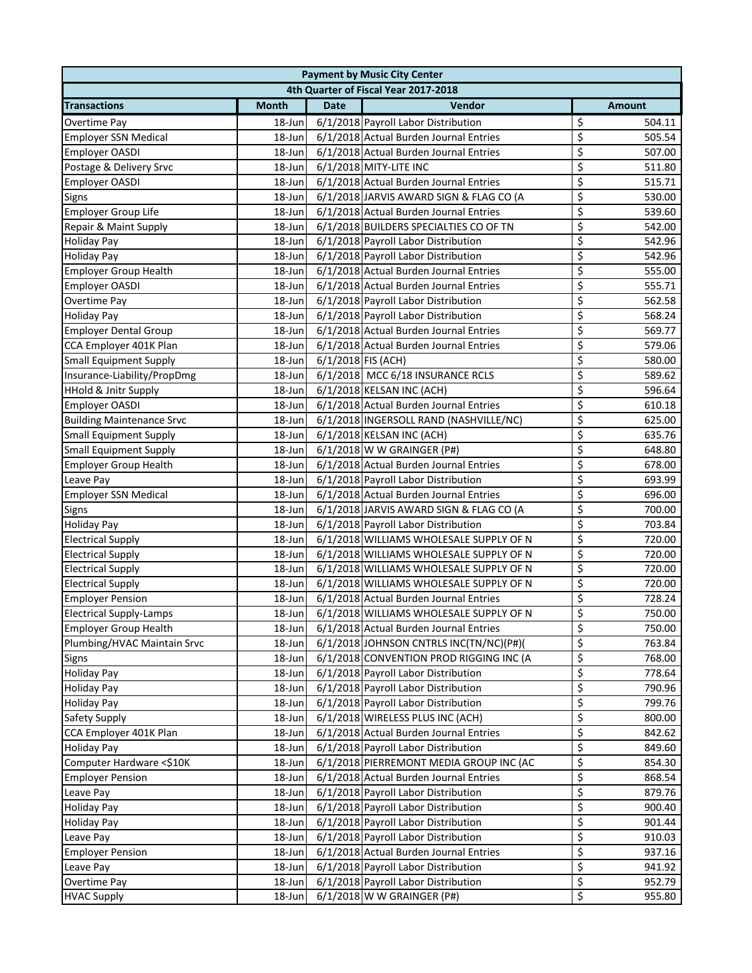| 4th Quarter of Fiscal Year 2017-2018<br>Vendor<br><b>Month</b><br><b>Date</b><br><b>Transactions</b><br><b>Amount</b><br>6/1/2018 Payroll Labor Distribution<br>\$<br>504.11<br>Overtime Pay<br>18-Jun<br>\$<br>6/1/2018 Actual Burden Journal Entries<br>505.54<br><b>Employer SSN Medical</b><br>18-Jun<br>\$<br>6/1/2018 Actual Burden Journal Entries<br>Employer OASDI<br>18-Jun<br>507.00<br>\$<br>6/1/2018 MITY-LITE INC<br>511.80<br>Postage & Delivery Srvc<br>18-Jun<br>\$<br>6/1/2018 Actual Burden Journal Entries<br>515.71<br>Employer OASDI<br>18-Jun<br>\$<br>Signs<br>6/1/2018 JARVIS AWARD SIGN & FLAG CO (A<br>530.00<br>18-Jun<br>\$<br>Employer Group Life<br>6/1/2018 Actual Burden Journal Entries<br>539.60<br>18-Jun<br>\$<br>6/1/2018 BUILDERS SPECIALTIES CO OF TN<br>Repair & Maint Supply<br>542.00<br>18-Jun<br>\$<br>542.96<br>6/1/2018 Payroll Labor Distribution<br><b>Holiday Pay</b><br>18-Jun<br>\$<br>6/1/2018 Payroll Labor Distribution<br>542.96<br>Holiday Pay<br>18-Jun<br>\$<br>6/1/2018 Actual Burden Journal Entries<br>555.00<br><b>Employer Group Health</b><br>18-Jun<br>\$<br>6/1/2018 Actual Burden Journal Entries<br>Employer OASDI<br>555.71<br>18-Jun<br>\$<br>6/1/2018 Payroll Labor Distribution<br>Overtime Pay<br>18-Jun<br>562.58<br>\$<br>6/1/2018 Payroll Labor Distribution<br>568.24<br><b>Holiday Pay</b><br>18-Jun<br>\$<br>6/1/2018 Actual Burden Journal Entries<br><b>Employer Dental Group</b><br>569.77<br>18-Jun<br>\$<br>6/1/2018 Actual Burden Journal Entries<br>CCA Employer 401K Plan<br>579.06<br>18-Jun<br>\$<br>6/1/2018 FIS (ACH)<br><b>Small Equipment Supply</b><br>18-Jun<br>580.00<br>\$<br>Insurance-Liability/PropDmg<br>6/1/2018 MCC 6/18 INSURANCE RCLS<br>589.62<br>18-Jun<br>\$<br><b>HHold &amp; Jnitr Supply</b><br>6/1/2018 KELSAN INC (ACH)<br>596.64<br>18-Jun<br>\$<br><b>Employer OASDI</b><br>6/1/2018 Actual Burden Journal Entries<br>610.18<br>18-Jun<br>\$<br>6/1/2018 INGERSOLL RAND (NASHVILLE/NC)<br>625.00<br><b>Building Maintenance Srvc</b><br>18-Jun<br>\$<br>6/1/2018 KELSAN INC (ACH)<br>635.76<br><b>Small Equipment Supply</b><br>18-Jun<br>\$<br><b>Small Equipment Supply</b><br>6/1/2018 W W GRAINGER (P#)<br>18-Jun<br>648.80<br>\$<br>6/1/2018 Actual Burden Journal Entries<br><b>Employer Group Health</b><br>678.00<br>18-Jun<br>\$<br>6/1/2018 Payroll Labor Distribution<br>693.99<br>Leave Pay<br>18-Jun<br>\$<br>Employer SSN Medical<br>6/1/2018 Actual Burden Journal Entries<br>696.00<br>18-Jun<br>\$<br>6/1/2018 JARVIS AWARD SIGN & FLAG CO (A<br>700.00<br>Signs<br>18-Jun<br>\$<br>703.84<br>6/1/2018 Payroll Labor Distribution<br><b>Holiday Pay</b><br>18-Jun<br>\$<br>6/1/2018 WILLIAMS WHOLESALE SUPPLY OF N<br><b>Electrical Supply</b><br>720.00<br>18-Jun<br>\$<br>6/1/2018 WILLIAMS WHOLESALE SUPPLY OF N<br><b>Electrical Supply</b><br>720.00<br>18-Jun<br>\$<br><b>Electrical Supply</b><br>6/1/2018 WILLIAMS WHOLESALE SUPPLY OF N<br>720.00<br>18-Jun<br>\$<br>6/1/2018 WILLIAMS WHOLESALE SUPPLY OF N<br><b>Electrical Supply</b><br>720.00<br>18-Jun<br>\$<br>6/1/2018 Actual Burden Journal Entries<br><b>Employer Pension</b><br>728.24<br>18-Jun<br>$\overline{\mathsf{S}}$<br>6/1/2018 WILLIAMS WHOLESALE SUPPLY OF N<br>750.00<br><b>Electrical Supply-Lamps</b><br>18-Jun<br>\$<br><b>Employer Group Health</b><br>6/1/2018 Actual Burden Journal Entries<br>18-Jun<br>750.00<br>\$<br>Plumbing/HVAC Maintain Srvc<br>6/1/2018 JOHNSON CNTRLS INC(TN/NC)(P#)(<br>763.84<br>18-Jun<br>\$<br>6/1/2018 CONVENTION PROD RIGGING INC (A<br>Signs<br>18-Jun<br>768.00<br>\$<br>6/1/2018 Payroll Labor Distribution<br>778.64<br><b>Holiday Pay</b><br>18-Jun<br>\$<br>6/1/2018 Payroll Labor Distribution<br>790.96<br><b>Holiday Pay</b><br>18-Jun<br>\$<br>6/1/2018 Payroll Labor Distribution<br>799.76<br><b>Holiday Pay</b><br>18-Jun<br>\$<br>6/1/2018 WIRELESS PLUS INC (ACH)<br>800.00<br>Safety Supply<br>18-Jun<br>\$<br>6/1/2018 Actual Burden Journal Entries<br>CCA Employer 401K Plan<br>18-Jun<br>842.62<br>\$<br>6/1/2018 Payroll Labor Distribution<br>849.60<br><b>Holiday Pay</b><br>18-Jun<br>\$<br>Computer Hardware <\$10K<br>6/1/2018 PIERREMONT MEDIA GROUP INC (AC<br>854.30<br>18-Jun<br>\$<br>6/1/2018 Actual Burden Journal Entries<br><b>Employer Pension</b><br>18-Jun<br>868.54<br>\$<br>6/1/2018 Payroll Labor Distribution<br>18-Jun<br>879.76<br>Leave Pay<br>\$<br><b>Holiday Pay</b><br>18-Jun<br>6/1/2018 Payroll Labor Distribution<br>900.40<br>\$<br>6/1/2018 Payroll Labor Distribution<br>18-Jun<br>901.44<br><b>Holiday Pay</b><br>\$<br>6/1/2018 Payroll Labor Distribution<br>18-Jun<br>910.03<br>Leave Pay<br>\$<br><b>Employer Pension</b><br>6/1/2018 Actual Burden Journal Entries<br>937.16<br>18-Jun<br>\$<br>6/1/2018 Payroll Labor Distribution<br>941.92<br>18-Jun<br>Leave Pay<br>\$<br>6/1/2018 Payroll Labor Distribution<br>952.79<br>Overtime Pay<br>18-Jun | <b>Payment by Music City Center</b> |  |  |  |  |  |  |
|------------------------------------------------------------------------------------------------------------------------------------------------------------------------------------------------------------------------------------------------------------------------------------------------------------------------------------------------------------------------------------------------------------------------------------------------------------------------------------------------------------------------------------------------------------------------------------------------------------------------------------------------------------------------------------------------------------------------------------------------------------------------------------------------------------------------------------------------------------------------------------------------------------------------------------------------------------------------------------------------------------------------------------------------------------------------------------------------------------------------------------------------------------------------------------------------------------------------------------------------------------------------------------------------------------------------------------------------------------------------------------------------------------------------------------------------------------------------------------------------------------------------------------------------------------------------------------------------------------------------------------------------------------------------------------------------------------------------------------------------------------------------------------------------------------------------------------------------------------------------------------------------------------------------------------------------------------------------------------------------------------------------------------------------------------------------------------------------------------------------------------------------------------------------------------------------------------------------------------------------------------------------------------------------------------------------------------------------------------------------------------------------------------------------------------------------------------------------------------------------------------------------------------------------------------------------------------------------------------------------------------------------------------------------------------------------------------------------------------------------------------------------------------------------------------------------------------------------------------------------------------------------------------------------------------------------------------------------------------------------------------------------------------------------------------------------------------------------------------------------------------------------------------------------------------------------------------------------------------------------------------------------------------------------------------------------------------------------------------------------------------------------------------------------------------------------------------------------------------------------------------------------------------------------------------------------------------------------------------------------------------------------------------------------------------------------------------------------------------------------------------------------------------------------------------------------------------------------------------------------------------------------------------------------------------------------------------------------------------------------------------------------------------------------------------------------------------------------------------------------------------------------------------------------------------------------------------------------------------------------------------------------------------------------------------------------------------------------------------------------------------------------------------------------------------------------------------------------------------------------------------------------------------------------------------------------------------------------------------------------------------------------------------------------------------------------------------------------------------------------------------------------------------------------------------------------------------------------------------------------------------------------------------------------------------------------------------------------------|-------------------------------------|--|--|--|--|--|--|
|                                                                                                                                                                                                                                                                                                                                                                                                                                                                                                                                                                                                                                                                                                                                                                                                                                                                                                                                                                                                                                                                                                                                                                                                                                                                                                                                                                                                                                                                                                                                                                                                                                                                                                                                                                                                                                                                                                                                                                                                                                                                                                                                                                                                                                                                                                                                                                                                                                                                                                                                                                                                                                                                                                                                                                                                                                                                                                                                                                                                                                                                                                                                                                                                                                                                                                                                                                                                                                                                                                                                                                                                                                                                                                                                                                                                                                                                                                                                                                                                                                                                                                                                                                                                                                                                                                                                                                                                                                                                                                                                                                                                                                                                                                                                                                                                                                                                                                                                                                              |                                     |  |  |  |  |  |  |
|                                                                                                                                                                                                                                                                                                                                                                                                                                                                                                                                                                                                                                                                                                                                                                                                                                                                                                                                                                                                                                                                                                                                                                                                                                                                                                                                                                                                                                                                                                                                                                                                                                                                                                                                                                                                                                                                                                                                                                                                                                                                                                                                                                                                                                                                                                                                                                                                                                                                                                                                                                                                                                                                                                                                                                                                                                                                                                                                                                                                                                                                                                                                                                                                                                                                                                                                                                                                                                                                                                                                                                                                                                                                                                                                                                                                                                                                                                                                                                                                                                                                                                                                                                                                                                                                                                                                                                                                                                                                                                                                                                                                                                                                                                                                                                                                                                                                                                                                                                              |                                     |  |  |  |  |  |  |
|                                                                                                                                                                                                                                                                                                                                                                                                                                                                                                                                                                                                                                                                                                                                                                                                                                                                                                                                                                                                                                                                                                                                                                                                                                                                                                                                                                                                                                                                                                                                                                                                                                                                                                                                                                                                                                                                                                                                                                                                                                                                                                                                                                                                                                                                                                                                                                                                                                                                                                                                                                                                                                                                                                                                                                                                                                                                                                                                                                                                                                                                                                                                                                                                                                                                                                                                                                                                                                                                                                                                                                                                                                                                                                                                                                                                                                                                                                                                                                                                                                                                                                                                                                                                                                                                                                                                                                                                                                                                                                                                                                                                                                                                                                                                                                                                                                                                                                                                                                              |                                     |  |  |  |  |  |  |
|                                                                                                                                                                                                                                                                                                                                                                                                                                                                                                                                                                                                                                                                                                                                                                                                                                                                                                                                                                                                                                                                                                                                                                                                                                                                                                                                                                                                                                                                                                                                                                                                                                                                                                                                                                                                                                                                                                                                                                                                                                                                                                                                                                                                                                                                                                                                                                                                                                                                                                                                                                                                                                                                                                                                                                                                                                                                                                                                                                                                                                                                                                                                                                                                                                                                                                                                                                                                                                                                                                                                                                                                                                                                                                                                                                                                                                                                                                                                                                                                                                                                                                                                                                                                                                                                                                                                                                                                                                                                                                                                                                                                                                                                                                                                                                                                                                                                                                                                                                              |                                     |  |  |  |  |  |  |
|                                                                                                                                                                                                                                                                                                                                                                                                                                                                                                                                                                                                                                                                                                                                                                                                                                                                                                                                                                                                                                                                                                                                                                                                                                                                                                                                                                                                                                                                                                                                                                                                                                                                                                                                                                                                                                                                                                                                                                                                                                                                                                                                                                                                                                                                                                                                                                                                                                                                                                                                                                                                                                                                                                                                                                                                                                                                                                                                                                                                                                                                                                                                                                                                                                                                                                                                                                                                                                                                                                                                                                                                                                                                                                                                                                                                                                                                                                                                                                                                                                                                                                                                                                                                                                                                                                                                                                                                                                                                                                                                                                                                                                                                                                                                                                                                                                                                                                                                                                              |                                     |  |  |  |  |  |  |
|                                                                                                                                                                                                                                                                                                                                                                                                                                                                                                                                                                                                                                                                                                                                                                                                                                                                                                                                                                                                                                                                                                                                                                                                                                                                                                                                                                                                                                                                                                                                                                                                                                                                                                                                                                                                                                                                                                                                                                                                                                                                                                                                                                                                                                                                                                                                                                                                                                                                                                                                                                                                                                                                                                                                                                                                                                                                                                                                                                                                                                                                                                                                                                                                                                                                                                                                                                                                                                                                                                                                                                                                                                                                                                                                                                                                                                                                                                                                                                                                                                                                                                                                                                                                                                                                                                                                                                                                                                                                                                                                                                                                                                                                                                                                                                                                                                                                                                                                                                              |                                     |  |  |  |  |  |  |
|                                                                                                                                                                                                                                                                                                                                                                                                                                                                                                                                                                                                                                                                                                                                                                                                                                                                                                                                                                                                                                                                                                                                                                                                                                                                                                                                                                                                                                                                                                                                                                                                                                                                                                                                                                                                                                                                                                                                                                                                                                                                                                                                                                                                                                                                                                                                                                                                                                                                                                                                                                                                                                                                                                                                                                                                                                                                                                                                                                                                                                                                                                                                                                                                                                                                                                                                                                                                                                                                                                                                                                                                                                                                                                                                                                                                                                                                                                                                                                                                                                                                                                                                                                                                                                                                                                                                                                                                                                                                                                                                                                                                                                                                                                                                                                                                                                                                                                                                                                              |                                     |  |  |  |  |  |  |
|                                                                                                                                                                                                                                                                                                                                                                                                                                                                                                                                                                                                                                                                                                                                                                                                                                                                                                                                                                                                                                                                                                                                                                                                                                                                                                                                                                                                                                                                                                                                                                                                                                                                                                                                                                                                                                                                                                                                                                                                                                                                                                                                                                                                                                                                                                                                                                                                                                                                                                                                                                                                                                                                                                                                                                                                                                                                                                                                                                                                                                                                                                                                                                                                                                                                                                                                                                                                                                                                                                                                                                                                                                                                                                                                                                                                                                                                                                                                                                                                                                                                                                                                                                                                                                                                                                                                                                                                                                                                                                                                                                                                                                                                                                                                                                                                                                                                                                                                                                              |                                     |  |  |  |  |  |  |
|                                                                                                                                                                                                                                                                                                                                                                                                                                                                                                                                                                                                                                                                                                                                                                                                                                                                                                                                                                                                                                                                                                                                                                                                                                                                                                                                                                                                                                                                                                                                                                                                                                                                                                                                                                                                                                                                                                                                                                                                                                                                                                                                                                                                                                                                                                                                                                                                                                                                                                                                                                                                                                                                                                                                                                                                                                                                                                                                                                                                                                                                                                                                                                                                                                                                                                                                                                                                                                                                                                                                                                                                                                                                                                                                                                                                                                                                                                                                                                                                                                                                                                                                                                                                                                                                                                                                                                                                                                                                                                                                                                                                                                                                                                                                                                                                                                                                                                                                                                              |                                     |  |  |  |  |  |  |
|                                                                                                                                                                                                                                                                                                                                                                                                                                                                                                                                                                                                                                                                                                                                                                                                                                                                                                                                                                                                                                                                                                                                                                                                                                                                                                                                                                                                                                                                                                                                                                                                                                                                                                                                                                                                                                                                                                                                                                                                                                                                                                                                                                                                                                                                                                                                                                                                                                                                                                                                                                                                                                                                                                                                                                                                                                                                                                                                                                                                                                                                                                                                                                                                                                                                                                                                                                                                                                                                                                                                                                                                                                                                                                                                                                                                                                                                                                                                                                                                                                                                                                                                                                                                                                                                                                                                                                                                                                                                                                                                                                                                                                                                                                                                                                                                                                                                                                                                                                              |                                     |  |  |  |  |  |  |
|                                                                                                                                                                                                                                                                                                                                                                                                                                                                                                                                                                                                                                                                                                                                                                                                                                                                                                                                                                                                                                                                                                                                                                                                                                                                                                                                                                                                                                                                                                                                                                                                                                                                                                                                                                                                                                                                                                                                                                                                                                                                                                                                                                                                                                                                                                                                                                                                                                                                                                                                                                                                                                                                                                                                                                                                                                                                                                                                                                                                                                                                                                                                                                                                                                                                                                                                                                                                                                                                                                                                                                                                                                                                                                                                                                                                                                                                                                                                                                                                                                                                                                                                                                                                                                                                                                                                                                                                                                                                                                                                                                                                                                                                                                                                                                                                                                                                                                                                                                              |                                     |  |  |  |  |  |  |
|                                                                                                                                                                                                                                                                                                                                                                                                                                                                                                                                                                                                                                                                                                                                                                                                                                                                                                                                                                                                                                                                                                                                                                                                                                                                                                                                                                                                                                                                                                                                                                                                                                                                                                                                                                                                                                                                                                                                                                                                                                                                                                                                                                                                                                                                                                                                                                                                                                                                                                                                                                                                                                                                                                                                                                                                                                                                                                                                                                                                                                                                                                                                                                                                                                                                                                                                                                                                                                                                                                                                                                                                                                                                                                                                                                                                                                                                                                                                                                                                                                                                                                                                                                                                                                                                                                                                                                                                                                                                                                                                                                                                                                                                                                                                                                                                                                                                                                                                                                              |                                     |  |  |  |  |  |  |
|                                                                                                                                                                                                                                                                                                                                                                                                                                                                                                                                                                                                                                                                                                                                                                                                                                                                                                                                                                                                                                                                                                                                                                                                                                                                                                                                                                                                                                                                                                                                                                                                                                                                                                                                                                                                                                                                                                                                                                                                                                                                                                                                                                                                                                                                                                                                                                                                                                                                                                                                                                                                                                                                                                                                                                                                                                                                                                                                                                                                                                                                                                                                                                                                                                                                                                                                                                                                                                                                                                                                                                                                                                                                                                                                                                                                                                                                                                                                                                                                                                                                                                                                                                                                                                                                                                                                                                                                                                                                                                                                                                                                                                                                                                                                                                                                                                                                                                                                                                              |                                     |  |  |  |  |  |  |
|                                                                                                                                                                                                                                                                                                                                                                                                                                                                                                                                                                                                                                                                                                                                                                                                                                                                                                                                                                                                                                                                                                                                                                                                                                                                                                                                                                                                                                                                                                                                                                                                                                                                                                                                                                                                                                                                                                                                                                                                                                                                                                                                                                                                                                                                                                                                                                                                                                                                                                                                                                                                                                                                                                                                                                                                                                                                                                                                                                                                                                                                                                                                                                                                                                                                                                                                                                                                                                                                                                                                                                                                                                                                                                                                                                                                                                                                                                                                                                                                                                                                                                                                                                                                                                                                                                                                                                                                                                                                                                                                                                                                                                                                                                                                                                                                                                                                                                                                                                              |                                     |  |  |  |  |  |  |
|                                                                                                                                                                                                                                                                                                                                                                                                                                                                                                                                                                                                                                                                                                                                                                                                                                                                                                                                                                                                                                                                                                                                                                                                                                                                                                                                                                                                                                                                                                                                                                                                                                                                                                                                                                                                                                                                                                                                                                                                                                                                                                                                                                                                                                                                                                                                                                                                                                                                                                                                                                                                                                                                                                                                                                                                                                                                                                                                                                                                                                                                                                                                                                                                                                                                                                                                                                                                                                                                                                                                                                                                                                                                                                                                                                                                                                                                                                                                                                                                                                                                                                                                                                                                                                                                                                                                                                                                                                                                                                                                                                                                                                                                                                                                                                                                                                                                                                                                                                              |                                     |  |  |  |  |  |  |
|                                                                                                                                                                                                                                                                                                                                                                                                                                                                                                                                                                                                                                                                                                                                                                                                                                                                                                                                                                                                                                                                                                                                                                                                                                                                                                                                                                                                                                                                                                                                                                                                                                                                                                                                                                                                                                                                                                                                                                                                                                                                                                                                                                                                                                                                                                                                                                                                                                                                                                                                                                                                                                                                                                                                                                                                                                                                                                                                                                                                                                                                                                                                                                                                                                                                                                                                                                                                                                                                                                                                                                                                                                                                                                                                                                                                                                                                                                                                                                                                                                                                                                                                                                                                                                                                                                                                                                                                                                                                                                                                                                                                                                                                                                                                                                                                                                                                                                                                                                              |                                     |  |  |  |  |  |  |
|                                                                                                                                                                                                                                                                                                                                                                                                                                                                                                                                                                                                                                                                                                                                                                                                                                                                                                                                                                                                                                                                                                                                                                                                                                                                                                                                                                                                                                                                                                                                                                                                                                                                                                                                                                                                                                                                                                                                                                                                                                                                                                                                                                                                                                                                                                                                                                                                                                                                                                                                                                                                                                                                                                                                                                                                                                                                                                                                                                                                                                                                                                                                                                                                                                                                                                                                                                                                                                                                                                                                                                                                                                                                                                                                                                                                                                                                                                                                                                                                                                                                                                                                                                                                                                                                                                                                                                                                                                                                                                                                                                                                                                                                                                                                                                                                                                                                                                                                                                              |                                     |  |  |  |  |  |  |
|                                                                                                                                                                                                                                                                                                                                                                                                                                                                                                                                                                                                                                                                                                                                                                                                                                                                                                                                                                                                                                                                                                                                                                                                                                                                                                                                                                                                                                                                                                                                                                                                                                                                                                                                                                                                                                                                                                                                                                                                                                                                                                                                                                                                                                                                                                                                                                                                                                                                                                                                                                                                                                                                                                                                                                                                                                                                                                                                                                                                                                                                                                                                                                                                                                                                                                                                                                                                                                                                                                                                                                                                                                                                                                                                                                                                                                                                                                                                                                                                                                                                                                                                                                                                                                                                                                                                                                                                                                                                                                                                                                                                                                                                                                                                                                                                                                                                                                                                                                              |                                     |  |  |  |  |  |  |
|                                                                                                                                                                                                                                                                                                                                                                                                                                                                                                                                                                                                                                                                                                                                                                                                                                                                                                                                                                                                                                                                                                                                                                                                                                                                                                                                                                                                                                                                                                                                                                                                                                                                                                                                                                                                                                                                                                                                                                                                                                                                                                                                                                                                                                                                                                                                                                                                                                                                                                                                                                                                                                                                                                                                                                                                                                                                                                                                                                                                                                                                                                                                                                                                                                                                                                                                                                                                                                                                                                                                                                                                                                                                                                                                                                                                                                                                                                                                                                                                                                                                                                                                                                                                                                                                                                                                                                                                                                                                                                                                                                                                                                                                                                                                                                                                                                                                                                                                                                              |                                     |  |  |  |  |  |  |
|                                                                                                                                                                                                                                                                                                                                                                                                                                                                                                                                                                                                                                                                                                                                                                                                                                                                                                                                                                                                                                                                                                                                                                                                                                                                                                                                                                                                                                                                                                                                                                                                                                                                                                                                                                                                                                                                                                                                                                                                                                                                                                                                                                                                                                                                                                                                                                                                                                                                                                                                                                                                                                                                                                                                                                                                                                                                                                                                                                                                                                                                                                                                                                                                                                                                                                                                                                                                                                                                                                                                                                                                                                                                                                                                                                                                                                                                                                                                                                                                                                                                                                                                                                                                                                                                                                                                                                                                                                                                                                                                                                                                                                                                                                                                                                                                                                                                                                                                                                              |                                     |  |  |  |  |  |  |
|                                                                                                                                                                                                                                                                                                                                                                                                                                                                                                                                                                                                                                                                                                                                                                                                                                                                                                                                                                                                                                                                                                                                                                                                                                                                                                                                                                                                                                                                                                                                                                                                                                                                                                                                                                                                                                                                                                                                                                                                                                                                                                                                                                                                                                                                                                                                                                                                                                                                                                                                                                                                                                                                                                                                                                                                                                                                                                                                                                                                                                                                                                                                                                                                                                                                                                                                                                                                                                                                                                                                                                                                                                                                                                                                                                                                                                                                                                                                                                                                                                                                                                                                                                                                                                                                                                                                                                                                                                                                                                                                                                                                                                                                                                                                                                                                                                                                                                                                                                              |                                     |  |  |  |  |  |  |
|                                                                                                                                                                                                                                                                                                                                                                                                                                                                                                                                                                                                                                                                                                                                                                                                                                                                                                                                                                                                                                                                                                                                                                                                                                                                                                                                                                                                                                                                                                                                                                                                                                                                                                                                                                                                                                                                                                                                                                                                                                                                                                                                                                                                                                                                                                                                                                                                                                                                                                                                                                                                                                                                                                                                                                                                                                                                                                                                                                                                                                                                                                                                                                                                                                                                                                                                                                                                                                                                                                                                                                                                                                                                                                                                                                                                                                                                                                                                                                                                                                                                                                                                                                                                                                                                                                                                                                                                                                                                                                                                                                                                                                                                                                                                                                                                                                                                                                                                                                              |                                     |  |  |  |  |  |  |
|                                                                                                                                                                                                                                                                                                                                                                                                                                                                                                                                                                                                                                                                                                                                                                                                                                                                                                                                                                                                                                                                                                                                                                                                                                                                                                                                                                                                                                                                                                                                                                                                                                                                                                                                                                                                                                                                                                                                                                                                                                                                                                                                                                                                                                                                                                                                                                                                                                                                                                                                                                                                                                                                                                                                                                                                                                                                                                                                                                                                                                                                                                                                                                                                                                                                                                                                                                                                                                                                                                                                                                                                                                                                                                                                                                                                                                                                                                                                                                                                                                                                                                                                                                                                                                                                                                                                                                                                                                                                                                                                                                                                                                                                                                                                                                                                                                                                                                                                                                              |                                     |  |  |  |  |  |  |
|                                                                                                                                                                                                                                                                                                                                                                                                                                                                                                                                                                                                                                                                                                                                                                                                                                                                                                                                                                                                                                                                                                                                                                                                                                                                                                                                                                                                                                                                                                                                                                                                                                                                                                                                                                                                                                                                                                                                                                                                                                                                                                                                                                                                                                                                                                                                                                                                                                                                                                                                                                                                                                                                                                                                                                                                                                                                                                                                                                                                                                                                                                                                                                                                                                                                                                                                                                                                                                                                                                                                                                                                                                                                                                                                                                                                                                                                                                                                                                                                                                                                                                                                                                                                                                                                                                                                                                                                                                                                                                                                                                                                                                                                                                                                                                                                                                                                                                                                                                              |                                     |  |  |  |  |  |  |
|                                                                                                                                                                                                                                                                                                                                                                                                                                                                                                                                                                                                                                                                                                                                                                                                                                                                                                                                                                                                                                                                                                                                                                                                                                                                                                                                                                                                                                                                                                                                                                                                                                                                                                                                                                                                                                                                                                                                                                                                                                                                                                                                                                                                                                                                                                                                                                                                                                                                                                                                                                                                                                                                                                                                                                                                                                                                                                                                                                                                                                                                                                                                                                                                                                                                                                                                                                                                                                                                                                                                                                                                                                                                                                                                                                                                                                                                                                                                                                                                                                                                                                                                                                                                                                                                                                                                                                                                                                                                                                                                                                                                                                                                                                                                                                                                                                                                                                                                                                              |                                     |  |  |  |  |  |  |
|                                                                                                                                                                                                                                                                                                                                                                                                                                                                                                                                                                                                                                                                                                                                                                                                                                                                                                                                                                                                                                                                                                                                                                                                                                                                                                                                                                                                                                                                                                                                                                                                                                                                                                                                                                                                                                                                                                                                                                                                                                                                                                                                                                                                                                                                                                                                                                                                                                                                                                                                                                                                                                                                                                                                                                                                                                                                                                                                                                                                                                                                                                                                                                                                                                                                                                                                                                                                                                                                                                                                                                                                                                                                                                                                                                                                                                                                                                                                                                                                                                                                                                                                                                                                                                                                                                                                                                                                                                                                                                                                                                                                                                                                                                                                                                                                                                                                                                                                                                              |                                     |  |  |  |  |  |  |
|                                                                                                                                                                                                                                                                                                                                                                                                                                                                                                                                                                                                                                                                                                                                                                                                                                                                                                                                                                                                                                                                                                                                                                                                                                                                                                                                                                                                                                                                                                                                                                                                                                                                                                                                                                                                                                                                                                                                                                                                                                                                                                                                                                                                                                                                                                                                                                                                                                                                                                                                                                                                                                                                                                                                                                                                                                                                                                                                                                                                                                                                                                                                                                                                                                                                                                                                                                                                                                                                                                                                                                                                                                                                                                                                                                                                                                                                                                                                                                                                                                                                                                                                                                                                                                                                                                                                                                                                                                                                                                                                                                                                                                                                                                                                                                                                                                                                                                                                                                              |                                     |  |  |  |  |  |  |
|                                                                                                                                                                                                                                                                                                                                                                                                                                                                                                                                                                                                                                                                                                                                                                                                                                                                                                                                                                                                                                                                                                                                                                                                                                                                                                                                                                                                                                                                                                                                                                                                                                                                                                                                                                                                                                                                                                                                                                                                                                                                                                                                                                                                                                                                                                                                                                                                                                                                                                                                                                                                                                                                                                                                                                                                                                                                                                                                                                                                                                                                                                                                                                                                                                                                                                                                                                                                                                                                                                                                                                                                                                                                                                                                                                                                                                                                                                                                                                                                                                                                                                                                                                                                                                                                                                                                                                                                                                                                                                                                                                                                                                                                                                                                                                                                                                                                                                                                                                              |                                     |  |  |  |  |  |  |
|                                                                                                                                                                                                                                                                                                                                                                                                                                                                                                                                                                                                                                                                                                                                                                                                                                                                                                                                                                                                                                                                                                                                                                                                                                                                                                                                                                                                                                                                                                                                                                                                                                                                                                                                                                                                                                                                                                                                                                                                                                                                                                                                                                                                                                                                                                                                                                                                                                                                                                                                                                                                                                                                                                                                                                                                                                                                                                                                                                                                                                                                                                                                                                                                                                                                                                                                                                                                                                                                                                                                                                                                                                                                                                                                                                                                                                                                                                                                                                                                                                                                                                                                                                                                                                                                                                                                                                                                                                                                                                                                                                                                                                                                                                                                                                                                                                                                                                                                                                              |                                     |  |  |  |  |  |  |
|                                                                                                                                                                                                                                                                                                                                                                                                                                                                                                                                                                                                                                                                                                                                                                                                                                                                                                                                                                                                                                                                                                                                                                                                                                                                                                                                                                                                                                                                                                                                                                                                                                                                                                                                                                                                                                                                                                                                                                                                                                                                                                                                                                                                                                                                                                                                                                                                                                                                                                                                                                                                                                                                                                                                                                                                                                                                                                                                                                                                                                                                                                                                                                                                                                                                                                                                                                                                                                                                                                                                                                                                                                                                                                                                                                                                                                                                                                                                                                                                                                                                                                                                                                                                                                                                                                                                                                                                                                                                                                                                                                                                                                                                                                                                                                                                                                                                                                                                                                              |                                     |  |  |  |  |  |  |
|                                                                                                                                                                                                                                                                                                                                                                                                                                                                                                                                                                                                                                                                                                                                                                                                                                                                                                                                                                                                                                                                                                                                                                                                                                                                                                                                                                                                                                                                                                                                                                                                                                                                                                                                                                                                                                                                                                                                                                                                                                                                                                                                                                                                                                                                                                                                                                                                                                                                                                                                                                                                                                                                                                                                                                                                                                                                                                                                                                                                                                                                                                                                                                                                                                                                                                                                                                                                                                                                                                                                                                                                                                                                                                                                                                                                                                                                                                                                                                                                                                                                                                                                                                                                                                                                                                                                                                                                                                                                                                                                                                                                                                                                                                                                                                                                                                                                                                                                                                              |                                     |  |  |  |  |  |  |
|                                                                                                                                                                                                                                                                                                                                                                                                                                                                                                                                                                                                                                                                                                                                                                                                                                                                                                                                                                                                                                                                                                                                                                                                                                                                                                                                                                                                                                                                                                                                                                                                                                                                                                                                                                                                                                                                                                                                                                                                                                                                                                                                                                                                                                                                                                                                                                                                                                                                                                                                                                                                                                                                                                                                                                                                                                                                                                                                                                                                                                                                                                                                                                                                                                                                                                                                                                                                                                                                                                                                                                                                                                                                                                                                                                                                                                                                                                                                                                                                                                                                                                                                                                                                                                                                                                                                                                                                                                                                                                                                                                                                                                                                                                                                                                                                                                                                                                                                                                              |                                     |  |  |  |  |  |  |
|                                                                                                                                                                                                                                                                                                                                                                                                                                                                                                                                                                                                                                                                                                                                                                                                                                                                                                                                                                                                                                                                                                                                                                                                                                                                                                                                                                                                                                                                                                                                                                                                                                                                                                                                                                                                                                                                                                                                                                                                                                                                                                                                                                                                                                                                                                                                                                                                                                                                                                                                                                                                                                                                                                                                                                                                                                                                                                                                                                                                                                                                                                                                                                                                                                                                                                                                                                                                                                                                                                                                                                                                                                                                                                                                                                                                                                                                                                                                                                                                                                                                                                                                                                                                                                                                                                                                                                                                                                                                                                                                                                                                                                                                                                                                                                                                                                                                                                                                                                              |                                     |  |  |  |  |  |  |
|                                                                                                                                                                                                                                                                                                                                                                                                                                                                                                                                                                                                                                                                                                                                                                                                                                                                                                                                                                                                                                                                                                                                                                                                                                                                                                                                                                                                                                                                                                                                                                                                                                                                                                                                                                                                                                                                                                                                                                                                                                                                                                                                                                                                                                                                                                                                                                                                                                                                                                                                                                                                                                                                                                                                                                                                                                                                                                                                                                                                                                                                                                                                                                                                                                                                                                                                                                                                                                                                                                                                                                                                                                                                                                                                                                                                                                                                                                                                                                                                                                                                                                                                                                                                                                                                                                                                                                                                                                                                                                                                                                                                                                                                                                                                                                                                                                                                                                                                                                              |                                     |  |  |  |  |  |  |
|                                                                                                                                                                                                                                                                                                                                                                                                                                                                                                                                                                                                                                                                                                                                                                                                                                                                                                                                                                                                                                                                                                                                                                                                                                                                                                                                                                                                                                                                                                                                                                                                                                                                                                                                                                                                                                                                                                                                                                                                                                                                                                                                                                                                                                                                                                                                                                                                                                                                                                                                                                                                                                                                                                                                                                                                                                                                                                                                                                                                                                                                                                                                                                                                                                                                                                                                                                                                                                                                                                                                                                                                                                                                                                                                                                                                                                                                                                                                                                                                                                                                                                                                                                                                                                                                                                                                                                                                                                                                                                                                                                                                                                                                                                                                                                                                                                                                                                                                                                              |                                     |  |  |  |  |  |  |
|                                                                                                                                                                                                                                                                                                                                                                                                                                                                                                                                                                                                                                                                                                                                                                                                                                                                                                                                                                                                                                                                                                                                                                                                                                                                                                                                                                                                                                                                                                                                                                                                                                                                                                                                                                                                                                                                                                                                                                                                                                                                                                                                                                                                                                                                                                                                                                                                                                                                                                                                                                                                                                                                                                                                                                                                                                                                                                                                                                                                                                                                                                                                                                                                                                                                                                                                                                                                                                                                                                                                                                                                                                                                                                                                                                                                                                                                                                                                                                                                                                                                                                                                                                                                                                                                                                                                                                                                                                                                                                                                                                                                                                                                                                                                                                                                                                                                                                                                                                              |                                     |  |  |  |  |  |  |
|                                                                                                                                                                                                                                                                                                                                                                                                                                                                                                                                                                                                                                                                                                                                                                                                                                                                                                                                                                                                                                                                                                                                                                                                                                                                                                                                                                                                                                                                                                                                                                                                                                                                                                                                                                                                                                                                                                                                                                                                                                                                                                                                                                                                                                                                                                                                                                                                                                                                                                                                                                                                                                                                                                                                                                                                                                                                                                                                                                                                                                                                                                                                                                                                                                                                                                                                                                                                                                                                                                                                                                                                                                                                                                                                                                                                                                                                                                                                                                                                                                                                                                                                                                                                                                                                                                                                                                                                                                                                                                                                                                                                                                                                                                                                                                                                                                                                                                                                                                              |                                     |  |  |  |  |  |  |
|                                                                                                                                                                                                                                                                                                                                                                                                                                                                                                                                                                                                                                                                                                                                                                                                                                                                                                                                                                                                                                                                                                                                                                                                                                                                                                                                                                                                                                                                                                                                                                                                                                                                                                                                                                                                                                                                                                                                                                                                                                                                                                                                                                                                                                                                                                                                                                                                                                                                                                                                                                                                                                                                                                                                                                                                                                                                                                                                                                                                                                                                                                                                                                                                                                                                                                                                                                                                                                                                                                                                                                                                                                                                                                                                                                                                                                                                                                                                                                                                                                                                                                                                                                                                                                                                                                                                                                                                                                                                                                                                                                                                                                                                                                                                                                                                                                                                                                                                                                              |                                     |  |  |  |  |  |  |
|                                                                                                                                                                                                                                                                                                                                                                                                                                                                                                                                                                                                                                                                                                                                                                                                                                                                                                                                                                                                                                                                                                                                                                                                                                                                                                                                                                                                                                                                                                                                                                                                                                                                                                                                                                                                                                                                                                                                                                                                                                                                                                                                                                                                                                                                                                                                                                                                                                                                                                                                                                                                                                                                                                                                                                                                                                                                                                                                                                                                                                                                                                                                                                                                                                                                                                                                                                                                                                                                                                                                                                                                                                                                                                                                                                                                                                                                                                                                                                                                                                                                                                                                                                                                                                                                                                                                                                                                                                                                                                                                                                                                                                                                                                                                                                                                                                                                                                                                                                              |                                     |  |  |  |  |  |  |
|                                                                                                                                                                                                                                                                                                                                                                                                                                                                                                                                                                                                                                                                                                                                                                                                                                                                                                                                                                                                                                                                                                                                                                                                                                                                                                                                                                                                                                                                                                                                                                                                                                                                                                                                                                                                                                                                                                                                                                                                                                                                                                                                                                                                                                                                                                                                                                                                                                                                                                                                                                                                                                                                                                                                                                                                                                                                                                                                                                                                                                                                                                                                                                                                                                                                                                                                                                                                                                                                                                                                                                                                                                                                                                                                                                                                                                                                                                                                                                                                                                                                                                                                                                                                                                                                                                                                                                                                                                                                                                                                                                                                                                                                                                                                                                                                                                                                                                                                                                              |                                     |  |  |  |  |  |  |
|                                                                                                                                                                                                                                                                                                                                                                                                                                                                                                                                                                                                                                                                                                                                                                                                                                                                                                                                                                                                                                                                                                                                                                                                                                                                                                                                                                                                                                                                                                                                                                                                                                                                                                                                                                                                                                                                                                                                                                                                                                                                                                                                                                                                                                                                                                                                                                                                                                                                                                                                                                                                                                                                                                                                                                                                                                                                                                                                                                                                                                                                                                                                                                                                                                                                                                                                                                                                                                                                                                                                                                                                                                                                                                                                                                                                                                                                                                                                                                                                                                                                                                                                                                                                                                                                                                                                                                                                                                                                                                                                                                                                                                                                                                                                                                                                                                                                                                                                                                              |                                     |  |  |  |  |  |  |
|                                                                                                                                                                                                                                                                                                                                                                                                                                                                                                                                                                                                                                                                                                                                                                                                                                                                                                                                                                                                                                                                                                                                                                                                                                                                                                                                                                                                                                                                                                                                                                                                                                                                                                                                                                                                                                                                                                                                                                                                                                                                                                                                                                                                                                                                                                                                                                                                                                                                                                                                                                                                                                                                                                                                                                                                                                                                                                                                                                                                                                                                                                                                                                                                                                                                                                                                                                                                                                                                                                                                                                                                                                                                                                                                                                                                                                                                                                                                                                                                                                                                                                                                                                                                                                                                                                                                                                                                                                                                                                                                                                                                                                                                                                                                                                                                                                                                                                                                                                              |                                     |  |  |  |  |  |  |
|                                                                                                                                                                                                                                                                                                                                                                                                                                                                                                                                                                                                                                                                                                                                                                                                                                                                                                                                                                                                                                                                                                                                                                                                                                                                                                                                                                                                                                                                                                                                                                                                                                                                                                                                                                                                                                                                                                                                                                                                                                                                                                                                                                                                                                                                                                                                                                                                                                                                                                                                                                                                                                                                                                                                                                                                                                                                                                                                                                                                                                                                                                                                                                                                                                                                                                                                                                                                                                                                                                                                                                                                                                                                                                                                                                                                                                                                                                                                                                                                                                                                                                                                                                                                                                                                                                                                                                                                                                                                                                                                                                                                                                                                                                                                                                                                                                                                                                                                                                              |                                     |  |  |  |  |  |  |
|                                                                                                                                                                                                                                                                                                                                                                                                                                                                                                                                                                                                                                                                                                                                                                                                                                                                                                                                                                                                                                                                                                                                                                                                                                                                                                                                                                                                                                                                                                                                                                                                                                                                                                                                                                                                                                                                                                                                                                                                                                                                                                                                                                                                                                                                                                                                                                                                                                                                                                                                                                                                                                                                                                                                                                                                                                                                                                                                                                                                                                                                                                                                                                                                                                                                                                                                                                                                                                                                                                                                                                                                                                                                                                                                                                                                                                                                                                                                                                                                                                                                                                                                                                                                                                                                                                                                                                                                                                                                                                                                                                                                                                                                                                                                                                                                                                                                                                                                                                              |                                     |  |  |  |  |  |  |
|                                                                                                                                                                                                                                                                                                                                                                                                                                                                                                                                                                                                                                                                                                                                                                                                                                                                                                                                                                                                                                                                                                                                                                                                                                                                                                                                                                                                                                                                                                                                                                                                                                                                                                                                                                                                                                                                                                                                                                                                                                                                                                                                                                                                                                                                                                                                                                                                                                                                                                                                                                                                                                                                                                                                                                                                                                                                                                                                                                                                                                                                                                                                                                                                                                                                                                                                                                                                                                                                                                                                                                                                                                                                                                                                                                                                                                                                                                                                                                                                                                                                                                                                                                                                                                                                                                                                                                                                                                                                                                                                                                                                                                                                                                                                                                                                                                                                                                                                                                              |                                     |  |  |  |  |  |  |
|                                                                                                                                                                                                                                                                                                                                                                                                                                                                                                                                                                                                                                                                                                                                                                                                                                                                                                                                                                                                                                                                                                                                                                                                                                                                                                                                                                                                                                                                                                                                                                                                                                                                                                                                                                                                                                                                                                                                                                                                                                                                                                                                                                                                                                                                                                                                                                                                                                                                                                                                                                                                                                                                                                                                                                                                                                                                                                                                                                                                                                                                                                                                                                                                                                                                                                                                                                                                                                                                                                                                                                                                                                                                                                                                                                                                                                                                                                                                                                                                                                                                                                                                                                                                                                                                                                                                                                                                                                                                                                                                                                                                                                                                                                                                                                                                                                                                                                                                                                              |                                     |  |  |  |  |  |  |
|                                                                                                                                                                                                                                                                                                                                                                                                                                                                                                                                                                                                                                                                                                                                                                                                                                                                                                                                                                                                                                                                                                                                                                                                                                                                                                                                                                                                                                                                                                                                                                                                                                                                                                                                                                                                                                                                                                                                                                                                                                                                                                                                                                                                                                                                                                                                                                                                                                                                                                                                                                                                                                                                                                                                                                                                                                                                                                                                                                                                                                                                                                                                                                                                                                                                                                                                                                                                                                                                                                                                                                                                                                                                                                                                                                                                                                                                                                                                                                                                                                                                                                                                                                                                                                                                                                                                                                                                                                                                                                                                                                                                                                                                                                                                                                                                                                                                                                                                                                              |                                     |  |  |  |  |  |  |
|                                                                                                                                                                                                                                                                                                                                                                                                                                                                                                                                                                                                                                                                                                                                                                                                                                                                                                                                                                                                                                                                                                                                                                                                                                                                                                                                                                                                                                                                                                                                                                                                                                                                                                                                                                                                                                                                                                                                                                                                                                                                                                                                                                                                                                                                                                                                                                                                                                                                                                                                                                                                                                                                                                                                                                                                                                                                                                                                                                                                                                                                                                                                                                                                                                                                                                                                                                                                                                                                                                                                                                                                                                                                                                                                                                                                                                                                                                                                                                                                                                                                                                                                                                                                                                                                                                                                                                                                                                                                                                                                                                                                                                                                                                                                                                                                                                                                                                                                                                              |                                     |  |  |  |  |  |  |
|                                                                                                                                                                                                                                                                                                                                                                                                                                                                                                                                                                                                                                                                                                                                                                                                                                                                                                                                                                                                                                                                                                                                                                                                                                                                                                                                                                                                                                                                                                                                                                                                                                                                                                                                                                                                                                                                                                                                                                                                                                                                                                                                                                                                                                                                                                                                                                                                                                                                                                                                                                                                                                                                                                                                                                                                                                                                                                                                                                                                                                                                                                                                                                                                                                                                                                                                                                                                                                                                                                                                                                                                                                                                                                                                                                                                                                                                                                                                                                                                                                                                                                                                                                                                                                                                                                                                                                                                                                                                                                                                                                                                                                                                                                                                                                                                                                                                                                                                                                              |                                     |  |  |  |  |  |  |
|                                                                                                                                                                                                                                                                                                                                                                                                                                                                                                                                                                                                                                                                                                                                                                                                                                                                                                                                                                                                                                                                                                                                                                                                                                                                                                                                                                                                                                                                                                                                                                                                                                                                                                                                                                                                                                                                                                                                                                                                                                                                                                                                                                                                                                                                                                                                                                                                                                                                                                                                                                                                                                                                                                                                                                                                                                                                                                                                                                                                                                                                                                                                                                                                                                                                                                                                                                                                                                                                                                                                                                                                                                                                                                                                                                                                                                                                                                                                                                                                                                                                                                                                                                                                                                                                                                                                                                                                                                                                                                                                                                                                                                                                                                                                                                                                                                                                                                                                                                              |                                     |  |  |  |  |  |  |
|                                                                                                                                                                                                                                                                                                                                                                                                                                                                                                                                                                                                                                                                                                                                                                                                                                                                                                                                                                                                                                                                                                                                                                                                                                                                                                                                                                                                                                                                                                                                                                                                                                                                                                                                                                                                                                                                                                                                                                                                                                                                                                                                                                                                                                                                                                                                                                                                                                                                                                                                                                                                                                                                                                                                                                                                                                                                                                                                                                                                                                                                                                                                                                                                                                                                                                                                                                                                                                                                                                                                                                                                                                                                                                                                                                                                                                                                                                                                                                                                                                                                                                                                                                                                                                                                                                                                                                                                                                                                                                                                                                                                                                                                                                                                                                                                                                                                                                                                                                              |                                     |  |  |  |  |  |  |
|                                                                                                                                                                                                                                                                                                                                                                                                                                                                                                                                                                                                                                                                                                                                                                                                                                                                                                                                                                                                                                                                                                                                                                                                                                                                                                                                                                                                                                                                                                                                                                                                                                                                                                                                                                                                                                                                                                                                                                                                                                                                                                                                                                                                                                                                                                                                                                                                                                                                                                                                                                                                                                                                                                                                                                                                                                                                                                                                                                                                                                                                                                                                                                                                                                                                                                                                                                                                                                                                                                                                                                                                                                                                                                                                                                                                                                                                                                                                                                                                                                                                                                                                                                                                                                                                                                                                                                                                                                                                                                                                                                                                                                                                                                                                                                                                                                                                                                                                                                              |                                     |  |  |  |  |  |  |
|                                                                                                                                                                                                                                                                                                                                                                                                                                                                                                                                                                                                                                                                                                                                                                                                                                                                                                                                                                                                                                                                                                                                                                                                                                                                                                                                                                                                                                                                                                                                                                                                                                                                                                                                                                                                                                                                                                                                                                                                                                                                                                                                                                                                                                                                                                                                                                                                                                                                                                                                                                                                                                                                                                                                                                                                                                                                                                                                                                                                                                                                                                                                                                                                                                                                                                                                                                                                                                                                                                                                                                                                                                                                                                                                                                                                                                                                                                                                                                                                                                                                                                                                                                                                                                                                                                                                                                                                                                                                                                                                                                                                                                                                                                                                                                                                                                                                                                                                                                              |                                     |  |  |  |  |  |  |
|                                                                                                                                                                                                                                                                                                                                                                                                                                                                                                                                                                                                                                                                                                                                                                                                                                                                                                                                                                                                                                                                                                                                                                                                                                                                                                                                                                                                                                                                                                                                                                                                                                                                                                                                                                                                                                                                                                                                                                                                                                                                                                                                                                                                                                                                                                                                                                                                                                                                                                                                                                                                                                                                                                                                                                                                                                                                                                                                                                                                                                                                                                                                                                                                                                                                                                                                                                                                                                                                                                                                                                                                                                                                                                                                                                                                                                                                                                                                                                                                                                                                                                                                                                                                                                                                                                                                                                                                                                                                                                                                                                                                                                                                                                                                                                                                                                                                                                                                                                              |                                     |  |  |  |  |  |  |
| \$<br>6/1/2018 W W GRAINGER (P#)<br>955.80<br><b>HVAC Supply</b><br>18-Jun                                                                                                                                                                                                                                                                                                                                                                                                                                                                                                                                                                                                                                                                                                                                                                                                                                                                                                                                                                                                                                                                                                                                                                                                                                                                                                                                                                                                                                                                                                                                                                                                                                                                                                                                                                                                                                                                                                                                                                                                                                                                                                                                                                                                                                                                                                                                                                                                                                                                                                                                                                                                                                                                                                                                                                                                                                                                                                                                                                                                                                                                                                                                                                                                                                                                                                                                                                                                                                                                                                                                                                                                                                                                                                                                                                                                                                                                                                                                                                                                                                                                                                                                                                                                                                                                                                                                                                                                                                                                                                                                                                                                                                                                                                                                                                                                                                                                                                   |                                     |  |  |  |  |  |  |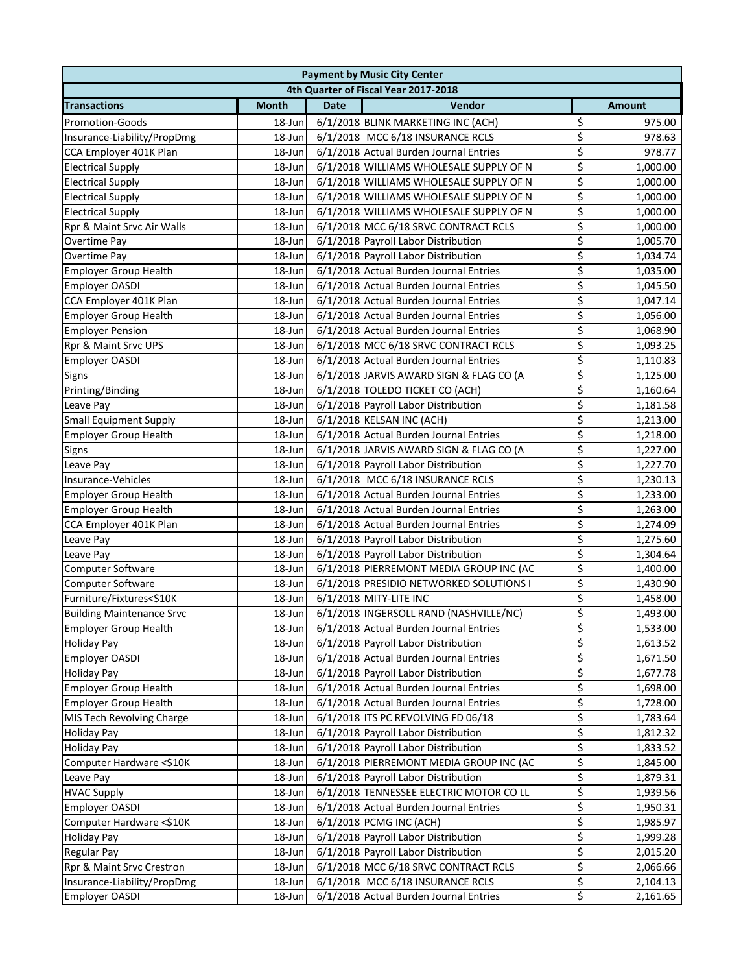|                                      | <b>Payment by Music City Center</b> |             |                                         |                         |               |  |  |
|--------------------------------------|-------------------------------------|-------------|-----------------------------------------|-------------------------|---------------|--|--|
| 4th Quarter of Fiscal Year 2017-2018 |                                     |             |                                         |                         |               |  |  |
| <b>Transactions</b>                  | <b>Month</b>                        | <b>Date</b> | Vendor                                  |                         | <b>Amount</b> |  |  |
| <b>Promotion-Goods</b>               | 18-Jun                              |             | 6/1/2018 BLINK MARKETING INC (ACH)      | \$                      | 975.00        |  |  |
| Insurance-Liability/PropDmg          | 18-Jun                              |             | 6/1/2018 MCC 6/18 INSURANCE RCLS        | \$                      | 978.63        |  |  |
| CCA Employer 401K Plan               | 18-Jun                              |             | 6/1/2018 Actual Burden Journal Entries  | \$                      | 978.77        |  |  |
| <b>Electrical Supply</b>             | 18-Jun                              |             | 6/1/2018 WILLIAMS WHOLESALE SUPPLY OF N | \$                      | 1,000.00      |  |  |
| <b>Electrical Supply</b>             | 18-Jun                              |             | 6/1/2018 WILLIAMS WHOLESALE SUPPLY OF N | \$                      | 1,000.00      |  |  |
| <b>Electrical Supply</b>             | 18-Jun                              |             | 6/1/2018 WILLIAMS WHOLESALE SUPPLY OF N | \$                      | 1,000.00      |  |  |
| <b>Electrical Supply</b>             | 18-Jun                              |             | 6/1/2018 WILLIAMS WHOLESALE SUPPLY OF N | \$                      | 1,000.00      |  |  |
| Rpr & Maint Srvc Air Walls           | 18-Jun                              |             | 6/1/2018 MCC 6/18 SRVC CONTRACT RCLS    | \$                      | 1,000.00      |  |  |
| Overtime Pay                         | 18-Jun                              |             | 6/1/2018 Payroll Labor Distribution     | \$                      | 1,005.70      |  |  |
| Overtime Pay                         | 18-Jun                              |             | 6/1/2018 Payroll Labor Distribution     | \$                      | 1,034.74      |  |  |
| <b>Employer Group Health</b>         | 18-Jun                              |             | 6/1/2018 Actual Burden Journal Entries  | \$                      | 1,035.00      |  |  |
| Employer OASDI                       | 18-Jun                              |             | 6/1/2018 Actual Burden Journal Entries  | \$                      | 1,045.50      |  |  |
| CCA Employer 401K Plan               | 18-Jun                              |             | 6/1/2018 Actual Burden Journal Entries  | \$                      | 1,047.14      |  |  |
| <b>Employer Group Health</b>         | 18-Jun                              |             | 6/1/2018 Actual Burden Journal Entries  | \$                      | 1,056.00      |  |  |
| <b>Employer Pension</b>              | 18-Jun                              |             | 6/1/2018 Actual Burden Journal Entries  | \$                      | 1,068.90      |  |  |
| Rpr & Maint Srvc UPS                 | 18-Jun                              |             | 6/1/2018 MCC 6/18 SRVC CONTRACT RCLS    | \$                      | 1,093.25      |  |  |
| Employer OASDI                       | 18-Jun                              |             | 6/1/2018 Actual Burden Journal Entries  | \$                      | 1,110.83      |  |  |
| Signs                                | 18-Jun                              |             | 6/1/2018 JARVIS AWARD SIGN & FLAG CO (A | $\overline{\xi}$        | 1,125.00      |  |  |
| Printing/Binding                     | 18-Jun                              |             | 6/1/2018 TOLEDO TICKET CO (ACH)         | \$                      | 1,160.64      |  |  |
| Leave Pay                            | 18-Jun                              |             | 6/1/2018 Payroll Labor Distribution     | \$                      | 1,181.58      |  |  |
| <b>Small Equipment Supply</b>        | 18-Jun                              |             | 6/1/2018 KELSAN INC (ACH)               | \$                      | 1,213.00      |  |  |
| <b>Employer Group Health</b>         | 18-Jun                              |             | 6/1/2018 Actual Burden Journal Entries  | \$                      | 1,218.00      |  |  |
| Signs                                | 18-Jun                              |             | 6/1/2018 JARVIS AWARD SIGN & FLAG CO (A | \$                      | 1,227.00      |  |  |
| Leave Pay                            | 18-Jun                              |             | 6/1/2018 Payroll Labor Distribution     | \$                      | 1,227.70      |  |  |
| Insurance-Vehicles                   | 18-Jun                              |             | 6/1/2018 MCC 6/18 INSURANCE RCLS        | \$                      | 1,230.13      |  |  |
| <b>Employer Group Health</b>         | 18-Jun                              |             | 6/1/2018 Actual Burden Journal Entries  | \$                      | 1,233.00      |  |  |
| <b>Employer Group Health</b>         | 18-Jun                              |             | 6/1/2018 Actual Burden Journal Entries  | \$                      | 1,263.00      |  |  |
| CCA Employer 401K Plan               | 18-Jun                              |             | 6/1/2018 Actual Burden Journal Entries  | \$                      | 1,274.09      |  |  |
| Leave Pay                            | 18-Jun                              |             | 6/1/2018 Payroll Labor Distribution     | \$                      | 1,275.60      |  |  |
| Leave Pay                            | 18-Jun                              |             | 6/1/2018 Payroll Labor Distribution     | \$                      | 1,304.64      |  |  |
| <b>Computer Software</b>             | 18-Jun                              |             | 6/1/2018 PIERREMONT MEDIA GROUP INC (AC | \$                      | 1,400.00      |  |  |
| Computer Software                    | 18-Jun                              |             | 6/1/2018 PRESIDIO NETWORKED SOLUTIONS I | \$                      | 1,430.90      |  |  |
| Furniture/Fixtures<\$10K             | 18-Jun                              |             | 6/1/2018 MITY-LITE INC                  | \$                      | 1,458.00      |  |  |
| <b>Building Maintenance Srvc</b>     | 18-Jun                              |             | 6/1/2018 INGERSOLL RAND (NASHVILLE/NC)  | $\overline{\mathsf{s}}$ | 1,493.00      |  |  |
| <b>Employer Group Health</b>         | 18-Jun                              |             | 6/1/2018 Actual Burden Journal Entries  | \$                      | 1,533.00      |  |  |
| Holiday Pay                          | 18-Jun                              |             | 6/1/2018 Payroll Labor Distribution     | \$                      | 1,613.52      |  |  |
| Employer OASDI                       | 18-Jun                              |             | 6/1/2018 Actual Burden Journal Entries  | \$                      | 1,671.50      |  |  |
| <b>Holiday Pay</b>                   | 18-Jun                              |             | 6/1/2018 Payroll Labor Distribution     | \$                      | 1,677.78      |  |  |
| <b>Employer Group Health</b>         | 18-Jun                              |             | 6/1/2018 Actual Burden Journal Entries  | \$                      | 1,698.00      |  |  |
| <b>Employer Group Health</b>         | 18-Jun                              |             | 6/1/2018 Actual Burden Journal Entries  | \$                      | 1,728.00      |  |  |
| MIS Tech Revolving Charge            | 18-Jun                              |             | 6/1/2018 ITS PC REVOLVING FD 06/18      | \$                      | 1,783.64      |  |  |
| <b>Holiday Pay</b>                   | 18-Jun                              |             | 6/1/2018 Payroll Labor Distribution     | \$                      | 1,812.32      |  |  |
| <b>Holiday Pay</b>                   | 18-Jun                              |             | 6/1/2018 Payroll Labor Distribution     | \$                      | 1,833.52      |  |  |
| Computer Hardware <\$10K             | 18-Jun                              |             | 6/1/2018 PIERREMONT MEDIA GROUP INC (AC | \$                      | 1,845.00      |  |  |
| Leave Pay                            | 18-Jun                              |             | 6/1/2018 Payroll Labor Distribution     | \$                      | 1,879.31      |  |  |
| <b>HVAC Supply</b>                   | 18-Jun                              |             | 6/1/2018 TENNESSEE ELECTRIC MOTOR CO LL | \$                      | 1,939.56      |  |  |
| Employer OASDI                       | 18-Jun                              |             | 6/1/2018 Actual Burden Journal Entries  | \$                      | 1,950.31      |  |  |
| Computer Hardware <\$10K             | 18-Jun                              |             | 6/1/2018 PCMG INC (ACH)                 | \$                      | 1,985.97      |  |  |
| <b>Holiday Pay</b>                   | 18-Jun                              |             | 6/1/2018 Payroll Labor Distribution     | \$                      | 1,999.28      |  |  |
| <b>Regular Pay</b>                   | 18-Jun                              |             | 6/1/2018 Payroll Labor Distribution     | \$                      | 2,015.20      |  |  |
| Rpr & Maint Srvc Crestron            | 18-Jun                              |             | 6/1/2018 MCC 6/18 SRVC CONTRACT RCLS    | \$                      | 2,066.66      |  |  |
| Insurance-Liability/PropDmg          | 18-Jun                              |             | 6/1/2018 MCC 6/18 INSURANCE RCLS        | \$                      | 2,104.13      |  |  |
| <b>Employer OASDI</b>                | 18-Jun                              |             | 6/1/2018 Actual Burden Journal Entries  | \$                      | 2,161.65      |  |  |
|                                      |                                     |             |                                         |                         |               |  |  |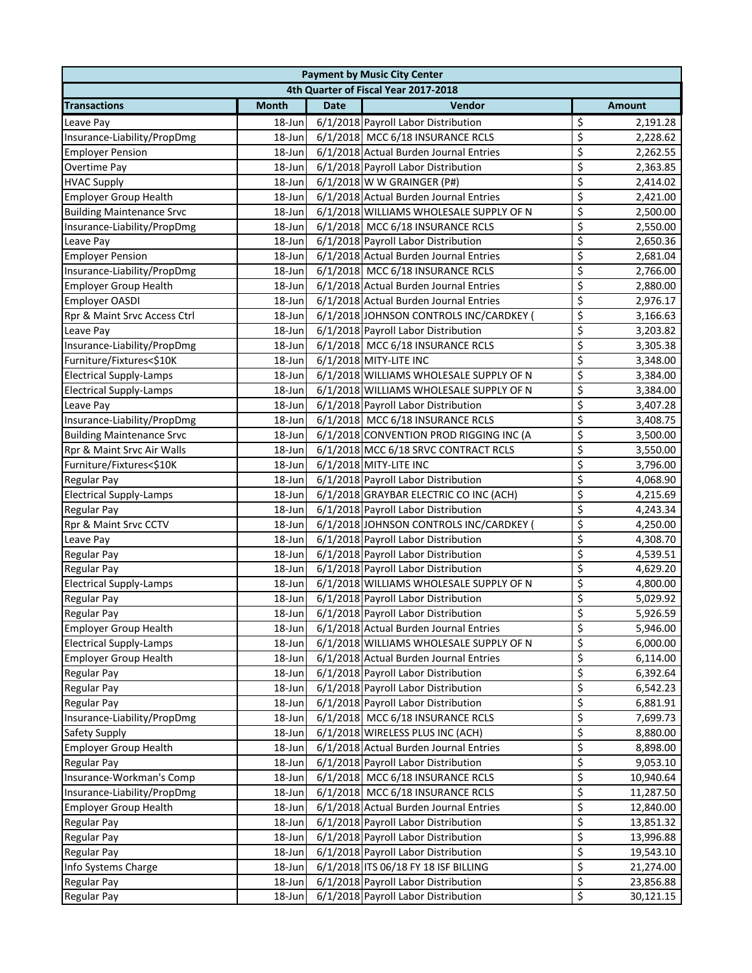| 4th Quarter of Fiscal Year 2017-2018<br>Vendor<br><b>Transactions</b><br><b>Month</b><br><b>Date</b><br><b>Amount</b><br>6/1/2018 Payroll Labor Distribution<br>\$<br>2,191.28<br>Leave Pay<br>18-Jun<br>\$<br>Insurance-Liability/PropDmg<br>6/1/2018 MCC 6/18 INSURANCE RCLS<br>2,228.62<br>18-Jun<br>\$<br>6/1/2018 Actual Burden Journal Entries<br><b>Employer Pension</b><br>18-Jun<br>2,262.55<br>\$<br>6/1/2018 Payroll Labor Distribution<br>2,363.85<br>Overtime Pay<br>18-Jun<br>\$<br>6/1/2018 W W GRAINGER (P#)<br><b>HVAC Supply</b><br>18-Jun<br>2,414.02<br>\$<br><b>Employer Group Health</b><br>6/1/2018 Actual Burden Journal Entries<br>2,421.00<br>18-Jun<br>\$<br>6/1/2018 WILLIAMS WHOLESALE SUPPLY OF N<br><b>Building Maintenance Srvc</b><br>2,500.00<br>18-Jun<br>\$<br>6/1/2018 MCC 6/18 INSURANCE RCLS<br>Insurance-Liability/PropDmg<br>2,550.00<br>18-Jun<br>\$<br>6/1/2018 Payroll Labor Distribution<br>Leave Pay<br>2,650.36<br>18-Jun<br>\$<br>6/1/2018 Actual Burden Journal Entries<br><b>Employer Pension</b><br>18-Jun<br>2,681.04<br>\$<br>6/1/2018 MCC 6/18 INSURANCE RCLS<br>Insurance-Liability/PropDmg<br>18-Jun<br>2,766.00<br>\$<br>6/1/2018 Actual Burden Journal Entries<br><b>Employer Group Health</b><br>18-Jun<br>2,880.00<br>\$<br>6/1/2018 Actual Burden Journal Entries<br>Employer OASDI<br>2,976.17<br>18-Jun<br>\$<br>6/1/2018 JOHNSON CONTROLS INC/CARDKEY<br>Rpr & Maint Srvc Access Ctrl<br>18-Jun<br>3,166.63<br>\$<br>6/1/2018 Payroll Labor Distribution<br>Leave Pay<br>18-Jun<br>3,203.82<br>\$<br>Insurance-Liability/PropDmg<br>6/1/2018 MCC 6/18 INSURANCE RCLS<br>18-Jun<br>3,305.38<br>\$<br>6/1/2018 MITY-LITE INC<br>Furniture/Fixtures<\$10K<br>18-Jun<br>3,348.00<br>\$<br><b>Electrical Supply-Lamps</b><br>6/1/2018 WILLIAMS WHOLESALE SUPPLY OF N<br>18-Jun<br>3,384.00<br>$\overline{\varsigma}$<br><b>Electrical Supply-Lamps</b><br>6/1/2018 WILLIAMS WHOLESALE SUPPLY OF N<br>18-Jun<br>3,384.00<br>$\overline{\xi}$<br>6/1/2018 Payroll Labor Distribution<br>Leave Pay<br>3,407.28<br>18-Jun<br>$\overline{\xi}$<br>Insurance-Liability/PropDmg<br>6/1/2018 MCC 6/18 INSURANCE RCLS<br>3,408.75<br>18-Jun<br>\$<br><b>Building Maintenance Srvc</b><br>6/1/2018 CONVENTION PROD RIGGING INC (A<br>3,500.00<br>18-Jun<br>\$<br>Rpr & Maint Srvc Air Walls<br>6/1/2018 MCC 6/18 SRVC CONTRACT RCLS<br>3,550.00<br>18-Jun<br>\$<br>Furniture/Fixtures<\$10K<br>6/1/2018 MITY-LITE INC<br>18-Jun<br>3,796.00<br>\$<br>6/1/2018 Payroll Labor Distribution<br>Regular Pay<br>4,068.90<br>18-Jun<br>\$<br>6/1/2018 GRAYBAR ELECTRIC CO INC (ACH)<br><b>Electrical Supply-Lamps</b><br>4,215.69<br>18-Jun<br>\$<br>6/1/2018 Payroll Labor Distribution<br><b>Regular Pay</b><br>18-Jun<br>4,243.34<br>\$<br>Rpr & Maint Srvc CCTV<br>6/1/2018 JOHNSON CONTROLS INC/CARDKEY (<br>18-Jun<br>4,250.00<br>\$<br>6/1/2018 Payroll Labor Distribution<br>4,308.70<br>Leave Pay<br>18-Jun<br>\$<br>6/1/2018 Payroll Labor Distribution<br><b>Regular Pay</b><br>18-Jun<br>4,539.51<br>\$<br>6/1/2018 Payroll Labor Distribution<br><b>Regular Pay</b><br>18-Jun<br>4,629.20<br>\$<br><b>Electrical Supply-Lamps</b><br>6/1/2018 WILLIAMS WHOLESALE SUPPLY OF N<br>18-Jun<br>4,800.00<br>\$<br>6/1/2018 Payroll Labor Distribution<br>5,029.92<br>Regular Pay<br>18-Jun<br>$\overline{\mathsf{S}}$<br>6/1/2018 Payroll Labor Distribution<br><b>Regular Pay</b><br>5,926.59<br>18-Jun<br>\$<br><b>Employer Group Health</b><br>6/1/2018 Actual Burden Journal Entries<br>18-Jun<br>5,946.00<br>\$<br><b>Electrical Supply-Lamps</b><br>6/1/2018 WILLIAMS WHOLESALE SUPPLY OF N<br>18-Jun<br>6,000.00<br>\$<br><b>Employer Group Health</b><br>6/1/2018 Actual Burden Journal Entries<br>18-Jun<br>6,114.00<br>\$<br>6/1/2018 Payroll Labor Distribution<br><b>Regular Pay</b><br>18-Jun<br>6,392.64<br>\$<br>6/1/2018 Payroll Labor Distribution<br>Regular Pay<br>18-Jun<br>6,542.23<br>\$<br>6/1/2018 Payroll Labor Distribution<br><b>Regular Pay</b><br>18-Jun<br>6,881.91<br>\$<br>Insurance-Liability/PropDmg<br>18-Jun<br>6/1/2018 MCC 6/18 INSURANCE RCLS<br>7,699.73<br>\$<br>6/1/2018 WIRELESS PLUS INC (ACH)<br>Safety Supply<br>8,880.00<br>18-Jun<br>\$<br><b>Employer Group Health</b><br>6/1/2018 Actual Burden Journal Entries<br>8,898.00<br>18-Jun<br>\$<br>6/1/2018 Payroll Labor Distribution<br>9,053.10<br><b>Regular Pay</b><br>18-Jun<br>$\overline{\xi}$<br>Insurance-Workman's Comp<br>6/1/2018 MCC 6/18 INSURANCE RCLS<br>18-Jun<br>10,940.64<br>$\overline{\xi}$<br>Insurance-Liability/PropDmg<br>6/1/2018 MCC 6/18 INSURANCE RCLS<br>18-Jun<br>11,287.50<br>\$<br>6/1/2018 Actual Burden Journal Entries<br><b>Employer Group Health</b><br>18-Jun<br>12,840.00<br>\$<br>6/1/2018 Payroll Labor Distribution<br>18-Jun<br>13,851.32<br><b>Regular Pay</b><br>\$<br>6/1/2018 Payroll Labor Distribution<br>18-Jun<br><b>Regular Pay</b><br>13,996.88<br>$\overline{\mathcal{S}}$<br>18-Jun<br>6/1/2018 Payroll Labor Distribution<br>Regular Pay<br>19,543.10<br>\$<br>6/1/2018 ITS 06/18 FY 18 ISF BILLING<br>21,274.00<br>Info Systems Charge<br>18-Jun<br>\$<br>6/1/2018 Payroll Labor Distribution<br>23,856.88<br><b>Regular Pay</b><br>18-Jun<br>\$<br>6/1/2018 Payroll Labor Distribution<br>18-Jun<br>30,121.15<br><b>Regular Pay</b> | <b>Payment by Music City Center</b> |  |  |  |  |  |  |
|-------------------------------------------------------------------------------------------------------------------------------------------------------------------------------------------------------------------------------------------------------------------------------------------------------------------------------------------------------------------------------------------------------------------------------------------------------------------------------------------------------------------------------------------------------------------------------------------------------------------------------------------------------------------------------------------------------------------------------------------------------------------------------------------------------------------------------------------------------------------------------------------------------------------------------------------------------------------------------------------------------------------------------------------------------------------------------------------------------------------------------------------------------------------------------------------------------------------------------------------------------------------------------------------------------------------------------------------------------------------------------------------------------------------------------------------------------------------------------------------------------------------------------------------------------------------------------------------------------------------------------------------------------------------------------------------------------------------------------------------------------------------------------------------------------------------------------------------------------------------------------------------------------------------------------------------------------------------------------------------------------------------------------------------------------------------------------------------------------------------------------------------------------------------------------------------------------------------------------------------------------------------------------------------------------------------------------------------------------------------------------------------------------------------------------------------------------------------------------------------------------------------------------------------------------------------------------------------------------------------------------------------------------------------------------------------------------------------------------------------------------------------------------------------------------------------------------------------------------------------------------------------------------------------------------------------------------------------------------------------------------------------------------------------------------------------------------------------------------------------------------------------------------------------------------------------------------------------------------------------------------------------------------------------------------------------------------------------------------------------------------------------------------------------------------------------------------------------------------------------------------------------------------------------------------------------------------------------------------------------------------------------------------------------------------------------------------------------------------------------------------------------------------------------------------------------------------------------------------------------------------------------------------------------------------------------------------------------------------------------------------------------------------------------------------------------------------------------------------------------------------------------------------------------------------------------------------------------------------------------------------------------------------------------------------------------------------------------------------------------------------------------------------------------------------------------------------------------------------------------------------------------------------------------------------------------------------------------------------------------------------------------------------------------------------------------------------------------------------------------------------------------------------------------------------------------------------------------------------------------------------------------------------------------------------------------------------------------------------------------------------------------------------------------------------------------------------------------------------------------------------------------------------------------------------------------------------------------------------------------------------------------------------------------------------------------------------------------------|-------------------------------------|--|--|--|--|--|--|
|                                                                                                                                                                                                                                                                                                                                                                                                                                                                                                                                                                                                                                                                                                                                                                                                                                                                                                                                                                                                                                                                                                                                                                                                                                                                                                                                                                                                                                                                                                                                                                                                                                                                                                                                                                                                                                                                                                                                                                                                                                                                                                                                                                                                                                                                                                                                                                                                                                                                                                                                                                                                                                                                                                                                                                                                                                                                                                                                                                                                                                                                                                                                                                                                                                                                                                                                                                                                                                                                                                                                                                                                                                                                                                                                                                                                                                                                                                                                                                                                                                                                                                                                                                                                                                                                                                                                                                                                                                                                                                                                                                                                                                                                                                                                                                                                                                                                                                                                                                                                                                                                                                                                                                                                                                                                                                                                                 |                                     |  |  |  |  |  |  |
|                                                                                                                                                                                                                                                                                                                                                                                                                                                                                                                                                                                                                                                                                                                                                                                                                                                                                                                                                                                                                                                                                                                                                                                                                                                                                                                                                                                                                                                                                                                                                                                                                                                                                                                                                                                                                                                                                                                                                                                                                                                                                                                                                                                                                                                                                                                                                                                                                                                                                                                                                                                                                                                                                                                                                                                                                                                                                                                                                                                                                                                                                                                                                                                                                                                                                                                                                                                                                                                                                                                                                                                                                                                                                                                                                                                                                                                                                                                                                                                                                                                                                                                                                                                                                                                                                                                                                                                                                                                                                                                                                                                                                                                                                                                                                                                                                                                                                                                                                                                                                                                                                                                                                                                                                                                                                                                                                 |                                     |  |  |  |  |  |  |
|                                                                                                                                                                                                                                                                                                                                                                                                                                                                                                                                                                                                                                                                                                                                                                                                                                                                                                                                                                                                                                                                                                                                                                                                                                                                                                                                                                                                                                                                                                                                                                                                                                                                                                                                                                                                                                                                                                                                                                                                                                                                                                                                                                                                                                                                                                                                                                                                                                                                                                                                                                                                                                                                                                                                                                                                                                                                                                                                                                                                                                                                                                                                                                                                                                                                                                                                                                                                                                                                                                                                                                                                                                                                                                                                                                                                                                                                                                                                                                                                                                                                                                                                                                                                                                                                                                                                                                                                                                                                                                                                                                                                                                                                                                                                                                                                                                                                                                                                                                                                                                                                                                                                                                                                                                                                                                                                                 |                                     |  |  |  |  |  |  |
|                                                                                                                                                                                                                                                                                                                                                                                                                                                                                                                                                                                                                                                                                                                                                                                                                                                                                                                                                                                                                                                                                                                                                                                                                                                                                                                                                                                                                                                                                                                                                                                                                                                                                                                                                                                                                                                                                                                                                                                                                                                                                                                                                                                                                                                                                                                                                                                                                                                                                                                                                                                                                                                                                                                                                                                                                                                                                                                                                                                                                                                                                                                                                                                                                                                                                                                                                                                                                                                                                                                                                                                                                                                                                                                                                                                                                                                                                                                                                                                                                                                                                                                                                                                                                                                                                                                                                                                                                                                                                                                                                                                                                                                                                                                                                                                                                                                                                                                                                                                                                                                                                                                                                                                                                                                                                                                                                 |                                     |  |  |  |  |  |  |
|                                                                                                                                                                                                                                                                                                                                                                                                                                                                                                                                                                                                                                                                                                                                                                                                                                                                                                                                                                                                                                                                                                                                                                                                                                                                                                                                                                                                                                                                                                                                                                                                                                                                                                                                                                                                                                                                                                                                                                                                                                                                                                                                                                                                                                                                                                                                                                                                                                                                                                                                                                                                                                                                                                                                                                                                                                                                                                                                                                                                                                                                                                                                                                                                                                                                                                                                                                                                                                                                                                                                                                                                                                                                                                                                                                                                                                                                                                                                                                                                                                                                                                                                                                                                                                                                                                                                                                                                                                                                                                                                                                                                                                                                                                                                                                                                                                                                                                                                                                                                                                                                                                                                                                                                                                                                                                                                                 |                                     |  |  |  |  |  |  |
|                                                                                                                                                                                                                                                                                                                                                                                                                                                                                                                                                                                                                                                                                                                                                                                                                                                                                                                                                                                                                                                                                                                                                                                                                                                                                                                                                                                                                                                                                                                                                                                                                                                                                                                                                                                                                                                                                                                                                                                                                                                                                                                                                                                                                                                                                                                                                                                                                                                                                                                                                                                                                                                                                                                                                                                                                                                                                                                                                                                                                                                                                                                                                                                                                                                                                                                                                                                                                                                                                                                                                                                                                                                                                                                                                                                                                                                                                                                                                                                                                                                                                                                                                                                                                                                                                                                                                                                                                                                                                                                                                                                                                                                                                                                                                                                                                                                                                                                                                                                                                                                                                                                                                                                                                                                                                                                                                 |                                     |  |  |  |  |  |  |
|                                                                                                                                                                                                                                                                                                                                                                                                                                                                                                                                                                                                                                                                                                                                                                                                                                                                                                                                                                                                                                                                                                                                                                                                                                                                                                                                                                                                                                                                                                                                                                                                                                                                                                                                                                                                                                                                                                                                                                                                                                                                                                                                                                                                                                                                                                                                                                                                                                                                                                                                                                                                                                                                                                                                                                                                                                                                                                                                                                                                                                                                                                                                                                                                                                                                                                                                                                                                                                                                                                                                                                                                                                                                                                                                                                                                                                                                                                                                                                                                                                                                                                                                                                                                                                                                                                                                                                                                                                                                                                                                                                                                                                                                                                                                                                                                                                                                                                                                                                                                                                                                                                                                                                                                                                                                                                                                                 |                                     |  |  |  |  |  |  |
|                                                                                                                                                                                                                                                                                                                                                                                                                                                                                                                                                                                                                                                                                                                                                                                                                                                                                                                                                                                                                                                                                                                                                                                                                                                                                                                                                                                                                                                                                                                                                                                                                                                                                                                                                                                                                                                                                                                                                                                                                                                                                                                                                                                                                                                                                                                                                                                                                                                                                                                                                                                                                                                                                                                                                                                                                                                                                                                                                                                                                                                                                                                                                                                                                                                                                                                                                                                                                                                                                                                                                                                                                                                                                                                                                                                                                                                                                                                                                                                                                                                                                                                                                                                                                                                                                                                                                                                                                                                                                                                                                                                                                                                                                                                                                                                                                                                                                                                                                                                                                                                                                                                                                                                                                                                                                                                                                 |                                     |  |  |  |  |  |  |
|                                                                                                                                                                                                                                                                                                                                                                                                                                                                                                                                                                                                                                                                                                                                                                                                                                                                                                                                                                                                                                                                                                                                                                                                                                                                                                                                                                                                                                                                                                                                                                                                                                                                                                                                                                                                                                                                                                                                                                                                                                                                                                                                                                                                                                                                                                                                                                                                                                                                                                                                                                                                                                                                                                                                                                                                                                                                                                                                                                                                                                                                                                                                                                                                                                                                                                                                                                                                                                                                                                                                                                                                                                                                                                                                                                                                                                                                                                                                                                                                                                                                                                                                                                                                                                                                                                                                                                                                                                                                                                                                                                                                                                                                                                                                                                                                                                                                                                                                                                                                                                                                                                                                                                                                                                                                                                                                                 |                                     |  |  |  |  |  |  |
|                                                                                                                                                                                                                                                                                                                                                                                                                                                                                                                                                                                                                                                                                                                                                                                                                                                                                                                                                                                                                                                                                                                                                                                                                                                                                                                                                                                                                                                                                                                                                                                                                                                                                                                                                                                                                                                                                                                                                                                                                                                                                                                                                                                                                                                                                                                                                                                                                                                                                                                                                                                                                                                                                                                                                                                                                                                                                                                                                                                                                                                                                                                                                                                                                                                                                                                                                                                                                                                                                                                                                                                                                                                                                                                                                                                                                                                                                                                                                                                                                                                                                                                                                                                                                                                                                                                                                                                                                                                                                                                                                                                                                                                                                                                                                                                                                                                                                                                                                                                                                                                                                                                                                                                                                                                                                                                                                 |                                     |  |  |  |  |  |  |
|                                                                                                                                                                                                                                                                                                                                                                                                                                                                                                                                                                                                                                                                                                                                                                                                                                                                                                                                                                                                                                                                                                                                                                                                                                                                                                                                                                                                                                                                                                                                                                                                                                                                                                                                                                                                                                                                                                                                                                                                                                                                                                                                                                                                                                                                                                                                                                                                                                                                                                                                                                                                                                                                                                                                                                                                                                                                                                                                                                                                                                                                                                                                                                                                                                                                                                                                                                                                                                                                                                                                                                                                                                                                                                                                                                                                                                                                                                                                                                                                                                                                                                                                                                                                                                                                                                                                                                                                                                                                                                                                                                                                                                                                                                                                                                                                                                                                                                                                                                                                                                                                                                                                                                                                                                                                                                                                                 |                                     |  |  |  |  |  |  |
|                                                                                                                                                                                                                                                                                                                                                                                                                                                                                                                                                                                                                                                                                                                                                                                                                                                                                                                                                                                                                                                                                                                                                                                                                                                                                                                                                                                                                                                                                                                                                                                                                                                                                                                                                                                                                                                                                                                                                                                                                                                                                                                                                                                                                                                                                                                                                                                                                                                                                                                                                                                                                                                                                                                                                                                                                                                                                                                                                                                                                                                                                                                                                                                                                                                                                                                                                                                                                                                                                                                                                                                                                                                                                                                                                                                                                                                                                                                                                                                                                                                                                                                                                                                                                                                                                                                                                                                                                                                                                                                                                                                                                                                                                                                                                                                                                                                                                                                                                                                                                                                                                                                                                                                                                                                                                                                                                 |                                     |  |  |  |  |  |  |
|                                                                                                                                                                                                                                                                                                                                                                                                                                                                                                                                                                                                                                                                                                                                                                                                                                                                                                                                                                                                                                                                                                                                                                                                                                                                                                                                                                                                                                                                                                                                                                                                                                                                                                                                                                                                                                                                                                                                                                                                                                                                                                                                                                                                                                                                                                                                                                                                                                                                                                                                                                                                                                                                                                                                                                                                                                                                                                                                                                                                                                                                                                                                                                                                                                                                                                                                                                                                                                                                                                                                                                                                                                                                                                                                                                                                                                                                                                                                                                                                                                                                                                                                                                                                                                                                                                                                                                                                                                                                                                                                                                                                                                                                                                                                                                                                                                                                                                                                                                                                                                                                                                                                                                                                                                                                                                                                                 |                                     |  |  |  |  |  |  |
|                                                                                                                                                                                                                                                                                                                                                                                                                                                                                                                                                                                                                                                                                                                                                                                                                                                                                                                                                                                                                                                                                                                                                                                                                                                                                                                                                                                                                                                                                                                                                                                                                                                                                                                                                                                                                                                                                                                                                                                                                                                                                                                                                                                                                                                                                                                                                                                                                                                                                                                                                                                                                                                                                                                                                                                                                                                                                                                                                                                                                                                                                                                                                                                                                                                                                                                                                                                                                                                                                                                                                                                                                                                                                                                                                                                                                                                                                                                                                                                                                                                                                                                                                                                                                                                                                                                                                                                                                                                                                                                                                                                                                                                                                                                                                                                                                                                                                                                                                                                                                                                                                                                                                                                                                                                                                                                                                 |                                     |  |  |  |  |  |  |
|                                                                                                                                                                                                                                                                                                                                                                                                                                                                                                                                                                                                                                                                                                                                                                                                                                                                                                                                                                                                                                                                                                                                                                                                                                                                                                                                                                                                                                                                                                                                                                                                                                                                                                                                                                                                                                                                                                                                                                                                                                                                                                                                                                                                                                                                                                                                                                                                                                                                                                                                                                                                                                                                                                                                                                                                                                                                                                                                                                                                                                                                                                                                                                                                                                                                                                                                                                                                                                                                                                                                                                                                                                                                                                                                                                                                                                                                                                                                                                                                                                                                                                                                                                                                                                                                                                                                                                                                                                                                                                                                                                                                                                                                                                                                                                                                                                                                                                                                                                                                                                                                                                                                                                                                                                                                                                                                                 |                                     |  |  |  |  |  |  |
|                                                                                                                                                                                                                                                                                                                                                                                                                                                                                                                                                                                                                                                                                                                                                                                                                                                                                                                                                                                                                                                                                                                                                                                                                                                                                                                                                                                                                                                                                                                                                                                                                                                                                                                                                                                                                                                                                                                                                                                                                                                                                                                                                                                                                                                                                                                                                                                                                                                                                                                                                                                                                                                                                                                                                                                                                                                                                                                                                                                                                                                                                                                                                                                                                                                                                                                                                                                                                                                                                                                                                                                                                                                                                                                                                                                                                                                                                                                                                                                                                                                                                                                                                                                                                                                                                                                                                                                                                                                                                                                                                                                                                                                                                                                                                                                                                                                                                                                                                                                                                                                                                                                                                                                                                                                                                                                                                 |                                     |  |  |  |  |  |  |
|                                                                                                                                                                                                                                                                                                                                                                                                                                                                                                                                                                                                                                                                                                                                                                                                                                                                                                                                                                                                                                                                                                                                                                                                                                                                                                                                                                                                                                                                                                                                                                                                                                                                                                                                                                                                                                                                                                                                                                                                                                                                                                                                                                                                                                                                                                                                                                                                                                                                                                                                                                                                                                                                                                                                                                                                                                                                                                                                                                                                                                                                                                                                                                                                                                                                                                                                                                                                                                                                                                                                                                                                                                                                                                                                                                                                                                                                                                                                                                                                                                                                                                                                                                                                                                                                                                                                                                                                                                                                                                                                                                                                                                                                                                                                                                                                                                                                                                                                                                                                                                                                                                                                                                                                                                                                                                                                                 |                                     |  |  |  |  |  |  |
|                                                                                                                                                                                                                                                                                                                                                                                                                                                                                                                                                                                                                                                                                                                                                                                                                                                                                                                                                                                                                                                                                                                                                                                                                                                                                                                                                                                                                                                                                                                                                                                                                                                                                                                                                                                                                                                                                                                                                                                                                                                                                                                                                                                                                                                                                                                                                                                                                                                                                                                                                                                                                                                                                                                                                                                                                                                                                                                                                                                                                                                                                                                                                                                                                                                                                                                                                                                                                                                                                                                                                                                                                                                                                                                                                                                                                                                                                                                                                                                                                                                                                                                                                                                                                                                                                                                                                                                                                                                                                                                                                                                                                                                                                                                                                                                                                                                                                                                                                                                                                                                                                                                                                                                                                                                                                                                                                 |                                     |  |  |  |  |  |  |
|                                                                                                                                                                                                                                                                                                                                                                                                                                                                                                                                                                                                                                                                                                                                                                                                                                                                                                                                                                                                                                                                                                                                                                                                                                                                                                                                                                                                                                                                                                                                                                                                                                                                                                                                                                                                                                                                                                                                                                                                                                                                                                                                                                                                                                                                                                                                                                                                                                                                                                                                                                                                                                                                                                                                                                                                                                                                                                                                                                                                                                                                                                                                                                                                                                                                                                                                                                                                                                                                                                                                                                                                                                                                                                                                                                                                                                                                                                                                                                                                                                                                                                                                                                                                                                                                                                                                                                                                                                                                                                                                                                                                                                                                                                                                                                                                                                                                                                                                                                                                                                                                                                                                                                                                                                                                                                                                                 |                                     |  |  |  |  |  |  |
|                                                                                                                                                                                                                                                                                                                                                                                                                                                                                                                                                                                                                                                                                                                                                                                                                                                                                                                                                                                                                                                                                                                                                                                                                                                                                                                                                                                                                                                                                                                                                                                                                                                                                                                                                                                                                                                                                                                                                                                                                                                                                                                                                                                                                                                                                                                                                                                                                                                                                                                                                                                                                                                                                                                                                                                                                                                                                                                                                                                                                                                                                                                                                                                                                                                                                                                                                                                                                                                                                                                                                                                                                                                                                                                                                                                                                                                                                                                                                                                                                                                                                                                                                                                                                                                                                                                                                                                                                                                                                                                                                                                                                                                                                                                                                                                                                                                                                                                                                                                                                                                                                                                                                                                                                                                                                                                                                 |                                     |  |  |  |  |  |  |
|                                                                                                                                                                                                                                                                                                                                                                                                                                                                                                                                                                                                                                                                                                                                                                                                                                                                                                                                                                                                                                                                                                                                                                                                                                                                                                                                                                                                                                                                                                                                                                                                                                                                                                                                                                                                                                                                                                                                                                                                                                                                                                                                                                                                                                                                                                                                                                                                                                                                                                                                                                                                                                                                                                                                                                                                                                                                                                                                                                                                                                                                                                                                                                                                                                                                                                                                                                                                                                                                                                                                                                                                                                                                                                                                                                                                                                                                                                                                                                                                                                                                                                                                                                                                                                                                                                                                                                                                                                                                                                                                                                                                                                                                                                                                                                                                                                                                                                                                                                                                                                                                                                                                                                                                                                                                                                                                                 |                                     |  |  |  |  |  |  |
|                                                                                                                                                                                                                                                                                                                                                                                                                                                                                                                                                                                                                                                                                                                                                                                                                                                                                                                                                                                                                                                                                                                                                                                                                                                                                                                                                                                                                                                                                                                                                                                                                                                                                                                                                                                                                                                                                                                                                                                                                                                                                                                                                                                                                                                                                                                                                                                                                                                                                                                                                                                                                                                                                                                                                                                                                                                                                                                                                                                                                                                                                                                                                                                                                                                                                                                                                                                                                                                                                                                                                                                                                                                                                                                                                                                                                                                                                                                                                                                                                                                                                                                                                                                                                                                                                                                                                                                                                                                                                                                                                                                                                                                                                                                                                                                                                                                                                                                                                                                                                                                                                                                                                                                                                                                                                                                                                 |                                     |  |  |  |  |  |  |
|                                                                                                                                                                                                                                                                                                                                                                                                                                                                                                                                                                                                                                                                                                                                                                                                                                                                                                                                                                                                                                                                                                                                                                                                                                                                                                                                                                                                                                                                                                                                                                                                                                                                                                                                                                                                                                                                                                                                                                                                                                                                                                                                                                                                                                                                                                                                                                                                                                                                                                                                                                                                                                                                                                                                                                                                                                                                                                                                                                                                                                                                                                                                                                                                                                                                                                                                                                                                                                                                                                                                                                                                                                                                                                                                                                                                                                                                                                                                                                                                                                                                                                                                                                                                                                                                                                                                                                                                                                                                                                                                                                                                                                                                                                                                                                                                                                                                                                                                                                                                                                                                                                                                                                                                                                                                                                                                                 |                                     |  |  |  |  |  |  |
|                                                                                                                                                                                                                                                                                                                                                                                                                                                                                                                                                                                                                                                                                                                                                                                                                                                                                                                                                                                                                                                                                                                                                                                                                                                                                                                                                                                                                                                                                                                                                                                                                                                                                                                                                                                                                                                                                                                                                                                                                                                                                                                                                                                                                                                                                                                                                                                                                                                                                                                                                                                                                                                                                                                                                                                                                                                                                                                                                                                                                                                                                                                                                                                                                                                                                                                                                                                                                                                                                                                                                                                                                                                                                                                                                                                                                                                                                                                                                                                                                                                                                                                                                                                                                                                                                                                                                                                                                                                                                                                                                                                                                                                                                                                                                                                                                                                                                                                                                                                                                                                                                                                                                                                                                                                                                                                                                 |                                     |  |  |  |  |  |  |
|                                                                                                                                                                                                                                                                                                                                                                                                                                                                                                                                                                                                                                                                                                                                                                                                                                                                                                                                                                                                                                                                                                                                                                                                                                                                                                                                                                                                                                                                                                                                                                                                                                                                                                                                                                                                                                                                                                                                                                                                                                                                                                                                                                                                                                                                                                                                                                                                                                                                                                                                                                                                                                                                                                                                                                                                                                                                                                                                                                                                                                                                                                                                                                                                                                                                                                                                                                                                                                                                                                                                                                                                                                                                                                                                                                                                                                                                                                                                                                                                                                                                                                                                                                                                                                                                                                                                                                                                                                                                                                                                                                                                                                                                                                                                                                                                                                                                                                                                                                                                                                                                                                                                                                                                                                                                                                                                                 |                                     |  |  |  |  |  |  |
|                                                                                                                                                                                                                                                                                                                                                                                                                                                                                                                                                                                                                                                                                                                                                                                                                                                                                                                                                                                                                                                                                                                                                                                                                                                                                                                                                                                                                                                                                                                                                                                                                                                                                                                                                                                                                                                                                                                                                                                                                                                                                                                                                                                                                                                                                                                                                                                                                                                                                                                                                                                                                                                                                                                                                                                                                                                                                                                                                                                                                                                                                                                                                                                                                                                                                                                                                                                                                                                                                                                                                                                                                                                                                                                                                                                                                                                                                                                                                                                                                                                                                                                                                                                                                                                                                                                                                                                                                                                                                                                                                                                                                                                                                                                                                                                                                                                                                                                                                                                                                                                                                                                                                                                                                                                                                                                                                 |                                     |  |  |  |  |  |  |
|                                                                                                                                                                                                                                                                                                                                                                                                                                                                                                                                                                                                                                                                                                                                                                                                                                                                                                                                                                                                                                                                                                                                                                                                                                                                                                                                                                                                                                                                                                                                                                                                                                                                                                                                                                                                                                                                                                                                                                                                                                                                                                                                                                                                                                                                                                                                                                                                                                                                                                                                                                                                                                                                                                                                                                                                                                                                                                                                                                                                                                                                                                                                                                                                                                                                                                                                                                                                                                                                                                                                                                                                                                                                                                                                                                                                                                                                                                                                                                                                                                                                                                                                                                                                                                                                                                                                                                                                                                                                                                                                                                                                                                                                                                                                                                                                                                                                                                                                                                                                                                                                                                                                                                                                                                                                                                                                                 |                                     |  |  |  |  |  |  |
|                                                                                                                                                                                                                                                                                                                                                                                                                                                                                                                                                                                                                                                                                                                                                                                                                                                                                                                                                                                                                                                                                                                                                                                                                                                                                                                                                                                                                                                                                                                                                                                                                                                                                                                                                                                                                                                                                                                                                                                                                                                                                                                                                                                                                                                                                                                                                                                                                                                                                                                                                                                                                                                                                                                                                                                                                                                                                                                                                                                                                                                                                                                                                                                                                                                                                                                                                                                                                                                                                                                                                                                                                                                                                                                                                                                                                                                                                                                                                                                                                                                                                                                                                                                                                                                                                                                                                                                                                                                                                                                                                                                                                                                                                                                                                                                                                                                                                                                                                                                                                                                                                                                                                                                                                                                                                                                                                 |                                     |  |  |  |  |  |  |
|                                                                                                                                                                                                                                                                                                                                                                                                                                                                                                                                                                                                                                                                                                                                                                                                                                                                                                                                                                                                                                                                                                                                                                                                                                                                                                                                                                                                                                                                                                                                                                                                                                                                                                                                                                                                                                                                                                                                                                                                                                                                                                                                                                                                                                                                                                                                                                                                                                                                                                                                                                                                                                                                                                                                                                                                                                                                                                                                                                                                                                                                                                                                                                                                                                                                                                                                                                                                                                                                                                                                                                                                                                                                                                                                                                                                                                                                                                                                                                                                                                                                                                                                                                                                                                                                                                                                                                                                                                                                                                                                                                                                                                                                                                                                                                                                                                                                                                                                                                                                                                                                                                                                                                                                                                                                                                                                                 |                                     |  |  |  |  |  |  |
|                                                                                                                                                                                                                                                                                                                                                                                                                                                                                                                                                                                                                                                                                                                                                                                                                                                                                                                                                                                                                                                                                                                                                                                                                                                                                                                                                                                                                                                                                                                                                                                                                                                                                                                                                                                                                                                                                                                                                                                                                                                                                                                                                                                                                                                                                                                                                                                                                                                                                                                                                                                                                                                                                                                                                                                                                                                                                                                                                                                                                                                                                                                                                                                                                                                                                                                                                                                                                                                                                                                                                                                                                                                                                                                                                                                                                                                                                                                                                                                                                                                                                                                                                                                                                                                                                                                                                                                                                                                                                                                                                                                                                                                                                                                                                                                                                                                                                                                                                                                                                                                                                                                                                                                                                                                                                                                                                 |                                     |  |  |  |  |  |  |
|                                                                                                                                                                                                                                                                                                                                                                                                                                                                                                                                                                                                                                                                                                                                                                                                                                                                                                                                                                                                                                                                                                                                                                                                                                                                                                                                                                                                                                                                                                                                                                                                                                                                                                                                                                                                                                                                                                                                                                                                                                                                                                                                                                                                                                                                                                                                                                                                                                                                                                                                                                                                                                                                                                                                                                                                                                                                                                                                                                                                                                                                                                                                                                                                                                                                                                                                                                                                                                                                                                                                                                                                                                                                                                                                                                                                                                                                                                                                                                                                                                                                                                                                                                                                                                                                                                                                                                                                                                                                                                                                                                                                                                                                                                                                                                                                                                                                                                                                                                                                                                                                                                                                                                                                                                                                                                                                                 |                                     |  |  |  |  |  |  |
|                                                                                                                                                                                                                                                                                                                                                                                                                                                                                                                                                                                                                                                                                                                                                                                                                                                                                                                                                                                                                                                                                                                                                                                                                                                                                                                                                                                                                                                                                                                                                                                                                                                                                                                                                                                                                                                                                                                                                                                                                                                                                                                                                                                                                                                                                                                                                                                                                                                                                                                                                                                                                                                                                                                                                                                                                                                                                                                                                                                                                                                                                                                                                                                                                                                                                                                                                                                                                                                                                                                                                                                                                                                                                                                                                                                                                                                                                                                                                                                                                                                                                                                                                                                                                                                                                                                                                                                                                                                                                                                                                                                                                                                                                                                                                                                                                                                                                                                                                                                                                                                                                                                                                                                                                                                                                                                                                 |                                     |  |  |  |  |  |  |
|                                                                                                                                                                                                                                                                                                                                                                                                                                                                                                                                                                                                                                                                                                                                                                                                                                                                                                                                                                                                                                                                                                                                                                                                                                                                                                                                                                                                                                                                                                                                                                                                                                                                                                                                                                                                                                                                                                                                                                                                                                                                                                                                                                                                                                                                                                                                                                                                                                                                                                                                                                                                                                                                                                                                                                                                                                                                                                                                                                                                                                                                                                                                                                                                                                                                                                                                                                                                                                                                                                                                                                                                                                                                                                                                                                                                                                                                                                                                                                                                                                                                                                                                                                                                                                                                                                                                                                                                                                                                                                                                                                                                                                                                                                                                                                                                                                                                                                                                                                                                                                                                                                                                                                                                                                                                                                                                                 |                                     |  |  |  |  |  |  |
|                                                                                                                                                                                                                                                                                                                                                                                                                                                                                                                                                                                                                                                                                                                                                                                                                                                                                                                                                                                                                                                                                                                                                                                                                                                                                                                                                                                                                                                                                                                                                                                                                                                                                                                                                                                                                                                                                                                                                                                                                                                                                                                                                                                                                                                                                                                                                                                                                                                                                                                                                                                                                                                                                                                                                                                                                                                                                                                                                                                                                                                                                                                                                                                                                                                                                                                                                                                                                                                                                                                                                                                                                                                                                                                                                                                                                                                                                                                                                                                                                                                                                                                                                                                                                                                                                                                                                                                                                                                                                                                                                                                                                                                                                                                                                                                                                                                                                                                                                                                                                                                                                                                                                                                                                                                                                                                                                 |                                     |  |  |  |  |  |  |
|                                                                                                                                                                                                                                                                                                                                                                                                                                                                                                                                                                                                                                                                                                                                                                                                                                                                                                                                                                                                                                                                                                                                                                                                                                                                                                                                                                                                                                                                                                                                                                                                                                                                                                                                                                                                                                                                                                                                                                                                                                                                                                                                                                                                                                                                                                                                                                                                                                                                                                                                                                                                                                                                                                                                                                                                                                                                                                                                                                                                                                                                                                                                                                                                                                                                                                                                                                                                                                                                                                                                                                                                                                                                                                                                                                                                                                                                                                                                                                                                                                                                                                                                                                                                                                                                                                                                                                                                                                                                                                                                                                                                                                                                                                                                                                                                                                                                                                                                                                                                                                                                                                                                                                                                                                                                                                                                                 |                                     |  |  |  |  |  |  |
|                                                                                                                                                                                                                                                                                                                                                                                                                                                                                                                                                                                                                                                                                                                                                                                                                                                                                                                                                                                                                                                                                                                                                                                                                                                                                                                                                                                                                                                                                                                                                                                                                                                                                                                                                                                                                                                                                                                                                                                                                                                                                                                                                                                                                                                                                                                                                                                                                                                                                                                                                                                                                                                                                                                                                                                                                                                                                                                                                                                                                                                                                                                                                                                                                                                                                                                                                                                                                                                                                                                                                                                                                                                                                                                                                                                                                                                                                                                                                                                                                                                                                                                                                                                                                                                                                                                                                                                                                                                                                                                                                                                                                                                                                                                                                                                                                                                                                                                                                                                                                                                                                                                                                                                                                                                                                                                                                 |                                     |  |  |  |  |  |  |
|                                                                                                                                                                                                                                                                                                                                                                                                                                                                                                                                                                                                                                                                                                                                                                                                                                                                                                                                                                                                                                                                                                                                                                                                                                                                                                                                                                                                                                                                                                                                                                                                                                                                                                                                                                                                                                                                                                                                                                                                                                                                                                                                                                                                                                                                                                                                                                                                                                                                                                                                                                                                                                                                                                                                                                                                                                                                                                                                                                                                                                                                                                                                                                                                                                                                                                                                                                                                                                                                                                                                                                                                                                                                                                                                                                                                                                                                                                                                                                                                                                                                                                                                                                                                                                                                                                                                                                                                                                                                                                                                                                                                                                                                                                                                                                                                                                                                                                                                                                                                                                                                                                                                                                                                                                                                                                                                                 |                                     |  |  |  |  |  |  |
|                                                                                                                                                                                                                                                                                                                                                                                                                                                                                                                                                                                                                                                                                                                                                                                                                                                                                                                                                                                                                                                                                                                                                                                                                                                                                                                                                                                                                                                                                                                                                                                                                                                                                                                                                                                                                                                                                                                                                                                                                                                                                                                                                                                                                                                                                                                                                                                                                                                                                                                                                                                                                                                                                                                                                                                                                                                                                                                                                                                                                                                                                                                                                                                                                                                                                                                                                                                                                                                                                                                                                                                                                                                                                                                                                                                                                                                                                                                                                                                                                                                                                                                                                                                                                                                                                                                                                                                                                                                                                                                                                                                                                                                                                                                                                                                                                                                                                                                                                                                                                                                                                                                                                                                                                                                                                                                                                 |                                     |  |  |  |  |  |  |
|                                                                                                                                                                                                                                                                                                                                                                                                                                                                                                                                                                                                                                                                                                                                                                                                                                                                                                                                                                                                                                                                                                                                                                                                                                                                                                                                                                                                                                                                                                                                                                                                                                                                                                                                                                                                                                                                                                                                                                                                                                                                                                                                                                                                                                                                                                                                                                                                                                                                                                                                                                                                                                                                                                                                                                                                                                                                                                                                                                                                                                                                                                                                                                                                                                                                                                                                                                                                                                                                                                                                                                                                                                                                                                                                                                                                                                                                                                                                                                                                                                                                                                                                                                                                                                                                                                                                                                                                                                                                                                                                                                                                                                                                                                                                                                                                                                                                                                                                                                                                                                                                                                                                                                                                                                                                                                                                                 |                                     |  |  |  |  |  |  |
|                                                                                                                                                                                                                                                                                                                                                                                                                                                                                                                                                                                                                                                                                                                                                                                                                                                                                                                                                                                                                                                                                                                                                                                                                                                                                                                                                                                                                                                                                                                                                                                                                                                                                                                                                                                                                                                                                                                                                                                                                                                                                                                                                                                                                                                                                                                                                                                                                                                                                                                                                                                                                                                                                                                                                                                                                                                                                                                                                                                                                                                                                                                                                                                                                                                                                                                                                                                                                                                                                                                                                                                                                                                                                                                                                                                                                                                                                                                                                                                                                                                                                                                                                                                                                                                                                                                                                                                                                                                                                                                                                                                                                                                                                                                                                                                                                                                                                                                                                                                                                                                                                                                                                                                                                                                                                                                                                 |                                     |  |  |  |  |  |  |
|                                                                                                                                                                                                                                                                                                                                                                                                                                                                                                                                                                                                                                                                                                                                                                                                                                                                                                                                                                                                                                                                                                                                                                                                                                                                                                                                                                                                                                                                                                                                                                                                                                                                                                                                                                                                                                                                                                                                                                                                                                                                                                                                                                                                                                                                                                                                                                                                                                                                                                                                                                                                                                                                                                                                                                                                                                                                                                                                                                                                                                                                                                                                                                                                                                                                                                                                                                                                                                                                                                                                                                                                                                                                                                                                                                                                                                                                                                                                                                                                                                                                                                                                                                                                                                                                                                                                                                                                                                                                                                                                                                                                                                                                                                                                                                                                                                                                                                                                                                                                                                                                                                                                                                                                                                                                                                                                                 |                                     |  |  |  |  |  |  |
|                                                                                                                                                                                                                                                                                                                                                                                                                                                                                                                                                                                                                                                                                                                                                                                                                                                                                                                                                                                                                                                                                                                                                                                                                                                                                                                                                                                                                                                                                                                                                                                                                                                                                                                                                                                                                                                                                                                                                                                                                                                                                                                                                                                                                                                                                                                                                                                                                                                                                                                                                                                                                                                                                                                                                                                                                                                                                                                                                                                                                                                                                                                                                                                                                                                                                                                                                                                                                                                                                                                                                                                                                                                                                                                                                                                                                                                                                                                                                                                                                                                                                                                                                                                                                                                                                                                                                                                                                                                                                                                                                                                                                                                                                                                                                                                                                                                                                                                                                                                                                                                                                                                                                                                                                                                                                                                                                 |                                     |  |  |  |  |  |  |
|                                                                                                                                                                                                                                                                                                                                                                                                                                                                                                                                                                                                                                                                                                                                                                                                                                                                                                                                                                                                                                                                                                                                                                                                                                                                                                                                                                                                                                                                                                                                                                                                                                                                                                                                                                                                                                                                                                                                                                                                                                                                                                                                                                                                                                                                                                                                                                                                                                                                                                                                                                                                                                                                                                                                                                                                                                                                                                                                                                                                                                                                                                                                                                                                                                                                                                                                                                                                                                                                                                                                                                                                                                                                                                                                                                                                                                                                                                                                                                                                                                                                                                                                                                                                                                                                                                                                                                                                                                                                                                                                                                                                                                                                                                                                                                                                                                                                                                                                                                                                                                                                                                                                                                                                                                                                                                                                                 |                                     |  |  |  |  |  |  |
|                                                                                                                                                                                                                                                                                                                                                                                                                                                                                                                                                                                                                                                                                                                                                                                                                                                                                                                                                                                                                                                                                                                                                                                                                                                                                                                                                                                                                                                                                                                                                                                                                                                                                                                                                                                                                                                                                                                                                                                                                                                                                                                                                                                                                                                                                                                                                                                                                                                                                                                                                                                                                                                                                                                                                                                                                                                                                                                                                                                                                                                                                                                                                                                                                                                                                                                                                                                                                                                                                                                                                                                                                                                                                                                                                                                                                                                                                                                                                                                                                                                                                                                                                                                                                                                                                                                                                                                                                                                                                                                                                                                                                                                                                                                                                                                                                                                                                                                                                                                                                                                                                                                                                                                                                                                                                                                                                 |                                     |  |  |  |  |  |  |
|                                                                                                                                                                                                                                                                                                                                                                                                                                                                                                                                                                                                                                                                                                                                                                                                                                                                                                                                                                                                                                                                                                                                                                                                                                                                                                                                                                                                                                                                                                                                                                                                                                                                                                                                                                                                                                                                                                                                                                                                                                                                                                                                                                                                                                                                                                                                                                                                                                                                                                                                                                                                                                                                                                                                                                                                                                                                                                                                                                                                                                                                                                                                                                                                                                                                                                                                                                                                                                                                                                                                                                                                                                                                                                                                                                                                                                                                                                                                                                                                                                                                                                                                                                                                                                                                                                                                                                                                                                                                                                                                                                                                                                                                                                                                                                                                                                                                                                                                                                                                                                                                                                                                                                                                                                                                                                                                                 |                                     |  |  |  |  |  |  |
|                                                                                                                                                                                                                                                                                                                                                                                                                                                                                                                                                                                                                                                                                                                                                                                                                                                                                                                                                                                                                                                                                                                                                                                                                                                                                                                                                                                                                                                                                                                                                                                                                                                                                                                                                                                                                                                                                                                                                                                                                                                                                                                                                                                                                                                                                                                                                                                                                                                                                                                                                                                                                                                                                                                                                                                                                                                                                                                                                                                                                                                                                                                                                                                                                                                                                                                                                                                                                                                                                                                                                                                                                                                                                                                                                                                                                                                                                                                                                                                                                                                                                                                                                                                                                                                                                                                                                                                                                                                                                                                                                                                                                                                                                                                                                                                                                                                                                                                                                                                                                                                                                                                                                                                                                                                                                                                                                 |                                     |  |  |  |  |  |  |
|                                                                                                                                                                                                                                                                                                                                                                                                                                                                                                                                                                                                                                                                                                                                                                                                                                                                                                                                                                                                                                                                                                                                                                                                                                                                                                                                                                                                                                                                                                                                                                                                                                                                                                                                                                                                                                                                                                                                                                                                                                                                                                                                                                                                                                                                                                                                                                                                                                                                                                                                                                                                                                                                                                                                                                                                                                                                                                                                                                                                                                                                                                                                                                                                                                                                                                                                                                                                                                                                                                                                                                                                                                                                                                                                                                                                                                                                                                                                                                                                                                                                                                                                                                                                                                                                                                                                                                                                                                                                                                                                                                                                                                                                                                                                                                                                                                                                                                                                                                                                                                                                                                                                                                                                                                                                                                                                                 |                                     |  |  |  |  |  |  |
|                                                                                                                                                                                                                                                                                                                                                                                                                                                                                                                                                                                                                                                                                                                                                                                                                                                                                                                                                                                                                                                                                                                                                                                                                                                                                                                                                                                                                                                                                                                                                                                                                                                                                                                                                                                                                                                                                                                                                                                                                                                                                                                                                                                                                                                                                                                                                                                                                                                                                                                                                                                                                                                                                                                                                                                                                                                                                                                                                                                                                                                                                                                                                                                                                                                                                                                                                                                                                                                                                                                                                                                                                                                                                                                                                                                                                                                                                                                                                                                                                                                                                                                                                                                                                                                                                                                                                                                                                                                                                                                                                                                                                                                                                                                                                                                                                                                                                                                                                                                                                                                                                                                                                                                                                                                                                                                                                 |                                     |  |  |  |  |  |  |
|                                                                                                                                                                                                                                                                                                                                                                                                                                                                                                                                                                                                                                                                                                                                                                                                                                                                                                                                                                                                                                                                                                                                                                                                                                                                                                                                                                                                                                                                                                                                                                                                                                                                                                                                                                                                                                                                                                                                                                                                                                                                                                                                                                                                                                                                                                                                                                                                                                                                                                                                                                                                                                                                                                                                                                                                                                                                                                                                                                                                                                                                                                                                                                                                                                                                                                                                                                                                                                                                                                                                                                                                                                                                                                                                                                                                                                                                                                                                                                                                                                                                                                                                                                                                                                                                                                                                                                                                                                                                                                                                                                                                                                                                                                                                                                                                                                                                                                                                                                                                                                                                                                                                                                                                                                                                                                                                                 |                                     |  |  |  |  |  |  |
|                                                                                                                                                                                                                                                                                                                                                                                                                                                                                                                                                                                                                                                                                                                                                                                                                                                                                                                                                                                                                                                                                                                                                                                                                                                                                                                                                                                                                                                                                                                                                                                                                                                                                                                                                                                                                                                                                                                                                                                                                                                                                                                                                                                                                                                                                                                                                                                                                                                                                                                                                                                                                                                                                                                                                                                                                                                                                                                                                                                                                                                                                                                                                                                                                                                                                                                                                                                                                                                                                                                                                                                                                                                                                                                                                                                                                                                                                                                                                                                                                                                                                                                                                                                                                                                                                                                                                                                                                                                                                                                                                                                                                                                                                                                                                                                                                                                                                                                                                                                                                                                                                                                                                                                                                                                                                                                                                 |                                     |  |  |  |  |  |  |
|                                                                                                                                                                                                                                                                                                                                                                                                                                                                                                                                                                                                                                                                                                                                                                                                                                                                                                                                                                                                                                                                                                                                                                                                                                                                                                                                                                                                                                                                                                                                                                                                                                                                                                                                                                                                                                                                                                                                                                                                                                                                                                                                                                                                                                                                                                                                                                                                                                                                                                                                                                                                                                                                                                                                                                                                                                                                                                                                                                                                                                                                                                                                                                                                                                                                                                                                                                                                                                                                                                                                                                                                                                                                                                                                                                                                                                                                                                                                                                                                                                                                                                                                                                                                                                                                                                                                                                                                                                                                                                                                                                                                                                                                                                                                                                                                                                                                                                                                                                                                                                                                                                                                                                                                                                                                                                                                                 |                                     |  |  |  |  |  |  |
|                                                                                                                                                                                                                                                                                                                                                                                                                                                                                                                                                                                                                                                                                                                                                                                                                                                                                                                                                                                                                                                                                                                                                                                                                                                                                                                                                                                                                                                                                                                                                                                                                                                                                                                                                                                                                                                                                                                                                                                                                                                                                                                                                                                                                                                                                                                                                                                                                                                                                                                                                                                                                                                                                                                                                                                                                                                                                                                                                                                                                                                                                                                                                                                                                                                                                                                                                                                                                                                                                                                                                                                                                                                                                                                                                                                                                                                                                                                                                                                                                                                                                                                                                                                                                                                                                                                                                                                                                                                                                                                                                                                                                                                                                                                                                                                                                                                                                                                                                                                                                                                                                                                                                                                                                                                                                                                                                 |                                     |  |  |  |  |  |  |
|                                                                                                                                                                                                                                                                                                                                                                                                                                                                                                                                                                                                                                                                                                                                                                                                                                                                                                                                                                                                                                                                                                                                                                                                                                                                                                                                                                                                                                                                                                                                                                                                                                                                                                                                                                                                                                                                                                                                                                                                                                                                                                                                                                                                                                                                                                                                                                                                                                                                                                                                                                                                                                                                                                                                                                                                                                                                                                                                                                                                                                                                                                                                                                                                                                                                                                                                                                                                                                                                                                                                                                                                                                                                                                                                                                                                                                                                                                                                                                                                                                                                                                                                                                                                                                                                                                                                                                                                                                                                                                                                                                                                                                                                                                                                                                                                                                                                                                                                                                                                                                                                                                                                                                                                                                                                                                                                                 |                                     |  |  |  |  |  |  |
|                                                                                                                                                                                                                                                                                                                                                                                                                                                                                                                                                                                                                                                                                                                                                                                                                                                                                                                                                                                                                                                                                                                                                                                                                                                                                                                                                                                                                                                                                                                                                                                                                                                                                                                                                                                                                                                                                                                                                                                                                                                                                                                                                                                                                                                                                                                                                                                                                                                                                                                                                                                                                                                                                                                                                                                                                                                                                                                                                                                                                                                                                                                                                                                                                                                                                                                                                                                                                                                                                                                                                                                                                                                                                                                                                                                                                                                                                                                                                                                                                                                                                                                                                                                                                                                                                                                                                                                                                                                                                                                                                                                                                                                                                                                                                                                                                                                                                                                                                                                                                                                                                                                                                                                                                                                                                                                                                 |                                     |  |  |  |  |  |  |
|                                                                                                                                                                                                                                                                                                                                                                                                                                                                                                                                                                                                                                                                                                                                                                                                                                                                                                                                                                                                                                                                                                                                                                                                                                                                                                                                                                                                                                                                                                                                                                                                                                                                                                                                                                                                                                                                                                                                                                                                                                                                                                                                                                                                                                                                                                                                                                                                                                                                                                                                                                                                                                                                                                                                                                                                                                                                                                                                                                                                                                                                                                                                                                                                                                                                                                                                                                                                                                                                                                                                                                                                                                                                                                                                                                                                                                                                                                                                                                                                                                                                                                                                                                                                                                                                                                                                                                                                                                                                                                                                                                                                                                                                                                                                                                                                                                                                                                                                                                                                                                                                                                                                                                                                                                                                                                                                                 |                                     |  |  |  |  |  |  |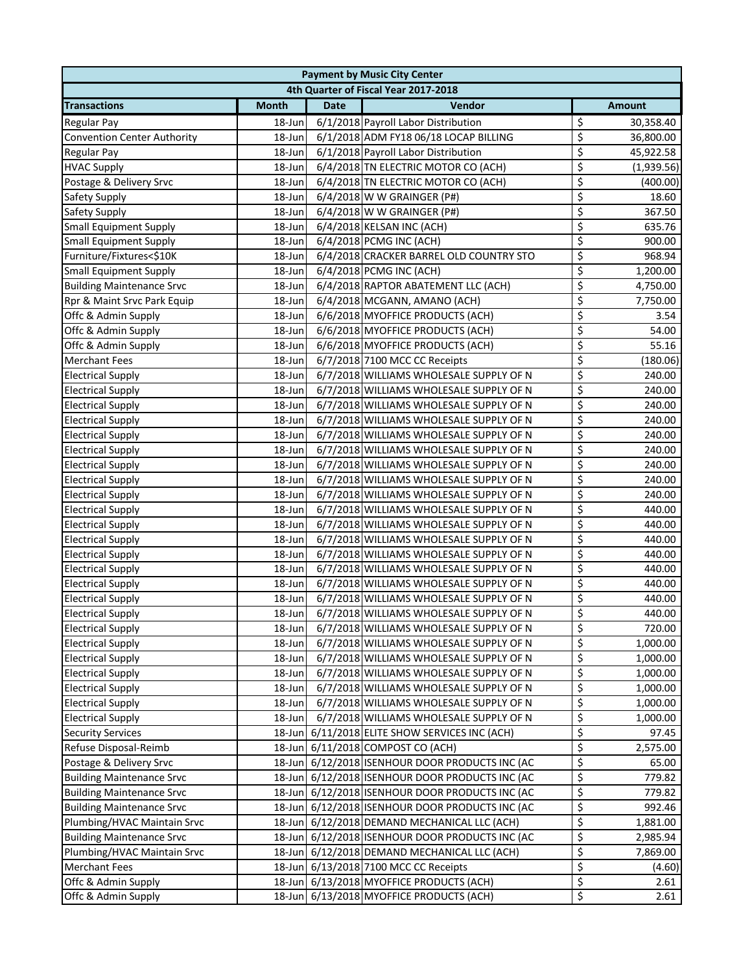| 4th Quarter of Fiscal Year 2017-2018<br>Vendor<br><b>Month</b><br><b>Date</b><br><b>Amount</b><br>\$<br>6/1/2018 Payroll Labor Distribution<br><b>Regular Pay</b><br>18-Jun<br>30,358.40<br>\$<br>6/1/2018 ADM FY18 06/18 LOCAP BILLING<br><b>Convention Center Authority</b><br>36,800.00<br>18-Jun<br>\$<br>6/1/2018 Payroll Labor Distribution<br>18-Jun<br>45,922.58<br><b>Regular Pay</b><br>\$<br>6/4/2018 TN ELECTRIC MOTOR CO (ACH)<br><b>HVAC Supply</b><br>18-Jun<br>(1,939.56)<br>\$<br>6/4/2018 TN ELECTRIC MOTOR CO (ACH)<br>Postage & Delivery Srvc<br>18-Jun<br>(400.00)<br>\$<br>6/4/2018 W W GRAINGER (P#)<br>18.60<br>Safety Supply<br>18-Jun<br>\$<br>6/4/2018 W W GRAINGER (P#)<br>367.50<br>Safety Supply<br>18-Jun<br>\$<br><b>Small Equipment Supply</b><br>6/4/2018 KELSAN INC (ACH)<br>635.76<br>18-Jun<br>\$<br>6/4/2018 PCMG INC (ACH)<br>900.00<br><b>Small Equipment Supply</b><br>18-Jun<br>\$<br>Furniture/Fixtures<\$10K<br>6/4/2018 CRACKER BARREL OLD COUNTRY STO<br>968.94<br>18-Jun<br>\$<br>6/4/2018 PCMG INC (ACH)<br><b>Small Equipment Supply</b><br>18-Jun<br>1,200.00<br>\$<br><b>Building Maintenance Srvc</b><br>18-Jun<br>6/4/2018 RAPTOR ABATEMENT LLC (ACH)<br>4,750.00<br>\$<br>Rpr & Maint Srvc Park Equip<br>6/4/2018 MCGANN, AMANO (ACH)<br>7,750.00<br>18-Jun<br>\$<br>6/6/2018 MYOFFICE PRODUCTS (ACH)<br>Offc & Admin Supply<br>18-Jun<br>3.54<br>\$<br>6/6/2018 MYOFFICE PRODUCTS (ACH)<br>Offc & Admin Supply<br>18-Jun<br>54.00<br>\$<br>55.16<br>Offc & Admin Supply<br>18-Jun<br>6/6/2018 MYOFFICE PRODUCTS (ACH)<br>\$<br>6/7/2018 7100 MCC CC Receipts<br>18-Jun<br>(180.06)<br>\$<br>6/7/2018 WILLIAMS WHOLESALE SUPPLY OF N<br><b>Electrical Supply</b><br>18-Jun<br>240.00<br>$\overline{\varsigma}$<br><b>Electrical Supply</b><br>18-Jun<br>6/7/2018 WILLIAMS WHOLESALE SUPPLY OF N<br>240.00<br>$\overline{\xi}$<br><b>Electrical Supply</b><br>6/7/2018 WILLIAMS WHOLESALE SUPPLY OF N<br>240.00<br>18-Jun<br>$\overline{\xi}$<br><b>Electrical Supply</b><br>6/7/2018 WILLIAMS WHOLESALE SUPPLY OF N<br>240.00<br>18-Jun<br>\$<br><b>Electrical Supply</b><br>6/7/2018 WILLIAMS WHOLESALE SUPPLY OF N<br>240.00<br>18-Jun<br>\$<br><b>Electrical Supply</b><br>6/7/2018 WILLIAMS WHOLESALE SUPPLY OF N<br>240.00<br>18-Jun<br>$\overline{\xi}$<br><b>Electrical Supply</b><br>6/7/2018 WILLIAMS WHOLESALE SUPPLY OF N<br>240.00<br>18-Jun<br>\$<br>6/7/2018 WILLIAMS WHOLESALE SUPPLY OF N<br>240.00<br><b>Electrical Supply</b><br>18-Jun<br>\$<br>6/7/2018 WILLIAMS WHOLESALE SUPPLY OF N<br>240.00<br><b>Electrical Supply</b><br>18-Jun<br>\$<br>6/7/2018 WILLIAMS WHOLESALE SUPPLY OF N<br>440.00<br><b>Electrical Supply</b><br>18-Jun<br>\$<br>6/7/2018 WILLIAMS WHOLESALE SUPPLY OF N<br>440.00<br><b>Electrical Supply</b><br>18-Jun<br>\$<br>6/7/2018 WILLIAMS WHOLESALE SUPPLY OF N<br><b>Electrical Supply</b><br>18-Jun<br>440.00<br>\$<br>6/7/2018 WILLIAMS WHOLESALE SUPPLY OF N<br>440.00<br><b>Electrical Supply</b><br>18-Jun<br>\$<br>6/7/2018 WILLIAMS WHOLESALE SUPPLY OF N<br><b>Electrical Supply</b><br>18-Jun<br>440.00<br>\$<br><b>Electrical Supply</b><br>6/7/2018 WILLIAMS WHOLESALE SUPPLY OF N<br>440.00<br>18-Jun<br>\$<br><b>Electrical Supply</b><br>6/7/2018 WILLIAMS WHOLESALE SUPPLY OF N<br>440.00<br>18-Jun<br>$\overline{\mathsf{S}}$<br>6/7/2018 WILLIAMS WHOLESALE SUPPLY OF N<br>440.00<br><b>Electrical Supply</b><br>18-Jun<br>\$<br><b>Electrical Supply</b><br>18-Jun<br>6/7/2018 WILLIAMS WHOLESALE SUPPLY OF N<br>720.00<br>\$<br><b>Electrical Supply</b><br>6/7/2018 WILLIAMS WHOLESALE SUPPLY OF N<br>1,000.00<br>18-Jun<br>\$<br><b>Electrical Supply</b><br>18-Jun<br>6/7/2018 WILLIAMS WHOLESALE SUPPLY OF N<br>1,000.00<br>\$<br><b>Electrical Supply</b><br>18-Jun<br>6/7/2018 WILLIAMS WHOLESALE SUPPLY OF N<br>1,000.00<br>\$<br><b>Electrical Supply</b><br>6/7/2018 WILLIAMS WHOLESALE SUPPLY OF N<br>18-Jun<br>1,000.00<br>\$<br><b>Electrical Supply</b><br>18-Jun<br>6/7/2018 WILLIAMS WHOLESALE SUPPLY OF N<br>1,000.00<br>\$<br><b>Electrical Supply</b><br>18-Jun<br>6/7/2018 WILLIAMS WHOLESALE SUPPLY OF N<br>1,000.00<br>\$<br><b>Security Services</b><br>6/11/2018 ELITE SHOW SERVICES INC (ACH)<br>97.45<br>18-Jun<br>\$<br>Refuse Disposal-Reimb<br>18-Jun 6/11/2018 COMPOST CO (ACH)<br>2,575.00<br>\$<br>Postage & Delivery Srvc<br>18-Jun 6/12/2018 ISENHOUR DOOR PRODUCTS INC (AC<br>65.00<br>\$<br><b>Building Maintenance Srvc</b><br>18-Jun 6/12/2018 ISENHOUR DOOR PRODUCTS INC (AC<br>779.82<br>\$<br><b>Building Maintenance Srvc</b><br>18-Jun 6/12/2018 ISENHOUR DOOR PRODUCTS INC (AC<br>779.82<br>\$<br><b>Building Maintenance Srvc</b><br>18-Jun 6/12/2018 ISENHOUR DOOR PRODUCTS INC (AC<br>992.46<br>\$<br>Plumbing/HVAC Maintain Srvc<br>18-Jun 6/12/2018 DEMAND MECHANICAL LLC (ACH)<br>1,881.00<br>\$<br><b>Building Maintenance Srvc</b><br>18-Jun 6/12/2018 ISENHOUR DOOR PRODUCTS INC (AC<br>2,985.94<br>\$<br>Plumbing/HVAC Maintain Srvc<br>18-Jun 6/12/2018 DEMAND MECHANICAL LLC (ACH)<br>7,869.00<br>\$<br>18-Jun 6/13/2018 7100 MCC CC Receipts<br><b>Merchant Fees</b><br>(4.60)<br>\$<br>Offc & Admin Supply<br>18-Jun 6/13/2018 MYOFFICE PRODUCTS (ACH)<br>2.61 | <b>Payment by Music City Center</b> |  |  |  |    |  |  |
|-------------------------------------------------------------------------------------------------------------------------------------------------------------------------------------------------------------------------------------------------------------------------------------------------------------------------------------------------------------------------------------------------------------------------------------------------------------------------------------------------------------------------------------------------------------------------------------------------------------------------------------------------------------------------------------------------------------------------------------------------------------------------------------------------------------------------------------------------------------------------------------------------------------------------------------------------------------------------------------------------------------------------------------------------------------------------------------------------------------------------------------------------------------------------------------------------------------------------------------------------------------------------------------------------------------------------------------------------------------------------------------------------------------------------------------------------------------------------------------------------------------------------------------------------------------------------------------------------------------------------------------------------------------------------------------------------------------------------------------------------------------------------------------------------------------------------------------------------------------------------------------------------------------------------------------------------------------------------------------------------------------------------------------------------------------------------------------------------------------------------------------------------------------------------------------------------------------------------------------------------------------------------------------------------------------------------------------------------------------------------------------------------------------------------------------------------------------------------------------------------------------------------------------------------------------------------------------------------------------------------------------------------------------------------------------------------------------------------------------------------------------------------------------------------------------------------------------------------------------------------------------------------------------------------------------------------------------------------------------------------------------------------------------------------------------------------------------------------------------------------------------------------------------------------------------------------------------------------------------------------------------------------------------------------------------------------------------------------------------------------------------------------------------------------------------------------------------------------------------------------------------------------------------------------------------------------------------------------------------------------------------------------------------------------------------------------------------------------------------------------------------------------------------------------------------------------------------------------------------------------------------------------------------------------------------------------------------------------------------------------------------------------------------------------------------------------------------------------------------------------------------------------------------------------------------------------------------------------------------------------------------------------------------------------------------------------------------------------------------------------------------------------------------------------------------------------------------------------------------------------------------------------------------------------------------------------------------------------------------------------------------------------------------------------------------------------------------------------------------------------------------------------------------------------------------------------------------------------------------------------------------------------------------------------------------------------------------------------------------------------------------------------------------------------------------------------------------------------------------------------------------------------------------------------------------------------------------------------------------------------|-------------------------------------|--|--|--|----|--|--|
|                                                                                                                                                                                                                                                                                                                                                                                                                                                                                                                                                                                                                                                                                                                                                                                                                                                                                                                                                                                                                                                                                                                                                                                                                                                                                                                                                                                                                                                                                                                                                                                                                                                                                                                                                                                                                                                                                                                                                                                                                                                                                                                                                                                                                                                                                                                                                                                                                                                                                                                                                                                                                                                                                                                                                                                                                                                                                                                                                                                                                                                                                                                                                                                                                                                                                                                                                                                                                                                                                                                                                                                                                                                                                                                                                                                                                                                                                                                                                                                                                                                                                                                                                                                                                                                                                                                                                                                                                                                                                                                                                                                                                                                                                                                                                                                                                                                                                                                                                                                                                                                                                                                                                                                                                                                 |                                     |  |  |  |    |  |  |
|                                                                                                                                                                                                                                                                                                                                                                                                                                                                                                                                                                                                                                                                                                                                                                                                                                                                                                                                                                                                                                                                                                                                                                                                                                                                                                                                                                                                                                                                                                                                                                                                                                                                                                                                                                                                                                                                                                                                                                                                                                                                                                                                                                                                                                                                                                                                                                                                                                                                                                                                                                                                                                                                                                                                                                                                                                                                                                                                                                                                                                                                                                                                                                                                                                                                                                                                                                                                                                                                                                                                                                                                                                                                                                                                                                                                                                                                                                                                                                                                                                                                                                                                                                                                                                                                                                                                                                                                                                                                                                                                                                                                                                                                                                                                                                                                                                                                                                                                                                                                                                                                                                                                                                                                                                                 | <b>Transactions</b>                 |  |  |  |    |  |  |
|                                                                                                                                                                                                                                                                                                                                                                                                                                                                                                                                                                                                                                                                                                                                                                                                                                                                                                                                                                                                                                                                                                                                                                                                                                                                                                                                                                                                                                                                                                                                                                                                                                                                                                                                                                                                                                                                                                                                                                                                                                                                                                                                                                                                                                                                                                                                                                                                                                                                                                                                                                                                                                                                                                                                                                                                                                                                                                                                                                                                                                                                                                                                                                                                                                                                                                                                                                                                                                                                                                                                                                                                                                                                                                                                                                                                                                                                                                                                                                                                                                                                                                                                                                                                                                                                                                                                                                                                                                                                                                                                                                                                                                                                                                                                                                                                                                                                                                                                                                                                                                                                                                                                                                                                                                                 |                                     |  |  |  |    |  |  |
|                                                                                                                                                                                                                                                                                                                                                                                                                                                                                                                                                                                                                                                                                                                                                                                                                                                                                                                                                                                                                                                                                                                                                                                                                                                                                                                                                                                                                                                                                                                                                                                                                                                                                                                                                                                                                                                                                                                                                                                                                                                                                                                                                                                                                                                                                                                                                                                                                                                                                                                                                                                                                                                                                                                                                                                                                                                                                                                                                                                                                                                                                                                                                                                                                                                                                                                                                                                                                                                                                                                                                                                                                                                                                                                                                                                                                                                                                                                                                                                                                                                                                                                                                                                                                                                                                                                                                                                                                                                                                                                                                                                                                                                                                                                                                                                                                                                                                                                                                                                                                                                                                                                                                                                                                                                 |                                     |  |  |  |    |  |  |
|                                                                                                                                                                                                                                                                                                                                                                                                                                                                                                                                                                                                                                                                                                                                                                                                                                                                                                                                                                                                                                                                                                                                                                                                                                                                                                                                                                                                                                                                                                                                                                                                                                                                                                                                                                                                                                                                                                                                                                                                                                                                                                                                                                                                                                                                                                                                                                                                                                                                                                                                                                                                                                                                                                                                                                                                                                                                                                                                                                                                                                                                                                                                                                                                                                                                                                                                                                                                                                                                                                                                                                                                                                                                                                                                                                                                                                                                                                                                                                                                                                                                                                                                                                                                                                                                                                                                                                                                                                                                                                                                                                                                                                                                                                                                                                                                                                                                                                                                                                                                                                                                                                                                                                                                                                                 |                                     |  |  |  |    |  |  |
|                                                                                                                                                                                                                                                                                                                                                                                                                                                                                                                                                                                                                                                                                                                                                                                                                                                                                                                                                                                                                                                                                                                                                                                                                                                                                                                                                                                                                                                                                                                                                                                                                                                                                                                                                                                                                                                                                                                                                                                                                                                                                                                                                                                                                                                                                                                                                                                                                                                                                                                                                                                                                                                                                                                                                                                                                                                                                                                                                                                                                                                                                                                                                                                                                                                                                                                                                                                                                                                                                                                                                                                                                                                                                                                                                                                                                                                                                                                                                                                                                                                                                                                                                                                                                                                                                                                                                                                                                                                                                                                                                                                                                                                                                                                                                                                                                                                                                                                                                                                                                                                                                                                                                                                                                                                 |                                     |  |  |  |    |  |  |
|                                                                                                                                                                                                                                                                                                                                                                                                                                                                                                                                                                                                                                                                                                                                                                                                                                                                                                                                                                                                                                                                                                                                                                                                                                                                                                                                                                                                                                                                                                                                                                                                                                                                                                                                                                                                                                                                                                                                                                                                                                                                                                                                                                                                                                                                                                                                                                                                                                                                                                                                                                                                                                                                                                                                                                                                                                                                                                                                                                                                                                                                                                                                                                                                                                                                                                                                                                                                                                                                                                                                                                                                                                                                                                                                                                                                                                                                                                                                                                                                                                                                                                                                                                                                                                                                                                                                                                                                                                                                                                                                                                                                                                                                                                                                                                                                                                                                                                                                                                                                                                                                                                                                                                                                                                                 |                                     |  |  |  |    |  |  |
|                                                                                                                                                                                                                                                                                                                                                                                                                                                                                                                                                                                                                                                                                                                                                                                                                                                                                                                                                                                                                                                                                                                                                                                                                                                                                                                                                                                                                                                                                                                                                                                                                                                                                                                                                                                                                                                                                                                                                                                                                                                                                                                                                                                                                                                                                                                                                                                                                                                                                                                                                                                                                                                                                                                                                                                                                                                                                                                                                                                                                                                                                                                                                                                                                                                                                                                                                                                                                                                                                                                                                                                                                                                                                                                                                                                                                                                                                                                                                                                                                                                                                                                                                                                                                                                                                                                                                                                                                                                                                                                                                                                                                                                                                                                                                                                                                                                                                                                                                                                                                                                                                                                                                                                                                                                 |                                     |  |  |  |    |  |  |
|                                                                                                                                                                                                                                                                                                                                                                                                                                                                                                                                                                                                                                                                                                                                                                                                                                                                                                                                                                                                                                                                                                                                                                                                                                                                                                                                                                                                                                                                                                                                                                                                                                                                                                                                                                                                                                                                                                                                                                                                                                                                                                                                                                                                                                                                                                                                                                                                                                                                                                                                                                                                                                                                                                                                                                                                                                                                                                                                                                                                                                                                                                                                                                                                                                                                                                                                                                                                                                                                                                                                                                                                                                                                                                                                                                                                                                                                                                                                                                                                                                                                                                                                                                                                                                                                                                                                                                                                                                                                                                                                                                                                                                                                                                                                                                                                                                                                                                                                                                                                                                                                                                                                                                                                                                                 |                                     |  |  |  |    |  |  |
|                                                                                                                                                                                                                                                                                                                                                                                                                                                                                                                                                                                                                                                                                                                                                                                                                                                                                                                                                                                                                                                                                                                                                                                                                                                                                                                                                                                                                                                                                                                                                                                                                                                                                                                                                                                                                                                                                                                                                                                                                                                                                                                                                                                                                                                                                                                                                                                                                                                                                                                                                                                                                                                                                                                                                                                                                                                                                                                                                                                                                                                                                                                                                                                                                                                                                                                                                                                                                                                                                                                                                                                                                                                                                                                                                                                                                                                                                                                                                                                                                                                                                                                                                                                                                                                                                                                                                                                                                                                                                                                                                                                                                                                                                                                                                                                                                                                                                                                                                                                                                                                                                                                                                                                                                                                 |                                     |  |  |  |    |  |  |
|                                                                                                                                                                                                                                                                                                                                                                                                                                                                                                                                                                                                                                                                                                                                                                                                                                                                                                                                                                                                                                                                                                                                                                                                                                                                                                                                                                                                                                                                                                                                                                                                                                                                                                                                                                                                                                                                                                                                                                                                                                                                                                                                                                                                                                                                                                                                                                                                                                                                                                                                                                                                                                                                                                                                                                                                                                                                                                                                                                                                                                                                                                                                                                                                                                                                                                                                                                                                                                                                                                                                                                                                                                                                                                                                                                                                                                                                                                                                                                                                                                                                                                                                                                                                                                                                                                                                                                                                                                                                                                                                                                                                                                                                                                                                                                                                                                                                                                                                                                                                                                                                                                                                                                                                                                                 |                                     |  |  |  |    |  |  |
|                                                                                                                                                                                                                                                                                                                                                                                                                                                                                                                                                                                                                                                                                                                                                                                                                                                                                                                                                                                                                                                                                                                                                                                                                                                                                                                                                                                                                                                                                                                                                                                                                                                                                                                                                                                                                                                                                                                                                                                                                                                                                                                                                                                                                                                                                                                                                                                                                                                                                                                                                                                                                                                                                                                                                                                                                                                                                                                                                                                                                                                                                                                                                                                                                                                                                                                                                                                                                                                                                                                                                                                                                                                                                                                                                                                                                                                                                                                                                                                                                                                                                                                                                                                                                                                                                                                                                                                                                                                                                                                                                                                                                                                                                                                                                                                                                                                                                                                                                                                                                                                                                                                                                                                                                                                 |                                     |  |  |  |    |  |  |
|                                                                                                                                                                                                                                                                                                                                                                                                                                                                                                                                                                                                                                                                                                                                                                                                                                                                                                                                                                                                                                                                                                                                                                                                                                                                                                                                                                                                                                                                                                                                                                                                                                                                                                                                                                                                                                                                                                                                                                                                                                                                                                                                                                                                                                                                                                                                                                                                                                                                                                                                                                                                                                                                                                                                                                                                                                                                                                                                                                                                                                                                                                                                                                                                                                                                                                                                                                                                                                                                                                                                                                                                                                                                                                                                                                                                                                                                                                                                                                                                                                                                                                                                                                                                                                                                                                                                                                                                                                                                                                                                                                                                                                                                                                                                                                                                                                                                                                                                                                                                                                                                                                                                                                                                                                                 |                                     |  |  |  |    |  |  |
|                                                                                                                                                                                                                                                                                                                                                                                                                                                                                                                                                                                                                                                                                                                                                                                                                                                                                                                                                                                                                                                                                                                                                                                                                                                                                                                                                                                                                                                                                                                                                                                                                                                                                                                                                                                                                                                                                                                                                                                                                                                                                                                                                                                                                                                                                                                                                                                                                                                                                                                                                                                                                                                                                                                                                                                                                                                                                                                                                                                                                                                                                                                                                                                                                                                                                                                                                                                                                                                                                                                                                                                                                                                                                                                                                                                                                                                                                                                                                                                                                                                                                                                                                                                                                                                                                                                                                                                                                                                                                                                                                                                                                                                                                                                                                                                                                                                                                                                                                                                                                                                                                                                                                                                                                                                 |                                     |  |  |  |    |  |  |
|                                                                                                                                                                                                                                                                                                                                                                                                                                                                                                                                                                                                                                                                                                                                                                                                                                                                                                                                                                                                                                                                                                                                                                                                                                                                                                                                                                                                                                                                                                                                                                                                                                                                                                                                                                                                                                                                                                                                                                                                                                                                                                                                                                                                                                                                                                                                                                                                                                                                                                                                                                                                                                                                                                                                                                                                                                                                                                                                                                                                                                                                                                                                                                                                                                                                                                                                                                                                                                                                                                                                                                                                                                                                                                                                                                                                                                                                                                                                                                                                                                                                                                                                                                                                                                                                                                                                                                                                                                                                                                                                                                                                                                                                                                                                                                                                                                                                                                                                                                                                                                                                                                                                                                                                                                                 |                                     |  |  |  |    |  |  |
|                                                                                                                                                                                                                                                                                                                                                                                                                                                                                                                                                                                                                                                                                                                                                                                                                                                                                                                                                                                                                                                                                                                                                                                                                                                                                                                                                                                                                                                                                                                                                                                                                                                                                                                                                                                                                                                                                                                                                                                                                                                                                                                                                                                                                                                                                                                                                                                                                                                                                                                                                                                                                                                                                                                                                                                                                                                                                                                                                                                                                                                                                                                                                                                                                                                                                                                                                                                                                                                                                                                                                                                                                                                                                                                                                                                                                                                                                                                                                                                                                                                                                                                                                                                                                                                                                                                                                                                                                                                                                                                                                                                                                                                                                                                                                                                                                                                                                                                                                                                                                                                                                                                                                                                                                                                 |                                     |  |  |  |    |  |  |
|                                                                                                                                                                                                                                                                                                                                                                                                                                                                                                                                                                                                                                                                                                                                                                                                                                                                                                                                                                                                                                                                                                                                                                                                                                                                                                                                                                                                                                                                                                                                                                                                                                                                                                                                                                                                                                                                                                                                                                                                                                                                                                                                                                                                                                                                                                                                                                                                                                                                                                                                                                                                                                                                                                                                                                                                                                                                                                                                                                                                                                                                                                                                                                                                                                                                                                                                                                                                                                                                                                                                                                                                                                                                                                                                                                                                                                                                                                                                                                                                                                                                                                                                                                                                                                                                                                                                                                                                                                                                                                                                                                                                                                                                                                                                                                                                                                                                                                                                                                                                                                                                                                                                                                                                                                                 |                                     |  |  |  |    |  |  |
|                                                                                                                                                                                                                                                                                                                                                                                                                                                                                                                                                                                                                                                                                                                                                                                                                                                                                                                                                                                                                                                                                                                                                                                                                                                                                                                                                                                                                                                                                                                                                                                                                                                                                                                                                                                                                                                                                                                                                                                                                                                                                                                                                                                                                                                                                                                                                                                                                                                                                                                                                                                                                                                                                                                                                                                                                                                                                                                                                                                                                                                                                                                                                                                                                                                                                                                                                                                                                                                                                                                                                                                                                                                                                                                                                                                                                                                                                                                                                                                                                                                                                                                                                                                                                                                                                                                                                                                                                                                                                                                                                                                                                                                                                                                                                                                                                                                                                                                                                                                                                                                                                                                                                                                                                                                 |                                     |  |  |  |    |  |  |
|                                                                                                                                                                                                                                                                                                                                                                                                                                                                                                                                                                                                                                                                                                                                                                                                                                                                                                                                                                                                                                                                                                                                                                                                                                                                                                                                                                                                                                                                                                                                                                                                                                                                                                                                                                                                                                                                                                                                                                                                                                                                                                                                                                                                                                                                                                                                                                                                                                                                                                                                                                                                                                                                                                                                                                                                                                                                                                                                                                                                                                                                                                                                                                                                                                                                                                                                                                                                                                                                                                                                                                                                                                                                                                                                                                                                                                                                                                                                                                                                                                                                                                                                                                                                                                                                                                                                                                                                                                                                                                                                                                                                                                                                                                                                                                                                                                                                                                                                                                                                                                                                                                                                                                                                                                                 | <b>Merchant Fees</b>                |  |  |  |    |  |  |
|                                                                                                                                                                                                                                                                                                                                                                                                                                                                                                                                                                                                                                                                                                                                                                                                                                                                                                                                                                                                                                                                                                                                                                                                                                                                                                                                                                                                                                                                                                                                                                                                                                                                                                                                                                                                                                                                                                                                                                                                                                                                                                                                                                                                                                                                                                                                                                                                                                                                                                                                                                                                                                                                                                                                                                                                                                                                                                                                                                                                                                                                                                                                                                                                                                                                                                                                                                                                                                                                                                                                                                                                                                                                                                                                                                                                                                                                                                                                                                                                                                                                                                                                                                                                                                                                                                                                                                                                                                                                                                                                                                                                                                                                                                                                                                                                                                                                                                                                                                                                                                                                                                                                                                                                                                                 |                                     |  |  |  |    |  |  |
|                                                                                                                                                                                                                                                                                                                                                                                                                                                                                                                                                                                                                                                                                                                                                                                                                                                                                                                                                                                                                                                                                                                                                                                                                                                                                                                                                                                                                                                                                                                                                                                                                                                                                                                                                                                                                                                                                                                                                                                                                                                                                                                                                                                                                                                                                                                                                                                                                                                                                                                                                                                                                                                                                                                                                                                                                                                                                                                                                                                                                                                                                                                                                                                                                                                                                                                                                                                                                                                                                                                                                                                                                                                                                                                                                                                                                                                                                                                                                                                                                                                                                                                                                                                                                                                                                                                                                                                                                                                                                                                                                                                                                                                                                                                                                                                                                                                                                                                                                                                                                                                                                                                                                                                                                                                 |                                     |  |  |  |    |  |  |
|                                                                                                                                                                                                                                                                                                                                                                                                                                                                                                                                                                                                                                                                                                                                                                                                                                                                                                                                                                                                                                                                                                                                                                                                                                                                                                                                                                                                                                                                                                                                                                                                                                                                                                                                                                                                                                                                                                                                                                                                                                                                                                                                                                                                                                                                                                                                                                                                                                                                                                                                                                                                                                                                                                                                                                                                                                                                                                                                                                                                                                                                                                                                                                                                                                                                                                                                                                                                                                                                                                                                                                                                                                                                                                                                                                                                                                                                                                                                                                                                                                                                                                                                                                                                                                                                                                                                                                                                                                                                                                                                                                                                                                                                                                                                                                                                                                                                                                                                                                                                                                                                                                                                                                                                                                                 |                                     |  |  |  |    |  |  |
|                                                                                                                                                                                                                                                                                                                                                                                                                                                                                                                                                                                                                                                                                                                                                                                                                                                                                                                                                                                                                                                                                                                                                                                                                                                                                                                                                                                                                                                                                                                                                                                                                                                                                                                                                                                                                                                                                                                                                                                                                                                                                                                                                                                                                                                                                                                                                                                                                                                                                                                                                                                                                                                                                                                                                                                                                                                                                                                                                                                                                                                                                                                                                                                                                                                                                                                                                                                                                                                                                                                                                                                                                                                                                                                                                                                                                                                                                                                                                                                                                                                                                                                                                                                                                                                                                                                                                                                                                                                                                                                                                                                                                                                                                                                                                                                                                                                                                                                                                                                                                                                                                                                                                                                                                                                 |                                     |  |  |  |    |  |  |
|                                                                                                                                                                                                                                                                                                                                                                                                                                                                                                                                                                                                                                                                                                                                                                                                                                                                                                                                                                                                                                                                                                                                                                                                                                                                                                                                                                                                                                                                                                                                                                                                                                                                                                                                                                                                                                                                                                                                                                                                                                                                                                                                                                                                                                                                                                                                                                                                                                                                                                                                                                                                                                                                                                                                                                                                                                                                                                                                                                                                                                                                                                                                                                                                                                                                                                                                                                                                                                                                                                                                                                                                                                                                                                                                                                                                                                                                                                                                                                                                                                                                                                                                                                                                                                                                                                                                                                                                                                                                                                                                                                                                                                                                                                                                                                                                                                                                                                                                                                                                                                                                                                                                                                                                                                                 |                                     |  |  |  |    |  |  |
|                                                                                                                                                                                                                                                                                                                                                                                                                                                                                                                                                                                                                                                                                                                                                                                                                                                                                                                                                                                                                                                                                                                                                                                                                                                                                                                                                                                                                                                                                                                                                                                                                                                                                                                                                                                                                                                                                                                                                                                                                                                                                                                                                                                                                                                                                                                                                                                                                                                                                                                                                                                                                                                                                                                                                                                                                                                                                                                                                                                                                                                                                                                                                                                                                                                                                                                                                                                                                                                                                                                                                                                                                                                                                                                                                                                                                                                                                                                                                                                                                                                                                                                                                                                                                                                                                                                                                                                                                                                                                                                                                                                                                                                                                                                                                                                                                                                                                                                                                                                                                                                                                                                                                                                                                                                 |                                     |  |  |  |    |  |  |
|                                                                                                                                                                                                                                                                                                                                                                                                                                                                                                                                                                                                                                                                                                                                                                                                                                                                                                                                                                                                                                                                                                                                                                                                                                                                                                                                                                                                                                                                                                                                                                                                                                                                                                                                                                                                                                                                                                                                                                                                                                                                                                                                                                                                                                                                                                                                                                                                                                                                                                                                                                                                                                                                                                                                                                                                                                                                                                                                                                                                                                                                                                                                                                                                                                                                                                                                                                                                                                                                                                                                                                                                                                                                                                                                                                                                                                                                                                                                                                                                                                                                                                                                                                                                                                                                                                                                                                                                                                                                                                                                                                                                                                                                                                                                                                                                                                                                                                                                                                                                                                                                                                                                                                                                                                                 |                                     |  |  |  |    |  |  |
|                                                                                                                                                                                                                                                                                                                                                                                                                                                                                                                                                                                                                                                                                                                                                                                                                                                                                                                                                                                                                                                                                                                                                                                                                                                                                                                                                                                                                                                                                                                                                                                                                                                                                                                                                                                                                                                                                                                                                                                                                                                                                                                                                                                                                                                                                                                                                                                                                                                                                                                                                                                                                                                                                                                                                                                                                                                                                                                                                                                                                                                                                                                                                                                                                                                                                                                                                                                                                                                                                                                                                                                                                                                                                                                                                                                                                                                                                                                                                                                                                                                                                                                                                                                                                                                                                                                                                                                                                                                                                                                                                                                                                                                                                                                                                                                                                                                                                                                                                                                                                                                                                                                                                                                                                                                 |                                     |  |  |  |    |  |  |
|                                                                                                                                                                                                                                                                                                                                                                                                                                                                                                                                                                                                                                                                                                                                                                                                                                                                                                                                                                                                                                                                                                                                                                                                                                                                                                                                                                                                                                                                                                                                                                                                                                                                                                                                                                                                                                                                                                                                                                                                                                                                                                                                                                                                                                                                                                                                                                                                                                                                                                                                                                                                                                                                                                                                                                                                                                                                                                                                                                                                                                                                                                                                                                                                                                                                                                                                                                                                                                                                                                                                                                                                                                                                                                                                                                                                                                                                                                                                                                                                                                                                                                                                                                                                                                                                                                                                                                                                                                                                                                                                                                                                                                                                                                                                                                                                                                                                                                                                                                                                                                                                                                                                                                                                                                                 |                                     |  |  |  |    |  |  |
|                                                                                                                                                                                                                                                                                                                                                                                                                                                                                                                                                                                                                                                                                                                                                                                                                                                                                                                                                                                                                                                                                                                                                                                                                                                                                                                                                                                                                                                                                                                                                                                                                                                                                                                                                                                                                                                                                                                                                                                                                                                                                                                                                                                                                                                                                                                                                                                                                                                                                                                                                                                                                                                                                                                                                                                                                                                                                                                                                                                                                                                                                                                                                                                                                                                                                                                                                                                                                                                                                                                                                                                                                                                                                                                                                                                                                                                                                                                                                                                                                                                                                                                                                                                                                                                                                                                                                                                                                                                                                                                                                                                                                                                                                                                                                                                                                                                                                                                                                                                                                                                                                                                                                                                                                                                 |                                     |  |  |  |    |  |  |
|                                                                                                                                                                                                                                                                                                                                                                                                                                                                                                                                                                                                                                                                                                                                                                                                                                                                                                                                                                                                                                                                                                                                                                                                                                                                                                                                                                                                                                                                                                                                                                                                                                                                                                                                                                                                                                                                                                                                                                                                                                                                                                                                                                                                                                                                                                                                                                                                                                                                                                                                                                                                                                                                                                                                                                                                                                                                                                                                                                                                                                                                                                                                                                                                                                                                                                                                                                                                                                                                                                                                                                                                                                                                                                                                                                                                                                                                                                                                                                                                                                                                                                                                                                                                                                                                                                                                                                                                                                                                                                                                                                                                                                                                                                                                                                                                                                                                                                                                                                                                                                                                                                                                                                                                                                                 |                                     |  |  |  |    |  |  |
|                                                                                                                                                                                                                                                                                                                                                                                                                                                                                                                                                                                                                                                                                                                                                                                                                                                                                                                                                                                                                                                                                                                                                                                                                                                                                                                                                                                                                                                                                                                                                                                                                                                                                                                                                                                                                                                                                                                                                                                                                                                                                                                                                                                                                                                                                                                                                                                                                                                                                                                                                                                                                                                                                                                                                                                                                                                                                                                                                                                                                                                                                                                                                                                                                                                                                                                                                                                                                                                                                                                                                                                                                                                                                                                                                                                                                                                                                                                                                                                                                                                                                                                                                                                                                                                                                                                                                                                                                                                                                                                                                                                                                                                                                                                                                                                                                                                                                                                                                                                                                                                                                                                                                                                                                                                 |                                     |  |  |  |    |  |  |
|                                                                                                                                                                                                                                                                                                                                                                                                                                                                                                                                                                                                                                                                                                                                                                                                                                                                                                                                                                                                                                                                                                                                                                                                                                                                                                                                                                                                                                                                                                                                                                                                                                                                                                                                                                                                                                                                                                                                                                                                                                                                                                                                                                                                                                                                                                                                                                                                                                                                                                                                                                                                                                                                                                                                                                                                                                                                                                                                                                                                                                                                                                                                                                                                                                                                                                                                                                                                                                                                                                                                                                                                                                                                                                                                                                                                                                                                                                                                                                                                                                                                                                                                                                                                                                                                                                                                                                                                                                                                                                                                                                                                                                                                                                                                                                                                                                                                                                                                                                                                                                                                                                                                                                                                                                                 |                                     |  |  |  |    |  |  |
|                                                                                                                                                                                                                                                                                                                                                                                                                                                                                                                                                                                                                                                                                                                                                                                                                                                                                                                                                                                                                                                                                                                                                                                                                                                                                                                                                                                                                                                                                                                                                                                                                                                                                                                                                                                                                                                                                                                                                                                                                                                                                                                                                                                                                                                                                                                                                                                                                                                                                                                                                                                                                                                                                                                                                                                                                                                                                                                                                                                                                                                                                                                                                                                                                                                                                                                                                                                                                                                                                                                                                                                                                                                                                                                                                                                                                                                                                                                                                                                                                                                                                                                                                                                                                                                                                                                                                                                                                                                                                                                                                                                                                                                                                                                                                                                                                                                                                                                                                                                                                                                                                                                                                                                                                                                 |                                     |  |  |  |    |  |  |
|                                                                                                                                                                                                                                                                                                                                                                                                                                                                                                                                                                                                                                                                                                                                                                                                                                                                                                                                                                                                                                                                                                                                                                                                                                                                                                                                                                                                                                                                                                                                                                                                                                                                                                                                                                                                                                                                                                                                                                                                                                                                                                                                                                                                                                                                                                                                                                                                                                                                                                                                                                                                                                                                                                                                                                                                                                                                                                                                                                                                                                                                                                                                                                                                                                                                                                                                                                                                                                                                                                                                                                                                                                                                                                                                                                                                                                                                                                                                                                                                                                                                                                                                                                                                                                                                                                                                                                                                                                                                                                                                                                                                                                                                                                                                                                                                                                                                                                                                                                                                                                                                                                                                                                                                                                                 |                                     |  |  |  |    |  |  |
|                                                                                                                                                                                                                                                                                                                                                                                                                                                                                                                                                                                                                                                                                                                                                                                                                                                                                                                                                                                                                                                                                                                                                                                                                                                                                                                                                                                                                                                                                                                                                                                                                                                                                                                                                                                                                                                                                                                                                                                                                                                                                                                                                                                                                                                                                                                                                                                                                                                                                                                                                                                                                                                                                                                                                                                                                                                                                                                                                                                                                                                                                                                                                                                                                                                                                                                                                                                                                                                                                                                                                                                                                                                                                                                                                                                                                                                                                                                                                                                                                                                                                                                                                                                                                                                                                                                                                                                                                                                                                                                                                                                                                                                                                                                                                                                                                                                                                                                                                                                                                                                                                                                                                                                                                                                 |                                     |  |  |  |    |  |  |
|                                                                                                                                                                                                                                                                                                                                                                                                                                                                                                                                                                                                                                                                                                                                                                                                                                                                                                                                                                                                                                                                                                                                                                                                                                                                                                                                                                                                                                                                                                                                                                                                                                                                                                                                                                                                                                                                                                                                                                                                                                                                                                                                                                                                                                                                                                                                                                                                                                                                                                                                                                                                                                                                                                                                                                                                                                                                                                                                                                                                                                                                                                                                                                                                                                                                                                                                                                                                                                                                                                                                                                                                                                                                                                                                                                                                                                                                                                                                                                                                                                                                                                                                                                                                                                                                                                                                                                                                                                                                                                                                                                                                                                                                                                                                                                                                                                                                                                                                                                                                                                                                                                                                                                                                                                                 |                                     |  |  |  |    |  |  |
|                                                                                                                                                                                                                                                                                                                                                                                                                                                                                                                                                                                                                                                                                                                                                                                                                                                                                                                                                                                                                                                                                                                                                                                                                                                                                                                                                                                                                                                                                                                                                                                                                                                                                                                                                                                                                                                                                                                                                                                                                                                                                                                                                                                                                                                                                                                                                                                                                                                                                                                                                                                                                                                                                                                                                                                                                                                                                                                                                                                                                                                                                                                                                                                                                                                                                                                                                                                                                                                                                                                                                                                                                                                                                                                                                                                                                                                                                                                                                                                                                                                                                                                                                                                                                                                                                                                                                                                                                                                                                                                                                                                                                                                                                                                                                                                                                                                                                                                                                                                                                                                                                                                                                                                                                                                 |                                     |  |  |  |    |  |  |
|                                                                                                                                                                                                                                                                                                                                                                                                                                                                                                                                                                                                                                                                                                                                                                                                                                                                                                                                                                                                                                                                                                                                                                                                                                                                                                                                                                                                                                                                                                                                                                                                                                                                                                                                                                                                                                                                                                                                                                                                                                                                                                                                                                                                                                                                                                                                                                                                                                                                                                                                                                                                                                                                                                                                                                                                                                                                                                                                                                                                                                                                                                                                                                                                                                                                                                                                                                                                                                                                                                                                                                                                                                                                                                                                                                                                                                                                                                                                                                                                                                                                                                                                                                                                                                                                                                                                                                                                                                                                                                                                                                                                                                                                                                                                                                                                                                                                                                                                                                                                                                                                                                                                                                                                                                                 |                                     |  |  |  |    |  |  |
|                                                                                                                                                                                                                                                                                                                                                                                                                                                                                                                                                                                                                                                                                                                                                                                                                                                                                                                                                                                                                                                                                                                                                                                                                                                                                                                                                                                                                                                                                                                                                                                                                                                                                                                                                                                                                                                                                                                                                                                                                                                                                                                                                                                                                                                                                                                                                                                                                                                                                                                                                                                                                                                                                                                                                                                                                                                                                                                                                                                                                                                                                                                                                                                                                                                                                                                                                                                                                                                                                                                                                                                                                                                                                                                                                                                                                                                                                                                                                                                                                                                                                                                                                                                                                                                                                                                                                                                                                                                                                                                                                                                                                                                                                                                                                                                                                                                                                                                                                                                                                                                                                                                                                                                                                                                 |                                     |  |  |  |    |  |  |
|                                                                                                                                                                                                                                                                                                                                                                                                                                                                                                                                                                                                                                                                                                                                                                                                                                                                                                                                                                                                                                                                                                                                                                                                                                                                                                                                                                                                                                                                                                                                                                                                                                                                                                                                                                                                                                                                                                                                                                                                                                                                                                                                                                                                                                                                                                                                                                                                                                                                                                                                                                                                                                                                                                                                                                                                                                                                                                                                                                                                                                                                                                                                                                                                                                                                                                                                                                                                                                                                                                                                                                                                                                                                                                                                                                                                                                                                                                                                                                                                                                                                                                                                                                                                                                                                                                                                                                                                                                                                                                                                                                                                                                                                                                                                                                                                                                                                                                                                                                                                                                                                                                                                                                                                                                                 |                                     |  |  |  |    |  |  |
|                                                                                                                                                                                                                                                                                                                                                                                                                                                                                                                                                                                                                                                                                                                                                                                                                                                                                                                                                                                                                                                                                                                                                                                                                                                                                                                                                                                                                                                                                                                                                                                                                                                                                                                                                                                                                                                                                                                                                                                                                                                                                                                                                                                                                                                                                                                                                                                                                                                                                                                                                                                                                                                                                                                                                                                                                                                                                                                                                                                                                                                                                                                                                                                                                                                                                                                                                                                                                                                                                                                                                                                                                                                                                                                                                                                                                                                                                                                                                                                                                                                                                                                                                                                                                                                                                                                                                                                                                                                                                                                                                                                                                                                                                                                                                                                                                                                                                                                                                                                                                                                                                                                                                                                                                                                 |                                     |  |  |  |    |  |  |
|                                                                                                                                                                                                                                                                                                                                                                                                                                                                                                                                                                                                                                                                                                                                                                                                                                                                                                                                                                                                                                                                                                                                                                                                                                                                                                                                                                                                                                                                                                                                                                                                                                                                                                                                                                                                                                                                                                                                                                                                                                                                                                                                                                                                                                                                                                                                                                                                                                                                                                                                                                                                                                                                                                                                                                                                                                                                                                                                                                                                                                                                                                                                                                                                                                                                                                                                                                                                                                                                                                                                                                                                                                                                                                                                                                                                                                                                                                                                                                                                                                                                                                                                                                                                                                                                                                                                                                                                                                                                                                                                                                                                                                                                                                                                                                                                                                                                                                                                                                                                                                                                                                                                                                                                                                                 |                                     |  |  |  |    |  |  |
|                                                                                                                                                                                                                                                                                                                                                                                                                                                                                                                                                                                                                                                                                                                                                                                                                                                                                                                                                                                                                                                                                                                                                                                                                                                                                                                                                                                                                                                                                                                                                                                                                                                                                                                                                                                                                                                                                                                                                                                                                                                                                                                                                                                                                                                                                                                                                                                                                                                                                                                                                                                                                                                                                                                                                                                                                                                                                                                                                                                                                                                                                                                                                                                                                                                                                                                                                                                                                                                                                                                                                                                                                                                                                                                                                                                                                                                                                                                                                                                                                                                                                                                                                                                                                                                                                                                                                                                                                                                                                                                                                                                                                                                                                                                                                                                                                                                                                                                                                                                                                                                                                                                                                                                                                                                 |                                     |  |  |  |    |  |  |
|                                                                                                                                                                                                                                                                                                                                                                                                                                                                                                                                                                                                                                                                                                                                                                                                                                                                                                                                                                                                                                                                                                                                                                                                                                                                                                                                                                                                                                                                                                                                                                                                                                                                                                                                                                                                                                                                                                                                                                                                                                                                                                                                                                                                                                                                                                                                                                                                                                                                                                                                                                                                                                                                                                                                                                                                                                                                                                                                                                                                                                                                                                                                                                                                                                                                                                                                                                                                                                                                                                                                                                                                                                                                                                                                                                                                                                                                                                                                                                                                                                                                                                                                                                                                                                                                                                                                                                                                                                                                                                                                                                                                                                                                                                                                                                                                                                                                                                                                                                                                                                                                                                                                                                                                                                                 |                                     |  |  |  |    |  |  |
|                                                                                                                                                                                                                                                                                                                                                                                                                                                                                                                                                                                                                                                                                                                                                                                                                                                                                                                                                                                                                                                                                                                                                                                                                                                                                                                                                                                                                                                                                                                                                                                                                                                                                                                                                                                                                                                                                                                                                                                                                                                                                                                                                                                                                                                                                                                                                                                                                                                                                                                                                                                                                                                                                                                                                                                                                                                                                                                                                                                                                                                                                                                                                                                                                                                                                                                                                                                                                                                                                                                                                                                                                                                                                                                                                                                                                                                                                                                                                                                                                                                                                                                                                                                                                                                                                                                                                                                                                                                                                                                                                                                                                                                                                                                                                                                                                                                                                                                                                                                                                                                                                                                                                                                                                                                 |                                     |  |  |  |    |  |  |
|                                                                                                                                                                                                                                                                                                                                                                                                                                                                                                                                                                                                                                                                                                                                                                                                                                                                                                                                                                                                                                                                                                                                                                                                                                                                                                                                                                                                                                                                                                                                                                                                                                                                                                                                                                                                                                                                                                                                                                                                                                                                                                                                                                                                                                                                                                                                                                                                                                                                                                                                                                                                                                                                                                                                                                                                                                                                                                                                                                                                                                                                                                                                                                                                                                                                                                                                                                                                                                                                                                                                                                                                                                                                                                                                                                                                                                                                                                                                                                                                                                                                                                                                                                                                                                                                                                                                                                                                                                                                                                                                                                                                                                                                                                                                                                                                                                                                                                                                                                                                                                                                                                                                                                                                                                                 |                                     |  |  |  |    |  |  |
|                                                                                                                                                                                                                                                                                                                                                                                                                                                                                                                                                                                                                                                                                                                                                                                                                                                                                                                                                                                                                                                                                                                                                                                                                                                                                                                                                                                                                                                                                                                                                                                                                                                                                                                                                                                                                                                                                                                                                                                                                                                                                                                                                                                                                                                                                                                                                                                                                                                                                                                                                                                                                                                                                                                                                                                                                                                                                                                                                                                                                                                                                                                                                                                                                                                                                                                                                                                                                                                                                                                                                                                                                                                                                                                                                                                                                                                                                                                                                                                                                                                                                                                                                                                                                                                                                                                                                                                                                                                                                                                                                                                                                                                                                                                                                                                                                                                                                                                                                                                                                                                                                                                                                                                                                                                 |                                     |  |  |  |    |  |  |
|                                                                                                                                                                                                                                                                                                                                                                                                                                                                                                                                                                                                                                                                                                                                                                                                                                                                                                                                                                                                                                                                                                                                                                                                                                                                                                                                                                                                                                                                                                                                                                                                                                                                                                                                                                                                                                                                                                                                                                                                                                                                                                                                                                                                                                                                                                                                                                                                                                                                                                                                                                                                                                                                                                                                                                                                                                                                                                                                                                                                                                                                                                                                                                                                                                                                                                                                                                                                                                                                                                                                                                                                                                                                                                                                                                                                                                                                                                                                                                                                                                                                                                                                                                                                                                                                                                                                                                                                                                                                                                                                                                                                                                                                                                                                                                                                                                                                                                                                                                                                                                                                                                                                                                                                                                                 |                                     |  |  |  |    |  |  |
|                                                                                                                                                                                                                                                                                                                                                                                                                                                                                                                                                                                                                                                                                                                                                                                                                                                                                                                                                                                                                                                                                                                                                                                                                                                                                                                                                                                                                                                                                                                                                                                                                                                                                                                                                                                                                                                                                                                                                                                                                                                                                                                                                                                                                                                                                                                                                                                                                                                                                                                                                                                                                                                                                                                                                                                                                                                                                                                                                                                                                                                                                                                                                                                                                                                                                                                                                                                                                                                                                                                                                                                                                                                                                                                                                                                                                                                                                                                                                                                                                                                                                                                                                                                                                                                                                                                                                                                                                                                                                                                                                                                                                                                                                                                                                                                                                                                                                                                                                                                                                                                                                                                                                                                                                                                 |                                     |  |  |  |    |  |  |
|                                                                                                                                                                                                                                                                                                                                                                                                                                                                                                                                                                                                                                                                                                                                                                                                                                                                                                                                                                                                                                                                                                                                                                                                                                                                                                                                                                                                                                                                                                                                                                                                                                                                                                                                                                                                                                                                                                                                                                                                                                                                                                                                                                                                                                                                                                                                                                                                                                                                                                                                                                                                                                                                                                                                                                                                                                                                                                                                                                                                                                                                                                                                                                                                                                                                                                                                                                                                                                                                                                                                                                                                                                                                                                                                                                                                                                                                                                                                                                                                                                                                                                                                                                                                                                                                                                                                                                                                                                                                                                                                                                                                                                                                                                                                                                                                                                                                                                                                                                                                                                                                                                                                                                                                                                                 |                                     |  |  |  |    |  |  |
|                                                                                                                                                                                                                                                                                                                                                                                                                                                                                                                                                                                                                                                                                                                                                                                                                                                                                                                                                                                                                                                                                                                                                                                                                                                                                                                                                                                                                                                                                                                                                                                                                                                                                                                                                                                                                                                                                                                                                                                                                                                                                                                                                                                                                                                                                                                                                                                                                                                                                                                                                                                                                                                                                                                                                                                                                                                                                                                                                                                                                                                                                                                                                                                                                                                                                                                                                                                                                                                                                                                                                                                                                                                                                                                                                                                                                                                                                                                                                                                                                                                                                                                                                                                                                                                                                                                                                                                                                                                                                                                                                                                                                                                                                                                                                                                                                                                                                                                                                                                                                                                                                                                                                                                                                                                 |                                     |  |  |  |    |  |  |
|                                                                                                                                                                                                                                                                                                                                                                                                                                                                                                                                                                                                                                                                                                                                                                                                                                                                                                                                                                                                                                                                                                                                                                                                                                                                                                                                                                                                                                                                                                                                                                                                                                                                                                                                                                                                                                                                                                                                                                                                                                                                                                                                                                                                                                                                                                                                                                                                                                                                                                                                                                                                                                                                                                                                                                                                                                                                                                                                                                                                                                                                                                                                                                                                                                                                                                                                                                                                                                                                                                                                                                                                                                                                                                                                                                                                                                                                                                                                                                                                                                                                                                                                                                                                                                                                                                                                                                                                                                                                                                                                                                                                                                                                                                                                                                                                                                                                                                                                                                                                                                                                                                                                                                                                                                                 |                                     |  |  |  |    |  |  |
|                                                                                                                                                                                                                                                                                                                                                                                                                                                                                                                                                                                                                                                                                                                                                                                                                                                                                                                                                                                                                                                                                                                                                                                                                                                                                                                                                                                                                                                                                                                                                                                                                                                                                                                                                                                                                                                                                                                                                                                                                                                                                                                                                                                                                                                                                                                                                                                                                                                                                                                                                                                                                                                                                                                                                                                                                                                                                                                                                                                                                                                                                                                                                                                                                                                                                                                                                                                                                                                                                                                                                                                                                                                                                                                                                                                                                                                                                                                                                                                                                                                                                                                                                                                                                                                                                                                                                                                                                                                                                                                                                                                                                                                                                                                                                                                                                                                                                                                                                                                                                                                                                                                                                                                                                                                 |                                     |  |  |  |    |  |  |
|                                                                                                                                                                                                                                                                                                                                                                                                                                                                                                                                                                                                                                                                                                                                                                                                                                                                                                                                                                                                                                                                                                                                                                                                                                                                                                                                                                                                                                                                                                                                                                                                                                                                                                                                                                                                                                                                                                                                                                                                                                                                                                                                                                                                                                                                                                                                                                                                                                                                                                                                                                                                                                                                                                                                                                                                                                                                                                                                                                                                                                                                                                                                                                                                                                                                                                                                                                                                                                                                                                                                                                                                                                                                                                                                                                                                                                                                                                                                                                                                                                                                                                                                                                                                                                                                                                                                                                                                                                                                                                                                                                                                                                                                                                                                                                                                                                                                                                                                                                                                                                                                                                                                                                                                                                                 |                                     |  |  |  |    |  |  |
| 18-Jun 6/13/2018 MYOFFICE PRODUCTS (ACH)<br>2.61                                                                                                                                                                                                                                                                                                                                                                                                                                                                                                                                                                                                                                                                                                                                                                                                                                                                                                                                                                                                                                                                                                                                                                                                                                                                                                                                                                                                                                                                                                                                                                                                                                                                                                                                                                                                                                                                                                                                                                                                                                                                                                                                                                                                                                                                                                                                                                                                                                                                                                                                                                                                                                                                                                                                                                                                                                                                                                                                                                                                                                                                                                                                                                                                                                                                                                                                                                                                                                                                                                                                                                                                                                                                                                                                                                                                                                                                                                                                                                                                                                                                                                                                                                                                                                                                                                                                                                                                                                                                                                                                                                                                                                                                                                                                                                                                                                                                                                                                                                                                                                                                                                                                                                                                | Offc & Admin Supply                 |  |  |  | \$ |  |  |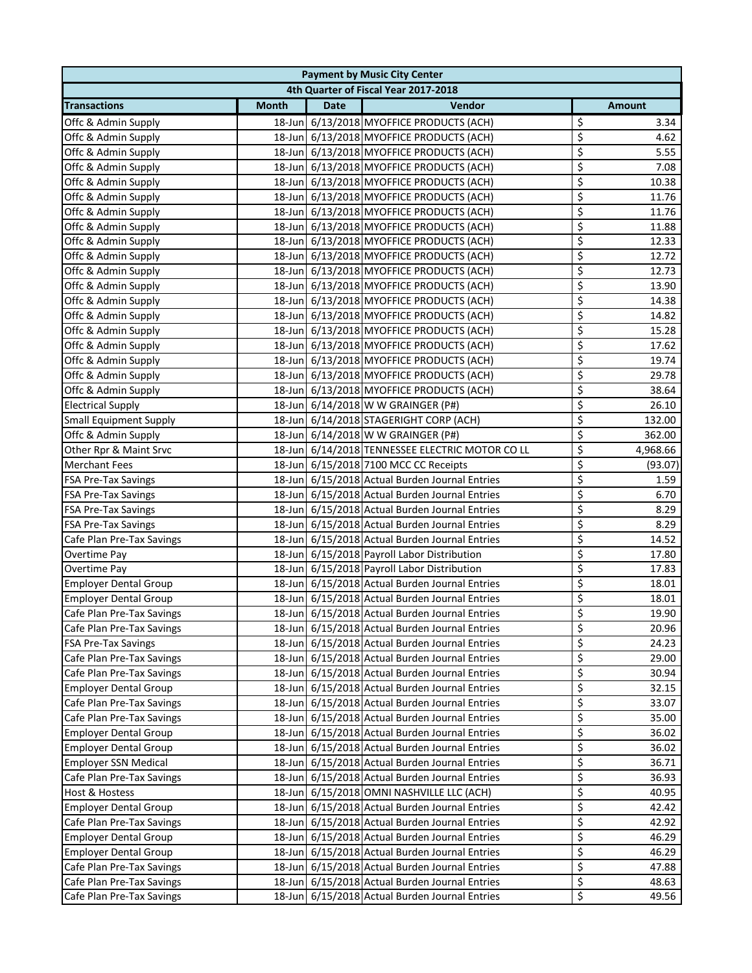|                                      |              |             | <b>Payment by Music City Center</b>             |                         |               |  |
|--------------------------------------|--------------|-------------|-------------------------------------------------|-------------------------|---------------|--|
| 4th Quarter of Fiscal Year 2017-2018 |              |             |                                                 |                         |               |  |
| <b>Transactions</b>                  | <b>Month</b> | <b>Date</b> | Vendor                                          |                         | <b>Amount</b> |  |
| Offc & Admin Supply                  |              |             | 18-Jun 6/13/2018 MYOFFICE PRODUCTS (ACH)        | \$                      | 3.34          |  |
| Offc & Admin Supply                  |              |             | 18-Jun 6/13/2018 MYOFFICE PRODUCTS (ACH)        | \$                      | 4.62          |  |
| Offc & Admin Supply                  |              |             | 18-Jun 6/13/2018 MYOFFICE PRODUCTS (ACH)        | \$                      | 5.55          |  |
| Offc & Admin Supply                  |              |             | 18-Jun 6/13/2018 MYOFFICE PRODUCTS (ACH)        | \$                      | 7.08          |  |
| Offc & Admin Supply                  |              |             | 18-Jun 6/13/2018 MYOFFICE PRODUCTS (ACH)        | \$                      | 10.38         |  |
| Offc & Admin Supply                  |              |             | 18-Jun 6/13/2018 MYOFFICE PRODUCTS (ACH)        | \$                      | 11.76         |  |
| Offc & Admin Supply                  |              |             | 18-Jun 6/13/2018 MYOFFICE PRODUCTS (ACH)        | \$                      | 11.76         |  |
| Offc & Admin Supply                  |              |             | 18-Jun 6/13/2018 MYOFFICE PRODUCTS (ACH)        | \$                      | 11.88         |  |
| Offc & Admin Supply                  |              |             | 18-Jun 6/13/2018 MYOFFICE PRODUCTS (ACH)        | \$                      | 12.33         |  |
| Offc & Admin Supply                  |              |             | 18-Jun 6/13/2018 MYOFFICE PRODUCTS (ACH)        | \$                      | 12.72         |  |
| Offc & Admin Supply                  |              |             | 18-Jun 6/13/2018 MYOFFICE PRODUCTS (ACH)        | \$                      | 12.73         |  |
| Offc & Admin Supply                  |              |             | 18-Jun 6/13/2018 MYOFFICE PRODUCTS (ACH)        | \$                      | 13.90         |  |
| Offc & Admin Supply                  |              |             | 18-Jun 6/13/2018 MYOFFICE PRODUCTS (ACH)        | \$                      | 14.38         |  |
| Offc & Admin Supply                  |              |             | 18-Jun 6/13/2018 MYOFFICE PRODUCTS (ACH)        | \$                      | 14.82         |  |
| Offc & Admin Supply                  |              |             | 18-Jun 6/13/2018 MYOFFICE PRODUCTS (ACH)        | \$                      | 15.28         |  |
| Offc & Admin Supply                  |              |             | 18-Jun 6/13/2018 MYOFFICE PRODUCTS (ACH)        | \$                      | 17.62         |  |
| Offc & Admin Supply                  |              |             | 18-Jun 6/13/2018 MYOFFICE PRODUCTS (ACH)        | \$                      | 19.74         |  |
| Offc & Admin Supply                  |              |             | 18-Jun 6/13/2018 MYOFFICE PRODUCTS (ACH)        | \$                      | 29.78         |  |
| Offc & Admin Supply                  |              |             | 18-Jun 6/13/2018 MYOFFICE PRODUCTS (ACH)        | \$                      | 38.64         |  |
| <b>Electrical Supply</b>             |              |             | 18-Jun 6/14/2018 W W GRAINGER (P#)              | \$                      | 26.10         |  |
| <b>Small Equipment Supply</b>        |              |             | 18-Jun 6/14/2018 STAGERIGHT CORP (ACH)          | \$                      | 132.00        |  |
| Offc & Admin Supply                  |              |             | 18-Jun 6/14/2018 W W GRAINGER (P#)              | \$                      | 362.00        |  |
| Other Rpr & Maint Srvc               |              |             | 18-Jun 6/14/2018 TENNESSEE ELECTRIC MOTOR CO LL | \$                      | 4,968.66      |  |
| <b>Merchant Fees</b>                 |              |             | 18-Jun 6/15/2018 7100 MCC CC Receipts           | \$                      | (93.07)       |  |
| <b>FSA Pre-Tax Savings</b>           |              |             | 18-Jun 6/15/2018 Actual Burden Journal Entries  | \$                      | 1.59          |  |
| <b>FSA Pre-Tax Savings</b>           |              |             | 18-Jun 6/15/2018 Actual Burden Journal Entries  | \$                      | 6.70          |  |
| FSA Pre-Tax Savings                  |              |             | 18-Jun 6/15/2018 Actual Burden Journal Entries  | \$                      | 8.29          |  |
| <b>FSA Pre-Tax Savings</b>           |              |             | 18-Jun 6/15/2018 Actual Burden Journal Entries  | \$                      | 8.29          |  |
| Cafe Plan Pre-Tax Savings            |              |             | 18-Jun 6/15/2018 Actual Burden Journal Entries  | \$                      | 14.52         |  |
| Overtime Pay                         |              |             | 18-Jun 6/15/2018 Payroll Labor Distribution     | \$                      | 17.80         |  |
| Overtime Pay                         |              |             | 18-Jun 6/15/2018 Payroll Labor Distribution     | \$                      | 17.83         |  |
| <b>Employer Dental Group</b>         |              |             | 18-Jun 6/15/2018 Actual Burden Journal Entries  | \$                      | 18.01         |  |
| <b>Employer Dental Group</b>         |              |             | 18-Jun 6/15/2018 Actual Burden Journal Entries  | \$                      | 18.01         |  |
| Cafe Plan Pre-Tax Savings            |              |             | 18-Jun 6/15/2018 Actual Burden Journal Entries  | $\overline{\mathsf{s}}$ | 19.90         |  |
| Cafe Plan Pre-Tax Savings            |              |             | 18-Jun 6/15/2018 Actual Burden Journal Entries  | \$                      | 20.96         |  |
| <b>FSA Pre-Tax Savings</b>           | 18-Jun       |             | 6/15/2018 Actual Burden Journal Entries         | \$                      | 24.23         |  |
| Cafe Plan Pre-Tax Savings            |              |             | 18-Jun 6/15/2018 Actual Burden Journal Entries  | \$                      | 29.00         |  |
| Cafe Plan Pre-Tax Savings            |              |             | 18-Jun 6/15/2018 Actual Burden Journal Entries  | \$                      | 30.94         |  |
| <b>Employer Dental Group</b>         |              |             | 18-Jun 6/15/2018 Actual Burden Journal Entries  | \$                      | 32.15         |  |
| Cafe Plan Pre-Tax Savings            |              |             | 18-Jun 6/15/2018 Actual Burden Journal Entries  | \$                      | 33.07         |  |
| Cafe Plan Pre-Tax Savings            |              |             | 18-Jun 6/15/2018 Actual Burden Journal Entries  | \$                      | 35.00         |  |
| <b>Employer Dental Group</b>         |              |             | 18-Jun 6/15/2018 Actual Burden Journal Entries  | \$                      | 36.02         |  |
| <b>Employer Dental Group</b>         |              |             | 18-Jun 6/15/2018 Actual Burden Journal Entries  | \$                      | 36.02         |  |
| <b>Employer SSN Medical</b>          |              |             | 18-Jun 6/15/2018 Actual Burden Journal Entries  | \$                      | 36.71         |  |
| Cafe Plan Pre-Tax Savings            |              |             | 18-Jun 6/15/2018 Actual Burden Journal Entries  | \$                      | 36.93         |  |
| Host & Hostess                       |              |             | 18-Jun 6/15/2018 OMNI NASHVILLE LLC (ACH)       | \$                      | 40.95         |  |
| <b>Employer Dental Group</b>         |              |             | 18-Jun 6/15/2018 Actual Burden Journal Entries  | \$                      | 42.42         |  |
| Cafe Plan Pre-Tax Savings            |              |             | 18-Jun 6/15/2018 Actual Burden Journal Entries  | \$                      | 42.92         |  |
| <b>Employer Dental Group</b>         |              |             | 18-Jun 6/15/2018 Actual Burden Journal Entries  | \$                      | 46.29         |  |
| <b>Employer Dental Group</b>         |              |             | 18-Jun 6/15/2018 Actual Burden Journal Entries  | \$                      | 46.29         |  |
| Cafe Plan Pre-Tax Savings            |              |             | 18-Jun 6/15/2018 Actual Burden Journal Entries  | \$                      | 47.88         |  |
| Cafe Plan Pre-Tax Savings            |              |             | 18-Jun 6/15/2018 Actual Burden Journal Entries  | \$                      | 48.63         |  |
| Cafe Plan Pre-Tax Savings            |              |             | 18-Jun 6/15/2018 Actual Burden Journal Entries  | \$                      | 49.56         |  |
|                                      |              |             |                                                 |                         |               |  |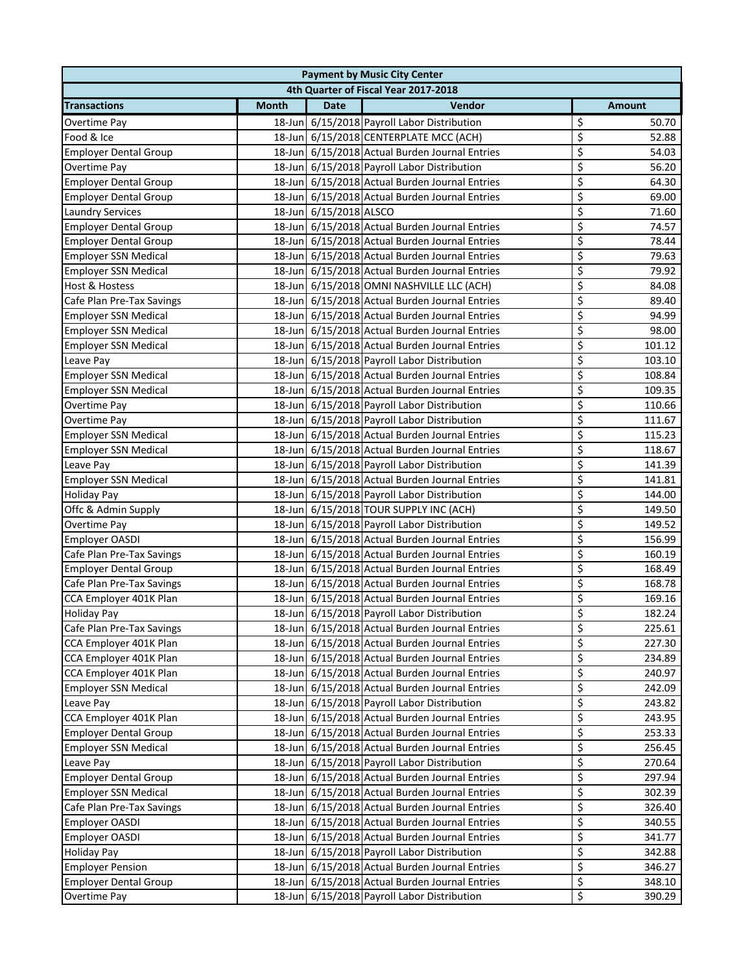| 4th Quarter of Fiscal Year 2017-2018<br>Vendor<br><b>Month</b><br><b>Date</b><br><b>Amount</b><br>18-Jun 6/15/2018 Payroll Labor Distribution<br>\$<br>50.70<br>Overtime Pay<br>\$<br>18-Jun 6/15/2018 CENTERPLATE MCC (ACH)<br>52.88<br>\$<br>18-Jun 6/15/2018 Actual Burden Journal Entries<br><b>Employer Dental Group</b><br>54.03<br>\$<br>18-Jun 6/15/2018 Payroll Labor Distribution<br>56.20<br>Overtime Pay<br>\$<br>18-Jun 6/15/2018 Actual Burden Journal Entries<br><b>Employer Dental Group</b><br>64.30<br>\$<br>18-Jun 6/15/2018 Actual Burden Journal Entries<br>69.00<br><b>Employer Dental Group</b><br>\$<br>18-Jun 6/15/2018 ALSCO<br>71.60<br><b>Laundry Services</b><br>\$<br>18-Jun 6/15/2018 Actual Burden Journal Entries<br><b>Employer Dental Group</b><br>74.57<br>\$<br>18-Jun 6/15/2018 Actual Burden Journal Entries<br>78.44<br><b>Employer Dental Group</b><br>\$<br>18-Jun 6/15/2018 Actual Burden Journal Entries<br>79.63<br><b>Employer SSN Medical</b><br>\$<br>18-Jun 6/15/2018 Actual Burden Journal Entries<br><b>Employer SSN Medical</b><br>79.92<br>\$<br>18-Jun 6/15/2018 OMNI NASHVILLE LLC (ACH)<br>84.08<br>\$<br>Cafe Plan Pre-Tax Savings<br>18-Jun 6/15/2018 Actual Burden Journal Entries<br>89.40<br>\$<br>18-Jun 6/15/2018 Actual Burden Journal Entries<br><b>Employer SSN Medical</b><br>94.99<br>\$<br>18-Jun 6/15/2018 Actual Burden Journal Entries<br>98.00<br><b>Employer SSN Medical</b><br>\$<br>18-Jun 6/15/2018 Actual Burden Journal Entries<br><b>Employer SSN Medical</b><br>101.12<br>\$<br>18-Jun 6/15/2018 Payroll Labor Distribution<br>103.10<br>Leave Pay<br>\$<br>18-Jun 6/15/2018 Actual Burden Journal Entries<br>108.84<br><b>Employer SSN Medical</b><br>\$<br>18-Jun 6/15/2018 Actual Burden Journal Entries<br>109.35<br><b>Employer SSN Medical</b><br>\$<br>18-Jun 6/15/2018 Payroll Labor Distribution<br>110.66<br>Overtime Pay<br>$\overline{\xi}$<br>111.67<br>Overtime Pay<br>18-Jun 6/15/2018 Payroll Labor Distribution<br>\$<br>18-Jun 6/15/2018 Actual Burden Journal Entries<br>115.23<br><b>Employer SSN Medical</b><br>\$<br>18-Jun 6/15/2018 Actual Burden Journal Entries<br><b>Employer SSN Medical</b><br>118.67<br>\$<br>18-Jun 6/15/2018 Payroll Labor Distribution<br>Leave Pay<br>141.39<br>\$<br><b>Employer SSN Medical</b><br>18-Jun 6/15/2018 Actual Burden Journal Entries<br>141.81<br>\$<br>18-Jun 6/15/2018 Payroll Labor Distribution<br>144.00<br><b>Holiday Pay</b><br>\$<br>18-Jun 6/15/2018 TOUR SUPPLY INC (ACH)<br>149.50<br>Offc & Admin Supply<br>\$<br>18-Jun 6/15/2018 Payroll Labor Distribution<br>149.52<br>Overtime Pay<br>\$<br>18-Jun 6/15/2018 Actual Burden Journal Entries<br>156.99<br><b>Employer OASDI</b><br>\$<br>18-Jun 6/15/2018 Actual Burden Journal Entries<br>160.19<br>Cafe Plan Pre-Tax Savings<br>\$<br><b>Employer Dental Group</b><br>18-Jun 6/15/2018 Actual Burden Journal Entries<br>168.49<br>\$<br>18-Jun 6/15/2018 Actual Burden Journal Entries<br>Cafe Plan Pre-Tax Savings<br>168.78<br>\$<br>18-Jun 6/15/2018 Actual Burden Journal Entries<br>CCA Employer 401K Plan<br>169.16<br>\$<br>18-Jun 6/15/2018 Payroll Labor Distribution<br><b>Holiday Pay</b><br>182.24<br>\$<br>18-Jun 6/15/2018 Actual Burden Journal Entries<br>Cafe Plan Pre-Tax Savings<br>225.61<br>\$<br>18-Jun 6/15/2018 Actual Burden Journal Entries<br>CCA Employer 401K Plan<br>227.30<br>\$<br>CCA Employer 401K Plan<br>18-Jun 6/15/2018 Actual Burden Journal Entries<br>234.89<br>\$<br>18-Jun 6/15/2018 Actual Burden Journal Entries<br>CCA Employer 401K Plan<br>240.97<br>\$<br>18-Jun 6/15/2018 Actual Burden Journal Entries<br><b>Employer SSN Medical</b><br>242.09<br>\$<br>18-Jun 6/15/2018 Payroll Labor Distribution<br>243.82<br>Leave Pay<br>\$<br>CCA Employer 401K Plan<br>18-Jun 6/15/2018 Actual Burden Journal Entries<br>243.95<br>\$<br>18-Jun 6/15/2018 Actual Burden Journal Entries<br>253.33<br><b>Employer Dental Group</b><br>\$<br><b>Employer SSN Medical</b><br>18-Jun 6/15/2018 Actual Burden Journal Entries<br>256.45<br>\$<br>18-Jun 6/15/2018 Payroll Labor Distribution<br>270.64<br>Leave Pay<br>\$<br>18-Jun 6/15/2018 Actual Burden Journal Entries<br><b>Employer Dental Group</b><br>297.94<br>\$<br>18-Jun 6/15/2018 Actual Burden Journal Entries<br><b>Employer SSN Medical</b><br>302.39<br>\$<br>Cafe Plan Pre-Tax Savings<br>18-Jun 6/15/2018 Actual Burden Journal Entries<br>326.40<br>\$<br>18-Jun 6/15/2018 Actual Burden Journal Entries<br><b>Employer OASDI</b><br>340.55<br>\$<br>18-Jun 6/15/2018 Actual Burden Journal Entries<br><b>Employer OASDI</b><br>341.77<br>\$<br>18-Jun 6/15/2018 Payroll Labor Distribution<br>342.88<br><b>Holiday Pay</b><br>\$<br>18-Jun 6/15/2018 Actual Burden Journal Entries<br><b>Employer Pension</b><br>346.27<br>\$<br>18-Jun 6/15/2018 Actual Burden Journal Entries<br><b>Employer Dental Group</b><br>348.10 | <b>Payment by Music City Center</b> |  |  |  |  |  |  |
|----------------------------------------------------------------------------------------------------------------------------------------------------------------------------------------------------------------------------------------------------------------------------------------------------------------------------------------------------------------------------------------------------------------------------------------------------------------------------------------------------------------------------------------------------------------------------------------------------------------------------------------------------------------------------------------------------------------------------------------------------------------------------------------------------------------------------------------------------------------------------------------------------------------------------------------------------------------------------------------------------------------------------------------------------------------------------------------------------------------------------------------------------------------------------------------------------------------------------------------------------------------------------------------------------------------------------------------------------------------------------------------------------------------------------------------------------------------------------------------------------------------------------------------------------------------------------------------------------------------------------------------------------------------------------------------------------------------------------------------------------------------------------------------------------------------------------------------------------------------------------------------------------------------------------------------------------------------------------------------------------------------------------------------------------------------------------------------------------------------------------------------------------------------------------------------------------------------------------------------------------------------------------------------------------------------------------------------------------------------------------------------------------------------------------------------------------------------------------------------------------------------------------------------------------------------------------------------------------------------------------------------------------------------------------------------------------------------------------------------------------------------------------------------------------------------------------------------------------------------------------------------------------------------------------------------------------------------------------------------------------------------------------------------------------------------------------------------------------------------------------------------------------------------------------------------------------------------------------------------------------------------------------------------------------------------------------------------------------------------------------------------------------------------------------------------------------------------------------------------------------------------------------------------------------------------------------------------------------------------------------------------------------------------------------------------------------------------------------------------------------------------------------------------------------------------------------------------------------------------------------------------------------------------------------------------------------------------------------------------------------------------------------------------------------------------------------------------------------------------------------------------------------------------------------------------------------------------------------------------------------------------------------------------------------------------------------------------------------------------------------------------------------------------------------------------------------------------------------------------------------------------------------------------------------------------------------------------------------------------------------------------------------------------------------------------------------------------------------------------------------------------------------------------------------------------------------------------------------------------------------------------------------------------------------------------------------------|-------------------------------------|--|--|--|--|--|--|
|                                                                                                                                                                                                                                                                                                                                                                                                                                                                                                                                                                                                                                                                                                                                                                                                                                                                                                                                                                                                                                                                                                                                                                                                                                                                                                                                                                                                                                                                                                                                                                                                                                                                                                                                                                                                                                                                                                                                                                                                                                                                                                                                                                                                                                                                                                                                                                                                                                                                                                                                                                                                                                                                                                                                                                                                                                                                                                                                                                                                                                                                                                                                                                                                                                                                                                                                                                                                                                                                                                                                                                                                                                                                                                                                                                                                                                                                                                                                                                                                                                                                                                                                                                                                                                                                                                                                                                                                                                                                                                                                                                                                                                                                                                                                                                                                                                                                                                                                                          |                                     |  |  |  |  |  |  |
|                                                                                                                                                                                                                                                                                                                                                                                                                                                                                                                                                                                                                                                                                                                                                                                                                                                                                                                                                                                                                                                                                                                                                                                                                                                                                                                                                                                                                                                                                                                                                                                                                                                                                                                                                                                                                                                                                                                                                                                                                                                                                                                                                                                                                                                                                                                                                                                                                                                                                                                                                                                                                                                                                                                                                                                                                                                                                                                                                                                                                                                                                                                                                                                                                                                                                                                                                                                                                                                                                                                                                                                                                                                                                                                                                                                                                                                                                                                                                                                                                                                                                                                                                                                                                                                                                                                                                                                                                                                                                                                                                                                                                                                                                                                                                                                                                                                                                                                                                          | <b>Transactions</b>                 |  |  |  |  |  |  |
|                                                                                                                                                                                                                                                                                                                                                                                                                                                                                                                                                                                                                                                                                                                                                                                                                                                                                                                                                                                                                                                                                                                                                                                                                                                                                                                                                                                                                                                                                                                                                                                                                                                                                                                                                                                                                                                                                                                                                                                                                                                                                                                                                                                                                                                                                                                                                                                                                                                                                                                                                                                                                                                                                                                                                                                                                                                                                                                                                                                                                                                                                                                                                                                                                                                                                                                                                                                                                                                                                                                                                                                                                                                                                                                                                                                                                                                                                                                                                                                                                                                                                                                                                                                                                                                                                                                                                                                                                                                                                                                                                                                                                                                                                                                                                                                                                                                                                                                                                          |                                     |  |  |  |  |  |  |
|                                                                                                                                                                                                                                                                                                                                                                                                                                                                                                                                                                                                                                                                                                                                                                                                                                                                                                                                                                                                                                                                                                                                                                                                                                                                                                                                                                                                                                                                                                                                                                                                                                                                                                                                                                                                                                                                                                                                                                                                                                                                                                                                                                                                                                                                                                                                                                                                                                                                                                                                                                                                                                                                                                                                                                                                                                                                                                                                                                                                                                                                                                                                                                                                                                                                                                                                                                                                                                                                                                                                                                                                                                                                                                                                                                                                                                                                                                                                                                                                                                                                                                                                                                                                                                                                                                                                                                                                                                                                                                                                                                                                                                                                                                                                                                                                                                                                                                                                                          | Food & Ice                          |  |  |  |  |  |  |
|                                                                                                                                                                                                                                                                                                                                                                                                                                                                                                                                                                                                                                                                                                                                                                                                                                                                                                                                                                                                                                                                                                                                                                                                                                                                                                                                                                                                                                                                                                                                                                                                                                                                                                                                                                                                                                                                                                                                                                                                                                                                                                                                                                                                                                                                                                                                                                                                                                                                                                                                                                                                                                                                                                                                                                                                                                                                                                                                                                                                                                                                                                                                                                                                                                                                                                                                                                                                                                                                                                                                                                                                                                                                                                                                                                                                                                                                                                                                                                                                                                                                                                                                                                                                                                                                                                                                                                                                                                                                                                                                                                                                                                                                                                                                                                                                                                                                                                                                                          |                                     |  |  |  |  |  |  |
|                                                                                                                                                                                                                                                                                                                                                                                                                                                                                                                                                                                                                                                                                                                                                                                                                                                                                                                                                                                                                                                                                                                                                                                                                                                                                                                                                                                                                                                                                                                                                                                                                                                                                                                                                                                                                                                                                                                                                                                                                                                                                                                                                                                                                                                                                                                                                                                                                                                                                                                                                                                                                                                                                                                                                                                                                                                                                                                                                                                                                                                                                                                                                                                                                                                                                                                                                                                                                                                                                                                                                                                                                                                                                                                                                                                                                                                                                                                                                                                                                                                                                                                                                                                                                                                                                                                                                                                                                                                                                                                                                                                                                                                                                                                                                                                                                                                                                                                                                          |                                     |  |  |  |  |  |  |
|                                                                                                                                                                                                                                                                                                                                                                                                                                                                                                                                                                                                                                                                                                                                                                                                                                                                                                                                                                                                                                                                                                                                                                                                                                                                                                                                                                                                                                                                                                                                                                                                                                                                                                                                                                                                                                                                                                                                                                                                                                                                                                                                                                                                                                                                                                                                                                                                                                                                                                                                                                                                                                                                                                                                                                                                                                                                                                                                                                                                                                                                                                                                                                                                                                                                                                                                                                                                                                                                                                                                                                                                                                                                                                                                                                                                                                                                                                                                                                                                                                                                                                                                                                                                                                                                                                                                                                                                                                                                                                                                                                                                                                                                                                                                                                                                                                                                                                                                                          |                                     |  |  |  |  |  |  |
|                                                                                                                                                                                                                                                                                                                                                                                                                                                                                                                                                                                                                                                                                                                                                                                                                                                                                                                                                                                                                                                                                                                                                                                                                                                                                                                                                                                                                                                                                                                                                                                                                                                                                                                                                                                                                                                                                                                                                                                                                                                                                                                                                                                                                                                                                                                                                                                                                                                                                                                                                                                                                                                                                                                                                                                                                                                                                                                                                                                                                                                                                                                                                                                                                                                                                                                                                                                                                                                                                                                                                                                                                                                                                                                                                                                                                                                                                                                                                                                                                                                                                                                                                                                                                                                                                                                                                                                                                                                                                                                                                                                                                                                                                                                                                                                                                                                                                                                                                          |                                     |  |  |  |  |  |  |
|                                                                                                                                                                                                                                                                                                                                                                                                                                                                                                                                                                                                                                                                                                                                                                                                                                                                                                                                                                                                                                                                                                                                                                                                                                                                                                                                                                                                                                                                                                                                                                                                                                                                                                                                                                                                                                                                                                                                                                                                                                                                                                                                                                                                                                                                                                                                                                                                                                                                                                                                                                                                                                                                                                                                                                                                                                                                                                                                                                                                                                                                                                                                                                                                                                                                                                                                                                                                                                                                                                                                                                                                                                                                                                                                                                                                                                                                                                                                                                                                                                                                                                                                                                                                                                                                                                                                                                                                                                                                                                                                                                                                                                                                                                                                                                                                                                                                                                                                                          |                                     |  |  |  |  |  |  |
|                                                                                                                                                                                                                                                                                                                                                                                                                                                                                                                                                                                                                                                                                                                                                                                                                                                                                                                                                                                                                                                                                                                                                                                                                                                                                                                                                                                                                                                                                                                                                                                                                                                                                                                                                                                                                                                                                                                                                                                                                                                                                                                                                                                                                                                                                                                                                                                                                                                                                                                                                                                                                                                                                                                                                                                                                                                                                                                                                                                                                                                                                                                                                                                                                                                                                                                                                                                                                                                                                                                                                                                                                                                                                                                                                                                                                                                                                                                                                                                                                                                                                                                                                                                                                                                                                                                                                                                                                                                                                                                                                                                                                                                                                                                                                                                                                                                                                                                                                          |                                     |  |  |  |  |  |  |
|                                                                                                                                                                                                                                                                                                                                                                                                                                                                                                                                                                                                                                                                                                                                                                                                                                                                                                                                                                                                                                                                                                                                                                                                                                                                                                                                                                                                                                                                                                                                                                                                                                                                                                                                                                                                                                                                                                                                                                                                                                                                                                                                                                                                                                                                                                                                                                                                                                                                                                                                                                                                                                                                                                                                                                                                                                                                                                                                                                                                                                                                                                                                                                                                                                                                                                                                                                                                                                                                                                                                                                                                                                                                                                                                                                                                                                                                                                                                                                                                                                                                                                                                                                                                                                                                                                                                                                                                                                                                                                                                                                                                                                                                                                                                                                                                                                                                                                                                                          |                                     |  |  |  |  |  |  |
|                                                                                                                                                                                                                                                                                                                                                                                                                                                                                                                                                                                                                                                                                                                                                                                                                                                                                                                                                                                                                                                                                                                                                                                                                                                                                                                                                                                                                                                                                                                                                                                                                                                                                                                                                                                                                                                                                                                                                                                                                                                                                                                                                                                                                                                                                                                                                                                                                                                                                                                                                                                                                                                                                                                                                                                                                                                                                                                                                                                                                                                                                                                                                                                                                                                                                                                                                                                                                                                                                                                                                                                                                                                                                                                                                                                                                                                                                                                                                                                                                                                                                                                                                                                                                                                                                                                                                                                                                                                                                                                                                                                                                                                                                                                                                                                                                                                                                                                                                          |                                     |  |  |  |  |  |  |
|                                                                                                                                                                                                                                                                                                                                                                                                                                                                                                                                                                                                                                                                                                                                                                                                                                                                                                                                                                                                                                                                                                                                                                                                                                                                                                                                                                                                                                                                                                                                                                                                                                                                                                                                                                                                                                                                                                                                                                                                                                                                                                                                                                                                                                                                                                                                                                                                                                                                                                                                                                                                                                                                                                                                                                                                                                                                                                                                                                                                                                                                                                                                                                                                                                                                                                                                                                                                                                                                                                                                                                                                                                                                                                                                                                                                                                                                                                                                                                                                                                                                                                                                                                                                                                                                                                                                                                                                                                                                                                                                                                                                                                                                                                                                                                                                                                                                                                                                                          |                                     |  |  |  |  |  |  |
|                                                                                                                                                                                                                                                                                                                                                                                                                                                                                                                                                                                                                                                                                                                                                                                                                                                                                                                                                                                                                                                                                                                                                                                                                                                                                                                                                                                                                                                                                                                                                                                                                                                                                                                                                                                                                                                                                                                                                                                                                                                                                                                                                                                                                                                                                                                                                                                                                                                                                                                                                                                                                                                                                                                                                                                                                                                                                                                                                                                                                                                                                                                                                                                                                                                                                                                                                                                                                                                                                                                                                                                                                                                                                                                                                                                                                                                                                                                                                                                                                                                                                                                                                                                                                                                                                                                                                                                                                                                                                                                                                                                                                                                                                                                                                                                                                                                                                                                                                          | <b>Host &amp; Hostess</b>           |  |  |  |  |  |  |
|                                                                                                                                                                                                                                                                                                                                                                                                                                                                                                                                                                                                                                                                                                                                                                                                                                                                                                                                                                                                                                                                                                                                                                                                                                                                                                                                                                                                                                                                                                                                                                                                                                                                                                                                                                                                                                                                                                                                                                                                                                                                                                                                                                                                                                                                                                                                                                                                                                                                                                                                                                                                                                                                                                                                                                                                                                                                                                                                                                                                                                                                                                                                                                                                                                                                                                                                                                                                                                                                                                                                                                                                                                                                                                                                                                                                                                                                                                                                                                                                                                                                                                                                                                                                                                                                                                                                                                                                                                                                                                                                                                                                                                                                                                                                                                                                                                                                                                                                                          |                                     |  |  |  |  |  |  |
|                                                                                                                                                                                                                                                                                                                                                                                                                                                                                                                                                                                                                                                                                                                                                                                                                                                                                                                                                                                                                                                                                                                                                                                                                                                                                                                                                                                                                                                                                                                                                                                                                                                                                                                                                                                                                                                                                                                                                                                                                                                                                                                                                                                                                                                                                                                                                                                                                                                                                                                                                                                                                                                                                                                                                                                                                                                                                                                                                                                                                                                                                                                                                                                                                                                                                                                                                                                                                                                                                                                                                                                                                                                                                                                                                                                                                                                                                                                                                                                                                                                                                                                                                                                                                                                                                                                                                                                                                                                                                                                                                                                                                                                                                                                                                                                                                                                                                                                                                          |                                     |  |  |  |  |  |  |
|                                                                                                                                                                                                                                                                                                                                                                                                                                                                                                                                                                                                                                                                                                                                                                                                                                                                                                                                                                                                                                                                                                                                                                                                                                                                                                                                                                                                                                                                                                                                                                                                                                                                                                                                                                                                                                                                                                                                                                                                                                                                                                                                                                                                                                                                                                                                                                                                                                                                                                                                                                                                                                                                                                                                                                                                                                                                                                                                                                                                                                                                                                                                                                                                                                                                                                                                                                                                                                                                                                                                                                                                                                                                                                                                                                                                                                                                                                                                                                                                                                                                                                                                                                                                                                                                                                                                                                                                                                                                                                                                                                                                                                                                                                                                                                                                                                                                                                                                                          |                                     |  |  |  |  |  |  |
|                                                                                                                                                                                                                                                                                                                                                                                                                                                                                                                                                                                                                                                                                                                                                                                                                                                                                                                                                                                                                                                                                                                                                                                                                                                                                                                                                                                                                                                                                                                                                                                                                                                                                                                                                                                                                                                                                                                                                                                                                                                                                                                                                                                                                                                                                                                                                                                                                                                                                                                                                                                                                                                                                                                                                                                                                                                                                                                                                                                                                                                                                                                                                                                                                                                                                                                                                                                                                                                                                                                                                                                                                                                                                                                                                                                                                                                                                                                                                                                                                                                                                                                                                                                                                                                                                                                                                                                                                                                                                                                                                                                                                                                                                                                                                                                                                                                                                                                                                          |                                     |  |  |  |  |  |  |
|                                                                                                                                                                                                                                                                                                                                                                                                                                                                                                                                                                                                                                                                                                                                                                                                                                                                                                                                                                                                                                                                                                                                                                                                                                                                                                                                                                                                                                                                                                                                                                                                                                                                                                                                                                                                                                                                                                                                                                                                                                                                                                                                                                                                                                                                                                                                                                                                                                                                                                                                                                                                                                                                                                                                                                                                                                                                                                                                                                                                                                                                                                                                                                                                                                                                                                                                                                                                                                                                                                                                                                                                                                                                                                                                                                                                                                                                                                                                                                                                                                                                                                                                                                                                                                                                                                                                                                                                                                                                                                                                                                                                                                                                                                                                                                                                                                                                                                                                                          |                                     |  |  |  |  |  |  |
|                                                                                                                                                                                                                                                                                                                                                                                                                                                                                                                                                                                                                                                                                                                                                                                                                                                                                                                                                                                                                                                                                                                                                                                                                                                                                                                                                                                                                                                                                                                                                                                                                                                                                                                                                                                                                                                                                                                                                                                                                                                                                                                                                                                                                                                                                                                                                                                                                                                                                                                                                                                                                                                                                                                                                                                                                                                                                                                                                                                                                                                                                                                                                                                                                                                                                                                                                                                                                                                                                                                                                                                                                                                                                                                                                                                                                                                                                                                                                                                                                                                                                                                                                                                                                                                                                                                                                                                                                                                                                                                                                                                                                                                                                                                                                                                                                                                                                                                                                          |                                     |  |  |  |  |  |  |
|                                                                                                                                                                                                                                                                                                                                                                                                                                                                                                                                                                                                                                                                                                                                                                                                                                                                                                                                                                                                                                                                                                                                                                                                                                                                                                                                                                                                                                                                                                                                                                                                                                                                                                                                                                                                                                                                                                                                                                                                                                                                                                                                                                                                                                                                                                                                                                                                                                                                                                                                                                                                                                                                                                                                                                                                                                                                                                                                                                                                                                                                                                                                                                                                                                                                                                                                                                                                                                                                                                                                                                                                                                                                                                                                                                                                                                                                                                                                                                                                                                                                                                                                                                                                                                                                                                                                                                                                                                                                                                                                                                                                                                                                                                                                                                                                                                                                                                                                                          |                                     |  |  |  |  |  |  |
|                                                                                                                                                                                                                                                                                                                                                                                                                                                                                                                                                                                                                                                                                                                                                                                                                                                                                                                                                                                                                                                                                                                                                                                                                                                                                                                                                                                                                                                                                                                                                                                                                                                                                                                                                                                                                                                                                                                                                                                                                                                                                                                                                                                                                                                                                                                                                                                                                                                                                                                                                                                                                                                                                                                                                                                                                                                                                                                                                                                                                                                                                                                                                                                                                                                                                                                                                                                                                                                                                                                                                                                                                                                                                                                                                                                                                                                                                                                                                                                                                                                                                                                                                                                                                                                                                                                                                                                                                                                                                                                                                                                                                                                                                                                                                                                                                                                                                                                                                          |                                     |  |  |  |  |  |  |
|                                                                                                                                                                                                                                                                                                                                                                                                                                                                                                                                                                                                                                                                                                                                                                                                                                                                                                                                                                                                                                                                                                                                                                                                                                                                                                                                                                                                                                                                                                                                                                                                                                                                                                                                                                                                                                                                                                                                                                                                                                                                                                                                                                                                                                                                                                                                                                                                                                                                                                                                                                                                                                                                                                                                                                                                                                                                                                                                                                                                                                                                                                                                                                                                                                                                                                                                                                                                                                                                                                                                                                                                                                                                                                                                                                                                                                                                                                                                                                                                                                                                                                                                                                                                                                                                                                                                                                                                                                                                                                                                                                                                                                                                                                                                                                                                                                                                                                                                                          |                                     |  |  |  |  |  |  |
|                                                                                                                                                                                                                                                                                                                                                                                                                                                                                                                                                                                                                                                                                                                                                                                                                                                                                                                                                                                                                                                                                                                                                                                                                                                                                                                                                                                                                                                                                                                                                                                                                                                                                                                                                                                                                                                                                                                                                                                                                                                                                                                                                                                                                                                                                                                                                                                                                                                                                                                                                                                                                                                                                                                                                                                                                                                                                                                                                                                                                                                                                                                                                                                                                                                                                                                                                                                                                                                                                                                                                                                                                                                                                                                                                                                                                                                                                                                                                                                                                                                                                                                                                                                                                                                                                                                                                                                                                                                                                                                                                                                                                                                                                                                                                                                                                                                                                                                                                          |                                     |  |  |  |  |  |  |
|                                                                                                                                                                                                                                                                                                                                                                                                                                                                                                                                                                                                                                                                                                                                                                                                                                                                                                                                                                                                                                                                                                                                                                                                                                                                                                                                                                                                                                                                                                                                                                                                                                                                                                                                                                                                                                                                                                                                                                                                                                                                                                                                                                                                                                                                                                                                                                                                                                                                                                                                                                                                                                                                                                                                                                                                                                                                                                                                                                                                                                                                                                                                                                                                                                                                                                                                                                                                                                                                                                                                                                                                                                                                                                                                                                                                                                                                                                                                                                                                                                                                                                                                                                                                                                                                                                                                                                                                                                                                                                                                                                                                                                                                                                                                                                                                                                                                                                                                                          |                                     |  |  |  |  |  |  |
|                                                                                                                                                                                                                                                                                                                                                                                                                                                                                                                                                                                                                                                                                                                                                                                                                                                                                                                                                                                                                                                                                                                                                                                                                                                                                                                                                                                                                                                                                                                                                                                                                                                                                                                                                                                                                                                                                                                                                                                                                                                                                                                                                                                                                                                                                                                                                                                                                                                                                                                                                                                                                                                                                                                                                                                                                                                                                                                                                                                                                                                                                                                                                                                                                                                                                                                                                                                                                                                                                                                                                                                                                                                                                                                                                                                                                                                                                                                                                                                                                                                                                                                                                                                                                                                                                                                                                                                                                                                                                                                                                                                                                                                                                                                                                                                                                                                                                                                                                          |                                     |  |  |  |  |  |  |
|                                                                                                                                                                                                                                                                                                                                                                                                                                                                                                                                                                                                                                                                                                                                                                                                                                                                                                                                                                                                                                                                                                                                                                                                                                                                                                                                                                                                                                                                                                                                                                                                                                                                                                                                                                                                                                                                                                                                                                                                                                                                                                                                                                                                                                                                                                                                                                                                                                                                                                                                                                                                                                                                                                                                                                                                                                                                                                                                                                                                                                                                                                                                                                                                                                                                                                                                                                                                                                                                                                                                                                                                                                                                                                                                                                                                                                                                                                                                                                                                                                                                                                                                                                                                                                                                                                                                                                                                                                                                                                                                                                                                                                                                                                                                                                                                                                                                                                                                                          |                                     |  |  |  |  |  |  |
|                                                                                                                                                                                                                                                                                                                                                                                                                                                                                                                                                                                                                                                                                                                                                                                                                                                                                                                                                                                                                                                                                                                                                                                                                                                                                                                                                                                                                                                                                                                                                                                                                                                                                                                                                                                                                                                                                                                                                                                                                                                                                                                                                                                                                                                                                                                                                                                                                                                                                                                                                                                                                                                                                                                                                                                                                                                                                                                                                                                                                                                                                                                                                                                                                                                                                                                                                                                                                                                                                                                                                                                                                                                                                                                                                                                                                                                                                                                                                                                                                                                                                                                                                                                                                                                                                                                                                                                                                                                                                                                                                                                                                                                                                                                                                                                                                                                                                                                                                          |                                     |  |  |  |  |  |  |
|                                                                                                                                                                                                                                                                                                                                                                                                                                                                                                                                                                                                                                                                                                                                                                                                                                                                                                                                                                                                                                                                                                                                                                                                                                                                                                                                                                                                                                                                                                                                                                                                                                                                                                                                                                                                                                                                                                                                                                                                                                                                                                                                                                                                                                                                                                                                                                                                                                                                                                                                                                                                                                                                                                                                                                                                                                                                                                                                                                                                                                                                                                                                                                                                                                                                                                                                                                                                                                                                                                                                                                                                                                                                                                                                                                                                                                                                                                                                                                                                                                                                                                                                                                                                                                                                                                                                                                                                                                                                                                                                                                                                                                                                                                                                                                                                                                                                                                                                                          |                                     |  |  |  |  |  |  |
|                                                                                                                                                                                                                                                                                                                                                                                                                                                                                                                                                                                                                                                                                                                                                                                                                                                                                                                                                                                                                                                                                                                                                                                                                                                                                                                                                                                                                                                                                                                                                                                                                                                                                                                                                                                                                                                                                                                                                                                                                                                                                                                                                                                                                                                                                                                                                                                                                                                                                                                                                                                                                                                                                                                                                                                                                                                                                                                                                                                                                                                                                                                                                                                                                                                                                                                                                                                                                                                                                                                                                                                                                                                                                                                                                                                                                                                                                                                                                                                                                                                                                                                                                                                                                                                                                                                                                                                                                                                                                                                                                                                                                                                                                                                                                                                                                                                                                                                                                          |                                     |  |  |  |  |  |  |
|                                                                                                                                                                                                                                                                                                                                                                                                                                                                                                                                                                                                                                                                                                                                                                                                                                                                                                                                                                                                                                                                                                                                                                                                                                                                                                                                                                                                                                                                                                                                                                                                                                                                                                                                                                                                                                                                                                                                                                                                                                                                                                                                                                                                                                                                                                                                                                                                                                                                                                                                                                                                                                                                                                                                                                                                                                                                                                                                                                                                                                                                                                                                                                                                                                                                                                                                                                                                                                                                                                                                                                                                                                                                                                                                                                                                                                                                                                                                                                                                                                                                                                                                                                                                                                                                                                                                                                                                                                                                                                                                                                                                                                                                                                                                                                                                                                                                                                                                                          |                                     |  |  |  |  |  |  |
|                                                                                                                                                                                                                                                                                                                                                                                                                                                                                                                                                                                                                                                                                                                                                                                                                                                                                                                                                                                                                                                                                                                                                                                                                                                                                                                                                                                                                                                                                                                                                                                                                                                                                                                                                                                                                                                                                                                                                                                                                                                                                                                                                                                                                                                                                                                                                                                                                                                                                                                                                                                                                                                                                                                                                                                                                                                                                                                                                                                                                                                                                                                                                                                                                                                                                                                                                                                                                                                                                                                                                                                                                                                                                                                                                                                                                                                                                                                                                                                                                                                                                                                                                                                                                                                                                                                                                                                                                                                                                                                                                                                                                                                                                                                                                                                                                                                                                                                                                          |                                     |  |  |  |  |  |  |
|                                                                                                                                                                                                                                                                                                                                                                                                                                                                                                                                                                                                                                                                                                                                                                                                                                                                                                                                                                                                                                                                                                                                                                                                                                                                                                                                                                                                                                                                                                                                                                                                                                                                                                                                                                                                                                                                                                                                                                                                                                                                                                                                                                                                                                                                                                                                                                                                                                                                                                                                                                                                                                                                                                                                                                                                                                                                                                                                                                                                                                                                                                                                                                                                                                                                                                                                                                                                                                                                                                                                                                                                                                                                                                                                                                                                                                                                                                                                                                                                                                                                                                                                                                                                                                                                                                                                                                                                                                                                                                                                                                                                                                                                                                                                                                                                                                                                                                                                                          |                                     |  |  |  |  |  |  |
|                                                                                                                                                                                                                                                                                                                                                                                                                                                                                                                                                                                                                                                                                                                                                                                                                                                                                                                                                                                                                                                                                                                                                                                                                                                                                                                                                                                                                                                                                                                                                                                                                                                                                                                                                                                                                                                                                                                                                                                                                                                                                                                                                                                                                                                                                                                                                                                                                                                                                                                                                                                                                                                                                                                                                                                                                                                                                                                                                                                                                                                                                                                                                                                                                                                                                                                                                                                                                                                                                                                                                                                                                                                                                                                                                                                                                                                                                                                                                                                                                                                                                                                                                                                                                                                                                                                                                                                                                                                                                                                                                                                                                                                                                                                                                                                                                                                                                                                                                          |                                     |  |  |  |  |  |  |
|                                                                                                                                                                                                                                                                                                                                                                                                                                                                                                                                                                                                                                                                                                                                                                                                                                                                                                                                                                                                                                                                                                                                                                                                                                                                                                                                                                                                                                                                                                                                                                                                                                                                                                                                                                                                                                                                                                                                                                                                                                                                                                                                                                                                                                                                                                                                                                                                                                                                                                                                                                                                                                                                                                                                                                                                                                                                                                                                                                                                                                                                                                                                                                                                                                                                                                                                                                                                                                                                                                                                                                                                                                                                                                                                                                                                                                                                                                                                                                                                                                                                                                                                                                                                                                                                                                                                                                                                                                                                                                                                                                                                                                                                                                                                                                                                                                                                                                                                                          |                                     |  |  |  |  |  |  |
|                                                                                                                                                                                                                                                                                                                                                                                                                                                                                                                                                                                                                                                                                                                                                                                                                                                                                                                                                                                                                                                                                                                                                                                                                                                                                                                                                                                                                                                                                                                                                                                                                                                                                                                                                                                                                                                                                                                                                                                                                                                                                                                                                                                                                                                                                                                                                                                                                                                                                                                                                                                                                                                                                                                                                                                                                                                                                                                                                                                                                                                                                                                                                                                                                                                                                                                                                                                                                                                                                                                                                                                                                                                                                                                                                                                                                                                                                                                                                                                                                                                                                                                                                                                                                                                                                                                                                                                                                                                                                                                                                                                                                                                                                                                                                                                                                                                                                                                                                          |                                     |  |  |  |  |  |  |
|                                                                                                                                                                                                                                                                                                                                                                                                                                                                                                                                                                                                                                                                                                                                                                                                                                                                                                                                                                                                                                                                                                                                                                                                                                                                                                                                                                                                                                                                                                                                                                                                                                                                                                                                                                                                                                                                                                                                                                                                                                                                                                                                                                                                                                                                                                                                                                                                                                                                                                                                                                                                                                                                                                                                                                                                                                                                                                                                                                                                                                                                                                                                                                                                                                                                                                                                                                                                                                                                                                                                                                                                                                                                                                                                                                                                                                                                                                                                                                                                                                                                                                                                                                                                                                                                                                                                                                                                                                                                                                                                                                                                                                                                                                                                                                                                                                                                                                                                                          |                                     |  |  |  |  |  |  |
|                                                                                                                                                                                                                                                                                                                                                                                                                                                                                                                                                                                                                                                                                                                                                                                                                                                                                                                                                                                                                                                                                                                                                                                                                                                                                                                                                                                                                                                                                                                                                                                                                                                                                                                                                                                                                                                                                                                                                                                                                                                                                                                                                                                                                                                                                                                                                                                                                                                                                                                                                                                                                                                                                                                                                                                                                                                                                                                                                                                                                                                                                                                                                                                                                                                                                                                                                                                                                                                                                                                                                                                                                                                                                                                                                                                                                                                                                                                                                                                                                                                                                                                                                                                                                                                                                                                                                                                                                                                                                                                                                                                                                                                                                                                                                                                                                                                                                                                                                          |                                     |  |  |  |  |  |  |
|                                                                                                                                                                                                                                                                                                                                                                                                                                                                                                                                                                                                                                                                                                                                                                                                                                                                                                                                                                                                                                                                                                                                                                                                                                                                                                                                                                                                                                                                                                                                                                                                                                                                                                                                                                                                                                                                                                                                                                                                                                                                                                                                                                                                                                                                                                                                                                                                                                                                                                                                                                                                                                                                                                                                                                                                                                                                                                                                                                                                                                                                                                                                                                                                                                                                                                                                                                                                                                                                                                                                                                                                                                                                                                                                                                                                                                                                                                                                                                                                                                                                                                                                                                                                                                                                                                                                                                                                                                                                                                                                                                                                                                                                                                                                                                                                                                                                                                                                                          |                                     |  |  |  |  |  |  |
|                                                                                                                                                                                                                                                                                                                                                                                                                                                                                                                                                                                                                                                                                                                                                                                                                                                                                                                                                                                                                                                                                                                                                                                                                                                                                                                                                                                                                                                                                                                                                                                                                                                                                                                                                                                                                                                                                                                                                                                                                                                                                                                                                                                                                                                                                                                                                                                                                                                                                                                                                                                                                                                                                                                                                                                                                                                                                                                                                                                                                                                                                                                                                                                                                                                                                                                                                                                                                                                                                                                                                                                                                                                                                                                                                                                                                                                                                                                                                                                                                                                                                                                                                                                                                                                                                                                                                                                                                                                                                                                                                                                                                                                                                                                                                                                                                                                                                                                                                          |                                     |  |  |  |  |  |  |
|                                                                                                                                                                                                                                                                                                                                                                                                                                                                                                                                                                                                                                                                                                                                                                                                                                                                                                                                                                                                                                                                                                                                                                                                                                                                                                                                                                                                                                                                                                                                                                                                                                                                                                                                                                                                                                                                                                                                                                                                                                                                                                                                                                                                                                                                                                                                                                                                                                                                                                                                                                                                                                                                                                                                                                                                                                                                                                                                                                                                                                                                                                                                                                                                                                                                                                                                                                                                                                                                                                                                                                                                                                                                                                                                                                                                                                                                                                                                                                                                                                                                                                                                                                                                                                                                                                                                                                                                                                                                                                                                                                                                                                                                                                                                                                                                                                                                                                                                                          |                                     |  |  |  |  |  |  |
|                                                                                                                                                                                                                                                                                                                                                                                                                                                                                                                                                                                                                                                                                                                                                                                                                                                                                                                                                                                                                                                                                                                                                                                                                                                                                                                                                                                                                                                                                                                                                                                                                                                                                                                                                                                                                                                                                                                                                                                                                                                                                                                                                                                                                                                                                                                                                                                                                                                                                                                                                                                                                                                                                                                                                                                                                                                                                                                                                                                                                                                                                                                                                                                                                                                                                                                                                                                                                                                                                                                                                                                                                                                                                                                                                                                                                                                                                                                                                                                                                                                                                                                                                                                                                                                                                                                                                                                                                                                                                                                                                                                                                                                                                                                                                                                                                                                                                                                                                          |                                     |  |  |  |  |  |  |
|                                                                                                                                                                                                                                                                                                                                                                                                                                                                                                                                                                                                                                                                                                                                                                                                                                                                                                                                                                                                                                                                                                                                                                                                                                                                                                                                                                                                                                                                                                                                                                                                                                                                                                                                                                                                                                                                                                                                                                                                                                                                                                                                                                                                                                                                                                                                                                                                                                                                                                                                                                                                                                                                                                                                                                                                                                                                                                                                                                                                                                                                                                                                                                                                                                                                                                                                                                                                                                                                                                                                                                                                                                                                                                                                                                                                                                                                                                                                                                                                                                                                                                                                                                                                                                                                                                                                                                                                                                                                                                                                                                                                                                                                                                                                                                                                                                                                                                                                                          |                                     |  |  |  |  |  |  |
|                                                                                                                                                                                                                                                                                                                                                                                                                                                                                                                                                                                                                                                                                                                                                                                                                                                                                                                                                                                                                                                                                                                                                                                                                                                                                                                                                                                                                                                                                                                                                                                                                                                                                                                                                                                                                                                                                                                                                                                                                                                                                                                                                                                                                                                                                                                                                                                                                                                                                                                                                                                                                                                                                                                                                                                                                                                                                                                                                                                                                                                                                                                                                                                                                                                                                                                                                                                                                                                                                                                                                                                                                                                                                                                                                                                                                                                                                                                                                                                                                                                                                                                                                                                                                                                                                                                                                                                                                                                                                                                                                                                                                                                                                                                                                                                                                                                                                                                                                          |                                     |  |  |  |  |  |  |
|                                                                                                                                                                                                                                                                                                                                                                                                                                                                                                                                                                                                                                                                                                                                                                                                                                                                                                                                                                                                                                                                                                                                                                                                                                                                                                                                                                                                                                                                                                                                                                                                                                                                                                                                                                                                                                                                                                                                                                                                                                                                                                                                                                                                                                                                                                                                                                                                                                                                                                                                                                                                                                                                                                                                                                                                                                                                                                                                                                                                                                                                                                                                                                                                                                                                                                                                                                                                                                                                                                                                                                                                                                                                                                                                                                                                                                                                                                                                                                                                                                                                                                                                                                                                                                                                                                                                                                                                                                                                                                                                                                                                                                                                                                                                                                                                                                                                                                                                                          |                                     |  |  |  |  |  |  |
|                                                                                                                                                                                                                                                                                                                                                                                                                                                                                                                                                                                                                                                                                                                                                                                                                                                                                                                                                                                                                                                                                                                                                                                                                                                                                                                                                                                                                                                                                                                                                                                                                                                                                                                                                                                                                                                                                                                                                                                                                                                                                                                                                                                                                                                                                                                                                                                                                                                                                                                                                                                                                                                                                                                                                                                                                                                                                                                                                                                                                                                                                                                                                                                                                                                                                                                                                                                                                                                                                                                                                                                                                                                                                                                                                                                                                                                                                                                                                                                                                                                                                                                                                                                                                                                                                                                                                                                                                                                                                                                                                                                                                                                                                                                                                                                                                                                                                                                                                          |                                     |  |  |  |  |  |  |
|                                                                                                                                                                                                                                                                                                                                                                                                                                                                                                                                                                                                                                                                                                                                                                                                                                                                                                                                                                                                                                                                                                                                                                                                                                                                                                                                                                                                                                                                                                                                                                                                                                                                                                                                                                                                                                                                                                                                                                                                                                                                                                                                                                                                                                                                                                                                                                                                                                                                                                                                                                                                                                                                                                                                                                                                                                                                                                                                                                                                                                                                                                                                                                                                                                                                                                                                                                                                                                                                                                                                                                                                                                                                                                                                                                                                                                                                                                                                                                                                                                                                                                                                                                                                                                                                                                                                                                                                                                                                                                                                                                                                                                                                                                                                                                                                                                                                                                                                                          |                                     |  |  |  |  |  |  |
|                                                                                                                                                                                                                                                                                                                                                                                                                                                                                                                                                                                                                                                                                                                                                                                                                                                                                                                                                                                                                                                                                                                                                                                                                                                                                                                                                                                                                                                                                                                                                                                                                                                                                                                                                                                                                                                                                                                                                                                                                                                                                                                                                                                                                                                                                                                                                                                                                                                                                                                                                                                                                                                                                                                                                                                                                                                                                                                                                                                                                                                                                                                                                                                                                                                                                                                                                                                                                                                                                                                                                                                                                                                                                                                                                                                                                                                                                                                                                                                                                                                                                                                                                                                                                                                                                                                                                                                                                                                                                                                                                                                                                                                                                                                                                                                                                                                                                                                                                          |                                     |  |  |  |  |  |  |
|                                                                                                                                                                                                                                                                                                                                                                                                                                                                                                                                                                                                                                                                                                                                                                                                                                                                                                                                                                                                                                                                                                                                                                                                                                                                                                                                                                                                                                                                                                                                                                                                                                                                                                                                                                                                                                                                                                                                                                                                                                                                                                                                                                                                                                                                                                                                                                                                                                                                                                                                                                                                                                                                                                                                                                                                                                                                                                                                                                                                                                                                                                                                                                                                                                                                                                                                                                                                                                                                                                                                                                                                                                                                                                                                                                                                                                                                                                                                                                                                                                                                                                                                                                                                                                                                                                                                                                                                                                                                                                                                                                                                                                                                                                                                                                                                                                                                                                                                                          |                                     |  |  |  |  |  |  |
|                                                                                                                                                                                                                                                                                                                                                                                                                                                                                                                                                                                                                                                                                                                                                                                                                                                                                                                                                                                                                                                                                                                                                                                                                                                                                                                                                                                                                                                                                                                                                                                                                                                                                                                                                                                                                                                                                                                                                                                                                                                                                                                                                                                                                                                                                                                                                                                                                                                                                                                                                                                                                                                                                                                                                                                                                                                                                                                                                                                                                                                                                                                                                                                                                                                                                                                                                                                                                                                                                                                                                                                                                                                                                                                                                                                                                                                                                                                                                                                                                                                                                                                                                                                                                                                                                                                                                                                                                                                                                                                                                                                                                                                                                                                                                                                                                                                                                                                                                          |                                     |  |  |  |  |  |  |
|                                                                                                                                                                                                                                                                                                                                                                                                                                                                                                                                                                                                                                                                                                                                                                                                                                                                                                                                                                                                                                                                                                                                                                                                                                                                                                                                                                                                                                                                                                                                                                                                                                                                                                                                                                                                                                                                                                                                                                                                                                                                                                                                                                                                                                                                                                                                                                                                                                                                                                                                                                                                                                                                                                                                                                                                                                                                                                                                                                                                                                                                                                                                                                                                                                                                                                                                                                                                                                                                                                                                                                                                                                                                                                                                                                                                                                                                                                                                                                                                                                                                                                                                                                                                                                                                                                                                                                                                                                                                                                                                                                                                                                                                                                                                                                                                                                                                                                                                                          |                                     |  |  |  |  |  |  |
|                                                                                                                                                                                                                                                                                                                                                                                                                                                                                                                                                                                                                                                                                                                                                                                                                                                                                                                                                                                                                                                                                                                                                                                                                                                                                                                                                                                                                                                                                                                                                                                                                                                                                                                                                                                                                                                                                                                                                                                                                                                                                                                                                                                                                                                                                                                                                                                                                                                                                                                                                                                                                                                                                                                                                                                                                                                                                                                                                                                                                                                                                                                                                                                                                                                                                                                                                                                                                                                                                                                                                                                                                                                                                                                                                                                                                                                                                                                                                                                                                                                                                                                                                                                                                                                                                                                                                                                                                                                                                                                                                                                                                                                                                                                                                                                                                                                                                                                                                          |                                     |  |  |  |  |  |  |
|                                                                                                                                                                                                                                                                                                                                                                                                                                                                                                                                                                                                                                                                                                                                                                                                                                                                                                                                                                                                                                                                                                                                                                                                                                                                                                                                                                                                                                                                                                                                                                                                                                                                                                                                                                                                                                                                                                                                                                                                                                                                                                                                                                                                                                                                                                                                                                                                                                                                                                                                                                                                                                                                                                                                                                                                                                                                                                                                                                                                                                                                                                                                                                                                                                                                                                                                                                                                                                                                                                                                                                                                                                                                                                                                                                                                                                                                                                                                                                                                                                                                                                                                                                                                                                                                                                                                                                                                                                                                                                                                                                                                                                                                                                                                                                                                                                                                                                                                                          |                                     |  |  |  |  |  |  |
|                                                                                                                                                                                                                                                                                                                                                                                                                                                                                                                                                                                                                                                                                                                                                                                                                                                                                                                                                                                                                                                                                                                                                                                                                                                                                                                                                                                                                                                                                                                                                                                                                                                                                                                                                                                                                                                                                                                                                                                                                                                                                                                                                                                                                                                                                                                                                                                                                                                                                                                                                                                                                                                                                                                                                                                                                                                                                                                                                                                                                                                                                                                                                                                                                                                                                                                                                                                                                                                                                                                                                                                                                                                                                                                                                                                                                                                                                                                                                                                                                                                                                                                                                                                                                                                                                                                                                                                                                                                                                                                                                                                                                                                                                                                                                                                                                                                                                                                                                          |                                     |  |  |  |  |  |  |
| \$<br>18-Jun 6/15/2018 Payroll Labor Distribution<br>390.29                                                                                                                                                                                                                                                                                                                                                                                                                                                                                                                                                                                                                                                                                                                                                                                                                                                                                                                                                                                                                                                                                                                                                                                                                                                                                                                                                                                                                                                                                                                                                                                                                                                                                                                                                                                                                                                                                                                                                                                                                                                                                                                                                                                                                                                                                                                                                                                                                                                                                                                                                                                                                                                                                                                                                                                                                                                                                                                                                                                                                                                                                                                                                                                                                                                                                                                                                                                                                                                                                                                                                                                                                                                                                                                                                                                                                                                                                                                                                                                                                                                                                                                                                                                                                                                                                                                                                                                                                                                                                                                                                                                                                                                                                                                                                                                                                                                                                              | Overtime Pay                        |  |  |  |  |  |  |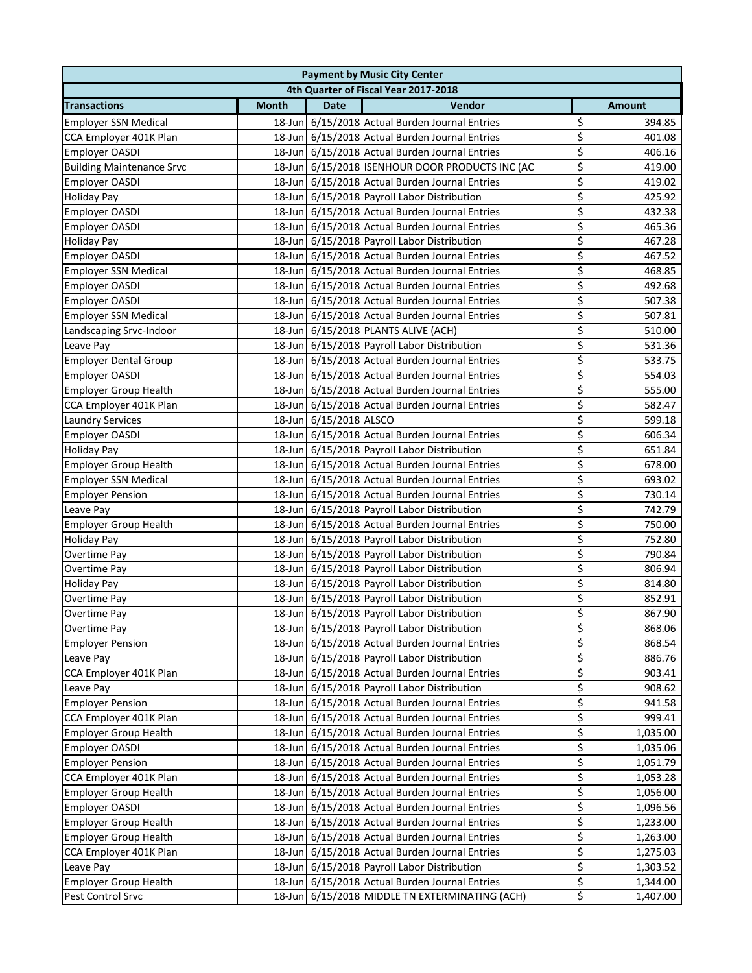| <b>Payment by Music City Center</b> |                                      |                        |                                                 |                         |               |  |  |
|-------------------------------------|--------------------------------------|------------------------|-------------------------------------------------|-------------------------|---------------|--|--|
|                                     | 4th Quarter of Fiscal Year 2017-2018 |                        |                                                 |                         |               |  |  |
| <b>Transactions</b>                 | <b>Month</b>                         | <b>Date</b>            | Vendor                                          |                         | <b>Amount</b> |  |  |
| <b>Employer SSN Medical</b>         |                                      |                        | 18-Jun 6/15/2018 Actual Burden Journal Entries  | \$                      | 394.85        |  |  |
| CCA Employer 401K Plan              |                                      |                        | 18-Jun 6/15/2018 Actual Burden Journal Entries  | \$                      | 401.08        |  |  |
| Employer OASDI                      |                                      |                        | 18-Jun 6/15/2018 Actual Burden Journal Entries  | \$                      | 406.16        |  |  |
| <b>Building Maintenance Srvc</b>    |                                      |                        | 18-Jun 6/15/2018 ISENHOUR DOOR PRODUCTS INC (AC | \$                      | 419.00        |  |  |
| Employer OASDI                      |                                      |                        | 18-Jun 6/15/2018 Actual Burden Journal Entries  | \$                      | 419.02        |  |  |
| <b>Holiday Pay</b>                  |                                      |                        | 18-Jun 6/15/2018 Payroll Labor Distribution     | \$                      | 425.92        |  |  |
| Employer OASDI                      |                                      |                        | 18-Jun 6/15/2018 Actual Burden Journal Entries  | \$                      | 432.38        |  |  |
| Employer OASDI                      |                                      |                        | 18-Jun 6/15/2018 Actual Burden Journal Entries  | \$                      | 465.36        |  |  |
| <b>Holiday Pay</b>                  |                                      |                        | 18-Jun 6/15/2018 Payroll Labor Distribution     | \$                      | 467.28        |  |  |
| Employer OASDI                      |                                      |                        | 18-Jun 6/15/2018 Actual Burden Journal Entries  | \$                      | 467.52        |  |  |
| <b>Employer SSN Medical</b>         |                                      |                        | 18-Jun 6/15/2018 Actual Burden Journal Entries  | \$                      | 468.85        |  |  |
| Employer OASDI                      |                                      |                        | 18-Jun 6/15/2018 Actual Burden Journal Entries  | \$                      | 492.68        |  |  |
| Employer OASDI                      |                                      |                        | 18-Jun 6/15/2018 Actual Burden Journal Entries  | \$                      | 507.38        |  |  |
| <b>Employer SSN Medical</b>         |                                      |                        | 18-Jun 6/15/2018 Actual Burden Journal Entries  | \$                      | 507.81        |  |  |
| Landscaping Srvc-Indoor             |                                      |                        | 18-Jun 6/15/2018 PLANTS ALIVE (ACH)             | \$                      | 510.00        |  |  |
| Leave Pay                           |                                      |                        | 18-Jun 6/15/2018 Payroll Labor Distribution     | \$                      | 531.36        |  |  |
| <b>Employer Dental Group</b>        |                                      |                        | 18-Jun 6/15/2018 Actual Burden Journal Entries  | \$                      | 533.75        |  |  |
| Employer OASDI                      |                                      |                        | 18-Jun 6/15/2018 Actual Burden Journal Entries  | \$                      | 554.03        |  |  |
| <b>Employer Group Health</b>        |                                      |                        | 18-Jun 6/15/2018 Actual Burden Journal Entries  | \$                      | 555.00        |  |  |
| CCA Employer 401K Plan              |                                      |                        | 18-Jun 6/15/2018 Actual Burden Journal Entries  | \$                      | 582.47        |  |  |
| <b>Laundry Services</b>             |                                      | 18-Jun 6/15/2018 ALSCO |                                                 | \$                      | 599.18        |  |  |
| Employer OASDI                      |                                      |                        | 18-Jun 6/15/2018 Actual Burden Journal Entries  | \$                      | 606.34        |  |  |
| Holiday Pay                         |                                      |                        | 18-Jun 6/15/2018 Payroll Labor Distribution     | \$                      | 651.84        |  |  |
| <b>Employer Group Health</b>        |                                      |                        | 18-Jun 6/15/2018 Actual Burden Journal Entries  | \$                      | 678.00        |  |  |
| <b>Employer SSN Medical</b>         |                                      |                        | 18-Jun 6/15/2018 Actual Burden Journal Entries  | \$                      | 693.02        |  |  |
| <b>Employer Pension</b>             |                                      |                        | 18-Jun 6/15/2018 Actual Burden Journal Entries  | \$                      | 730.14        |  |  |
| Leave Pay                           |                                      |                        | 18-Jun 6/15/2018 Payroll Labor Distribution     | \$                      | 742.79        |  |  |
| <b>Employer Group Health</b>        |                                      |                        | 18-Jun 6/15/2018 Actual Burden Journal Entries  | \$                      | 750.00        |  |  |
| <b>Holiday Pay</b>                  |                                      |                        | 18-Jun 6/15/2018 Payroll Labor Distribution     | \$                      | 752.80        |  |  |
| Overtime Pay                        |                                      |                        | 18-Jun 6/15/2018 Payroll Labor Distribution     | \$                      | 790.84        |  |  |
| Overtime Pay                        |                                      |                        | 18-Jun 6/15/2018 Payroll Labor Distribution     | \$                      | 806.94        |  |  |
| <b>Holiday Pay</b>                  |                                      |                        | 18-Jun 6/15/2018 Payroll Labor Distribution     | \$                      | 814.80        |  |  |
| Overtime Pay                        |                                      |                        | 18-Jun 6/15/2018 Payroll Labor Distribution     | \$                      | 852.91        |  |  |
| Overtime Pay                        |                                      |                        | 18-Jun 6/15/2018 Payroll Labor Distribution     | $\overline{\mathsf{S}}$ | 867.90        |  |  |
| Overtime Pay                        |                                      |                        | 18-Jun 6/15/2018 Payroll Labor Distribution     | \$                      | 868.06        |  |  |
| <b>Employer Pension</b>             |                                      |                        | 18-Jun 6/15/2018 Actual Burden Journal Entries  | \$                      | 868.54        |  |  |
| Leave Pay                           |                                      |                        | 18-Jun 6/15/2018 Payroll Labor Distribution     | \$                      | 886.76        |  |  |
| CCA Employer 401K Plan              |                                      |                        | 18-Jun 6/15/2018 Actual Burden Journal Entries  | \$                      | 903.41        |  |  |
| Leave Pay                           |                                      |                        | 18-Jun 6/15/2018 Payroll Labor Distribution     | \$                      | 908.62        |  |  |
| <b>Employer Pension</b>             |                                      |                        | 18-Jun 6/15/2018 Actual Burden Journal Entries  | \$                      | 941.58        |  |  |
| CCA Employer 401K Plan              |                                      |                        | 18-Jun 6/15/2018 Actual Burden Journal Entries  | \$                      | 999.41        |  |  |
| <b>Employer Group Health</b>        |                                      |                        | 18-Jun 6/15/2018 Actual Burden Journal Entries  | \$                      | 1,035.00      |  |  |
| <b>Employer OASDI</b>               |                                      |                        | 18-Jun 6/15/2018 Actual Burden Journal Entries  | \$                      | 1,035.06      |  |  |
| <b>Employer Pension</b>             |                                      |                        | 18-Jun 6/15/2018 Actual Burden Journal Entries  | \$                      | 1,051.79      |  |  |
| CCA Employer 401K Plan              |                                      |                        | 18-Jun 6/15/2018 Actual Burden Journal Entries  | \$                      | 1,053.28      |  |  |
| <b>Employer Group Health</b>        |                                      |                        | 18-Jun 6/15/2018 Actual Burden Journal Entries  | \$                      | 1,056.00      |  |  |
| <b>Employer OASDI</b>               |                                      |                        | 18-Jun 6/15/2018 Actual Burden Journal Entries  | \$                      | 1,096.56      |  |  |
| <b>Employer Group Health</b>        |                                      |                        | 18-Jun 6/15/2018 Actual Burden Journal Entries  | \$                      | 1,233.00      |  |  |
| <b>Employer Group Health</b>        |                                      |                        | 18-Jun 6/15/2018 Actual Burden Journal Entries  | \$                      | 1,263.00      |  |  |
| CCA Employer 401K Plan              |                                      |                        | 18-Jun 6/15/2018 Actual Burden Journal Entries  | \$                      | 1,275.03      |  |  |
| Leave Pay                           |                                      |                        | 18-Jun 6/15/2018 Payroll Labor Distribution     | \$                      | 1,303.52      |  |  |
| <b>Employer Group Health</b>        |                                      |                        | 18-Jun 6/15/2018 Actual Burden Journal Entries  | \$                      | 1,344.00      |  |  |
| Pest Control Srvc                   |                                      |                        | 18-Jun 6/15/2018 MIDDLE TN EXTERMINATING (ACH)  | \$                      | 1,407.00      |  |  |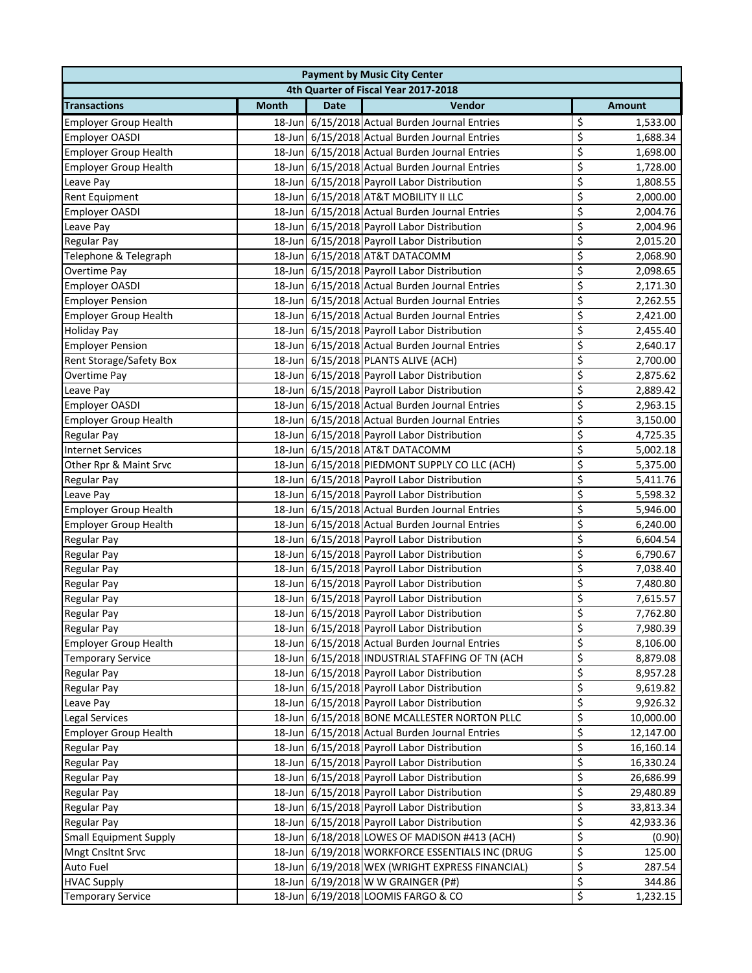|                               | <b>Payment by Music City Center</b> |             |                                                 |                         |               |  |  |
|-------------------------------|-------------------------------------|-------------|-------------------------------------------------|-------------------------|---------------|--|--|
|                               |                                     |             | 4th Quarter of Fiscal Year 2017-2018            |                         |               |  |  |
| <b>Transactions</b>           | <b>Month</b>                        | <b>Date</b> | Vendor                                          |                         | <b>Amount</b> |  |  |
| <b>Employer Group Health</b>  |                                     |             | 18-Jun 6/15/2018 Actual Burden Journal Entries  | \$                      | 1,533.00      |  |  |
| <b>Employer OASDI</b>         |                                     |             | 18-Jun 6/15/2018 Actual Burden Journal Entries  | \$                      | 1,688.34      |  |  |
| <b>Employer Group Health</b>  |                                     |             | 18-Jun 6/15/2018 Actual Burden Journal Entries  | \$                      | 1,698.00      |  |  |
| <b>Employer Group Health</b>  |                                     |             | 18-Jun 6/15/2018 Actual Burden Journal Entries  | \$                      | 1,728.00      |  |  |
| Leave Pay                     |                                     |             | 18-Jun 6/15/2018 Payroll Labor Distribution     | \$                      | 1,808.55      |  |  |
| Rent Equipment                |                                     |             | 18-Jun 6/15/2018 AT&T MOBILITY II LLC           | \$                      | 2,000.00      |  |  |
| <b>Employer OASDI</b>         |                                     |             | 18-Jun 6/15/2018 Actual Burden Journal Entries  | \$                      | 2,004.76      |  |  |
| Leave Pay                     |                                     |             | 18-Jun 6/15/2018 Payroll Labor Distribution     | \$                      | 2,004.96      |  |  |
| <b>Regular Pay</b>            |                                     |             | 18-Jun 6/15/2018 Payroll Labor Distribution     | \$                      | 2,015.20      |  |  |
| Telephone & Telegraph         |                                     |             | 18-Jun 6/15/2018 AT&T DATACOMM                  | \$                      | 2,068.90      |  |  |
| Overtime Pay                  |                                     |             | 18-Jun 6/15/2018 Payroll Labor Distribution     | \$                      | 2,098.65      |  |  |
| <b>Employer OASDI</b>         |                                     |             | 18-Jun 6/15/2018 Actual Burden Journal Entries  | \$                      | 2,171.30      |  |  |
| <b>Employer Pension</b>       |                                     |             | 18-Jun 6/15/2018 Actual Burden Journal Entries  | \$                      | 2,262.55      |  |  |
| <b>Employer Group Health</b>  |                                     |             | 18-Jun 6/15/2018 Actual Burden Journal Entries  | \$                      | 2,421.00      |  |  |
| <b>Holiday Pay</b>            |                                     |             | 18-Jun 6/15/2018 Payroll Labor Distribution     | \$                      | 2,455.40      |  |  |
| <b>Employer Pension</b>       |                                     |             | 18-Jun 6/15/2018 Actual Burden Journal Entries  | \$                      | 2,640.17      |  |  |
| Rent Storage/Safety Box       |                                     |             | 18-Jun 6/15/2018 PLANTS ALIVE (ACH)             | \$                      | 2,700.00      |  |  |
| Overtime Pay                  |                                     |             | 18-Jun 6/15/2018 Payroll Labor Distribution     | \$                      | 2,875.62      |  |  |
| Leave Pay                     |                                     |             | 18-Jun 6/15/2018 Payroll Labor Distribution     | \$                      | 2,889.42      |  |  |
| <b>Employer OASDI</b>         |                                     |             | 18-Jun 6/15/2018 Actual Burden Journal Entries  | \$                      | 2,963.15      |  |  |
| <b>Employer Group Health</b>  |                                     |             | 18-Jun 6/15/2018 Actual Burden Journal Entries  | \$                      | 3,150.00      |  |  |
| <b>Regular Pay</b>            |                                     |             | 18-Jun 6/15/2018 Payroll Labor Distribution     | \$                      | 4,725.35      |  |  |
| <b>Internet Services</b>      |                                     |             | 18-Jun 6/15/2018 AT&T DATACOMM                  | \$                      | 5,002.18      |  |  |
| Other Rpr & Maint Srvc        |                                     |             | 18-Jun 6/15/2018 PIEDMONT SUPPLY CO LLC (ACH)   | \$                      | 5,375.00      |  |  |
| <b>Regular Pay</b>            |                                     |             | 18-Jun 6/15/2018 Payroll Labor Distribution     | \$                      | 5,411.76      |  |  |
| Leave Pay                     |                                     |             | 18-Jun 6/15/2018 Payroll Labor Distribution     | \$                      | 5,598.32      |  |  |
| <b>Employer Group Health</b>  |                                     |             | 18-Jun 6/15/2018 Actual Burden Journal Entries  | \$                      | 5,946.00      |  |  |
| <b>Employer Group Health</b>  |                                     |             | 18-Jun 6/15/2018 Actual Burden Journal Entries  | \$                      | 6,240.00      |  |  |
| <b>Regular Pay</b>            |                                     |             | 18-Jun 6/15/2018 Payroll Labor Distribution     | \$                      | 6,604.54      |  |  |
| <b>Regular Pay</b>            |                                     |             | 18-Jun 6/15/2018 Payroll Labor Distribution     | \$                      | 6,790.67      |  |  |
| <b>Regular Pay</b>            |                                     |             | 18-Jun 6/15/2018 Payroll Labor Distribution     | \$                      | 7,038.40      |  |  |
| <b>Regular Pay</b>            |                                     |             | 18-Jun 6/15/2018 Payroll Labor Distribution     | \$                      | 7,480.80      |  |  |
| <b>Regular Pay</b>            |                                     |             | 18-Jun 6/15/2018 Payroll Labor Distribution     | \$                      | 7,615.57      |  |  |
| <b>Regular Pay</b>            |                                     |             | 18-Jun 6/15/2018 Payroll Labor Distribution     | $\overline{\mathsf{s}}$ | 7,762.80      |  |  |
| Regular Pay                   |                                     |             | 18-Jun 6/15/2018 Payroll Labor Distribution     | \$                      | 7,980.39      |  |  |
| <b>Employer Group Health</b>  |                                     |             | 18-Jun 6/15/2018 Actual Burden Journal Entries  | \$                      | 8,106.00      |  |  |
| <b>Temporary Service</b>      |                                     |             | 18-Jun 6/15/2018 INDUSTRIAL STAFFING OF TN (ACH | \$                      | 8,879.08      |  |  |
| <b>Regular Pay</b>            |                                     |             | 18-Jun 6/15/2018 Payroll Labor Distribution     | \$                      | 8,957.28      |  |  |
| <b>Regular Pay</b>            |                                     |             | 18-Jun 6/15/2018 Payroll Labor Distribution     | \$                      | 9,619.82      |  |  |
| Leave Pay                     |                                     |             | 18-Jun 6/15/2018 Payroll Labor Distribution     | \$                      | 9,926.32      |  |  |
| <b>Legal Services</b>         |                                     |             | 18-Jun 6/15/2018 BONE MCALLESTER NORTON PLLC    | \$                      | 10,000.00     |  |  |
| <b>Employer Group Health</b>  |                                     |             | 18-Jun 6/15/2018 Actual Burden Journal Entries  | \$                      | 12,147.00     |  |  |
| Regular Pay                   |                                     |             | 18-Jun 6/15/2018 Payroll Labor Distribution     | $\overline{\xi}$        | 16,160.14     |  |  |
| <b>Regular Pay</b>            |                                     |             | 18-Jun 6/15/2018 Payroll Labor Distribution     | \$                      | 16,330.24     |  |  |
| Regular Pay                   |                                     |             | 18-Jun 6/15/2018 Payroll Labor Distribution     | \$                      | 26,686.99     |  |  |
| Regular Pay                   |                                     |             | 18-Jun 6/15/2018 Payroll Labor Distribution     | \$                      | 29,480.89     |  |  |
| Regular Pay                   |                                     |             | 18-Jun 6/15/2018 Payroll Labor Distribution     | \$                      | 33,813.34     |  |  |
| Regular Pay                   |                                     |             | 18-Jun 6/15/2018 Payroll Labor Distribution     | \$                      | 42,933.36     |  |  |
| <b>Small Equipment Supply</b> |                                     |             | 18-Jun 6/18/2018 LOWES OF MADISON #413 (ACH)    | \$                      | (0.90)        |  |  |
| Mngt Cnsltnt Srvc             |                                     |             | 18-Jun 6/19/2018 WORKFORCE ESSENTIALS INC (DRUG | \$                      | 125.00        |  |  |
| Auto Fuel                     |                                     |             | 18-Jun 6/19/2018 WEX (WRIGHT EXPRESS FINANCIAL) | \$                      | 287.54        |  |  |
| <b>HVAC Supply</b>            |                                     |             | 18-Jun 6/19/2018 W W GRAINGER (P#)              | \$                      | 344.86        |  |  |
| <b>Temporary Service</b>      |                                     |             | 18-Jun 6/19/2018 LOOMIS FARGO & CO              | \$                      | 1,232.15      |  |  |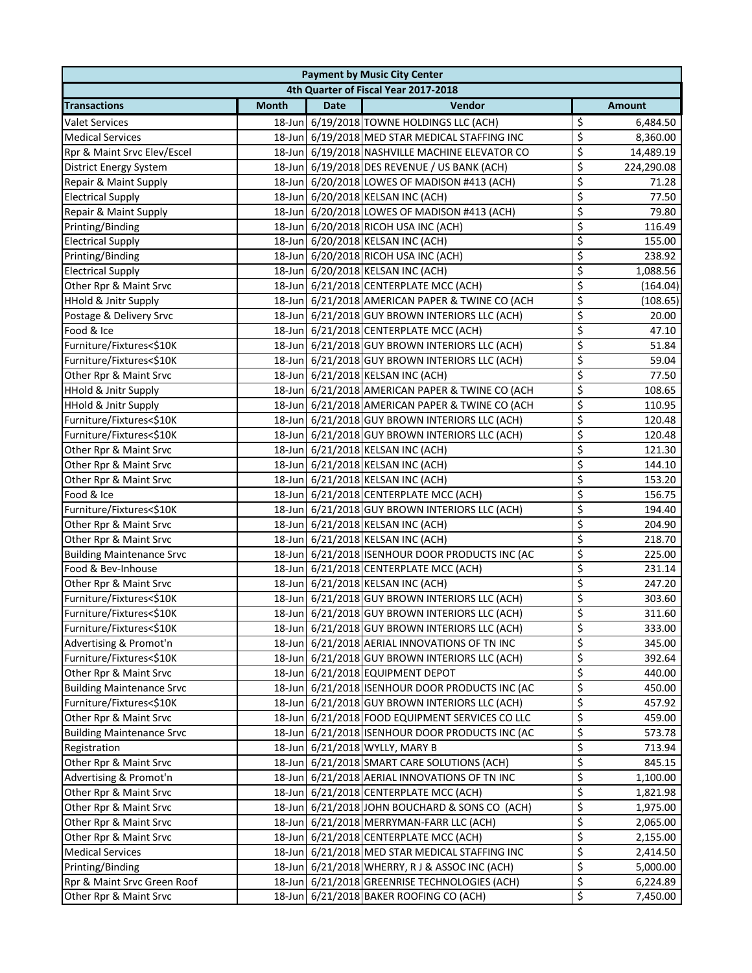| <b>Payment by Music City Center</b> |              |             |                                                 |                         |               |  |
|-------------------------------------|--------------|-------------|-------------------------------------------------|-------------------------|---------------|--|
|                                     |              |             | 4th Quarter of Fiscal Year 2017-2018            |                         |               |  |
| <b>Transactions</b>                 | <b>Month</b> | <b>Date</b> | Vendor                                          |                         | <b>Amount</b> |  |
| <b>Valet Services</b>               |              |             | 18-Jun 6/19/2018 TOWNE HOLDINGS LLC (ACH)       | \$                      | 6,484.50      |  |
| <b>Medical Services</b>             |              |             | 18-Jun 6/19/2018 MED STAR MEDICAL STAFFING INC  | \$                      | 8,360.00      |  |
| Rpr & Maint Srvc Elev/Escel         |              |             | 18-Jun 6/19/2018 NASHVILLE MACHINE ELEVATOR CO  | \$                      | 14,489.19     |  |
| District Energy System              |              |             | 18-Jun 6/19/2018 DES REVENUE / US BANK (ACH)    | \$                      | 224,290.08    |  |
| Repair & Maint Supply               |              |             | 18-Jun 6/20/2018 LOWES OF MADISON #413 (ACH)    | \$                      | 71.28         |  |
| <b>Electrical Supply</b>            |              |             | 18-Jun 6/20/2018 KELSAN INC (ACH)               | \$                      | 77.50         |  |
| Repair & Maint Supply               |              |             | 18-Jun 6/20/2018 LOWES OF MADISON #413 (ACH)    | \$                      | 79.80         |  |
| Printing/Binding                    |              |             | 18-Jun 6/20/2018 RICOH USA INC (ACH)            | \$                      | 116.49        |  |
| <b>Electrical Supply</b>            |              |             | 18-Jun 6/20/2018 KELSAN INC (ACH)               | \$                      | 155.00        |  |
| Printing/Binding                    |              |             | 18-Jun 6/20/2018 RICOH USA INC (ACH)            | \$                      | 238.92        |  |
| <b>Electrical Supply</b>            |              |             | 18-Jun 6/20/2018 KELSAN INC (ACH)               | \$                      | 1,088.56      |  |
| Other Rpr & Maint Srvc              |              |             | 18-Jun 6/21/2018 CENTERPLATE MCC (ACH)          | \$                      | (164.04)      |  |
| <b>HHold &amp; Jnitr Supply</b>     |              |             | 18-Jun 6/21/2018 AMERICAN PAPER & TWINE CO (ACH | \$                      | (108.65)      |  |
| Postage & Delivery Srvc             |              |             | 18-Jun 6/21/2018 GUY BROWN INTERIORS LLC (ACH)  | \$                      | 20.00         |  |
| Food & Ice                          |              |             | 18-Jun 6/21/2018 CENTERPLATE MCC (ACH)          | \$                      | 47.10         |  |
| Furniture/Fixtures<\$10K            |              |             | 18-Jun 6/21/2018 GUY BROWN INTERIORS LLC (ACH)  | \$                      | 51.84         |  |
| Furniture/Fixtures<\$10K            |              |             | 18-Jun 6/21/2018 GUY BROWN INTERIORS LLC (ACH)  | \$                      | 59.04         |  |
| Other Rpr & Maint Srvc              |              |             | 18-Jun 6/21/2018 KELSAN INC (ACH)               | \$                      | 77.50         |  |
| <b>HHold &amp; Jnitr Supply</b>     |              |             | 18-Jun 6/21/2018 AMERICAN PAPER & TWINE CO (ACH | \$                      | 108.65        |  |
| HHold & Jnitr Supply                |              |             | 18-Jun 6/21/2018 AMERICAN PAPER & TWINE CO (ACH | \$                      | 110.95        |  |
| Furniture/Fixtures<\$10K            |              |             | 18-Jun 6/21/2018 GUY BROWN INTERIORS LLC (ACH)  | \$                      | 120.48        |  |
| Furniture/Fixtures<\$10K            |              |             | 18-Jun 6/21/2018 GUY BROWN INTERIORS LLC (ACH)  | \$                      | 120.48        |  |
| Other Rpr & Maint Srvc              |              |             | 18-Jun 6/21/2018 KELSAN INC (ACH)               | \$                      | 121.30        |  |
| Other Rpr & Maint Srvc              |              |             | 18-Jun 6/21/2018 KELSAN INC (ACH)               | \$                      | 144.10        |  |
| Other Rpr & Maint Srvc              |              |             | 18-Jun 6/21/2018 KELSAN INC (ACH)               | \$                      | 153.20        |  |
| Food & Ice                          |              |             | 18-Jun 6/21/2018 CENTERPLATE MCC (ACH)          | \$                      | 156.75        |  |
| Furniture/Fixtures<\$10K            |              |             | 18-Jun 6/21/2018 GUY BROWN INTERIORS LLC (ACH)  | \$                      | 194.40        |  |
| Other Rpr & Maint Srvc              |              |             | 18-Jun 6/21/2018 KELSAN INC (ACH)               | \$                      | 204.90        |  |
| Other Rpr & Maint Srvc              |              |             | 18-Jun 6/21/2018 KELSAN INC (ACH)               | \$                      | 218.70        |  |
| <b>Building Maintenance Srvc</b>    |              |             | 18-Jun 6/21/2018 ISENHOUR DOOR PRODUCTS INC (AC | \$                      | 225.00        |  |
| Food & Bev-Inhouse                  |              |             | 18-Jun 6/21/2018 CENTERPLATE MCC (ACH)          | \$                      | 231.14        |  |
| Other Rpr & Maint Srvc              |              |             | 18-Jun 6/21/2018 KELSAN INC (ACH)               | \$                      | 247.20        |  |
| Furniture/Fixtures<\$10K            |              |             | 18-Jun 6/21/2018 GUY BROWN INTERIORS LLC (ACH)  | \$                      | 303.60        |  |
| Furniture/Fixtures<\$10K            |              |             | 18-Jun 6/21/2018 GUY BROWN INTERIORS LLC (ACH)  | $\overline{\mathsf{S}}$ | 311.60        |  |
| Furniture/Fixtures<\$10K            |              |             | 18-Jun 6/21/2018 GUY BROWN INTERIORS LLC (ACH)  | \$                      | 333.00        |  |
| Advertising & Promot'n              |              |             | 18-Jun 6/21/2018 AERIAL INNOVATIONS OF TN INC   | \$                      | 345.00        |  |
| Furniture/Fixtures<\$10K            |              |             | 18-Jun 6/21/2018 GUY BROWN INTERIORS LLC (ACH)  | \$                      | 392.64        |  |
| Other Rpr & Maint Srvc              |              |             | 18-Jun 6/21/2018 EQUIPMENT DEPOT                | \$                      | 440.00        |  |
| <b>Building Maintenance Srvc</b>    |              |             | 18-Jun 6/21/2018 ISENHOUR DOOR PRODUCTS INC (AC | \$                      | 450.00        |  |
| Furniture/Fixtures<\$10K            |              |             | 18-Jun 6/21/2018 GUY BROWN INTERIORS LLC (ACH)  | \$                      | 457.92        |  |
| Other Rpr & Maint Srvc              |              |             | 18-Jun 6/21/2018 FOOD EQUIPMENT SERVICES CO LLC | \$                      | 459.00        |  |
| <b>Building Maintenance Srvc</b>    |              |             | 18-Jun 6/21/2018 ISENHOUR DOOR PRODUCTS INC (AC | \$                      | 573.78        |  |
| Registration                        |              |             | 18-Jun 6/21/2018 WYLLY, MARY B                  | \$                      | 713.94        |  |
| Other Rpr & Maint Srvc              |              |             | 18-Jun 6/21/2018 SMART CARE SOLUTIONS (ACH)     | \$                      | 845.15        |  |
| Advertising & Promot'n              |              |             | 18-Jun 6/21/2018 AERIAL INNOVATIONS OF TN INC   | \$                      | 1,100.00      |  |
| Other Rpr & Maint Srvc              |              |             | 18-Jun 6/21/2018 CENTERPLATE MCC (ACH)          | \$                      | 1,821.98      |  |
| Other Rpr & Maint Srvc              |              |             | 18-Jun 6/21/2018 JOHN BOUCHARD & SONS CO (ACH)  | \$                      | 1,975.00      |  |
| Other Rpr & Maint Srvc              |              |             | 18-Jun 6/21/2018 MERRYMAN-FARR LLC (ACH)        | \$                      | 2,065.00      |  |
| Other Rpr & Maint Srvc              |              |             | 18-Jun 6/21/2018 CENTERPLATE MCC (ACH)          | \$                      | 2,155.00      |  |
| <b>Medical Services</b>             |              |             | 18-Jun 6/21/2018 MED STAR MEDICAL STAFFING INC  | \$                      | 2,414.50      |  |
| Printing/Binding                    |              |             | 18-Jun 6/21/2018 WHERRY, R J & ASSOC INC (ACH)  | \$                      | 5,000.00      |  |
| Rpr & Maint Srvc Green Roof         |              |             | 18-Jun 6/21/2018 GREENRISE TECHNOLOGIES (ACH)   | \$                      | 6,224.89      |  |
| Other Rpr & Maint Srvc              |              |             | 18-Jun 6/21/2018 BAKER ROOFING CO (ACH)         | \$                      | 7,450.00      |  |
|                                     |              |             |                                                 |                         |               |  |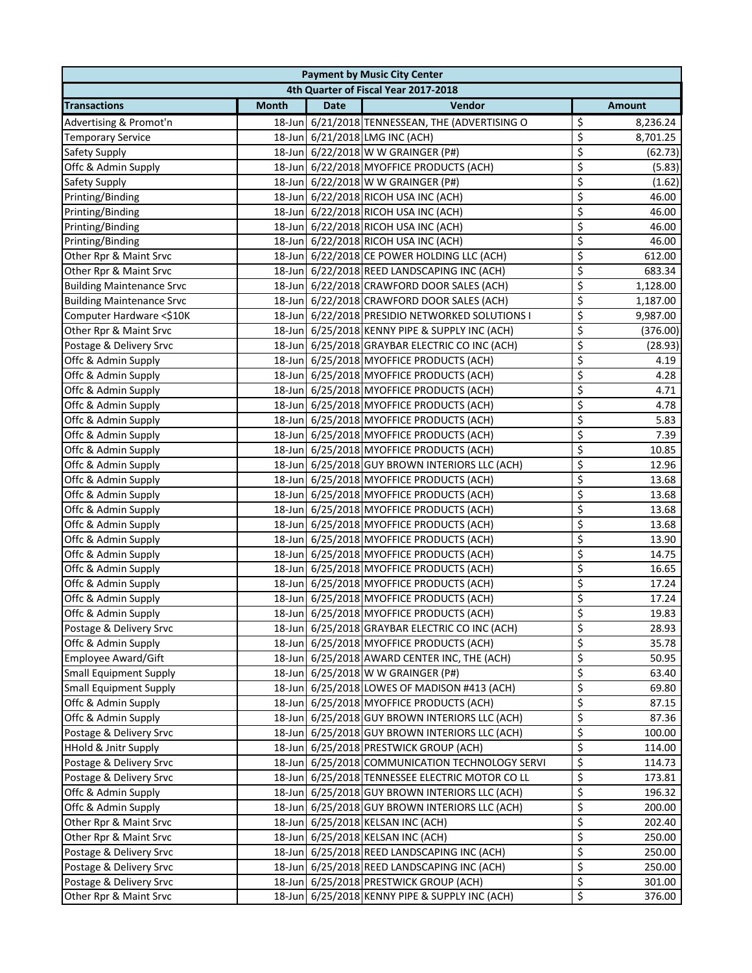| <b>Payment by Music City Center</b> |              |             |                                                 |                         |               |  |
|-------------------------------------|--------------|-------------|-------------------------------------------------|-------------------------|---------------|--|
|                                     |              |             | 4th Quarter of Fiscal Year 2017-2018            |                         |               |  |
| <b>Transactions</b>                 | <b>Month</b> | <b>Date</b> | Vendor                                          |                         | <b>Amount</b> |  |
| Advertising & Promot'n              |              |             | 18-Jun 6/21/2018 TENNESSEAN, THE (ADVERTISING O | \$                      | 8,236.24      |  |
| <b>Temporary Service</b>            |              |             | 18-Jun 6/21/2018 LMG INC (ACH)                  | \$                      | 8,701.25      |  |
| <b>Safety Supply</b>                |              |             | 18-Jun 6/22/2018 W W GRAINGER (P#)              | \$                      | (62.73)       |  |
| Offc & Admin Supply                 |              |             | 18-Jun 6/22/2018 MYOFFICE PRODUCTS (ACH)        | \$                      | (5.83)        |  |
| Safety Supply                       |              |             | 18-Jun 6/22/2018 W W GRAINGER (P#)              | \$                      | (1.62)        |  |
| Printing/Binding                    |              |             | 18-Jun 6/22/2018 RICOH USA INC (ACH)            | \$                      | 46.00         |  |
| Printing/Binding                    |              |             | 18-Jun 6/22/2018 RICOH USA INC (ACH)            | \$                      | 46.00         |  |
| Printing/Binding                    |              |             | 18-Jun 6/22/2018 RICOH USA INC (ACH)            | \$                      | 46.00         |  |
| Printing/Binding                    |              |             | 18-Jun 6/22/2018 RICOH USA INC (ACH)            | \$                      | 46.00         |  |
| Other Rpr & Maint Srvc              |              |             | 18-Jun 6/22/2018 CE POWER HOLDING LLC (ACH)     | \$                      | 612.00        |  |
| Other Rpr & Maint Srvc              |              |             | 18-Jun 6/22/2018 REED LANDSCAPING INC (ACH)     | \$                      | 683.34        |  |
| <b>Building Maintenance Srvc</b>    |              |             | 18-Jun 6/22/2018 CRAWFORD DOOR SALES (ACH)      | \$                      | 1,128.00      |  |
| <b>Building Maintenance Srvc</b>    |              |             | 18-Jun 6/22/2018 CRAWFORD DOOR SALES (ACH)      | \$                      | 1,187.00      |  |
| Computer Hardware <\$10K            |              |             | 18-Jun 6/22/2018 PRESIDIO NETWORKED SOLUTIONS I | \$                      | 9,987.00      |  |
| Other Rpr & Maint Srvc              |              |             | 18-Jun 6/25/2018 KENNY PIPE & SUPPLY INC (ACH)  | \$                      | (376.00)      |  |
| Postage & Delivery Srvc             |              |             | 18-Jun 6/25/2018 GRAYBAR ELECTRIC CO INC (ACH)  | \$                      | (28.93)       |  |
| Offc & Admin Supply                 |              |             | 18-Jun 6/25/2018 MYOFFICE PRODUCTS (ACH)        | \$                      | 4.19          |  |
| Offc & Admin Supply                 |              |             | 18-Jun 6/25/2018 MYOFFICE PRODUCTS (ACH)        | \$                      | 4.28          |  |
| Offc & Admin Supply                 |              |             | 18-Jun 6/25/2018 MYOFFICE PRODUCTS (ACH)        | \$                      | 4.71          |  |
| Offc & Admin Supply                 |              |             | 18-Jun 6/25/2018 MYOFFICE PRODUCTS (ACH)        | \$                      | 4.78          |  |
| Offc & Admin Supply                 |              |             | 18-Jun 6/25/2018 MYOFFICE PRODUCTS (ACH)        | \$                      | 5.83          |  |
| Offc & Admin Supply                 |              |             | 18-Jun 6/25/2018 MYOFFICE PRODUCTS (ACH)        | \$                      | 7.39          |  |
| Offc & Admin Supply                 |              |             | 18-Jun 6/25/2018 MYOFFICE PRODUCTS (ACH)        | \$                      | 10.85         |  |
| Offc & Admin Supply                 |              |             | 18-Jun 6/25/2018 GUY BROWN INTERIORS LLC (ACH)  | \$                      | 12.96         |  |
| Offc & Admin Supply                 |              |             | 18-Jun 6/25/2018 MYOFFICE PRODUCTS (ACH)        | \$                      | 13.68         |  |
| Offc & Admin Supply                 |              |             | 18-Jun 6/25/2018 MYOFFICE PRODUCTS (ACH)        | \$                      | 13.68         |  |
| Offc & Admin Supply                 |              |             | 18-Jun 6/25/2018 MYOFFICE PRODUCTS (ACH)        | \$                      | 13.68         |  |
| Offc & Admin Supply                 |              |             | 18-Jun 6/25/2018 MYOFFICE PRODUCTS (ACH)        | \$                      | 13.68         |  |
| Offc & Admin Supply                 |              |             | 18-Jun 6/25/2018 MYOFFICE PRODUCTS (ACH)        | \$                      | 13.90         |  |
| Offc & Admin Supply                 |              |             | 18-Jun 6/25/2018 MYOFFICE PRODUCTS (ACH)        | \$                      | 14.75         |  |
| Offc & Admin Supply                 |              |             | 18-Jun 6/25/2018 MYOFFICE PRODUCTS (ACH)        | \$                      | 16.65         |  |
| Offc & Admin Supply                 |              |             | 18-Jun 6/25/2018 MYOFFICE PRODUCTS (ACH)        | \$                      | 17.24         |  |
| Offc & Admin Supply                 |              |             | 18-Jun 6/25/2018 MYOFFICE PRODUCTS (ACH)        | \$                      | 17.24         |  |
| Offc & Admin Supply                 |              |             | 18-Jun 6/25/2018 MYOFFICE PRODUCTS (ACH)        | $\overline{\mathsf{S}}$ | 19.83         |  |
| Postage & Delivery Srvc             |              |             | 18-Jun 6/25/2018 GRAYBAR ELECTRIC CO INC (ACH)  | \$                      | 28.93         |  |
| Offc & Admin Supply                 |              |             | 18-Jun 6/25/2018 MYOFFICE PRODUCTS (ACH)        | \$                      | 35.78         |  |
| Employee Award/Gift                 |              |             | 18-Jun 6/25/2018 AWARD CENTER INC, THE (ACH)    | \$                      | 50.95         |  |
| <b>Small Equipment Supply</b>       | $18 - Jun$   |             | 6/25/2018 W W GRAINGER (P#)                     | \$                      | 63.40         |  |
| <b>Small Equipment Supply</b>       | 18-Jun       |             | 6/25/2018 LOWES OF MADISON #413 (ACH)           | \$                      | 69.80         |  |
| Offc & Admin Supply                 | 18-Jun       |             | 6/25/2018 MYOFFICE PRODUCTS (ACH)               | \$                      | 87.15         |  |
| Offc & Admin Supply                 |              |             | 18-Jun 6/25/2018 GUY BROWN INTERIORS LLC (ACH)  | \$                      | 87.36         |  |
| Postage & Delivery Srvc             | 18-Jun       |             | 6/25/2018 GUY BROWN INTERIORS LLC (ACH)         | \$                      | 100.00        |  |
| <b>HHold &amp; Jnitr Supply</b>     |              |             | 18-Jun 6/25/2018 PRESTWICK GROUP (ACH)          | \$                      | 114.00        |  |
| Postage & Delivery Srvc             |              |             | 18-Jun 6/25/2018 COMMUNICATION TECHNOLOGY SERVI | \$                      | 114.73        |  |
| Postage & Delivery Srvc             |              |             | 18-Jun 6/25/2018 TENNESSEE ELECTRIC MOTOR CO LL | \$                      | 173.81        |  |
| Offc & Admin Supply                 |              |             | 18-Jun 6/25/2018 GUY BROWN INTERIORS LLC (ACH)  | \$                      | 196.32        |  |
| Offc & Admin Supply                 |              |             | 18-Jun 6/25/2018 GUY BROWN INTERIORS LLC (ACH)  | \$                      | 200.00        |  |
| Other Rpr & Maint Srvc              | 18-Jun       |             | 6/25/2018 KELSAN INC (ACH)                      | \$                      | 202.40        |  |
| Other Rpr & Maint Srvc              | 18-Jun       |             | 6/25/2018 KELSAN INC (ACH)                      | \$                      | 250.00        |  |
| Postage & Delivery Srvc             |              |             | 18-Jun 6/25/2018 REED LANDSCAPING INC (ACH)     | \$                      | 250.00        |  |
| Postage & Delivery Srvc             |              |             | 18-Jun 6/25/2018 REED LANDSCAPING INC (ACH)     | \$                      | 250.00        |  |
| Postage & Delivery Srvc             |              |             | 18-Jun 6/25/2018 PRESTWICK GROUP (ACH)          | \$                      | 301.00        |  |
| Other Rpr & Maint Srvc              |              |             | 18-Jun 6/25/2018 KENNY PIPE & SUPPLY INC (ACH)  | \$                      | 376.00        |  |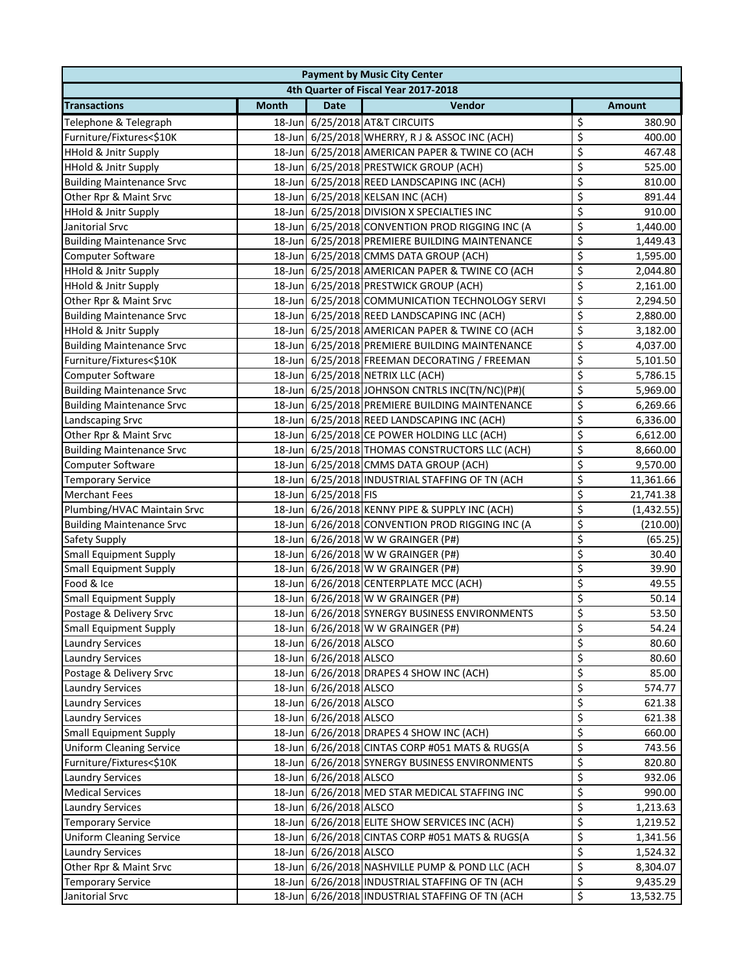| 4th Quarter of Fiscal Year 2017-2018<br>Vendor<br><b>Transactions</b><br><b>Month</b><br><b>Date</b><br><b>Amount</b><br>\$<br>18-Jun 6/25/2018 AT&T CIRCUITS<br>Telephone & Telegraph<br>380.90<br>\$<br>18-Jun 6/25/2018 WHERRY, R J & ASSOC INC (ACH)<br>Furniture/Fixtures<\$10K<br>400.00<br>\$<br>18-Jun 6/25/2018 AMERICAN PAPER & TWINE CO (ACH<br><b>HHold &amp; Jnitr Supply</b><br>467.48<br>\$<br>18-Jun 6/25/2018 PRESTWICK GROUP (ACH)<br>525.00<br><b>HHold &amp; Jnitr Supply</b><br>\$<br>18-Jun 6/25/2018 REED LANDSCAPING INC (ACH)<br><b>Building Maintenance Srvc</b><br>810.00<br>\$<br>18-Jun 6/25/2018 KELSAN INC (ACH)<br>Other Rpr & Maint Srvc<br>891.44<br>\$<br>18-Jun 6/25/2018 DIVISION X SPECIALTIES INC<br>910.00<br><b>HHold &amp; Jnitr Supply</b><br>\$<br>18-Jun 6/25/2018 CONVENTION PROD RIGGING INC (A<br>1,440.00<br>\$<br><b>Building Maintenance Srvc</b><br>18-Jun 6/25/2018 PREMIERE BUILDING MAINTENANCE<br>1,449.43<br>\$<br><b>Computer Software</b><br>18-Jun 6/25/2018 CMMS DATA GROUP (ACH)<br>1,595.00<br>\$<br>18-Jun 6/25/2018 AMERICAN PAPER & TWINE CO (ACH<br><b>HHold &amp; Jnitr Supply</b><br>2,044.80<br>\$<br>18-Jun 6/25/2018 PRESTWICK GROUP (ACH)<br><b>HHold &amp; Jnitr Supply</b><br>2,161.00<br>\$<br>18-Jun 6/25/2018 COMMUNICATION TECHNOLOGY SERVI<br>Other Rpr & Maint Srvc<br>2,294.50<br>\$<br>18-Jun 6/25/2018 REED LANDSCAPING INC (ACH)<br><b>Building Maintenance Srvc</b><br>2,880.00<br>\$<br>18-Jun 6/25/2018 AMERICAN PAPER & TWINE CO (ACH<br><b>HHold &amp; Jnitr Supply</b><br>3,182.00<br>\$<br><b>Building Maintenance Srvc</b><br>18-Jun 6/25/2018 PREMIERE BUILDING MAINTENANCE<br>4,037.00<br>\$<br>Furniture/Fixtures<\$10K<br>18-Jun 6/25/2018 FREEMAN DECORATING / FREEMAN<br>5,101.50<br>\$<br>18-Jun 6/25/2018 NETRIX LLC (ACH)<br>5,786.15<br>Computer Software<br>\$<br>18-Jun 6/25/2018 JOHNSON CNTRLS INC(TN/NC)(P#)(<br><b>Building Maintenance Srvc</b><br>5,969.00<br>\$<br>18-Jun 6/25/2018 PREMIERE BUILDING MAINTENANCE<br><b>Building Maintenance Srvc</b><br>6,269.66<br>\$<br>18-Jun 6/25/2018 REED LANDSCAPING INC (ACH)<br>Landscaping Srvc<br>6,336.00<br>\$<br>Other Rpr & Maint Srvc<br>18-Jun 6/25/2018 CE POWER HOLDING LLC (ACH)<br>6,612.00<br>\$<br>18-Jun 6/25/2018 THOMAS CONSTRUCTORS LLC (ACH)<br><b>Building Maintenance Srvc</b><br>8,660.00<br>\$<br>18-Jun 6/25/2018 CMMS DATA GROUP (ACH)<br>Computer Software<br>9,570.00<br>\$<br>18-Jun 6/25/2018 INDUSTRIAL STAFFING OF TN (ACH<br>11,361.66<br><b>Temporary Service</b><br>\$<br>18-Jun 6/25/2018 FIS<br><b>Merchant Fees</b><br>21,741.38<br>\$<br>18-Jun 6/26/2018 KENNY PIPE & SUPPLY INC (ACH)<br>Plumbing/HVAC Maintain Srvc<br>(1,432.55)<br>\$<br>18-Jun 6/26/2018 CONVENTION PROD RIGGING INC (A<br><b>Building Maintenance Srvc</b><br>(210.00)<br>\$<br>Safety Supply<br>18-Jun 6/26/2018 W W GRAINGER (P#)<br>(65.25)<br>\$<br><b>Small Equipment Supply</b><br>18-Jun 6/26/2018 W W GRAINGER (P#)<br>30.40<br>\$<br><b>Small Equipment Supply</b><br>18-Jun 6/26/2018 W W GRAINGER (P#)<br>39.90<br>\$<br>Food & Ice<br>18-Jun 6/26/2018 CENTERPLATE MCC (ACH)<br>49.55<br>\$<br><b>Small Equipment Supply</b><br>18-Jun 6/26/2018 W W GRAINGER (P#)<br>50.14<br>$\overline{\mathsf{S}}$<br>18-Jun 6/26/2018 SYNERGY BUSINESS ENVIRONMENTS<br>53.50<br>Postage & Delivery Srvc<br>\$<br><b>Small Equipment Supply</b><br>18-Jun 6/26/2018 W W GRAINGER (P#)<br>54.24<br>\$<br>18-Jun 6/26/2018 ALSCO<br><b>Laundry Services</b><br>80.60<br>\$<br>18-Jun 6/26/2018 ALSCO<br>80.60<br><b>Laundry Services</b><br>\$<br>18-Jun 6/26/2018 DRAPES 4 SHOW INC (ACH)<br>85.00<br>Postage & Delivery Srvc<br>\$<br>6/26/2018 ALSCO<br>574.77<br><b>Laundry Services</b><br>18-Jun<br>\$<br>18-Jun 6/26/2018 ALSCO<br><b>Laundry Services</b><br>621.38<br>\$<br>18-Jun 6/26/2018 ALSCO<br>621.38<br><b>Laundry Services</b><br>\$<br><b>Small Equipment Supply</b><br>6/26/2018 DRAPES 4 SHOW INC (ACH)<br>660.00<br>18-Jun<br>\$<br>18-Jun 6/26/2018 CINTAS CORP #051 MATS & RUGS(A<br>743.56<br><b>Uniform Cleaning Service</b><br>\$<br>Furniture/Fixtures<\$10K<br>18-Jun 6/26/2018 SYNERGY BUSINESS ENVIRONMENTS<br>820.80<br>\$<br>18-Jun 6/26/2018 ALSCO<br>932.06<br><b>Laundry Services</b><br>\$<br>18-Jun 6/26/2018 MED STAR MEDICAL STAFFING INC<br>990.00<br><b>Medical Services</b><br>\$<br><b>Laundry Services</b><br>18-Jun 6/26/2018 ALSCO<br>1,213.63<br>\$<br>6/26/2018 ELITE SHOW SERVICES INC (ACH)<br><b>Temporary Service</b><br>18-Jun<br>1,219.52<br>\$<br><b>Uniform Cleaning Service</b><br>6/26/2018 CINTAS CORP #051 MATS & RUGS(A<br>18-Jun<br>1,341.56 |                          |  |  | <b>Payment by Music City Center</b> |  |  |  |  |
|----------------------------------------------------------------------------------------------------------------------------------------------------------------------------------------------------------------------------------------------------------------------------------------------------------------------------------------------------------------------------------------------------------------------------------------------------------------------------------------------------------------------------------------------------------------------------------------------------------------------------------------------------------------------------------------------------------------------------------------------------------------------------------------------------------------------------------------------------------------------------------------------------------------------------------------------------------------------------------------------------------------------------------------------------------------------------------------------------------------------------------------------------------------------------------------------------------------------------------------------------------------------------------------------------------------------------------------------------------------------------------------------------------------------------------------------------------------------------------------------------------------------------------------------------------------------------------------------------------------------------------------------------------------------------------------------------------------------------------------------------------------------------------------------------------------------------------------------------------------------------------------------------------------------------------------------------------------------------------------------------------------------------------------------------------------------------------------------------------------------------------------------------------------------------------------------------------------------------------------------------------------------------------------------------------------------------------------------------------------------------------------------------------------------------------------------------------------------------------------------------------------------------------------------------------------------------------------------------------------------------------------------------------------------------------------------------------------------------------------------------------------------------------------------------------------------------------------------------------------------------------------------------------------------------------------------------------------------------------------------------------------------------------------------------------------------------------------------------------------------------------------------------------------------------------------------------------------------------------------------------------------------------------------------------------------------------------------------------------------------------------------------------------------------------------------------------------------------------------------------------------------------------------------------------------------------------------------------------------------------------------------------------------------------------------------------------------------------------------------------------------------------------------------------------------------------------------------------------------------------------------------------------------------------------------------------------------------------------------------------------------------------------------------------------------------------------------------------------------------------------------------------------------------------------------------------------------------------------------------------------------------------------------------------------------------------------------------------------------------------------------------------------------------------------------------------------------------------------------------------------------------------------------------------------------------------------------------------------------------------------------------------------------------------------------|--------------------------|--|--|-------------------------------------|--|--|--|--|
|                                                                                                                                                                                                                                                                                                                                                                                                                                                                                                                                                                                                                                                                                                                                                                                                                                                                                                                                                                                                                                                                                                                                                                                                                                                                                                                                                                                                                                                                                                                                                                                                                                                                                                                                                                                                                                                                                                                                                                                                                                                                                                                                                                                                                                                                                                                                                                                                                                                                                                                                                                                                                                                                                                                                                                                                                                                                                                                                                                                                                                                                                                                                                                                                                                                                                                                                                                                                                                                                                                                                                                                                                                                                                                                                                                                                                                                                                                                                                                                                                                                                                                                                                                                                                                                                                                                                                                                                                                                                                                                                                                                                                                                                                  |                          |  |  |                                     |  |  |  |  |
|                                                                                                                                                                                                                                                                                                                                                                                                                                                                                                                                                                                                                                                                                                                                                                                                                                                                                                                                                                                                                                                                                                                                                                                                                                                                                                                                                                                                                                                                                                                                                                                                                                                                                                                                                                                                                                                                                                                                                                                                                                                                                                                                                                                                                                                                                                                                                                                                                                                                                                                                                                                                                                                                                                                                                                                                                                                                                                                                                                                                                                                                                                                                                                                                                                                                                                                                                                                                                                                                                                                                                                                                                                                                                                                                                                                                                                                                                                                                                                                                                                                                                                                                                                                                                                                                                                                                                                                                                                                                                                                                                                                                                                                                                  |                          |  |  |                                     |  |  |  |  |
|                                                                                                                                                                                                                                                                                                                                                                                                                                                                                                                                                                                                                                                                                                                                                                                                                                                                                                                                                                                                                                                                                                                                                                                                                                                                                                                                                                                                                                                                                                                                                                                                                                                                                                                                                                                                                                                                                                                                                                                                                                                                                                                                                                                                                                                                                                                                                                                                                                                                                                                                                                                                                                                                                                                                                                                                                                                                                                                                                                                                                                                                                                                                                                                                                                                                                                                                                                                                                                                                                                                                                                                                                                                                                                                                                                                                                                                                                                                                                                                                                                                                                                                                                                                                                                                                                                                                                                                                                                                                                                                                                                                                                                                                                  |                          |  |  |                                     |  |  |  |  |
|                                                                                                                                                                                                                                                                                                                                                                                                                                                                                                                                                                                                                                                                                                                                                                                                                                                                                                                                                                                                                                                                                                                                                                                                                                                                                                                                                                                                                                                                                                                                                                                                                                                                                                                                                                                                                                                                                                                                                                                                                                                                                                                                                                                                                                                                                                                                                                                                                                                                                                                                                                                                                                                                                                                                                                                                                                                                                                                                                                                                                                                                                                                                                                                                                                                                                                                                                                                                                                                                                                                                                                                                                                                                                                                                                                                                                                                                                                                                                                                                                                                                                                                                                                                                                                                                                                                                                                                                                                                                                                                                                                                                                                                                                  |                          |  |  |                                     |  |  |  |  |
|                                                                                                                                                                                                                                                                                                                                                                                                                                                                                                                                                                                                                                                                                                                                                                                                                                                                                                                                                                                                                                                                                                                                                                                                                                                                                                                                                                                                                                                                                                                                                                                                                                                                                                                                                                                                                                                                                                                                                                                                                                                                                                                                                                                                                                                                                                                                                                                                                                                                                                                                                                                                                                                                                                                                                                                                                                                                                                                                                                                                                                                                                                                                                                                                                                                                                                                                                                                                                                                                                                                                                                                                                                                                                                                                                                                                                                                                                                                                                                                                                                                                                                                                                                                                                                                                                                                                                                                                                                                                                                                                                                                                                                                                                  |                          |  |  |                                     |  |  |  |  |
|                                                                                                                                                                                                                                                                                                                                                                                                                                                                                                                                                                                                                                                                                                                                                                                                                                                                                                                                                                                                                                                                                                                                                                                                                                                                                                                                                                                                                                                                                                                                                                                                                                                                                                                                                                                                                                                                                                                                                                                                                                                                                                                                                                                                                                                                                                                                                                                                                                                                                                                                                                                                                                                                                                                                                                                                                                                                                                                                                                                                                                                                                                                                                                                                                                                                                                                                                                                                                                                                                                                                                                                                                                                                                                                                                                                                                                                                                                                                                                                                                                                                                                                                                                                                                                                                                                                                                                                                                                                                                                                                                                                                                                                                                  |                          |  |  |                                     |  |  |  |  |
|                                                                                                                                                                                                                                                                                                                                                                                                                                                                                                                                                                                                                                                                                                                                                                                                                                                                                                                                                                                                                                                                                                                                                                                                                                                                                                                                                                                                                                                                                                                                                                                                                                                                                                                                                                                                                                                                                                                                                                                                                                                                                                                                                                                                                                                                                                                                                                                                                                                                                                                                                                                                                                                                                                                                                                                                                                                                                                                                                                                                                                                                                                                                                                                                                                                                                                                                                                                                                                                                                                                                                                                                                                                                                                                                                                                                                                                                                                                                                                                                                                                                                                                                                                                                                                                                                                                                                                                                                                                                                                                                                                                                                                                                                  |                          |  |  |                                     |  |  |  |  |
|                                                                                                                                                                                                                                                                                                                                                                                                                                                                                                                                                                                                                                                                                                                                                                                                                                                                                                                                                                                                                                                                                                                                                                                                                                                                                                                                                                                                                                                                                                                                                                                                                                                                                                                                                                                                                                                                                                                                                                                                                                                                                                                                                                                                                                                                                                                                                                                                                                                                                                                                                                                                                                                                                                                                                                                                                                                                                                                                                                                                                                                                                                                                                                                                                                                                                                                                                                                                                                                                                                                                                                                                                                                                                                                                                                                                                                                                                                                                                                                                                                                                                                                                                                                                                                                                                                                                                                                                                                                                                                                                                                                                                                                                                  |                          |  |  |                                     |  |  |  |  |
|                                                                                                                                                                                                                                                                                                                                                                                                                                                                                                                                                                                                                                                                                                                                                                                                                                                                                                                                                                                                                                                                                                                                                                                                                                                                                                                                                                                                                                                                                                                                                                                                                                                                                                                                                                                                                                                                                                                                                                                                                                                                                                                                                                                                                                                                                                                                                                                                                                                                                                                                                                                                                                                                                                                                                                                                                                                                                                                                                                                                                                                                                                                                                                                                                                                                                                                                                                                                                                                                                                                                                                                                                                                                                                                                                                                                                                                                                                                                                                                                                                                                                                                                                                                                                                                                                                                                                                                                                                                                                                                                                                                                                                                                                  |                          |  |  |                                     |  |  |  |  |
|                                                                                                                                                                                                                                                                                                                                                                                                                                                                                                                                                                                                                                                                                                                                                                                                                                                                                                                                                                                                                                                                                                                                                                                                                                                                                                                                                                                                                                                                                                                                                                                                                                                                                                                                                                                                                                                                                                                                                                                                                                                                                                                                                                                                                                                                                                                                                                                                                                                                                                                                                                                                                                                                                                                                                                                                                                                                                                                                                                                                                                                                                                                                                                                                                                                                                                                                                                                                                                                                                                                                                                                                                                                                                                                                                                                                                                                                                                                                                                                                                                                                                                                                                                                                                                                                                                                                                                                                                                                                                                                                                                                                                                                                                  | Janitorial Srvc          |  |  |                                     |  |  |  |  |
|                                                                                                                                                                                                                                                                                                                                                                                                                                                                                                                                                                                                                                                                                                                                                                                                                                                                                                                                                                                                                                                                                                                                                                                                                                                                                                                                                                                                                                                                                                                                                                                                                                                                                                                                                                                                                                                                                                                                                                                                                                                                                                                                                                                                                                                                                                                                                                                                                                                                                                                                                                                                                                                                                                                                                                                                                                                                                                                                                                                                                                                                                                                                                                                                                                                                                                                                                                                                                                                                                                                                                                                                                                                                                                                                                                                                                                                                                                                                                                                                                                                                                                                                                                                                                                                                                                                                                                                                                                                                                                                                                                                                                                                                                  |                          |  |  |                                     |  |  |  |  |
|                                                                                                                                                                                                                                                                                                                                                                                                                                                                                                                                                                                                                                                                                                                                                                                                                                                                                                                                                                                                                                                                                                                                                                                                                                                                                                                                                                                                                                                                                                                                                                                                                                                                                                                                                                                                                                                                                                                                                                                                                                                                                                                                                                                                                                                                                                                                                                                                                                                                                                                                                                                                                                                                                                                                                                                                                                                                                                                                                                                                                                                                                                                                                                                                                                                                                                                                                                                                                                                                                                                                                                                                                                                                                                                                                                                                                                                                                                                                                                                                                                                                                                                                                                                                                                                                                                                                                                                                                                                                                                                                                                                                                                                                                  |                          |  |  |                                     |  |  |  |  |
|                                                                                                                                                                                                                                                                                                                                                                                                                                                                                                                                                                                                                                                                                                                                                                                                                                                                                                                                                                                                                                                                                                                                                                                                                                                                                                                                                                                                                                                                                                                                                                                                                                                                                                                                                                                                                                                                                                                                                                                                                                                                                                                                                                                                                                                                                                                                                                                                                                                                                                                                                                                                                                                                                                                                                                                                                                                                                                                                                                                                                                                                                                                                                                                                                                                                                                                                                                                                                                                                                                                                                                                                                                                                                                                                                                                                                                                                                                                                                                                                                                                                                                                                                                                                                                                                                                                                                                                                                                                                                                                                                                                                                                                                                  |                          |  |  |                                     |  |  |  |  |
|                                                                                                                                                                                                                                                                                                                                                                                                                                                                                                                                                                                                                                                                                                                                                                                                                                                                                                                                                                                                                                                                                                                                                                                                                                                                                                                                                                                                                                                                                                                                                                                                                                                                                                                                                                                                                                                                                                                                                                                                                                                                                                                                                                                                                                                                                                                                                                                                                                                                                                                                                                                                                                                                                                                                                                                                                                                                                                                                                                                                                                                                                                                                                                                                                                                                                                                                                                                                                                                                                                                                                                                                                                                                                                                                                                                                                                                                                                                                                                                                                                                                                                                                                                                                                                                                                                                                                                                                                                                                                                                                                                                                                                                                                  |                          |  |  |                                     |  |  |  |  |
|                                                                                                                                                                                                                                                                                                                                                                                                                                                                                                                                                                                                                                                                                                                                                                                                                                                                                                                                                                                                                                                                                                                                                                                                                                                                                                                                                                                                                                                                                                                                                                                                                                                                                                                                                                                                                                                                                                                                                                                                                                                                                                                                                                                                                                                                                                                                                                                                                                                                                                                                                                                                                                                                                                                                                                                                                                                                                                                                                                                                                                                                                                                                                                                                                                                                                                                                                                                                                                                                                                                                                                                                                                                                                                                                                                                                                                                                                                                                                                                                                                                                                                                                                                                                                                                                                                                                                                                                                                                                                                                                                                                                                                                                                  |                          |  |  |                                     |  |  |  |  |
|                                                                                                                                                                                                                                                                                                                                                                                                                                                                                                                                                                                                                                                                                                                                                                                                                                                                                                                                                                                                                                                                                                                                                                                                                                                                                                                                                                                                                                                                                                                                                                                                                                                                                                                                                                                                                                                                                                                                                                                                                                                                                                                                                                                                                                                                                                                                                                                                                                                                                                                                                                                                                                                                                                                                                                                                                                                                                                                                                                                                                                                                                                                                                                                                                                                                                                                                                                                                                                                                                                                                                                                                                                                                                                                                                                                                                                                                                                                                                                                                                                                                                                                                                                                                                                                                                                                                                                                                                                                                                                                                                                                                                                                                                  |                          |  |  |                                     |  |  |  |  |
|                                                                                                                                                                                                                                                                                                                                                                                                                                                                                                                                                                                                                                                                                                                                                                                                                                                                                                                                                                                                                                                                                                                                                                                                                                                                                                                                                                                                                                                                                                                                                                                                                                                                                                                                                                                                                                                                                                                                                                                                                                                                                                                                                                                                                                                                                                                                                                                                                                                                                                                                                                                                                                                                                                                                                                                                                                                                                                                                                                                                                                                                                                                                                                                                                                                                                                                                                                                                                                                                                                                                                                                                                                                                                                                                                                                                                                                                                                                                                                                                                                                                                                                                                                                                                                                                                                                                                                                                                                                                                                                                                                                                                                                                                  |                          |  |  |                                     |  |  |  |  |
|                                                                                                                                                                                                                                                                                                                                                                                                                                                                                                                                                                                                                                                                                                                                                                                                                                                                                                                                                                                                                                                                                                                                                                                                                                                                                                                                                                                                                                                                                                                                                                                                                                                                                                                                                                                                                                                                                                                                                                                                                                                                                                                                                                                                                                                                                                                                                                                                                                                                                                                                                                                                                                                                                                                                                                                                                                                                                                                                                                                                                                                                                                                                                                                                                                                                                                                                                                                                                                                                                                                                                                                                                                                                                                                                                                                                                                                                                                                                                                                                                                                                                                                                                                                                                                                                                                                                                                                                                                                                                                                                                                                                                                                                                  |                          |  |  |                                     |  |  |  |  |
|                                                                                                                                                                                                                                                                                                                                                                                                                                                                                                                                                                                                                                                                                                                                                                                                                                                                                                                                                                                                                                                                                                                                                                                                                                                                                                                                                                                                                                                                                                                                                                                                                                                                                                                                                                                                                                                                                                                                                                                                                                                                                                                                                                                                                                                                                                                                                                                                                                                                                                                                                                                                                                                                                                                                                                                                                                                                                                                                                                                                                                                                                                                                                                                                                                                                                                                                                                                                                                                                                                                                                                                                                                                                                                                                                                                                                                                                                                                                                                                                                                                                                                                                                                                                                                                                                                                                                                                                                                                                                                                                                                                                                                                                                  |                          |  |  |                                     |  |  |  |  |
|                                                                                                                                                                                                                                                                                                                                                                                                                                                                                                                                                                                                                                                                                                                                                                                                                                                                                                                                                                                                                                                                                                                                                                                                                                                                                                                                                                                                                                                                                                                                                                                                                                                                                                                                                                                                                                                                                                                                                                                                                                                                                                                                                                                                                                                                                                                                                                                                                                                                                                                                                                                                                                                                                                                                                                                                                                                                                                                                                                                                                                                                                                                                                                                                                                                                                                                                                                                                                                                                                                                                                                                                                                                                                                                                                                                                                                                                                                                                                                                                                                                                                                                                                                                                                                                                                                                                                                                                                                                                                                                                                                                                                                                                                  |                          |  |  |                                     |  |  |  |  |
|                                                                                                                                                                                                                                                                                                                                                                                                                                                                                                                                                                                                                                                                                                                                                                                                                                                                                                                                                                                                                                                                                                                                                                                                                                                                                                                                                                                                                                                                                                                                                                                                                                                                                                                                                                                                                                                                                                                                                                                                                                                                                                                                                                                                                                                                                                                                                                                                                                                                                                                                                                                                                                                                                                                                                                                                                                                                                                                                                                                                                                                                                                                                                                                                                                                                                                                                                                                                                                                                                                                                                                                                                                                                                                                                                                                                                                                                                                                                                                                                                                                                                                                                                                                                                                                                                                                                                                                                                                                                                                                                                                                                                                                                                  |                          |  |  |                                     |  |  |  |  |
|                                                                                                                                                                                                                                                                                                                                                                                                                                                                                                                                                                                                                                                                                                                                                                                                                                                                                                                                                                                                                                                                                                                                                                                                                                                                                                                                                                                                                                                                                                                                                                                                                                                                                                                                                                                                                                                                                                                                                                                                                                                                                                                                                                                                                                                                                                                                                                                                                                                                                                                                                                                                                                                                                                                                                                                                                                                                                                                                                                                                                                                                                                                                                                                                                                                                                                                                                                                                                                                                                                                                                                                                                                                                                                                                                                                                                                                                                                                                                                                                                                                                                                                                                                                                                                                                                                                                                                                                                                                                                                                                                                                                                                                                                  |                          |  |  |                                     |  |  |  |  |
|                                                                                                                                                                                                                                                                                                                                                                                                                                                                                                                                                                                                                                                                                                                                                                                                                                                                                                                                                                                                                                                                                                                                                                                                                                                                                                                                                                                                                                                                                                                                                                                                                                                                                                                                                                                                                                                                                                                                                                                                                                                                                                                                                                                                                                                                                                                                                                                                                                                                                                                                                                                                                                                                                                                                                                                                                                                                                                                                                                                                                                                                                                                                                                                                                                                                                                                                                                                                                                                                                                                                                                                                                                                                                                                                                                                                                                                                                                                                                                                                                                                                                                                                                                                                                                                                                                                                                                                                                                                                                                                                                                                                                                                                                  |                          |  |  |                                     |  |  |  |  |
|                                                                                                                                                                                                                                                                                                                                                                                                                                                                                                                                                                                                                                                                                                                                                                                                                                                                                                                                                                                                                                                                                                                                                                                                                                                                                                                                                                                                                                                                                                                                                                                                                                                                                                                                                                                                                                                                                                                                                                                                                                                                                                                                                                                                                                                                                                                                                                                                                                                                                                                                                                                                                                                                                                                                                                                                                                                                                                                                                                                                                                                                                                                                                                                                                                                                                                                                                                                                                                                                                                                                                                                                                                                                                                                                                                                                                                                                                                                                                                                                                                                                                                                                                                                                                                                                                                                                                                                                                                                                                                                                                                                                                                                                                  |                          |  |  |                                     |  |  |  |  |
|                                                                                                                                                                                                                                                                                                                                                                                                                                                                                                                                                                                                                                                                                                                                                                                                                                                                                                                                                                                                                                                                                                                                                                                                                                                                                                                                                                                                                                                                                                                                                                                                                                                                                                                                                                                                                                                                                                                                                                                                                                                                                                                                                                                                                                                                                                                                                                                                                                                                                                                                                                                                                                                                                                                                                                                                                                                                                                                                                                                                                                                                                                                                                                                                                                                                                                                                                                                                                                                                                                                                                                                                                                                                                                                                                                                                                                                                                                                                                                                                                                                                                                                                                                                                                                                                                                                                                                                                                                                                                                                                                                                                                                                                                  |                          |  |  |                                     |  |  |  |  |
|                                                                                                                                                                                                                                                                                                                                                                                                                                                                                                                                                                                                                                                                                                                                                                                                                                                                                                                                                                                                                                                                                                                                                                                                                                                                                                                                                                                                                                                                                                                                                                                                                                                                                                                                                                                                                                                                                                                                                                                                                                                                                                                                                                                                                                                                                                                                                                                                                                                                                                                                                                                                                                                                                                                                                                                                                                                                                                                                                                                                                                                                                                                                                                                                                                                                                                                                                                                                                                                                                                                                                                                                                                                                                                                                                                                                                                                                                                                                                                                                                                                                                                                                                                                                                                                                                                                                                                                                                                                                                                                                                                                                                                                                                  |                          |  |  |                                     |  |  |  |  |
|                                                                                                                                                                                                                                                                                                                                                                                                                                                                                                                                                                                                                                                                                                                                                                                                                                                                                                                                                                                                                                                                                                                                                                                                                                                                                                                                                                                                                                                                                                                                                                                                                                                                                                                                                                                                                                                                                                                                                                                                                                                                                                                                                                                                                                                                                                                                                                                                                                                                                                                                                                                                                                                                                                                                                                                                                                                                                                                                                                                                                                                                                                                                                                                                                                                                                                                                                                                                                                                                                                                                                                                                                                                                                                                                                                                                                                                                                                                                                                                                                                                                                                                                                                                                                                                                                                                                                                                                                                                                                                                                                                                                                                                                                  |                          |  |  |                                     |  |  |  |  |
|                                                                                                                                                                                                                                                                                                                                                                                                                                                                                                                                                                                                                                                                                                                                                                                                                                                                                                                                                                                                                                                                                                                                                                                                                                                                                                                                                                                                                                                                                                                                                                                                                                                                                                                                                                                                                                                                                                                                                                                                                                                                                                                                                                                                                                                                                                                                                                                                                                                                                                                                                                                                                                                                                                                                                                                                                                                                                                                                                                                                                                                                                                                                                                                                                                                                                                                                                                                                                                                                                                                                                                                                                                                                                                                                                                                                                                                                                                                                                                                                                                                                                                                                                                                                                                                                                                                                                                                                                                                                                                                                                                                                                                                                                  |                          |  |  |                                     |  |  |  |  |
|                                                                                                                                                                                                                                                                                                                                                                                                                                                                                                                                                                                                                                                                                                                                                                                                                                                                                                                                                                                                                                                                                                                                                                                                                                                                                                                                                                                                                                                                                                                                                                                                                                                                                                                                                                                                                                                                                                                                                                                                                                                                                                                                                                                                                                                                                                                                                                                                                                                                                                                                                                                                                                                                                                                                                                                                                                                                                                                                                                                                                                                                                                                                                                                                                                                                                                                                                                                                                                                                                                                                                                                                                                                                                                                                                                                                                                                                                                                                                                                                                                                                                                                                                                                                                                                                                                                                                                                                                                                                                                                                                                                                                                                                                  |                          |  |  |                                     |  |  |  |  |
|                                                                                                                                                                                                                                                                                                                                                                                                                                                                                                                                                                                                                                                                                                                                                                                                                                                                                                                                                                                                                                                                                                                                                                                                                                                                                                                                                                                                                                                                                                                                                                                                                                                                                                                                                                                                                                                                                                                                                                                                                                                                                                                                                                                                                                                                                                                                                                                                                                                                                                                                                                                                                                                                                                                                                                                                                                                                                                                                                                                                                                                                                                                                                                                                                                                                                                                                                                                                                                                                                                                                                                                                                                                                                                                                                                                                                                                                                                                                                                                                                                                                                                                                                                                                                                                                                                                                                                                                                                                                                                                                                                                                                                                                                  |                          |  |  |                                     |  |  |  |  |
|                                                                                                                                                                                                                                                                                                                                                                                                                                                                                                                                                                                                                                                                                                                                                                                                                                                                                                                                                                                                                                                                                                                                                                                                                                                                                                                                                                                                                                                                                                                                                                                                                                                                                                                                                                                                                                                                                                                                                                                                                                                                                                                                                                                                                                                                                                                                                                                                                                                                                                                                                                                                                                                                                                                                                                                                                                                                                                                                                                                                                                                                                                                                                                                                                                                                                                                                                                                                                                                                                                                                                                                                                                                                                                                                                                                                                                                                                                                                                                                                                                                                                                                                                                                                                                                                                                                                                                                                                                                                                                                                                                                                                                                                                  |                          |  |  |                                     |  |  |  |  |
|                                                                                                                                                                                                                                                                                                                                                                                                                                                                                                                                                                                                                                                                                                                                                                                                                                                                                                                                                                                                                                                                                                                                                                                                                                                                                                                                                                                                                                                                                                                                                                                                                                                                                                                                                                                                                                                                                                                                                                                                                                                                                                                                                                                                                                                                                                                                                                                                                                                                                                                                                                                                                                                                                                                                                                                                                                                                                                                                                                                                                                                                                                                                                                                                                                                                                                                                                                                                                                                                                                                                                                                                                                                                                                                                                                                                                                                                                                                                                                                                                                                                                                                                                                                                                                                                                                                                                                                                                                                                                                                                                                                                                                                                                  |                          |  |  |                                     |  |  |  |  |
|                                                                                                                                                                                                                                                                                                                                                                                                                                                                                                                                                                                                                                                                                                                                                                                                                                                                                                                                                                                                                                                                                                                                                                                                                                                                                                                                                                                                                                                                                                                                                                                                                                                                                                                                                                                                                                                                                                                                                                                                                                                                                                                                                                                                                                                                                                                                                                                                                                                                                                                                                                                                                                                                                                                                                                                                                                                                                                                                                                                                                                                                                                                                                                                                                                                                                                                                                                                                                                                                                                                                                                                                                                                                                                                                                                                                                                                                                                                                                                                                                                                                                                                                                                                                                                                                                                                                                                                                                                                                                                                                                                                                                                                                                  |                          |  |  |                                     |  |  |  |  |
|                                                                                                                                                                                                                                                                                                                                                                                                                                                                                                                                                                                                                                                                                                                                                                                                                                                                                                                                                                                                                                                                                                                                                                                                                                                                                                                                                                                                                                                                                                                                                                                                                                                                                                                                                                                                                                                                                                                                                                                                                                                                                                                                                                                                                                                                                                                                                                                                                                                                                                                                                                                                                                                                                                                                                                                                                                                                                                                                                                                                                                                                                                                                                                                                                                                                                                                                                                                                                                                                                                                                                                                                                                                                                                                                                                                                                                                                                                                                                                                                                                                                                                                                                                                                                                                                                                                                                                                                                                                                                                                                                                                                                                                                                  |                          |  |  |                                     |  |  |  |  |
|                                                                                                                                                                                                                                                                                                                                                                                                                                                                                                                                                                                                                                                                                                                                                                                                                                                                                                                                                                                                                                                                                                                                                                                                                                                                                                                                                                                                                                                                                                                                                                                                                                                                                                                                                                                                                                                                                                                                                                                                                                                                                                                                                                                                                                                                                                                                                                                                                                                                                                                                                                                                                                                                                                                                                                                                                                                                                                                                                                                                                                                                                                                                                                                                                                                                                                                                                                                                                                                                                                                                                                                                                                                                                                                                                                                                                                                                                                                                                                                                                                                                                                                                                                                                                                                                                                                                                                                                                                                                                                                                                                                                                                                                                  |                          |  |  |                                     |  |  |  |  |
|                                                                                                                                                                                                                                                                                                                                                                                                                                                                                                                                                                                                                                                                                                                                                                                                                                                                                                                                                                                                                                                                                                                                                                                                                                                                                                                                                                                                                                                                                                                                                                                                                                                                                                                                                                                                                                                                                                                                                                                                                                                                                                                                                                                                                                                                                                                                                                                                                                                                                                                                                                                                                                                                                                                                                                                                                                                                                                                                                                                                                                                                                                                                                                                                                                                                                                                                                                                                                                                                                                                                                                                                                                                                                                                                                                                                                                                                                                                                                                                                                                                                                                                                                                                                                                                                                                                                                                                                                                                                                                                                                                                                                                                                                  |                          |  |  |                                     |  |  |  |  |
|                                                                                                                                                                                                                                                                                                                                                                                                                                                                                                                                                                                                                                                                                                                                                                                                                                                                                                                                                                                                                                                                                                                                                                                                                                                                                                                                                                                                                                                                                                                                                                                                                                                                                                                                                                                                                                                                                                                                                                                                                                                                                                                                                                                                                                                                                                                                                                                                                                                                                                                                                                                                                                                                                                                                                                                                                                                                                                                                                                                                                                                                                                                                                                                                                                                                                                                                                                                                                                                                                                                                                                                                                                                                                                                                                                                                                                                                                                                                                                                                                                                                                                                                                                                                                                                                                                                                                                                                                                                                                                                                                                                                                                                                                  |                          |  |  |                                     |  |  |  |  |
|                                                                                                                                                                                                                                                                                                                                                                                                                                                                                                                                                                                                                                                                                                                                                                                                                                                                                                                                                                                                                                                                                                                                                                                                                                                                                                                                                                                                                                                                                                                                                                                                                                                                                                                                                                                                                                                                                                                                                                                                                                                                                                                                                                                                                                                                                                                                                                                                                                                                                                                                                                                                                                                                                                                                                                                                                                                                                                                                                                                                                                                                                                                                                                                                                                                                                                                                                                                                                                                                                                                                                                                                                                                                                                                                                                                                                                                                                                                                                                                                                                                                                                                                                                                                                                                                                                                                                                                                                                                                                                                                                                                                                                                                                  |                          |  |  |                                     |  |  |  |  |
|                                                                                                                                                                                                                                                                                                                                                                                                                                                                                                                                                                                                                                                                                                                                                                                                                                                                                                                                                                                                                                                                                                                                                                                                                                                                                                                                                                                                                                                                                                                                                                                                                                                                                                                                                                                                                                                                                                                                                                                                                                                                                                                                                                                                                                                                                                                                                                                                                                                                                                                                                                                                                                                                                                                                                                                                                                                                                                                                                                                                                                                                                                                                                                                                                                                                                                                                                                                                                                                                                                                                                                                                                                                                                                                                                                                                                                                                                                                                                                                                                                                                                                                                                                                                                                                                                                                                                                                                                                                                                                                                                                                                                                                                                  |                          |  |  |                                     |  |  |  |  |
|                                                                                                                                                                                                                                                                                                                                                                                                                                                                                                                                                                                                                                                                                                                                                                                                                                                                                                                                                                                                                                                                                                                                                                                                                                                                                                                                                                                                                                                                                                                                                                                                                                                                                                                                                                                                                                                                                                                                                                                                                                                                                                                                                                                                                                                                                                                                                                                                                                                                                                                                                                                                                                                                                                                                                                                                                                                                                                                                                                                                                                                                                                                                                                                                                                                                                                                                                                                                                                                                                                                                                                                                                                                                                                                                                                                                                                                                                                                                                                                                                                                                                                                                                                                                                                                                                                                                                                                                                                                                                                                                                                                                                                                                                  |                          |  |  |                                     |  |  |  |  |
|                                                                                                                                                                                                                                                                                                                                                                                                                                                                                                                                                                                                                                                                                                                                                                                                                                                                                                                                                                                                                                                                                                                                                                                                                                                                                                                                                                                                                                                                                                                                                                                                                                                                                                                                                                                                                                                                                                                                                                                                                                                                                                                                                                                                                                                                                                                                                                                                                                                                                                                                                                                                                                                                                                                                                                                                                                                                                                                                                                                                                                                                                                                                                                                                                                                                                                                                                                                                                                                                                                                                                                                                                                                                                                                                                                                                                                                                                                                                                                                                                                                                                                                                                                                                                                                                                                                                                                                                                                                                                                                                                                                                                                                                                  |                          |  |  |                                     |  |  |  |  |
|                                                                                                                                                                                                                                                                                                                                                                                                                                                                                                                                                                                                                                                                                                                                                                                                                                                                                                                                                                                                                                                                                                                                                                                                                                                                                                                                                                                                                                                                                                                                                                                                                                                                                                                                                                                                                                                                                                                                                                                                                                                                                                                                                                                                                                                                                                                                                                                                                                                                                                                                                                                                                                                                                                                                                                                                                                                                                                                                                                                                                                                                                                                                                                                                                                                                                                                                                                                                                                                                                                                                                                                                                                                                                                                                                                                                                                                                                                                                                                                                                                                                                                                                                                                                                                                                                                                                                                                                                                                                                                                                                                                                                                                                                  |                          |  |  |                                     |  |  |  |  |
|                                                                                                                                                                                                                                                                                                                                                                                                                                                                                                                                                                                                                                                                                                                                                                                                                                                                                                                                                                                                                                                                                                                                                                                                                                                                                                                                                                                                                                                                                                                                                                                                                                                                                                                                                                                                                                                                                                                                                                                                                                                                                                                                                                                                                                                                                                                                                                                                                                                                                                                                                                                                                                                                                                                                                                                                                                                                                                                                                                                                                                                                                                                                                                                                                                                                                                                                                                                                                                                                                                                                                                                                                                                                                                                                                                                                                                                                                                                                                                                                                                                                                                                                                                                                                                                                                                                                                                                                                                                                                                                                                                                                                                                                                  |                          |  |  |                                     |  |  |  |  |
|                                                                                                                                                                                                                                                                                                                                                                                                                                                                                                                                                                                                                                                                                                                                                                                                                                                                                                                                                                                                                                                                                                                                                                                                                                                                                                                                                                                                                                                                                                                                                                                                                                                                                                                                                                                                                                                                                                                                                                                                                                                                                                                                                                                                                                                                                                                                                                                                                                                                                                                                                                                                                                                                                                                                                                                                                                                                                                                                                                                                                                                                                                                                                                                                                                                                                                                                                                                                                                                                                                                                                                                                                                                                                                                                                                                                                                                                                                                                                                                                                                                                                                                                                                                                                                                                                                                                                                                                                                                                                                                                                                                                                                                                                  |                          |  |  |                                     |  |  |  |  |
|                                                                                                                                                                                                                                                                                                                                                                                                                                                                                                                                                                                                                                                                                                                                                                                                                                                                                                                                                                                                                                                                                                                                                                                                                                                                                                                                                                                                                                                                                                                                                                                                                                                                                                                                                                                                                                                                                                                                                                                                                                                                                                                                                                                                                                                                                                                                                                                                                                                                                                                                                                                                                                                                                                                                                                                                                                                                                                                                                                                                                                                                                                                                                                                                                                                                                                                                                                                                                                                                                                                                                                                                                                                                                                                                                                                                                                                                                                                                                                                                                                                                                                                                                                                                                                                                                                                                                                                                                                                                                                                                                                                                                                                                                  |                          |  |  |                                     |  |  |  |  |
|                                                                                                                                                                                                                                                                                                                                                                                                                                                                                                                                                                                                                                                                                                                                                                                                                                                                                                                                                                                                                                                                                                                                                                                                                                                                                                                                                                                                                                                                                                                                                                                                                                                                                                                                                                                                                                                                                                                                                                                                                                                                                                                                                                                                                                                                                                                                                                                                                                                                                                                                                                                                                                                                                                                                                                                                                                                                                                                                                                                                                                                                                                                                                                                                                                                                                                                                                                                                                                                                                                                                                                                                                                                                                                                                                                                                                                                                                                                                                                                                                                                                                                                                                                                                                                                                                                                                                                                                                                                                                                                                                                                                                                                                                  |                          |  |  |                                     |  |  |  |  |
|                                                                                                                                                                                                                                                                                                                                                                                                                                                                                                                                                                                                                                                                                                                                                                                                                                                                                                                                                                                                                                                                                                                                                                                                                                                                                                                                                                                                                                                                                                                                                                                                                                                                                                                                                                                                                                                                                                                                                                                                                                                                                                                                                                                                                                                                                                                                                                                                                                                                                                                                                                                                                                                                                                                                                                                                                                                                                                                                                                                                                                                                                                                                                                                                                                                                                                                                                                                                                                                                                                                                                                                                                                                                                                                                                                                                                                                                                                                                                                                                                                                                                                                                                                                                                                                                                                                                                                                                                                                                                                                                                                                                                                                                                  |                          |  |  |                                     |  |  |  |  |
|                                                                                                                                                                                                                                                                                                                                                                                                                                                                                                                                                                                                                                                                                                                                                                                                                                                                                                                                                                                                                                                                                                                                                                                                                                                                                                                                                                                                                                                                                                                                                                                                                                                                                                                                                                                                                                                                                                                                                                                                                                                                                                                                                                                                                                                                                                                                                                                                                                                                                                                                                                                                                                                                                                                                                                                                                                                                                                                                                                                                                                                                                                                                                                                                                                                                                                                                                                                                                                                                                                                                                                                                                                                                                                                                                                                                                                                                                                                                                                                                                                                                                                                                                                                                                                                                                                                                                                                                                                                                                                                                                                                                                                                                                  |                          |  |  |                                     |  |  |  |  |
|                                                                                                                                                                                                                                                                                                                                                                                                                                                                                                                                                                                                                                                                                                                                                                                                                                                                                                                                                                                                                                                                                                                                                                                                                                                                                                                                                                                                                                                                                                                                                                                                                                                                                                                                                                                                                                                                                                                                                                                                                                                                                                                                                                                                                                                                                                                                                                                                                                                                                                                                                                                                                                                                                                                                                                                                                                                                                                                                                                                                                                                                                                                                                                                                                                                                                                                                                                                                                                                                                                                                                                                                                                                                                                                                                                                                                                                                                                                                                                                                                                                                                                                                                                                                                                                                                                                                                                                                                                                                                                                                                                                                                                                                                  |                          |  |  |                                     |  |  |  |  |
|                                                                                                                                                                                                                                                                                                                                                                                                                                                                                                                                                                                                                                                                                                                                                                                                                                                                                                                                                                                                                                                                                                                                                                                                                                                                                                                                                                                                                                                                                                                                                                                                                                                                                                                                                                                                                                                                                                                                                                                                                                                                                                                                                                                                                                                                                                                                                                                                                                                                                                                                                                                                                                                                                                                                                                                                                                                                                                                                                                                                                                                                                                                                                                                                                                                                                                                                                                                                                                                                                                                                                                                                                                                                                                                                                                                                                                                                                                                                                                                                                                                                                                                                                                                                                                                                                                                                                                                                                                                                                                                                                                                                                                                                                  |                          |  |  |                                     |  |  |  |  |
|                                                                                                                                                                                                                                                                                                                                                                                                                                                                                                                                                                                                                                                                                                                                                                                                                                                                                                                                                                                                                                                                                                                                                                                                                                                                                                                                                                                                                                                                                                                                                                                                                                                                                                                                                                                                                                                                                                                                                                                                                                                                                                                                                                                                                                                                                                                                                                                                                                                                                                                                                                                                                                                                                                                                                                                                                                                                                                                                                                                                                                                                                                                                                                                                                                                                                                                                                                                                                                                                                                                                                                                                                                                                                                                                                                                                                                                                                                                                                                                                                                                                                                                                                                                                                                                                                                                                                                                                                                                                                                                                                                                                                                                                                  |                          |  |  |                                     |  |  |  |  |
| \$<br>18-Jun 6/26/2018 ALSCO<br>1,524.32                                                                                                                                                                                                                                                                                                                                                                                                                                                                                                                                                                                                                                                                                                                                                                                                                                                                                                                                                                                                                                                                                                                                                                                                                                                                                                                                                                                                                                                                                                                                                                                                                                                                                                                                                                                                                                                                                                                                                                                                                                                                                                                                                                                                                                                                                                                                                                                                                                                                                                                                                                                                                                                                                                                                                                                                                                                                                                                                                                                                                                                                                                                                                                                                                                                                                                                                                                                                                                                                                                                                                                                                                                                                                                                                                                                                                                                                                                                                                                                                                                                                                                                                                                                                                                                                                                                                                                                                                                                                                                                                                                                                                                         | <b>Laundry Services</b>  |  |  |                                     |  |  |  |  |
| \$<br>18-Jun 6/26/2018 NASHVILLE PUMP & POND LLC (ACH<br>8,304.07                                                                                                                                                                                                                                                                                                                                                                                                                                                                                                                                                                                                                                                                                                                                                                                                                                                                                                                                                                                                                                                                                                                                                                                                                                                                                                                                                                                                                                                                                                                                                                                                                                                                                                                                                                                                                                                                                                                                                                                                                                                                                                                                                                                                                                                                                                                                                                                                                                                                                                                                                                                                                                                                                                                                                                                                                                                                                                                                                                                                                                                                                                                                                                                                                                                                                                                                                                                                                                                                                                                                                                                                                                                                                                                                                                                                                                                                                                                                                                                                                                                                                                                                                                                                                                                                                                                                                                                                                                                                                                                                                                                                                | Other Rpr & Maint Srvc   |  |  |                                     |  |  |  |  |
| \$<br>18-Jun 6/26/2018 INDUSTRIAL STAFFING OF TN (ACH<br>9,435.29                                                                                                                                                                                                                                                                                                                                                                                                                                                                                                                                                                                                                                                                                                                                                                                                                                                                                                                                                                                                                                                                                                                                                                                                                                                                                                                                                                                                                                                                                                                                                                                                                                                                                                                                                                                                                                                                                                                                                                                                                                                                                                                                                                                                                                                                                                                                                                                                                                                                                                                                                                                                                                                                                                                                                                                                                                                                                                                                                                                                                                                                                                                                                                                                                                                                                                                                                                                                                                                                                                                                                                                                                                                                                                                                                                                                                                                                                                                                                                                                                                                                                                                                                                                                                                                                                                                                                                                                                                                                                                                                                                                                                | <b>Temporary Service</b> |  |  |                                     |  |  |  |  |
| \$<br>18-Jun 6/26/2018 INDUSTRIAL STAFFING OF TN (ACH<br>13,532.75                                                                                                                                                                                                                                                                                                                                                                                                                                                                                                                                                                                                                                                                                                                                                                                                                                                                                                                                                                                                                                                                                                                                                                                                                                                                                                                                                                                                                                                                                                                                                                                                                                                                                                                                                                                                                                                                                                                                                                                                                                                                                                                                                                                                                                                                                                                                                                                                                                                                                                                                                                                                                                                                                                                                                                                                                                                                                                                                                                                                                                                                                                                                                                                                                                                                                                                                                                                                                                                                                                                                                                                                                                                                                                                                                                                                                                                                                                                                                                                                                                                                                                                                                                                                                                                                                                                                                                                                                                                                                                                                                                                                               | Janitorial Srvc          |  |  |                                     |  |  |  |  |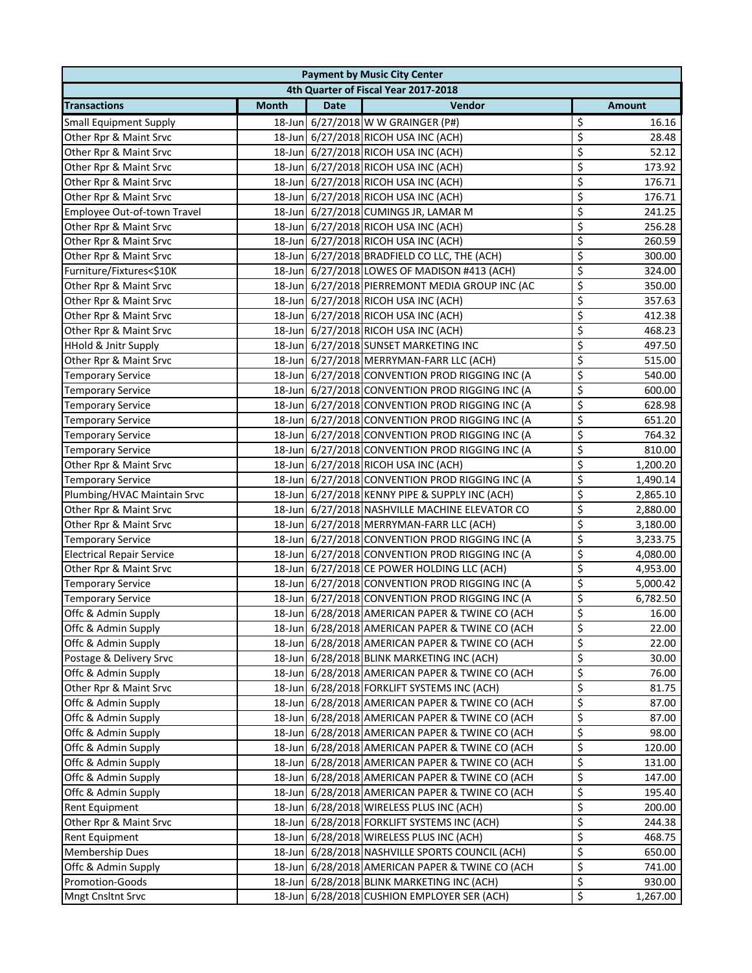|                                      |              |             | <b>Payment by Music City Center</b>             |                         |               |  |  |
|--------------------------------------|--------------|-------------|-------------------------------------------------|-------------------------|---------------|--|--|
| 4th Quarter of Fiscal Year 2017-2018 |              |             |                                                 |                         |               |  |  |
| <b>Transactions</b>                  | <b>Month</b> | <b>Date</b> | Vendor                                          |                         | <b>Amount</b> |  |  |
| <b>Small Equipment Supply</b>        |              |             | 18-Jun 6/27/2018 W W GRAINGER (P#)              | \$                      | 16.16         |  |  |
| Other Rpr & Maint Srvc               |              |             | 18-Jun 6/27/2018 RICOH USA INC (ACH)            | \$                      | 28.48         |  |  |
| Other Rpr & Maint Srvc               |              |             | 18-Jun 6/27/2018 RICOH USA INC (ACH)            | \$                      | 52.12         |  |  |
| Other Rpr & Maint Srvc               |              |             | 18-Jun 6/27/2018 RICOH USA INC (ACH)            | \$                      | 173.92        |  |  |
| Other Rpr & Maint Srvc               |              |             | 18-Jun 6/27/2018 RICOH USA INC (ACH)            | \$                      | 176.71        |  |  |
| Other Rpr & Maint Srvc               |              |             | 18-Jun 6/27/2018 RICOH USA INC (ACH)            | \$                      | 176.71        |  |  |
| Employee Out-of-town Travel          |              |             | 18-Jun 6/27/2018 CUMINGS JR, LAMAR M            | \$                      | 241.25        |  |  |
| Other Rpr & Maint Srvc               |              |             | 18-Jun 6/27/2018 RICOH USA INC (ACH)            | \$                      | 256.28        |  |  |
| Other Rpr & Maint Srvc               |              |             | 18-Jun 6/27/2018 RICOH USA INC (ACH)            | \$                      | 260.59        |  |  |
| Other Rpr & Maint Srvc               |              |             | 18-Jun 6/27/2018 BRADFIELD CO LLC, THE (ACH)    | \$                      | 300.00        |  |  |
| Furniture/Fixtures<\$10K             |              |             | 18-Jun 6/27/2018 LOWES OF MADISON #413 (ACH)    | \$                      | 324.00        |  |  |
| Other Rpr & Maint Srvc               |              |             | 18-Jun 6/27/2018 PIERREMONT MEDIA GROUP INC (AC | \$                      | 350.00        |  |  |
| Other Rpr & Maint Srvc               |              |             | 18-Jun 6/27/2018 RICOH USA INC (ACH)            | \$                      | 357.63        |  |  |
| Other Rpr & Maint Srvc               |              |             | 18-Jun 6/27/2018 RICOH USA INC (ACH)            | \$                      | 412.38        |  |  |
| Other Rpr & Maint Srvc               |              |             | 18-Jun 6/27/2018 RICOH USA INC (ACH)            | \$                      | 468.23        |  |  |
| <b>HHold &amp; Jnitr Supply</b>      |              |             | 18-Jun 6/27/2018 SUNSET MARKETING INC           | \$                      | 497.50        |  |  |
| Other Rpr & Maint Srvc               |              |             | 18-Jun 6/27/2018 MERRYMAN-FARR LLC (ACH)        | \$                      | 515.00        |  |  |
| <b>Temporary Service</b>             |              |             | 18-Jun 6/27/2018 CONVENTION PROD RIGGING INC (A | \$                      | 540.00        |  |  |
| <b>Temporary Service</b>             |              |             | 18-Jun 6/27/2018 CONVENTION PROD RIGGING INC (A | \$                      | 600.00        |  |  |
| <b>Temporary Service</b>             |              |             | 18-Jun 6/27/2018 CONVENTION PROD RIGGING INC (A | \$                      | 628.98        |  |  |
| <b>Temporary Service</b>             |              |             | 18-Jun 6/27/2018 CONVENTION PROD RIGGING INC (A | \$                      | 651.20        |  |  |
| <b>Temporary Service</b>             |              |             | 18-Jun 6/27/2018 CONVENTION PROD RIGGING INC (A | \$                      | 764.32        |  |  |
| <b>Temporary Service</b>             |              |             | 18-Jun 6/27/2018 CONVENTION PROD RIGGING INC (A | \$                      | 810.00        |  |  |
| Other Rpr & Maint Srvc               |              |             | 18-Jun 6/27/2018 RICOH USA INC (ACH)            | \$                      | 1,200.20      |  |  |
| <b>Temporary Service</b>             |              |             | 18-Jun 6/27/2018 CONVENTION PROD RIGGING INC (A | \$                      | 1,490.14      |  |  |
| Plumbing/HVAC Maintain Srvc          |              |             | 18-Jun 6/27/2018 KENNY PIPE & SUPPLY INC (ACH)  | \$                      | 2,865.10      |  |  |
| Other Rpr & Maint Srvc               |              |             | 18-Jun 6/27/2018 NASHVILLE MACHINE ELEVATOR CO  | \$                      | 2,880.00      |  |  |
| Other Rpr & Maint Srvc               |              |             | 18-Jun 6/27/2018 MERRYMAN-FARR LLC (ACH)        | \$                      | 3,180.00      |  |  |
| <b>Temporary Service</b>             |              |             | 18-Jun 6/27/2018 CONVENTION PROD RIGGING INC (A | \$                      | 3,233.75      |  |  |
| <b>Electrical Repair Service</b>     |              |             | 18-Jun 6/27/2018 CONVENTION PROD RIGGING INC (A | \$                      | 4,080.00      |  |  |
| Other Rpr & Maint Srvc               |              |             | 18-Jun 6/27/2018 CE POWER HOLDING LLC (ACH)     | \$                      | 4,953.00      |  |  |
| <b>Temporary Service</b>             |              |             | 18-Jun 6/27/2018 CONVENTION PROD RIGGING INC (A | \$                      | 5,000.42      |  |  |
| <b>Temporary Service</b>             |              |             | 18-Jun 6/27/2018 CONVENTION PROD RIGGING INC (A | \$                      | 6,782.50      |  |  |
| Offc & Admin Supply                  |              |             | 18-Jun 6/28/2018 AMERICAN PAPER & TWINE CO (ACH | $\overline{\mathsf{S}}$ | 16.00         |  |  |
| Offc & Admin Supply                  |              |             | 18-Jun 6/28/2018 AMERICAN PAPER & TWINE CO (ACH | \$                      | 22.00         |  |  |
| Offc & Admin Supply                  | 18-Jun       |             | 6/28/2018 AMERICAN PAPER & TWINE CO (ACH        | \$                      | 22.00         |  |  |
| Postage & Delivery Srvc              |              |             | 18-Jun 6/28/2018 BLINK MARKETING INC (ACH)      | \$                      | 30.00         |  |  |
| Offc & Admin Supply                  | 18-Jun       |             | 6/28/2018 AMERICAN PAPER & TWINE CO (ACH        | \$                      | 76.00         |  |  |
| Other Rpr & Maint Srvc               | 18-Jun       |             | 6/28/2018 FORKLIFT SYSTEMS INC (ACH)            | \$                      | 81.75         |  |  |
| Offc & Admin Supply                  | $18 - Jun$   |             | 6/28/2018 AMERICAN PAPER & TWINE CO (ACH        | \$                      | 87.00         |  |  |
| Offc & Admin Supply                  |              |             | 18-Jun 6/28/2018 AMERICAN PAPER & TWINE CO (ACH | \$                      | 87.00         |  |  |
| Offc & Admin Supply                  | $18 - Jun$   |             | 6/28/2018 AMERICAN PAPER & TWINE CO (ACH        | \$                      | 98.00         |  |  |
| Offc & Admin Supply                  |              |             | 18-Jun 6/28/2018 AMERICAN PAPER & TWINE CO (ACH | \$                      | 120.00        |  |  |
| Offc & Admin Supply                  |              |             | 18-Jun 6/28/2018 AMERICAN PAPER & TWINE CO (ACH | \$                      | 131.00        |  |  |
| Offc & Admin Supply                  |              |             | 18-Jun 6/28/2018 AMERICAN PAPER & TWINE CO (ACH | \$                      | 147.00        |  |  |
| Offc & Admin Supply                  |              |             | 18-Jun 6/28/2018 AMERICAN PAPER & TWINE CO (ACH | \$                      | 195.40        |  |  |
| <b>Rent Equipment</b>                |              |             | 18-Jun 6/28/2018 WIRELESS PLUS INC (ACH)        | \$                      | 200.00        |  |  |
| Other Rpr & Maint Srvc               | 18-Jun       |             | 6/28/2018 FORKLIFT SYSTEMS INC (ACH)            | \$                      | 244.38        |  |  |
| <b>Rent Equipment</b>                | 18-Jun       |             | 6/28/2018 WIRELESS PLUS INC (ACH)               | \$                      | 468.75        |  |  |
| <b>Membership Dues</b>               |              |             | 18-Jun 6/28/2018 NASHVILLE SPORTS COUNCIL (ACH) | \$                      | 650.00        |  |  |
| Offc & Admin Supply                  |              |             | 18-Jun 6/28/2018 AMERICAN PAPER & TWINE CO (ACH | \$                      | 741.00        |  |  |
| Promotion-Goods                      |              |             | 18-Jun 6/28/2018 BLINK MARKETING INC (ACH)      | \$                      | 930.00        |  |  |
| <b>Mngt Cnsltnt Srvc</b>             |              |             | 18-Jun 6/28/2018 CUSHION EMPLOYER SER (ACH)     | \$                      | 1,267.00      |  |  |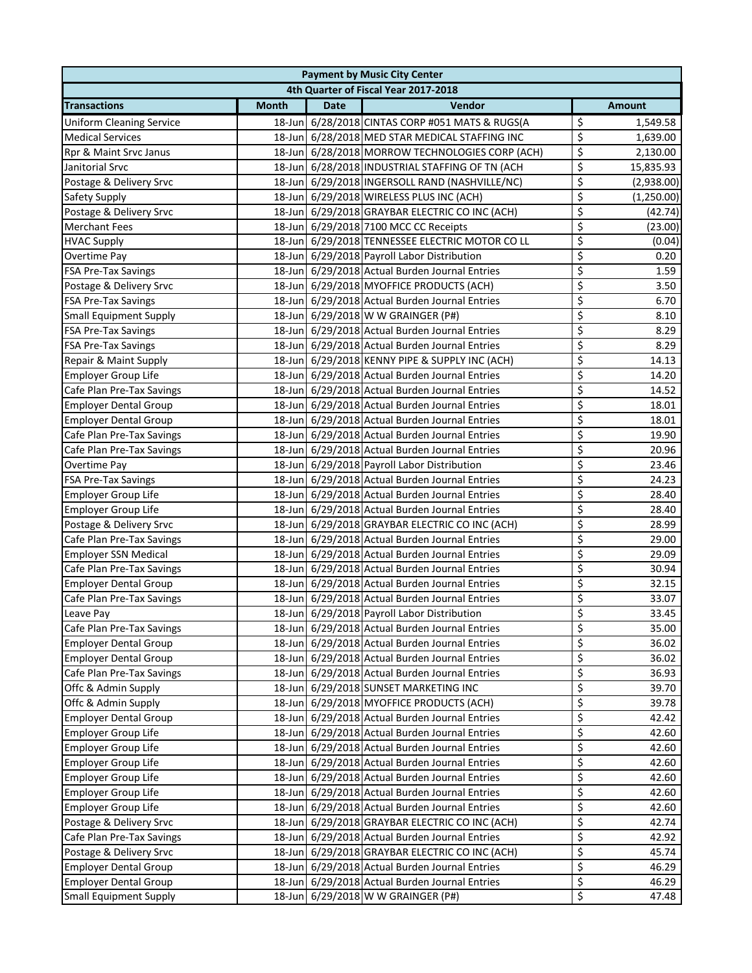| 4th Quarter of Fiscal Year 2017-2018<br>Vendor<br><b>Transactions</b><br><b>Month</b><br><b>Date</b><br><b>Amount</b><br>\$<br>18-Jun 6/28/2018 CINTAS CORP #051 MATS & RUGS(A<br><b>Uniform Cleaning Service</b><br>1,549.58<br>\$<br>18-Jun 6/28/2018 MED STAR MEDICAL STAFFING INC<br><b>Medical Services</b><br>1,639.00<br>\$<br>18-Jun 6/28/2018 MORROW TECHNOLOGIES CORP (ACH)<br>Rpr & Maint Srvc Janus<br>2,130.00<br>\$<br>18-Jun 6/28/2018 INDUSTRIAL STAFFING OF TN (ACH<br>Janitorial Srvc<br>15,835.93<br>\$<br>18-Jun 6/29/2018 INGERSOLL RAND (NASHVILLE/NC)<br>Postage & Delivery Srvc<br>(2,938.00)<br>\$<br>18-Jun 6/29/2018 WIRELESS PLUS INC (ACH)<br>(1,250.00)<br>Safety Supply<br>\$<br>18-Jun 6/29/2018 GRAYBAR ELECTRIC CO INC (ACH)<br>Postage & Delivery Srvc<br>(42.74)<br>\$<br>18-Jun 6/29/2018 7100 MCC CC Receipts<br><b>Merchant Fees</b><br>(23.00)<br>\$<br>18-Jun 6/29/2018 TENNESSEE ELECTRIC MOTOR CO LL<br>(0.04)<br><b>HVAC Supply</b><br>\$<br>18-Jun 6/29/2018 Payroll Labor Distribution<br>0.20<br>Overtime Pay<br>\$<br>18-Jun 6/29/2018 Actual Burden Journal Entries<br>1.59<br><b>FSA Pre-Tax Savings</b><br>\$<br>18-Jun 6/29/2018 MYOFFICE PRODUCTS (ACH)<br>Postage & Delivery Srvc<br>3.50<br>\$<br>18-Jun 6/29/2018 Actual Burden Journal Entries<br>FSA Pre-Tax Savings<br>6.70<br>\$<br>18-Jun 6/29/2018 W W GRAINGER (P#)<br><b>Small Equipment Supply</b><br>8.10<br>\$<br>18-Jun 6/29/2018 Actual Burden Journal Entries<br>8.29<br>FSA Pre-Tax Savings<br>\$<br>18-Jun 6/29/2018 Actual Burden Journal Entries<br>8.29<br>FSA Pre-Tax Savings<br>\$<br>18-Jun 6/29/2018 KENNY PIPE & SUPPLY INC (ACH)<br>14.13<br>Repair & Maint Supply<br>\$<br>18-Jun 6/29/2018 Actual Burden Journal Entries<br>14.20<br><b>Employer Group Life</b><br>\$<br>Cafe Plan Pre-Tax Savings<br>18-Jun 6/29/2018 Actual Burden Journal Entries<br>14.52<br>\$<br>18-Jun 6/29/2018 Actual Burden Journal Entries<br><b>Employer Dental Group</b><br>18.01<br>\$<br>18-Jun 6/29/2018 Actual Burden Journal Entries<br><b>Employer Dental Group</b><br>18.01<br>\$<br>18-Jun 6/29/2018 Actual Burden Journal Entries<br>Cafe Plan Pre-Tax Savings<br>19.90<br>\$<br>18-Jun 6/29/2018 Actual Burden Journal Entries<br>20.96<br>Cafe Plan Pre-Tax Savings<br>\$<br>18-Jun 6/29/2018 Payroll Labor Distribution<br>23.46<br>Overtime Pay<br>\$<br>18-Jun 6/29/2018 Actual Burden Journal Entries<br>FSA Pre-Tax Savings<br>24.23<br>\$<br>Employer Group Life<br>18-Jun 6/29/2018 Actual Burden Journal Entries<br>28.40<br>\$<br>18-Jun 6/29/2018 Actual Burden Journal Entries<br><b>Employer Group Life</b><br>28.40<br>\$<br>Postage & Delivery Srvc<br>18-Jun 6/29/2018 GRAYBAR ELECTRIC CO INC (ACH)<br>28.99<br>\$<br>18-Jun 6/29/2018 Actual Burden Journal Entries<br>Cafe Plan Pre-Tax Savings<br>29.00<br>\$<br>18-Jun 6/29/2018 Actual Burden Journal Entries<br><b>Employer SSN Medical</b><br>29.09<br>\$<br>18-Jun 6/29/2018 Actual Burden Journal Entries<br>Cafe Plan Pre-Tax Savings<br>30.94<br>\$<br>18-Jun 6/29/2018 Actual Burden Journal Entries<br><b>Employer Dental Group</b><br>32.15<br>\$<br>18-Jun 6/29/2018 Actual Burden Journal Entries<br>Cafe Plan Pre-Tax Savings<br>33.07<br>\$<br>18-Jun 6/29/2018 Payroll Labor Distribution<br>33.45<br>Leave Pay<br>\$<br>18-Jun 6/29/2018 Actual Burden Journal Entries<br>Cafe Plan Pre-Tax Savings<br>35.00<br>\$<br><b>Employer Dental Group</b><br>18-Jun 6/29/2018 Actual Burden Journal Entries<br>36.02<br>\$<br>18-Jun 6/29/2018 Actual Burden Journal Entries<br><b>Employer Dental Group</b><br>36.02<br>\$<br>18-Jun 6/29/2018 Actual Burden Journal Entries<br>Cafe Plan Pre-Tax Savings<br>36.93<br>\$<br>6/29/2018 SUNSET MARKETING INC<br>Offc & Admin Supply<br>39.70<br>18-Jun<br>\$<br>Offc & Admin Supply<br>6/29/2018 MYOFFICE PRODUCTS (ACH)<br>39.78<br>18-Jun<br>\$<br>18-Jun 6/29/2018 Actual Burden Journal Entries<br>42.42<br><b>Employer Dental Group</b><br>\$<br>18-Jun 6/29/2018 Actual Burden Journal Entries<br><b>Employer Group Life</b><br>42.60<br>\$<br><b>Employer Group Life</b><br>18-Jun 6/29/2018 Actual Burden Journal Entries<br>42.60<br>\$<br><b>Employer Group Life</b><br>18-Jun 6/29/2018 Actual Burden Journal Entries<br>42.60<br>\$<br>18-Jun 6/29/2018 Actual Burden Journal Entries<br><b>Employer Group Life</b><br>42.60<br>\$<br><b>Employer Group Life</b><br>18-Jun 6/29/2018 Actual Burden Journal Entries<br>42.60<br>\$<br><b>Employer Group Life</b><br>18-Jun 6/29/2018 Actual Burden Journal Entries<br>42.60<br>\$<br>18-Jun 6/29/2018 GRAYBAR ELECTRIC CO INC (ACH)<br>Postage & Delivery Srvc<br>42.74<br>\$<br>Cafe Plan Pre-Tax Savings<br>18-Jun 6/29/2018 Actual Burden Journal Entries<br>42.92<br>\$<br>Postage & Delivery Srvc<br>18-Jun 6/29/2018 GRAYBAR ELECTRIC CO INC (ACH)<br>45.74<br>\$<br><b>Employer Dental Group</b><br>18-Jun 6/29/2018 Actual Burden Journal Entries<br>46.29<br>\$<br><b>Employer Dental Group</b><br>18-Jun 6/29/2018 Actual Burden Journal Entries<br>46.29<br>18-Jun 6/29/2018 W W GRAINGER (P#) | <b>Payment by Music City Center</b> |  |  |  |    |       |  |  |
|-----------------------------------------------------------------------------------------------------------------------------------------------------------------------------------------------------------------------------------------------------------------------------------------------------------------------------------------------------------------------------------------------------------------------------------------------------------------------------------------------------------------------------------------------------------------------------------------------------------------------------------------------------------------------------------------------------------------------------------------------------------------------------------------------------------------------------------------------------------------------------------------------------------------------------------------------------------------------------------------------------------------------------------------------------------------------------------------------------------------------------------------------------------------------------------------------------------------------------------------------------------------------------------------------------------------------------------------------------------------------------------------------------------------------------------------------------------------------------------------------------------------------------------------------------------------------------------------------------------------------------------------------------------------------------------------------------------------------------------------------------------------------------------------------------------------------------------------------------------------------------------------------------------------------------------------------------------------------------------------------------------------------------------------------------------------------------------------------------------------------------------------------------------------------------------------------------------------------------------------------------------------------------------------------------------------------------------------------------------------------------------------------------------------------------------------------------------------------------------------------------------------------------------------------------------------------------------------------------------------------------------------------------------------------------------------------------------------------------------------------------------------------------------------------------------------------------------------------------------------------------------------------------------------------------------------------------------------------------------------------------------------------------------------------------------------------------------------------------------------------------------------------------------------------------------------------------------------------------------------------------------------------------------------------------------------------------------------------------------------------------------------------------------------------------------------------------------------------------------------------------------------------------------------------------------------------------------------------------------------------------------------------------------------------------------------------------------------------------------------------------------------------------------------------------------------------------------------------------------------------------------------------------------------------------------------------------------------------------------------------------------------------------------------------------------------------------------------------------------------------------------------------------------------------------------------------------------------------------------------------------------------------------------------------------------------------------------------------------------------------------------------------------------------------------------------------------------------------------------------------------------------------------------------------------------------------------------------------------------------------------------------------------------------------------------------------------------------------------------------------------------------------------------------------------------------------------------------------------------------------------------------------------------------------------------------------------------------------------------------------------------------------------------------------------------------------------------------------------------------------------|-------------------------------------|--|--|--|----|-------|--|--|
|                                                                                                                                                                                                                                                                                                                                                                                                                                                                                                                                                                                                                                                                                                                                                                                                                                                                                                                                                                                                                                                                                                                                                                                                                                                                                                                                                                                                                                                                                                                                                                                                                                                                                                                                                                                                                                                                                                                                                                                                                                                                                                                                                                                                                                                                                                                                                                                                                                                                                                                                                                                                                                                                                                                                                                                                                                                                                                                                                                                                                                                                                                                                                                                                                                                                                                                                                                                                                                                                                                                                                                                                                                                                                                                                                                                                                                                                                                                                                                                                                                                                                                                                                                                                                                                                                                                                                                                                                                                                                                                                                                                                                                                                                                                                                                                                                                                                                                                                                                                                                                                                                                                             |                                     |  |  |  |    |       |  |  |
|                                                                                                                                                                                                                                                                                                                                                                                                                                                                                                                                                                                                                                                                                                                                                                                                                                                                                                                                                                                                                                                                                                                                                                                                                                                                                                                                                                                                                                                                                                                                                                                                                                                                                                                                                                                                                                                                                                                                                                                                                                                                                                                                                                                                                                                                                                                                                                                                                                                                                                                                                                                                                                                                                                                                                                                                                                                                                                                                                                                                                                                                                                                                                                                                                                                                                                                                                                                                                                                                                                                                                                                                                                                                                                                                                                                                                                                                                                                                                                                                                                                                                                                                                                                                                                                                                                                                                                                                                                                                                                                                                                                                                                                                                                                                                                                                                                                                                                                                                                                                                                                                                                                             |                                     |  |  |  |    |       |  |  |
|                                                                                                                                                                                                                                                                                                                                                                                                                                                                                                                                                                                                                                                                                                                                                                                                                                                                                                                                                                                                                                                                                                                                                                                                                                                                                                                                                                                                                                                                                                                                                                                                                                                                                                                                                                                                                                                                                                                                                                                                                                                                                                                                                                                                                                                                                                                                                                                                                                                                                                                                                                                                                                                                                                                                                                                                                                                                                                                                                                                                                                                                                                                                                                                                                                                                                                                                                                                                                                                                                                                                                                                                                                                                                                                                                                                                                                                                                                                                                                                                                                                                                                                                                                                                                                                                                                                                                                                                                                                                                                                                                                                                                                                                                                                                                                                                                                                                                                                                                                                                                                                                                                                             |                                     |  |  |  |    |       |  |  |
|                                                                                                                                                                                                                                                                                                                                                                                                                                                                                                                                                                                                                                                                                                                                                                                                                                                                                                                                                                                                                                                                                                                                                                                                                                                                                                                                                                                                                                                                                                                                                                                                                                                                                                                                                                                                                                                                                                                                                                                                                                                                                                                                                                                                                                                                                                                                                                                                                                                                                                                                                                                                                                                                                                                                                                                                                                                                                                                                                                                                                                                                                                                                                                                                                                                                                                                                                                                                                                                                                                                                                                                                                                                                                                                                                                                                                                                                                                                                                                                                                                                                                                                                                                                                                                                                                                                                                                                                                                                                                                                                                                                                                                                                                                                                                                                                                                                                                                                                                                                                                                                                                                                             |                                     |  |  |  |    |       |  |  |
|                                                                                                                                                                                                                                                                                                                                                                                                                                                                                                                                                                                                                                                                                                                                                                                                                                                                                                                                                                                                                                                                                                                                                                                                                                                                                                                                                                                                                                                                                                                                                                                                                                                                                                                                                                                                                                                                                                                                                                                                                                                                                                                                                                                                                                                                                                                                                                                                                                                                                                                                                                                                                                                                                                                                                                                                                                                                                                                                                                                                                                                                                                                                                                                                                                                                                                                                                                                                                                                                                                                                                                                                                                                                                                                                                                                                                                                                                                                                                                                                                                                                                                                                                                                                                                                                                                                                                                                                                                                                                                                                                                                                                                                                                                                                                                                                                                                                                                                                                                                                                                                                                                                             |                                     |  |  |  |    |       |  |  |
|                                                                                                                                                                                                                                                                                                                                                                                                                                                                                                                                                                                                                                                                                                                                                                                                                                                                                                                                                                                                                                                                                                                                                                                                                                                                                                                                                                                                                                                                                                                                                                                                                                                                                                                                                                                                                                                                                                                                                                                                                                                                                                                                                                                                                                                                                                                                                                                                                                                                                                                                                                                                                                                                                                                                                                                                                                                                                                                                                                                                                                                                                                                                                                                                                                                                                                                                                                                                                                                                                                                                                                                                                                                                                                                                                                                                                                                                                                                                                                                                                                                                                                                                                                                                                                                                                                                                                                                                                                                                                                                                                                                                                                                                                                                                                                                                                                                                                                                                                                                                                                                                                                                             |                                     |  |  |  |    |       |  |  |
|                                                                                                                                                                                                                                                                                                                                                                                                                                                                                                                                                                                                                                                                                                                                                                                                                                                                                                                                                                                                                                                                                                                                                                                                                                                                                                                                                                                                                                                                                                                                                                                                                                                                                                                                                                                                                                                                                                                                                                                                                                                                                                                                                                                                                                                                                                                                                                                                                                                                                                                                                                                                                                                                                                                                                                                                                                                                                                                                                                                                                                                                                                                                                                                                                                                                                                                                                                                                                                                                                                                                                                                                                                                                                                                                                                                                                                                                                                                                                                                                                                                                                                                                                                                                                                                                                                                                                                                                                                                                                                                                                                                                                                                                                                                                                                                                                                                                                                                                                                                                                                                                                                                             |                                     |  |  |  |    |       |  |  |
|                                                                                                                                                                                                                                                                                                                                                                                                                                                                                                                                                                                                                                                                                                                                                                                                                                                                                                                                                                                                                                                                                                                                                                                                                                                                                                                                                                                                                                                                                                                                                                                                                                                                                                                                                                                                                                                                                                                                                                                                                                                                                                                                                                                                                                                                                                                                                                                                                                                                                                                                                                                                                                                                                                                                                                                                                                                                                                                                                                                                                                                                                                                                                                                                                                                                                                                                                                                                                                                                                                                                                                                                                                                                                                                                                                                                                                                                                                                                                                                                                                                                                                                                                                                                                                                                                                                                                                                                                                                                                                                                                                                                                                                                                                                                                                                                                                                                                                                                                                                                                                                                                                                             |                                     |  |  |  |    |       |  |  |
|                                                                                                                                                                                                                                                                                                                                                                                                                                                                                                                                                                                                                                                                                                                                                                                                                                                                                                                                                                                                                                                                                                                                                                                                                                                                                                                                                                                                                                                                                                                                                                                                                                                                                                                                                                                                                                                                                                                                                                                                                                                                                                                                                                                                                                                                                                                                                                                                                                                                                                                                                                                                                                                                                                                                                                                                                                                                                                                                                                                                                                                                                                                                                                                                                                                                                                                                                                                                                                                                                                                                                                                                                                                                                                                                                                                                                                                                                                                                                                                                                                                                                                                                                                                                                                                                                                                                                                                                                                                                                                                                                                                                                                                                                                                                                                                                                                                                                                                                                                                                                                                                                                                             |                                     |  |  |  |    |       |  |  |
|                                                                                                                                                                                                                                                                                                                                                                                                                                                                                                                                                                                                                                                                                                                                                                                                                                                                                                                                                                                                                                                                                                                                                                                                                                                                                                                                                                                                                                                                                                                                                                                                                                                                                                                                                                                                                                                                                                                                                                                                                                                                                                                                                                                                                                                                                                                                                                                                                                                                                                                                                                                                                                                                                                                                                                                                                                                                                                                                                                                                                                                                                                                                                                                                                                                                                                                                                                                                                                                                                                                                                                                                                                                                                                                                                                                                                                                                                                                                                                                                                                                                                                                                                                                                                                                                                                                                                                                                                                                                                                                                                                                                                                                                                                                                                                                                                                                                                                                                                                                                                                                                                                                             |                                     |  |  |  |    |       |  |  |
|                                                                                                                                                                                                                                                                                                                                                                                                                                                                                                                                                                                                                                                                                                                                                                                                                                                                                                                                                                                                                                                                                                                                                                                                                                                                                                                                                                                                                                                                                                                                                                                                                                                                                                                                                                                                                                                                                                                                                                                                                                                                                                                                                                                                                                                                                                                                                                                                                                                                                                                                                                                                                                                                                                                                                                                                                                                                                                                                                                                                                                                                                                                                                                                                                                                                                                                                                                                                                                                                                                                                                                                                                                                                                                                                                                                                                                                                                                                                                                                                                                                                                                                                                                                                                                                                                                                                                                                                                                                                                                                                                                                                                                                                                                                                                                                                                                                                                                                                                                                                                                                                                                                             |                                     |  |  |  |    |       |  |  |
|                                                                                                                                                                                                                                                                                                                                                                                                                                                                                                                                                                                                                                                                                                                                                                                                                                                                                                                                                                                                                                                                                                                                                                                                                                                                                                                                                                                                                                                                                                                                                                                                                                                                                                                                                                                                                                                                                                                                                                                                                                                                                                                                                                                                                                                                                                                                                                                                                                                                                                                                                                                                                                                                                                                                                                                                                                                                                                                                                                                                                                                                                                                                                                                                                                                                                                                                                                                                                                                                                                                                                                                                                                                                                                                                                                                                                                                                                                                                                                                                                                                                                                                                                                                                                                                                                                                                                                                                                                                                                                                                                                                                                                                                                                                                                                                                                                                                                                                                                                                                                                                                                                                             |                                     |  |  |  |    |       |  |  |
|                                                                                                                                                                                                                                                                                                                                                                                                                                                                                                                                                                                                                                                                                                                                                                                                                                                                                                                                                                                                                                                                                                                                                                                                                                                                                                                                                                                                                                                                                                                                                                                                                                                                                                                                                                                                                                                                                                                                                                                                                                                                                                                                                                                                                                                                                                                                                                                                                                                                                                                                                                                                                                                                                                                                                                                                                                                                                                                                                                                                                                                                                                                                                                                                                                                                                                                                                                                                                                                                                                                                                                                                                                                                                                                                                                                                                                                                                                                                                                                                                                                                                                                                                                                                                                                                                                                                                                                                                                                                                                                                                                                                                                                                                                                                                                                                                                                                                                                                                                                                                                                                                                                             |                                     |  |  |  |    |       |  |  |
|                                                                                                                                                                                                                                                                                                                                                                                                                                                                                                                                                                                                                                                                                                                                                                                                                                                                                                                                                                                                                                                                                                                                                                                                                                                                                                                                                                                                                                                                                                                                                                                                                                                                                                                                                                                                                                                                                                                                                                                                                                                                                                                                                                                                                                                                                                                                                                                                                                                                                                                                                                                                                                                                                                                                                                                                                                                                                                                                                                                                                                                                                                                                                                                                                                                                                                                                                                                                                                                                                                                                                                                                                                                                                                                                                                                                                                                                                                                                                                                                                                                                                                                                                                                                                                                                                                                                                                                                                                                                                                                                                                                                                                                                                                                                                                                                                                                                                                                                                                                                                                                                                                                             |                                     |  |  |  |    |       |  |  |
|                                                                                                                                                                                                                                                                                                                                                                                                                                                                                                                                                                                                                                                                                                                                                                                                                                                                                                                                                                                                                                                                                                                                                                                                                                                                                                                                                                                                                                                                                                                                                                                                                                                                                                                                                                                                                                                                                                                                                                                                                                                                                                                                                                                                                                                                                                                                                                                                                                                                                                                                                                                                                                                                                                                                                                                                                                                                                                                                                                                                                                                                                                                                                                                                                                                                                                                                                                                                                                                                                                                                                                                                                                                                                                                                                                                                                                                                                                                                                                                                                                                                                                                                                                                                                                                                                                                                                                                                                                                                                                                                                                                                                                                                                                                                                                                                                                                                                                                                                                                                                                                                                                                             |                                     |  |  |  |    |       |  |  |
|                                                                                                                                                                                                                                                                                                                                                                                                                                                                                                                                                                                                                                                                                                                                                                                                                                                                                                                                                                                                                                                                                                                                                                                                                                                                                                                                                                                                                                                                                                                                                                                                                                                                                                                                                                                                                                                                                                                                                                                                                                                                                                                                                                                                                                                                                                                                                                                                                                                                                                                                                                                                                                                                                                                                                                                                                                                                                                                                                                                                                                                                                                                                                                                                                                                                                                                                                                                                                                                                                                                                                                                                                                                                                                                                                                                                                                                                                                                                                                                                                                                                                                                                                                                                                                                                                                                                                                                                                                                                                                                                                                                                                                                                                                                                                                                                                                                                                                                                                                                                                                                                                                                             |                                     |  |  |  |    |       |  |  |
|                                                                                                                                                                                                                                                                                                                                                                                                                                                                                                                                                                                                                                                                                                                                                                                                                                                                                                                                                                                                                                                                                                                                                                                                                                                                                                                                                                                                                                                                                                                                                                                                                                                                                                                                                                                                                                                                                                                                                                                                                                                                                                                                                                                                                                                                                                                                                                                                                                                                                                                                                                                                                                                                                                                                                                                                                                                                                                                                                                                                                                                                                                                                                                                                                                                                                                                                                                                                                                                                                                                                                                                                                                                                                                                                                                                                                                                                                                                                                                                                                                                                                                                                                                                                                                                                                                                                                                                                                                                                                                                                                                                                                                                                                                                                                                                                                                                                                                                                                                                                                                                                                                                             |                                     |  |  |  |    |       |  |  |
|                                                                                                                                                                                                                                                                                                                                                                                                                                                                                                                                                                                                                                                                                                                                                                                                                                                                                                                                                                                                                                                                                                                                                                                                                                                                                                                                                                                                                                                                                                                                                                                                                                                                                                                                                                                                                                                                                                                                                                                                                                                                                                                                                                                                                                                                                                                                                                                                                                                                                                                                                                                                                                                                                                                                                                                                                                                                                                                                                                                                                                                                                                                                                                                                                                                                                                                                                                                                                                                                                                                                                                                                                                                                                                                                                                                                                                                                                                                                                                                                                                                                                                                                                                                                                                                                                                                                                                                                                                                                                                                                                                                                                                                                                                                                                                                                                                                                                                                                                                                                                                                                                                                             |                                     |  |  |  |    |       |  |  |
|                                                                                                                                                                                                                                                                                                                                                                                                                                                                                                                                                                                                                                                                                                                                                                                                                                                                                                                                                                                                                                                                                                                                                                                                                                                                                                                                                                                                                                                                                                                                                                                                                                                                                                                                                                                                                                                                                                                                                                                                                                                                                                                                                                                                                                                                                                                                                                                                                                                                                                                                                                                                                                                                                                                                                                                                                                                                                                                                                                                                                                                                                                                                                                                                                                                                                                                                                                                                                                                                                                                                                                                                                                                                                                                                                                                                                                                                                                                                                                                                                                                                                                                                                                                                                                                                                                                                                                                                                                                                                                                                                                                                                                                                                                                                                                                                                                                                                                                                                                                                                                                                                                                             |                                     |  |  |  |    |       |  |  |
|                                                                                                                                                                                                                                                                                                                                                                                                                                                                                                                                                                                                                                                                                                                                                                                                                                                                                                                                                                                                                                                                                                                                                                                                                                                                                                                                                                                                                                                                                                                                                                                                                                                                                                                                                                                                                                                                                                                                                                                                                                                                                                                                                                                                                                                                                                                                                                                                                                                                                                                                                                                                                                                                                                                                                                                                                                                                                                                                                                                                                                                                                                                                                                                                                                                                                                                                                                                                                                                                                                                                                                                                                                                                                                                                                                                                                                                                                                                                                                                                                                                                                                                                                                                                                                                                                                                                                                                                                                                                                                                                                                                                                                                                                                                                                                                                                                                                                                                                                                                                                                                                                                                             |                                     |  |  |  |    |       |  |  |
|                                                                                                                                                                                                                                                                                                                                                                                                                                                                                                                                                                                                                                                                                                                                                                                                                                                                                                                                                                                                                                                                                                                                                                                                                                                                                                                                                                                                                                                                                                                                                                                                                                                                                                                                                                                                                                                                                                                                                                                                                                                                                                                                                                                                                                                                                                                                                                                                                                                                                                                                                                                                                                                                                                                                                                                                                                                                                                                                                                                                                                                                                                                                                                                                                                                                                                                                                                                                                                                                                                                                                                                                                                                                                                                                                                                                                                                                                                                                                                                                                                                                                                                                                                                                                                                                                                                                                                                                                                                                                                                                                                                                                                                                                                                                                                                                                                                                                                                                                                                                                                                                                                                             |                                     |  |  |  |    |       |  |  |
|                                                                                                                                                                                                                                                                                                                                                                                                                                                                                                                                                                                                                                                                                                                                                                                                                                                                                                                                                                                                                                                                                                                                                                                                                                                                                                                                                                                                                                                                                                                                                                                                                                                                                                                                                                                                                                                                                                                                                                                                                                                                                                                                                                                                                                                                                                                                                                                                                                                                                                                                                                                                                                                                                                                                                                                                                                                                                                                                                                                                                                                                                                                                                                                                                                                                                                                                                                                                                                                                                                                                                                                                                                                                                                                                                                                                                                                                                                                                                                                                                                                                                                                                                                                                                                                                                                                                                                                                                                                                                                                                                                                                                                                                                                                                                                                                                                                                                                                                                                                                                                                                                                                             |                                     |  |  |  |    |       |  |  |
|                                                                                                                                                                                                                                                                                                                                                                                                                                                                                                                                                                                                                                                                                                                                                                                                                                                                                                                                                                                                                                                                                                                                                                                                                                                                                                                                                                                                                                                                                                                                                                                                                                                                                                                                                                                                                                                                                                                                                                                                                                                                                                                                                                                                                                                                                                                                                                                                                                                                                                                                                                                                                                                                                                                                                                                                                                                                                                                                                                                                                                                                                                                                                                                                                                                                                                                                                                                                                                                                                                                                                                                                                                                                                                                                                                                                                                                                                                                                                                                                                                                                                                                                                                                                                                                                                                                                                                                                                                                                                                                                                                                                                                                                                                                                                                                                                                                                                                                                                                                                                                                                                                                             |                                     |  |  |  |    |       |  |  |
|                                                                                                                                                                                                                                                                                                                                                                                                                                                                                                                                                                                                                                                                                                                                                                                                                                                                                                                                                                                                                                                                                                                                                                                                                                                                                                                                                                                                                                                                                                                                                                                                                                                                                                                                                                                                                                                                                                                                                                                                                                                                                                                                                                                                                                                                                                                                                                                                                                                                                                                                                                                                                                                                                                                                                                                                                                                                                                                                                                                                                                                                                                                                                                                                                                                                                                                                                                                                                                                                                                                                                                                                                                                                                                                                                                                                                                                                                                                                                                                                                                                                                                                                                                                                                                                                                                                                                                                                                                                                                                                                                                                                                                                                                                                                                                                                                                                                                                                                                                                                                                                                                                                             |                                     |  |  |  |    |       |  |  |
|                                                                                                                                                                                                                                                                                                                                                                                                                                                                                                                                                                                                                                                                                                                                                                                                                                                                                                                                                                                                                                                                                                                                                                                                                                                                                                                                                                                                                                                                                                                                                                                                                                                                                                                                                                                                                                                                                                                                                                                                                                                                                                                                                                                                                                                                                                                                                                                                                                                                                                                                                                                                                                                                                                                                                                                                                                                                                                                                                                                                                                                                                                                                                                                                                                                                                                                                                                                                                                                                                                                                                                                                                                                                                                                                                                                                                                                                                                                                                                                                                                                                                                                                                                                                                                                                                                                                                                                                                                                                                                                                                                                                                                                                                                                                                                                                                                                                                                                                                                                                                                                                                                                             |                                     |  |  |  |    |       |  |  |
|                                                                                                                                                                                                                                                                                                                                                                                                                                                                                                                                                                                                                                                                                                                                                                                                                                                                                                                                                                                                                                                                                                                                                                                                                                                                                                                                                                                                                                                                                                                                                                                                                                                                                                                                                                                                                                                                                                                                                                                                                                                                                                                                                                                                                                                                                                                                                                                                                                                                                                                                                                                                                                                                                                                                                                                                                                                                                                                                                                                                                                                                                                                                                                                                                                                                                                                                                                                                                                                                                                                                                                                                                                                                                                                                                                                                                                                                                                                                                                                                                                                                                                                                                                                                                                                                                                                                                                                                                                                                                                                                                                                                                                                                                                                                                                                                                                                                                                                                                                                                                                                                                                                             |                                     |  |  |  |    |       |  |  |
|                                                                                                                                                                                                                                                                                                                                                                                                                                                                                                                                                                                                                                                                                                                                                                                                                                                                                                                                                                                                                                                                                                                                                                                                                                                                                                                                                                                                                                                                                                                                                                                                                                                                                                                                                                                                                                                                                                                                                                                                                                                                                                                                                                                                                                                                                                                                                                                                                                                                                                                                                                                                                                                                                                                                                                                                                                                                                                                                                                                                                                                                                                                                                                                                                                                                                                                                                                                                                                                                                                                                                                                                                                                                                                                                                                                                                                                                                                                                                                                                                                                                                                                                                                                                                                                                                                                                                                                                                                                                                                                                                                                                                                                                                                                                                                                                                                                                                                                                                                                                                                                                                                                             |                                     |  |  |  |    |       |  |  |
|                                                                                                                                                                                                                                                                                                                                                                                                                                                                                                                                                                                                                                                                                                                                                                                                                                                                                                                                                                                                                                                                                                                                                                                                                                                                                                                                                                                                                                                                                                                                                                                                                                                                                                                                                                                                                                                                                                                                                                                                                                                                                                                                                                                                                                                                                                                                                                                                                                                                                                                                                                                                                                                                                                                                                                                                                                                                                                                                                                                                                                                                                                                                                                                                                                                                                                                                                                                                                                                                                                                                                                                                                                                                                                                                                                                                                                                                                                                                                                                                                                                                                                                                                                                                                                                                                                                                                                                                                                                                                                                                                                                                                                                                                                                                                                                                                                                                                                                                                                                                                                                                                                                             |                                     |  |  |  |    |       |  |  |
|                                                                                                                                                                                                                                                                                                                                                                                                                                                                                                                                                                                                                                                                                                                                                                                                                                                                                                                                                                                                                                                                                                                                                                                                                                                                                                                                                                                                                                                                                                                                                                                                                                                                                                                                                                                                                                                                                                                                                                                                                                                                                                                                                                                                                                                                                                                                                                                                                                                                                                                                                                                                                                                                                                                                                                                                                                                                                                                                                                                                                                                                                                                                                                                                                                                                                                                                                                                                                                                                                                                                                                                                                                                                                                                                                                                                                                                                                                                                                                                                                                                                                                                                                                                                                                                                                                                                                                                                                                                                                                                                                                                                                                                                                                                                                                                                                                                                                                                                                                                                                                                                                                                             |                                     |  |  |  |    |       |  |  |
|                                                                                                                                                                                                                                                                                                                                                                                                                                                                                                                                                                                                                                                                                                                                                                                                                                                                                                                                                                                                                                                                                                                                                                                                                                                                                                                                                                                                                                                                                                                                                                                                                                                                                                                                                                                                                                                                                                                                                                                                                                                                                                                                                                                                                                                                                                                                                                                                                                                                                                                                                                                                                                                                                                                                                                                                                                                                                                                                                                                                                                                                                                                                                                                                                                                                                                                                                                                                                                                                                                                                                                                                                                                                                                                                                                                                                                                                                                                                                                                                                                                                                                                                                                                                                                                                                                                                                                                                                                                                                                                                                                                                                                                                                                                                                                                                                                                                                                                                                                                                                                                                                                                             |                                     |  |  |  |    |       |  |  |
|                                                                                                                                                                                                                                                                                                                                                                                                                                                                                                                                                                                                                                                                                                                                                                                                                                                                                                                                                                                                                                                                                                                                                                                                                                                                                                                                                                                                                                                                                                                                                                                                                                                                                                                                                                                                                                                                                                                                                                                                                                                                                                                                                                                                                                                                                                                                                                                                                                                                                                                                                                                                                                                                                                                                                                                                                                                                                                                                                                                                                                                                                                                                                                                                                                                                                                                                                                                                                                                                                                                                                                                                                                                                                                                                                                                                                                                                                                                                                                                                                                                                                                                                                                                                                                                                                                                                                                                                                                                                                                                                                                                                                                                                                                                                                                                                                                                                                                                                                                                                                                                                                                                             |                                     |  |  |  |    |       |  |  |
|                                                                                                                                                                                                                                                                                                                                                                                                                                                                                                                                                                                                                                                                                                                                                                                                                                                                                                                                                                                                                                                                                                                                                                                                                                                                                                                                                                                                                                                                                                                                                                                                                                                                                                                                                                                                                                                                                                                                                                                                                                                                                                                                                                                                                                                                                                                                                                                                                                                                                                                                                                                                                                                                                                                                                                                                                                                                                                                                                                                                                                                                                                                                                                                                                                                                                                                                                                                                                                                                                                                                                                                                                                                                                                                                                                                                                                                                                                                                                                                                                                                                                                                                                                                                                                                                                                                                                                                                                                                                                                                                                                                                                                                                                                                                                                                                                                                                                                                                                                                                                                                                                                                             |                                     |  |  |  |    |       |  |  |
|                                                                                                                                                                                                                                                                                                                                                                                                                                                                                                                                                                                                                                                                                                                                                                                                                                                                                                                                                                                                                                                                                                                                                                                                                                                                                                                                                                                                                                                                                                                                                                                                                                                                                                                                                                                                                                                                                                                                                                                                                                                                                                                                                                                                                                                                                                                                                                                                                                                                                                                                                                                                                                                                                                                                                                                                                                                                                                                                                                                                                                                                                                                                                                                                                                                                                                                                                                                                                                                                                                                                                                                                                                                                                                                                                                                                                                                                                                                                                                                                                                                                                                                                                                                                                                                                                                                                                                                                                                                                                                                                                                                                                                                                                                                                                                                                                                                                                                                                                                                                                                                                                                                             |                                     |  |  |  |    |       |  |  |
|                                                                                                                                                                                                                                                                                                                                                                                                                                                                                                                                                                                                                                                                                                                                                                                                                                                                                                                                                                                                                                                                                                                                                                                                                                                                                                                                                                                                                                                                                                                                                                                                                                                                                                                                                                                                                                                                                                                                                                                                                                                                                                                                                                                                                                                                                                                                                                                                                                                                                                                                                                                                                                                                                                                                                                                                                                                                                                                                                                                                                                                                                                                                                                                                                                                                                                                                                                                                                                                                                                                                                                                                                                                                                                                                                                                                                                                                                                                                                                                                                                                                                                                                                                                                                                                                                                                                                                                                                                                                                                                                                                                                                                                                                                                                                                                                                                                                                                                                                                                                                                                                                                                             |                                     |  |  |  |    |       |  |  |
|                                                                                                                                                                                                                                                                                                                                                                                                                                                                                                                                                                                                                                                                                                                                                                                                                                                                                                                                                                                                                                                                                                                                                                                                                                                                                                                                                                                                                                                                                                                                                                                                                                                                                                                                                                                                                                                                                                                                                                                                                                                                                                                                                                                                                                                                                                                                                                                                                                                                                                                                                                                                                                                                                                                                                                                                                                                                                                                                                                                                                                                                                                                                                                                                                                                                                                                                                                                                                                                                                                                                                                                                                                                                                                                                                                                                                                                                                                                                                                                                                                                                                                                                                                                                                                                                                                                                                                                                                                                                                                                                                                                                                                                                                                                                                                                                                                                                                                                                                                                                                                                                                                                             |                                     |  |  |  |    |       |  |  |
|                                                                                                                                                                                                                                                                                                                                                                                                                                                                                                                                                                                                                                                                                                                                                                                                                                                                                                                                                                                                                                                                                                                                                                                                                                                                                                                                                                                                                                                                                                                                                                                                                                                                                                                                                                                                                                                                                                                                                                                                                                                                                                                                                                                                                                                                                                                                                                                                                                                                                                                                                                                                                                                                                                                                                                                                                                                                                                                                                                                                                                                                                                                                                                                                                                                                                                                                                                                                                                                                                                                                                                                                                                                                                                                                                                                                                                                                                                                                                                                                                                                                                                                                                                                                                                                                                                                                                                                                                                                                                                                                                                                                                                                                                                                                                                                                                                                                                                                                                                                                                                                                                                                             |                                     |  |  |  |    |       |  |  |
|                                                                                                                                                                                                                                                                                                                                                                                                                                                                                                                                                                                                                                                                                                                                                                                                                                                                                                                                                                                                                                                                                                                                                                                                                                                                                                                                                                                                                                                                                                                                                                                                                                                                                                                                                                                                                                                                                                                                                                                                                                                                                                                                                                                                                                                                                                                                                                                                                                                                                                                                                                                                                                                                                                                                                                                                                                                                                                                                                                                                                                                                                                                                                                                                                                                                                                                                                                                                                                                                                                                                                                                                                                                                                                                                                                                                                                                                                                                                                                                                                                                                                                                                                                                                                                                                                                                                                                                                                                                                                                                                                                                                                                                                                                                                                                                                                                                                                                                                                                                                                                                                                                                             |                                     |  |  |  |    |       |  |  |
|                                                                                                                                                                                                                                                                                                                                                                                                                                                                                                                                                                                                                                                                                                                                                                                                                                                                                                                                                                                                                                                                                                                                                                                                                                                                                                                                                                                                                                                                                                                                                                                                                                                                                                                                                                                                                                                                                                                                                                                                                                                                                                                                                                                                                                                                                                                                                                                                                                                                                                                                                                                                                                                                                                                                                                                                                                                                                                                                                                                                                                                                                                                                                                                                                                                                                                                                                                                                                                                                                                                                                                                                                                                                                                                                                                                                                                                                                                                                                                                                                                                                                                                                                                                                                                                                                                                                                                                                                                                                                                                                                                                                                                                                                                                                                                                                                                                                                                                                                                                                                                                                                                                             |                                     |  |  |  |    |       |  |  |
|                                                                                                                                                                                                                                                                                                                                                                                                                                                                                                                                                                                                                                                                                                                                                                                                                                                                                                                                                                                                                                                                                                                                                                                                                                                                                                                                                                                                                                                                                                                                                                                                                                                                                                                                                                                                                                                                                                                                                                                                                                                                                                                                                                                                                                                                                                                                                                                                                                                                                                                                                                                                                                                                                                                                                                                                                                                                                                                                                                                                                                                                                                                                                                                                                                                                                                                                                                                                                                                                                                                                                                                                                                                                                                                                                                                                                                                                                                                                                                                                                                                                                                                                                                                                                                                                                                                                                                                                                                                                                                                                                                                                                                                                                                                                                                                                                                                                                                                                                                                                                                                                                                                             |                                     |  |  |  |    |       |  |  |
|                                                                                                                                                                                                                                                                                                                                                                                                                                                                                                                                                                                                                                                                                                                                                                                                                                                                                                                                                                                                                                                                                                                                                                                                                                                                                                                                                                                                                                                                                                                                                                                                                                                                                                                                                                                                                                                                                                                                                                                                                                                                                                                                                                                                                                                                                                                                                                                                                                                                                                                                                                                                                                                                                                                                                                                                                                                                                                                                                                                                                                                                                                                                                                                                                                                                                                                                                                                                                                                                                                                                                                                                                                                                                                                                                                                                                                                                                                                                                                                                                                                                                                                                                                                                                                                                                                                                                                                                                                                                                                                                                                                                                                                                                                                                                                                                                                                                                                                                                                                                                                                                                                                             |                                     |  |  |  |    |       |  |  |
|                                                                                                                                                                                                                                                                                                                                                                                                                                                                                                                                                                                                                                                                                                                                                                                                                                                                                                                                                                                                                                                                                                                                                                                                                                                                                                                                                                                                                                                                                                                                                                                                                                                                                                                                                                                                                                                                                                                                                                                                                                                                                                                                                                                                                                                                                                                                                                                                                                                                                                                                                                                                                                                                                                                                                                                                                                                                                                                                                                                                                                                                                                                                                                                                                                                                                                                                                                                                                                                                                                                                                                                                                                                                                                                                                                                                                                                                                                                                                                                                                                                                                                                                                                                                                                                                                                                                                                                                                                                                                                                                                                                                                                                                                                                                                                                                                                                                                                                                                                                                                                                                                                                             |                                     |  |  |  |    |       |  |  |
|                                                                                                                                                                                                                                                                                                                                                                                                                                                                                                                                                                                                                                                                                                                                                                                                                                                                                                                                                                                                                                                                                                                                                                                                                                                                                                                                                                                                                                                                                                                                                                                                                                                                                                                                                                                                                                                                                                                                                                                                                                                                                                                                                                                                                                                                                                                                                                                                                                                                                                                                                                                                                                                                                                                                                                                                                                                                                                                                                                                                                                                                                                                                                                                                                                                                                                                                                                                                                                                                                                                                                                                                                                                                                                                                                                                                                                                                                                                                                                                                                                                                                                                                                                                                                                                                                                                                                                                                                                                                                                                                                                                                                                                                                                                                                                                                                                                                                                                                                                                                                                                                                                                             |                                     |  |  |  |    |       |  |  |
|                                                                                                                                                                                                                                                                                                                                                                                                                                                                                                                                                                                                                                                                                                                                                                                                                                                                                                                                                                                                                                                                                                                                                                                                                                                                                                                                                                                                                                                                                                                                                                                                                                                                                                                                                                                                                                                                                                                                                                                                                                                                                                                                                                                                                                                                                                                                                                                                                                                                                                                                                                                                                                                                                                                                                                                                                                                                                                                                                                                                                                                                                                                                                                                                                                                                                                                                                                                                                                                                                                                                                                                                                                                                                                                                                                                                                                                                                                                                                                                                                                                                                                                                                                                                                                                                                                                                                                                                                                                                                                                                                                                                                                                                                                                                                                                                                                                                                                                                                                                                                                                                                                                             |                                     |  |  |  |    |       |  |  |
|                                                                                                                                                                                                                                                                                                                                                                                                                                                                                                                                                                                                                                                                                                                                                                                                                                                                                                                                                                                                                                                                                                                                                                                                                                                                                                                                                                                                                                                                                                                                                                                                                                                                                                                                                                                                                                                                                                                                                                                                                                                                                                                                                                                                                                                                                                                                                                                                                                                                                                                                                                                                                                                                                                                                                                                                                                                                                                                                                                                                                                                                                                                                                                                                                                                                                                                                                                                                                                                                                                                                                                                                                                                                                                                                                                                                                                                                                                                                                                                                                                                                                                                                                                                                                                                                                                                                                                                                                                                                                                                                                                                                                                                                                                                                                                                                                                                                                                                                                                                                                                                                                                                             |                                     |  |  |  |    |       |  |  |
|                                                                                                                                                                                                                                                                                                                                                                                                                                                                                                                                                                                                                                                                                                                                                                                                                                                                                                                                                                                                                                                                                                                                                                                                                                                                                                                                                                                                                                                                                                                                                                                                                                                                                                                                                                                                                                                                                                                                                                                                                                                                                                                                                                                                                                                                                                                                                                                                                                                                                                                                                                                                                                                                                                                                                                                                                                                                                                                                                                                                                                                                                                                                                                                                                                                                                                                                                                                                                                                                                                                                                                                                                                                                                                                                                                                                                                                                                                                                                                                                                                                                                                                                                                                                                                                                                                                                                                                                                                                                                                                                                                                                                                                                                                                                                                                                                                                                                                                                                                                                                                                                                                                             |                                     |  |  |  |    |       |  |  |
|                                                                                                                                                                                                                                                                                                                                                                                                                                                                                                                                                                                                                                                                                                                                                                                                                                                                                                                                                                                                                                                                                                                                                                                                                                                                                                                                                                                                                                                                                                                                                                                                                                                                                                                                                                                                                                                                                                                                                                                                                                                                                                                                                                                                                                                                                                                                                                                                                                                                                                                                                                                                                                                                                                                                                                                                                                                                                                                                                                                                                                                                                                                                                                                                                                                                                                                                                                                                                                                                                                                                                                                                                                                                                                                                                                                                                                                                                                                                                                                                                                                                                                                                                                                                                                                                                                                                                                                                                                                                                                                                                                                                                                                                                                                                                                                                                                                                                                                                                                                                                                                                                                                             |                                     |  |  |  |    |       |  |  |
|                                                                                                                                                                                                                                                                                                                                                                                                                                                                                                                                                                                                                                                                                                                                                                                                                                                                                                                                                                                                                                                                                                                                                                                                                                                                                                                                                                                                                                                                                                                                                                                                                                                                                                                                                                                                                                                                                                                                                                                                                                                                                                                                                                                                                                                                                                                                                                                                                                                                                                                                                                                                                                                                                                                                                                                                                                                                                                                                                                                                                                                                                                                                                                                                                                                                                                                                                                                                                                                                                                                                                                                                                                                                                                                                                                                                                                                                                                                                                                                                                                                                                                                                                                                                                                                                                                                                                                                                                                                                                                                                                                                                                                                                                                                                                                                                                                                                                                                                                                                                                                                                                                                             |                                     |  |  |  |    |       |  |  |
|                                                                                                                                                                                                                                                                                                                                                                                                                                                                                                                                                                                                                                                                                                                                                                                                                                                                                                                                                                                                                                                                                                                                                                                                                                                                                                                                                                                                                                                                                                                                                                                                                                                                                                                                                                                                                                                                                                                                                                                                                                                                                                                                                                                                                                                                                                                                                                                                                                                                                                                                                                                                                                                                                                                                                                                                                                                                                                                                                                                                                                                                                                                                                                                                                                                                                                                                                                                                                                                                                                                                                                                                                                                                                                                                                                                                                                                                                                                                                                                                                                                                                                                                                                                                                                                                                                                                                                                                                                                                                                                                                                                                                                                                                                                                                                                                                                                                                                                                                                                                                                                                                                                             |                                     |  |  |  |    |       |  |  |
|                                                                                                                                                                                                                                                                                                                                                                                                                                                                                                                                                                                                                                                                                                                                                                                                                                                                                                                                                                                                                                                                                                                                                                                                                                                                                                                                                                                                                                                                                                                                                                                                                                                                                                                                                                                                                                                                                                                                                                                                                                                                                                                                                                                                                                                                                                                                                                                                                                                                                                                                                                                                                                                                                                                                                                                                                                                                                                                                                                                                                                                                                                                                                                                                                                                                                                                                                                                                                                                                                                                                                                                                                                                                                                                                                                                                                                                                                                                                                                                                                                                                                                                                                                                                                                                                                                                                                                                                                                                                                                                                                                                                                                                                                                                                                                                                                                                                                                                                                                                                                                                                                                                             |                                     |  |  |  |    |       |  |  |
|                                                                                                                                                                                                                                                                                                                                                                                                                                                                                                                                                                                                                                                                                                                                                                                                                                                                                                                                                                                                                                                                                                                                                                                                                                                                                                                                                                                                                                                                                                                                                                                                                                                                                                                                                                                                                                                                                                                                                                                                                                                                                                                                                                                                                                                                                                                                                                                                                                                                                                                                                                                                                                                                                                                                                                                                                                                                                                                                                                                                                                                                                                                                                                                                                                                                                                                                                                                                                                                                                                                                                                                                                                                                                                                                                                                                                                                                                                                                                                                                                                                                                                                                                                                                                                                                                                                                                                                                                                                                                                                                                                                                                                                                                                                                                                                                                                                                                                                                                                                                                                                                                                                             |                                     |  |  |  |    |       |  |  |
|                                                                                                                                                                                                                                                                                                                                                                                                                                                                                                                                                                                                                                                                                                                                                                                                                                                                                                                                                                                                                                                                                                                                                                                                                                                                                                                                                                                                                                                                                                                                                                                                                                                                                                                                                                                                                                                                                                                                                                                                                                                                                                                                                                                                                                                                                                                                                                                                                                                                                                                                                                                                                                                                                                                                                                                                                                                                                                                                                                                                                                                                                                                                                                                                                                                                                                                                                                                                                                                                                                                                                                                                                                                                                                                                                                                                                                                                                                                                                                                                                                                                                                                                                                                                                                                                                                                                                                                                                                                                                                                                                                                                                                                                                                                                                                                                                                                                                                                                                                                                                                                                                                                             |                                     |  |  |  |    |       |  |  |
|                                                                                                                                                                                                                                                                                                                                                                                                                                                                                                                                                                                                                                                                                                                                                                                                                                                                                                                                                                                                                                                                                                                                                                                                                                                                                                                                                                                                                                                                                                                                                                                                                                                                                                                                                                                                                                                                                                                                                                                                                                                                                                                                                                                                                                                                                                                                                                                                                                                                                                                                                                                                                                                                                                                                                                                                                                                                                                                                                                                                                                                                                                                                                                                                                                                                                                                                                                                                                                                                                                                                                                                                                                                                                                                                                                                                                                                                                                                                                                                                                                                                                                                                                                                                                                                                                                                                                                                                                                                                                                                                                                                                                                                                                                                                                                                                                                                                                                                                                                                                                                                                                                                             |                                     |  |  |  |    |       |  |  |
|                                                                                                                                                                                                                                                                                                                                                                                                                                                                                                                                                                                                                                                                                                                                                                                                                                                                                                                                                                                                                                                                                                                                                                                                                                                                                                                                                                                                                                                                                                                                                                                                                                                                                                                                                                                                                                                                                                                                                                                                                                                                                                                                                                                                                                                                                                                                                                                                                                                                                                                                                                                                                                                                                                                                                                                                                                                                                                                                                                                                                                                                                                                                                                                                                                                                                                                                                                                                                                                                                                                                                                                                                                                                                                                                                                                                                                                                                                                                                                                                                                                                                                                                                                                                                                                                                                                                                                                                                                                                                                                                                                                                                                                                                                                                                                                                                                                                                                                                                                                                                                                                                                                             |                                     |  |  |  |    |       |  |  |
|                                                                                                                                                                                                                                                                                                                                                                                                                                                                                                                                                                                                                                                                                                                                                                                                                                                                                                                                                                                                                                                                                                                                                                                                                                                                                                                                                                                                                                                                                                                                                                                                                                                                                                                                                                                                                                                                                                                                                                                                                                                                                                                                                                                                                                                                                                                                                                                                                                                                                                                                                                                                                                                                                                                                                                                                                                                                                                                                                                                                                                                                                                                                                                                                                                                                                                                                                                                                                                                                                                                                                                                                                                                                                                                                                                                                                                                                                                                                                                                                                                                                                                                                                                                                                                                                                                                                                                                                                                                                                                                                                                                                                                                                                                                                                                                                                                                                                                                                                                                                                                                                                                                             |                                     |  |  |  |    |       |  |  |
|                                                                                                                                                                                                                                                                                                                                                                                                                                                                                                                                                                                                                                                                                                                                                                                                                                                                                                                                                                                                                                                                                                                                                                                                                                                                                                                                                                                                                                                                                                                                                                                                                                                                                                                                                                                                                                                                                                                                                                                                                                                                                                                                                                                                                                                                                                                                                                                                                                                                                                                                                                                                                                                                                                                                                                                                                                                                                                                                                                                                                                                                                                                                                                                                                                                                                                                                                                                                                                                                                                                                                                                                                                                                                                                                                                                                                                                                                                                                                                                                                                                                                                                                                                                                                                                                                                                                                                                                                                                                                                                                                                                                                                                                                                                                                                                                                                                                                                                                                                                                                                                                                                                             | <b>Small Equipment Supply</b>       |  |  |  | \$ | 47.48 |  |  |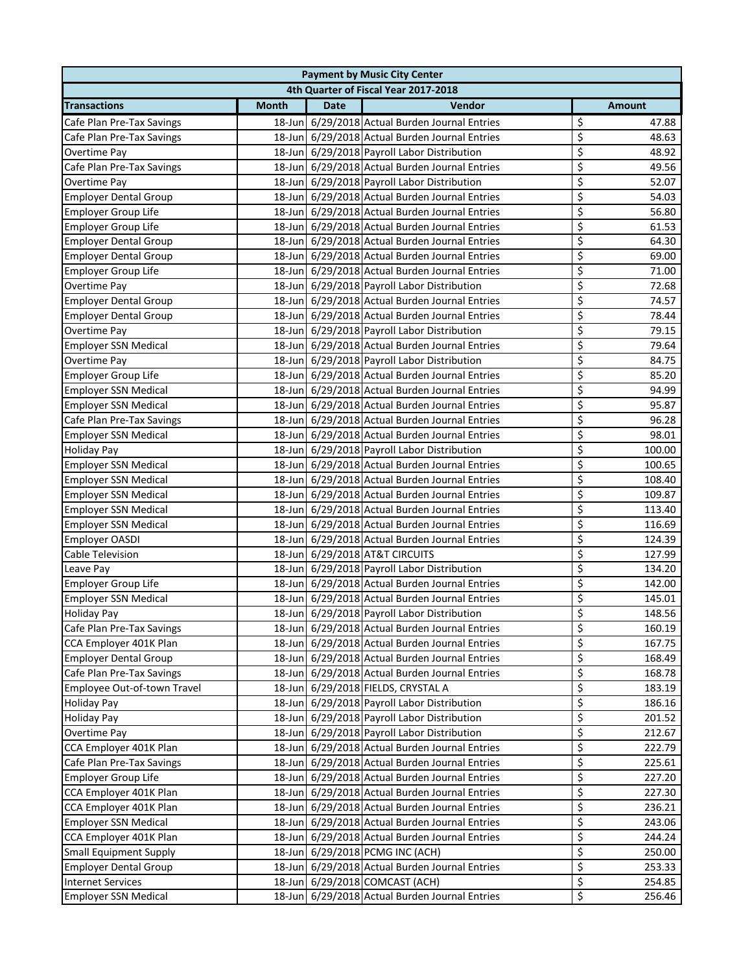|                                      | <b>Payment by Music City Center</b> |             |                                                |                         |               |  |  |  |
|--------------------------------------|-------------------------------------|-------------|------------------------------------------------|-------------------------|---------------|--|--|--|
| 4th Quarter of Fiscal Year 2017-2018 |                                     |             |                                                |                         |               |  |  |  |
| <b>Transactions</b>                  | <b>Month</b>                        | <b>Date</b> | Vendor                                         |                         | <b>Amount</b> |  |  |  |
| Cafe Plan Pre-Tax Savings            |                                     |             | 18-Jun 6/29/2018 Actual Burden Journal Entries | \$                      | 47.88         |  |  |  |
| Cafe Plan Pre-Tax Savings            |                                     |             | 18-Jun 6/29/2018 Actual Burden Journal Entries | \$                      | 48.63         |  |  |  |
| Overtime Pay                         |                                     |             | 18-Jun 6/29/2018 Payroll Labor Distribution    | \$                      | 48.92         |  |  |  |
| Cafe Plan Pre-Tax Savings            |                                     |             | 18-Jun 6/29/2018 Actual Burden Journal Entries | \$                      | 49.56         |  |  |  |
| Overtime Pay                         |                                     |             | 18-Jun 6/29/2018 Payroll Labor Distribution    | \$                      | 52.07         |  |  |  |
| <b>Employer Dental Group</b>         |                                     |             | 18-Jun 6/29/2018 Actual Burden Journal Entries | \$                      | 54.03         |  |  |  |
| <b>Employer Group Life</b>           |                                     |             | 18-Jun 6/29/2018 Actual Burden Journal Entries | \$                      | 56.80         |  |  |  |
| <b>Employer Group Life</b>           |                                     |             | 18-Jun 6/29/2018 Actual Burden Journal Entries | \$                      | 61.53         |  |  |  |
| <b>Employer Dental Group</b>         |                                     |             | 18-Jun 6/29/2018 Actual Burden Journal Entries | \$                      | 64.30         |  |  |  |
| <b>Employer Dental Group</b>         |                                     |             | 18-Jun 6/29/2018 Actual Burden Journal Entries | \$                      | 69.00         |  |  |  |
| <b>Employer Group Life</b>           |                                     |             | 18-Jun 6/29/2018 Actual Burden Journal Entries | \$                      | 71.00         |  |  |  |
| Overtime Pay                         |                                     |             | 18-Jun 6/29/2018 Payroll Labor Distribution    | \$                      | 72.68         |  |  |  |
| <b>Employer Dental Group</b>         |                                     |             | 18-Jun 6/29/2018 Actual Burden Journal Entries | \$                      | 74.57         |  |  |  |
| <b>Employer Dental Group</b>         |                                     |             | 18-Jun 6/29/2018 Actual Burden Journal Entries | \$                      | 78.44         |  |  |  |
| Overtime Pay                         |                                     |             | 18-Jun 6/29/2018 Payroll Labor Distribution    | \$                      | 79.15         |  |  |  |
| <b>Employer SSN Medical</b>          |                                     |             | 18-Jun 6/29/2018 Actual Burden Journal Entries | \$                      | 79.64         |  |  |  |
| Overtime Pay                         |                                     |             | 18-Jun 6/29/2018 Payroll Labor Distribution    | \$                      | 84.75         |  |  |  |
| <b>Employer Group Life</b>           |                                     |             | 18-Jun 6/29/2018 Actual Burden Journal Entries | \$                      | 85.20         |  |  |  |
| <b>Employer SSN Medical</b>          |                                     |             | 18-Jun 6/29/2018 Actual Burden Journal Entries | \$                      | 94.99         |  |  |  |
| <b>Employer SSN Medical</b>          |                                     |             | 18-Jun 6/29/2018 Actual Burden Journal Entries | \$                      | 95.87         |  |  |  |
| Cafe Plan Pre-Tax Savings            |                                     |             | 18-Jun 6/29/2018 Actual Burden Journal Entries | \$                      | 96.28         |  |  |  |
| <b>Employer SSN Medical</b>          |                                     |             | 18-Jun 6/29/2018 Actual Burden Journal Entries | \$                      | 98.01         |  |  |  |
| <b>Holiday Pay</b>                   |                                     |             | 18-Jun 6/29/2018 Payroll Labor Distribution    | \$                      | 100.00        |  |  |  |
| <b>Employer SSN Medical</b>          |                                     |             | 18-Jun 6/29/2018 Actual Burden Journal Entries | \$                      | 100.65        |  |  |  |
| <b>Employer SSN Medical</b>          |                                     |             | 18-Jun 6/29/2018 Actual Burden Journal Entries | \$                      | 108.40        |  |  |  |
| <b>Employer SSN Medical</b>          |                                     |             | 18-Jun 6/29/2018 Actual Burden Journal Entries | \$                      | 109.87        |  |  |  |
| <b>Employer SSN Medical</b>          |                                     |             | 18-Jun 6/29/2018 Actual Burden Journal Entries | \$                      | 113.40        |  |  |  |
| <b>Employer SSN Medical</b>          |                                     |             | 18-Jun 6/29/2018 Actual Burden Journal Entries | \$                      | 116.69        |  |  |  |
| <b>Employer OASDI</b>                |                                     |             | 18-Jun 6/29/2018 Actual Burden Journal Entries | \$                      | 124.39        |  |  |  |
| Cable Television                     |                                     |             | 18-Jun 6/29/2018 AT&T CIRCUITS                 | \$                      | 127.99        |  |  |  |
| Leave Pay                            |                                     |             | 18-Jun 6/29/2018 Payroll Labor Distribution    | \$                      | 134.20        |  |  |  |
| <b>Employer Group Life</b>           |                                     |             | 18-Jun 6/29/2018 Actual Burden Journal Entries | \$                      | 142.00        |  |  |  |
| <b>Employer SSN Medical</b>          |                                     |             | 18-Jun 6/29/2018 Actual Burden Journal Entries | \$                      | 145.01        |  |  |  |
| <b>Holiday Pay</b>                   |                                     |             | 18-Jun 6/29/2018 Payroll Labor Distribution    | $\overline{\mathsf{S}}$ | 148.56        |  |  |  |
| Cafe Plan Pre-Tax Savings            |                                     |             | 18-Jun 6/29/2018 Actual Burden Journal Entries | \$                      | 160.19        |  |  |  |
| CCA Employer 401K Plan               |                                     |             | 18-Jun 6/29/2018 Actual Burden Journal Entries | \$                      | 167.75        |  |  |  |
| <b>Employer Dental Group</b>         |                                     |             | 18-Jun 6/29/2018 Actual Burden Journal Entries | \$                      | 168.49        |  |  |  |
| Cafe Plan Pre-Tax Savings            |                                     |             | 18-Jun 6/29/2018 Actual Burden Journal Entries | \$                      | 168.78        |  |  |  |
| Employee Out-of-town Travel          |                                     |             | 18-Jun 6/29/2018 FIELDS, CRYSTAL A             | \$                      | 183.19        |  |  |  |
| <b>Holiday Pay</b>                   |                                     |             | 18-Jun 6/29/2018 Payroll Labor Distribution    | \$                      | 186.16        |  |  |  |
| <b>Holiday Pay</b>                   |                                     |             | 18-Jun 6/29/2018 Payroll Labor Distribution    | \$                      | 201.52        |  |  |  |
| Overtime Pay                         |                                     |             | 18-Jun 6/29/2018 Payroll Labor Distribution    | \$                      | 212.67        |  |  |  |
| CCA Employer 401K Plan               |                                     |             | 18-Jun 6/29/2018 Actual Burden Journal Entries | \$                      | 222.79        |  |  |  |
| Cafe Plan Pre-Tax Savings            |                                     |             | 18-Jun 6/29/2018 Actual Burden Journal Entries | \$                      | 225.61        |  |  |  |
| <b>Employer Group Life</b>           |                                     |             | 18-Jun 6/29/2018 Actual Burden Journal Entries | \$                      | 227.20        |  |  |  |
| CCA Employer 401K Plan               |                                     |             | 18-Jun 6/29/2018 Actual Burden Journal Entries | \$                      | 227.30        |  |  |  |
| CCA Employer 401K Plan               |                                     |             | 18-Jun 6/29/2018 Actual Burden Journal Entries | \$                      | 236.21        |  |  |  |
| <b>Employer SSN Medical</b>          |                                     |             | 18-Jun 6/29/2018 Actual Burden Journal Entries | \$                      | 243.06        |  |  |  |
| CCA Employer 401K Plan               |                                     |             | 18-Jun 6/29/2018 Actual Burden Journal Entries | \$                      | 244.24        |  |  |  |
| <b>Small Equipment Supply</b>        |                                     |             | 18-Jun 6/29/2018 PCMG INC (ACH)                | \$                      | 250.00        |  |  |  |
| <b>Employer Dental Group</b>         |                                     |             | 18-Jun 6/29/2018 Actual Burden Journal Entries | \$                      | 253.33        |  |  |  |
| <b>Internet Services</b>             |                                     |             | 18-Jun 6/29/2018 COMCAST (ACH)                 | \$                      | 254.85        |  |  |  |
| <b>Employer SSN Medical</b>          |                                     |             | 18-Jun 6/29/2018 Actual Burden Journal Entries | \$                      | 256.46        |  |  |  |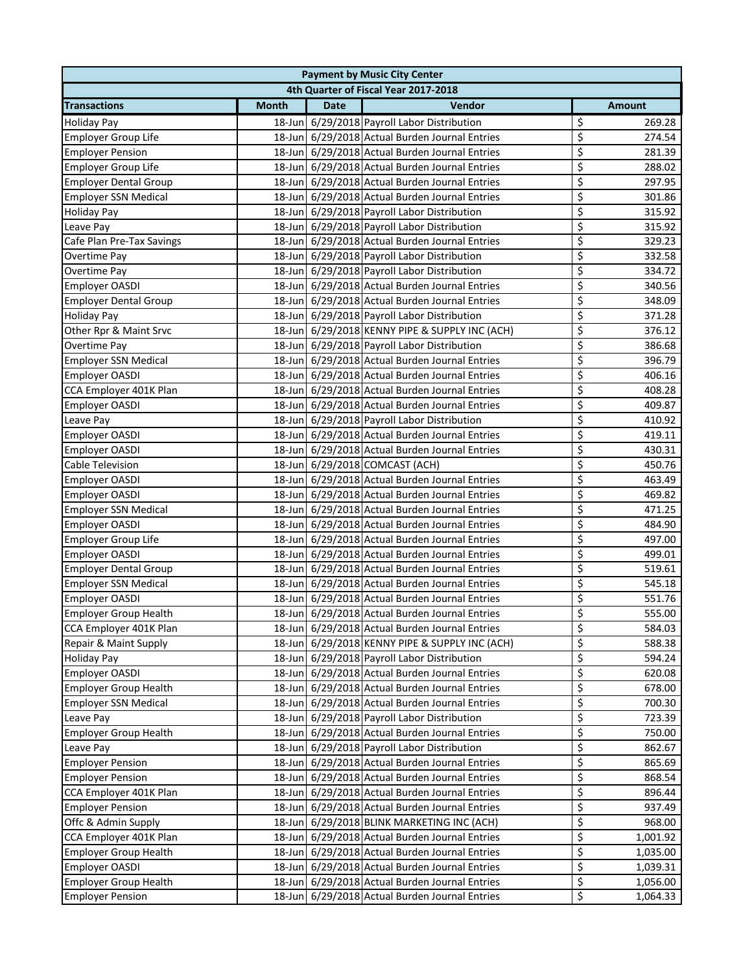| 4th Quarter of Fiscal Year 2017-2018<br>Vendor<br><b>Transactions</b><br><b>Month</b><br><b>Date</b><br><b>Amount</b><br>18-Jun 6/29/2018 Payroll Labor Distribution<br>\$<br>269.28<br><b>Holiday Pay</b><br>\$<br><b>Employer Group Life</b><br>18-Jun 6/29/2018 Actual Burden Journal Entries<br>274.54<br>\$<br>18-Jun 6/29/2018 Actual Burden Journal Entries<br><b>Employer Pension</b><br>281.39<br>\$<br>18-Jun 6/29/2018 Actual Burden Journal Entries<br>288.02<br><b>Employer Group Life</b><br>\$<br>18-Jun 6/29/2018 Actual Burden Journal Entries<br>297.95<br><b>Employer Dental Group</b><br>\$<br>18-Jun 6/29/2018 Actual Burden Journal Entries<br><b>Employer SSN Medical</b><br>301.86<br>\$<br>18-Jun 6/29/2018 Payroll Labor Distribution<br>315.92<br>Holiday Pay<br>\$<br>18-Jun 6/29/2018 Payroll Labor Distribution<br>315.92<br>Leave Pay<br>\$<br>18-Jun 6/29/2018 Actual Burden Journal Entries<br>329.23<br>Cafe Plan Pre-Tax Savings<br>\$<br>332.58<br>18-Jun 6/29/2018 Payroll Labor Distribution<br>Overtime Pay<br>\$<br>18-Jun 6/29/2018 Payroll Labor Distribution<br>334.72<br>Overtime Pay<br>\$<br>18-Jun 6/29/2018 Actual Burden Journal Entries<br><b>Employer OASDI</b><br>340.56<br>\$<br>18-Jun 6/29/2018 Actual Burden Journal Entries<br>348.09<br><b>Employer Dental Group</b><br>\$<br>18-Jun 6/29/2018 Payroll Labor Distribution<br>371.28<br><b>Holiday Pay</b><br>\$<br>Other Rpr & Maint Srvc<br>18-Jun 6/29/2018 KENNY PIPE & SUPPLY INC (ACH)<br>376.12<br>\$<br>18-Jun 6/29/2018 Payroll Labor Distribution<br>386.68<br>Overtime Pay<br>\$<br>18-Jun 6/29/2018 Actual Burden Journal Entries<br>396.79<br><b>Employer SSN Medical</b><br>\$<br>18-Jun 6/29/2018 Actual Burden Journal Entries<br>406.16<br><b>Employer OASDI</b><br>\$<br>CCA Employer 401K Plan<br>18-Jun 6/29/2018 Actual Burden Journal Entries<br>408.28<br>\$<br>Employer OASDI<br>18-Jun 6/29/2018 Actual Burden Journal Entries<br>409.87<br>\$<br>18-Jun 6/29/2018 Payroll Labor Distribution<br>Leave Pay<br>410.92<br>\$<br>18-Jun 6/29/2018 Actual Burden Journal Entries<br>Employer OASDI<br>419.11<br>\$<br>18-Jun 6/29/2018 Actual Burden Journal Entries<br><b>Employer OASDI</b><br>430.31<br>\$<br><b>Cable Television</b><br>18-Jun 6/29/2018 COMCAST (ACH)<br>450.76<br>\$<br>18-Jun 6/29/2018 Actual Burden Journal Entries<br>463.49<br>Employer OASDI<br>\$<br>18-Jun 6/29/2018 Actual Burden Journal Entries<br>Employer OASDI<br>469.82<br>\$<br>18-Jun 6/29/2018 Actual Burden Journal Entries<br><b>Employer SSN Medical</b><br>471.25<br>\$<br>Employer OASDI<br>18-Jun 6/29/2018 Actual Burden Journal Entries<br>484.90<br>\$<br>18-Jun 6/29/2018 Actual Burden Journal Entries<br>497.00<br><b>Employer Group Life</b><br>\$<br>18-Jun 6/29/2018 Actual Burden Journal Entries<br><b>Employer OASDI</b><br>499.01<br>\$<br><b>Employer Dental Group</b><br>18-Jun 6/29/2018 Actual Burden Journal Entries<br>519.61<br>\$<br>18-Jun 6/29/2018 Actual Burden Journal Entries<br><b>Employer SSN Medical</b><br>545.18<br>\$<br>Employer OASDI<br>18-Jun 6/29/2018 Actual Burden Journal Entries<br>551.76<br>$\overline{\mathsf{S}}$<br>18-Jun 6/29/2018 Actual Burden Journal Entries<br>555.00<br><b>Employer Group Health</b><br>\$<br>CCA Employer 401K Plan<br>18-Jun 6/29/2018 Actual Burden Journal Entries<br>584.03<br>\$<br>18-Jun 6/29/2018 KENNY PIPE & SUPPLY INC (ACH)<br>588.38<br>Repair & Maint Supply<br>\$<br>18-Jun 6/29/2018 Payroll Labor Distribution<br><b>Holiday Pay</b><br>594.24<br>\$<br>Employer OASDI<br>18-Jun 6/29/2018 Actual Burden Journal Entries<br>620.08<br>\$<br>18-Jun 6/29/2018 Actual Burden Journal Entries<br><b>Employer Group Health</b><br>678.00<br>\$<br><b>Employer SSN Medical</b><br>18-Jun 6/29/2018 Actual Burden Journal Entries<br>700.30<br>\$<br>18-Jun 6/29/2018 Payroll Labor Distribution<br>723.39<br>Leave Pay<br>\$<br><b>Employer Group Health</b><br>18-Jun 6/29/2018 Actual Burden Journal Entries<br>750.00<br>\$<br>18-Jun 6/29/2018 Payroll Labor Distribution<br>862.67<br>Leave Pay<br>\$<br><b>Employer Pension</b><br>18-Jun 6/29/2018 Actual Burden Journal Entries<br>865.69<br>\$<br>18-Jun 6/29/2018 Actual Burden Journal Entries<br><b>Employer Pension</b><br>868.54<br>\$<br>CCA Employer 401K Plan<br>18-Jun 6/29/2018 Actual Burden Journal Entries<br>896.44<br>\$<br>18-Jun 6/29/2018 Actual Burden Journal Entries<br>937.49<br><b>Employer Pension</b><br>\$<br>18-Jun 6/29/2018 BLINK MARKETING INC (ACH)<br>Offc & Admin Supply<br>968.00<br>\$<br>18-Jun 6/29/2018 Actual Burden Journal Entries<br>CCA Employer 401K Plan<br>1,001.92<br>\$<br><b>Employer Group Health</b><br>18-Jun 6/29/2018 Actual Burden Journal Entries<br>1,035.00<br>\$<br><b>Employer OASDI</b><br>18-Jun 6/29/2018 Actual Burden Journal Entries<br>1,039.31<br>\$<br><b>Employer Group Health</b><br>18-Jun 6/29/2018 Actual Burden Journal Entries<br>1,056.00<br>18-Jun 6/29/2018 Actual Burden Journal Entries |                         |  |  | <b>Payment by Music City Center</b> |    |          |  |  |
|----------------------------------------------------------------------------------------------------------------------------------------------------------------------------------------------------------------------------------------------------------------------------------------------------------------------------------------------------------------------------------------------------------------------------------------------------------------------------------------------------------------------------------------------------------------------------------------------------------------------------------------------------------------------------------------------------------------------------------------------------------------------------------------------------------------------------------------------------------------------------------------------------------------------------------------------------------------------------------------------------------------------------------------------------------------------------------------------------------------------------------------------------------------------------------------------------------------------------------------------------------------------------------------------------------------------------------------------------------------------------------------------------------------------------------------------------------------------------------------------------------------------------------------------------------------------------------------------------------------------------------------------------------------------------------------------------------------------------------------------------------------------------------------------------------------------------------------------------------------------------------------------------------------------------------------------------------------------------------------------------------------------------------------------------------------------------------------------------------------------------------------------------------------------------------------------------------------------------------------------------------------------------------------------------------------------------------------------------------------------------------------------------------------------------------------------------------------------------------------------------------------------------------------------------------------------------------------------------------------------------------------------------------------------------------------------------------------------------------------------------------------------------------------------------------------------------------------------------------------------------------------------------------------------------------------------------------------------------------------------------------------------------------------------------------------------------------------------------------------------------------------------------------------------------------------------------------------------------------------------------------------------------------------------------------------------------------------------------------------------------------------------------------------------------------------------------------------------------------------------------------------------------------------------------------------------------------------------------------------------------------------------------------------------------------------------------------------------------------------------------------------------------------------------------------------------------------------------------------------------------------------------------------------------------------------------------------------------------------------------------------------------------------------------------------------------------------------------------------------------------------------------------------------------------------------------------------------------------------------------------------------------------------------------------------------------------------------------------------------------------------------------------------------------------------------------------------------------------------------------------------------------------------------------------------------------------------------------------------------------------------------------------------------------------------------------------------------------------------------------------------------------------------------------------------------------------------------------------------------------------------------------------------------------------------------------------------------------------------------------------------------------------------------------------|-------------------------|--|--|-------------------------------------|----|----------|--|--|
|                                                                                                                                                                                                                                                                                                                                                                                                                                                                                                                                                                                                                                                                                                                                                                                                                                                                                                                                                                                                                                                                                                                                                                                                                                                                                                                                                                                                                                                                                                                                                                                                                                                                                                                                                                                                                                                                                                                                                                                                                                                                                                                                                                                                                                                                                                                                                                                                                                                                                                                                                                                                                                                                                                                                                                                                                                                                                                                                                                                                                                                                                                                                                                                                                                                                                                                                                                                                                                                                                                                                                                                                                                                                                                                                                                                                                                                                                                                                                                                                                                                                                                                                                                                                                                                                                                                                                                                                                                                                                                                                                                                                                                                                                                                                                                                                                                                                                                                                                                                                                                                    |                         |  |  |                                     |    |          |  |  |
|                                                                                                                                                                                                                                                                                                                                                                                                                                                                                                                                                                                                                                                                                                                                                                                                                                                                                                                                                                                                                                                                                                                                                                                                                                                                                                                                                                                                                                                                                                                                                                                                                                                                                                                                                                                                                                                                                                                                                                                                                                                                                                                                                                                                                                                                                                                                                                                                                                                                                                                                                                                                                                                                                                                                                                                                                                                                                                                                                                                                                                                                                                                                                                                                                                                                                                                                                                                                                                                                                                                                                                                                                                                                                                                                                                                                                                                                                                                                                                                                                                                                                                                                                                                                                                                                                                                                                                                                                                                                                                                                                                                                                                                                                                                                                                                                                                                                                                                                                                                                                                                    |                         |  |  |                                     |    |          |  |  |
|                                                                                                                                                                                                                                                                                                                                                                                                                                                                                                                                                                                                                                                                                                                                                                                                                                                                                                                                                                                                                                                                                                                                                                                                                                                                                                                                                                                                                                                                                                                                                                                                                                                                                                                                                                                                                                                                                                                                                                                                                                                                                                                                                                                                                                                                                                                                                                                                                                                                                                                                                                                                                                                                                                                                                                                                                                                                                                                                                                                                                                                                                                                                                                                                                                                                                                                                                                                                                                                                                                                                                                                                                                                                                                                                                                                                                                                                                                                                                                                                                                                                                                                                                                                                                                                                                                                                                                                                                                                                                                                                                                                                                                                                                                                                                                                                                                                                                                                                                                                                                                                    |                         |  |  |                                     |    |          |  |  |
|                                                                                                                                                                                                                                                                                                                                                                                                                                                                                                                                                                                                                                                                                                                                                                                                                                                                                                                                                                                                                                                                                                                                                                                                                                                                                                                                                                                                                                                                                                                                                                                                                                                                                                                                                                                                                                                                                                                                                                                                                                                                                                                                                                                                                                                                                                                                                                                                                                                                                                                                                                                                                                                                                                                                                                                                                                                                                                                                                                                                                                                                                                                                                                                                                                                                                                                                                                                                                                                                                                                                                                                                                                                                                                                                                                                                                                                                                                                                                                                                                                                                                                                                                                                                                                                                                                                                                                                                                                                                                                                                                                                                                                                                                                                                                                                                                                                                                                                                                                                                                                                    |                         |  |  |                                     |    |          |  |  |
|                                                                                                                                                                                                                                                                                                                                                                                                                                                                                                                                                                                                                                                                                                                                                                                                                                                                                                                                                                                                                                                                                                                                                                                                                                                                                                                                                                                                                                                                                                                                                                                                                                                                                                                                                                                                                                                                                                                                                                                                                                                                                                                                                                                                                                                                                                                                                                                                                                                                                                                                                                                                                                                                                                                                                                                                                                                                                                                                                                                                                                                                                                                                                                                                                                                                                                                                                                                                                                                                                                                                                                                                                                                                                                                                                                                                                                                                                                                                                                                                                                                                                                                                                                                                                                                                                                                                                                                                                                                                                                                                                                                                                                                                                                                                                                                                                                                                                                                                                                                                                                                    |                         |  |  |                                     |    |          |  |  |
|                                                                                                                                                                                                                                                                                                                                                                                                                                                                                                                                                                                                                                                                                                                                                                                                                                                                                                                                                                                                                                                                                                                                                                                                                                                                                                                                                                                                                                                                                                                                                                                                                                                                                                                                                                                                                                                                                                                                                                                                                                                                                                                                                                                                                                                                                                                                                                                                                                                                                                                                                                                                                                                                                                                                                                                                                                                                                                                                                                                                                                                                                                                                                                                                                                                                                                                                                                                                                                                                                                                                                                                                                                                                                                                                                                                                                                                                                                                                                                                                                                                                                                                                                                                                                                                                                                                                                                                                                                                                                                                                                                                                                                                                                                                                                                                                                                                                                                                                                                                                                                                    |                         |  |  |                                     |    |          |  |  |
|                                                                                                                                                                                                                                                                                                                                                                                                                                                                                                                                                                                                                                                                                                                                                                                                                                                                                                                                                                                                                                                                                                                                                                                                                                                                                                                                                                                                                                                                                                                                                                                                                                                                                                                                                                                                                                                                                                                                                                                                                                                                                                                                                                                                                                                                                                                                                                                                                                                                                                                                                                                                                                                                                                                                                                                                                                                                                                                                                                                                                                                                                                                                                                                                                                                                                                                                                                                                                                                                                                                                                                                                                                                                                                                                                                                                                                                                                                                                                                                                                                                                                                                                                                                                                                                                                                                                                                                                                                                                                                                                                                                                                                                                                                                                                                                                                                                                                                                                                                                                                                                    |                         |  |  |                                     |    |          |  |  |
|                                                                                                                                                                                                                                                                                                                                                                                                                                                                                                                                                                                                                                                                                                                                                                                                                                                                                                                                                                                                                                                                                                                                                                                                                                                                                                                                                                                                                                                                                                                                                                                                                                                                                                                                                                                                                                                                                                                                                                                                                                                                                                                                                                                                                                                                                                                                                                                                                                                                                                                                                                                                                                                                                                                                                                                                                                                                                                                                                                                                                                                                                                                                                                                                                                                                                                                                                                                                                                                                                                                                                                                                                                                                                                                                                                                                                                                                                                                                                                                                                                                                                                                                                                                                                                                                                                                                                                                                                                                                                                                                                                                                                                                                                                                                                                                                                                                                                                                                                                                                                                                    |                         |  |  |                                     |    |          |  |  |
|                                                                                                                                                                                                                                                                                                                                                                                                                                                                                                                                                                                                                                                                                                                                                                                                                                                                                                                                                                                                                                                                                                                                                                                                                                                                                                                                                                                                                                                                                                                                                                                                                                                                                                                                                                                                                                                                                                                                                                                                                                                                                                                                                                                                                                                                                                                                                                                                                                                                                                                                                                                                                                                                                                                                                                                                                                                                                                                                                                                                                                                                                                                                                                                                                                                                                                                                                                                                                                                                                                                                                                                                                                                                                                                                                                                                                                                                                                                                                                                                                                                                                                                                                                                                                                                                                                                                                                                                                                                                                                                                                                                                                                                                                                                                                                                                                                                                                                                                                                                                                                                    |                         |  |  |                                     |    |          |  |  |
|                                                                                                                                                                                                                                                                                                                                                                                                                                                                                                                                                                                                                                                                                                                                                                                                                                                                                                                                                                                                                                                                                                                                                                                                                                                                                                                                                                                                                                                                                                                                                                                                                                                                                                                                                                                                                                                                                                                                                                                                                                                                                                                                                                                                                                                                                                                                                                                                                                                                                                                                                                                                                                                                                                                                                                                                                                                                                                                                                                                                                                                                                                                                                                                                                                                                                                                                                                                                                                                                                                                                                                                                                                                                                                                                                                                                                                                                                                                                                                                                                                                                                                                                                                                                                                                                                                                                                                                                                                                                                                                                                                                                                                                                                                                                                                                                                                                                                                                                                                                                                                                    |                         |  |  |                                     |    |          |  |  |
|                                                                                                                                                                                                                                                                                                                                                                                                                                                                                                                                                                                                                                                                                                                                                                                                                                                                                                                                                                                                                                                                                                                                                                                                                                                                                                                                                                                                                                                                                                                                                                                                                                                                                                                                                                                                                                                                                                                                                                                                                                                                                                                                                                                                                                                                                                                                                                                                                                                                                                                                                                                                                                                                                                                                                                                                                                                                                                                                                                                                                                                                                                                                                                                                                                                                                                                                                                                                                                                                                                                                                                                                                                                                                                                                                                                                                                                                                                                                                                                                                                                                                                                                                                                                                                                                                                                                                                                                                                                                                                                                                                                                                                                                                                                                                                                                                                                                                                                                                                                                                                                    |                         |  |  |                                     |    |          |  |  |
|                                                                                                                                                                                                                                                                                                                                                                                                                                                                                                                                                                                                                                                                                                                                                                                                                                                                                                                                                                                                                                                                                                                                                                                                                                                                                                                                                                                                                                                                                                                                                                                                                                                                                                                                                                                                                                                                                                                                                                                                                                                                                                                                                                                                                                                                                                                                                                                                                                                                                                                                                                                                                                                                                                                                                                                                                                                                                                                                                                                                                                                                                                                                                                                                                                                                                                                                                                                                                                                                                                                                                                                                                                                                                                                                                                                                                                                                                                                                                                                                                                                                                                                                                                                                                                                                                                                                                                                                                                                                                                                                                                                                                                                                                                                                                                                                                                                                                                                                                                                                                                                    |                         |  |  |                                     |    |          |  |  |
|                                                                                                                                                                                                                                                                                                                                                                                                                                                                                                                                                                                                                                                                                                                                                                                                                                                                                                                                                                                                                                                                                                                                                                                                                                                                                                                                                                                                                                                                                                                                                                                                                                                                                                                                                                                                                                                                                                                                                                                                                                                                                                                                                                                                                                                                                                                                                                                                                                                                                                                                                                                                                                                                                                                                                                                                                                                                                                                                                                                                                                                                                                                                                                                                                                                                                                                                                                                                                                                                                                                                                                                                                                                                                                                                                                                                                                                                                                                                                                                                                                                                                                                                                                                                                                                                                                                                                                                                                                                                                                                                                                                                                                                                                                                                                                                                                                                                                                                                                                                                                                                    |                         |  |  |                                     |    |          |  |  |
|                                                                                                                                                                                                                                                                                                                                                                                                                                                                                                                                                                                                                                                                                                                                                                                                                                                                                                                                                                                                                                                                                                                                                                                                                                                                                                                                                                                                                                                                                                                                                                                                                                                                                                                                                                                                                                                                                                                                                                                                                                                                                                                                                                                                                                                                                                                                                                                                                                                                                                                                                                                                                                                                                                                                                                                                                                                                                                                                                                                                                                                                                                                                                                                                                                                                                                                                                                                                                                                                                                                                                                                                                                                                                                                                                                                                                                                                                                                                                                                                                                                                                                                                                                                                                                                                                                                                                                                                                                                                                                                                                                                                                                                                                                                                                                                                                                                                                                                                                                                                                                                    |                         |  |  |                                     |    |          |  |  |
|                                                                                                                                                                                                                                                                                                                                                                                                                                                                                                                                                                                                                                                                                                                                                                                                                                                                                                                                                                                                                                                                                                                                                                                                                                                                                                                                                                                                                                                                                                                                                                                                                                                                                                                                                                                                                                                                                                                                                                                                                                                                                                                                                                                                                                                                                                                                                                                                                                                                                                                                                                                                                                                                                                                                                                                                                                                                                                                                                                                                                                                                                                                                                                                                                                                                                                                                                                                                                                                                                                                                                                                                                                                                                                                                                                                                                                                                                                                                                                                                                                                                                                                                                                                                                                                                                                                                                                                                                                                                                                                                                                                                                                                                                                                                                                                                                                                                                                                                                                                                                                                    |                         |  |  |                                     |    |          |  |  |
|                                                                                                                                                                                                                                                                                                                                                                                                                                                                                                                                                                                                                                                                                                                                                                                                                                                                                                                                                                                                                                                                                                                                                                                                                                                                                                                                                                                                                                                                                                                                                                                                                                                                                                                                                                                                                                                                                                                                                                                                                                                                                                                                                                                                                                                                                                                                                                                                                                                                                                                                                                                                                                                                                                                                                                                                                                                                                                                                                                                                                                                                                                                                                                                                                                                                                                                                                                                                                                                                                                                                                                                                                                                                                                                                                                                                                                                                                                                                                                                                                                                                                                                                                                                                                                                                                                                                                                                                                                                                                                                                                                                                                                                                                                                                                                                                                                                                                                                                                                                                                                                    |                         |  |  |                                     |    |          |  |  |
|                                                                                                                                                                                                                                                                                                                                                                                                                                                                                                                                                                                                                                                                                                                                                                                                                                                                                                                                                                                                                                                                                                                                                                                                                                                                                                                                                                                                                                                                                                                                                                                                                                                                                                                                                                                                                                                                                                                                                                                                                                                                                                                                                                                                                                                                                                                                                                                                                                                                                                                                                                                                                                                                                                                                                                                                                                                                                                                                                                                                                                                                                                                                                                                                                                                                                                                                                                                                                                                                                                                                                                                                                                                                                                                                                                                                                                                                                                                                                                                                                                                                                                                                                                                                                                                                                                                                                                                                                                                                                                                                                                                                                                                                                                                                                                                                                                                                                                                                                                                                                                                    |                         |  |  |                                     |    |          |  |  |
|                                                                                                                                                                                                                                                                                                                                                                                                                                                                                                                                                                                                                                                                                                                                                                                                                                                                                                                                                                                                                                                                                                                                                                                                                                                                                                                                                                                                                                                                                                                                                                                                                                                                                                                                                                                                                                                                                                                                                                                                                                                                                                                                                                                                                                                                                                                                                                                                                                                                                                                                                                                                                                                                                                                                                                                                                                                                                                                                                                                                                                                                                                                                                                                                                                                                                                                                                                                                                                                                                                                                                                                                                                                                                                                                                                                                                                                                                                                                                                                                                                                                                                                                                                                                                                                                                                                                                                                                                                                                                                                                                                                                                                                                                                                                                                                                                                                                                                                                                                                                                                                    |                         |  |  |                                     |    |          |  |  |
|                                                                                                                                                                                                                                                                                                                                                                                                                                                                                                                                                                                                                                                                                                                                                                                                                                                                                                                                                                                                                                                                                                                                                                                                                                                                                                                                                                                                                                                                                                                                                                                                                                                                                                                                                                                                                                                                                                                                                                                                                                                                                                                                                                                                                                                                                                                                                                                                                                                                                                                                                                                                                                                                                                                                                                                                                                                                                                                                                                                                                                                                                                                                                                                                                                                                                                                                                                                                                                                                                                                                                                                                                                                                                                                                                                                                                                                                                                                                                                                                                                                                                                                                                                                                                                                                                                                                                                                                                                                                                                                                                                                                                                                                                                                                                                                                                                                                                                                                                                                                                                                    |                         |  |  |                                     |    |          |  |  |
|                                                                                                                                                                                                                                                                                                                                                                                                                                                                                                                                                                                                                                                                                                                                                                                                                                                                                                                                                                                                                                                                                                                                                                                                                                                                                                                                                                                                                                                                                                                                                                                                                                                                                                                                                                                                                                                                                                                                                                                                                                                                                                                                                                                                                                                                                                                                                                                                                                                                                                                                                                                                                                                                                                                                                                                                                                                                                                                                                                                                                                                                                                                                                                                                                                                                                                                                                                                                                                                                                                                                                                                                                                                                                                                                                                                                                                                                                                                                                                                                                                                                                                                                                                                                                                                                                                                                                                                                                                                                                                                                                                                                                                                                                                                                                                                                                                                                                                                                                                                                                                                    |                         |  |  |                                     |    |          |  |  |
|                                                                                                                                                                                                                                                                                                                                                                                                                                                                                                                                                                                                                                                                                                                                                                                                                                                                                                                                                                                                                                                                                                                                                                                                                                                                                                                                                                                                                                                                                                                                                                                                                                                                                                                                                                                                                                                                                                                                                                                                                                                                                                                                                                                                                                                                                                                                                                                                                                                                                                                                                                                                                                                                                                                                                                                                                                                                                                                                                                                                                                                                                                                                                                                                                                                                                                                                                                                                                                                                                                                                                                                                                                                                                                                                                                                                                                                                                                                                                                                                                                                                                                                                                                                                                                                                                                                                                                                                                                                                                                                                                                                                                                                                                                                                                                                                                                                                                                                                                                                                                                                    |                         |  |  |                                     |    |          |  |  |
|                                                                                                                                                                                                                                                                                                                                                                                                                                                                                                                                                                                                                                                                                                                                                                                                                                                                                                                                                                                                                                                                                                                                                                                                                                                                                                                                                                                                                                                                                                                                                                                                                                                                                                                                                                                                                                                                                                                                                                                                                                                                                                                                                                                                                                                                                                                                                                                                                                                                                                                                                                                                                                                                                                                                                                                                                                                                                                                                                                                                                                                                                                                                                                                                                                                                                                                                                                                                                                                                                                                                                                                                                                                                                                                                                                                                                                                                                                                                                                                                                                                                                                                                                                                                                                                                                                                                                                                                                                                                                                                                                                                                                                                                                                                                                                                                                                                                                                                                                                                                                                                    |                         |  |  |                                     |    |          |  |  |
|                                                                                                                                                                                                                                                                                                                                                                                                                                                                                                                                                                                                                                                                                                                                                                                                                                                                                                                                                                                                                                                                                                                                                                                                                                                                                                                                                                                                                                                                                                                                                                                                                                                                                                                                                                                                                                                                                                                                                                                                                                                                                                                                                                                                                                                                                                                                                                                                                                                                                                                                                                                                                                                                                                                                                                                                                                                                                                                                                                                                                                                                                                                                                                                                                                                                                                                                                                                                                                                                                                                                                                                                                                                                                                                                                                                                                                                                                                                                                                                                                                                                                                                                                                                                                                                                                                                                                                                                                                                                                                                                                                                                                                                                                                                                                                                                                                                                                                                                                                                                                                                    |                         |  |  |                                     |    |          |  |  |
|                                                                                                                                                                                                                                                                                                                                                                                                                                                                                                                                                                                                                                                                                                                                                                                                                                                                                                                                                                                                                                                                                                                                                                                                                                                                                                                                                                                                                                                                                                                                                                                                                                                                                                                                                                                                                                                                                                                                                                                                                                                                                                                                                                                                                                                                                                                                                                                                                                                                                                                                                                                                                                                                                                                                                                                                                                                                                                                                                                                                                                                                                                                                                                                                                                                                                                                                                                                                                                                                                                                                                                                                                                                                                                                                                                                                                                                                                                                                                                                                                                                                                                                                                                                                                                                                                                                                                                                                                                                                                                                                                                                                                                                                                                                                                                                                                                                                                                                                                                                                                                                    |                         |  |  |                                     |    |          |  |  |
|                                                                                                                                                                                                                                                                                                                                                                                                                                                                                                                                                                                                                                                                                                                                                                                                                                                                                                                                                                                                                                                                                                                                                                                                                                                                                                                                                                                                                                                                                                                                                                                                                                                                                                                                                                                                                                                                                                                                                                                                                                                                                                                                                                                                                                                                                                                                                                                                                                                                                                                                                                                                                                                                                                                                                                                                                                                                                                                                                                                                                                                                                                                                                                                                                                                                                                                                                                                                                                                                                                                                                                                                                                                                                                                                                                                                                                                                                                                                                                                                                                                                                                                                                                                                                                                                                                                                                                                                                                                                                                                                                                                                                                                                                                                                                                                                                                                                                                                                                                                                                                                    |                         |  |  |                                     |    |          |  |  |
|                                                                                                                                                                                                                                                                                                                                                                                                                                                                                                                                                                                                                                                                                                                                                                                                                                                                                                                                                                                                                                                                                                                                                                                                                                                                                                                                                                                                                                                                                                                                                                                                                                                                                                                                                                                                                                                                                                                                                                                                                                                                                                                                                                                                                                                                                                                                                                                                                                                                                                                                                                                                                                                                                                                                                                                                                                                                                                                                                                                                                                                                                                                                                                                                                                                                                                                                                                                                                                                                                                                                                                                                                                                                                                                                                                                                                                                                                                                                                                                                                                                                                                                                                                                                                                                                                                                                                                                                                                                                                                                                                                                                                                                                                                                                                                                                                                                                                                                                                                                                                                                    |                         |  |  |                                     |    |          |  |  |
|                                                                                                                                                                                                                                                                                                                                                                                                                                                                                                                                                                                                                                                                                                                                                                                                                                                                                                                                                                                                                                                                                                                                                                                                                                                                                                                                                                                                                                                                                                                                                                                                                                                                                                                                                                                                                                                                                                                                                                                                                                                                                                                                                                                                                                                                                                                                                                                                                                                                                                                                                                                                                                                                                                                                                                                                                                                                                                                                                                                                                                                                                                                                                                                                                                                                                                                                                                                                                                                                                                                                                                                                                                                                                                                                                                                                                                                                                                                                                                                                                                                                                                                                                                                                                                                                                                                                                                                                                                                                                                                                                                                                                                                                                                                                                                                                                                                                                                                                                                                                                                                    |                         |  |  |                                     |    |          |  |  |
|                                                                                                                                                                                                                                                                                                                                                                                                                                                                                                                                                                                                                                                                                                                                                                                                                                                                                                                                                                                                                                                                                                                                                                                                                                                                                                                                                                                                                                                                                                                                                                                                                                                                                                                                                                                                                                                                                                                                                                                                                                                                                                                                                                                                                                                                                                                                                                                                                                                                                                                                                                                                                                                                                                                                                                                                                                                                                                                                                                                                                                                                                                                                                                                                                                                                                                                                                                                                                                                                                                                                                                                                                                                                                                                                                                                                                                                                                                                                                                                                                                                                                                                                                                                                                                                                                                                                                                                                                                                                                                                                                                                                                                                                                                                                                                                                                                                                                                                                                                                                                                                    |                         |  |  |                                     |    |          |  |  |
|                                                                                                                                                                                                                                                                                                                                                                                                                                                                                                                                                                                                                                                                                                                                                                                                                                                                                                                                                                                                                                                                                                                                                                                                                                                                                                                                                                                                                                                                                                                                                                                                                                                                                                                                                                                                                                                                                                                                                                                                                                                                                                                                                                                                                                                                                                                                                                                                                                                                                                                                                                                                                                                                                                                                                                                                                                                                                                                                                                                                                                                                                                                                                                                                                                                                                                                                                                                                                                                                                                                                                                                                                                                                                                                                                                                                                                                                                                                                                                                                                                                                                                                                                                                                                                                                                                                                                                                                                                                                                                                                                                                                                                                                                                                                                                                                                                                                                                                                                                                                                                                    |                         |  |  |                                     |    |          |  |  |
|                                                                                                                                                                                                                                                                                                                                                                                                                                                                                                                                                                                                                                                                                                                                                                                                                                                                                                                                                                                                                                                                                                                                                                                                                                                                                                                                                                                                                                                                                                                                                                                                                                                                                                                                                                                                                                                                                                                                                                                                                                                                                                                                                                                                                                                                                                                                                                                                                                                                                                                                                                                                                                                                                                                                                                                                                                                                                                                                                                                                                                                                                                                                                                                                                                                                                                                                                                                                                                                                                                                                                                                                                                                                                                                                                                                                                                                                                                                                                                                                                                                                                                                                                                                                                                                                                                                                                                                                                                                                                                                                                                                                                                                                                                                                                                                                                                                                                                                                                                                                                                                    |                         |  |  |                                     |    |          |  |  |
|                                                                                                                                                                                                                                                                                                                                                                                                                                                                                                                                                                                                                                                                                                                                                                                                                                                                                                                                                                                                                                                                                                                                                                                                                                                                                                                                                                                                                                                                                                                                                                                                                                                                                                                                                                                                                                                                                                                                                                                                                                                                                                                                                                                                                                                                                                                                                                                                                                                                                                                                                                                                                                                                                                                                                                                                                                                                                                                                                                                                                                                                                                                                                                                                                                                                                                                                                                                                                                                                                                                                                                                                                                                                                                                                                                                                                                                                                                                                                                                                                                                                                                                                                                                                                                                                                                                                                                                                                                                                                                                                                                                                                                                                                                                                                                                                                                                                                                                                                                                                                                                    |                         |  |  |                                     |    |          |  |  |
|                                                                                                                                                                                                                                                                                                                                                                                                                                                                                                                                                                                                                                                                                                                                                                                                                                                                                                                                                                                                                                                                                                                                                                                                                                                                                                                                                                                                                                                                                                                                                                                                                                                                                                                                                                                                                                                                                                                                                                                                                                                                                                                                                                                                                                                                                                                                                                                                                                                                                                                                                                                                                                                                                                                                                                                                                                                                                                                                                                                                                                                                                                                                                                                                                                                                                                                                                                                                                                                                                                                                                                                                                                                                                                                                                                                                                                                                                                                                                                                                                                                                                                                                                                                                                                                                                                                                                                                                                                                                                                                                                                                                                                                                                                                                                                                                                                                                                                                                                                                                                                                    |                         |  |  |                                     |    |          |  |  |
|                                                                                                                                                                                                                                                                                                                                                                                                                                                                                                                                                                                                                                                                                                                                                                                                                                                                                                                                                                                                                                                                                                                                                                                                                                                                                                                                                                                                                                                                                                                                                                                                                                                                                                                                                                                                                                                                                                                                                                                                                                                                                                                                                                                                                                                                                                                                                                                                                                                                                                                                                                                                                                                                                                                                                                                                                                                                                                                                                                                                                                                                                                                                                                                                                                                                                                                                                                                                                                                                                                                                                                                                                                                                                                                                                                                                                                                                                                                                                                                                                                                                                                                                                                                                                                                                                                                                                                                                                                                                                                                                                                                                                                                                                                                                                                                                                                                                                                                                                                                                                                                    |                         |  |  |                                     |    |          |  |  |
|                                                                                                                                                                                                                                                                                                                                                                                                                                                                                                                                                                                                                                                                                                                                                                                                                                                                                                                                                                                                                                                                                                                                                                                                                                                                                                                                                                                                                                                                                                                                                                                                                                                                                                                                                                                                                                                                                                                                                                                                                                                                                                                                                                                                                                                                                                                                                                                                                                                                                                                                                                                                                                                                                                                                                                                                                                                                                                                                                                                                                                                                                                                                                                                                                                                                                                                                                                                                                                                                                                                                                                                                                                                                                                                                                                                                                                                                                                                                                                                                                                                                                                                                                                                                                                                                                                                                                                                                                                                                                                                                                                                                                                                                                                                                                                                                                                                                                                                                                                                                                                                    |                         |  |  |                                     |    |          |  |  |
|                                                                                                                                                                                                                                                                                                                                                                                                                                                                                                                                                                                                                                                                                                                                                                                                                                                                                                                                                                                                                                                                                                                                                                                                                                                                                                                                                                                                                                                                                                                                                                                                                                                                                                                                                                                                                                                                                                                                                                                                                                                                                                                                                                                                                                                                                                                                                                                                                                                                                                                                                                                                                                                                                                                                                                                                                                                                                                                                                                                                                                                                                                                                                                                                                                                                                                                                                                                                                                                                                                                                                                                                                                                                                                                                                                                                                                                                                                                                                                                                                                                                                                                                                                                                                                                                                                                                                                                                                                                                                                                                                                                                                                                                                                                                                                                                                                                                                                                                                                                                                                                    |                         |  |  |                                     |    |          |  |  |
|                                                                                                                                                                                                                                                                                                                                                                                                                                                                                                                                                                                                                                                                                                                                                                                                                                                                                                                                                                                                                                                                                                                                                                                                                                                                                                                                                                                                                                                                                                                                                                                                                                                                                                                                                                                                                                                                                                                                                                                                                                                                                                                                                                                                                                                                                                                                                                                                                                                                                                                                                                                                                                                                                                                                                                                                                                                                                                                                                                                                                                                                                                                                                                                                                                                                                                                                                                                                                                                                                                                                                                                                                                                                                                                                                                                                                                                                                                                                                                                                                                                                                                                                                                                                                                                                                                                                                                                                                                                                                                                                                                                                                                                                                                                                                                                                                                                                                                                                                                                                                                                    |                         |  |  |                                     |    |          |  |  |
|                                                                                                                                                                                                                                                                                                                                                                                                                                                                                                                                                                                                                                                                                                                                                                                                                                                                                                                                                                                                                                                                                                                                                                                                                                                                                                                                                                                                                                                                                                                                                                                                                                                                                                                                                                                                                                                                                                                                                                                                                                                                                                                                                                                                                                                                                                                                                                                                                                                                                                                                                                                                                                                                                                                                                                                                                                                                                                                                                                                                                                                                                                                                                                                                                                                                                                                                                                                                                                                                                                                                                                                                                                                                                                                                                                                                                                                                                                                                                                                                                                                                                                                                                                                                                                                                                                                                                                                                                                                                                                                                                                                                                                                                                                                                                                                                                                                                                                                                                                                                                                                    |                         |  |  |                                     |    |          |  |  |
|                                                                                                                                                                                                                                                                                                                                                                                                                                                                                                                                                                                                                                                                                                                                                                                                                                                                                                                                                                                                                                                                                                                                                                                                                                                                                                                                                                                                                                                                                                                                                                                                                                                                                                                                                                                                                                                                                                                                                                                                                                                                                                                                                                                                                                                                                                                                                                                                                                                                                                                                                                                                                                                                                                                                                                                                                                                                                                                                                                                                                                                                                                                                                                                                                                                                                                                                                                                                                                                                                                                                                                                                                                                                                                                                                                                                                                                                                                                                                                                                                                                                                                                                                                                                                                                                                                                                                                                                                                                                                                                                                                                                                                                                                                                                                                                                                                                                                                                                                                                                                                                    |                         |  |  |                                     |    |          |  |  |
|                                                                                                                                                                                                                                                                                                                                                                                                                                                                                                                                                                                                                                                                                                                                                                                                                                                                                                                                                                                                                                                                                                                                                                                                                                                                                                                                                                                                                                                                                                                                                                                                                                                                                                                                                                                                                                                                                                                                                                                                                                                                                                                                                                                                                                                                                                                                                                                                                                                                                                                                                                                                                                                                                                                                                                                                                                                                                                                                                                                                                                                                                                                                                                                                                                                                                                                                                                                                                                                                                                                                                                                                                                                                                                                                                                                                                                                                                                                                                                                                                                                                                                                                                                                                                                                                                                                                                                                                                                                                                                                                                                                                                                                                                                                                                                                                                                                                                                                                                                                                                                                    |                         |  |  |                                     |    |          |  |  |
|                                                                                                                                                                                                                                                                                                                                                                                                                                                                                                                                                                                                                                                                                                                                                                                                                                                                                                                                                                                                                                                                                                                                                                                                                                                                                                                                                                                                                                                                                                                                                                                                                                                                                                                                                                                                                                                                                                                                                                                                                                                                                                                                                                                                                                                                                                                                                                                                                                                                                                                                                                                                                                                                                                                                                                                                                                                                                                                                                                                                                                                                                                                                                                                                                                                                                                                                                                                                                                                                                                                                                                                                                                                                                                                                                                                                                                                                                                                                                                                                                                                                                                                                                                                                                                                                                                                                                                                                                                                                                                                                                                                                                                                                                                                                                                                                                                                                                                                                                                                                                                                    |                         |  |  |                                     |    |          |  |  |
|                                                                                                                                                                                                                                                                                                                                                                                                                                                                                                                                                                                                                                                                                                                                                                                                                                                                                                                                                                                                                                                                                                                                                                                                                                                                                                                                                                                                                                                                                                                                                                                                                                                                                                                                                                                                                                                                                                                                                                                                                                                                                                                                                                                                                                                                                                                                                                                                                                                                                                                                                                                                                                                                                                                                                                                                                                                                                                                                                                                                                                                                                                                                                                                                                                                                                                                                                                                                                                                                                                                                                                                                                                                                                                                                                                                                                                                                                                                                                                                                                                                                                                                                                                                                                                                                                                                                                                                                                                                                                                                                                                                                                                                                                                                                                                                                                                                                                                                                                                                                                                                    |                         |  |  |                                     |    |          |  |  |
|                                                                                                                                                                                                                                                                                                                                                                                                                                                                                                                                                                                                                                                                                                                                                                                                                                                                                                                                                                                                                                                                                                                                                                                                                                                                                                                                                                                                                                                                                                                                                                                                                                                                                                                                                                                                                                                                                                                                                                                                                                                                                                                                                                                                                                                                                                                                                                                                                                                                                                                                                                                                                                                                                                                                                                                                                                                                                                                                                                                                                                                                                                                                                                                                                                                                                                                                                                                                                                                                                                                                                                                                                                                                                                                                                                                                                                                                                                                                                                                                                                                                                                                                                                                                                                                                                                                                                                                                                                                                                                                                                                                                                                                                                                                                                                                                                                                                                                                                                                                                                                                    |                         |  |  |                                     |    |          |  |  |
|                                                                                                                                                                                                                                                                                                                                                                                                                                                                                                                                                                                                                                                                                                                                                                                                                                                                                                                                                                                                                                                                                                                                                                                                                                                                                                                                                                                                                                                                                                                                                                                                                                                                                                                                                                                                                                                                                                                                                                                                                                                                                                                                                                                                                                                                                                                                                                                                                                                                                                                                                                                                                                                                                                                                                                                                                                                                                                                                                                                                                                                                                                                                                                                                                                                                                                                                                                                                                                                                                                                                                                                                                                                                                                                                                                                                                                                                                                                                                                                                                                                                                                                                                                                                                                                                                                                                                                                                                                                                                                                                                                                                                                                                                                                                                                                                                                                                                                                                                                                                                                                    |                         |  |  |                                     |    |          |  |  |
|                                                                                                                                                                                                                                                                                                                                                                                                                                                                                                                                                                                                                                                                                                                                                                                                                                                                                                                                                                                                                                                                                                                                                                                                                                                                                                                                                                                                                                                                                                                                                                                                                                                                                                                                                                                                                                                                                                                                                                                                                                                                                                                                                                                                                                                                                                                                                                                                                                                                                                                                                                                                                                                                                                                                                                                                                                                                                                                                                                                                                                                                                                                                                                                                                                                                                                                                                                                                                                                                                                                                                                                                                                                                                                                                                                                                                                                                                                                                                                                                                                                                                                                                                                                                                                                                                                                                                                                                                                                                                                                                                                                                                                                                                                                                                                                                                                                                                                                                                                                                                                                    |                         |  |  |                                     |    |          |  |  |
|                                                                                                                                                                                                                                                                                                                                                                                                                                                                                                                                                                                                                                                                                                                                                                                                                                                                                                                                                                                                                                                                                                                                                                                                                                                                                                                                                                                                                                                                                                                                                                                                                                                                                                                                                                                                                                                                                                                                                                                                                                                                                                                                                                                                                                                                                                                                                                                                                                                                                                                                                                                                                                                                                                                                                                                                                                                                                                                                                                                                                                                                                                                                                                                                                                                                                                                                                                                                                                                                                                                                                                                                                                                                                                                                                                                                                                                                                                                                                                                                                                                                                                                                                                                                                                                                                                                                                                                                                                                                                                                                                                                                                                                                                                                                                                                                                                                                                                                                                                                                                                                    |                         |  |  |                                     |    |          |  |  |
|                                                                                                                                                                                                                                                                                                                                                                                                                                                                                                                                                                                                                                                                                                                                                                                                                                                                                                                                                                                                                                                                                                                                                                                                                                                                                                                                                                                                                                                                                                                                                                                                                                                                                                                                                                                                                                                                                                                                                                                                                                                                                                                                                                                                                                                                                                                                                                                                                                                                                                                                                                                                                                                                                                                                                                                                                                                                                                                                                                                                                                                                                                                                                                                                                                                                                                                                                                                                                                                                                                                                                                                                                                                                                                                                                                                                                                                                                                                                                                                                                                                                                                                                                                                                                                                                                                                                                                                                                                                                                                                                                                                                                                                                                                                                                                                                                                                                                                                                                                                                                                                    |                         |  |  |                                     |    |          |  |  |
|                                                                                                                                                                                                                                                                                                                                                                                                                                                                                                                                                                                                                                                                                                                                                                                                                                                                                                                                                                                                                                                                                                                                                                                                                                                                                                                                                                                                                                                                                                                                                                                                                                                                                                                                                                                                                                                                                                                                                                                                                                                                                                                                                                                                                                                                                                                                                                                                                                                                                                                                                                                                                                                                                                                                                                                                                                                                                                                                                                                                                                                                                                                                                                                                                                                                                                                                                                                                                                                                                                                                                                                                                                                                                                                                                                                                                                                                                                                                                                                                                                                                                                                                                                                                                                                                                                                                                                                                                                                                                                                                                                                                                                                                                                                                                                                                                                                                                                                                                                                                                                                    |                         |  |  |                                     |    |          |  |  |
|                                                                                                                                                                                                                                                                                                                                                                                                                                                                                                                                                                                                                                                                                                                                                                                                                                                                                                                                                                                                                                                                                                                                                                                                                                                                                                                                                                                                                                                                                                                                                                                                                                                                                                                                                                                                                                                                                                                                                                                                                                                                                                                                                                                                                                                                                                                                                                                                                                                                                                                                                                                                                                                                                                                                                                                                                                                                                                                                                                                                                                                                                                                                                                                                                                                                                                                                                                                                                                                                                                                                                                                                                                                                                                                                                                                                                                                                                                                                                                                                                                                                                                                                                                                                                                                                                                                                                                                                                                                                                                                                                                                                                                                                                                                                                                                                                                                                                                                                                                                                                                                    |                         |  |  |                                     |    |          |  |  |
|                                                                                                                                                                                                                                                                                                                                                                                                                                                                                                                                                                                                                                                                                                                                                                                                                                                                                                                                                                                                                                                                                                                                                                                                                                                                                                                                                                                                                                                                                                                                                                                                                                                                                                                                                                                                                                                                                                                                                                                                                                                                                                                                                                                                                                                                                                                                                                                                                                                                                                                                                                                                                                                                                                                                                                                                                                                                                                                                                                                                                                                                                                                                                                                                                                                                                                                                                                                                                                                                                                                                                                                                                                                                                                                                                                                                                                                                                                                                                                                                                                                                                                                                                                                                                                                                                                                                                                                                                                                                                                                                                                                                                                                                                                                                                                                                                                                                                                                                                                                                                                                    |                         |  |  |                                     |    |          |  |  |
|                                                                                                                                                                                                                                                                                                                                                                                                                                                                                                                                                                                                                                                                                                                                                                                                                                                                                                                                                                                                                                                                                                                                                                                                                                                                                                                                                                                                                                                                                                                                                                                                                                                                                                                                                                                                                                                                                                                                                                                                                                                                                                                                                                                                                                                                                                                                                                                                                                                                                                                                                                                                                                                                                                                                                                                                                                                                                                                                                                                                                                                                                                                                                                                                                                                                                                                                                                                                                                                                                                                                                                                                                                                                                                                                                                                                                                                                                                                                                                                                                                                                                                                                                                                                                                                                                                                                                                                                                                                                                                                                                                                                                                                                                                                                                                                                                                                                                                                                                                                                                                                    |                         |  |  |                                     |    |          |  |  |
|                                                                                                                                                                                                                                                                                                                                                                                                                                                                                                                                                                                                                                                                                                                                                                                                                                                                                                                                                                                                                                                                                                                                                                                                                                                                                                                                                                                                                                                                                                                                                                                                                                                                                                                                                                                                                                                                                                                                                                                                                                                                                                                                                                                                                                                                                                                                                                                                                                                                                                                                                                                                                                                                                                                                                                                                                                                                                                                                                                                                                                                                                                                                                                                                                                                                                                                                                                                                                                                                                                                                                                                                                                                                                                                                                                                                                                                                                                                                                                                                                                                                                                                                                                                                                                                                                                                                                                                                                                                                                                                                                                                                                                                                                                                                                                                                                                                                                                                                                                                                                                                    |                         |  |  |                                     |    |          |  |  |
|                                                                                                                                                                                                                                                                                                                                                                                                                                                                                                                                                                                                                                                                                                                                                                                                                                                                                                                                                                                                                                                                                                                                                                                                                                                                                                                                                                                                                                                                                                                                                                                                                                                                                                                                                                                                                                                                                                                                                                                                                                                                                                                                                                                                                                                                                                                                                                                                                                                                                                                                                                                                                                                                                                                                                                                                                                                                                                                                                                                                                                                                                                                                                                                                                                                                                                                                                                                                                                                                                                                                                                                                                                                                                                                                                                                                                                                                                                                                                                                                                                                                                                                                                                                                                                                                                                                                                                                                                                                                                                                                                                                                                                                                                                                                                                                                                                                                                                                                                                                                                                                    |                         |  |  |                                     |    |          |  |  |
|                                                                                                                                                                                                                                                                                                                                                                                                                                                                                                                                                                                                                                                                                                                                                                                                                                                                                                                                                                                                                                                                                                                                                                                                                                                                                                                                                                                                                                                                                                                                                                                                                                                                                                                                                                                                                                                                                                                                                                                                                                                                                                                                                                                                                                                                                                                                                                                                                                                                                                                                                                                                                                                                                                                                                                                                                                                                                                                                                                                                                                                                                                                                                                                                                                                                                                                                                                                                                                                                                                                                                                                                                                                                                                                                                                                                                                                                                                                                                                                                                                                                                                                                                                                                                                                                                                                                                                                                                                                                                                                                                                                                                                                                                                                                                                                                                                                                                                                                                                                                                                                    |                         |  |  |                                     |    |          |  |  |
|                                                                                                                                                                                                                                                                                                                                                                                                                                                                                                                                                                                                                                                                                                                                                                                                                                                                                                                                                                                                                                                                                                                                                                                                                                                                                                                                                                                                                                                                                                                                                                                                                                                                                                                                                                                                                                                                                                                                                                                                                                                                                                                                                                                                                                                                                                                                                                                                                                                                                                                                                                                                                                                                                                                                                                                                                                                                                                                                                                                                                                                                                                                                                                                                                                                                                                                                                                                                                                                                                                                                                                                                                                                                                                                                                                                                                                                                                                                                                                                                                                                                                                                                                                                                                                                                                                                                                                                                                                                                                                                                                                                                                                                                                                                                                                                                                                                                                                                                                                                                                                                    |                         |  |  |                                     |    |          |  |  |
|                                                                                                                                                                                                                                                                                                                                                                                                                                                                                                                                                                                                                                                                                                                                                                                                                                                                                                                                                                                                                                                                                                                                                                                                                                                                                                                                                                                                                                                                                                                                                                                                                                                                                                                                                                                                                                                                                                                                                                                                                                                                                                                                                                                                                                                                                                                                                                                                                                                                                                                                                                                                                                                                                                                                                                                                                                                                                                                                                                                                                                                                                                                                                                                                                                                                                                                                                                                                                                                                                                                                                                                                                                                                                                                                                                                                                                                                                                                                                                                                                                                                                                                                                                                                                                                                                                                                                                                                                                                                                                                                                                                                                                                                                                                                                                                                                                                                                                                                                                                                                                                    | <b>Employer Pension</b> |  |  |                                     | \$ | 1,064.33 |  |  |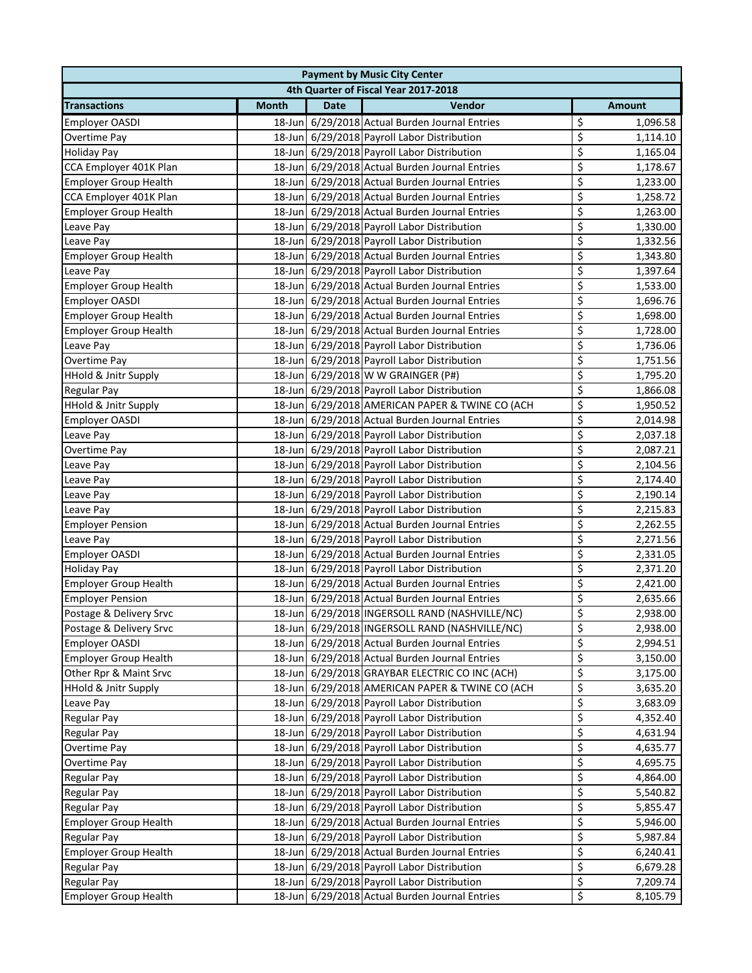|                                      | <b>Payment by Music City Center</b> |             |                                                 |                         |               |  |  |  |
|--------------------------------------|-------------------------------------|-------------|-------------------------------------------------|-------------------------|---------------|--|--|--|
| 4th Quarter of Fiscal Year 2017-2018 |                                     |             |                                                 |                         |               |  |  |  |
| <b>Transactions</b>                  | <b>Month</b>                        | <b>Date</b> | Vendor                                          |                         | <b>Amount</b> |  |  |  |
| <b>Employer OASDI</b>                |                                     |             | 18-Jun 6/29/2018 Actual Burden Journal Entries  | \$                      | 1,096.58      |  |  |  |
| Overtime Pay                         |                                     |             | 18-Jun 6/29/2018 Payroll Labor Distribution     | \$                      | 1,114.10      |  |  |  |
| <b>Holiday Pay</b>                   |                                     |             | 18-Jun 6/29/2018 Payroll Labor Distribution     | \$                      | 1,165.04      |  |  |  |
| CCA Employer 401K Plan               |                                     |             | 18-Jun 6/29/2018 Actual Burden Journal Entries  | \$                      | 1,178.67      |  |  |  |
| <b>Employer Group Health</b>         |                                     |             | 18-Jun 6/29/2018 Actual Burden Journal Entries  | \$                      | 1,233.00      |  |  |  |
| CCA Employer 401K Plan               |                                     |             | 18-Jun 6/29/2018 Actual Burden Journal Entries  | \$                      | 1,258.72      |  |  |  |
| <b>Employer Group Health</b>         |                                     |             | 18-Jun 6/29/2018 Actual Burden Journal Entries  | \$                      | 1,263.00      |  |  |  |
| Leave Pay                            |                                     |             | 18-Jun 6/29/2018 Payroll Labor Distribution     | \$                      | 1,330.00      |  |  |  |
| Leave Pay                            |                                     |             | 18-Jun 6/29/2018 Payroll Labor Distribution     | \$                      | 1,332.56      |  |  |  |
| <b>Employer Group Health</b>         |                                     |             | 18-Jun 6/29/2018 Actual Burden Journal Entries  | \$                      | 1,343.80      |  |  |  |
| Leave Pay                            |                                     |             | 18-Jun 6/29/2018 Payroll Labor Distribution     | \$                      | 1,397.64      |  |  |  |
| <b>Employer Group Health</b>         |                                     |             | 18-Jun 6/29/2018 Actual Burden Journal Entries  | \$                      | 1,533.00      |  |  |  |
| <b>Employer OASDI</b>                |                                     |             | 18-Jun 6/29/2018 Actual Burden Journal Entries  | \$                      | 1,696.76      |  |  |  |
| <b>Employer Group Health</b>         |                                     |             | 18-Jun 6/29/2018 Actual Burden Journal Entries  | \$                      | 1,698.00      |  |  |  |
| <b>Employer Group Health</b>         |                                     |             | 18-Jun 6/29/2018 Actual Burden Journal Entries  | \$                      | 1,728.00      |  |  |  |
| Leave Pay                            |                                     |             | 18-Jun 6/29/2018 Payroll Labor Distribution     | \$                      | 1,736.06      |  |  |  |
| Overtime Pay                         |                                     |             | 18-Jun 6/29/2018 Payroll Labor Distribution     | \$                      | 1,751.56      |  |  |  |
| <b>HHold &amp; Jnitr Supply</b>      |                                     |             | 18-Jun 6/29/2018 W W GRAINGER (P#)              | \$                      | 1,795.20      |  |  |  |
| Regular Pay                          |                                     |             | 18-Jun 6/29/2018 Payroll Labor Distribution     | \$                      | 1,866.08      |  |  |  |
| <b>HHold &amp; Jnitr Supply</b>      |                                     |             | 18-Jun 6/29/2018 AMERICAN PAPER & TWINE CO (ACH | \$                      | 1,950.52      |  |  |  |
| <b>Employer OASDI</b>                |                                     |             | 18-Jun 6/29/2018 Actual Burden Journal Entries  | \$                      | 2,014.98      |  |  |  |
| Leave Pay                            |                                     |             | 18-Jun 6/29/2018 Payroll Labor Distribution     | \$                      | 2,037.18      |  |  |  |
| Overtime Pay                         |                                     |             | 18-Jun 6/29/2018 Payroll Labor Distribution     | \$                      | 2,087.21      |  |  |  |
| Leave Pay                            |                                     |             | 18-Jun 6/29/2018 Payroll Labor Distribution     | \$                      | 2,104.56      |  |  |  |
| Leave Pay                            |                                     |             | 18-Jun 6/29/2018 Payroll Labor Distribution     | \$                      | 2,174.40      |  |  |  |
| Leave Pay                            |                                     |             | 18-Jun 6/29/2018 Payroll Labor Distribution     | \$                      | 2,190.14      |  |  |  |
| Leave Pay                            |                                     |             | 18-Jun 6/29/2018 Payroll Labor Distribution     | \$                      | 2,215.83      |  |  |  |
| <b>Employer Pension</b>              |                                     |             | 18-Jun 6/29/2018 Actual Burden Journal Entries  | \$                      | 2,262.55      |  |  |  |
| Leave Pay                            |                                     |             | 18-Jun 6/29/2018 Payroll Labor Distribution     | \$                      | 2,271.56      |  |  |  |
| Employer OASDI                       |                                     |             | 18-Jun 6/29/2018 Actual Burden Journal Entries  | \$                      | 2,331.05      |  |  |  |
| Holiday Pay                          |                                     |             | 18-Jun 6/29/2018 Payroll Labor Distribution     | \$                      | 2,371.20      |  |  |  |
| <b>Employer Group Health</b>         |                                     |             | 18-Jun 6/29/2018 Actual Burden Journal Entries  | \$                      | 2,421.00      |  |  |  |
| <b>Employer Pension</b>              |                                     |             | 18-Jun 6/29/2018 Actual Burden Journal Entries  | \$                      | 2,635.66      |  |  |  |
| Postage & Delivery Srvc              |                                     |             | 18-Jun 6/29/2018 INGERSOLL RAND (NASHVILLE/NC)  | $\overline{\mathsf{s}}$ | 2,938.00      |  |  |  |
| Postage & Delivery Srvc              |                                     |             | 18-Jun 6/29/2018 INGERSOLL RAND (NASHVILLE/NC)  | \$                      | 2,938.00      |  |  |  |
| <b>Employer OASDI</b>                |                                     |             | 18-Jun 6/29/2018 Actual Burden Journal Entries  | \$                      | 2,994.51      |  |  |  |
| <b>Employer Group Health</b>         |                                     |             | 18-Jun 6/29/2018 Actual Burden Journal Entries  | \$                      | 3,150.00      |  |  |  |
| Other Rpr & Maint Srvc               |                                     |             | 18-Jun 6/29/2018 GRAYBAR ELECTRIC CO INC (ACH)  | \$                      | 3,175.00      |  |  |  |
| HHold & Jnitr Supply                 |                                     |             | 18-Jun 6/29/2018 AMERICAN PAPER & TWINE CO (ACH | \$                      | 3,635.20      |  |  |  |
| Leave Pay                            |                                     |             | 18-Jun 6/29/2018 Payroll Labor Distribution     | \$                      | 3,683.09      |  |  |  |
| Regular Pay                          |                                     |             | 18-Jun 6/29/2018 Payroll Labor Distribution     | \$                      | 4,352.40      |  |  |  |
| Regular Pay                          |                                     |             | 18-Jun 6/29/2018 Payroll Labor Distribution     | \$                      | 4,631.94      |  |  |  |
| Overtime Pay                         |                                     |             | 18-Jun 6/29/2018 Payroll Labor Distribution     | \$                      | 4,635.77      |  |  |  |
| Overtime Pay                         |                                     |             | 18-Jun 6/29/2018 Payroll Labor Distribution     | \$                      | 4,695.75      |  |  |  |
| Regular Pay                          |                                     |             | 18-Jun 6/29/2018 Payroll Labor Distribution     | \$                      | 4,864.00      |  |  |  |
| Regular Pay                          |                                     |             | 18-Jun 6/29/2018 Payroll Labor Distribution     | \$                      | 5,540.82      |  |  |  |
| Regular Pay                          |                                     |             | 18-Jun 6/29/2018 Payroll Labor Distribution     | \$                      | 5,855.47      |  |  |  |
| <b>Employer Group Health</b>         |                                     |             | 18-Jun 6/29/2018 Actual Burden Journal Entries  | \$                      | 5,946.00      |  |  |  |
| Regular Pay                          |                                     |             | 18-Jun 6/29/2018 Payroll Labor Distribution     | \$                      | 5,987.84      |  |  |  |
| <b>Employer Group Health</b>         |                                     |             | 18-Jun 6/29/2018 Actual Burden Journal Entries  | \$                      | 6,240.41      |  |  |  |
| <b>Regular Pay</b>                   |                                     |             | 18-Jun 6/29/2018 Payroll Labor Distribution     | \$                      | 6,679.28      |  |  |  |
| Regular Pay                          |                                     |             | 18-Jun 6/29/2018 Payroll Labor Distribution     | \$                      | 7,209.74      |  |  |  |
| <b>Employer Group Health</b>         |                                     |             | 18-Jun 6/29/2018 Actual Burden Journal Entries  | \$                      | 8,105.79      |  |  |  |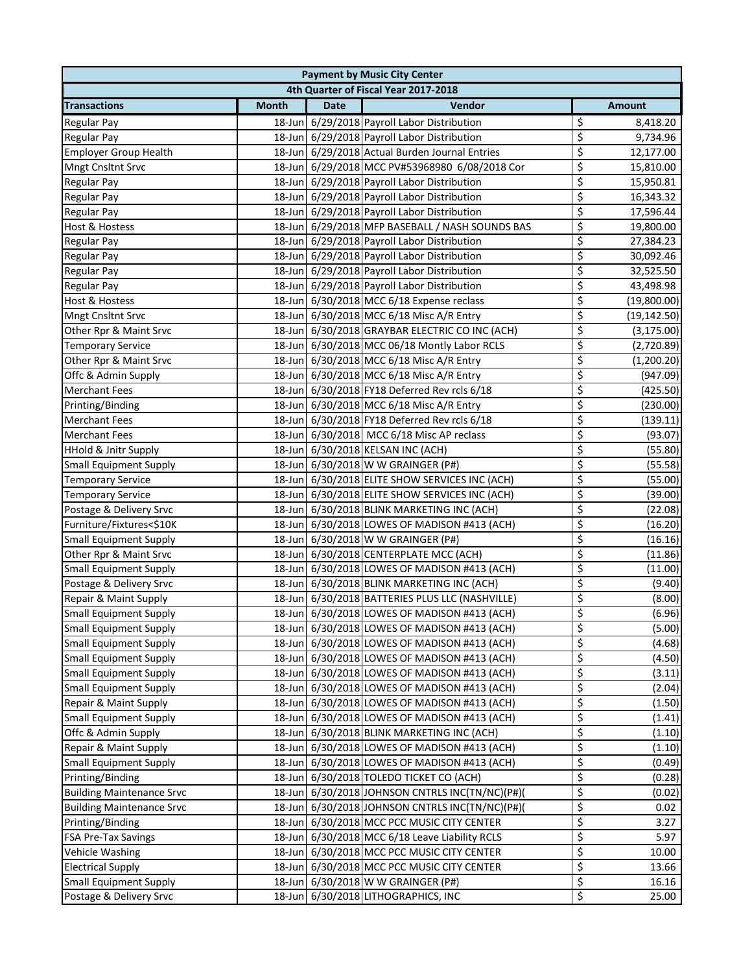| 4th Quarter of Fiscal Year 2017-2018<br>Vendor<br><b>Month</b><br><b>Date</b><br><b>Amount</b><br><b>Transactions</b><br>\$<br>18-Jun 6/29/2018 Payroll Labor Distribution<br>8,418.20<br><b>Regular Pay</b><br>\$<br>18-Jun 6/29/2018 Payroll Labor Distribution<br>9,734.96<br><b>Regular Pay</b><br>\$<br><b>Employer Group Health</b><br>18-Jun 6/29/2018 Actual Burden Journal Entries<br>12,177.00<br>\$<br>18-Jun 6/29/2018 MCC PV#53968980 6/08/2018 Cor<br>Mngt Cnsltnt Srvc<br>15,810.00<br>\$<br>18-Jun 6/29/2018 Payroll Labor Distribution<br>15,950.81<br><b>Regular Pay</b><br>\$<br>18-Jun 6/29/2018 Payroll Labor Distribution<br><b>Regular Pay</b><br>16,343.32<br>\$<br>18-Jun 6/29/2018 Payroll Labor Distribution<br><b>Regular Pay</b><br>17,596.44<br>\$<br>18-Jun 6/29/2018 MFP BASEBALL / NASH SOUNDS BAS<br>19,800.00<br>Host & Hostess<br>\$<br>18-Jun 6/29/2018 Payroll Labor Distribution<br>27,384.23<br><b>Regular Pay</b><br>\$<br>18-Jun 6/29/2018 Payroll Labor Distribution<br>30,092.46<br><b>Regular Pay</b><br>\$<br>18-Jun 6/29/2018 Payroll Labor Distribution<br>Regular Pay<br>32,525.50<br>\$<br>18-Jun 6/29/2018 Payroll Labor Distribution<br>Regular Pay<br>43,498.98<br>\$<br>18-Jun 6/30/2018 MCC 6/18 Expense reclass<br>Host & Hostess<br>(19,800.00)<br>\$<br>18-Jun 6/30/2018 MCC 6/18 Misc A/R Entry<br>(19, 142.50)<br><b>Mngt Cnsltnt Srvc</b><br>\$<br>18-Jun 6/30/2018 GRAYBAR ELECTRIC CO INC (ACH)<br>Other Rpr & Maint Srvc<br>(3, 175.00)<br>\$<br>18-Jun 6/30/2018 MCC 06/18 Montly Labor RCLS<br><b>Temporary Service</b><br>(2,720.89)<br>\$<br>18-Jun 6/30/2018 MCC 6/18 Misc A/R Entry<br>Other Rpr & Maint Srvc<br>(1,200.20)<br>\$<br>18-Jun 6/30/2018 MCC 6/18 Misc A/R Entry<br>Offc & Admin Supply<br>(947.09)<br>\$<br>18-Jun 6/30/2018 FY18 Deferred Rev rcls 6/18<br>(425.50)<br><b>Merchant Fees</b><br>\$<br>18-Jun 6/30/2018 MCC 6/18 Misc A/R Entry<br>Printing/Binding<br>(230.00)<br>\$<br><b>Merchant Fees</b><br>18-Jun 6/30/2018 FY18 Deferred Rev rcls 6/18<br>(139.11)<br>\$<br>18-Jun 6/30/2018 MCC 6/18 Misc AP reclass<br><b>Merchant Fees</b><br>(93.07)<br>\$<br>18-Jun 6/30/2018 KELSAN INC (ACH)<br><b>HHold &amp; Jnitr Supply</b><br>(55.80)<br>\$<br>18-Jun 6/30/2018 W W GRAINGER (P#)<br><b>Small Equipment Supply</b><br>(55.58)<br>\$<br><b>Temporary Service</b><br>18-Jun 6/30/2018 ELITE SHOW SERVICES INC (ACH)<br>(55.00)<br>\$<br>18-Jun 6/30/2018 ELITE SHOW SERVICES INC (ACH)<br><b>Temporary Service</b><br>(39.00)<br>\$<br>18-Jun 6/30/2018 BLINK MARKETING INC (ACH)<br>Postage & Delivery Srvc<br>(22.08)<br>\$<br>Furniture/Fixtures<\$10K<br>18-Jun 6/30/2018 LOWES OF MADISON #413 (ACH)<br>(16.20)<br>\$<br>18-Jun 6/30/2018 W W GRAINGER (P#)<br><b>Small Equipment Supply</b><br>(16.16)<br>\$<br>18-Jun 6/30/2018 CENTERPLATE MCC (ACH)<br>Other Rpr & Maint Srvc<br>(11.86)<br>\$<br><b>Small Equipment Supply</b><br>18-Jun 6/30/2018 LOWES OF MADISON #413 (ACH)<br>(11.00)<br>\$<br>18-Jun 6/30/2018 BLINK MARKETING INC (ACH)<br>Postage & Delivery Srvc<br>(9.40)<br>\$<br>Repair & Maint Supply<br>18-Jun 6/30/2018 BATTERIES PLUS LLC (NASHVILLE)<br>(8.00)<br>$\overline{\mathsf{S}}$<br>18-Jun 6/30/2018 LOWES OF MADISON #413 (ACH)<br>(6.96)<br><b>Small Equipment Supply</b><br>\$<br>18-Jun 6/30/2018 LOWES OF MADISON #413 (ACH)<br><b>Small Equipment Supply</b><br>(5.00)<br>\$<br><b>Small Equipment Supply</b><br>18-Jun 6/30/2018 LOWES OF MADISON #413 (ACH)<br>(4.68)<br>\$<br><b>Small Equipment Supply</b><br>18-Jun 6/30/2018 LOWES OF MADISON #413 (ACH)<br>(4.50)<br>\$<br><b>Small Equipment Supply</b><br>18-Jun 6/30/2018 LOWES OF MADISON #413 (ACH)<br>(3.11)<br>\$<br><b>Small Equipment Supply</b><br>6/30/2018 LOWES OF MADISON #413 (ACH)<br>18-Jun<br>(2.04)<br>\$<br>Repair & Maint Supply<br>6/30/2018 LOWES OF MADISON #413 (ACH)<br>18-Jun<br>(1.50)<br>\$<br><b>Small Equipment Supply</b><br>18-Jun 6/30/2018 LOWES OF MADISON #413 (ACH)<br>(1.41)<br>\$<br>18-Jun 6/30/2018 BLINK MARKETING INC (ACH)<br>Offc & Admin Supply<br>(1.10)<br>\$<br>Repair & Maint Supply<br>18-Jun 6/30/2018 LOWES OF MADISON #413 (ACH)<br>(1.10)<br>\$<br><b>Small Equipment Supply</b><br>18-Jun 6/30/2018 LOWES OF MADISON #413 (ACH)<br>(0.49)<br>\$<br>Printing/Binding<br>18-Jun 6/30/2018 TOLEDO TICKET CO (ACH)<br>(0.28)<br>\$<br><b>Building Maintenance Srvc</b><br>18-Jun 6/30/2018 JOHNSON CNTRLS INC(TN/NC)(P#)(<br>(0.02)<br>\$<br><b>Building Maintenance Srvc</b><br>18-Jun 6/30/2018 JOHNSON CNTRLS INC(TN/NC)(P#)(<br>0.02<br>\$<br>18-Jun 6/30/2018 MCC PCC MUSIC CITY CENTER<br>Printing/Binding<br>3.27<br>\$<br>18-Jun 6/30/2018 MCC 6/18 Leave Liability RCLS<br>FSA Pre-Tax Savings<br>5.97<br>\$<br>Vehicle Washing<br>18-Jun 6/30/2018 MCC PCC MUSIC CITY CENTER<br>10.00<br>\$<br>18-Jun 6/30/2018 MCC PCC MUSIC CITY CENTER<br><b>Electrical Supply</b><br>13.66<br>\$<br>18-Jun 6/30/2018 W W GRAINGER (P#)<br><b>Small Equipment Supply</b><br>16.16<br>\$<br>25.00<br>Postage & Delivery Srvc<br>18-Jun 6/30/2018 LITHOGRAPHICS, INC |  |  |  | <b>Payment by Music City Center</b> |  |  |  |  |
|--------------------------------------------------------------------------------------------------------------------------------------------------------------------------------------------------------------------------------------------------------------------------------------------------------------------------------------------------------------------------------------------------------------------------------------------------------------------------------------------------------------------------------------------------------------------------------------------------------------------------------------------------------------------------------------------------------------------------------------------------------------------------------------------------------------------------------------------------------------------------------------------------------------------------------------------------------------------------------------------------------------------------------------------------------------------------------------------------------------------------------------------------------------------------------------------------------------------------------------------------------------------------------------------------------------------------------------------------------------------------------------------------------------------------------------------------------------------------------------------------------------------------------------------------------------------------------------------------------------------------------------------------------------------------------------------------------------------------------------------------------------------------------------------------------------------------------------------------------------------------------------------------------------------------------------------------------------------------------------------------------------------------------------------------------------------------------------------------------------------------------------------------------------------------------------------------------------------------------------------------------------------------------------------------------------------------------------------------------------------------------------------------------------------------------------------------------------------------------------------------------------------------------------------------------------------------------------------------------------------------------------------------------------------------------------------------------------------------------------------------------------------------------------------------------------------------------------------------------------------------------------------------------------------------------------------------------------------------------------------------------------------------------------------------------------------------------------------------------------------------------------------------------------------------------------------------------------------------------------------------------------------------------------------------------------------------------------------------------------------------------------------------------------------------------------------------------------------------------------------------------------------------------------------------------------------------------------------------------------------------------------------------------------------------------------------------------------------------------------------------------------------------------------------------------------------------------------------------------------------------------------------------------------------------------------------------------------------------------------------------------------------------------------------------------------------------------------------------------------------------------------------------------------------------------------------------------------------------------------------------------------------------------------------------------------------------------------------------------------------------------------------------------------------------------------------------------------------------------------------------------------------------------------------------------------------------------------------------------------------------------------------------------------------------------------------------------------------------------------------------------------------------------------------------------------------------------------------------------------------------------------------------------------------------------------------------------------------------------------------------------------------------------------------------------------------------------------------------------------------------|--|--|--|-------------------------------------|--|--|--|--|
|                                                                                                                                                                                                                                                                                                                                                                                                                                                                                                                                                                                                                                                                                                                                                                                                                                                                                                                                                                                                                                                                                                                                                                                                                                                                                                                                                                                                                                                                                                                                                                                                                                                                                                                                                                                                                                                                                                                                                                                                                                                                                                                                                                                                                                                                                                                                                                                                                                                                                                                                                                                                                                                                                                                                                                                                                                                                                                                                                                                                                                                                                                                                                                                                                                                                                                                                                                                                                                                                                                                                                                                                                                                                                                                                                                                                                                                                                                                                                                                                                                                                                                                                                                                                                                                                                                                                                                                                                                                                                                                                                                                                                                                                                                                                                                                                                                                                                                                                                                                                                                                                                                                          |  |  |  |                                     |  |  |  |  |
|                                                                                                                                                                                                                                                                                                                                                                                                                                                                                                                                                                                                                                                                                                                                                                                                                                                                                                                                                                                                                                                                                                                                                                                                                                                                                                                                                                                                                                                                                                                                                                                                                                                                                                                                                                                                                                                                                                                                                                                                                                                                                                                                                                                                                                                                                                                                                                                                                                                                                                                                                                                                                                                                                                                                                                                                                                                                                                                                                                                                                                                                                                                                                                                                                                                                                                                                                                                                                                                                                                                                                                                                                                                                                                                                                                                                                                                                                                                                                                                                                                                                                                                                                                                                                                                                                                                                                                                                                                                                                                                                                                                                                                                                                                                                                                                                                                                                                                                                                                                                                                                                                                                          |  |  |  |                                     |  |  |  |  |
|                                                                                                                                                                                                                                                                                                                                                                                                                                                                                                                                                                                                                                                                                                                                                                                                                                                                                                                                                                                                                                                                                                                                                                                                                                                                                                                                                                                                                                                                                                                                                                                                                                                                                                                                                                                                                                                                                                                                                                                                                                                                                                                                                                                                                                                                                                                                                                                                                                                                                                                                                                                                                                                                                                                                                                                                                                                                                                                                                                                                                                                                                                                                                                                                                                                                                                                                                                                                                                                                                                                                                                                                                                                                                                                                                                                                                                                                                                                                                                                                                                                                                                                                                                                                                                                                                                                                                                                                                                                                                                                                                                                                                                                                                                                                                                                                                                                                                                                                                                                                                                                                                                                          |  |  |  |                                     |  |  |  |  |
|                                                                                                                                                                                                                                                                                                                                                                                                                                                                                                                                                                                                                                                                                                                                                                                                                                                                                                                                                                                                                                                                                                                                                                                                                                                                                                                                                                                                                                                                                                                                                                                                                                                                                                                                                                                                                                                                                                                                                                                                                                                                                                                                                                                                                                                                                                                                                                                                                                                                                                                                                                                                                                                                                                                                                                                                                                                                                                                                                                                                                                                                                                                                                                                                                                                                                                                                                                                                                                                                                                                                                                                                                                                                                                                                                                                                                                                                                                                                                                                                                                                                                                                                                                                                                                                                                                                                                                                                                                                                                                                                                                                                                                                                                                                                                                                                                                                                                                                                                                                                                                                                                                                          |  |  |  |                                     |  |  |  |  |
|                                                                                                                                                                                                                                                                                                                                                                                                                                                                                                                                                                                                                                                                                                                                                                                                                                                                                                                                                                                                                                                                                                                                                                                                                                                                                                                                                                                                                                                                                                                                                                                                                                                                                                                                                                                                                                                                                                                                                                                                                                                                                                                                                                                                                                                                                                                                                                                                                                                                                                                                                                                                                                                                                                                                                                                                                                                                                                                                                                                                                                                                                                                                                                                                                                                                                                                                                                                                                                                                                                                                                                                                                                                                                                                                                                                                                                                                                                                                                                                                                                                                                                                                                                                                                                                                                                                                                                                                                                                                                                                                                                                                                                                                                                                                                                                                                                                                                                                                                                                                                                                                                                                          |  |  |  |                                     |  |  |  |  |
|                                                                                                                                                                                                                                                                                                                                                                                                                                                                                                                                                                                                                                                                                                                                                                                                                                                                                                                                                                                                                                                                                                                                                                                                                                                                                                                                                                                                                                                                                                                                                                                                                                                                                                                                                                                                                                                                                                                                                                                                                                                                                                                                                                                                                                                                                                                                                                                                                                                                                                                                                                                                                                                                                                                                                                                                                                                                                                                                                                                                                                                                                                                                                                                                                                                                                                                                                                                                                                                                                                                                                                                                                                                                                                                                                                                                                                                                                                                                                                                                                                                                                                                                                                                                                                                                                                                                                                                                                                                                                                                                                                                                                                                                                                                                                                                                                                                                                                                                                                                                                                                                                                                          |  |  |  |                                     |  |  |  |  |
|                                                                                                                                                                                                                                                                                                                                                                                                                                                                                                                                                                                                                                                                                                                                                                                                                                                                                                                                                                                                                                                                                                                                                                                                                                                                                                                                                                                                                                                                                                                                                                                                                                                                                                                                                                                                                                                                                                                                                                                                                                                                                                                                                                                                                                                                                                                                                                                                                                                                                                                                                                                                                                                                                                                                                                                                                                                                                                                                                                                                                                                                                                                                                                                                                                                                                                                                                                                                                                                                                                                                                                                                                                                                                                                                                                                                                                                                                                                                                                                                                                                                                                                                                                                                                                                                                                                                                                                                                                                                                                                                                                                                                                                                                                                                                                                                                                                                                                                                                                                                                                                                                                                          |  |  |  |                                     |  |  |  |  |
|                                                                                                                                                                                                                                                                                                                                                                                                                                                                                                                                                                                                                                                                                                                                                                                                                                                                                                                                                                                                                                                                                                                                                                                                                                                                                                                                                                                                                                                                                                                                                                                                                                                                                                                                                                                                                                                                                                                                                                                                                                                                                                                                                                                                                                                                                                                                                                                                                                                                                                                                                                                                                                                                                                                                                                                                                                                                                                                                                                                                                                                                                                                                                                                                                                                                                                                                                                                                                                                                                                                                                                                                                                                                                                                                                                                                                                                                                                                                                                                                                                                                                                                                                                                                                                                                                                                                                                                                                                                                                                                                                                                                                                                                                                                                                                                                                                                                                                                                                                                                                                                                                                                          |  |  |  |                                     |  |  |  |  |
|                                                                                                                                                                                                                                                                                                                                                                                                                                                                                                                                                                                                                                                                                                                                                                                                                                                                                                                                                                                                                                                                                                                                                                                                                                                                                                                                                                                                                                                                                                                                                                                                                                                                                                                                                                                                                                                                                                                                                                                                                                                                                                                                                                                                                                                                                                                                                                                                                                                                                                                                                                                                                                                                                                                                                                                                                                                                                                                                                                                                                                                                                                                                                                                                                                                                                                                                                                                                                                                                                                                                                                                                                                                                                                                                                                                                                                                                                                                                                                                                                                                                                                                                                                                                                                                                                                                                                                                                                                                                                                                                                                                                                                                                                                                                                                                                                                                                                                                                                                                                                                                                                                                          |  |  |  |                                     |  |  |  |  |
|                                                                                                                                                                                                                                                                                                                                                                                                                                                                                                                                                                                                                                                                                                                                                                                                                                                                                                                                                                                                                                                                                                                                                                                                                                                                                                                                                                                                                                                                                                                                                                                                                                                                                                                                                                                                                                                                                                                                                                                                                                                                                                                                                                                                                                                                                                                                                                                                                                                                                                                                                                                                                                                                                                                                                                                                                                                                                                                                                                                                                                                                                                                                                                                                                                                                                                                                                                                                                                                                                                                                                                                                                                                                                                                                                                                                                                                                                                                                                                                                                                                                                                                                                                                                                                                                                                                                                                                                                                                                                                                                                                                                                                                                                                                                                                                                                                                                                                                                                                                                                                                                                                                          |  |  |  |                                     |  |  |  |  |
|                                                                                                                                                                                                                                                                                                                                                                                                                                                                                                                                                                                                                                                                                                                                                                                                                                                                                                                                                                                                                                                                                                                                                                                                                                                                                                                                                                                                                                                                                                                                                                                                                                                                                                                                                                                                                                                                                                                                                                                                                                                                                                                                                                                                                                                                                                                                                                                                                                                                                                                                                                                                                                                                                                                                                                                                                                                                                                                                                                                                                                                                                                                                                                                                                                                                                                                                                                                                                                                                                                                                                                                                                                                                                                                                                                                                                                                                                                                                                                                                                                                                                                                                                                                                                                                                                                                                                                                                                                                                                                                                                                                                                                                                                                                                                                                                                                                                                                                                                                                                                                                                                                                          |  |  |  |                                     |  |  |  |  |
|                                                                                                                                                                                                                                                                                                                                                                                                                                                                                                                                                                                                                                                                                                                                                                                                                                                                                                                                                                                                                                                                                                                                                                                                                                                                                                                                                                                                                                                                                                                                                                                                                                                                                                                                                                                                                                                                                                                                                                                                                                                                                                                                                                                                                                                                                                                                                                                                                                                                                                                                                                                                                                                                                                                                                                                                                                                                                                                                                                                                                                                                                                                                                                                                                                                                                                                                                                                                                                                                                                                                                                                                                                                                                                                                                                                                                                                                                                                                                                                                                                                                                                                                                                                                                                                                                                                                                                                                                                                                                                                                                                                                                                                                                                                                                                                                                                                                                                                                                                                                                                                                                                                          |  |  |  |                                     |  |  |  |  |
|                                                                                                                                                                                                                                                                                                                                                                                                                                                                                                                                                                                                                                                                                                                                                                                                                                                                                                                                                                                                                                                                                                                                                                                                                                                                                                                                                                                                                                                                                                                                                                                                                                                                                                                                                                                                                                                                                                                                                                                                                                                                                                                                                                                                                                                                                                                                                                                                                                                                                                                                                                                                                                                                                                                                                                                                                                                                                                                                                                                                                                                                                                                                                                                                                                                                                                                                                                                                                                                                                                                                                                                                                                                                                                                                                                                                                                                                                                                                                                                                                                                                                                                                                                                                                                                                                                                                                                                                                                                                                                                                                                                                                                                                                                                                                                                                                                                                                                                                                                                                                                                                                                                          |  |  |  |                                     |  |  |  |  |
|                                                                                                                                                                                                                                                                                                                                                                                                                                                                                                                                                                                                                                                                                                                                                                                                                                                                                                                                                                                                                                                                                                                                                                                                                                                                                                                                                                                                                                                                                                                                                                                                                                                                                                                                                                                                                                                                                                                                                                                                                                                                                                                                                                                                                                                                                                                                                                                                                                                                                                                                                                                                                                                                                                                                                                                                                                                                                                                                                                                                                                                                                                                                                                                                                                                                                                                                                                                                                                                                                                                                                                                                                                                                                                                                                                                                                                                                                                                                                                                                                                                                                                                                                                                                                                                                                                                                                                                                                                                                                                                                                                                                                                                                                                                                                                                                                                                                                                                                                                                                                                                                                                                          |  |  |  |                                     |  |  |  |  |
|                                                                                                                                                                                                                                                                                                                                                                                                                                                                                                                                                                                                                                                                                                                                                                                                                                                                                                                                                                                                                                                                                                                                                                                                                                                                                                                                                                                                                                                                                                                                                                                                                                                                                                                                                                                                                                                                                                                                                                                                                                                                                                                                                                                                                                                                                                                                                                                                                                                                                                                                                                                                                                                                                                                                                                                                                                                                                                                                                                                                                                                                                                                                                                                                                                                                                                                                                                                                                                                                                                                                                                                                                                                                                                                                                                                                                                                                                                                                                                                                                                                                                                                                                                                                                                                                                                                                                                                                                                                                                                                                                                                                                                                                                                                                                                                                                                                                                                                                                                                                                                                                                                                          |  |  |  |                                     |  |  |  |  |
|                                                                                                                                                                                                                                                                                                                                                                                                                                                                                                                                                                                                                                                                                                                                                                                                                                                                                                                                                                                                                                                                                                                                                                                                                                                                                                                                                                                                                                                                                                                                                                                                                                                                                                                                                                                                                                                                                                                                                                                                                                                                                                                                                                                                                                                                                                                                                                                                                                                                                                                                                                                                                                                                                                                                                                                                                                                                                                                                                                                                                                                                                                                                                                                                                                                                                                                                                                                                                                                                                                                                                                                                                                                                                                                                                                                                                                                                                                                                                                                                                                                                                                                                                                                                                                                                                                                                                                                                                                                                                                                                                                                                                                                                                                                                                                                                                                                                                                                                                                                                                                                                                                                          |  |  |  |                                     |  |  |  |  |
|                                                                                                                                                                                                                                                                                                                                                                                                                                                                                                                                                                                                                                                                                                                                                                                                                                                                                                                                                                                                                                                                                                                                                                                                                                                                                                                                                                                                                                                                                                                                                                                                                                                                                                                                                                                                                                                                                                                                                                                                                                                                                                                                                                                                                                                                                                                                                                                                                                                                                                                                                                                                                                                                                                                                                                                                                                                                                                                                                                                                                                                                                                                                                                                                                                                                                                                                                                                                                                                                                                                                                                                                                                                                                                                                                                                                                                                                                                                                                                                                                                                                                                                                                                                                                                                                                                                                                                                                                                                                                                                                                                                                                                                                                                                                                                                                                                                                                                                                                                                                                                                                                                                          |  |  |  |                                     |  |  |  |  |
|                                                                                                                                                                                                                                                                                                                                                                                                                                                                                                                                                                                                                                                                                                                                                                                                                                                                                                                                                                                                                                                                                                                                                                                                                                                                                                                                                                                                                                                                                                                                                                                                                                                                                                                                                                                                                                                                                                                                                                                                                                                                                                                                                                                                                                                                                                                                                                                                                                                                                                                                                                                                                                                                                                                                                                                                                                                                                                                                                                                                                                                                                                                                                                                                                                                                                                                                                                                                                                                                                                                                                                                                                                                                                                                                                                                                                                                                                                                                                                                                                                                                                                                                                                                                                                                                                                                                                                                                                                                                                                                                                                                                                                                                                                                                                                                                                                                                                                                                                                                                                                                                                                                          |  |  |  |                                     |  |  |  |  |
|                                                                                                                                                                                                                                                                                                                                                                                                                                                                                                                                                                                                                                                                                                                                                                                                                                                                                                                                                                                                                                                                                                                                                                                                                                                                                                                                                                                                                                                                                                                                                                                                                                                                                                                                                                                                                                                                                                                                                                                                                                                                                                                                                                                                                                                                                                                                                                                                                                                                                                                                                                                                                                                                                                                                                                                                                                                                                                                                                                                                                                                                                                                                                                                                                                                                                                                                                                                                                                                                                                                                                                                                                                                                                                                                                                                                                                                                                                                                                                                                                                                                                                                                                                                                                                                                                                                                                                                                                                                                                                                                                                                                                                                                                                                                                                                                                                                                                                                                                                                                                                                                                                                          |  |  |  |                                     |  |  |  |  |
|                                                                                                                                                                                                                                                                                                                                                                                                                                                                                                                                                                                                                                                                                                                                                                                                                                                                                                                                                                                                                                                                                                                                                                                                                                                                                                                                                                                                                                                                                                                                                                                                                                                                                                                                                                                                                                                                                                                                                                                                                                                                                                                                                                                                                                                                                                                                                                                                                                                                                                                                                                                                                                                                                                                                                                                                                                                                                                                                                                                                                                                                                                                                                                                                                                                                                                                                                                                                                                                                                                                                                                                                                                                                                                                                                                                                                                                                                                                                                                                                                                                                                                                                                                                                                                                                                                                                                                                                                                                                                                                                                                                                                                                                                                                                                                                                                                                                                                                                                                                                                                                                                                                          |  |  |  |                                     |  |  |  |  |
|                                                                                                                                                                                                                                                                                                                                                                                                                                                                                                                                                                                                                                                                                                                                                                                                                                                                                                                                                                                                                                                                                                                                                                                                                                                                                                                                                                                                                                                                                                                                                                                                                                                                                                                                                                                                                                                                                                                                                                                                                                                                                                                                                                                                                                                                                                                                                                                                                                                                                                                                                                                                                                                                                                                                                                                                                                                                                                                                                                                                                                                                                                                                                                                                                                                                                                                                                                                                                                                                                                                                                                                                                                                                                                                                                                                                                                                                                                                                                                                                                                                                                                                                                                                                                                                                                                                                                                                                                                                                                                                                                                                                                                                                                                                                                                                                                                                                                                                                                                                                                                                                                                                          |  |  |  |                                     |  |  |  |  |
|                                                                                                                                                                                                                                                                                                                                                                                                                                                                                                                                                                                                                                                                                                                                                                                                                                                                                                                                                                                                                                                                                                                                                                                                                                                                                                                                                                                                                                                                                                                                                                                                                                                                                                                                                                                                                                                                                                                                                                                                                                                                                                                                                                                                                                                                                                                                                                                                                                                                                                                                                                                                                                                                                                                                                                                                                                                                                                                                                                                                                                                                                                                                                                                                                                                                                                                                                                                                                                                                                                                                                                                                                                                                                                                                                                                                                                                                                                                                                                                                                                                                                                                                                                                                                                                                                                                                                                                                                                                                                                                                                                                                                                                                                                                                                                                                                                                                                                                                                                                                                                                                                                                          |  |  |  |                                     |  |  |  |  |
|                                                                                                                                                                                                                                                                                                                                                                                                                                                                                                                                                                                                                                                                                                                                                                                                                                                                                                                                                                                                                                                                                                                                                                                                                                                                                                                                                                                                                                                                                                                                                                                                                                                                                                                                                                                                                                                                                                                                                                                                                                                                                                                                                                                                                                                                                                                                                                                                                                                                                                                                                                                                                                                                                                                                                                                                                                                                                                                                                                                                                                                                                                                                                                                                                                                                                                                                                                                                                                                                                                                                                                                                                                                                                                                                                                                                                                                                                                                                                                                                                                                                                                                                                                                                                                                                                                                                                                                                                                                                                                                                                                                                                                                                                                                                                                                                                                                                                                                                                                                                                                                                                                                          |  |  |  |                                     |  |  |  |  |
|                                                                                                                                                                                                                                                                                                                                                                                                                                                                                                                                                                                                                                                                                                                                                                                                                                                                                                                                                                                                                                                                                                                                                                                                                                                                                                                                                                                                                                                                                                                                                                                                                                                                                                                                                                                                                                                                                                                                                                                                                                                                                                                                                                                                                                                                                                                                                                                                                                                                                                                                                                                                                                                                                                                                                                                                                                                                                                                                                                                                                                                                                                                                                                                                                                                                                                                                                                                                                                                                                                                                                                                                                                                                                                                                                                                                                                                                                                                                                                                                                                                                                                                                                                                                                                                                                                                                                                                                                                                                                                                                                                                                                                                                                                                                                                                                                                                                                                                                                                                                                                                                                                                          |  |  |  |                                     |  |  |  |  |
|                                                                                                                                                                                                                                                                                                                                                                                                                                                                                                                                                                                                                                                                                                                                                                                                                                                                                                                                                                                                                                                                                                                                                                                                                                                                                                                                                                                                                                                                                                                                                                                                                                                                                                                                                                                                                                                                                                                                                                                                                                                                                                                                                                                                                                                                                                                                                                                                                                                                                                                                                                                                                                                                                                                                                                                                                                                                                                                                                                                                                                                                                                                                                                                                                                                                                                                                                                                                                                                                                                                                                                                                                                                                                                                                                                                                                                                                                                                                                                                                                                                                                                                                                                                                                                                                                                                                                                                                                                                                                                                                                                                                                                                                                                                                                                                                                                                                                                                                                                                                                                                                                                                          |  |  |  |                                     |  |  |  |  |
|                                                                                                                                                                                                                                                                                                                                                                                                                                                                                                                                                                                                                                                                                                                                                                                                                                                                                                                                                                                                                                                                                                                                                                                                                                                                                                                                                                                                                                                                                                                                                                                                                                                                                                                                                                                                                                                                                                                                                                                                                                                                                                                                                                                                                                                                                                                                                                                                                                                                                                                                                                                                                                                                                                                                                                                                                                                                                                                                                                                                                                                                                                                                                                                                                                                                                                                                                                                                                                                                                                                                                                                                                                                                                                                                                                                                                                                                                                                                                                                                                                                                                                                                                                                                                                                                                                                                                                                                                                                                                                                                                                                                                                                                                                                                                                                                                                                                                                                                                                                                                                                                                                                          |  |  |  |                                     |  |  |  |  |
|                                                                                                                                                                                                                                                                                                                                                                                                                                                                                                                                                                                                                                                                                                                                                                                                                                                                                                                                                                                                                                                                                                                                                                                                                                                                                                                                                                                                                                                                                                                                                                                                                                                                                                                                                                                                                                                                                                                                                                                                                                                                                                                                                                                                                                                                                                                                                                                                                                                                                                                                                                                                                                                                                                                                                                                                                                                                                                                                                                                                                                                                                                                                                                                                                                                                                                                                                                                                                                                                                                                                                                                                                                                                                                                                                                                                                                                                                                                                                                                                                                                                                                                                                                                                                                                                                                                                                                                                                                                                                                                                                                                                                                                                                                                                                                                                                                                                                                                                                                                                                                                                                                                          |  |  |  |                                     |  |  |  |  |
|                                                                                                                                                                                                                                                                                                                                                                                                                                                                                                                                                                                                                                                                                                                                                                                                                                                                                                                                                                                                                                                                                                                                                                                                                                                                                                                                                                                                                                                                                                                                                                                                                                                                                                                                                                                                                                                                                                                                                                                                                                                                                                                                                                                                                                                                                                                                                                                                                                                                                                                                                                                                                                                                                                                                                                                                                                                                                                                                                                                                                                                                                                                                                                                                                                                                                                                                                                                                                                                                                                                                                                                                                                                                                                                                                                                                                                                                                                                                                                                                                                                                                                                                                                                                                                                                                                                                                                                                                                                                                                                                                                                                                                                                                                                                                                                                                                                                                                                                                                                                                                                                                                                          |  |  |  |                                     |  |  |  |  |
|                                                                                                                                                                                                                                                                                                                                                                                                                                                                                                                                                                                                                                                                                                                                                                                                                                                                                                                                                                                                                                                                                                                                                                                                                                                                                                                                                                                                                                                                                                                                                                                                                                                                                                                                                                                                                                                                                                                                                                                                                                                                                                                                                                                                                                                                                                                                                                                                                                                                                                                                                                                                                                                                                                                                                                                                                                                                                                                                                                                                                                                                                                                                                                                                                                                                                                                                                                                                                                                                                                                                                                                                                                                                                                                                                                                                                                                                                                                                                                                                                                                                                                                                                                                                                                                                                                                                                                                                                                                                                                                                                                                                                                                                                                                                                                                                                                                                                                                                                                                                                                                                                                                          |  |  |  |                                     |  |  |  |  |
|                                                                                                                                                                                                                                                                                                                                                                                                                                                                                                                                                                                                                                                                                                                                                                                                                                                                                                                                                                                                                                                                                                                                                                                                                                                                                                                                                                                                                                                                                                                                                                                                                                                                                                                                                                                                                                                                                                                                                                                                                                                                                                                                                                                                                                                                                                                                                                                                                                                                                                                                                                                                                                                                                                                                                                                                                                                                                                                                                                                                                                                                                                                                                                                                                                                                                                                                                                                                                                                                                                                                                                                                                                                                                                                                                                                                                                                                                                                                                                                                                                                                                                                                                                                                                                                                                                                                                                                                                                                                                                                                                                                                                                                                                                                                                                                                                                                                                                                                                                                                                                                                                                                          |  |  |  |                                     |  |  |  |  |
|                                                                                                                                                                                                                                                                                                                                                                                                                                                                                                                                                                                                                                                                                                                                                                                                                                                                                                                                                                                                                                                                                                                                                                                                                                                                                                                                                                                                                                                                                                                                                                                                                                                                                                                                                                                                                                                                                                                                                                                                                                                                                                                                                                                                                                                                                                                                                                                                                                                                                                                                                                                                                                                                                                                                                                                                                                                                                                                                                                                                                                                                                                                                                                                                                                                                                                                                                                                                                                                                                                                                                                                                                                                                                                                                                                                                                                                                                                                                                                                                                                                                                                                                                                                                                                                                                                                                                                                                                                                                                                                                                                                                                                                                                                                                                                                                                                                                                                                                                                                                                                                                                                                          |  |  |  |                                     |  |  |  |  |
|                                                                                                                                                                                                                                                                                                                                                                                                                                                                                                                                                                                                                                                                                                                                                                                                                                                                                                                                                                                                                                                                                                                                                                                                                                                                                                                                                                                                                                                                                                                                                                                                                                                                                                                                                                                                                                                                                                                                                                                                                                                                                                                                                                                                                                                                                                                                                                                                                                                                                                                                                                                                                                                                                                                                                                                                                                                                                                                                                                                                                                                                                                                                                                                                                                                                                                                                                                                                                                                                                                                                                                                                                                                                                                                                                                                                                                                                                                                                                                                                                                                                                                                                                                                                                                                                                                                                                                                                                                                                                                                                                                                                                                                                                                                                                                                                                                                                                                                                                                                                                                                                                                                          |  |  |  |                                     |  |  |  |  |
|                                                                                                                                                                                                                                                                                                                                                                                                                                                                                                                                                                                                                                                                                                                                                                                                                                                                                                                                                                                                                                                                                                                                                                                                                                                                                                                                                                                                                                                                                                                                                                                                                                                                                                                                                                                                                                                                                                                                                                                                                                                                                                                                                                                                                                                                                                                                                                                                                                                                                                                                                                                                                                                                                                                                                                                                                                                                                                                                                                                                                                                                                                                                                                                                                                                                                                                                                                                                                                                                                                                                                                                                                                                                                                                                                                                                                                                                                                                                                                                                                                                                                                                                                                                                                                                                                                                                                                                                                                                                                                                                                                                                                                                                                                                                                                                                                                                                                                                                                                                                                                                                                                                          |  |  |  |                                     |  |  |  |  |
|                                                                                                                                                                                                                                                                                                                                                                                                                                                                                                                                                                                                                                                                                                                                                                                                                                                                                                                                                                                                                                                                                                                                                                                                                                                                                                                                                                                                                                                                                                                                                                                                                                                                                                                                                                                                                                                                                                                                                                                                                                                                                                                                                                                                                                                                                                                                                                                                                                                                                                                                                                                                                                                                                                                                                                                                                                                                                                                                                                                                                                                                                                                                                                                                                                                                                                                                                                                                                                                                                                                                                                                                                                                                                                                                                                                                                                                                                                                                                                                                                                                                                                                                                                                                                                                                                                                                                                                                                                                                                                                                                                                                                                                                                                                                                                                                                                                                                                                                                                                                                                                                                                                          |  |  |  |                                     |  |  |  |  |
|                                                                                                                                                                                                                                                                                                                                                                                                                                                                                                                                                                                                                                                                                                                                                                                                                                                                                                                                                                                                                                                                                                                                                                                                                                                                                                                                                                                                                                                                                                                                                                                                                                                                                                                                                                                                                                                                                                                                                                                                                                                                                                                                                                                                                                                                                                                                                                                                                                                                                                                                                                                                                                                                                                                                                                                                                                                                                                                                                                                                                                                                                                                                                                                                                                                                                                                                                                                                                                                                                                                                                                                                                                                                                                                                                                                                                                                                                                                                                                                                                                                                                                                                                                                                                                                                                                                                                                                                                                                                                                                                                                                                                                                                                                                                                                                                                                                                                                                                                                                                                                                                                                                          |  |  |  |                                     |  |  |  |  |
|                                                                                                                                                                                                                                                                                                                                                                                                                                                                                                                                                                                                                                                                                                                                                                                                                                                                                                                                                                                                                                                                                                                                                                                                                                                                                                                                                                                                                                                                                                                                                                                                                                                                                                                                                                                                                                                                                                                                                                                                                                                                                                                                                                                                                                                                                                                                                                                                                                                                                                                                                                                                                                                                                                                                                                                                                                                                                                                                                                                                                                                                                                                                                                                                                                                                                                                                                                                                                                                                                                                                                                                                                                                                                                                                                                                                                                                                                                                                                                                                                                                                                                                                                                                                                                                                                                                                                                                                                                                                                                                                                                                                                                                                                                                                                                                                                                                                                                                                                                                                                                                                                                                          |  |  |  |                                     |  |  |  |  |
|                                                                                                                                                                                                                                                                                                                                                                                                                                                                                                                                                                                                                                                                                                                                                                                                                                                                                                                                                                                                                                                                                                                                                                                                                                                                                                                                                                                                                                                                                                                                                                                                                                                                                                                                                                                                                                                                                                                                                                                                                                                                                                                                                                                                                                                                                                                                                                                                                                                                                                                                                                                                                                                                                                                                                                                                                                                                                                                                                                                                                                                                                                                                                                                                                                                                                                                                                                                                                                                                                                                                                                                                                                                                                                                                                                                                                                                                                                                                                                                                                                                                                                                                                                                                                                                                                                                                                                                                                                                                                                                                                                                                                                                                                                                                                                                                                                                                                                                                                                                                                                                                                                                          |  |  |  |                                     |  |  |  |  |
|                                                                                                                                                                                                                                                                                                                                                                                                                                                                                                                                                                                                                                                                                                                                                                                                                                                                                                                                                                                                                                                                                                                                                                                                                                                                                                                                                                                                                                                                                                                                                                                                                                                                                                                                                                                                                                                                                                                                                                                                                                                                                                                                                                                                                                                                                                                                                                                                                                                                                                                                                                                                                                                                                                                                                                                                                                                                                                                                                                                                                                                                                                                                                                                                                                                                                                                                                                                                                                                                                                                                                                                                                                                                                                                                                                                                                                                                                                                                                                                                                                                                                                                                                                                                                                                                                                                                                                                                                                                                                                                                                                                                                                                                                                                                                                                                                                                                                                                                                                                                                                                                                                                          |  |  |  |                                     |  |  |  |  |
|                                                                                                                                                                                                                                                                                                                                                                                                                                                                                                                                                                                                                                                                                                                                                                                                                                                                                                                                                                                                                                                                                                                                                                                                                                                                                                                                                                                                                                                                                                                                                                                                                                                                                                                                                                                                                                                                                                                                                                                                                                                                                                                                                                                                                                                                                                                                                                                                                                                                                                                                                                                                                                                                                                                                                                                                                                                                                                                                                                                                                                                                                                                                                                                                                                                                                                                                                                                                                                                                                                                                                                                                                                                                                                                                                                                                                                                                                                                                                                                                                                                                                                                                                                                                                                                                                                                                                                                                                                                                                                                                                                                                                                                                                                                                                                                                                                                                                                                                                                                                                                                                                                                          |  |  |  |                                     |  |  |  |  |
|                                                                                                                                                                                                                                                                                                                                                                                                                                                                                                                                                                                                                                                                                                                                                                                                                                                                                                                                                                                                                                                                                                                                                                                                                                                                                                                                                                                                                                                                                                                                                                                                                                                                                                                                                                                                                                                                                                                                                                                                                                                                                                                                                                                                                                                                                                                                                                                                                                                                                                                                                                                                                                                                                                                                                                                                                                                                                                                                                                                                                                                                                                                                                                                                                                                                                                                                                                                                                                                                                                                                                                                                                                                                                                                                                                                                                                                                                                                                                                                                                                                                                                                                                                                                                                                                                                                                                                                                                                                                                                                                                                                                                                                                                                                                                                                                                                                                                                                                                                                                                                                                                                                          |  |  |  |                                     |  |  |  |  |
|                                                                                                                                                                                                                                                                                                                                                                                                                                                                                                                                                                                                                                                                                                                                                                                                                                                                                                                                                                                                                                                                                                                                                                                                                                                                                                                                                                                                                                                                                                                                                                                                                                                                                                                                                                                                                                                                                                                                                                                                                                                                                                                                                                                                                                                                                                                                                                                                                                                                                                                                                                                                                                                                                                                                                                                                                                                                                                                                                                                                                                                                                                                                                                                                                                                                                                                                                                                                                                                                                                                                                                                                                                                                                                                                                                                                                                                                                                                                                                                                                                                                                                                                                                                                                                                                                                                                                                                                                                                                                                                                                                                                                                                                                                                                                                                                                                                                                                                                                                                                                                                                                                                          |  |  |  |                                     |  |  |  |  |
|                                                                                                                                                                                                                                                                                                                                                                                                                                                                                                                                                                                                                                                                                                                                                                                                                                                                                                                                                                                                                                                                                                                                                                                                                                                                                                                                                                                                                                                                                                                                                                                                                                                                                                                                                                                                                                                                                                                                                                                                                                                                                                                                                                                                                                                                                                                                                                                                                                                                                                                                                                                                                                                                                                                                                                                                                                                                                                                                                                                                                                                                                                                                                                                                                                                                                                                                                                                                                                                                                                                                                                                                                                                                                                                                                                                                                                                                                                                                                                                                                                                                                                                                                                                                                                                                                                                                                                                                                                                                                                                                                                                                                                                                                                                                                                                                                                                                                                                                                                                                                                                                                                                          |  |  |  |                                     |  |  |  |  |
|                                                                                                                                                                                                                                                                                                                                                                                                                                                                                                                                                                                                                                                                                                                                                                                                                                                                                                                                                                                                                                                                                                                                                                                                                                                                                                                                                                                                                                                                                                                                                                                                                                                                                                                                                                                                                                                                                                                                                                                                                                                                                                                                                                                                                                                                                                                                                                                                                                                                                                                                                                                                                                                                                                                                                                                                                                                                                                                                                                                                                                                                                                                                                                                                                                                                                                                                                                                                                                                                                                                                                                                                                                                                                                                                                                                                                                                                                                                                                                                                                                                                                                                                                                                                                                                                                                                                                                                                                                                                                                                                                                                                                                                                                                                                                                                                                                                                                                                                                                                                                                                                                                                          |  |  |  |                                     |  |  |  |  |
|                                                                                                                                                                                                                                                                                                                                                                                                                                                                                                                                                                                                                                                                                                                                                                                                                                                                                                                                                                                                                                                                                                                                                                                                                                                                                                                                                                                                                                                                                                                                                                                                                                                                                                                                                                                                                                                                                                                                                                                                                                                                                                                                                                                                                                                                                                                                                                                                                                                                                                                                                                                                                                                                                                                                                                                                                                                                                                                                                                                                                                                                                                                                                                                                                                                                                                                                                                                                                                                                                                                                                                                                                                                                                                                                                                                                                                                                                                                                                                                                                                                                                                                                                                                                                                                                                                                                                                                                                                                                                                                                                                                                                                                                                                                                                                                                                                                                                                                                                                                                                                                                                                                          |  |  |  |                                     |  |  |  |  |
|                                                                                                                                                                                                                                                                                                                                                                                                                                                                                                                                                                                                                                                                                                                                                                                                                                                                                                                                                                                                                                                                                                                                                                                                                                                                                                                                                                                                                                                                                                                                                                                                                                                                                                                                                                                                                                                                                                                                                                                                                                                                                                                                                                                                                                                                                                                                                                                                                                                                                                                                                                                                                                                                                                                                                                                                                                                                                                                                                                                                                                                                                                                                                                                                                                                                                                                                                                                                                                                                                                                                                                                                                                                                                                                                                                                                                                                                                                                                                                                                                                                                                                                                                                                                                                                                                                                                                                                                                                                                                                                                                                                                                                                                                                                                                                                                                                                                                                                                                                                                                                                                                                                          |  |  |  |                                     |  |  |  |  |
|                                                                                                                                                                                                                                                                                                                                                                                                                                                                                                                                                                                                                                                                                                                                                                                                                                                                                                                                                                                                                                                                                                                                                                                                                                                                                                                                                                                                                                                                                                                                                                                                                                                                                                                                                                                                                                                                                                                                                                                                                                                                                                                                                                                                                                                                                                                                                                                                                                                                                                                                                                                                                                                                                                                                                                                                                                                                                                                                                                                                                                                                                                                                                                                                                                                                                                                                                                                                                                                                                                                                                                                                                                                                                                                                                                                                                                                                                                                                                                                                                                                                                                                                                                                                                                                                                                                                                                                                                                                                                                                                                                                                                                                                                                                                                                                                                                                                                                                                                                                                                                                                                                                          |  |  |  |                                     |  |  |  |  |
|                                                                                                                                                                                                                                                                                                                                                                                                                                                                                                                                                                                                                                                                                                                                                                                                                                                                                                                                                                                                                                                                                                                                                                                                                                                                                                                                                                                                                                                                                                                                                                                                                                                                                                                                                                                                                                                                                                                                                                                                                                                                                                                                                                                                                                                                                                                                                                                                                                                                                                                                                                                                                                                                                                                                                                                                                                                                                                                                                                                                                                                                                                                                                                                                                                                                                                                                                                                                                                                                                                                                                                                                                                                                                                                                                                                                                                                                                                                                                                                                                                                                                                                                                                                                                                                                                                                                                                                                                                                                                                                                                                                                                                                                                                                                                                                                                                                                                                                                                                                                                                                                                                                          |  |  |  |                                     |  |  |  |  |
|                                                                                                                                                                                                                                                                                                                                                                                                                                                                                                                                                                                                                                                                                                                                                                                                                                                                                                                                                                                                                                                                                                                                                                                                                                                                                                                                                                                                                                                                                                                                                                                                                                                                                                                                                                                                                                                                                                                                                                                                                                                                                                                                                                                                                                                                                                                                                                                                                                                                                                                                                                                                                                                                                                                                                                                                                                                                                                                                                                                                                                                                                                                                                                                                                                                                                                                                                                                                                                                                                                                                                                                                                                                                                                                                                                                                                                                                                                                                                                                                                                                                                                                                                                                                                                                                                                                                                                                                                                                                                                                                                                                                                                                                                                                                                                                                                                                                                                                                                                                                                                                                                                                          |  |  |  |                                     |  |  |  |  |
|                                                                                                                                                                                                                                                                                                                                                                                                                                                                                                                                                                                                                                                                                                                                                                                                                                                                                                                                                                                                                                                                                                                                                                                                                                                                                                                                                                                                                                                                                                                                                                                                                                                                                                                                                                                                                                                                                                                                                                                                                                                                                                                                                                                                                                                                                                                                                                                                                                                                                                                                                                                                                                                                                                                                                                                                                                                                                                                                                                                                                                                                                                                                                                                                                                                                                                                                                                                                                                                                                                                                                                                                                                                                                                                                                                                                                                                                                                                                                                                                                                                                                                                                                                                                                                                                                                                                                                                                                                                                                                                                                                                                                                                                                                                                                                                                                                                                                                                                                                                                                                                                                                                          |  |  |  |                                     |  |  |  |  |
|                                                                                                                                                                                                                                                                                                                                                                                                                                                                                                                                                                                                                                                                                                                                                                                                                                                                                                                                                                                                                                                                                                                                                                                                                                                                                                                                                                                                                                                                                                                                                                                                                                                                                                                                                                                                                                                                                                                                                                                                                                                                                                                                                                                                                                                                                                                                                                                                                                                                                                                                                                                                                                                                                                                                                                                                                                                                                                                                                                                                                                                                                                                                                                                                                                                                                                                                                                                                                                                                                                                                                                                                                                                                                                                                                                                                                                                                                                                                                                                                                                                                                                                                                                                                                                                                                                                                                                                                                                                                                                                                                                                                                                                                                                                                                                                                                                                                                                                                                                                                                                                                                                                          |  |  |  |                                     |  |  |  |  |
|                                                                                                                                                                                                                                                                                                                                                                                                                                                                                                                                                                                                                                                                                                                                                                                                                                                                                                                                                                                                                                                                                                                                                                                                                                                                                                                                                                                                                                                                                                                                                                                                                                                                                                                                                                                                                                                                                                                                                                                                                                                                                                                                                                                                                                                                                                                                                                                                                                                                                                                                                                                                                                                                                                                                                                                                                                                                                                                                                                                                                                                                                                                                                                                                                                                                                                                                                                                                                                                                                                                                                                                                                                                                                                                                                                                                                                                                                                                                                                                                                                                                                                                                                                                                                                                                                                                                                                                                                                                                                                                                                                                                                                                                                                                                                                                                                                                                                                                                                                                                                                                                                                                          |  |  |  |                                     |  |  |  |  |
|                                                                                                                                                                                                                                                                                                                                                                                                                                                                                                                                                                                                                                                                                                                                                                                                                                                                                                                                                                                                                                                                                                                                                                                                                                                                                                                                                                                                                                                                                                                                                                                                                                                                                                                                                                                                                                                                                                                                                                                                                                                                                                                                                                                                                                                                                                                                                                                                                                                                                                                                                                                                                                                                                                                                                                                                                                                                                                                                                                                                                                                                                                                                                                                                                                                                                                                                                                                                                                                                                                                                                                                                                                                                                                                                                                                                                                                                                                                                                                                                                                                                                                                                                                                                                                                                                                                                                                                                                                                                                                                                                                                                                                                                                                                                                                                                                                                                                                                                                                                                                                                                                                                          |  |  |  |                                     |  |  |  |  |
|                                                                                                                                                                                                                                                                                                                                                                                                                                                                                                                                                                                                                                                                                                                                                                                                                                                                                                                                                                                                                                                                                                                                                                                                                                                                                                                                                                                                                                                                                                                                                                                                                                                                                                                                                                                                                                                                                                                                                                                                                                                                                                                                                                                                                                                                                                                                                                                                                                                                                                                                                                                                                                                                                                                                                                                                                                                                                                                                                                                                                                                                                                                                                                                                                                                                                                                                                                                                                                                                                                                                                                                                                                                                                                                                                                                                                                                                                                                                                                                                                                                                                                                                                                                                                                                                                                                                                                                                                                                                                                                                                                                                                                                                                                                                                                                                                                                                                                                                                                                                                                                                                                                          |  |  |  |                                     |  |  |  |  |
|                                                                                                                                                                                                                                                                                                                                                                                                                                                                                                                                                                                                                                                                                                                                                                                                                                                                                                                                                                                                                                                                                                                                                                                                                                                                                                                                                                                                                                                                                                                                                                                                                                                                                                                                                                                                                                                                                                                                                                                                                                                                                                                                                                                                                                                                                                                                                                                                                                                                                                                                                                                                                                                                                                                                                                                                                                                                                                                                                                                                                                                                                                                                                                                                                                                                                                                                                                                                                                                                                                                                                                                                                                                                                                                                                                                                                                                                                                                                                                                                                                                                                                                                                                                                                                                                                                                                                                                                                                                                                                                                                                                                                                                                                                                                                                                                                                                                                                                                                                                                                                                                                                                          |  |  |  |                                     |  |  |  |  |
|                                                                                                                                                                                                                                                                                                                                                                                                                                                                                                                                                                                                                                                                                                                                                                                                                                                                                                                                                                                                                                                                                                                                                                                                                                                                                                                                                                                                                                                                                                                                                                                                                                                                                                                                                                                                                                                                                                                                                                                                                                                                                                                                                                                                                                                                                                                                                                                                                                                                                                                                                                                                                                                                                                                                                                                                                                                                                                                                                                                                                                                                                                                                                                                                                                                                                                                                                                                                                                                                                                                                                                                                                                                                                                                                                                                                                                                                                                                                                                                                                                                                                                                                                                                                                                                                                                                                                                                                                                                                                                                                                                                                                                                                                                                                                                                                                                                                                                                                                                                                                                                                                                                          |  |  |  |                                     |  |  |  |  |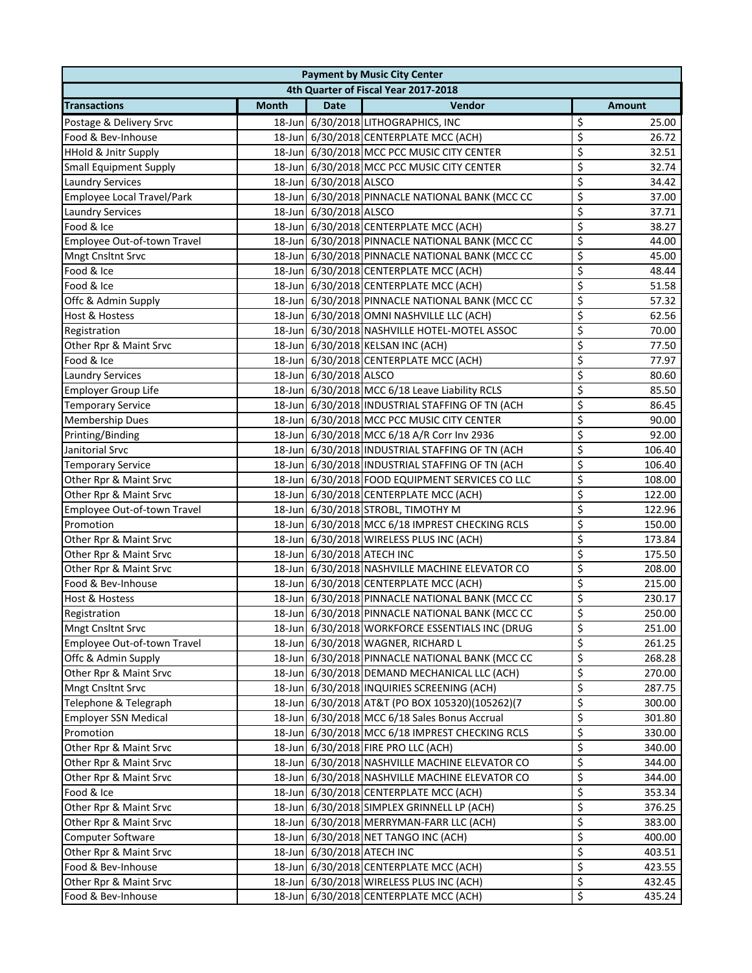|                                      |              |                            | <b>Payment by Music City Center</b>             |                         |               |  |  |
|--------------------------------------|--------------|----------------------------|-------------------------------------------------|-------------------------|---------------|--|--|
| 4th Quarter of Fiscal Year 2017-2018 |              |                            |                                                 |                         |               |  |  |
| <b>Transactions</b>                  | <b>Month</b> | <b>Date</b>                | Vendor                                          |                         | <b>Amount</b> |  |  |
| Postage & Delivery Srvc              |              |                            | 18-Jun 6/30/2018 LITHOGRAPHICS, INC             | \$                      | 25.00         |  |  |
| Food & Bev-Inhouse                   |              |                            | 18-Jun 6/30/2018 CENTERPLATE MCC (ACH)          | \$                      | 26.72         |  |  |
| <b>HHold &amp; Jnitr Supply</b>      |              |                            | 18-Jun 6/30/2018 MCC PCC MUSIC CITY CENTER      | \$                      | 32.51         |  |  |
| <b>Small Equipment Supply</b>        |              |                            | 18-Jun 6/30/2018 MCC PCC MUSIC CITY CENTER      | \$                      | 32.74         |  |  |
| <b>Laundry Services</b>              |              | 18-Jun 6/30/2018 ALSCO     |                                                 | \$                      | 34.42         |  |  |
| Employee Local Travel/Park           |              |                            | 18-Jun 6/30/2018 PINNACLE NATIONAL BANK (MCC CC | \$                      | 37.00         |  |  |
| <b>Laundry Services</b>              |              | 18-Jun 6/30/2018 ALSCO     |                                                 | \$                      | 37.71         |  |  |
| Food & Ice                           |              |                            | 18-Jun 6/30/2018 CENTERPLATE MCC (ACH)          | \$                      | 38.27         |  |  |
| Employee Out-of-town Travel          |              |                            | 18-Jun 6/30/2018 PINNACLE NATIONAL BANK (MCC CC | \$                      | 44.00         |  |  |
| Mngt Cnsltnt Srvc                    |              |                            | 18-Jun 6/30/2018 PINNACLE NATIONAL BANK (MCC CC | \$                      | 45.00         |  |  |
| Food & Ice                           |              |                            | 18-Jun 6/30/2018 CENTERPLATE MCC (ACH)          | \$                      | 48.44         |  |  |
| Food & Ice                           |              |                            | 18-Jun 6/30/2018 CENTERPLATE MCC (ACH)          | \$                      | 51.58         |  |  |
| Offc & Admin Supply                  |              |                            | 18-Jun 6/30/2018 PINNACLE NATIONAL BANK (MCC CC | \$                      | 57.32         |  |  |
| <b>Host &amp; Hostess</b>            |              |                            | 18-Jun 6/30/2018 OMNI NASHVILLE LLC (ACH)       | \$                      | 62.56         |  |  |
| Registration                         |              |                            | 18-Jun 6/30/2018 NASHVILLE HOTEL-MOTEL ASSOC    | \$                      | 70.00         |  |  |
| Other Rpr & Maint Srvc               |              |                            | 18-Jun 6/30/2018 KELSAN INC (ACH)               | \$                      | 77.50         |  |  |
| Food & Ice                           |              |                            | 18-Jun 6/30/2018 CENTERPLATE MCC (ACH)          | \$                      | 77.97         |  |  |
| <b>Laundry Services</b>              |              | 18-Jun 6/30/2018 ALSCO     |                                                 | \$                      | 80.60         |  |  |
| <b>Employer Group Life</b>           |              |                            | 18-Jun 6/30/2018 MCC 6/18 Leave Liability RCLS  | \$                      | 85.50         |  |  |
| <b>Temporary Service</b>             |              |                            | 18-Jun 6/30/2018 INDUSTRIAL STAFFING OF TN (ACH | \$                      | 86.45         |  |  |
| <b>Membership Dues</b>               |              |                            | 18-Jun 6/30/2018 MCC PCC MUSIC CITY CENTER      | \$                      | 90.00         |  |  |
| Printing/Binding                     |              |                            | 18-Jun 6/30/2018 MCC 6/18 A/R Corr Inv 2936     | \$                      | 92.00         |  |  |
| Janitorial Srvc                      |              |                            | 18-Jun 6/30/2018 INDUSTRIAL STAFFING OF TN (ACH | \$                      | 106.40        |  |  |
| <b>Temporary Service</b>             |              |                            | 18-Jun 6/30/2018 INDUSTRIAL STAFFING OF TN (ACH | \$                      | 106.40        |  |  |
| Other Rpr & Maint Srvc               |              |                            | 18-Jun 6/30/2018 FOOD EQUIPMENT SERVICES CO LLC | \$                      | 108.00        |  |  |
| Other Rpr & Maint Srvc               |              |                            | 18-Jun 6/30/2018 CENTERPLATE MCC (ACH)          | \$                      | 122.00        |  |  |
| Employee Out-of-town Travel          |              |                            | 18-Jun 6/30/2018 STROBL, TIMOTHY M              | \$                      | 122.96        |  |  |
| Promotion                            |              |                            | 18-Jun 6/30/2018 MCC 6/18 IMPREST CHECKING RCLS | \$                      | 150.00        |  |  |
| Other Rpr & Maint Srvc               |              |                            | 18-Jun 6/30/2018 WIRELESS PLUS INC (ACH)        | \$                      | 173.84        |  |  |
| Other Rpr & Maint Srvc               |              | 18-Jun 6/30/2018 ATECH INC |                                                 | \$                      | 175.50        |  |  |
| Other Rpr & Maint Srvc               |              |                            | 18-Jun 6/30/2018 NASHVILLE MACHINE ELEVATOR CO  | \$                      | 208.00        |  |  |
| Food & Bev-Inhouse                   |              |                            | 18-Jun 6/30/2018 CENTERPLATE MCC (ACH)          | \$                      | 215.00        |  |  |
| <b>Host &amp; Hostess</b>            |              |                            | 18-Jun 6/30/2018 PINNACLE NATIONAL BANK (MCC CC | \$                      | 230.17        |  |  |
| Registration                         |              |                            | 18-Jun 6/30/2018 PINNACLE NATIONAL BANK (MCC CC | $\overline{\mathsf{S}}$ | 250.00        |  |  |
| Mngt Cnsltnt Srvc                    |              |                            | 18-Jun 6/30/2018 WORKFORCE ESSENTIALS INC (DRUG | \$                      | 251.00        |  |  |
| Employee Out-of-town Travel          |              |                            | 18-Jun 6/30/2018 WAGNER, RICHARD L              | \$                      | 261.25        |  |  |
| Offc & Admin Supply                  |              |                            | 18-Jun 6/30/2018 PINNACLE NATIONAL BANK (MCC CC | \$                      | 268.28        |  |  |
| Other Rpr & Maint Srvc               |              |                            | 18-Jun 6/30/2018 DEMAND MECHANICAL LLC (ACH)    | \$                      | 270.00        |  |  |
| Mngt Cnsltnt Srvc                    |              |                            | 18-Jun 6/30/2018 INQUIRIES SCREENING (ACH)      | \$                      | 287.75        |  |  |
| Telephone & Telegraph                |              |                            | 18-Jun 6/30/2018 AT&T (PO BOX 105320)(105262)(7 | \$                      | 300.00        |  |  |
| <b>Employer SSN Medical</b>          |              |                            | 18-Jun 6/30/2018 MCC 6/18 Sales Bonus Accrual   | \$                      | 301.80        |  |  |
| Promotion                            |              |                            | 18-Jun 6/30/2018 MCC 6/18 IMPREST CHECKING RCLS | \$                      | 330.00        |  |  |
| Other Rpr & Maint Srvc               |              |                            | 18-Jun 6/30/2018 FIRE PRO LLC (ACH)             | \$                      | 340.00        |  |  |
| Other Rpr & Maint Srvc               |              |                            | 18-Jun 6/30/2018 NASHVILLE MACHINE ELEVATOR CO  | \$                      | 344.00        |  |  |
| Other Rpr & Maint Srvc               |              |                            | 18-Jun 6/30/2018 NASHVILLE MACHINE ELEVATOR CO  | \$                      | 344.00        |  |  |
| Food & Ice                           |              |                            | 18-Jun 6/30/2018 CENTERPLATE MCC (ACH)          | \$                      | 353.34        |  |  |
| Other Rpr & Maint Srvc               |              |                            | 18-Jun 6/30/2018 SIMPLEX GRINNELL LP (ACH)      | \$                      | 376.25        |  |  |
| Other Rpr & Maint Srvc               |              |                            | 18-Jun 6/30/2018 MERRYMAN-FARR LLC (ACH)        | \$                      | 383.00        |  |  |
| <b>Computer Software</b>             |              |                            | 18-Jun 6/30/2018 NET TANGO INC (ACH)            | \$                      | 400.00        |  |  |
| Other Rpr & Maint Srvc               |              | 18-Jun 6/30/2018 ATECH INC |                                                 | \$                      | 403.51        |  |  |
| Food & Bev-Inhouse                   |              |                            | 18-Jun 6/30/2018 CENTERPLATE MCC (ACH)          | \$                      | 423.55        |  |  |
| Other Rpr & Maint Srvc               |              |                            | 18-Jun 6/30/2018 WIRELESS PLUS INC (ACH)        | \$                      | 432.45        |  |  |
| Food & Bev-Inhouse                   |              |                            | 18-Jun 6/30/2018 CENTERPLATE MCC (ACH)          | \$                      | 435.24        |  |  |
|                                      |              |                            |                                                 |                         |               |  |  |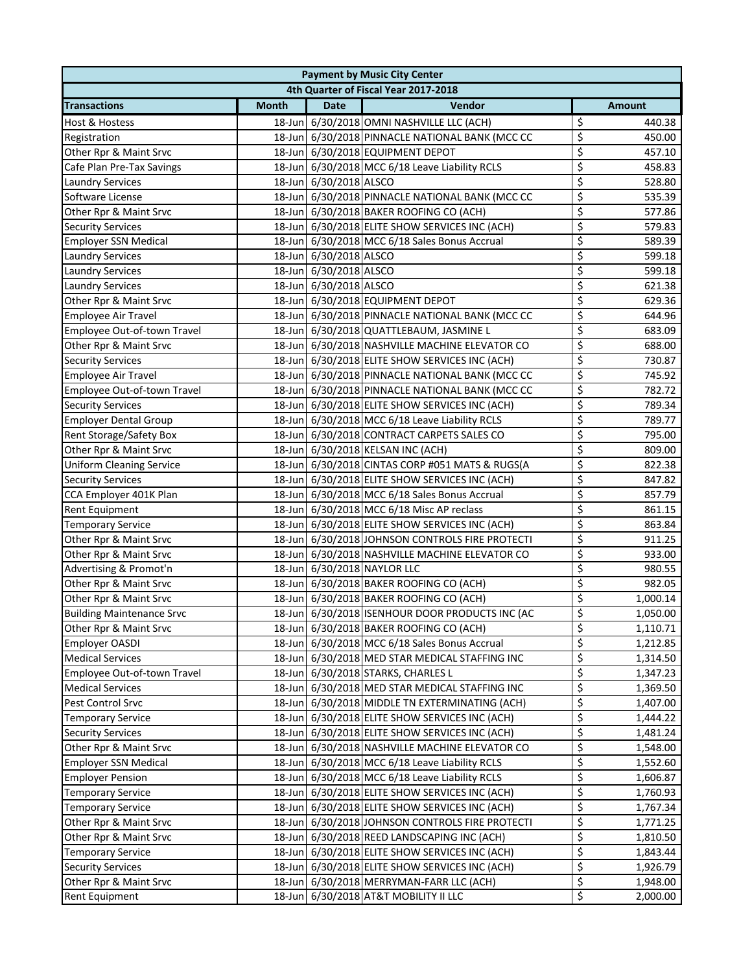|                                      |              |                        | <b>Payment by Music City Center</b>                                                              |                          |               |  |  |
|--------------------------------------|--------------|------------------------|--------------------------------------------------------------------------------------------------|--------------------------|---------------|--|--|
| 4th Quarter of Fiscal Year 2017-2018 |              |                        |                                                                                                  |                          |               |  |  |
| <b>Transactions</b>                  | <b>Month</b> | <b>Date</b>            | Vendor                                                                                           |                          | <b>Amount</b> |  |  |
| <b>Host &amp; Hostess</b>            |              |                        | 18-Jun 6/30/2018 OMNI NASHVILLE LLC (ACH)                                                        | \$                       | 440.38        |  |  |
| Registration                         |              |                        | 18-Jun 6/30/2018 PINNACLE NATIONAL BANK (MCC CC                                                  | \$                       | 450.00        |  |  |
| Other Rpr & Maint Srvc               |              |                        | 18-Jun 6/30/2018 EQUIPMENT DEPOT                                                                 | \$                       | 457.10        |  |  |
| Cafe Plan Pre-Tax Savings            |              |                        | 18-Jun 6/30/2018 MCC 6/18 Leave Liability RCLS                                                   | \$                       | 458.83        |  |  |
| <b>Laundry Services</b>              |              | 18-Jun 6/30/2018 ALSCO |                                                                                                  | \$                       | 528.80        |  |  |
| Software License                     |              |                        | 18-Jun 6/30/2018 PINNACLE NATIONAL BANK (MCC CC                                                  | \$                       | 535.39        |  |  |
| Other Rpr & Maint Srvc               |              |                        | 18-Jun 6/30/2018 BAKER ROOFING CO (ACH)                                                          | \$                       | 577.86        |  |  |
| <b>Security Services</b>             |              |                        | 18-Jun 6/30/2018 ELITE SHOW SERVICES INC (ACH)                                                   | \$                       | 579.83        |  |  |
| <b>Employer SSN Medical</b>          |              |                        | 18-Jun 6/30/2018 MCC 6/18 Sales Bonus Accrual                                                    | \$                       | 589.39        |  |  |
| <b>Laundry Services</b>              |              | 18-Jun 6/30/2018 ALSCO |                                                                                                  | \$                       | 599.18        |  |  |
| <b>Laundry Services</b>              |              | 18-Jun 6/30/2018 ALSCO |                                                                                                  | \$                       | 599.18        |  |  |
| <b>Laundry Services</b>              |              | 18-Jun 6/30/2018 ALSCO |                                                                                                  | \$                       | 621.38        |  |  |
| Other Rpr & Maint Srvc               |              |                        | 18-Jun 6/30/2018 EQUIPMENT DEPOT                                                                 | \$                       | 629.36        |  |  |
| Employee Air Travel                  |              |                        | 18-Jun 6/30/2018 PINNACLE NATIONAL BANK (MCC CC                                                  | \$                       | 644.96        |  |  |
| Employee Out-of-town Travel          |              |                        | 18-Jun 6/30/2018 QUATTLEBAUM, JASMINE L                                                          | \$                       | 683.09        |  |  |
| Other Rpr & Maint Srvc               |              |                        | 18-Jun 6/30/2018 NASHVILLE MACHINE ELEVATOR CO                                                   | \$                       | 688.00        |  |  |
| <b>Security Services</b>             |              |                        | 18-Jun 6/30/2018 ELITE SHOW SERVICES INC (ACH)                                                   | \$                       | 730.87        |  |  |
| Employee Air Travel                  |              |                        | 18-Jun 6/30/2018 PINNACLE NATIONAL BANK (MCC CC                                                  | \$                       | 745.92        |  |  |
| Employee Out-of-town Travel          |              |                        | 18-Jun 6/30/2018 PINNACLE NATIONAL BANK (MCC CC                                                  | \$                       | 782.72        |  |  |
| <b>Security Services</b>             |              |                        | 18-Jun 6/30/2018 ELITE SHOW SERVICES INC (ACH)                                                   | \$                       | 789.34        |  |  |
| <b>Employer Dental Group</b>         |              |                        | 18-Jun 6/30/2018 MCC 6/18 Leave Liability RCLS                                                   | \$                       | 789.77        |  |  |
| Rent Storage/Safety Box              |              |                        | 18-Jun 6/30/2018 CONTRACT CARPETS SALES CO                                                       | \$                       | 795.00        |  |  |
| Other Rpr & Maint Srvc               |              |                        | 18-Jun 6/30/2018 KELSAN INC (ACH)                                                                | \$                       | 809.00        |  |  |
| <b>Uniform Cleaning Service</b>      |              |                        | 18-Jun 6/30/2018 CINTAS CORP #051 MATS & RUGS(A                                                  | \$                       | 822.38        |  |  |
| <b>Security Services</b>             |              |                        | 18-Jun 6/30/2018 ELITE SHOW SERVICES INC (ACH)                                                   | \$                       | 847.82        |  |  |
| CCA Employer 401K Plan               |              |                        | 18-Jun 6/30/2018 MCC 6/18 Sales Bonus Accrual                                                    | \$                       | 857.79        |  |  |
| <b>Rent Equipment</b>                |              |                        | 18-Jun 6/30/2018 MCC 6/18 Misc AP reclass                                                        | \$                       | 861.15        |  |  |
| <b>Temporary Service</b>             |              |                        | 18-Jun 6/30/2018 ELITE SHOW SERVICES INC (ACH)                                                   | \$                       | 863.84        |  |  |
| Other Rpr & Maint Srvc               |              |                        | 18-Jun 6/30/2018 JOHNSON CONTROLS FIRE PROTECTI                                                  | \$                       | 911.25        |  |  |
| Other Rpr & Maint Srvc               |              |                        | 18-Jun 6/30/2018 NASHVILLE MACHINE ELEVATOR CO                                                   | \$                       | 933.00        |  |  |
| Advertising & Promot'n               |              |                        | 18-Jun 6/30/2018 NAYLOR LLC                                                                      | \$                       | 980.55        |  |  |
| Other Rpr & Maint Srvc               |              |                        | 18-Jun 6/30/2018 BAKER ROOFING CO (ACH)                                                          | \$                       | 982.05        |  |  |
| Other Rpr & Maint Srvc               |              |                        | 18-Jun 6/30/2018 BAKER ROOFING CO (ACH)                                                          | \$                       | 1,000.14      |  |  |
| <b>Building Maintenance Srvc</b>     |              |                        | 18-Jun 6/30/2018 ISENHOUR DOOR PRODUCTS INC (AC                                                  | \$                       | 1,050.00      |  |  |
| Other Rpr & Maint Srvc               |              |                        | 18-Jun 6/30/2018 BAKER ROOFING CO (ACH)                                                          | \$                       | 1,110.71      |  |  |
| <b>Employer OASDI</b>                |              |                        | 18-Jun 6/30/2018 MCC 6/18 Sales Bonus Accrual                                                    | \$                       | 1,212.85      |  |  |
| <b>Medical Services</b>              |              |                        | 18-Jun 6/30/2018 MED STAR MEDICAL STAFFING INC                                                   | \$                       | 1,314.50      |  |  |
| Employee Out-of-town Travel          |              |                        | 18-Jun 6/30/2018 STARKS, CHARLES L                                                               | \$                       | 1,347.23      |  |  |
| <b>Medical Services</b>              |              |                        | 18-Jun 6/30/2018 MED STAR MEDICAL STAFFING INC                                                   | \$                       | 1,369.50      |  |  |
| Pest Control Srvc                    |              |                        | 18-Jun 6/30/2018 MIDDLE TN EXTERMINATING (ACH)                                                   | \$                       | 1,407.00      |  |  |
| <b>Temporary Service</b>             |              |                        | 18-Jun 6/30/2018 ELITE SHOW SERVICES INC (ACH)                                                   | \$                       | 1,444.22      |  |  |
| <b>Security Services</b>             |              |                        | 18-Jun 6/30/2018 ELITE SHOW SERVICES INC (ACH)                                                   | \$                       |               |  |  |
| Other Rpr & Maint Srvc               |              |                        |                                                                                                  | \$                       | 1,481.24      |  |  |
|                                      |              |                        | 18-Jun 6/30/2018 NASHVILLE MACHINE ELEVATOR CO<br>18-Jun 6/30/2018 MCC 6/18 Leave Liability RCLS | \$                       | 1,548.00      |  |  |
| <b>Employer SSN Medical</b>          |              |                        |                                                                                                  | \$                       | 1,552.60      |  |  |
| <b>Employer Pension</b>              |              |                        | 18-Jun 6/30/2018 MCC 6/18 Leave Liability RCLS                                                   | \$                       | 1,606.87      |  |  |
| <b>Temporary Service</b>             |              |                        | 18-Jun 6/30/2018 ELITE SHOW SERVICES INC (ACH)                                                   | \$                       | 1,760.93      |  |  |
| <b>Temporary Service</b>             |              |                        | 18-Jun 6/30/2018 ELITE SHOW SERVICES INC (ACH)                                                   | \$                       | 1,767.34      |  |  |
| Other Rpr & Maint Srvc               |              |                        | 18-Jun 6/30/2018 JOHNSON CONTROLS FIRE PROTECTI                                                  |                          | 1,771.25      |  |  |
| Other Rpr & Maint Srvc               |              |                        | 18-Jun 6/30/2018 REED LANDSCAPING INC (ACH)                                                      | \$                       | 1,810.50      |  |  |
| <b>Temporary Service</b>             |              |                        | 18-Jun 6/30/2018 ELITE SHOW SERVICES INC (ACH)                                                   | \$                       | 1,843.44      |  |  |
| <b>Security Services</b>             |              |                        | 18-Jun 6/30/2018 ELITE SHOW SERVICES INC (ACH)                                                   | \$                       | 1,926.79      |  |  |
| Other Rpr & Maint Srvc               |              |                        | 18-Jun 6/30/2018 MERRYMAN-FARR LLC (ACH)                                                         | \$                       | 1,948.00      |  |  |
| <b>Rent Equipment</b>                |              |                        | 18-Jun 6/30/2018 AT&T MOBILITY II LLC                                                            | $\overline{\mathcal{S}}$ | 2,000.00      |  |  |